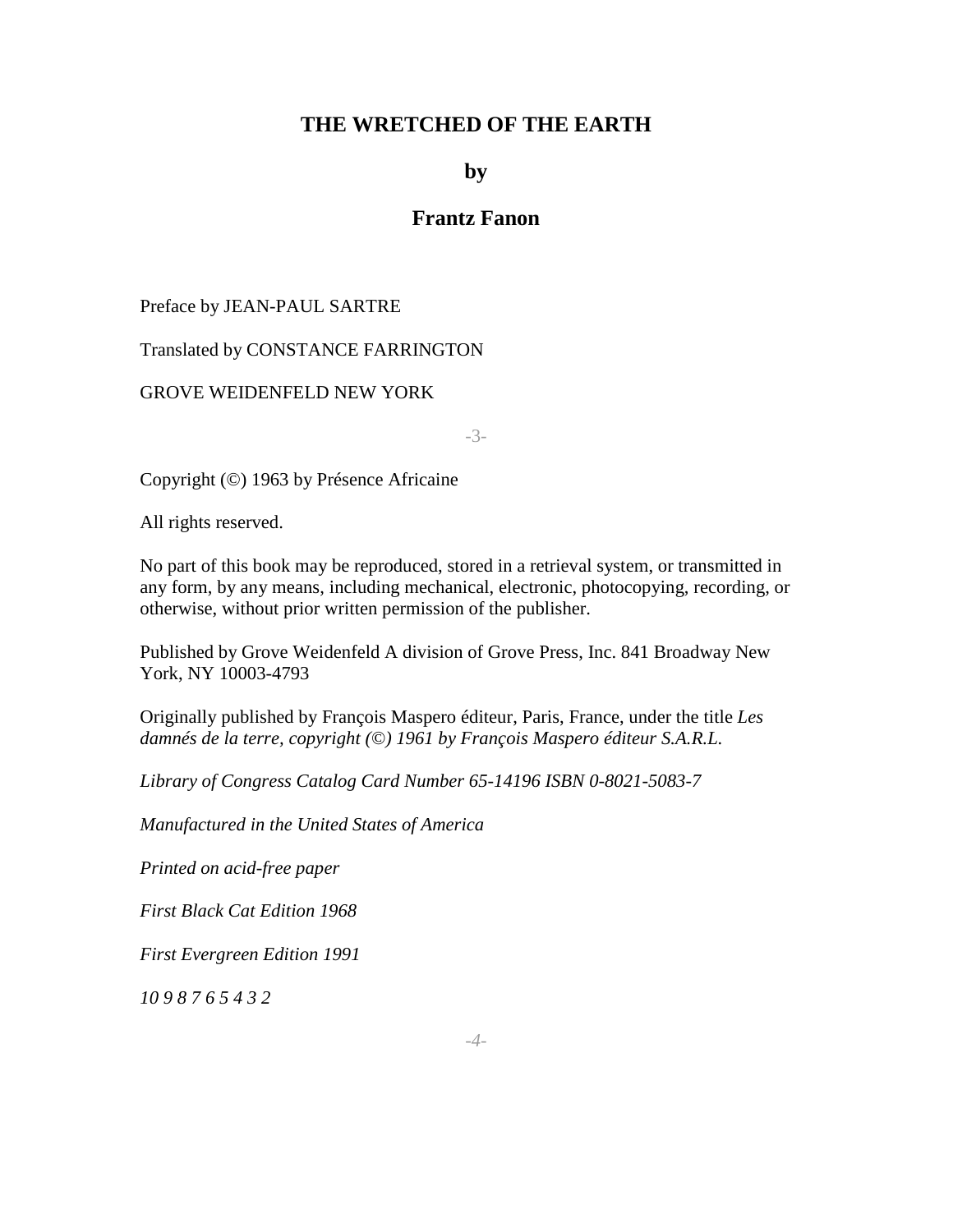# **THE WRETCHED OF THE EARTH**

## **by**

# **Frantz Fanon**

Preface by JEAN-PAUL SARTRE

Translated by CONSTANCE FARRINGTON

GROVE WEIDENFELD NEW YORK

-3-

Copyright (©) 1963 by Présence Africaine

All rights reserved.

No part of this book may be reproduced, stored in a retrieval system, or transmitted in any form, by any means, including mechanical, electronic, photocopying, recording, or otherwise, without prior written permission of the publisher.

Published by Grove Weidenfeld A division of Grove Press, Inc. 841 Broadway New York, NY 10003-4793

Originally published by François Maspero éditeur, Paris, France, under the title *Les damnés de la terre, copyright (©) 1961 by François Maspero éditeur S.A.R.L.* 

*Library of Congress Catalog Card Number 65-14196 ISBN 0-8021-5083-7* 

*Manufactured in the United States of America* 

*Printed on acid-free paper* 

*First Black Cat Edition 1968* 

*First Evergreen Edition 1991* 

*10 9 8 7 6 5 4 3 2*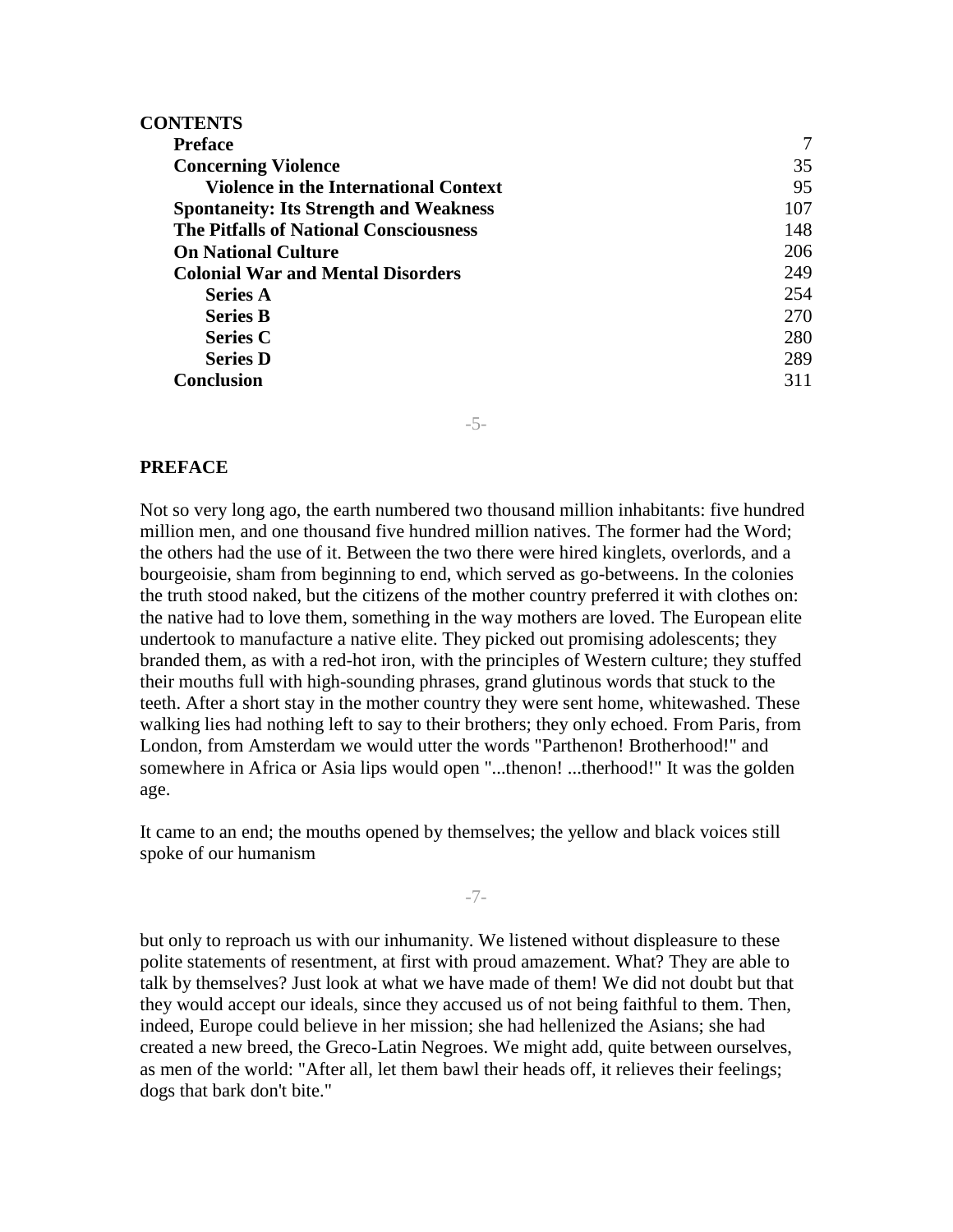| 35  |
|-----|
| 95  |
| 107 |
| 148 |
| 206 |
| 249 |
| 254 |
| 270 |
| 280 |
| 289 |
| 311 |
|     |

-5-

## **PREFACE**

Not so very long ago, the earth numbered two thousand million inhabitants: five hundred million men, and one thousand five hundred million natives. The former had the Word; the others had the use of it. Between the two there were hired kinglets, overlords, and a bourgeoisie, sham from beginning to end, which served as go-betweens. In the colonies the truth stood naked, but the citizens of the mother country preferred it with clothes on: the native had to love them, something in the way mothers are loved. The European elite undertook to manufacture a native elite. They picked out promising adolescents; they branded them, as with a red-hot iron, with the principles of Western culture; they stuffed their mouths full with high-sounding phrases, grand glutinous words that stuck to the teeth. After a short stay in the mother country they were sent home, whitewashed. These walking lies had nothing left to say to their brothers; they only echoed. From Paris, from London, from Amsterdam we would utter the words "Parthenon! Brotherhood!" and somewhere in Africa or Asia lips would open "...thenon! ...therhood!" It was the golden age.

It came to an end; the mouths opened by themselves; the yellow and black voices still spoke of our humanism

-7-

but only to reproach us with our inhumanity. We listened without displeasure to these polite statements of resentment, at first with proud amazement. What? They are able to talk by themselves? Just look at what we have made of them! We did not doubt but that they would accept our ideals, since they accused us of not being faithful to them. Then, indeed, Europe could believe in her mission; she had hellenized the Asians; she had created a new breed, the Greco-Latin Negroes. We might add, quite between ourselves, as men of the world: "After all, let them bawl their heads off, it relieves their feelings; dogs that bark don't bite."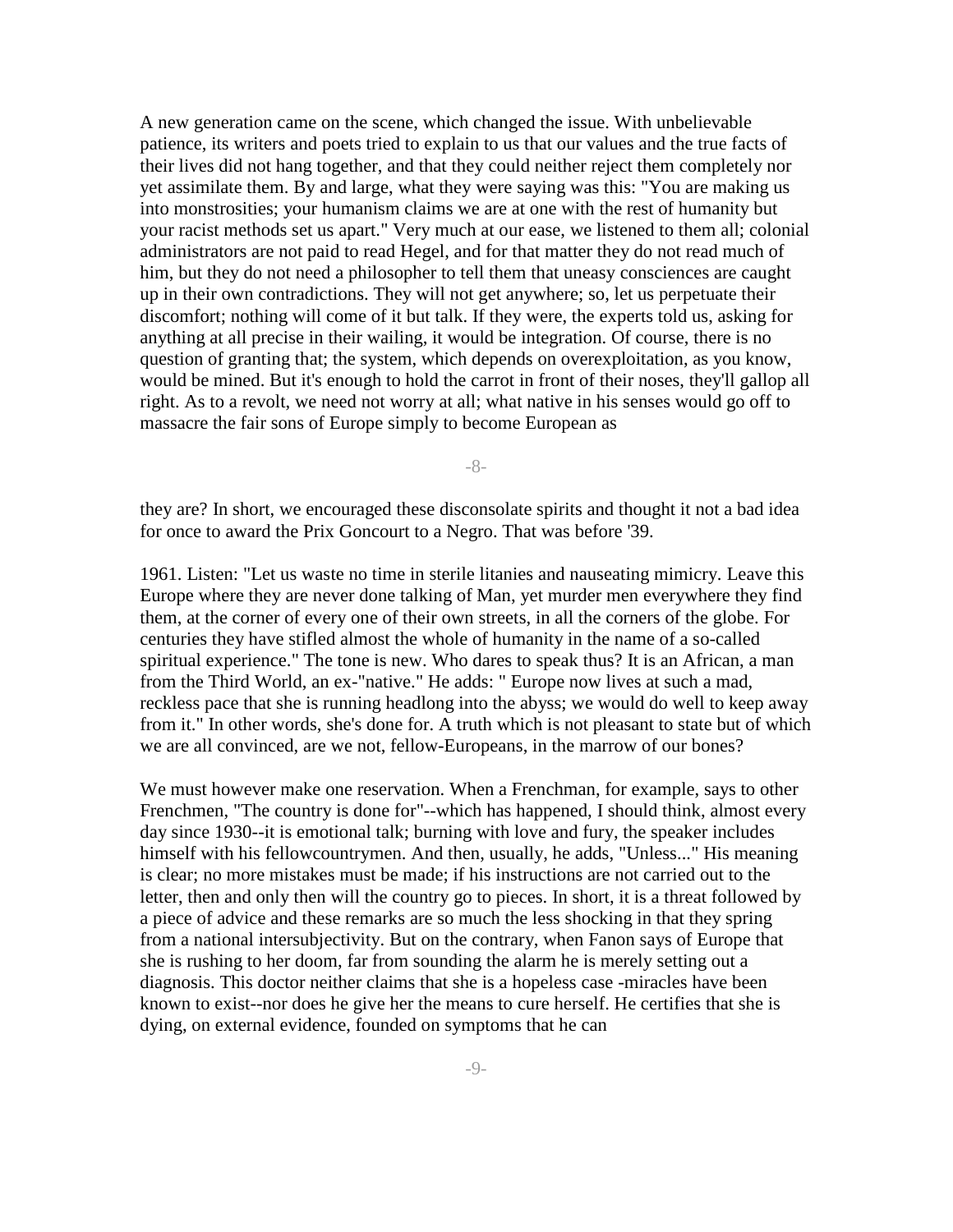A new generation came on the scene, which changed the issue. With unbelievable patience, its writers and poets tried to explain to us that our values and the true facts of their lives did not hang together, and that they could neither reject them completely nor yet assimilate them. By and large, what they were saying was this: "You are making us into monstrosities; your humanism claims we are at one with the rest of humanity but your racist methods set us apart." Very much at our ease, we listened to them all; colonial administrators are not paid to read Hegel, and for that matter they do not read much of him, but they do not need a philosopher to tell them that uneasy consciences are caught up in their own contradictions. They will not get anywhere; so, let us perpetuate their discomfort; nothing will come of it but talk. If they were, the experts told us, asking for anything at all precise in their wailing, it would be integration. Of course, there is no question of granting that; the system, which depends on overexploitation, as you know, would be mined. But it's enough to hold the carrot in front of their noses, they'll gallop all right. As to a revolt, we need not worry at all; what native in his senses would go off to massacre the fair sons of Europe simply to become European as

-8-

they are? In short, we encouraged these disconsolate spirits and thought it not a bad idea for once to award the Prix Goncourt to a Negro. That was before '39.

1961. Listen: "Let us waste no time in sterile litanies and nauseating mimicry. Leave this Europe where they are never done talking of Man, yet murder men everywhere they find them, at the corner of every one of their own streets, in all the corners of the globe. For centuries they have stifled almost the whole of humanity in the name of a so-called spiritual experience." The tone is new. Who dares to speak thus? It is an African, a man from the Third World, an ex-"native." He adds: " Europe now lives at such a mad, reckless pace that she is running headlong into the abyss; we would do well to keep away from it." In other words, she's done for. A truth which is not pleasant to state but of which we are all convinced, are we not, fellow-Europeans, in the marrow of our bones?

We must however make one reservation. When a Frenchman, for example, says to other Frenchmen, "The country is done for"--which has happened, I should think, almost every day since 1930--it is emotional talk; burning with love and fury, the speaker includes himself with his fellowcountrymen. And then, usually, he adds, "Unless..." His meaning is clear; no more mistakes must be made; if his instructions are not carried out to the letter, then and only then will the country go to pieces. In short, it is a threat followed by a piece of advice and these remarks are so much the less shocking in that they spring from a national intersubjectivity. But on the contrary, when Fanon says of Europe that she is rushing to her doom, far from sounding the alarm he is merely setting out a diagnosis. This doctor neither claims that she is a hopeless case -miracles have been known to exist--nor does he give her the means to cure herself. He certifies that she is dying, on external evidence, founded on symptoms that he can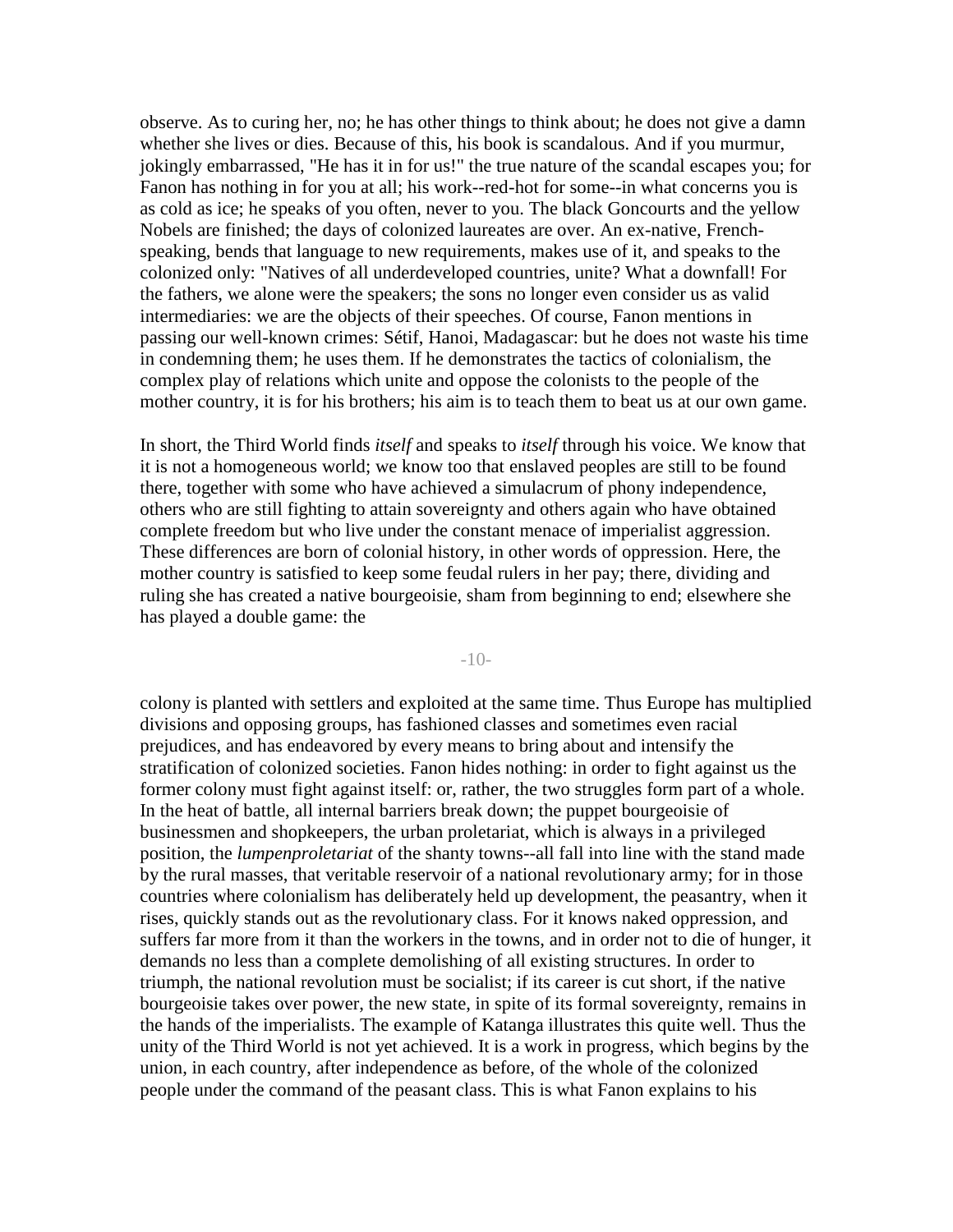observe. As to curing her, no; he has other things to think about; he does not give a damn whether she lives or dies. Because of this, his book is scandalous. And if you murmur, jokingly embarrassed, "He has it in for us!" the true nature of the scandal escapes you; for Fanon has nothing in for you at all; his work--red-hot for some--in what concerns you is as cold as ice; he speaks of you often, never to you. The black Goncourts and the yellow Nobels are finished; the days of colonized laureates are over. An ex-native, Frenchspeaking, bends that language to new requirements, makes use of it, and speaks to the colonized only: "Natives of all underdeveloped countries, unite? What a downfall! For the fathers, we alone were the speakers; the sons no longer even consider us as valid intermediaries: we are the objects of their speeches. Of course, Fanon mentions in passing our well-known crimes: Sétif, Hanoi, Madagascar: but he does not waste his time in condemning them; he uses them. If he demonstrates the tactics of colonialism, the complex play of relations which unite and oppose the colonists to the people of the mother country, it is for his brothers; his aim is to teach them to beat us at our own game.

In short, the Third World finds *itself* and speaks to *itself* through his voice. We know that it is not a homogeneous world; we know too that enslaved peoples are still to be found there, together with some who have achieved a simulacrum of phony independence, others who are still fighting to attain sovereignty and others again who have obtained complete freedom but who live under the constant menace of imperialist aggression. These differences are born of colonial history, in other words of oppression. Here, the mother country is satisfied to keep some feudal rulers in her pay; there, dividing and ruling she has created a native bourgeoisie, sham from beginning to end; elsewhere she has played a double game: the

-10-

colony is planted with settlers and exploited at the same time. Thus Europe has multiplied divisions and opposing groups, has fashioned classes and sometimes even racial prejudices, and has endeavored by every means to bring about and intensify the stratification of colonized societies. Fanon hides nothing: in order to fight against us the former colony must fight against itself: or, rather, the two struggles form part of a whole. In the heat of battle, all internal barriers break down; the puppet bourgeoisie of businessmen and shopkeepers, the urban proletariat, which is always in a privileged position, the *lumpenproletariat* of the shanty towns--all fall into line with the stand made by the rural masses, that veritable reservoir of a national revolutionary army; for in those countries where colonialism has deliberately held up development, the peasantry, when it rises, quickly stands out as the revolutionary class. For it knows naked oppression, and suffers far more from it than the workers in the towns, and in order not to die of hunger, it demands no less than a complete demolishing of all existing structures. In order to triumph, the national revolution must be socialist; if its career is cut short, if the native bourgeoisie takes over power, the new state, in spite of its formal sovereignty, remains in the hands of the imperialists. The example of Katanga illustrates this quite well. Thus the unity of the Third World is not yet achieved. It is a work in progress, which begins by the union, in each country, after independence as before, of the whole of the colonized people under the command of the peasant class. This is what Fanon explains to his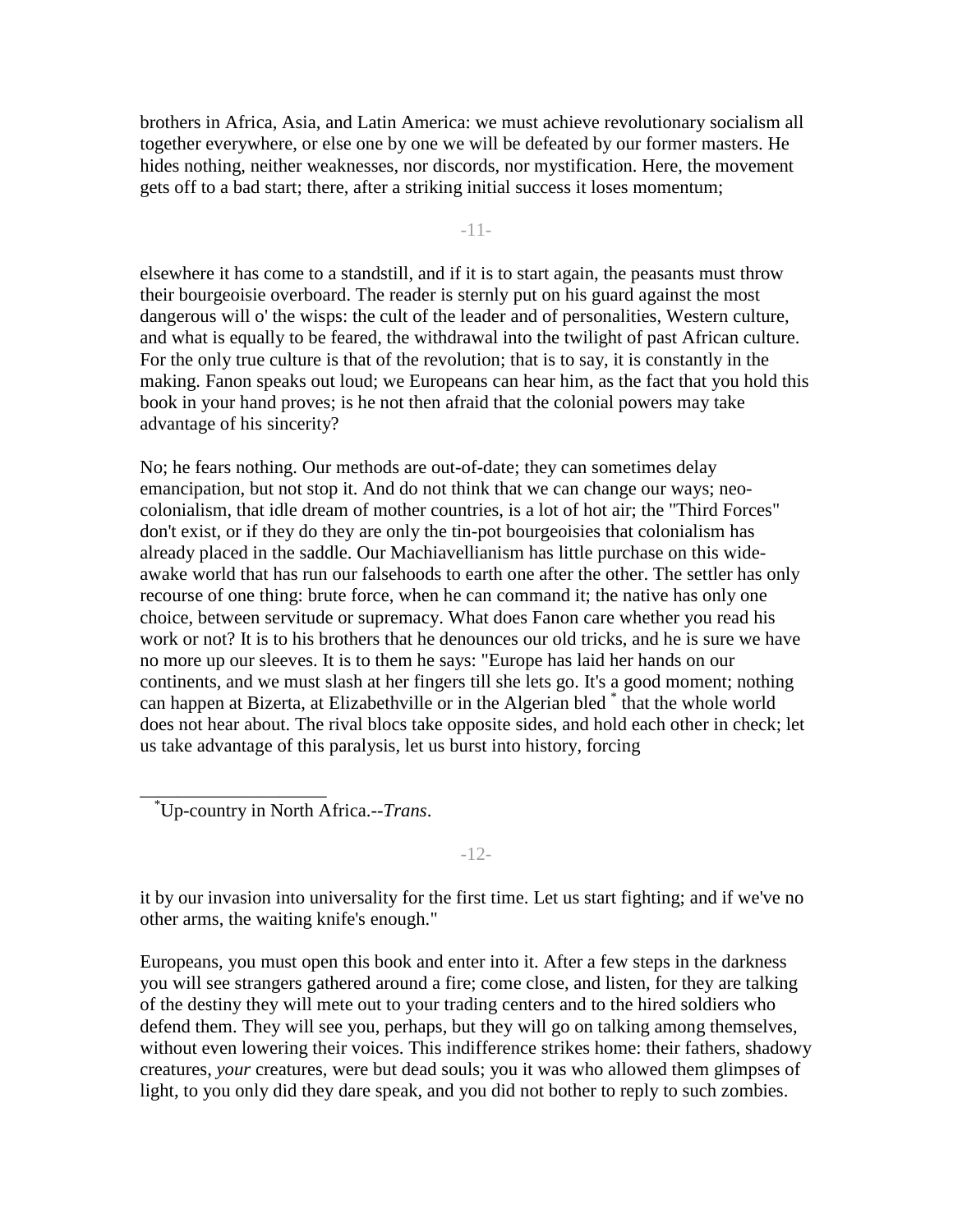brothers in Africa, Asia, and Latin America: we must achieve revolutionary socialism all together everywhere, or else one by one we will be defeated by our former masters. He hides nothing, neither weaknesses, nor discords, nor mystification. Here, the movement gets off to a bad start; there, after a striking initial success it loses momentum;

-11-

elsewhere it has come to a standstill, and if it is to start again, the peasants must throw their bourgeoisie overboard. The reader is sternly put on his guard against the most dangerous will o' the wisps: the cult of the leader and of personalities, Western culture, and what is equally to be feared, the withdrawal into the twilight of past African culture. For the only true culture is that of the revolution; that is to say, it is constantly in the making. Fanon speaks out loud; we Europeans can hear him, as the fact that you hold this book in your hand proves; is he not then afraid that the colonial powers may take advantage of his sincerity?

No; he fears nothing. Our methods are out-of-date; they can sometimes delay emancipation, but not stop it. And do not think that we can change our ways; neocolonialism, that idle dream of mother countries, is a lot of hot air; the "Third Forces" don't exist, or if they do they are only the tin-pot bourgeoisies that colonialism has already placed in the saddle. Our Machiavellianism has little purchase on this wideawake world that has run our falsehoods to earth one after the other. The settler has only recourse of one thing: brute force, when he can command it; the native has only one choice, between servitude or supremacy. What does Fanon care whether you read his work or not? It is to his brothers that he denounces our old tricks, and he is sure we have no more up our sleeves. It is to them he says: "Europe has laid her hands on our continents, and we must slash at her fingers till she lets go. It's a good moment; nothing can happen at Bizerta, at Elizabethville or in the Algerian bled \* that the whole world does not hear about. The rival blocs take opposite sides, and hold each other in check; let us take advantage of this paralysis, let us burst into history, forcing

\*Up-country in North Africa.--*Trans*.

\_\_\_\_\_\_\_\_\_\_\_\_\_\_\_\_\_\_\_\_

-12-

it by our invasion into universality for the first time. Let us start fighting; and if we've no other arms, the waiting knife's enough."

Europeans, you must open this book and enter into it. After a few steps in the darkness you will see strangers gathered around a fire; come close, and listen, for they are talking of the destiny they will mete out to your trading centers and to the hired soldiers who defend them. They will see you, perhaps, but they will go on talking among themselves, without even lowering their voices. This indifference strikes home: their fathers, shadowy creatures, *your* creatures, were but dead souls; you it was who allowed them glimpses of light, to you only did they dare speak, and you did not bother to reply to such zombies.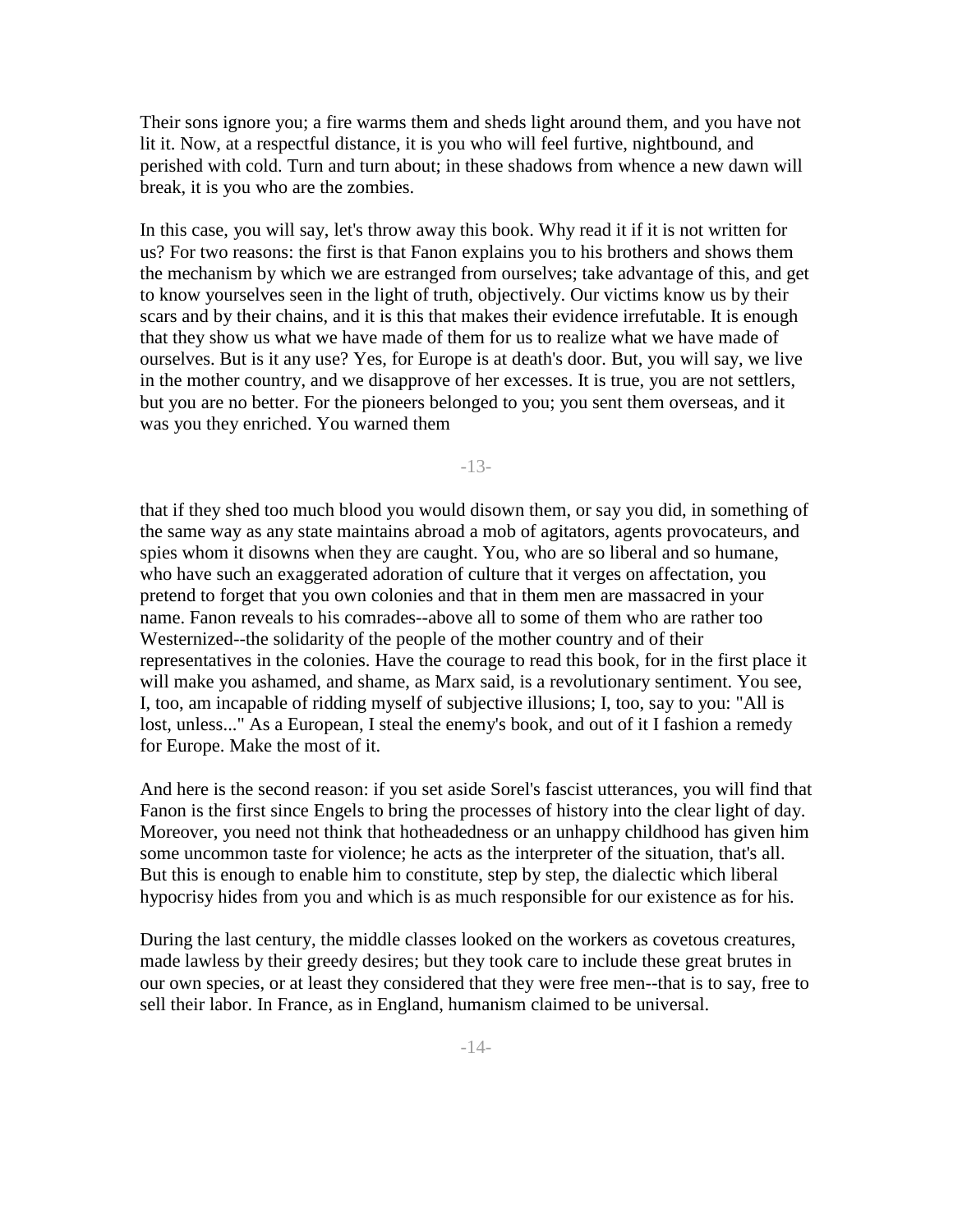Their sons ignore you; a fire warms them and sheds light around them, and you have not lit it. Now, at a respectful distance, it is you who will feel furtive, nightbound, and perished with cold. Turn and turn about; in these shadows from whence a new dawn will break, it is you who are the zombies.

In this case, you will say, let's throw away this book. Why read it if it is not written for us? For two reasons: the first is that Fanon explains you to his brothers and shows them the mechanism by which we are estranged from ourselves; take advantage of this, and get to know yourselves seen in the light of truth, objectively. Our victims know us by their scars and by their chains, and it is this that makes their evidence irrefutable. It is enough that they show us what we have made of them for us to realize what we have made of ourselves. But is it any use? Yes, for Europe is at death's door. But, you will say, we live in the mother country, and we disapprove of her excesses. It is true, you are not settlers, but you are no better. For the pioneers belonged to you; you sent them overseas, and it was you they enriched. You warned them

-13-

that if they shed too much blood you would disown them, or say you did, in something of the same way as any state maintains abroad a mob of agitators, agents provocateurs, and spies whom it disowns when they are caught. You, who are so liberal and so humane, who have such an exaggerated adoration of culture that it verges on affectation, you pretend to forget that you own colonies and that in them men are massacred in your name. Fanon reveals to his comrades--above all to some of them who are rather too Westernized--the solidarity of the people of the mother country and of their representatives in the colonies. Have the courage to read this book, for in the first place it will make you ashamed, and shame, as Marx said, is a revolutionary sentiment. You see, I, too, am incapable of ridding myself of subjective illusions; I, too, say to you: "All is lost, unless..." As a European, I steal the enemy's book, and out of it I fashion a remedy for Europe. Make the most of it.

And here is the second reason: if you set aside Sorel's fascist utterances, you will find that Fanon is the first since Engels to bring the processes of history into the clear light of day. Moreover, you need not think that hotheadedness or an unhappy childhood has given him some uncommon taste for violence; he acts as the interpreter of the situation, that's all. But this is enough to enable him to constitute, step by step, the dialectic which liberal hypocrisy hides from you and which is as much responsible for our existence as for his.

During the last century, the middle classes looked on the workers as covetous creatures, made lawless by their greedy desires; but they took care to include these great brutes in our own species, or at least they considered that they were free men--that is to say, free to sell their labor. In France, as in England, humanism claimed to be universal.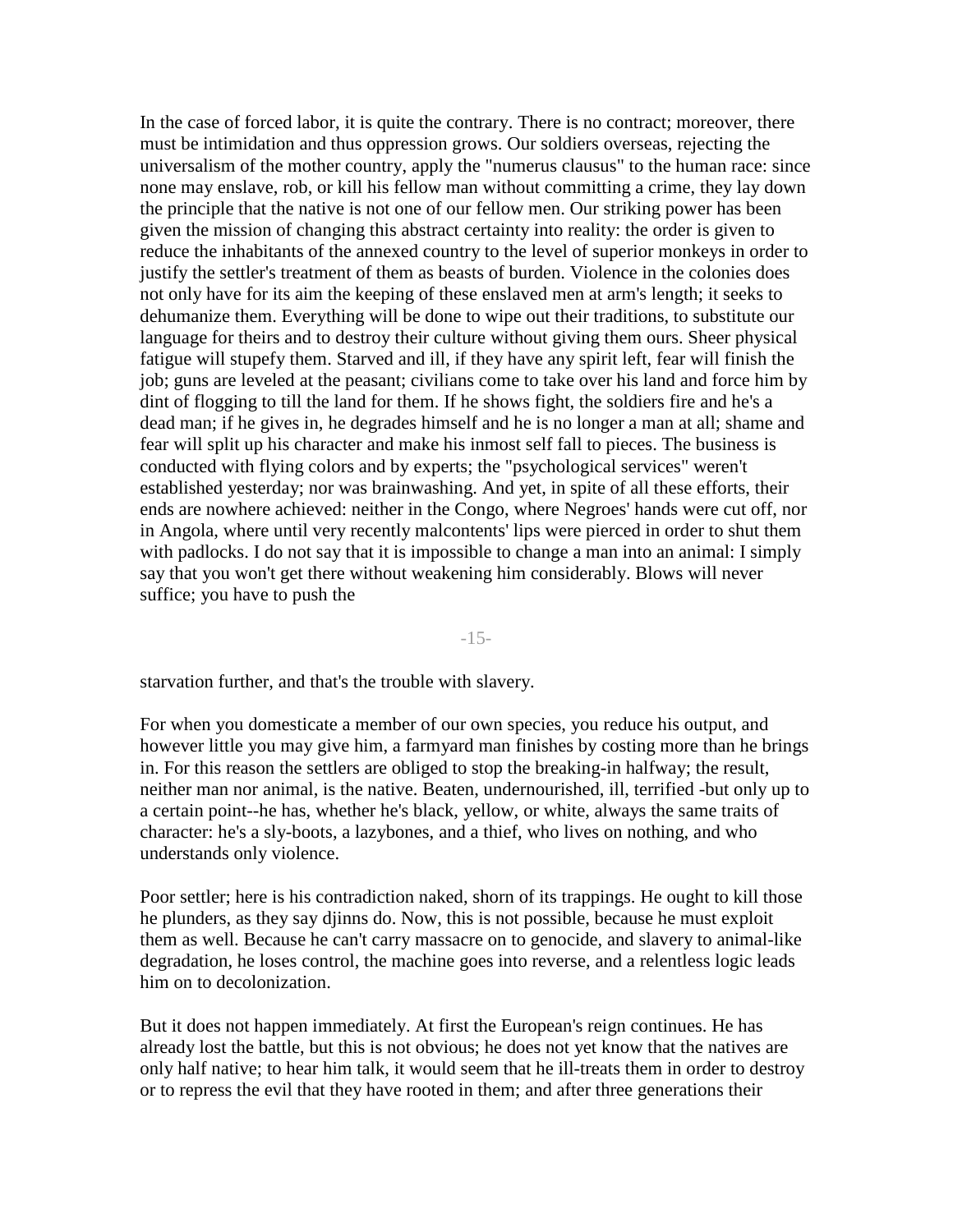In the case of forced labor, it is quite the contrary. There is no contract; moreover, there must be intimidation and thus oppression grows. Our soldiers overseas, rejecting the universalism of the mother country, apply the "numerus clausus" to the human race: since none may enslave, rob, or kill his fellow man without committing a crime, they lay down the principle that the native is not one of our fellow men. Our striking power has been given the mission of changing this abstract certainty into reality: the order is given to reduce the inhabitants of the annexed country to the level of superior monkeys in order to justify the settler's treatment of them as beasts of burden. Violence in the colonies does not only have for its aim the keeping of these enslaved men at arm's length; it seeks to dehumanize them. Everything will be done to wipe out their traditions, to substitute our language for theirs and to destroy their culture without giving them ours. Sheer physical fatigue will stupefy them. Starved and ill, if they have any spirit left, fear will finish the job; guns are leveled at the peasant; civilians come to take over his land and force him by dint of flogging to till the land for them. If he shows fight, the soldiers fire and he's a dead man; if he gives in, he degrades himself and he is no longer a man at all; shame and fear will split up his character and make his inmost self fall to pieces. The business is conducted with flying colors and by experts; the "psychological services" weren't established yesterday; nor was brainwashing. And yet, in spite of all these efforts, their ends are nowhere achieved: neither in the Congo, where Negroes' hands were cut off, nor in Angola, where until very recently malcontents' lips were pierced in order to shut them with padlocks. I do not say that it is impossible to change a man into an animal: I simply say that you won't get there without weakening him considerably. Blows will never suffice; you have to push the

-15-

starvation further, and that's the trouble with slavery.

For when you domesticate a member of our own species, you reduce his output, and however little you may give him, a farmyard man finishes by costing more than he brings in. For this reason the settlers are obliged to stop the breaking-in halfway; the result, neither man nor animal, is the native. Beaten, undernourished, ill, terrified -but only up to a certain point--he has, whether he's black, yellow, or white, always the same traits of character: he's a sly-boots, a lazybones, and a thief, who lives on nothing, and who understands only violence.

Poor settler; here is his contradiction naked, shorn of its trappings. He ought to kill those he plunders, as they say djinns do. Now, this is not possible, because he must exploit them as well. Because he can't carry massacre on to genocide, and slavery to animal-like degradation, he loses control, the machine goes into reverse, and a relentless logic leads him on to decolonization.

But it does not happen immediately. At first the European's reign continues. He has already lost the battle, but this is not obvious; he does not yet know that the natives are only half native; to hear him talk, it would seem that he ill-treats them in order to destroy or to repress the evil that they have rooted in them; and after three generations their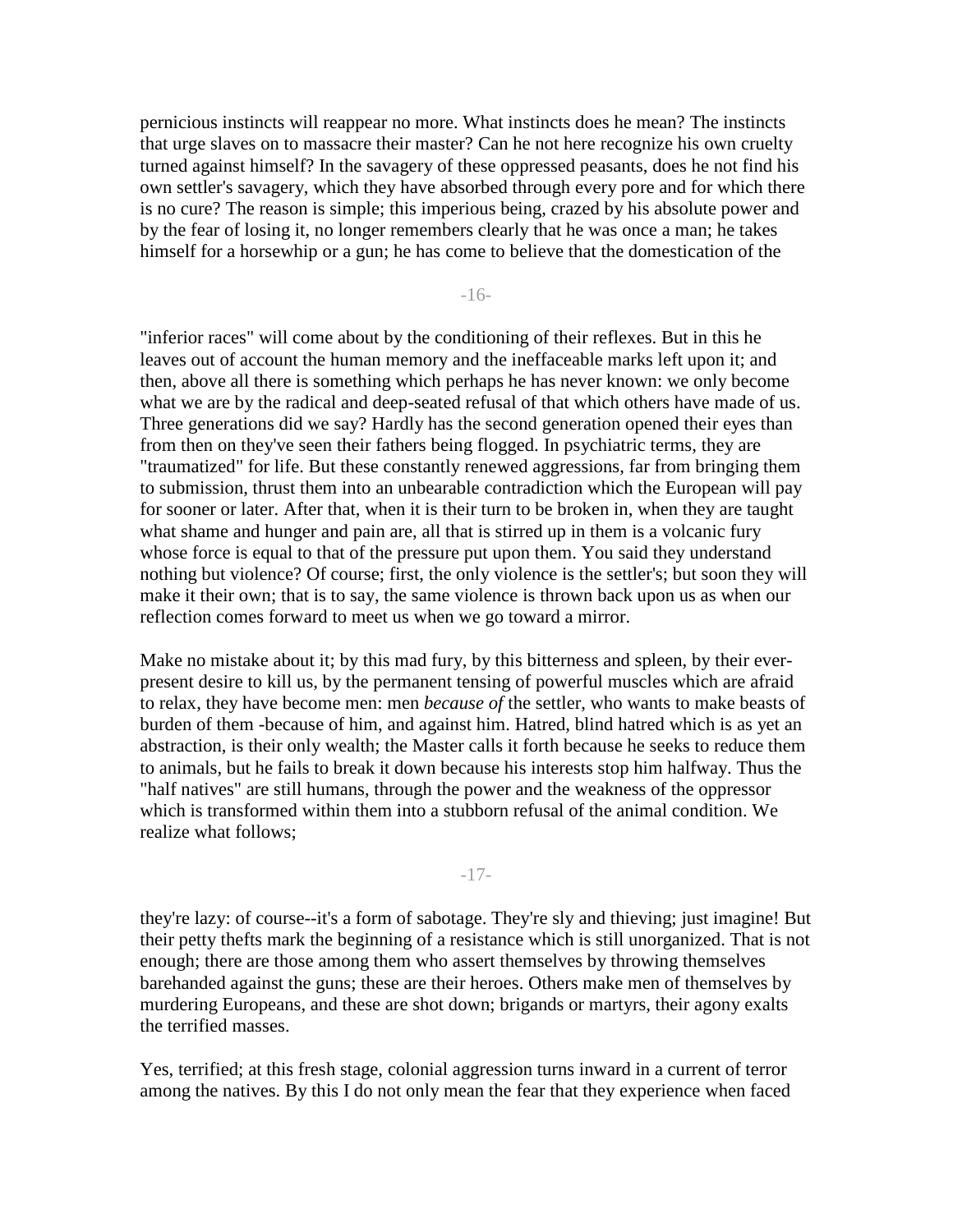pernicious instincts will reappear no more. What instincts does he mean? The instincts that urge slaves on to massacre their master? Can he not here recognize his own cruelty turned against himself? In the savagery of these oppressed peasants, does he not find his own settler's savagery, which they have absorbed through every pore and for which there is no cure? The reason is simple; this imperious being, crazed by his absolute power and by the fear of losing it, no longer remembers clearly that he was once a man; he takes himself for a horsewhip or a gun; he has come to believe that the domestication of the

-16-

"inferior races" will come about by the conditioning of their reflexes. But in this he leaves out of account the human memory and the ineffaceable marks left upon it; and then, above all there is something which perhaps he has never known: we only become what we are by the radical and deep-seated refusal of that which others have made of us. Three generations did we say? Hardly has the second generation opened their eyes than from then on they've seen their fathers being flogged. In psychiatric terms, they are "traumatized" for life. But these constantly renewed aggressions, far from bringing them to submission, thrust them into an unbearable contradiction which the European will pay for sooner or later. After that, when it is their turn to be broken in, when they are taught what shame and hunger and pain are, all that is stirred up in them is a volcanic fury whose force is equal to that of the pressure put upon them. You said they understand nothing but violence? Of course; first, the only violence is the settler's; but soon they will make it their own; that is to say, the same violence is thrown back upon us as when our reflection comes forward to meet us when we go toward a mirror.

Make no mistake about it; by this mad fury, by this bitterness and spleen, by their everpresent desire to kill us, by the permanent tensing of powerful muscles which are afraid to relax, they have become men: men *because of* the settler, who wants to make beasts of burden of them -because of him, and against him. Hatred, blind hatred which is as yet an abstraction, is their only wealth; the Master calls it forth because he seeks to reduce them to animals, but he fails to break it down because his interests stop him halfway. Thus the "half natives" are still humans, through the power and the weakness of the oppressor which is transformed within them into a stubborn refusal of the animal condition. We realize what follows;

-17-

they're lazy: of course--it's a form of sabotage. They're sly and thieving; just imagine! But their petty thefts mark the beginning of a resistance which is still unorganized. That is not enough; there are those among them who assert themselves by throwing themselves barehanded against the guns; these are their heroes. Others make men of themselves by murdering Europeans, and these are shot down; brigands or martyrs, their agony exalts the terrified masses.

Yes, terrified; at this fresh stage, colonial aggression turns inward in a current of terror among the natives. By this I do not only mean the fear that they experience when faced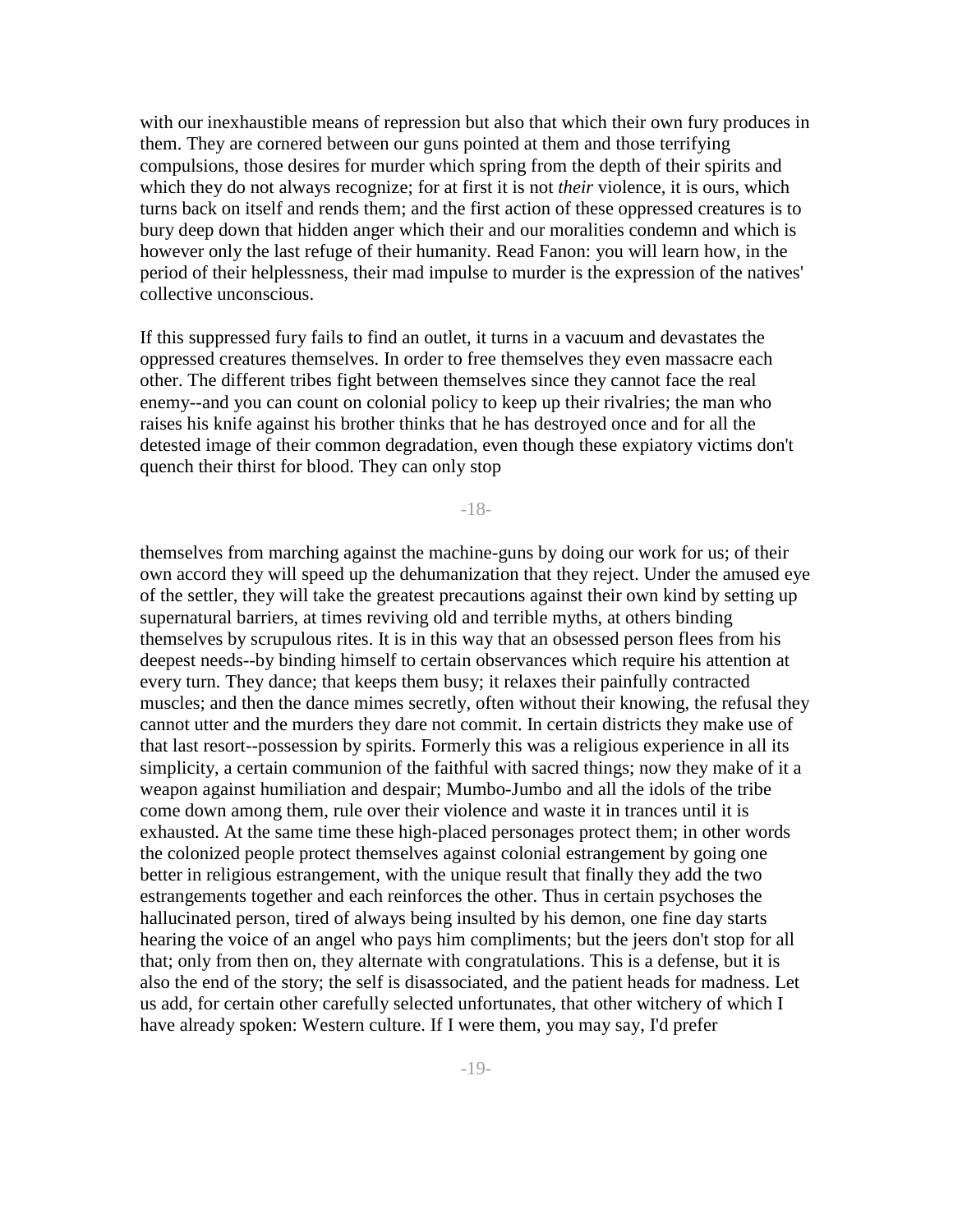with our inexhaustible means of repression but also that which their own fury produces in them. They are cornered between our guns pointed at them and those terrifying compulsions, those desires for murder which spring from the depth of their spirits and which they do not always recognize; for at first it is not *their* violence, it is ours, which turns back on itself and rends them; and the first action of these oppressed creatures is to bury deep down that hidden anger which their and our moralities condemn and which is however only the last refuge of their humanity. Read Fanon: you will learn how, in the period of their helplessness, their mad impulse to murder is the expression of the natives' collective unconscious.

If this suppressed fury fails to find an outlet, it turns in a vacuum and devastates the oppressed creatures themselves. In order to free themselves they even massacre each other. The different tribes fight between themselves since they cannot face the real enemy--and you can count on colonial policy to keep up their rivalries; the man who raises his knife against his brother thinks that he has destroyed once and for all the detested image of their common degradation, even though these expiatory victims don't quench their thirst for blood. They can only stop

-18-

themselves from marching against the machine-guns by doing our work for us; of their own accord they will speed up the dehumanization that they reject. Under the amused eye of the settler, they will take the greatest precautions against their own kind by setting up supernatural barriers, at times reviving old and terrible myths, at others binding themselves by scrupulous rites. It is in this way that an obsessed person flees from his deepest needs--by binding himself to certain observances which require his attention at every turn. They dance; that keeps them busy; it relaxes their painfully contracted muscles; and then the dance mimes secretly, often without their knowing, the refusal they cannot utter and the murders they dare not commit. In certain districts they make use of that last resort--possession by spirits. Formerly this was a religious experience in all its simplicity, a certain communion of the faithful with sacred things; now they make of it a weapon against humiliation and despair; Mumbo-Jumbo and all the idols of the tribe come down among them, rule over their violence and waste it in trances until it is exhausted. At the same time these high-placed personages protect them; in other words the colonized people protect themselves against colonial estrangement by going one better in religious estrangement, with the unique result that finally they add the two estrangements together and each reinforces the other. Thus in certain psychoses the hallucinated person, tired of always being insulted by his demon, one fine day starts hearing the voice of an angel who pays him compliments; but the jeers don't stop for all that; only from then on, they alternate with congratulations. This is a defense, but it is also the end of the story; the self is disassociated, and the patient heads for madness. Let us add, for certain other carefully selected unfortunates, that other witchery of which I have already spoken: Western culture. If I were them, you may say, I'd prefer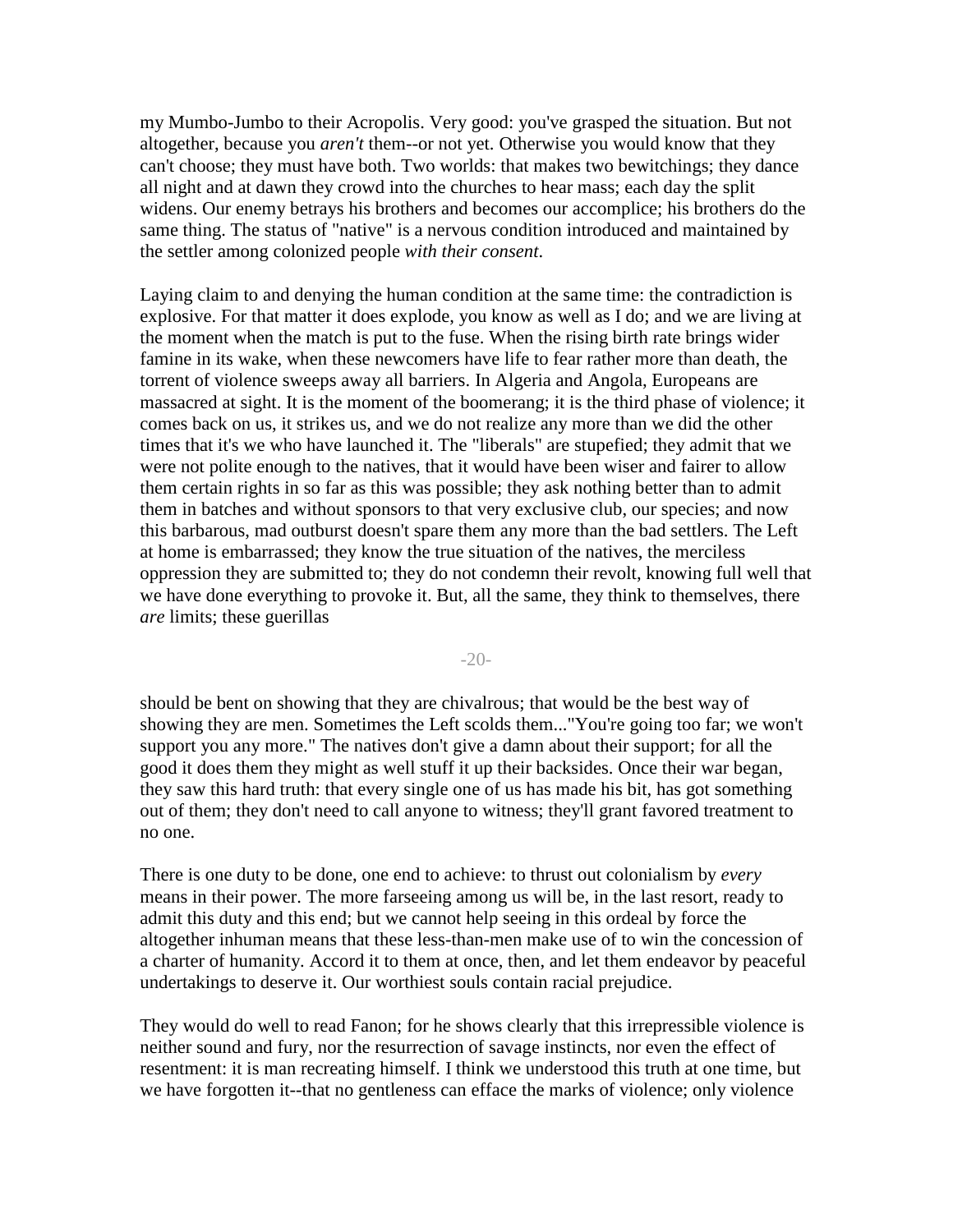my Mumbo-Jumbo to their Acropolis. Very good: you've grasped the situation. But not altogether, because you *aren't* them--or not yet. Otherwise you would know that they can't choose; they must have both. Two worlds: that makes two bewitchings; they dance all night and at dawn they crowd into the churches to hear mass; each day the split widens. Our enemy betrays his brothers and becomes our accomplice; his brothers do the same thing. The status of "native" is a nervous condition introduced and maintained by the settler among colonized people *with their consent*.

Laying claim to and denying the human condition at the same time: the contradiction is explosive. For that matter it does explode, you know as well as I do; and we are living at the moment when the match is put to the fuse. When the rising birth rate brings wider famine in its wake, when these newcomers have life to fear rather more than death, the torrent of violence sweeps away all barriers. In Algeria and Angola, Europeans are massacred at sight. It is the moment of the boomerang; it is the third phase of violence; it comes back on us, it strikes us, and we do not realize any more than we did the other times that it's we who have launched it. The "liberals" are stupefied; they admit that we were not polite enough to the natives, that it would have been wiser and fairer to allow them certain rights in so far as this was possible; they ask nothing better than to admit them in batches and without sponsors to that very exclusive club, our species; and now this barbarous, mad outburst doesn't spare them any more than the bad settlers. The Left at home is embarrassed; they know the true situation of the natives, the merciless oppression they are submitted to; they do not condemn their revolt, knowing full well that we have done everything to provoke it. But, all the same, they think to themselves, there *are* limits; these guerillas

-20-

should be bent on showing that they are chivalrous; that would be the best way of showing they are men. Sometimes the Left scolds them..."You're going too far; we won't support you any more." The natives don't give a damn about their support; for all the good it does them they might as well stuff it up their backsides. Once their war began, they saw this hard truth: that every single one of us has made his bit, has got something out of them; they don't need to call anyone to witness; they'll grant favored treatment to no one.

There is one duty to be done, one end to achieve: to thrust out colonialism by *every* means in their power. The more farseeing among us will be, in the last resort, ready to admit this duty and this end; but we cannot help seeing in this ordeal by force the altogether inhuman means that these less-than-men make use of to win the concession of a charter of humanity. Accord it to them at once, then, and let them endeavor by peaceful undertakings to deserve it. Our worthiest souls contain racial prejudice.

They would do well to read Fanon; for he shows clearly that this irrepressible violence is neither sound and fury, nor the resurrection of savage instincts, nor even the effect of resentment: it is man recreating himself. I think we understood this truth at one time, but we have forgotten it--that no gentleness can efface the marks of violence; only violence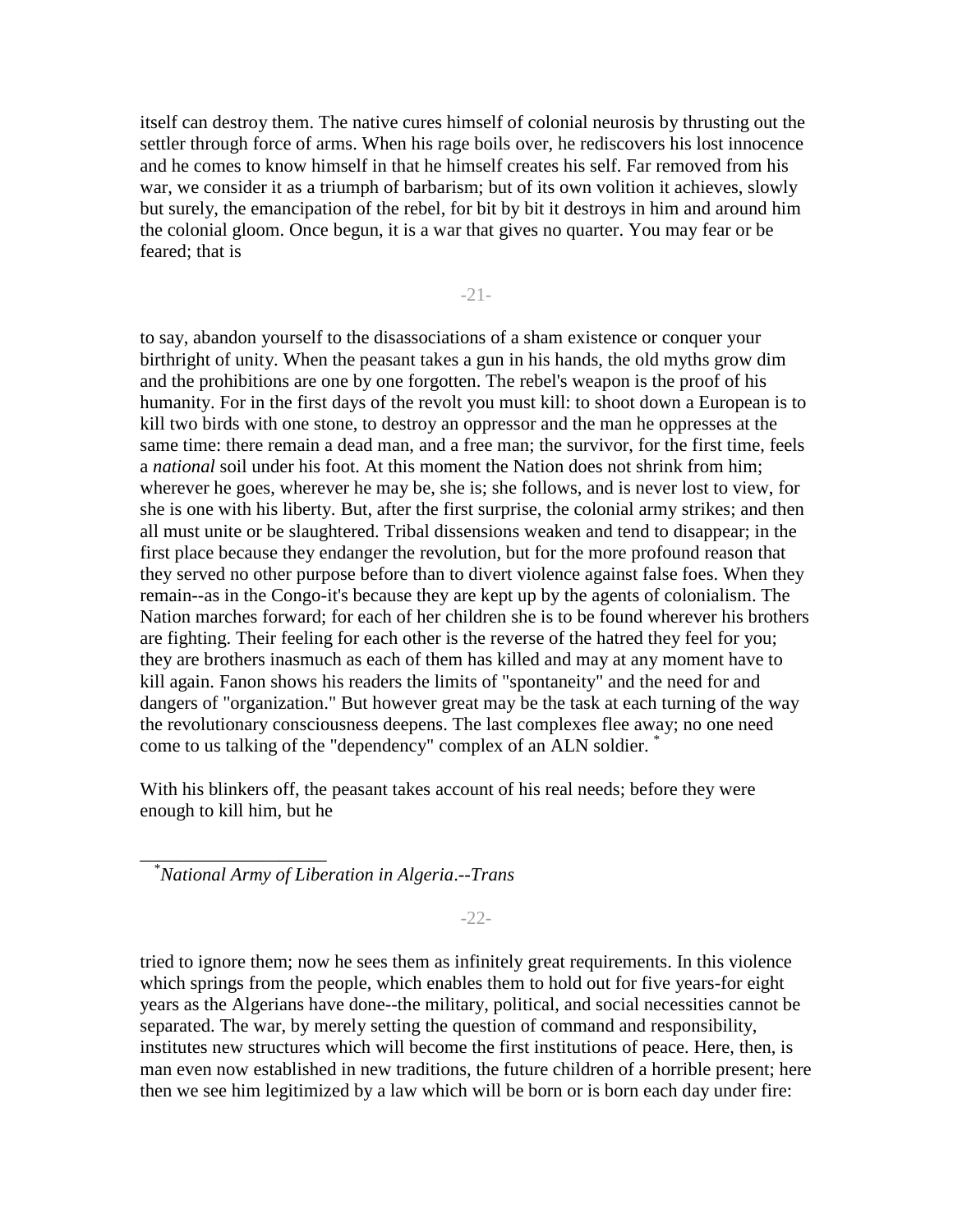itself can destroy them. The native cures himself of colonial neurosis by thrusting out the settler through force of arms. When his rage boils over, he rediscovers his lost innocence and he comes to know himself in that he himself creates his self. Far removed from his war, we consider it as a triumph of barbarism; but of its own volition it achieves, slowly but surely, the emancipation of the rebel, for bit by bit it destroys in him and around him the colonial gloom. Once begun, it is a war that gives no quarter. You may fear or be feared; that is

-21-

to say, abandon yourself to the disassociations of a sham existence or conquer your birthright of unity. When the peasant takes a gun in his hands, the old myths grow dim and the prohibitions are one by one forgotten. The rebel's weapon is the proof of his humanity. For in the first days of the revolt you must kill: to shoot down a European is to kill two birds with one stone, to destroy an oppressor and the man he oppresses at the same time: there remain a dead man, and a free man; the survivor, for the first time, feels a *national* soil under his foot. At this moment the Nation does not shrink from him; wherever he goes, wherever he may be, she is; she follows, and is never lost to view, for she is one with his liberty. But, after the first surprise, the colonial army strikes; and then all must unite or be slaughtered. Tribal dissensions weaken and tend to disappear; in the first place because they endanger the revolution, but for the more profound reason that they served no other purpose before than to divert violence against false foes. When they remain--as in the Congo-it's because they are kept up by the agents of colonialism. The Nation marches forward; for each of her children she is to be found wherever his brothers are fighting. Their feeling for each other is the reverse of the hatred they feel for you; they are brothers inasmuch as each of them has killed and may at any moment have to kill again. Fanon shows his readers the limits of "spontaneity" and the need for and dangers of "organization." But however great may be the task at each turning of the way the revolutionary consciousness deepens. The last complexes flee away; no one need come to us talking of the "dependency" complex of an ALN soldier.

With his blinkers off, the peasant takes account of his real needs; before they were enough to kill him, but he

\**National Army of Liberation in Algeria*.--*Trans*

\_\_\_\_\_\_\_\_\_\_\_\_\_\_\_\_\_\_\_\_

-22-

tried to ignore them; now he sees them as infinitely great requirements. In this violence which springs from the people, which enables them to hold out for five years-for eight years as the Algerians have done--the military, political, and social necessities cannot be separated. The war, by merely setting the question of command and responsibility, institutes new structures which will become the first institutions of peace. Here, then, is man even now established in new traditions, the future children of a horrible present; here then we see him legitimized by a law which will be born or is born each day under fire: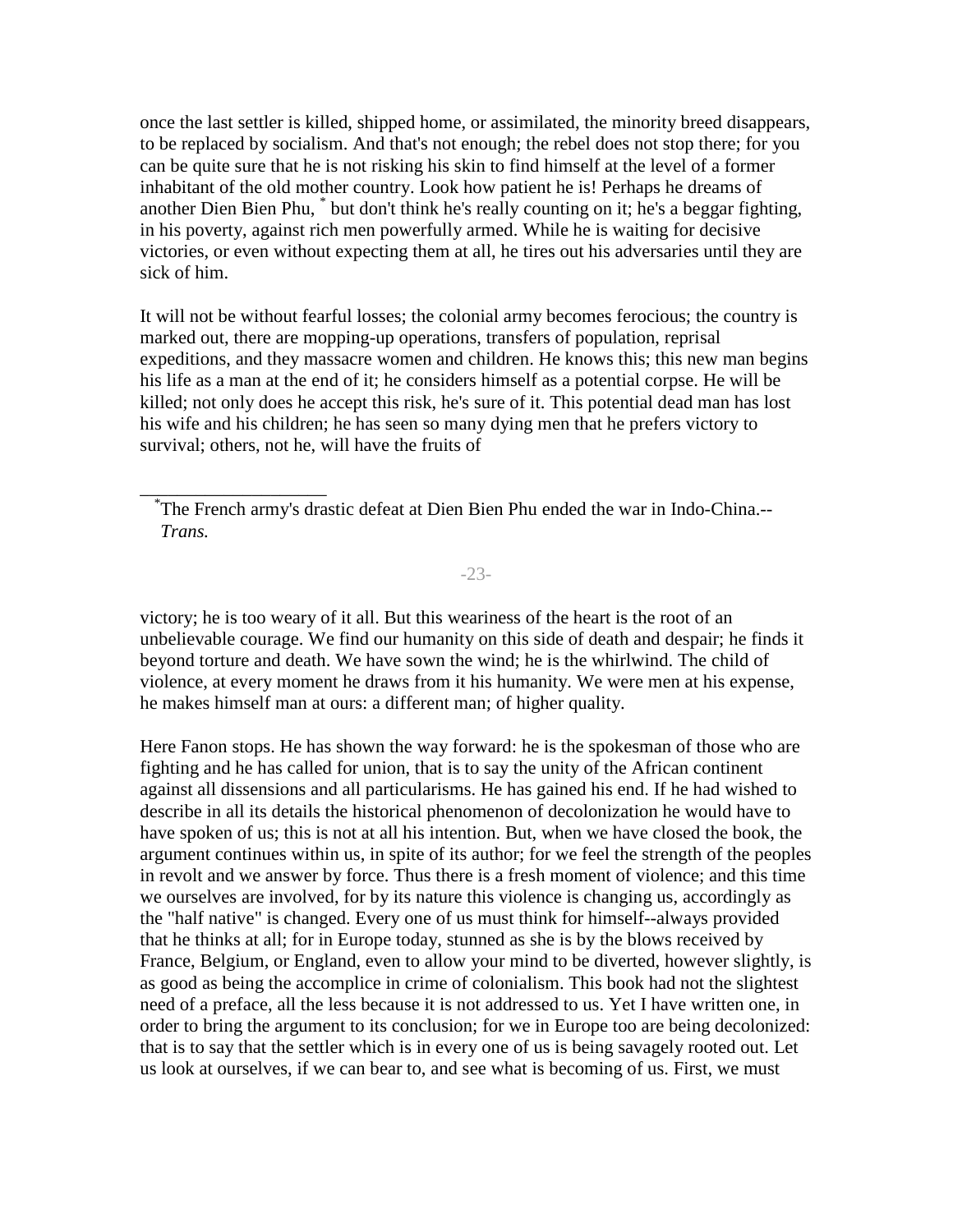once the last settler is killed, shipped home, or assimilated, the minority breed disappears, to be replaced by socialism. And that's not enough; the rebel does not stop there; for you can be quite sure that he is not risking his skin to find himself at the level of a former inhabitant of the old mother country. Look how patient he is! Perhaps he dreams of another Dien Bien Phu, \* but don't think he's really counting on it; he's a beggar fighting, in his poverty, against rich men powerfully armed. While he is waiting for decisive victories, or even without expecting them at all, he tires out his adversaries until they are sick of him.

It will not be without fearful losses; the colonial army becomes ferocious; the country is marked out, there are mopping-up operations, transfers of population, reprisal expeditions, and they massacre women and children. He knows this; this new man begins his life as a man at the end of it; he considers himself as a potential corpse. He will be killed; not only does he accept this risk, he's sure of it. This potential dead man has lost his wife and his children; he has seen so many dying men that he prefers victory to survival; others, not he, will have the fruits of

\_\_\_\_\_\_\_\_\_\_\_\_\_\_\_\_\_\_\_\_

-23-

victory; he is too weary of it all. But this weariness of the heart is the root of an unbelievable courage. We find our humanity on this side of death and despair; he finds it beyond torture and death. We have sown the wind; he is the whirlwind. The child of violence, at every moment he draws from it his humanity. We were men at his expense, he makes himself man at ours: a different man; of higher quality.

Here Fanon stops. He has shown the way forward: he is the spokesman of those who are fighting and he has called for union, that is to say the unity of the African continent against all dissensions and all particularisms. He has gained his end. If he had wished to describe in all its details the historical phenomenon of decolonization he would have to have spoken of us; this is not at all his intention. But, when we have closed the book, the argument continues within us, in spite of its author; for we feel the strength of the peoples in revolt and we answer by force. Thus there is a fresh moment of violence; and this time we ourselves are involved, for by its nature this violence is changing us, accordingly as the "half native" is changed. Every one of us must think for himself--always provided that he thinks at all; for in Europe today, stunned as she is by the blows received by France, Belgium, or England, even to allow your mind to be diverted, however slightly, is as good as being the accomplice in crime of colonialism. This book had not the slightest need of a preface, all the less because it is not addressed to us. Yet I have written one, in order to bring the argument to its conclusion; for we in Europe too are being decolonized: that is to say that the settler which is in every one of us is being savagely rooted out. Let us look at ourselves, if we can bear to, and see what is becoming of us. First, we must

<sup>\*</sup> The French army's drastic defeat at Dien Bien Phu ended the war in Indo-China.-- *Trans.*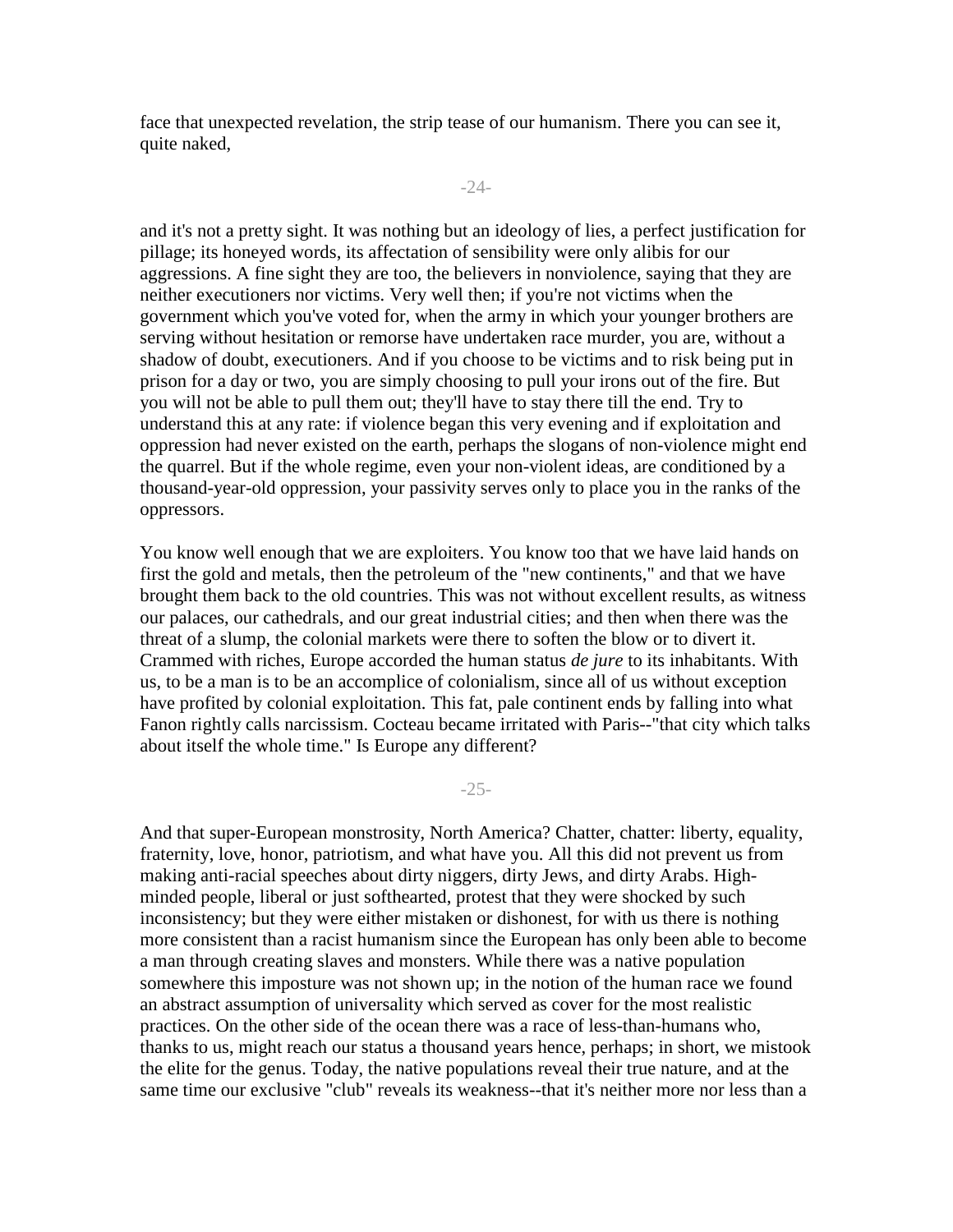face that unexpected revelation, the strip tease of our humanism. There you can see it, quite naked,

-24-

and it's not a pretty sight. It was nothing but an ideology of lies, a perfect justification for pillage; its honeyed words, its affectation of sensibility were only alibis for our aggressions. A fine sight they are too, the believers in nonviolence, saying that they are neither executioners nor victims. Very well then; if you're not victims when the government which you've voted for, when the army in which your younger brothers are serving without hesitation or remorse have undertaken race murder, you are, without a shadow of doubt, executioners. And if you choose to be victims and to risk being put in prison for a day or two, you are simply choosing to pull your irons out of the fire. But you will not be able to pull them out; they'll have to stay there till the end. Try to understand this at any rate: if violence began this very evening and if exploitation and oppression had never existed on the earth, perhaps the slogans of non-violence might end the quarrel. But if the whole regime, even your non-violent ideas, are conditioned by a thousand-year-old oppression, your passivity serves only to place you in the ranks of the oppressors.

You know well enough that we are exploiters. You know too that we have laid hands on first the gold and metals, then the petroleum of the "new continents," and that we have brought them back to the old countries. This was not without excellent results, as witness our palaces, our cathedrals, and our great industrial cities; and then when there was the threat of a slump, the colonial markets were there to soften the blow or to divert it. Crammed with riches, Europe accorded the human status *de jure* to its inhabitants. With us, to be a man is to be an accomplice of colonialism, since all of us without exception have profited by colonial exploitation. This fat, pale continent ends by falling into what Fanon rightly calls narcissism. Cocteau became irritated with Paris--"that city which talks about itself the whole time." Is Europe any different?

-25-

And that super-European monstrosity, North America? Chatter, chatter: liberty, equality, fraternity, love, honor, patriotism, and what have you. All this did not prevent us from making anti-racial speeches about dirty niggers, dirty Jews, and dirty Arabs. Highminded people, liberal or just softhearted, protest that they were shocked by such inconsistency; but they were either mistaken or dishonest, for with us there is nothing more consistent than a racist humanism since the European has only been able to become a man through creating slaves and monsters. While there was a native population somewhere this imposture was not shown up; in the notion of the human race we found an abstract assumption of universality which served as cover for the most realistic practices. On the other side of the ocean there was a race of less-than-humans who, thanks to us, might reach our status a thousand years hence, perhaps; in short, we mistook the elite for the genus. Today, the native populations reveal their true nature, and at the same time our exclusive "club" reveals its weakness--that it's neither more nor less than a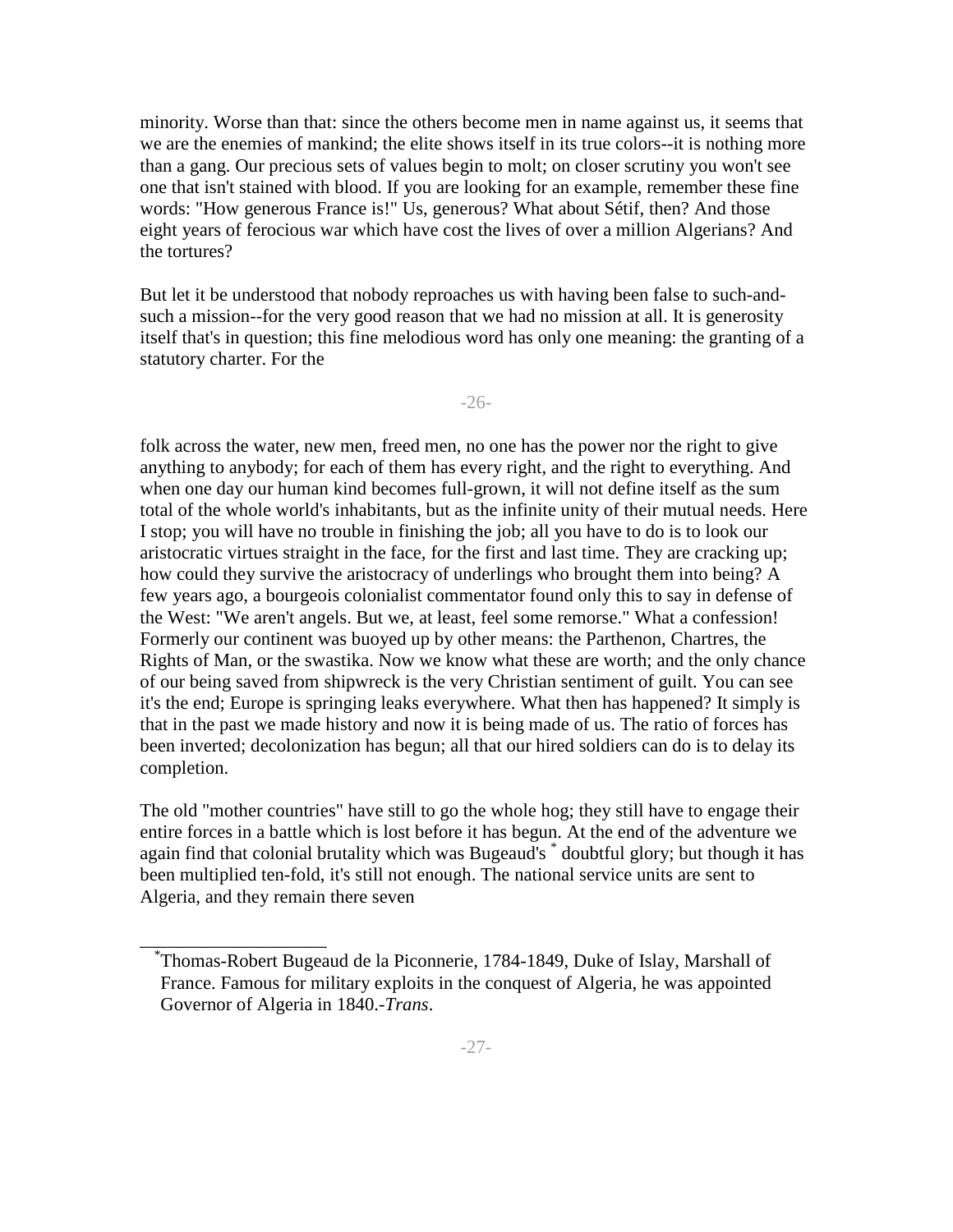minority. Worse than that: since the others become men in name against us, it seems that we are the enemies of mankind; the elite shows itself in its true colors--it is nothing more than a gang. Our precious sets of values begin to molt; on closer scrutiny you won't see one that isn't stained with blood. If you are looking for an example, remember these fine words: "How generous France is!" Us, generous? What about Sétif, then? And those eight years of ferocious war which have cost the lives of over a million Algerians? And the tortures?

But let it be understood that nobody reproaches us with having been false to such-andsuch a mission--for the very good reason that we had no mission at all. It is generosity itself that's in question; this fine melodious word has only one meaning: the granting of a statutory charter. For the

-26-

folk across the water, new men, freed men, no one has the power nor the right to give anything to anybody; for each of them has every right, and the right to everything. And when one day our human kind becomes full-grown, it will not define itself as the sum total of the whole world's inhabitants, but as the infinite unity of their mutual needs. Here I stop; you will have no trouble in finishing the job; all you have to do is to look our aristocratic virtues straight in the face, for the first and last time. They are cracking up; how could they survive the aristocracy of underlings who brought them into being? A few years ago, a bourgeois colonialist commentator found only this to say in defense of the West: "We aren't angels. But we, at least, feel some remorse." What a confession! Formerly our continent was buoyed up by other means: the Parthenon, Chartres, the Rights of Man, or the swastika. Now we know what these are worth; and the only chance of our being saved from shipwreck is the very Christian sentiment of guilt. You can see it's the end; Europe is springing leaks everywhere. What then has happened? It simply is that in the past we made history and now it is being made of us. The ratio of forces has been inverted; decolonization has begun; all that our hired soldiers can do is to delay its completion.

The old "mother countries" have still to go the whole hog; they still have to engage their entire forces in a battle which is lost before it has begun. At the end of the adventure we again find that colonial brutality which was Bugeaud's \* doubtful glory; but though it has been multiplied ten-fold, it's still not enough. The national service units are sent to Algeria, and they remain there seven

\_\_\_\_\_\_\_\_\_\_\_\_\_\_\_\_\_\_\_\_

<sup>\*</sup> Thomas-Robert Bugeaud de la Piconnerie, 1784-1849, Duke of Islay, Marshall of France. Famous for military exploits in the conquest of Algeria, he was appointed Governor of Algeria in 1840.-*Trans*.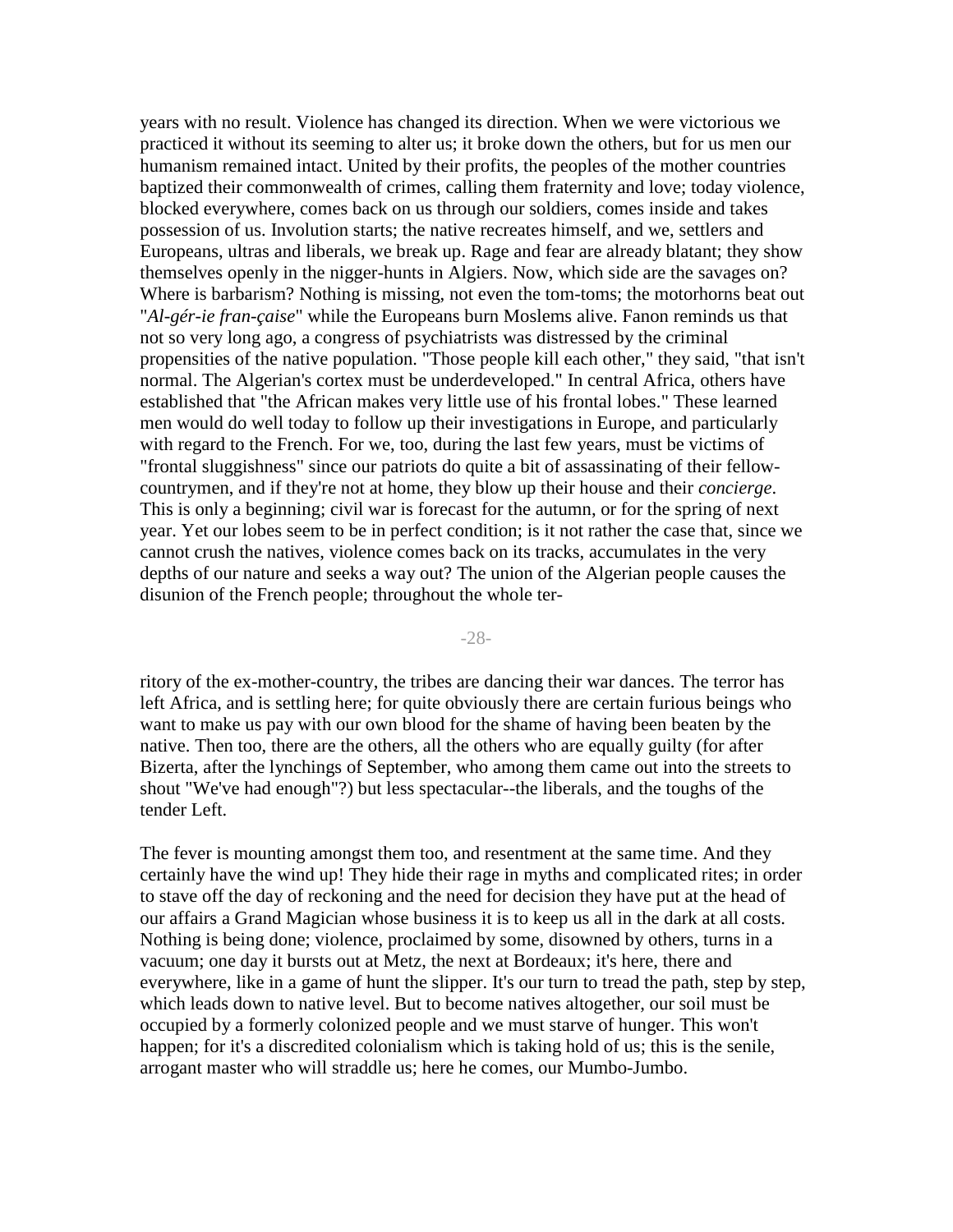years with no result. Violence has changed its direction. When we were victorious we practiced it without its seeming to alter us; it broke down the others, but for us men our humanism remained intact. United by their profits, the peoples of the mother countries baptized their commonwealth of crimes, calling them fraternity and love; today violence, blocked everywhere, comes back on us through our soldiers, comes inside and takes possession of us. Involution starts; the native recreates himself, and we, settlers and Europeans, ultras and liberals, we break up. Rage and fear are already blatant; they show themselves openly in the nigger-hunts in Algiers. Now, which side are the savages on? Where is barbarism? Nothing is missing, not even the tom-toms; the motorhorns beat out "*Al-gér-ie fran-çaise*" while the Europeans burn Moslems alive. Fanon reminds us that not so very long ago, a congress of psychiatrists was distressed by the criminal propensities of the native population. "Those people kill each other," they said, "that isn't normal. The Algerian's cortex must be underdeveloped." In central Africa, others have established that "the African makes very little use of his frontal lobes." These learned men would do well today to follow up their investigations in Europe, and particularly with regard to the French. For we, too, during the last few years, must be victims of "frontal sluggishness" since our patriots do quite a bit of assassinating of their fellowcountrymen, and if they're not at home, they blow up their house and their *concierge*. This is only a beginning; civil war is forecast for the autumn, or for the spring of next year. Yet our lobes seem to be in perfect condition; is it not rather the case that, since we cannot crush the natives, violence comes back on its tracks, accumulates in the very depths of our nature and seeks a way out? The union of the Algerian people causes the disunion of the French people; throughout the whole ter-

-28-

ritory of the ex-mother-country, the tribes are dancing their war dances. The terror has left Africa, and is settling here; for quite obviously there are certain furious beings who want to make us pay with our own blood for the shame of having been beaten by the native. Then too, there are the others, all the others who are equally guilty (for after Bizerta, after the lynchings of September, who among them came out into the streets to shout "We've had enough"?) but less spectacular--the liberals, and the toughs of the tender Left.

The fever is mounting amongst them too, and resentment at the same time. And they certainly have the wind up! They hide their rage in myths and complicated rites; in order to stave off the day of reckoning and the need for decision they have put at the head of our affairs a Grand Magician whose business it is to keep us all in the dark at all costs. Nothing is being done; violence, proclaimed by some, disowned by others, turns in a vacuum; one day it bursts out at Metz, the next at Bordeaux; it's here, there and everywhere, like in a game of hunt the slipper. It's our turn to tread the path, step by step, which leads down to native level. But to become natives altogether, our soil must be occupied by a formerly colonized people and we must starve of hunger. This won't happen; for it's a discredited colonialism which is taking hold of us; this is the senile, arrogant master who will straddle us; here he comes, our Mumbo-Jumbo.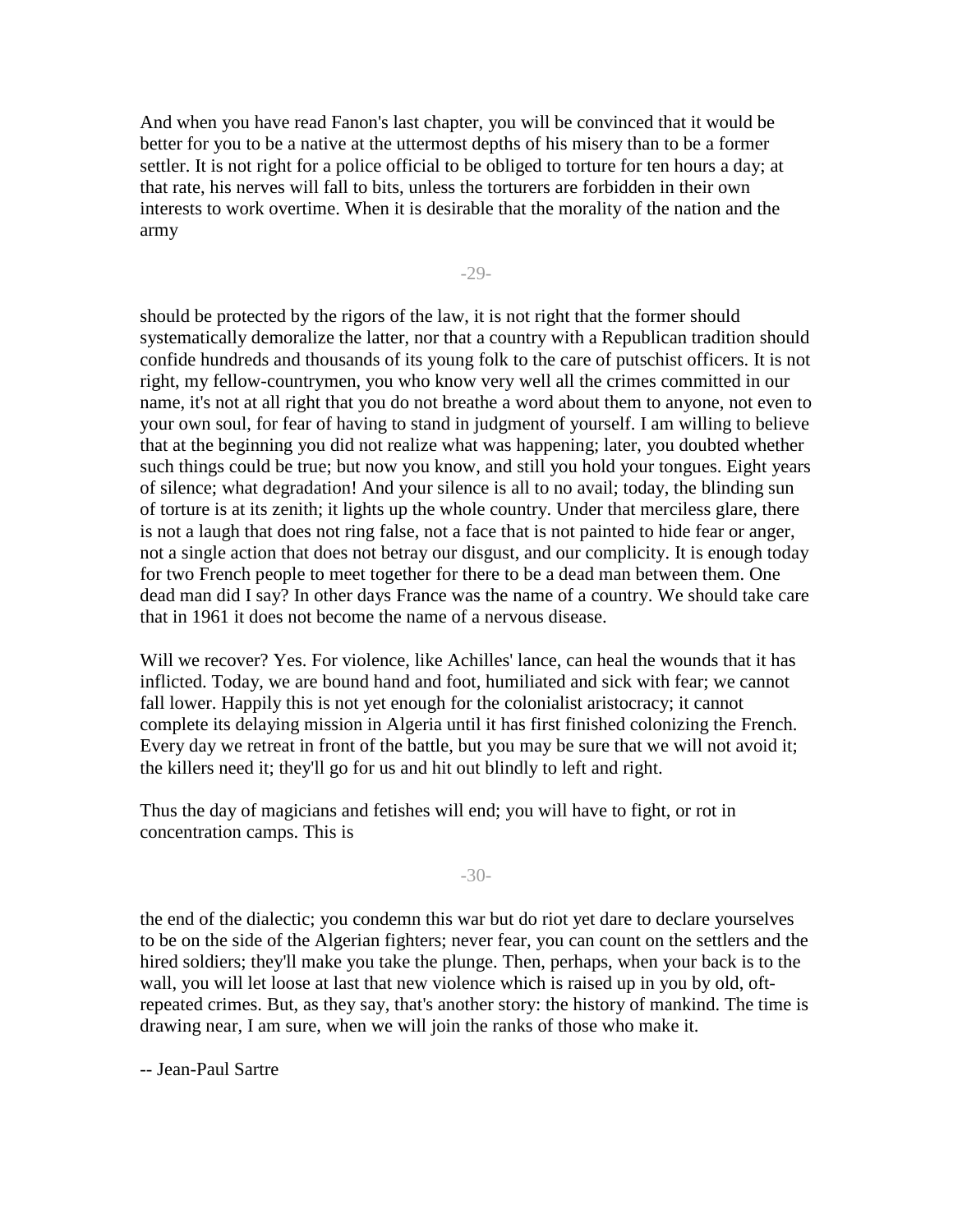And when you have read Fanon's last chapter, you will be convinced that it would be better for you to be a native at the uttermost depths of his misery than to be a former settler. It is not right for a police official to be obliged to torture for ten hours a day; at that rate, his nerves will fall to bits, unless the torturers are forbidden in their own interests to work overtime. When it is desirable that the morality of the nation and the army

-29-

should be protected by the rigors of the law, it is not right that the former should systematically demoralize the latter, nor that a country with a Republican tradition should confide hundreds and thousands of its young folk to the care of putschist officers. It is not right, my fellow-countrymen, you who know very well all the crimes committed in our name, it's not at all right that you do not breathe a word about them to anyone, not even to your own soul, for fear of having to stand in judgment of yourself. I am willing to believe that at the beginning you did not realize what was happening; later, you doubted whether such things could be true; but now you know, and still you hold your tongues. Eight years of silence; what degradation! And your silence is all to no avail; today, the blinding sun of torture is at its zenith; it lights up the whole country. Under that merciless glare, there is not a laugh that does not ring false, not a face that is not painted to hide fear or anger, not a single action that does not betray our disgust, and our complicity. It is enough today for two French people to meet together for there to be a dead man between them. One dead man did I say? In other days France was the name of a country. We should take care that in 1961 it does not become the name of a nervous disease.

Will we recover? Yes. For violence, like Achilles' lance, can heal the wounds that it has inflicted. Today, we are bound hand and foot, humiliated and sick with fear; we cannot fall lower. Happily this is not yet enough for the colonialist aristocracy; it cannot complete its delaying mission in Algeria until it has first finished colonizing the French. Every day we retreat in front of the battle, but you may be sure that we will not avoid it; the killers need it; they'll go for us and hit out blindly to left and right.

Thus the day of magicians and fetishes will end; you will have to fight, or rot in concentration camps. This is

-30-

the end of the dialectic; you condemn this war but do riot yet dare to declare yourselves to be on the side of the Algerian fighters; never fear, you can count on the settlers and the hired soldiers; they'll make you take the plunge. Then, perhaps, when your back is to the wall, you will let loose at last that new violence which is raised up in you by old, oftrepeated crimes. But, as they say, that's another story: the history of mankind. The time is drawing near, I am sure, when we will join the ranks of those who make it.

-- Jean-Paul Sartre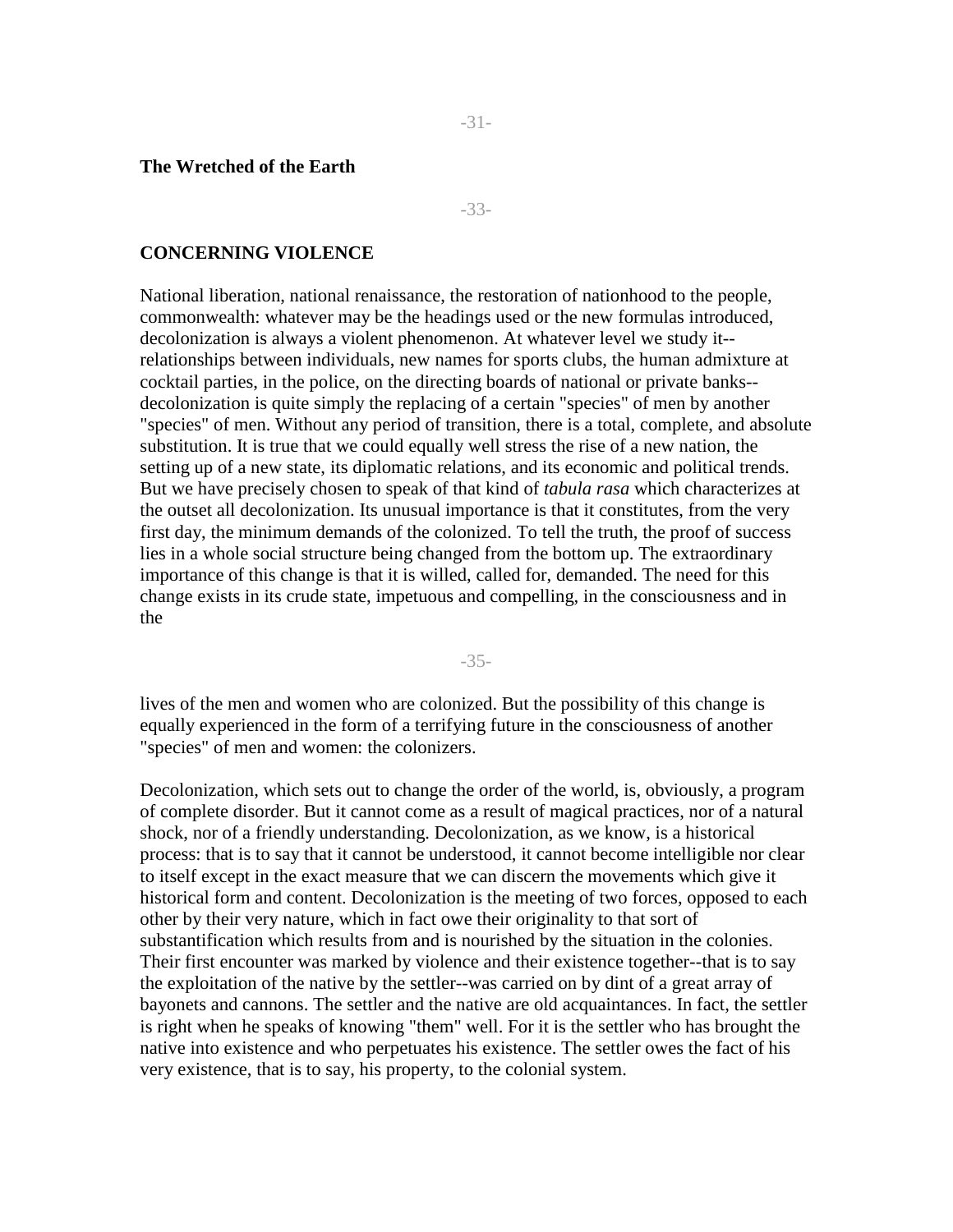#### **The Wretched of the Earth**

-33-

#### **CONCERNING VIOLENCE**

National liberation, national renaissance, the restoration of nationhood to the people, commonwealth: whatever may be the headings used or the new formulas introduced, decolonization is always a violent phenomenon. At whatever level we study it- relationships between individuals, new names for sports clubs, the human admixture at cocktail parties, in the police, on the directing boards of national or private banks- decolonization is quite simply the replacing of a certain "species" of men by another "species" of men. Without any period of transition, there is a total, complete, and absolute substitution. It is true that we could equally well stress the rise of a new nation, the setting up of a new state, its diplomatic relations, and its economic and political trends. But we have precisely chosen to speak of that kind of *tabula rasa* which characterizes at the outset all decolonization. Its unusual importance is that it constitutes, from the very first day, the minimum demands of the colonized. To tell the truth, the proof of success lies in a whole social structure being changed from the bottom up. The extraordinary importance of this change is that it is willed, called for, demanded. The need for this change exists in its crude state, impetuous and compelling, in the consciousness and in the

-35-

lives of the men and women who are colonized. But the possibility of this change is equally experienced in the form of a terrifying future in the consciousness of another "species" of men and women: the colonizers.

Decolonization, which sets out to change the order of the world, is, obviously, a program of complete disorder. But it cannot come as a result of magical practices, nor of a natural shock, nor of a friendly understanding. Decolonization, as we know, is a historical process: that is to say that it cannot be understood, it cannot become intelligible nor clear to itself except in the exact measure that we can discern the movements which give it historical form and content. Decolonization is the meeting of two forces, opposed to each other by their very nature, which in fact owe their originality to that sort of substantification which results from and is nourished by the situation in the colonies. Their first encounter was marked by violence and their existence together--that is to say the exploitation of the native by the settler--was carried on by dint of a great array of bayonets and cannons. The settler and the native are old acquaintances. In fact, the settler is right when he speaks of knowing "them" well. For it is the settler who has brought the native into existence and who perpetuates his existence. The settler owes the fact of his very existence, that is to say, his property, to the colonial system.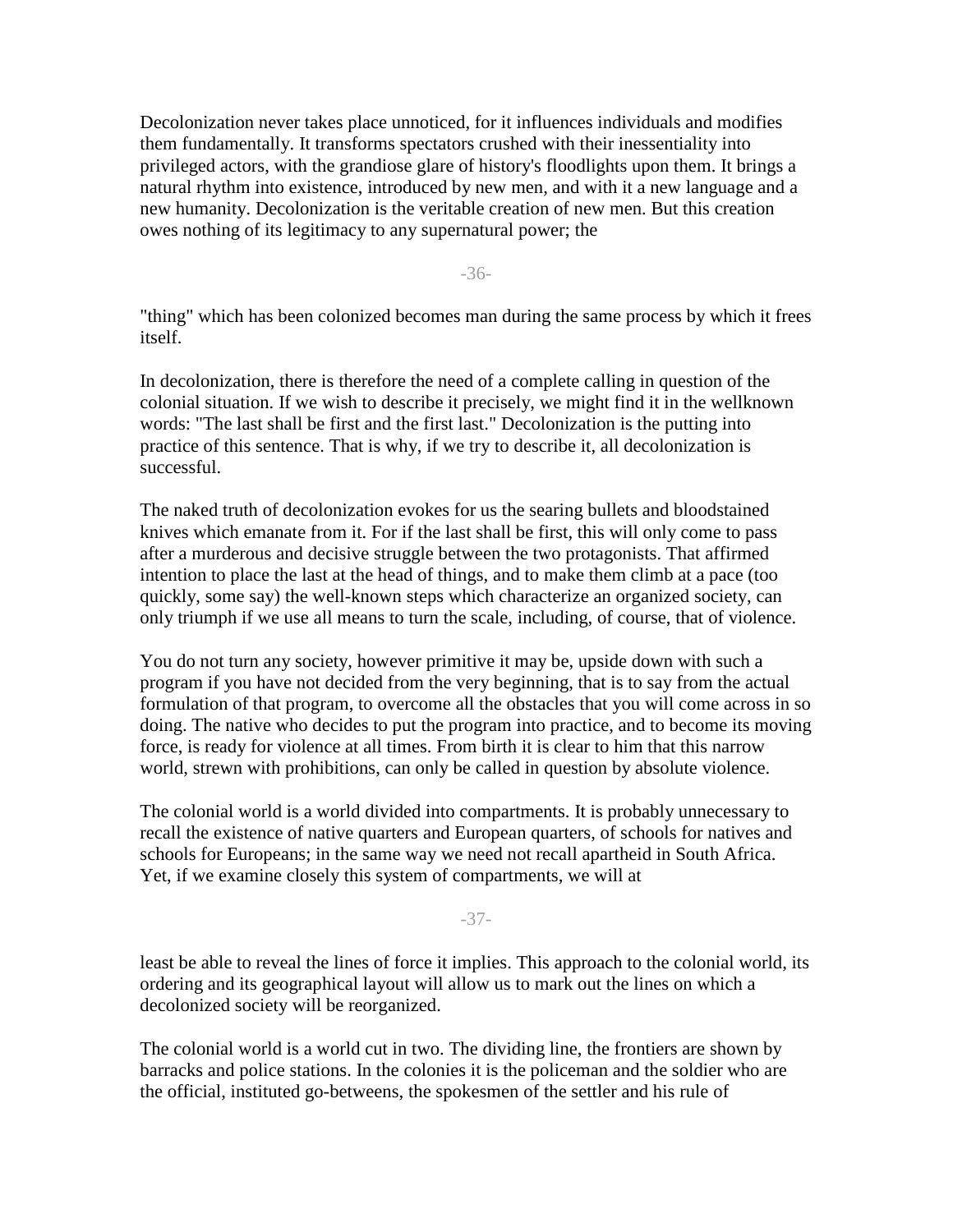Decolonization never takes place unnoticed, for it influences individuals and modifies them fundamentally. It transforms spectators crushed with their inessentiality into privileged actors, with the grandiose glare of history's floodlights upon them. It brings a natural rhythm into existence, introduced by new men, and with it a new language and a new humanity. Decolonization is the veritable creation of new men. But this creation owes nothing of its legitimacy to any supernatural power; the

-36-

"thing" which has been colonized becomes man during the same process by which it frees itself.

In decolonization, there is therefore the need of a complete calling in question of the colonial situation. If we wish to describe it precisely, we might find it in the wellknown words: "The last shall be first and the first last." Decolonization is the putting into practice of this sentence. That is why, if we try to describe it, all decolonization is successful.

The naked truth of decolonization evokes for us the searing bullets and bloodstained knives which emanate from it. For if the last shall be first, this will only come to pass after a murderous and decisive struggle between the two protagonists. That affirmed intention to place the last at the head of things, and to make them climb at a pace (too quickly, some say) the well-known steps which characterize an organized society, can only triumph if we use all means to turn the scale, including, of course, that of violence.

You do not turn any society, however primitive it may be, upside down with such a program if you have not decided from the very beginning, that is to say from the actual formulation of that program, to overcome all the obstacles that you will come across in so doing. The native who decides to put the program into practice, and to become its moving force, is ready for violence at all times. From birth it is clear to him that this narrow world, strewn with prohibitions, can only be called in question by absolute violence.

The colonial world is a world divided into compartments. It is probably unnecessary to recall the existence of native quarters and European quarters, of schools for natives and schools for Europeans; in the same way we need not recall apartheid in South Africa. Yet, if we examine closely this system of compartments, we will at

-37-

least be able to reveal the lines of force it implies. This approach to the colonial world, its ordering and its geographical layout will allow us to mark out the lines on which a decolonized society will be reorganized.

The colonial world is a world cut in two. The dividing line, the frontiers are shown by barracks and police stations. In the colonies it is the policeman and the soldier who are the official, instituted go-betweens, the spokesmen of the settler and his rule of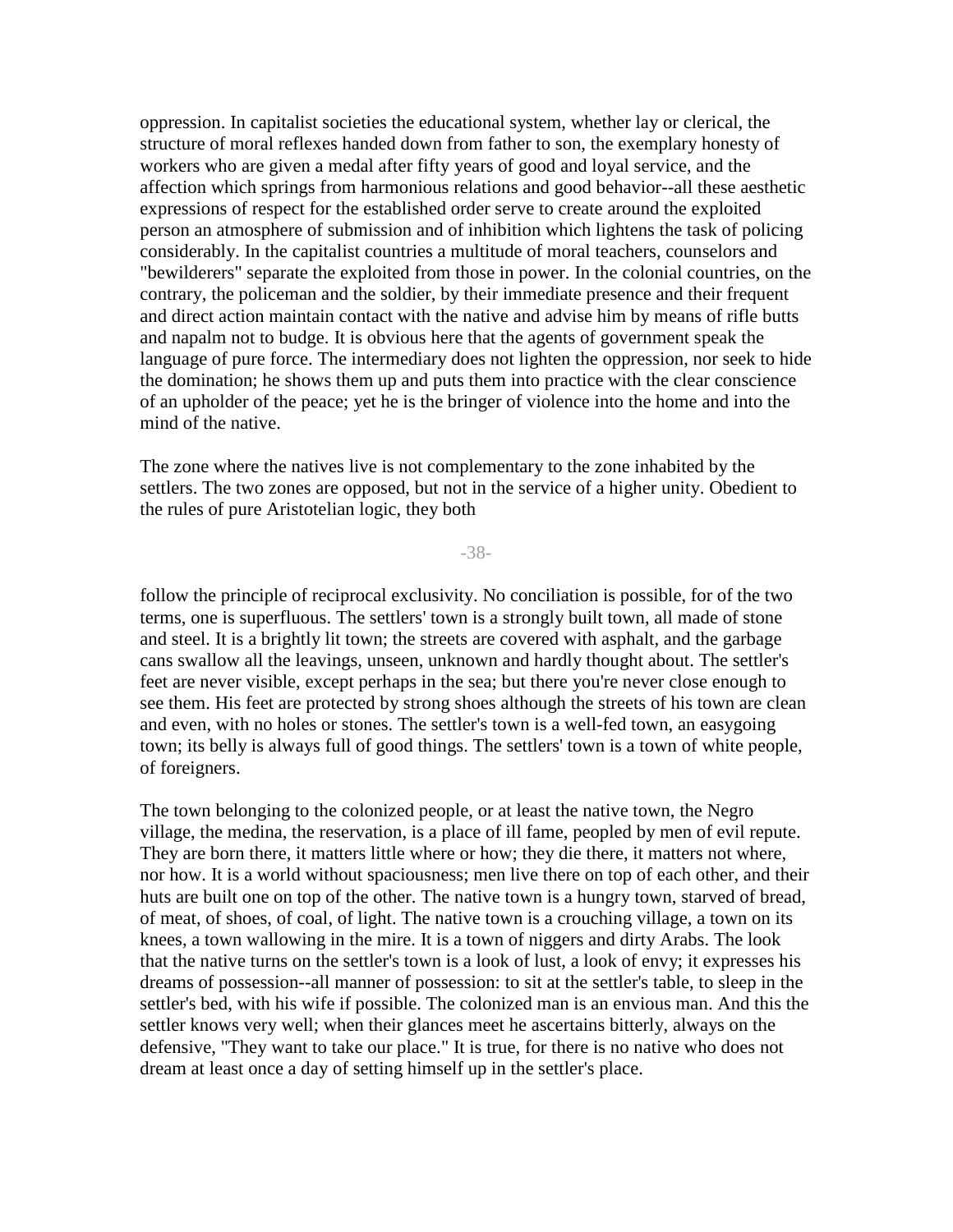oppression. In capitalist societies the educational system, whether lay or clerical, the structure of moral reflexes handed down from father to son, the exemplary honesty of workers who are given a medal after fifty years of good and loyal service, and the affection which springs from harmonious relations and good behavior--all these aesthetic expressions of respect for the established order serve to create around the exploited person an atmosphere of submission and of inhibition which lightens the task of policing considerably. In the capitalist countries a multitude of moral teachers, counselors and "bewilderers" separate the exploited from those in power. In the colonial countries, on the contrary, the policeman and the soldier, by their immediate presence and their frequent and direct action maintain contact with the native and advise him by means of rifle butts and napalm not to budge. It is obvious here that the agents of government speak the language of pure force. The intermediary does not lighten the oppression, nor seek to hide the domination; he shows them up and puts them into practice with the clear conscience of an upholder of the peace; yet he is the bringer of violence into the home and into the mind of the native.

The zone where the natives live is not complementary to the zone inhabited by the settlers. The two zones are opposed, but not in the service of a higher unity. Obedient to the rules of pure Aristotelian logic, they both

-38-

follow the principle of reciprocal exclusivity. No conciliation is possible, for of the two terms, one is superfluous. The settlers' town is a strongly built town, all made of stone and steel. It is a brightly lit town; the streets are covered with asphalt, and the garbage cans swallow all the leavings, unseen, unknown and hardly thought about. The settler's feet are never visible, except perhaps in the sea; but there you're never close enough to see them. His feet are protected by strong shoes although the streets of his town are clean and even, with no holes or stones. The settler's town is a well-fed town, an easygoing town; its belly is always full of good things. The settlers' town is a town of white people, of foreigners.

The town belonging to the colonized people, or at least the native town, the Negro village, the medina, the reservation, is a place of ill fame, peopled by men of evil repute. They are born there, it matters little where or how; they die there, it matters not where, nor how. It is a world without spaciousness; men live there on top of each other, and their huts are built one on top of the other. The native town is a hungry town, starved of bread, of meat, of shoes, of coal, of light. The native town is a crouching village, a town on its knees, a town wallowing in the mire. It is a town of niggers and dirty Arabs. The look that the native turns on the settler's town is a look of lust, a look of envy; it expresses his dreams of possession--all manner of possession: to sit at the settler's table, to sleep in the settler's bed, with his wife if possible. The colonized man is an envious man. And this the settler knows very well; when their glances meet he ascertains bitterly, always on the defensive, "They want to take our place." It is true, for there is no native who does not dream at least once a day of setting himself up in the settler's place.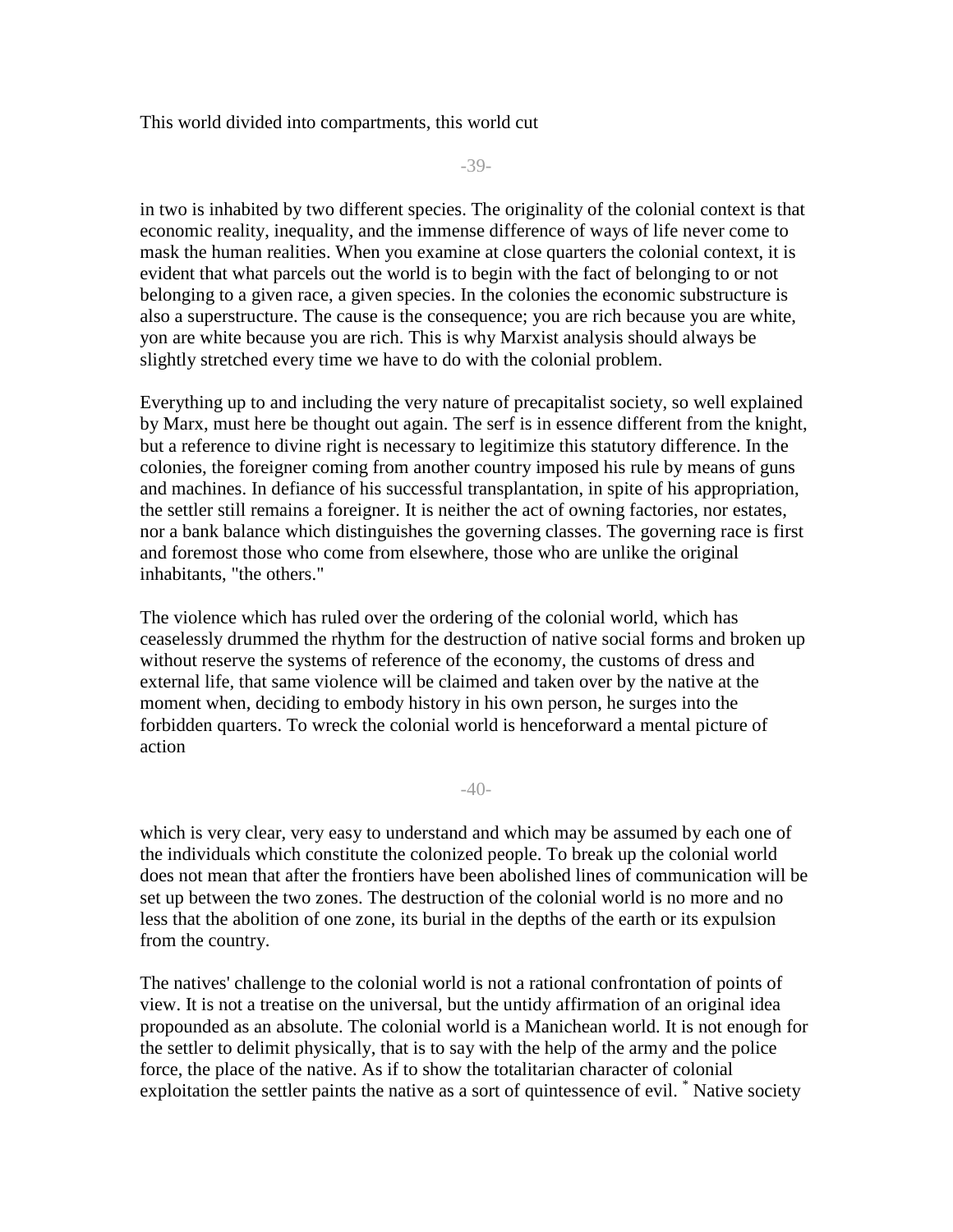This world divided into compartments, this world cut

-39-

in two is inhabited by two different species. The originality of the colonial context is that economic reality, inequality, and the immense difference of ways of life never come to mask the human realities. When you examine at close quarters the colonial context, it is evident that what parcels out the world is to begin with the fact of belonging to or not belonging to a given race, a given species. In the colonies the economic substructure is also a superstructure. The cause is the consequence; you are rich because you are white, yon are white because you are rich. This is why Marxist analysis should always be slightly stretched every time we have to do with the colonial problem.

Everything up to and including the very nature of precapitalist society, so well explained by Marx, must here be thought out again. The serf is in essence different from the knight, but a reference to divine right is necessary to legitimize this statutory difference. In the colonies, the foreigner coming from another country imposed his rule by means of guns and machines. In defiance of his successful transplantation, in spite of his appropriation, the settler still remains a foreigner. It is neither the act of owning factories, nor estates, nor a bank balance which distinguishes the governing classes. The governing race is first and foremost those who come from elsewhere, those who are unlike the original inhabitants, "the others."

The violence which has ruled over the ordering of the colonial world, which has ceaselessly drummed the rhythm for the destruction of native social forms and broken up without reserve the systems of reference of the economy, the customs of dress and external life, that same violence will be claimed and taken over by the native at the moment when, deciding to embody history in his own person, he surges into the forbidden quarters. To wreck the colonial world is henceforward a mental picture of action

 $-40-$ 

which is very clear, very easy to understand and which may be assumed by each one of the individuals which constitute the colonized people. To break up the colonial world does not mean that after the frontiers have been abolished lines of communication will be set up between the two zones. The destruction of the colonial world is no more and no less that the abolition of one zone, its burial in the depths of the earth or its expulsion from the country.

The natives' challenge to the colonial world is not a rational confrontation of points of view. It is not a treatise on the universal, but the untidy affirmation of an original idea propounded as an absolute. The colonial world is a Manichean world. It is not enough for the settler to delimit physically, that is to say with the help of the army and the police force, the place of the native. As if to show the totalitarian character of colonial exploitation the settler paints the native as a sort of quintessence of evil.  $*$  Native society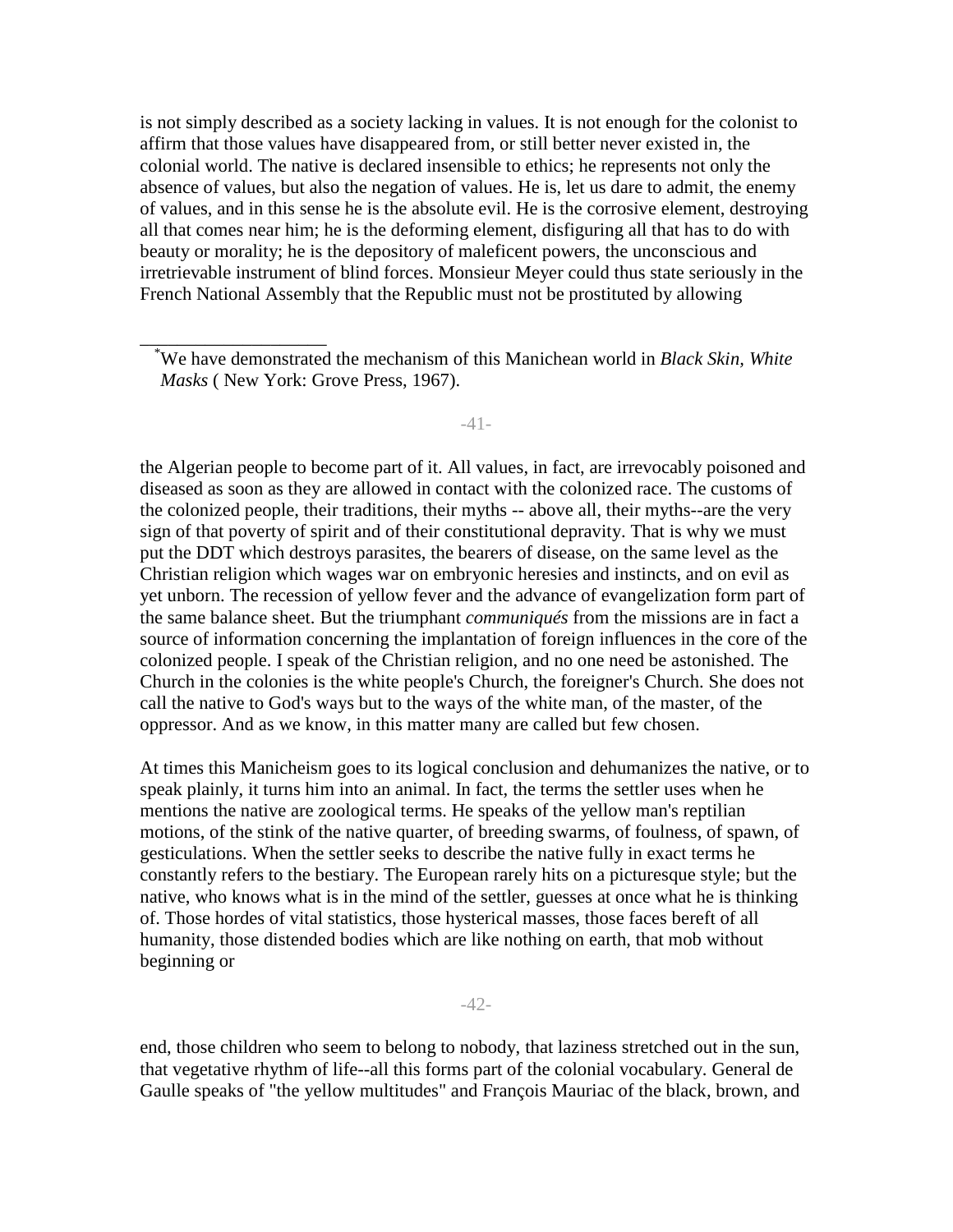is not simply described as a society lacking in values. It is not enough for the colonist to affirm that those values have disappeared from, or still better never existed in, the colonial world. The native is declared insensible to ethics; he represents not only the absence of values, but also the negation of values. He is, let us dare to admit, the enemy of values, and in this sense he is the absolute evil. He is the corrosive element, destroying all that comes near him; he is the deforming element, disfiguring all that has to do with beauty or morality; he is the depository of maleficent powers, the unconscious and irretrievable instrument of blind forces. Monsieur Meyer could thus state seriously in the French National Assembly that the Republic must not be prostituted by allowing

\_\_\_\_\_\_\_\_\_\_\_\_\_\_\_\_\_\_\_\_

-41-

the Algerian people to become part of it. All values, in fact, are irrevocably poisoned and diseased as soon as they are allowed in contact with the colonized race. The customs of the colonized people, their traditions, their myths -- above all, their myths--are the very sign of that poverty of spirit and of their constitutional depravity. That is why we must put the DDT which destroys parasites, the bearers of disease, on the same level as the Christian religion which wages war on embryonic heresies and instincts, and on evil as yet unborn. The recession of yellow fever and the advance of evangelization form part of the same balance sheet. But the triumphant *communiqués* from the missions are in fact a source of information concerning the implantation of foreign influences in the core of the colonized people. I speak of the Christian religion, and no one need be astonished. The Church in the colonies is the white people's Church, the foreigner's Church. She does not call the native to God's ways but to the ways of the white man, of the master, of the oppressor. And as we know, in this matter many are called but few chosen.

At times this Manicheism goes to its logical conclusion and dehumanizes the native, or to speak plainly, it turns him into an animal. In fact, the terms the settler uses when he mentions the native are zoological terms. He speaks of the yellow man's reptilian motions, of the stink of the native quarter, of breeding swarms, of foulness, of spawn, of gesticulations. When the settler seeks to describe the native fully in exact terms he constantly refers to the bestiary. The European rarely hits on a picturesque style; but the native, who knows what is in the mind of the settler, guesses at once what he is thinking of. Those hordes of vital statistics, those hysterical masses, those faces bereft of all humanity, those distended bodies which are like nothing on earth, that mob without beginning or

-42-

end, those children who seem to belong to nobody, that laziness stretched out in the sun, that vegetative rhythm of life--all this forms part of the colonial vocabulary. General de Gaulle speaks of "the yellow multitudes" and François Mauriac of the black, brown, and

<sup>\*</sup>We have demonstrated the mechanism of this Manichean world in *Black Skin, White Masks* ( New York: Grove Press, 1967).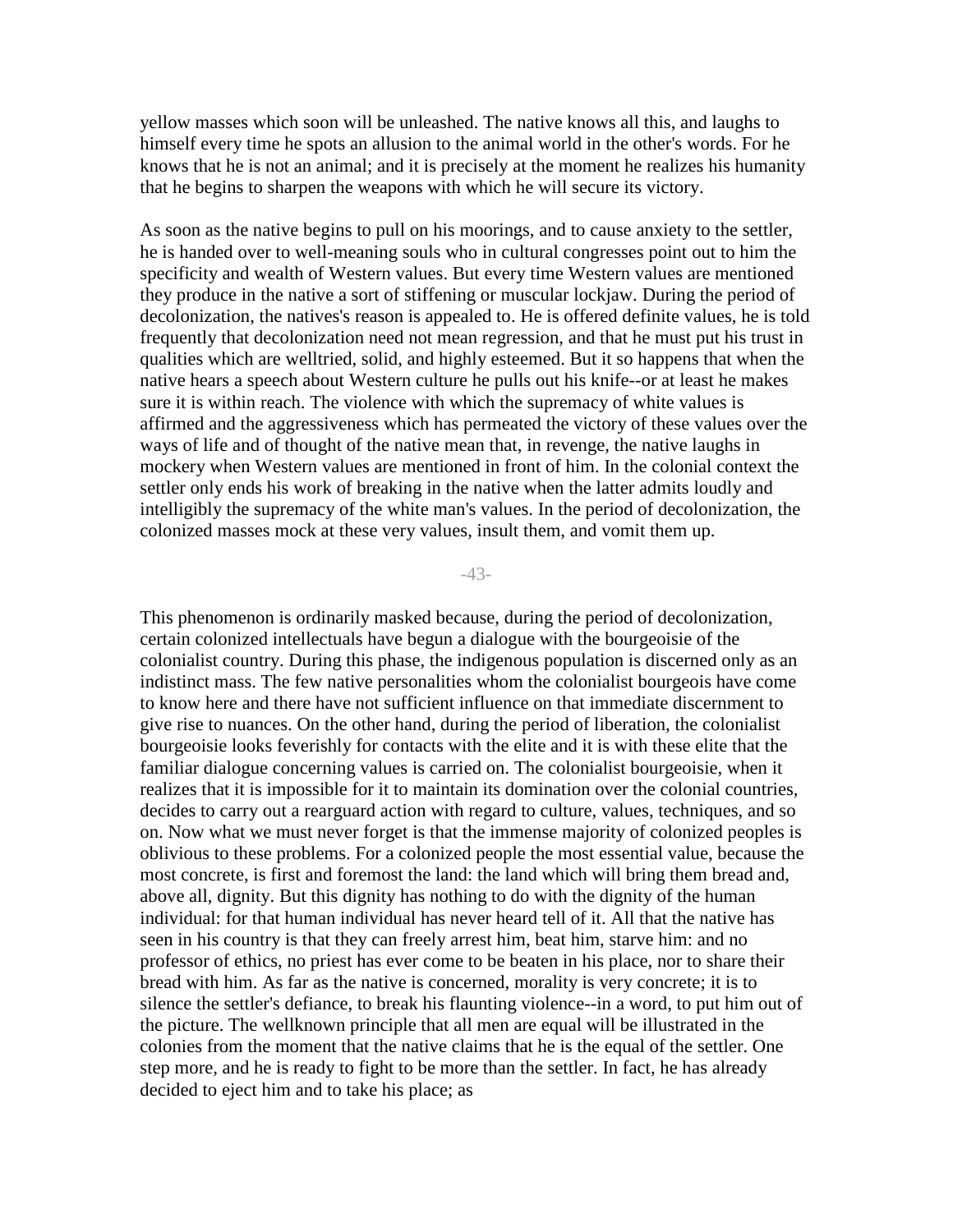yellow masses which soon will be unleashed. The native knows all this, and laughs to himself every time he spots an allusion to the animal world in the other's words. For he knows that he is not an animal; and it is precisely at the moment he realizes his humanity that he begins to sharpen the weapons with which he will secure its victory.

As soon as the native begins to pull on his moorings, and to cause anxiety to the settler, he is handed over to well-meaning souls who in cultural congresses point out to him the specificity and wealth of Western values. But every time Western values are mentioned they produce in the native a sort of stiffening or muscular lockjaw. During the period of decolonization, the natives's reason is appealed to. He is offered definite values, he is told frequently that decolonization need not mean regression, and that he must put his trust in qualities which are welltried, solid, and highly esteemed. But it so happens that when the native hears a speech about Western culture he pulls out his knife--or at least he makes sure it is within reach. The violence with which the supremacy of white values is affirmed and the aggressiveness which has permeated the victory of these values over the ways of life and of thought of the native mean that, in revenge, the native laughs in mockery when Western values are mentioned in front of him. In the colonial context the settler only ends his work of breaking in the native when the latter admits loudly and intelligibly the supremacy of the white man's values. In the period of decolonization, the colonized masses mock at these very values, insult them, and vomit them up.

-43-

This phenomenon is ordinarily masked because, during the period of decolonization, certain colonized intellectuals have begun a dialogue with the bourgeoisie of the colonialist country. During this phase, the indigenous population is discerned only as an indistinct mass. The few native personalities whom the colonialist bourgeois have come to know here and there have not sufficient influence on that immediate discernment to give rise to nuances. On the other hand, during the period of liberation, the colonialist bourgeoisie looks feverishly for contacts with the elite and it is with these elite that the familiar dialogue concerning values is carried on. The colonialist bourgeoisie, when it realizes that it is impossible for it to maintain its domination over the colonial countries, decides to carry out a rearguard action with regard to culture, values, techniques, and so on. Now what we must never forget is that the immense majority of colonized peoples is oblivious to these problems. For a colonized people the most essential value, because the most concrete, is first and foremost the land: the land which will bring them bread and, above all, dignity. But this dignity has nothing to do with the dignity of the human individual: for that human individual has never heard tell of it. All that the native has seen in his country is that they can freely arrest him, beat him, starve him: and no professor of ethics, no priest has ever come to be beaten in his place, nor to share their bread with him. As far as the native is concerned, morality is very concrete; it is to silence the settler's defiance, to break his flaunting violence--in a word, to put him out of the picture. The wellknown principle that all men are equal will be illustrated in the colonies from the moment that the native claims that he is the equal of the settler. One step more, and he is ready to fight to be more than the settler. In fact, he has already decided to eject him and to take his place; as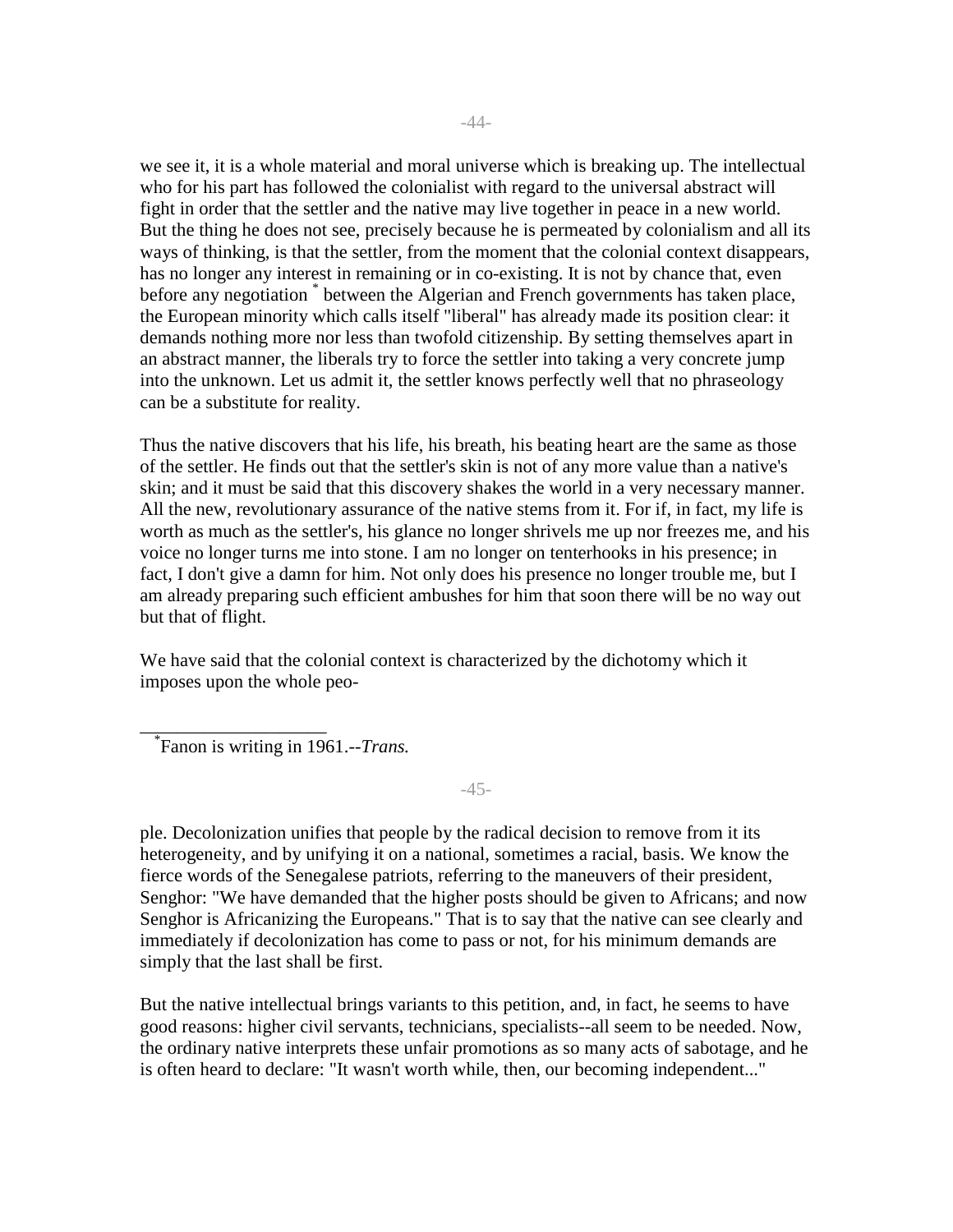we see it, it is a whole material and moral universe which is breaking up. The intellectual who for his part has followed the colonialist with regard to the universal abstract will fight in order that the settler and the native may live together in peace in a new world. But the thing he does not see, precisely because he is permeated by colonialism and all its ways of thinking, is that the settler, from the moment that the colonial context disappears, has no longer any interest in remaining or in co-existing. It is not by chance that, even before any negotiation \* between the Algerian and French governments has taken place, the European minority which calls itself "liberal" has already made its position clear: it demands nothing more nor less than twofold citizenship. By setting themselves apart in an abstract manner, the liberals try to force the settler into taking a very concrete jump into the unknown. Let us admit it, the settler knows perfectly well that no phraseology can be a substitute for reality.

Thus the native discovers that his life, his breath, his beating heart are the same as those of the settler. He finds out that the settler's skin is not of any more value than a native's skin; and it must be said that this discovery shakes the world in a very necessary manner. All the new, revolutionary assurance of the native stems from it. For if, in fact, my life is worth as much as the settler's, his glance no longer shrivels me up nor freezes me, and his voice no longer turns me into stone. I am no longer on tenterhooks in his presence; in fact, I don't give a damn for him. Not only does his presence no longer trouble me, but I am already preparing such efficient ambushes for him that soon there will be no way out but that of flight.

We have said that the colonial context is characterized by the dichotomy which it imposes upon the whole peo-

\* Fanon is writing in 1961.--*Trans.*

\_\_\_\_\_\_\_\_\_\_\_\_\_\_\_\_\_\_\_\_

-45-

ple. Decolonization unifies that people by the radical decision to remove from it its heterogeneity, and by unifying it on a national, sometimes a racial, basis. We know the fierce words of the Senegalese patriots, referring to the maneuvers of their president, Senghor: "We have demanded that the higher posts should be given to Africans; and now Senghor is Africanizing the Europeans." That is to say that the native can see clearly and immediately if decolonization has come to pass or not, for his minimum demands are simply that the last shall be first.

But the native intellectual brings variants to this petition, and, in fact, he seems to have good reasons: higher civil servants, technicians, specialists--all seem to be needed. Now, the ordinary native interprets these unfair promotions as so many acts of sabotage, and he is often heard to declare: "It wasn't worth while, then, our becoming independent..."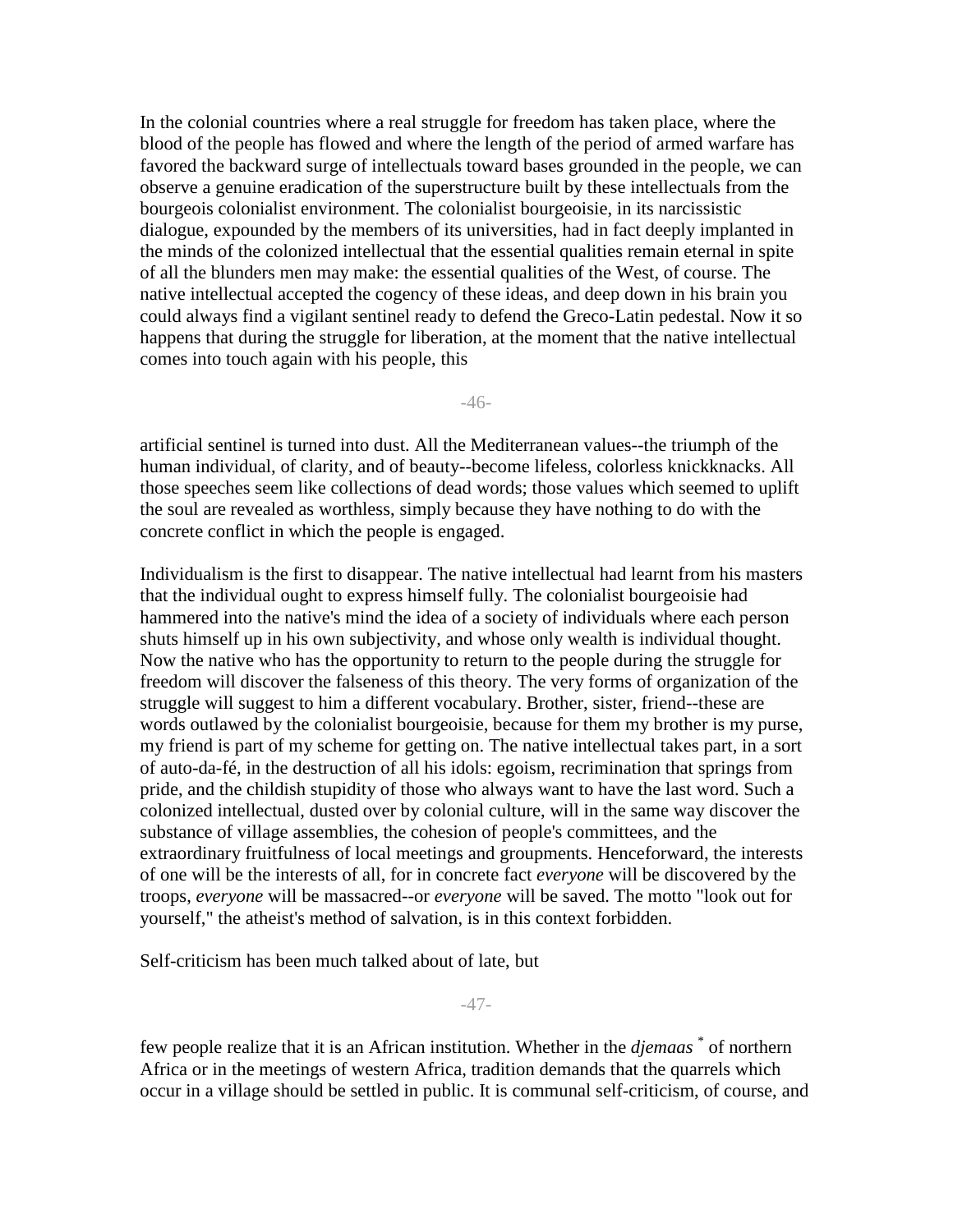In the colonial countries where a real struggle for freedom has taken place, where the blood of the people has flowed and where the length of the period of armed warfare has favored the backward surge of intellectuals toward bases grounded in the people, we can observe a genuine eradication of the superstructure built by these intellectuals from the bourgeois colonialist environment. The colonialist bourgeoisie, in its narcissistic dialogue, expounded by the members of its universities, had in fact deeply implanted in the minds of the colonized intellectual that the essential qualities remain eternal in spite of all the blunders men may make: the essential qualities of the West, of course. The native intellectual accepted the cogency of these ideas, and deep down in his brain you could always find a vigilant sentinel ready to defend the Greco-Latin pedestal. Now it so happens that during the struggle for liberation, at the moment that the native intellectual comes into touch again with his people, this

-46-

artificial sentinel is turned into dust. All the Mediterranean values--the triumph of the human individual, of clarity, and of beauty--become lifeless, colorless knickknacks. All those speeches seem like collections of dead words; those values which seemed to uplift the soul are revealed as worthless, simply because they have nothing to do with the concrete conflict in which the people is engaged.

Individualism is the first to disappear. The native intellectual had learnt from his masters that the individual ought to express himself fully. The colonialist bourgeoisie had hammered into the native's mind the idea of a society of individuals where each person shuts himself up in his own subjectivity, and whose only wealth is individual thought. Now the native who has the opportunity to return to the people during the struggle for freedom will discover the falseness of this theory. The very forms of organization of the struggle will suggest to him a different vocabulary. Brother, sister, friend--these are words outlawed by the colonialist bourgeoisie, because for them my brother is my purse, my friend is part of my scheme for getting on. The native intellectual takes part, in a sort of auto-da-fé, in the destruction of all his idols: egoism, recrimination that springs from pride, and the childish stupidity of those who always want to have the last word. Such a colonized intellectual, dusted over by colonial culture, will in the same way discover the substance of village assemblies, the cohesion of people's committees, and the extraordinary fruitfulness of local meetings and groupments. Henceforward, the interests of one will be the interests of all, for in concrete fact *everyone* will be discovered by the troops, *everyone* will be massacred--or *everyone* will be saved. The motto "look out for yourself," the atheist's method of salvation, is in this context forbidden.

Self-criticism has been much talked about of late, but

-47-

few people realize that it is an African institution. Whether in the *djemaas*  $*$  of northern Africa or in the meetings of western Africa, tradition demands that the quarrels which occur in a village should be settled in public. It is communal self-criticism, of course, and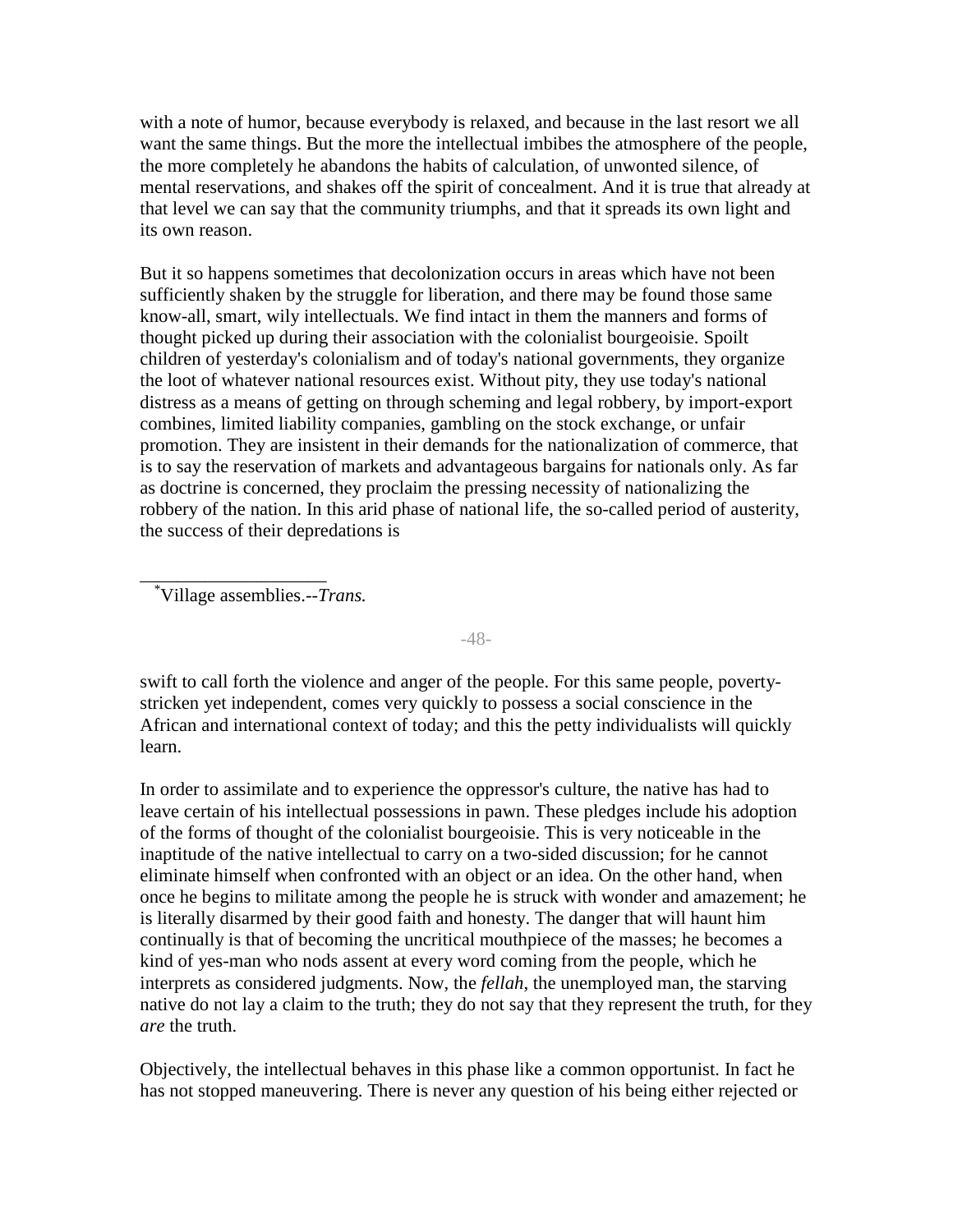with a note of humor, because everybody is relaxed, and because in the last resort we all want the same things. But the more the intellectual imbibes the atmosphere of the people, the more completely he abandons the habits of calculation, of unwonted silence, of mental reservations, and shakes off the spirit of concealment. And it is true that already at that level we can say that the community triumphs, and that it spreads its own light and its own reason.

But it so happens sometimes that decolonization occurs in areas which have not been sufficiently shaken by the struggle for liberation, and there may be found those same know-all, smart, wily intellectuals. We find intact in them the manners and forms of thought picked up during their association with the colonialist bourgeoisie. Spoilt children of yesterday's colonialism and of today's national governments, they organize the loot of whatever national resources exist. Without pity, they use today's national distress as a means of getting on through scheming and legal robbery, by import-export combines, limited liability companies, gambling on the stock exchange, or unfair promotion. They are insistent in their demands for the nationalization of commerce, that is to say the reservation of markets and advantageous bargains for nationals only. As far as doctrine is concerned, they proclaim the pressing necessity of nationalizing the robbery of the nation. In this arid phase of national life, the so-called period of austerity, the success of their depredations is

\_\_\_\_\_\_\_\_\_\_\_\_\_\_\_\_\_\_\_\_ \*Village assemblies.--*Trans.*

-48-

swift to call forth the violence and anger of the people. For this same people, povertystricken yet independent, comes very quickly to possess a social conscience in the African and international context of today; and this the petty individualists will quickly learn.

In order to assimilate and to experience the oppressor's culture, the native has had to leave certain of his intellectual possessions in pawn. These pledges include his adoption of the forms of thought of the colonialist bourgeoisie. This is very noticeable in the inaptitude of the native intellectual to carry on a two-sided discussion; for he cannot eliminate himself when confronted with an object or an idea. On the other hand, when once he begins to militate among the people he is struck with wonder and amazement; he is literally disarmed by their good faith and honesty. The danger that will haunt him continually is that of becoming the uncritical mouthpiece of the masses; he becomes a kind of yes-man who nods assent at every word coming from the people, which he interprets as considered judgments. Now, the *fellah*, the unemployed man, the starving native do not lay a claim to the truth; they do not say that they represent the truth, for they *are* the truth.

Objectively, the intellectual behaves in this phase like a common opportunist. In fact he has not stopped maneuvering. There is never any question of his being either rejected or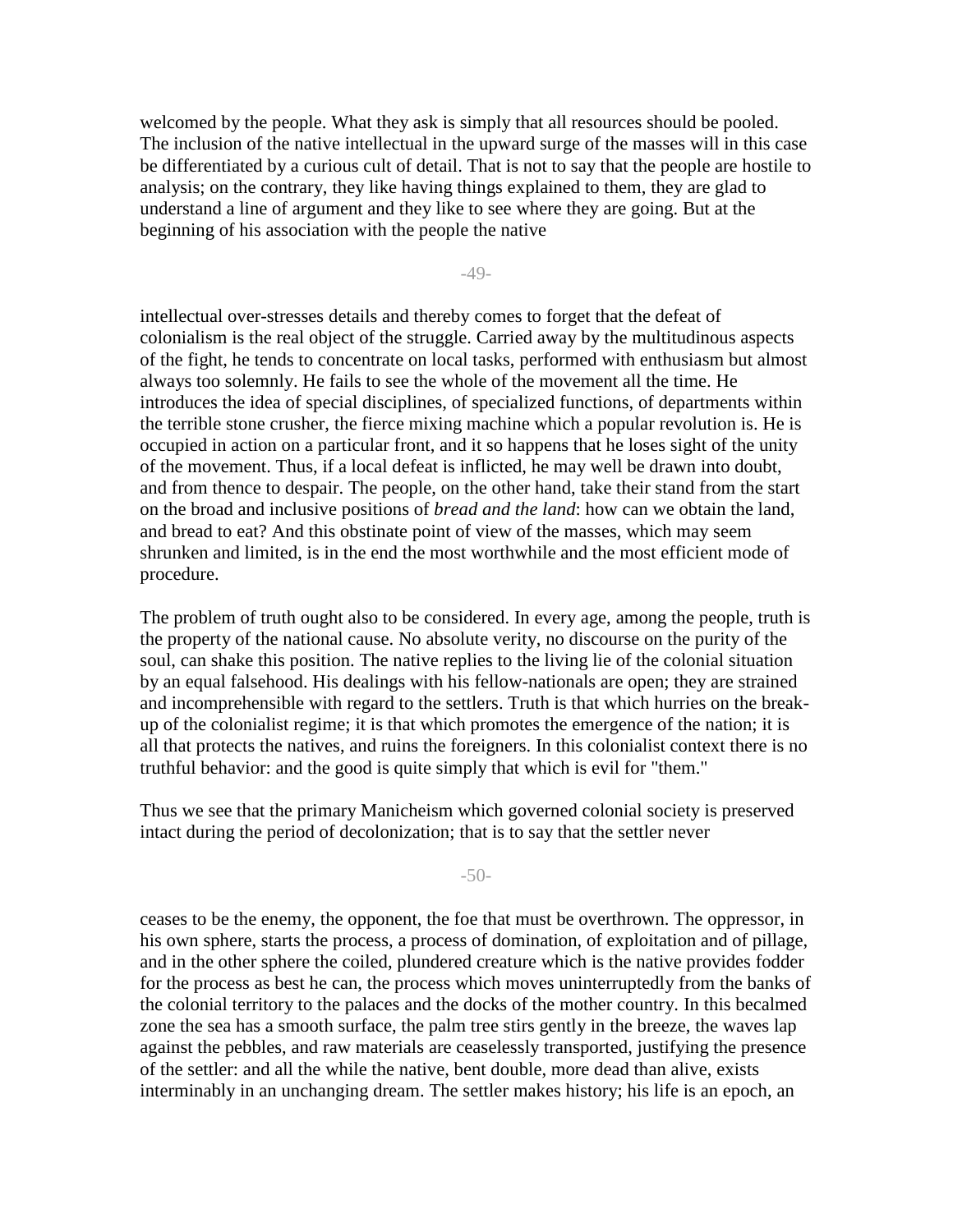welcomed by the people. What they ask is simply that all resources should be pooled. The inclusion of the native intellectual in the upward surge of the masses will in this case be differentiated by a curious cult of detail. That is not to say that the people are hostile to analysis; on the contrary, they like having things explained to them, they are glad to understand a line of argument and they like to see where they are going. But at the beginning of his association with the people the native

-49-

intellectual over-stresses details and thereby comes to forget that the defeat of colonialism is the real object of the struggle. Carried away by the multitudinous aspects of the fight, he tends to concentrate on local tasks, performed with enthusiasm but almost always too solemnly. He fails to see the whole of the movement all the time. He introduces the idea of special disciplines, of specialized functions, of departments within the terrible stone crusher, the fierce mixing machine which a popular revolution is. He is occupied in action on a particular front, and it so happens that he loses sight of the unity of the movement. Thus, if a local defeat is inflicted, he may well be drawn into doubt, and from thence to despair. The people, on the other hand, take their stand from the start on the broad and inclusive positions of *bread and the land*: how can we obtain the land, and bread to eat? And this obstinate point of view of the masses, which may seem shrunken and limited, is in the end the most worthwhile and the most efficient mode of procedure.

The problem of truth ought also to be considered. In every age, among the people, truth is the property of the national cause. No absolute verity, no discourse on the purity of the soul, can shake this position. The native replies to the living lie of the colonial situation by an equal falsehood. His dealings with his fellow-nationals are open; they are strained and incomprehensible with regard to the settlers. Truth is that which hurries on the breakup of the colonialist regime; it is that which promotes the emergence of the nation; it is all that protects the natives, and ruins the foreigners. In this colonialist context there is no truthful behavior: and the good is quite simply that which is evil for "them."

Thus we see that the primary Manicheism which governed colonial society is preserved intact during the period of decolonization; that is to say that the settler never

-50-

ceases to be the enemy, the opponent, the foe that must be overthrown. The oppressor, in his own sphere, starts the process, a process of domination, of exploitation and of pillage, and in the other sphere the coiled, plundered creature which is the native provides fodder for the process as best he can, the process which moves uninterruptedly from the banks of the colonial territory to the palaces and the docks of the mother country. In this becalmed zone the sea has a smooth surface, the palm tree stirs gently in the breeze, the waves lap against the pebbles, and raw materials are ceaselessly transported, justifying the presence of the settler: and all the while the native, bent double, more dead than alive, exists interminably in an unchanging dream. The settler makes history; his life is an epoch, an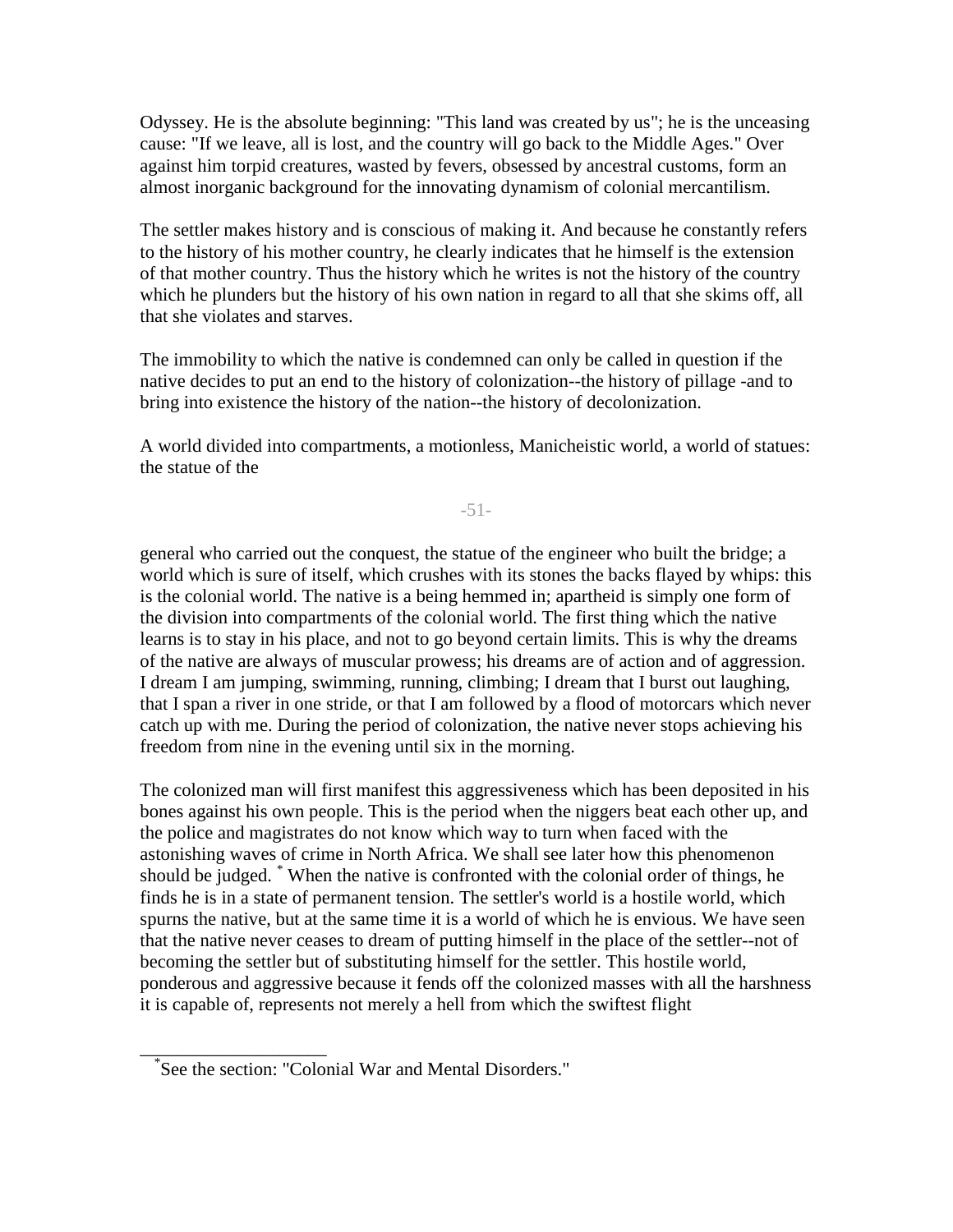Odyssey. He is the absolute beginning: "This land was created by us"; he is the unceasing cause: "If we leave, all is lost, and the country will go back to the Middle Ages." Over against him torpid creatures, wasted by fevers, obsessed by ancestral customs, form an almost inorganic background for the innovating dynamism of colonial mercantilism.

The settler makes history and is conscious of making it. And because he constantly refers to the history of his mother country, he clearly indicates that he himself is the extension of that mother country. Thus the history which he writes is not the history of the country which he plunders but the history of his own nation in regard to all that she skims off, all that she violates and starves.

The immobility to which the native is condemned can only be called in question if the native decides to put an end to the history of colonization--the history of pillage -and to bring into existence the history of the nation--the history of decolonization.

A world divided into compartments, a motionless, Manicheistic world, a world of statues: the statue of the

-51-

general who carried out the conquest, the statue of the engineer who built the bridge; a world which is sure of itself, which crushes with its stones the backs flayed by whips: this is the colonial world. The native is a being hemmed in; apartheid is simply one form of the division into compartments of the colonial world. The first thing which the native learns is to stay in his place, and not to go beyond certain limits. This is why the dreams of the native are always of muscular prowess; his dreams are of action and of aggression. I dream I am jumping, swimming, running, climbing; I dream that I burst out laughing, that I span a river in one stride, or that I am followed by a flood of motorcars which never catch up with me. During the period of colonization, the native never stops achieving his freedom from nine in the evening until six in the morning.

The colonized man will first manifest this aggressiveness which has been deposited in his bones against his own people. This is the period when the niggers beat each other up, and the police and magistrates do not know which way to turn when faced with the astonishing waves of crime in North Africa. We shall see later how this phenomenon should be judged. \* When the native is confronted with the colonial order of things, he finds he is in a state of permanent tension. The settler's world is a hostile world, which spurns the native, but at the same time it is a world of which he is envious. We have seen that the native never ceases to dream of putting himself in the place of the settler--not of becoming the settler but of substituting himself for the settler. This hostile world, ponderous and aggressive because it fends off the colonized masses with all the harshness it is capable of, represents not merely a hell from which the swiftest flight

\_\_\_\_\_\_\_\_\_\_\_\_\_\_\_\_\_\_\_\_

<sup>\*</sup> See the section: "Colonial War and Mental Disorders."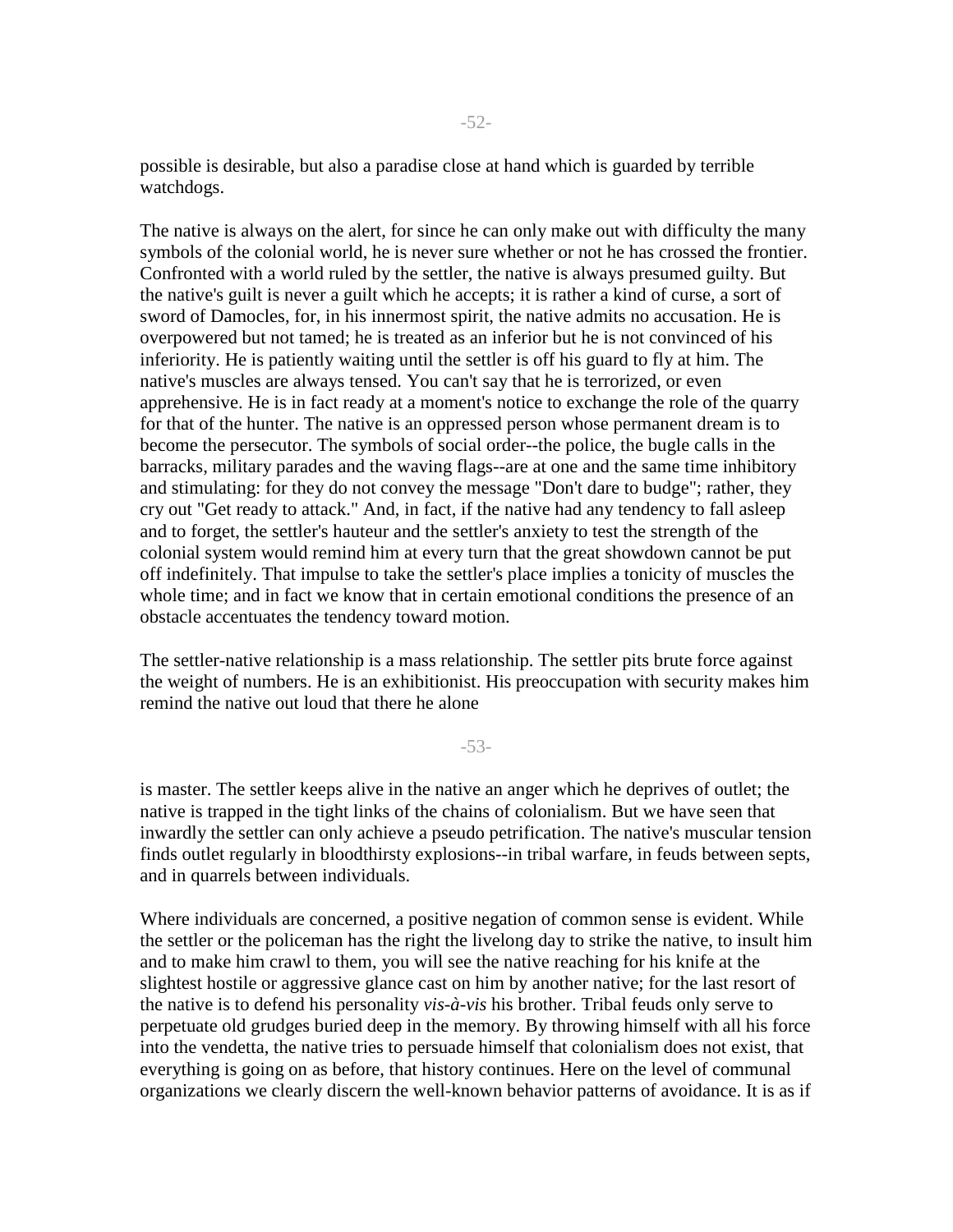possible is desirable, but also a paradise close at hand which is guarded by terrible watchdogs.

The native is always on the alert, for since he can only make out with difficulty the many symbols of the colonial world, he is never sure whether or not he has crossed the frontier. Confronted with a world ruled by the settler, the native is always presumed guilty. But the native's guilt is never a guilt which he accepts; it is rather a kind of curse, a sort of sword of Damocles, for, in his innermost spirit, the native admits no accusation. He is overpowered but not tamed; he is treated as an inferior but he is not convinced of his inferiority. He is patiently waiting until the settler is off his guard to fly at him. The native's muscles are always tensed. You can't say that he is terrorized, or even apprehensive. He is in fact ready at a moment's notice to exchange the role of the quarry for that of the hunter. The native is an oppressed person whose permanent dream is to become the persecutor. The symbols of social order--the police, the bugle calls in the barracks, military parades and the waving flags--are at one and the same time inhibitory and stimulating: for they do not convey the message "Don't dare to budge"; rather, they cry out "Get ready to attack." And, in fact, if the native had any tendency to fall asleep and to forget, the settler's hauteur and the settler's anxiety to test the strength of the colonial system would remind him at every turn that the great showdown cannot be put off indefinitely. That impulse to take the settler's place implies a tonicity of muscles the whole time; and in fact we know that in certain emotional conditions the presence of an obstacle accentuates the tendency toward motion.

The settler-native relationship is a mass relationship. The settler pits brute force against the weight of numbers. He is an exhibitionist. His preoccupation with security makes him remind the native out loud that there he alone

### -53-

is master. The settler keeps alive in the native an anger which he deprives of outlet; the native is trapped in the tight links of the chains of colonialism. But we have seen that inwardly the settler can only achieve a pseudo petrification. The native's muscular tension finds outlet regularly in bloodthirsty explosions--in tribal warfare, in feuds between septs, and in quarrels between individuals.

Where individuals are concerned, a positive negation of common sense is evident. While the settler or the policeman has the right the livelong day to strike the native, to insult him and to make him crawl to them, you will see the native reaching for his knife at the slightest hostile or aggressive glance cast on him by another native; for the last resort of the native is to defend his personality *vis-à-vis* his brother. Tribal feuds only serve to perpetuate old grudges buried deep in the memory. By throwing himself with all his force into the vendetta, the native tries to persuade himself that colonialism does not exist, that everything is going on as before, that history continues. Here on the level of communal organizations we clearly discern the well-known behavior patterns of avoidance. It is as if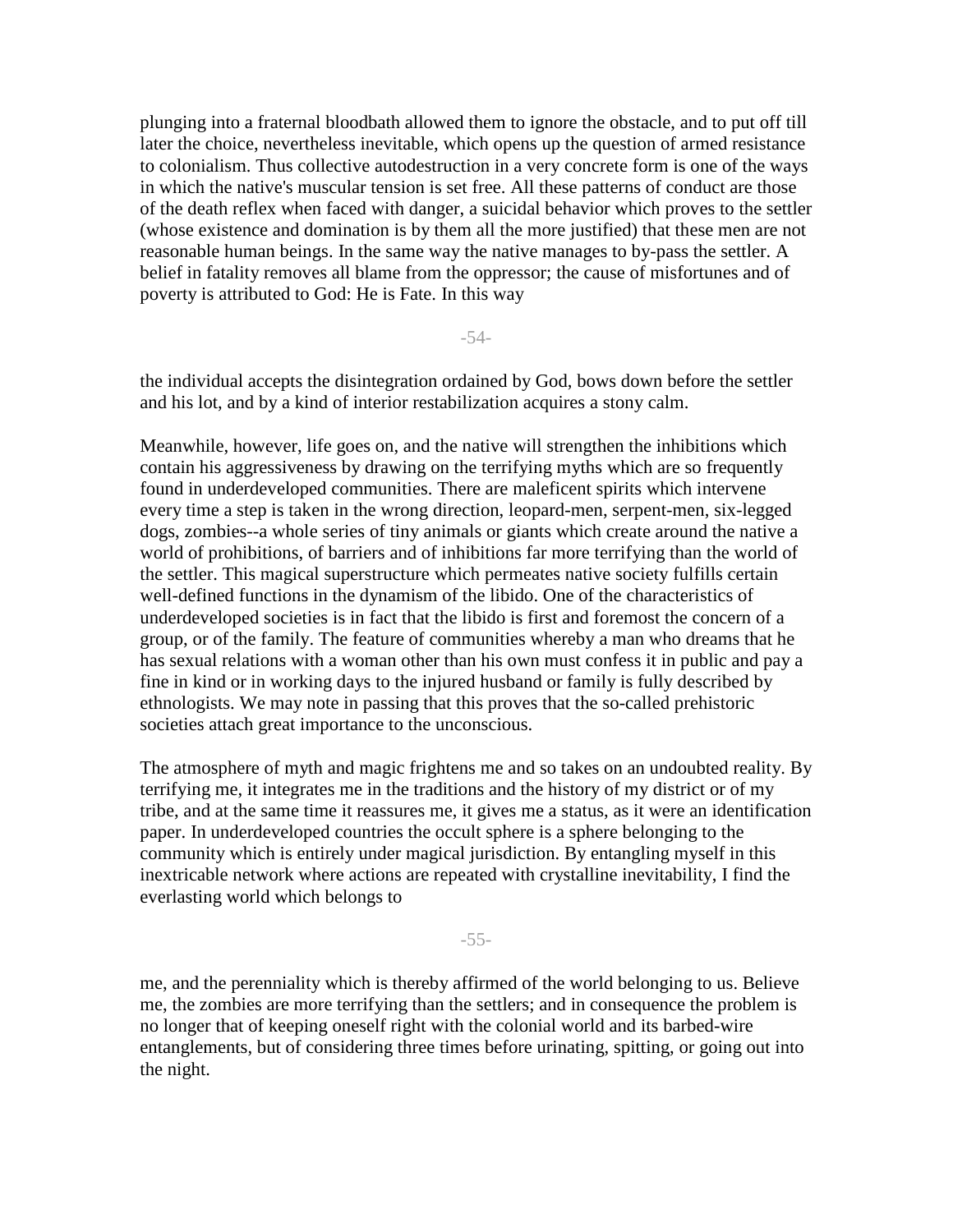plunging into a fraternal bloodbath allowed them to ignore the obstacle, and to put off till later the choice, nevertheless inevitable, which opens up the question of armed resistance to colonialism. Thus collective autodestruction in a very concrete form is one of the ways in which the native's muscular tension is set free. All these patterns of conduct are those of the death reflex when faced with danger, a suicidal behavior which proves to the settler (whose existence and domination is by them all the more justified) that these men are not reasonable human beings. In the same way the native manages to by-pass the settler. A belief in fatality removes all blame from the oppressor; the cause of misfortunes and of poverty is attributed to God: He is Fate. In this way

-54-

the individual accepts the disintegration ordained by God, bows down before the settler and his lot, and by a kind of interior restabilization acquires a stony calm.

Meanwhile, however, life goes on, and the native will strengthen the inhibitions which contain his aggressiveness by drawing on the terrifying myths which are so frequently found in underdeveloped communities. There are maleficent spirits which intervene every time a step is taken in the wrong direction, leopard-men, serpent-men, six-legged dogs, zombies--a whole series of tiny animals or giants which create around the native a world of prohibitions, of barriers and of inhibitions far more terrifying than the world of the settler. This magical superstructure which permeates native society fulfills certain well-defined functions in the dynamism of the libido. One of the characteristics of underdeveloped societies is in fact that the libido is first and foremost the concern of a group, or of the family. The feature of communities whereby a man who dreams that he has sexual relations with a woman other than his own must confess it in public and pay a fine in kind or in working days to the injured husband or family is fully described by ethnologists. We may note in passing that this proves that the so-called prehistoric societies attach great importance to the unconscious.

The atmosphere of myth and magic frightens me and so takes on an undoubted reality. By terrifying me, it integrates me in the traditions and the history of my district or of my tribe, and at the same time it reassures me, it gives me a status, as it were an identification paper. In underdeveloped countries the occult sphere is a sphere belonging to the community which is entirely under magical jurisdiction. By entangling myself in this inextricable network where actions are repeated with crystalline inevitability, I find the everlasting world which belongs to

-55-

me, and the perenniality which is thereby affirmed of the world belonging to us. Believe me, the zombies are more terrifying than the settlers; and in consequence the problem is no longer that of keeping oneself right with the colonial world and its barbed-wire entanglements, but of considering three times before urinating, spitting, or going out into the night.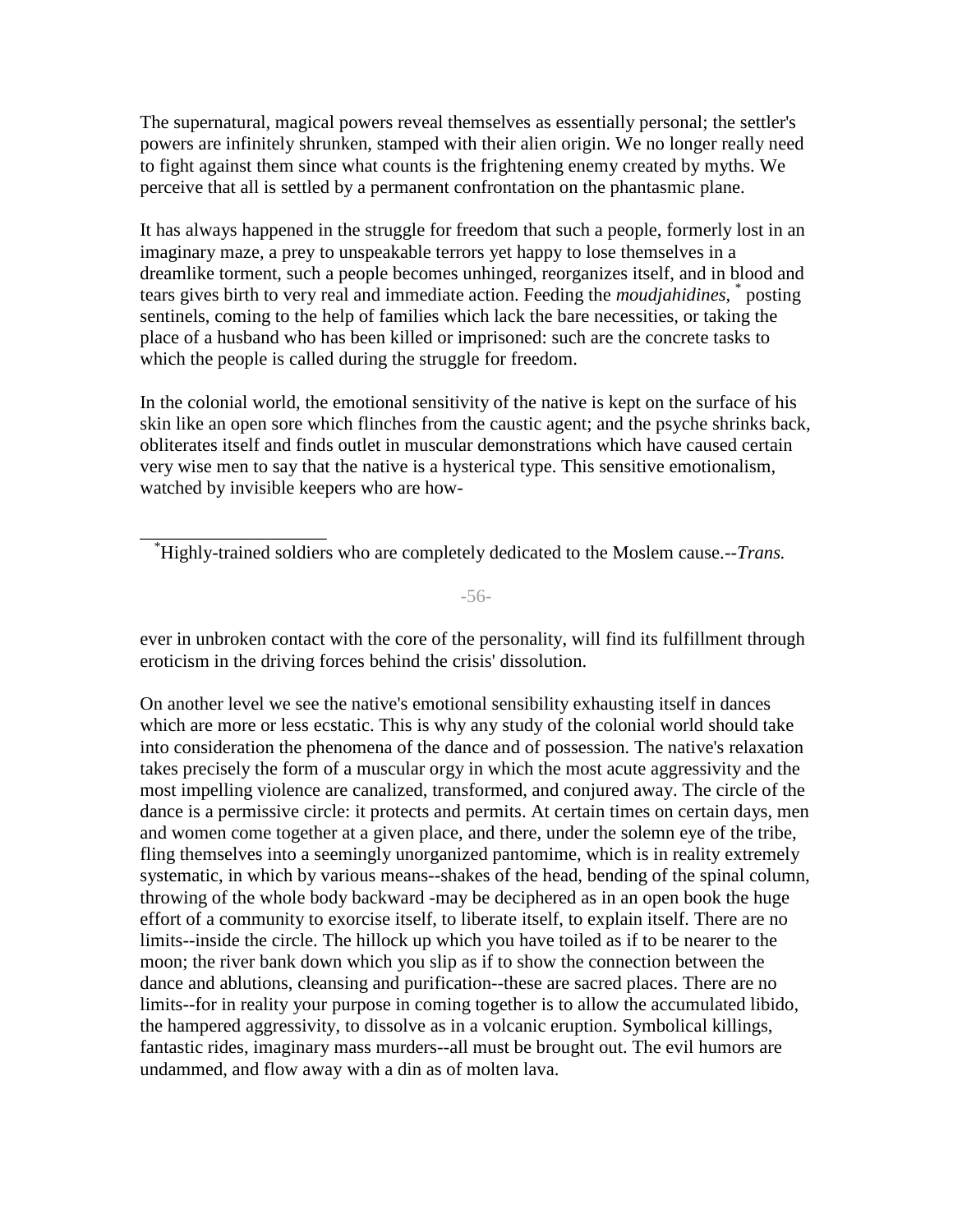The supernatural, magical powers reveal themselves as essentially personal; the settler's powers are infinitely shrunken, stamped with their alien origin. We no longer really need to fight against them since what counts is the frightening enemy created by myths. We perceive that all is settled by a permanent confrontation on the phantasmic plane.

It has always happened in the struggle for freedom that such a people, formerly lost in an imaginary maze, a prey to unspeakable terrors yet happy to lose themselves in a dreamlike torment, such a people becomes unhinged, reorganizes itself, and in blood and tears gives birth to very real and immediate action. Feeding the *moudjahidines*, <sup>\*</sup> posting sentinels, coming to the help of families which lack the bare necessities, or taking the place of a husband who has been killed or imprisoned: such are the concrete tasks to which the people is called during the struggle for freedom.

In the colonial world, the emotional sensitivity of the native is kept on the surface of his skin like an open sore which flinches from the caustic agent; and the psyche shrinks back, obliterates itself and finds outlet in muscular demonstrations which have caused certain very wise men to say that the native is a hysterical type. This sensitive emotionalism, watched by invisible keepers who are how-

\_\_\_\_\_\_\_\_\_\_\_\_\_\_\_\_\_\_\_\_ \*Highly-trained soldiers who are completely dedicated to the Moslem cause.--*Trans.*

-56-

ever in unbroken contact with the core of the personality, will find its fulfillment through eroticism in the driving forces behind the crisis' dissolution.

On another level we see the native's emotional sensibility exhausting itself in dances which are more or less ecstatic. This is why any study of the colonial world should take into consideration the phenomena of the dance and of possession. The native's relaxation takes precisely the form of a muscular orgy in which the most acute aggressivity and the most impelling violence are canalized, transformed, and conjured away. The circle of the dance is a permissive circle: it protects and permits. At certain times on certain days, men and women come together at a given place, and there, under the solemn eye of the tribe, fling themselves into a seemingly unorganized pantomime, which is in reality extremely systematic, in which by various means--shakes of the head, bending of the spinal column, throwing of the whole body backward -may be deciphered as in an open book the huge effort of a community to exorcise itself, to liberate itself, to explain itself. There are no limits--inside the circle. The hillock up which you have toiled as if to be nearer to the moon; the river bank down which you slip as if to show the connection between the dance and ablutions, cleansing and purification--these are sacred places. There are no limits--for in reality your purpose in coming together is to allow the accumulated libido, the hampered aggressivity, to dissolve as in a volcanic eruption. Symbolical killings, fantastic rides, imaginary mass murders--all must be brought out. The evil humors are undammed, and flow away with a din as of molten lava.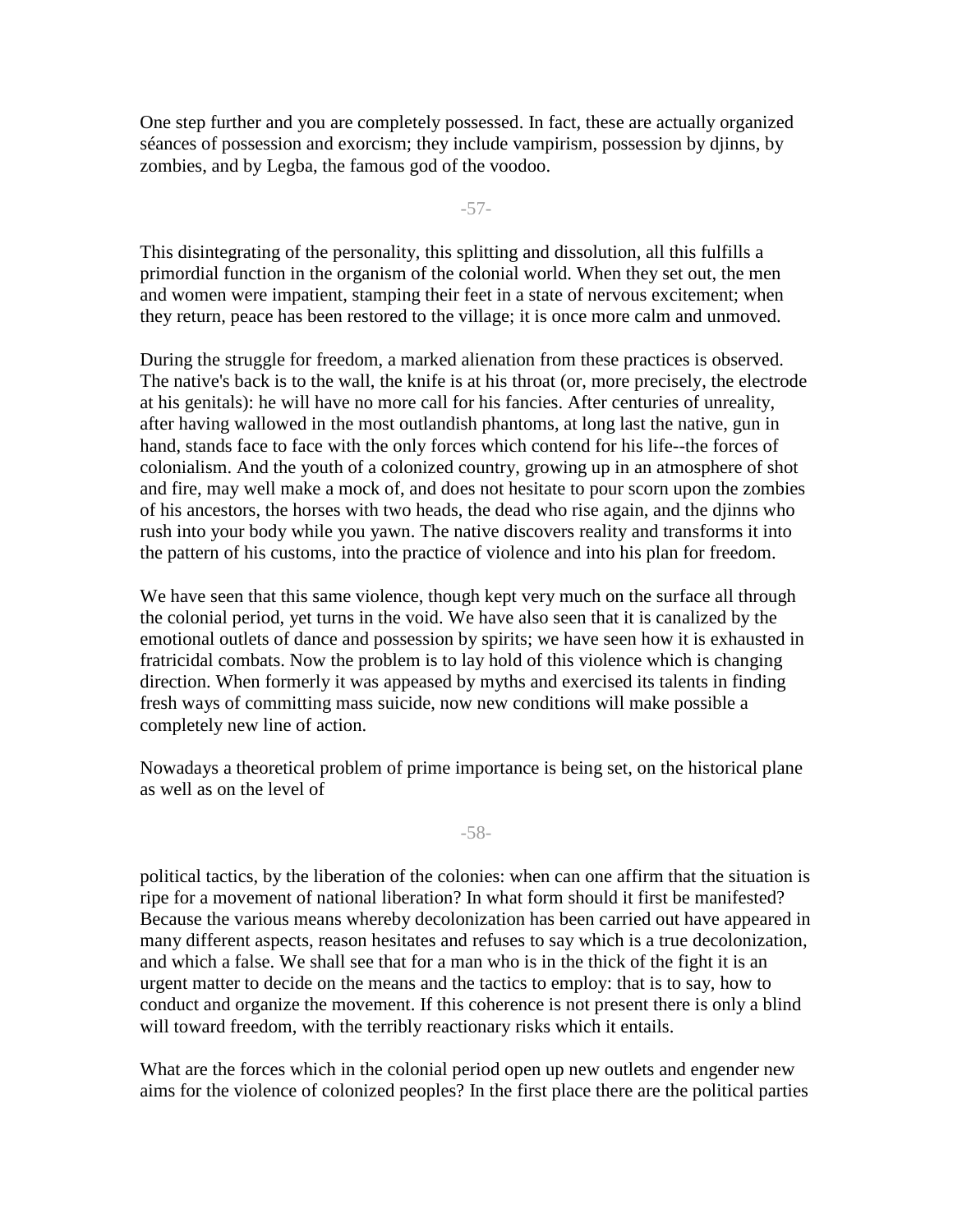One step further and you are completely possessed. In fact, these are actually organized séances of possession and exorcism; they include vampirism, possession by djinns, by zombies, and by Legba, the famous god of the voodoo.

-57-

This disintegrating of the personality, this splitting and dissolution, all this fulfills a primordial function in the organism of the colonial world. When they set out, the men and women were impatient, stamping their feet in a state of nervous excitement; when they return, peace has been restored to the village; it is once more calm and unmoved.

During the struggle for freedom, a marked alienation from these practices is observed. The native's back is to the wall, the knife is at his throat (or, more precisely, the electrode at his genitals): he will have no more call for his fancies. After centuries of unreality, after having wallowed in the most outlandish phantoms, at long last the native, gun in hand, stands face to face with the only forces which contend for his life--the forces of colonialism. And the youth of a colonized country, growing up in an atmosphere of shot and fire, may well make a mock of, and does not hesitate to pour scorn upon the zombies of his ancestors, the horses with two heads, the dead who rise again, and the djinns who rush into your body while you yawn. The native discovers reality and transforms it into the pattern of his customs, into the practice of violence and into his plan for freedom.

We have seen that this same violence, though kept very much on the surface all through the colonial period, yet turns in the void. We have also seen that it is canalized by the emotional outlets of dance and possession by spirits; we have seen how it is exhausted in fratricidal combats. Now the problem is to lay hold of this violence which is changing direction. When formerly it was appeased by myths and exercised its talents in finding fresh ways of committing mass suicide, now new conditions will make possible a completely new line of action.

Nowadays a theoretical problem of prime importance is being set, on the historical plane as well as on the level of

-58-

political tactics, by the liberation of the colonies: when can one affirm that the situation is ripe for a movement of national liberation? In what form should it first be manifested? Because the various means whereby decolonization has been carried out have appeared in many different aspects, reason hesitates and refuses to say which is a true decolonization, and which a false. We shall see that for a man who is in the thick of the fight it is an urgent matter to decide on the means and the tactics to employ: that is to say, how to conduct and organize the movement. If this coherence is not present there is only a blind will toward freedom, with the terribly reactionary risks which it entails.

What are the forces which in the colonial period open up new outlets and engender new aims for the violence of colonized peoples? In the first place there are the political parties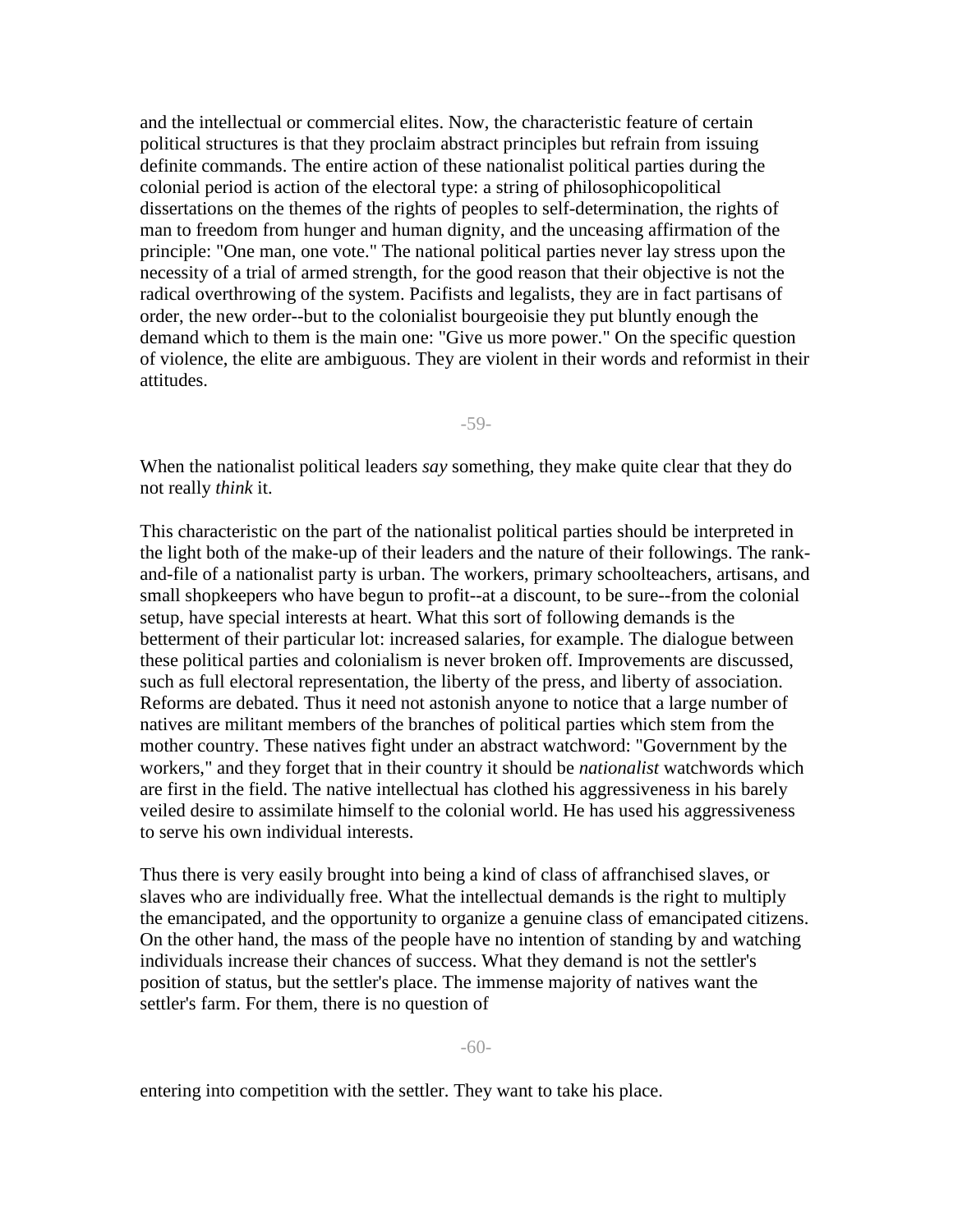and the intellectual or commercial elites. Now, the characteristic feature of certain political structures is that they proclaim abstract principles but refrain from issuing definite commands. The entire action of these nationalist political parties during the colonial period is action of the electoral type: a string of philosophicopolitical dissertations on the themes of the rights of peoples to self-determination, the rights of man to freedom from hunger and human dignity, and the unceasing affirmation of the principle: "One man, one vote." The national political parties never lay stress upon the necessity of a trial of armed strength, for the good reason that their objective is not the radical overthrowing of the system. Pacifists and legalists, they are in fact partisans of order, the new order--but to the colonialist bourgeoisie they put bluntly enough the demand which to them is the main one: "Give us more power." On the specific question of violence, the elite are ambiguous. They are violent in their words and reformist in their attitudes.

-59-

When the nationalist political leaders *say* something, they make quite clear that they do not really *think* it.

This characteristic on the part of the nationalist political parties should be interpreted in the light both of the make-up of their leaders and the nature of their followings. The rankand-file of a nationalist party is urban. The workers, primary schoolteachers, artisans, and small shopkeepers who have begun to profit--at a discount, to be sure--from the colonial setup, have special interests at heart. What this sort of following demands is the betterment of their particular lot: increased salaries, for example. The dialogue between these political parties and colonialism is never broken off. Improvements are discussed, such as full electoral representation, the liberty of the press, and liberty of association. Reforms are debated. Thus it need not astonish anyone to notice that a large number of natives are militant members of the branches of political parties which stem from the mother country. These natives fight under an abstract watchword: "Government by the workers," and they forget that in their country it should be *nationalist* watchwords which are first in the field. The native intellectual has clothed his aggressiveness in his barely veiled desire to assimilate himself to the colonial world. He has used his aggressiveness to serve his own individual interests.

Thus there is very easily brought into being a kind of class of affranchised slaves, or slaves who are individually free. What the intellectual demands is the right to multiply the emancipated, and the opportunity to organize a genuine class of emancipated citizens. On the other hand, the mass of the people have no intention of standing by and watching individuals increase their chances of success. What they demand is not the settler's position of status, but the settler's place. The immense majority of natives want the settler's farm. For them, there is no question of

 $-60-$ 

entering into competition with the settler. They want to take his place.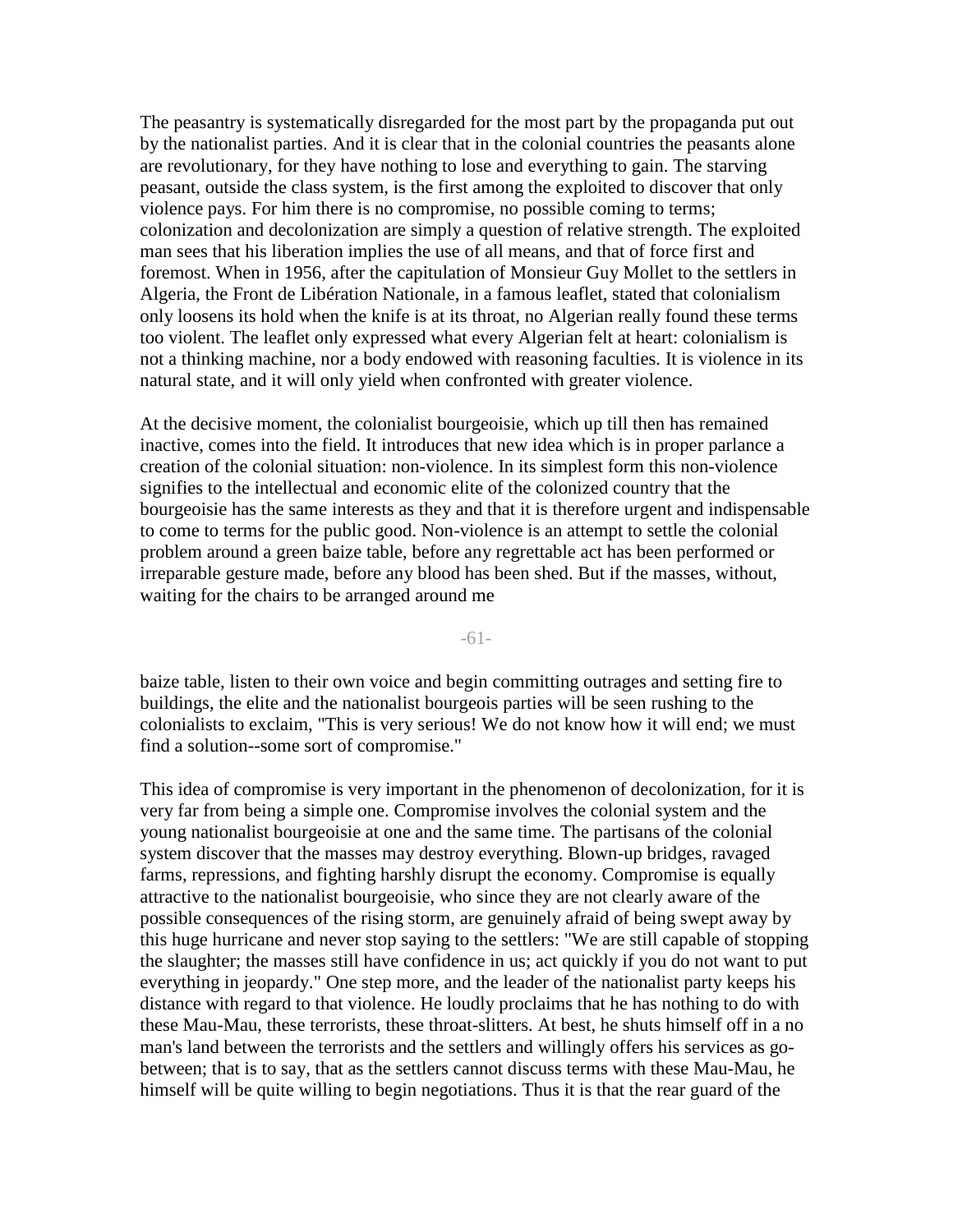The peasantry is systematically disregarded for the most part by the propaganda put out by the nationalist parties. And it is clear that in the colonial countries the peasants alone are revolutionary, for they have nothing to lose and everything to gain. The starving peasant, outside the class system, is the first among the exploited to discover that only violence pays. For him there is no compromise, no possible coming to terms; colonization and decolonization are simply a question of relative strength. The exploited man sees that his liberation implies the use of all means, and that of force first and foremost. When in 1956, after the capitulation of Monsieur Guy Mollet to the settlers in Algeria, the Front de Libération Nationale, in a famous leaflet, stated that colonialism only loosens its hold when the knife is at its throat, no Algerian really found these terms too violent. The leaflet only expressed what every Algerian felt at heart: colonialism is not a thinking machine, nor a body endowed with reasoning faculties. It is violence in its natural state, and it will only yield when confronted with greater violence.

At the decisive moment, the colonialist bourgeoisie, which up till then has remained inactive, comes into the field. It introduces that new idea which is in proper parlance a creation of the colonial situation: non-violence. In its simplest form this non-violence signifies to the intellectual and economic elite of the colonized country that the bourgeoisie has the same interests as they and that it is therefore urgent and indispensable to come to terms for the public good. Non-violence is an attempt to settle the colonial problem around a green baize table, before any regrettable act has been performed or irreparable gesture made, before any blood has been shed. But if the masses, without, waiting for the chairs to be arranged around me

-61-

baize table, listen to their own voice and begin committing outrages and setting fire to buildings, the elite and the nationalist bourgeois parties will be seen rushing to the colonialists to exclaim, "This is very serious! We do not know how it will end; we must find a solution--some sort of compromise."

This idea of compromise is very important in the phenomenon of decolonization, for it is very far from being a simple one. Compromise involves the colonial system and the young nationalist bourgeoisie at one and the same time. The partisans of the colonial system discover that the masses may destroy everything. Blown-up bridges, ravaged farms, repressions, and fighting harshly disrupt the economy. Compromise is equally attractive to the nationalist bourgeoisie, who since they are not clearly aware of the possible consequences of the rising storm, are genuinely afraid of being swept away by this huge hurricane and never stop saying to the settlers: "We are still capable of stopping the slaughter; the masses still have confidence in us; act quickly if you do not want to put everything in jeopardy." One step more, and the leader of the nationalist party keeps his distance with regard to that violence. He loudly proclaims that he has nothing to do with these Mau-Mau, these terrorists, these throat-slitters. At best, he shuts himself off in a no man's land between the terrorists and the settlers and willingly offers his services as gobetween; that is to say, that as the settlers cannot discuss terms with these Mau-Mau, he himself will be quite willing to begin negotiations. Thus it is that the rear guard of the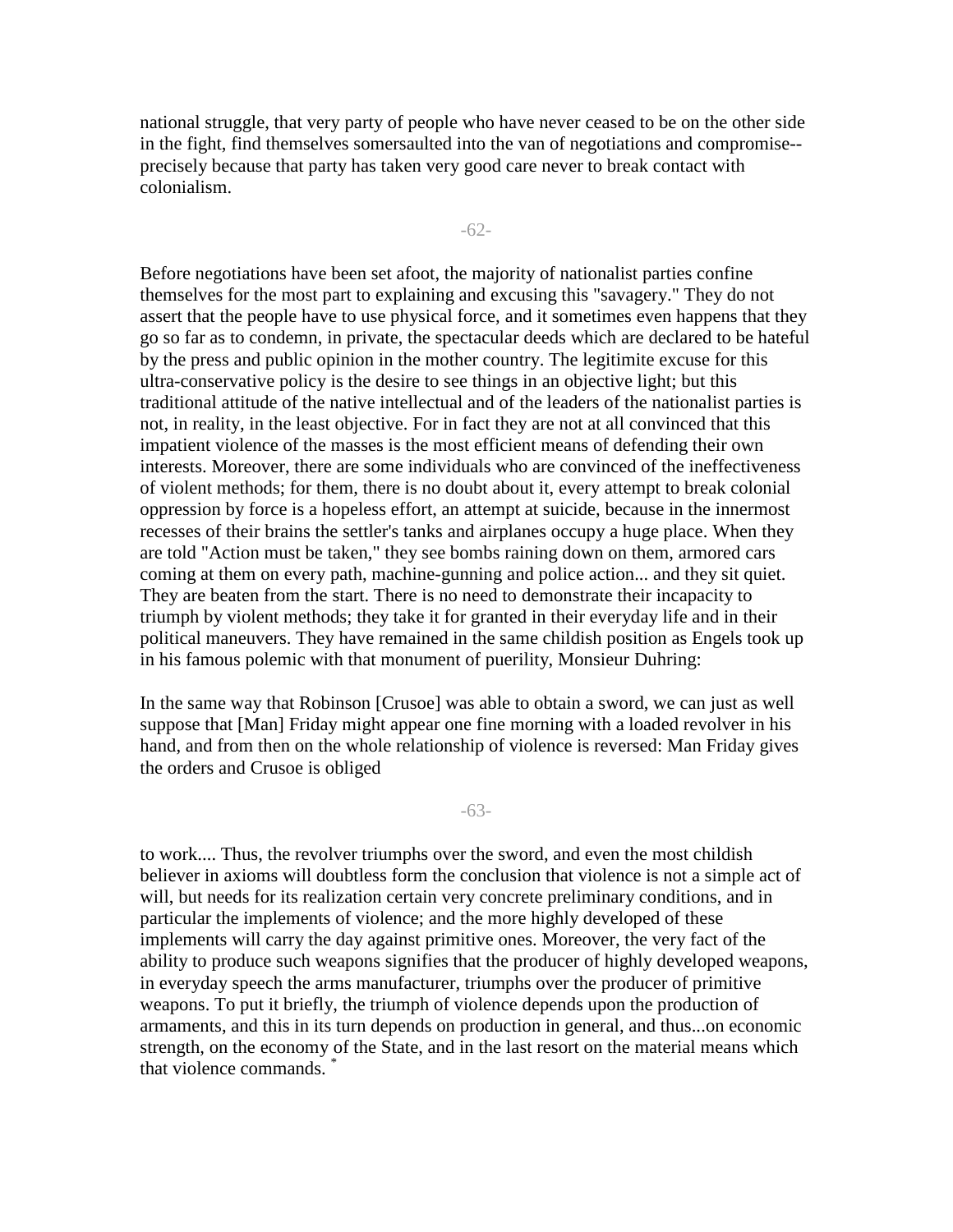national struggle, that very party of people who have never ceased to be on the other side in the fight, find themselves somersaulted into the van of negotiations and compromise- precisely because that party has taken very good care never to break contact with colonialism.

-62-

Before negotiations have been set afoot, the majority of nationalist parties confine themselves for the most part to explaining and excusing this "savagery." They do not assert that the people have to use physical force, and it sometimes even happens that they go so far as to condemn, in private, the spectacular deeds which are declared to be hateful by the press and public opinion in the mother country. The legitimite excuse for this ultra-conservative policy is the desire to see things in an objective light; but this traditional attitude of the native intellectual and of the leaders of the nationalist parties is not, in reality, in the least objective. For in fact they are not at all convinced that this impatient violence of the masses is the most efficient means of defending their own interests. Moreover, there are some individuals who are convinced of the ineffectiveness of violent methods; for them, there is no doubt about it, every attempt to break colonial oppression by force is a hopeless effort, an attempt at suicide, because in the innermost recesses of their brains the settler's tanks and airplanes occupy a huge place. When they are told "Action must be taken," they see bombs raining down on them, armored cars coming at them on every path, machine-gunning and police action... and they sit quiet. They are beaten from the start. There is no need to demonstrate their incapacity to triumph by violent methods; they take it for granted in their everyday life and in their political maneuvers. They have remained in the same childish position as Engels took up in his famous polemic with that monument of puerility, Monsieur Duhring:

In the same way that Robinson [Crusoe] was able to obtain a sword, we can just as well suppose that [Man] Friday might appear one fine morning with a loaded revolver in his hand, and from then on the whole relationship of violence is reversed: Man Friday gives the orders and Crusoe is obliged

-63-

to work.... Thus, the revolver triumphs over the sword, and even the most childish believer in axioms will doubtless form the conclusion that violence is not a simple act of will, but needs for its realization certain very concrete preliminary conditions, and in particular the implements of violence; and the more highly developed of these implements will carry the day against primitive ones. Moreover, the very fact of the ability to produce such weapons signifies that the producer of highly developed weapons, in everyday speech the arms manufacturer, triumphs over the producer of primitive weapons. To put it briefly, the triumph of violence depends upon the production of armaments, and this in its turn depends on production in general, and thus...on economic strength, on the economy of the State, and in the last resort on the material means which that violence commands. \*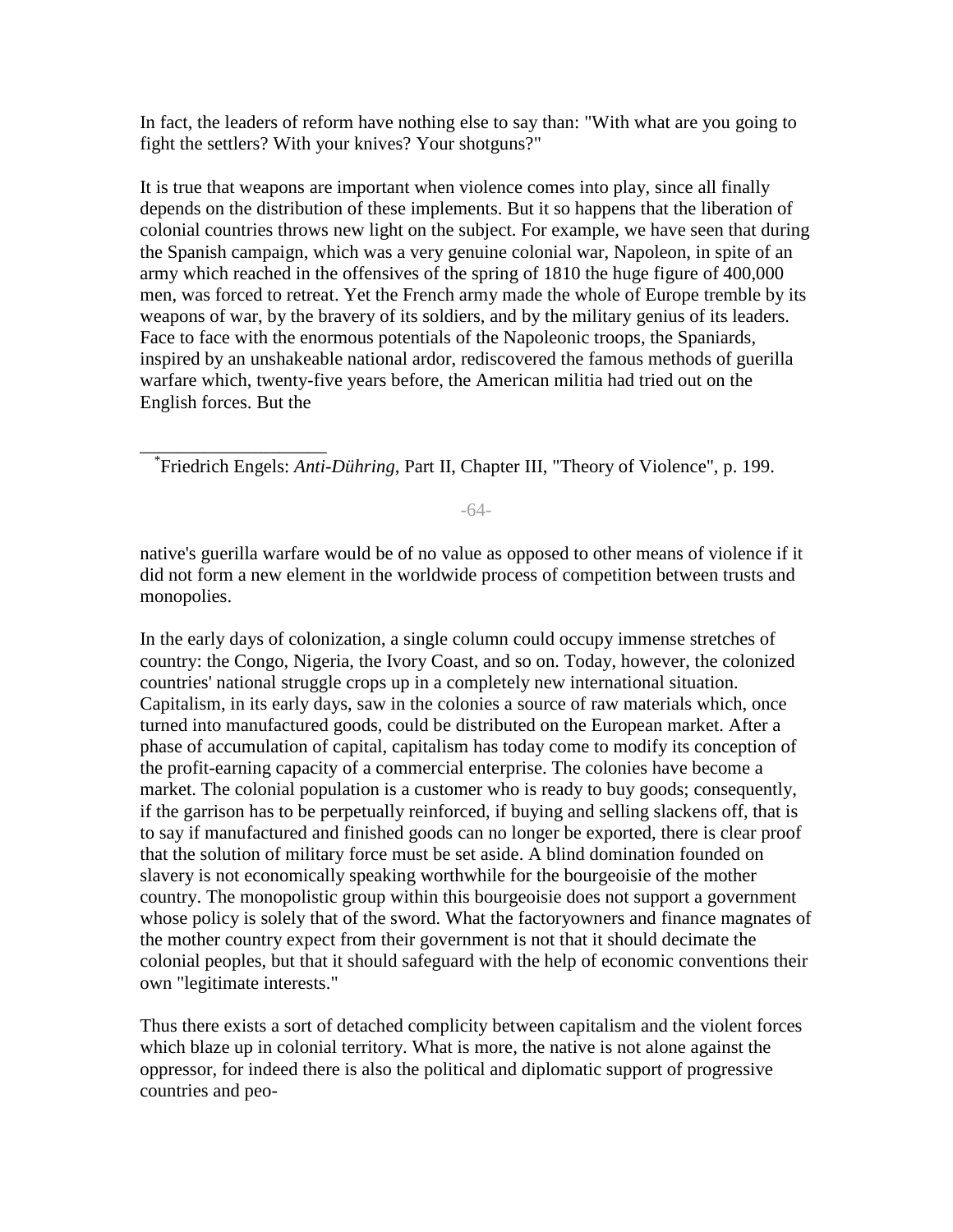In fact, the leaders of reform have nothing else to say than: "With what are you going to fight the settlers? With your knives? Your shotguns?"

It is true that weapons are important when violence comes into play, since all finally depends on the distribution of these implements. But it so happens that the liberation of colonial countries throws new light on the subject. For example, we have seen that during the Spanish campaign, which was a very genuine colonial war, Napoleon, in spite of an army which reached in the offensives of the spring of 1810 the huge figure of 400,000 men, was forced to retreat. Yet the French army made the whole of Europe tremble by its weapons of war, by the bravery of its soldiers, and by the military genius of its leaders. Face to face with the enormous potentials of the Napoleonic troops, the Spaniards, inspired by an unshakeable national ardor, rediscovered the famous methods of guerilla warfare which, twenty-five years before, the American militia had tried out on the English forces. But the

\_\_\_\_\_\_\_\_\_\_\_\_\_\_\_\_\_\_\_\_ \* Friedrich Engels: *Anti-Dühring*, Part II, Chapter III, "Theory of Violence", p. 199.

-64-

native's guerilla warfare would be of no value as opposed to other means of violence if it did not form a new element in the worldwide process of competition between trusts and monopolies.

In the early days of colonization, a single column could occupy immense stretches of country: the Congo, Nigeria, the Ivory Coast, and so on. Today, however, the colonized countries' national struggle crops up in a completely new international situation. Capitalism, in its early days, saw in the colonies a source of raw materials which, once turned into manufactured goods, could be distributed on the European market. After a phase of accumulation of capital, capitalism has today come to modify its conception of the profit-earning capacity of a commercial enterprise. The colonies have become a market. The colonial population is a customer who is ready to buy goods; consequently, if the garrison has to be perpetually reinforced, if buying and selling slackens off, that is to say if manufactured and finished goods can no longer be exported, there is clear proof that the solution of military force must be set aside. A blind domination founded on slavery is not economically speaking worthwhile for the bourgeoisie of the mother country. The monopolistic group within this bourgeoisie does not support a government whose policy is solely that of the sword. What the factoryowners and finance magnates of the mother country expect from their government is not that it should decimate the colonial peoples, but that it should safeguard with the help of economic conventions their own "legitimate interests."

Thus there exists a sort of detached complicity between capitalism and the violent forces which blaze up in colonial territory. What is more, the native is not alone against the oppressor, for indeed there is also the political and diplomatic support of progressive countries and peo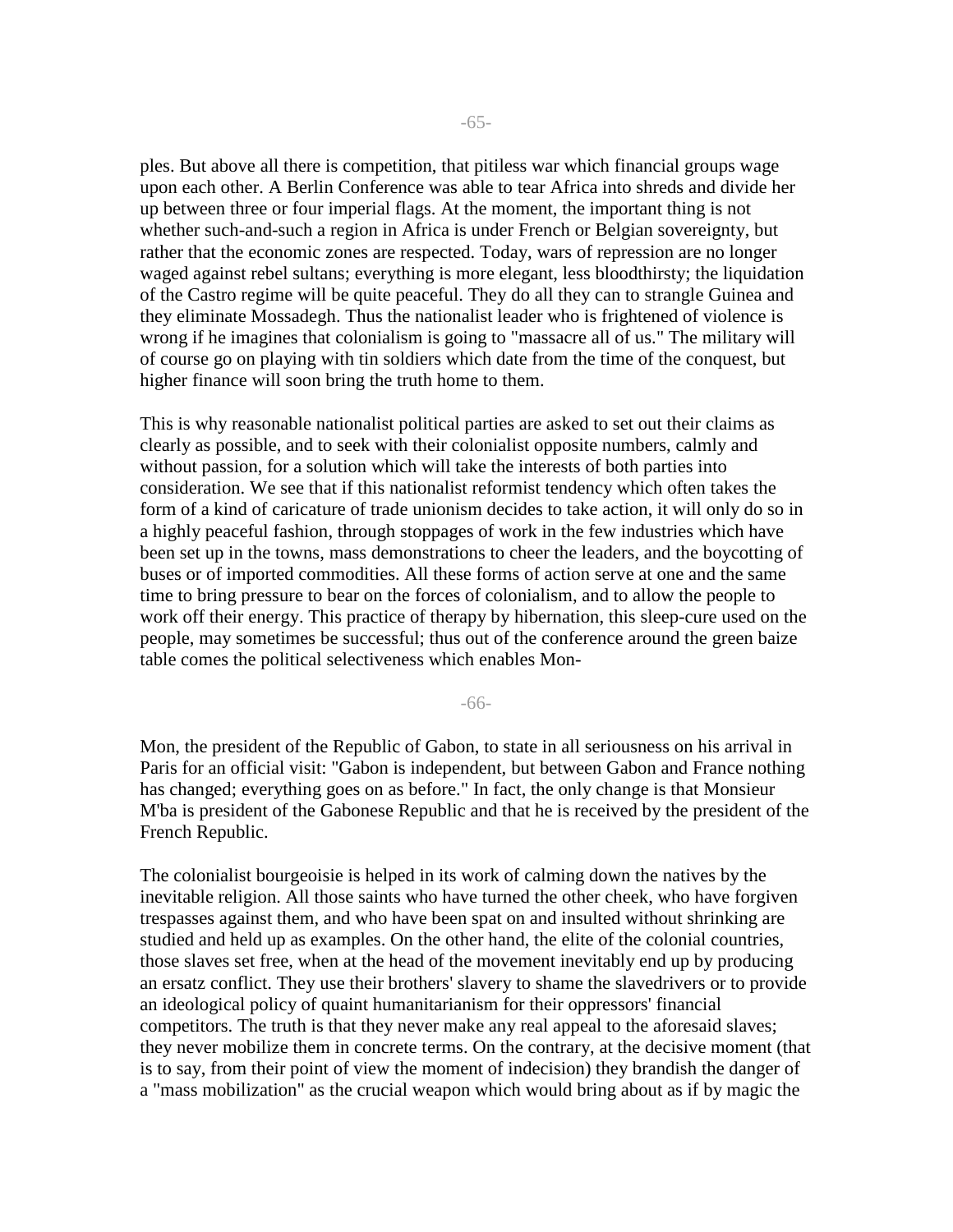ples. But above all there is competition, that pitiless war which financial groups wage upon each other. A Berlin Conference was able to tear Africa into shreds and divide her up between three or four imperial flags. At the moment, the important thing is not whether such-and-such a region in Africa is under French or Belgian sovereignty, but rather that the economic zones are respected. Today, wars of repression are no longer waged against rebel sultans; everything is more elegant, less bloodthirsty; the liquidation of the Castro regime will be quite peaceful. They do all they can to strangle Guinea and they eliminate Mossadegh. Thus the nationalist leader who is frightened of violence is wrong if he imagines that colonialism is going to "massacre all of us." The military will of course go on playing with tin soldiers which date from the time of the conquest, but higher finance will soon bring the truth home to them.

This is why reasonable nationalist political parties are asked to set out their claims as clearly as possible, and to seek with their colonialist opposite numbers, calmly and without passion, for a solution which will take the interests of both parties into consideration. We see that if this nationalist reformist tendency which often takes the form of a kind of caricature of trade unionism decides to take action, it will only do so in a highly peaceful fashion, through stoppages of work in the few industries which have been set up in the towns, mass demonstrations to cheer the leaders, and the boycotting of buses or of imported commodities. All these forms of action serve at one and the same time to bring pressure to bear on the forces of colonialism, and to allow the people to work off their energy. This practice of therapy by hibernation, this sleep-cure used on the people, may sometimes be successful; thus out of the conference around the green baize table comes the political selectiveness which enables Mon-

-66-

Mon, the president of the Republic of Gabon, to state in all seriousness on his arrival in Paris for an official visit: "Gabon is independent, but between Gabon and France nothing has changed; everything goes on as before." In fact, the only change is that Monsieur M'ba is president of the Gabonese Republic and that he is received by the president of the French Republic.

The colonialist bourgeoisie is helped in its work of calming down the natives by the inevitable religion. All those saints who have turned the other cheek, who have forgiven trespasses against them, and who have been spat on and insulted without shrinking are studied and held up as examples. On the other hand, the elite of the colonial countries, those slaves set free, when at the head of the movement inevitably end up by producing an ersatz conflict. They use their brothers' slavery to shame the slavedrivers or to provide an ideological policy of quaint humanitarianism for their oppressors' financial competitors. The truth is that they never make any real appeal to the aforesaid slaves; they never mobilize them in concrete terms. On the contrary, at the decisive moment (that is to say, from their point of view the moment of indecision) they brandish the danger of a "mass mobilization" as the crucial weapon which would bring about as if by magic the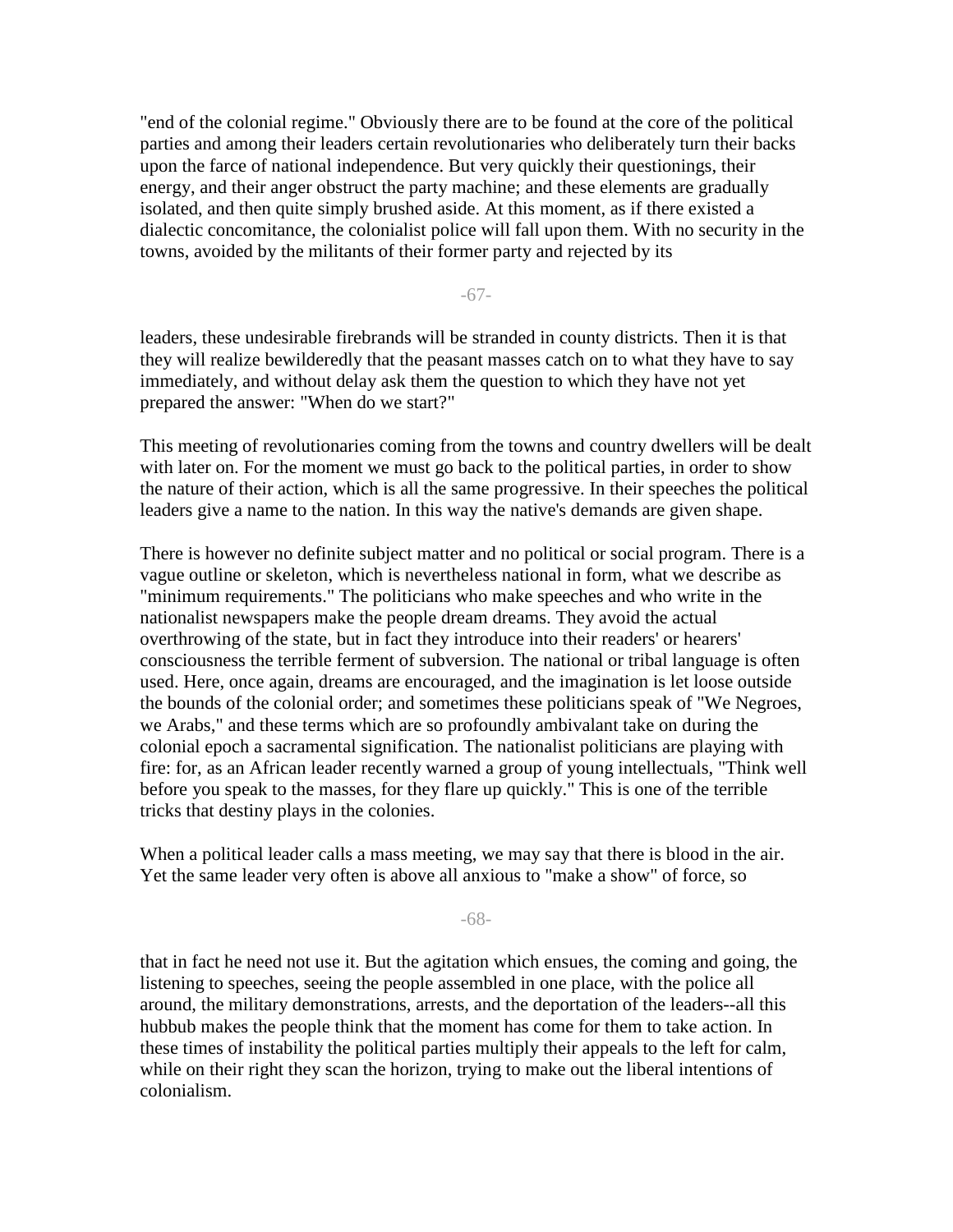"end of the colonial regime." Obviously there are to be found at the core of the political parties and among their leaders certain revolutionaries who deliberately turn their backs upon the farce of national independence. But very quickly their questionings, their energy, and their anger obstruct the party machine; and these elements are gradually isolated, and then quite simply brushed aside. At this moment, as if there existed a dialectic concomitance, the colonialist police will fall upon them. With no security in the towns, avoided by the militants of their former party and rejected by its

-67-

leaders, these undesirable firebrands will be stranded in county districts. Then it is that they will realize bewilderedly that the peasant masses catch on to what they have to say immediately, and without delay ask them the question to which they have not yet prepared the answer: "When do we start?"

This meeting of revolutionaries coming from the towns and country dwellers will be dealt with later on. For the moment we must go back to the political parties, in order to show the nature of their action, which is all the same progressive. In their speeches the political leaders give a name to the nation. In this way the native's demands are given shape.

There is however no definite subject matter and no political or social program. There is a vague outline or skeleton, which is nevertheless national in form, what we describe as "minimum requirements." The politicians who make speeches and who write in the nationalist newspapers make the people dream dreams. They avoid the actual overthrowing of the state, but in fact they introduce into their readers' or hearers' consciousness the terrible ferment of subversion. The national or tribal language is often used. Here, once again, dreams are encouraged, and the imagination is let loose outside the bounds of the colonial order; and sometimes these politicians speak of "We Negroes, we Arabs," and these terms which are so profoundly ambivalant take on during the colonial epoch a sacramental signification. The nationalist politicians are playing with fire: for, as an African leader recently warned a group of young intellectuals, "Think well before you speak to the masses, for they flare up quickly." This is one of the terrible tricks that destiny plays in the colonies.

When a political leader calls a mass meeting, we may say that there is blood in the air. Yet the same leader very often is above all anxious to "make a show" of force, so

-68-

that in fact he need not use it. But the agitation which ensues, the coming and going, the listening to speeches, seeing the people assembled in one place, with the police all around, the military demonstrations, arrests, and the deportation of the leaders--all this hubbub makes the people think that the moment has come for them to take action. In these times of instability the political parties multiply their appeals to the left for calm, while on their right they scan the horizon, trying to make out the liberal intentions of colonialism.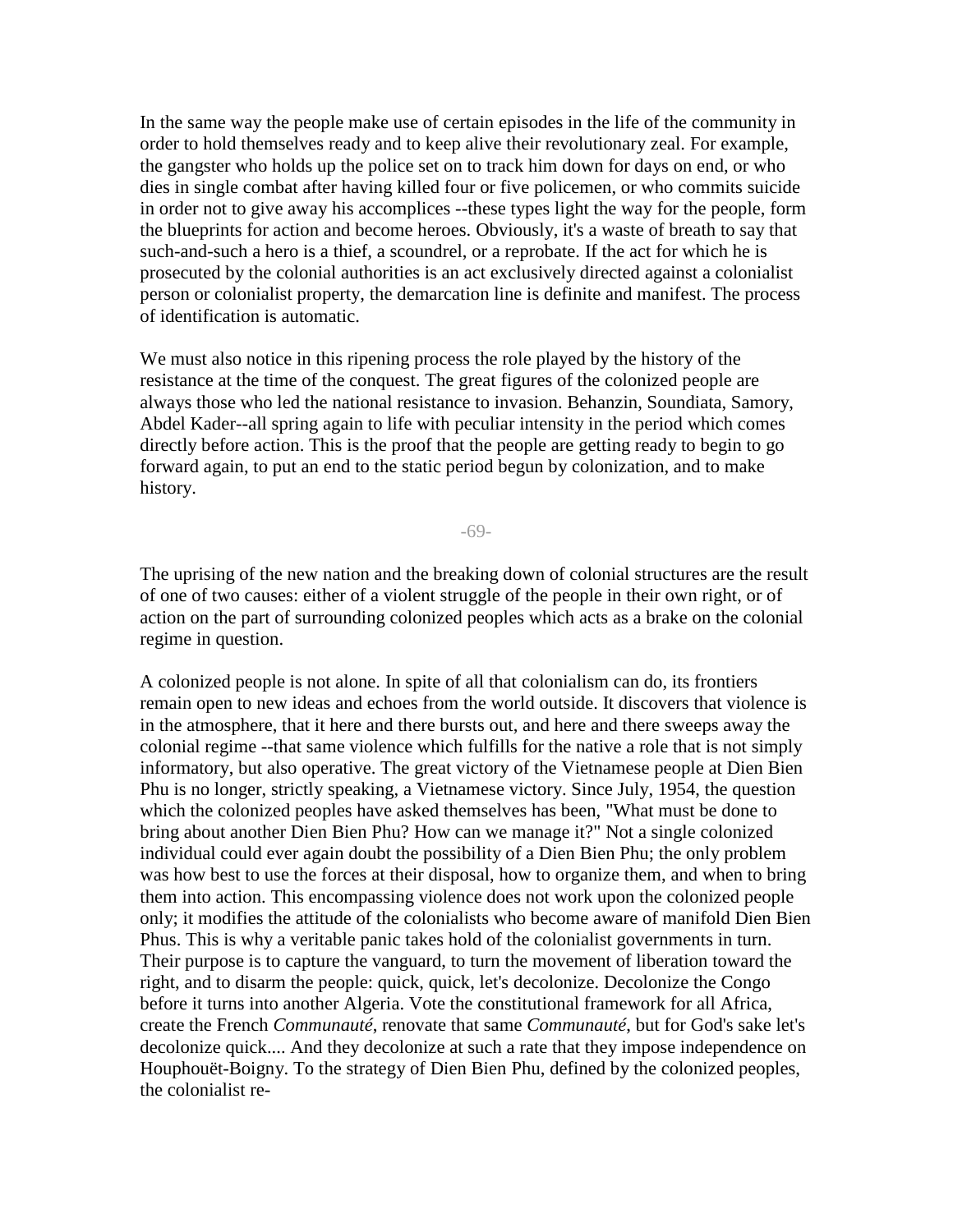In the same way the people make use of certain episodes in the life of the community in order to hold themselves ready and to keep alive their revolutionary zeal. For example, the gangster who holds up the police set on to track him down for days on end, or who dies in single combat after having killed four or five policemen, or who commits suicide in order not to give away his accomplices --these types light the way for the people, form the blueprints for action and become heroes. Obviously, it's a waste of breath to say that such-and-such a hero is a thief, a scoundrel, or a reprobate. If the act for which he is prosecuted by the colonial authorities is an act exclusively directed against a colonialist person or colonialist property, the demarcation line is definite and manifest. The process of identification is automatic.

We must also notice in this ripening process the role played by the history of the resistance at the time of the conquest. The great figures of the colonized people are always those who led the national resistance to invasion. Behanzin, Soundiata, Samory, Abdel Kader--all spring again to life with peculiar intensity in the period which comes directly before action. This is the proof that the people are getting ready to begin to go forward again, to put an end to the static period begun by colonization, and to make history.

-69-

The uprising of the new nation and the breaking down of colonial structures are the result of one of two causes: either of a violent struggle of the people in their own right, or of action on the part of surrounding colonized peoples which acts as a brake on the colonial regime in question.

A colonized people is not alone. In spite of all that colonialism can do, its frontiers remain open to new ideas and echoes from the world outside. It discovers that violence is in the atmosphere, that it here and there bursts out, and here and there sweeps away the colonial regime --that same violence which fulfills for the native a role that is not simply informatory, but also operative. The great victory of the Vietnamese people at Dien Bien Phu is no longer, strictly speaking, a Vietnamese victory. Since July, 1954, the question which the colonized peoples have asked themselves has been, "What must be done to bring about another Dien Bien Phu? How can we manage it?" Not a single colonized individual could ever again doubt the possibility of a Dien Bien Phu; the only problem was how best to use the forces at their disposal, how to organize them, and when to bring them into action. This encompassing violence does not work upon the colonized people only; it modifies the attitude of the colonialists who become aware of manifold Dien Bien Phus. This is why a veritable panic takes hold of the colonialist governments in turn. Their purpose is to capture the vanguard, to turn the movement of liberation toward the right, and to disarm the people: quick, quick, let's decolonize. Decolonize the Congo before it turns into another Algeria. Vote the constitutional framework for all Africa, create the French *Communauté*, renovate that same *Communauté*, but for God's sake let's decolonize quick.... And they decolonize at such a rate that they impose independence on Houphouët-Boigny. To the strategy of Dien Bien Phu, defined by the colonized peoples, the colonialist re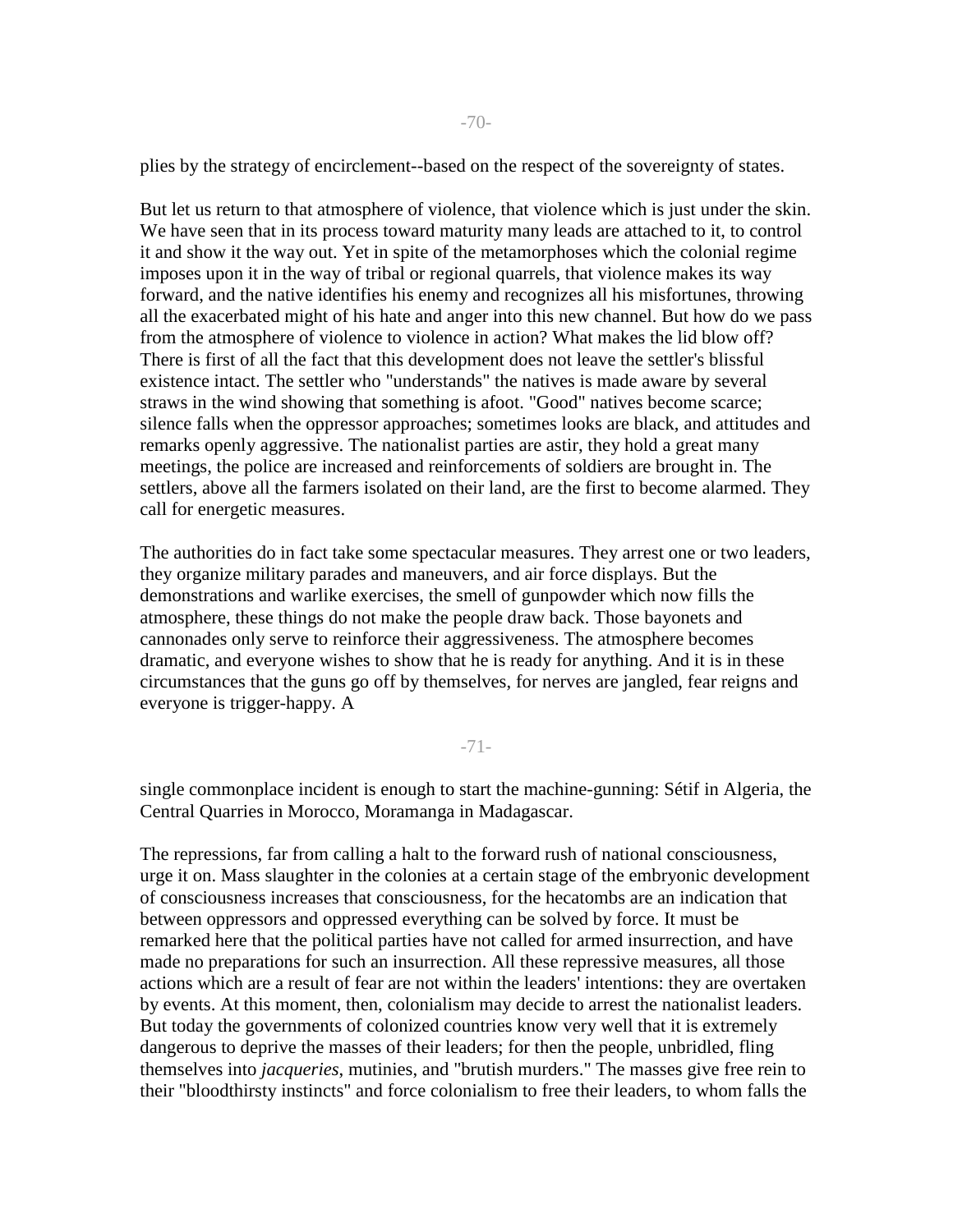plies by the strategy of encirclement--based on the respect of the sovereignty of states.

But let us return to that atmosphere of violence, that violence which is just under the skin. We have seen that in its process toward maturity many leads are attached to it, to control it and show it the way out. Yet in spite of the metamorphoses which the colonial regime imposes upon it in the way of tribal or regional quarrels, that violence makes its way forward, and the native identifies his enemy and recognizes all his misfortunes, throwing all the exacerbated might of his hate and anger into this new channel. But how do we pass from the atmosphere of violence to violence in action? What makes the lid blow off? There is first of all the fact that this development does not leave the settler's blissful existence intact. The settler who "understands" the natives is made aware by several straws in the wind showing that something is afoot. "Good" natives become scarce; silence falls when the oppressor approaches; sometimes looks are black, and attitudes and remarks openly aggressive. The nationalist parties are astir, they hold a great many meetings, the police are increased and reinforcements of soldiers are brought in. The settlers, above all the farmers isolated on their land, are the first to become alarmed. They call for energetic measures.

The authorities do in fact take some spectacular measures. They arrest one or two leaders, they organize military parades and maneuvers, and air force displays. But the demonstrations and warlike exercises, the smell of gunpowder which now fills the atmosphere, these things do not make the people draw back. Those bayonets and cannonades only serve to reinforce their aggressiveness. The atmosphere becomes dramatic, and everyone wishes to show that he is ready for anything. And it is in these circumstances that the guns go off by themselves, for nerves are jangled, fear reigns and everyone is trigger-happy. A

-71-

single commonplace incident is enough to start the machine-gunning: Sétif in Algeria, the Central Quarries in Morocco, Moramanga in Madagascar.

The repressions, far from calling a halt to the forward rush of national consciousness, urge it on. Mass slaughter in the colonies at a certain stage of the embryonic development of consciousness increases that consciousness, for the hecatombs are an indication that between oppressors and oppressed everything can be solved by force. It must be remarked here that the political parties have not called for armed insurrection, and have made no preparations for such an insurrection. All these repressive measures, all those actions which are a result of fear are not within the leaders' intentions: they are overtaken by events. At this moment, then, colonialism may decide to arrest the nationalist leaders. But today the governments of colonized countries know very well that it is extremely dangerous to deprive the masses of their leaders; for then the people, unbridled, fling themselves into *jacqueries*, mutinies, and "brutish murders." The masses give free rein to their "bloodthirsty instincts" and force colonialism to free their leaders, to whom falls the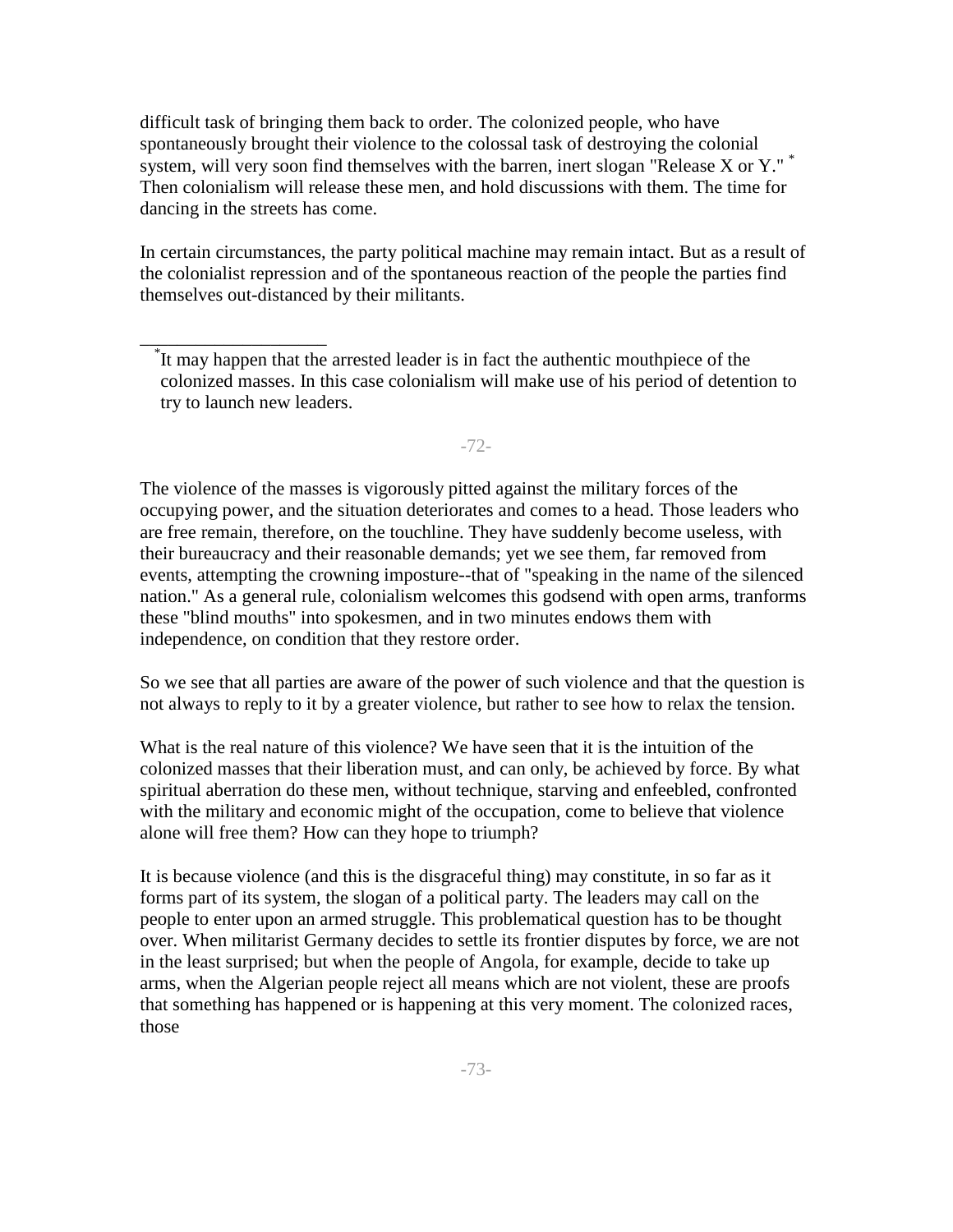difficult task of bringing them back to order. The colonized people, who have spontaneously brought their violence to the colossal task of destroying the colonial system, will very soon find themselves with the barren, inert slogan "Release X or Y." Then colonialism will release these men, and hold discussions with them. The time for dancing in the streets has come.

In certain circumstances, the party political machine may remain intact. But as a result of the colonialist repression and of the spontaneous reaction of the people the parties find themselves out-distanced by their militants.

\_\_\_\_\_\_\_\_\_\_\_\_\_\_\_\_\_\_\_\_

-72-

The violence of the masses is vigorously pitted against the military forces of the occupying power, and the situation deteriorates and comes to a head. Those leaders who are free remain, therefore, on the touchline. They have suddenly become useless, with their bureaucracy and their reasonable demands; yet we see them, far removed from events, attempting the crowning imposture--that of "speaking in the name of the silenced nation." As a general rule, colonialism welcomes this godsend with open arms, tranforms these "blind mouths" into spokesmen, and in two minutes endows them with independence, on condition that they restore order.

So we see that all parties are aware of the power of such violence and that the question is not always to reply to it by a greater violence, but rather to see how to relax the tension.

What is the real nature of this violence? We have seen that it is the intuition of the colonized masses that their liberation must, and can only, be achieved by force. By what spiritual aberration do these men, without technique, starving and enfeebled, confronted with the military and economic might of the occupation, come to believe that violence alone will free them? How can they hope to triumph?

It is because violence (and this is the disgraceful thing) may constitute, in so far as it forms part of its system, the slogan of a political party. The leaders may call on the people to enter upon an armed struggle. This problematical question has to be thought over. When militarist Germany decides to settle its frontier disputes by force, we are not in the least surprised; but when the people of Angola, for example, decide to take up arms, when the Algerian people reject all means which are not violent, these are proofs that something has happened or is happening at this very moment. The colonized races, those

<sup>\*</sup> It may happen that the arrested leader is in fact the authentic mouthpiece of the colonized masses. In this case colonialism will make use of his period of detention to try to launch new leaders.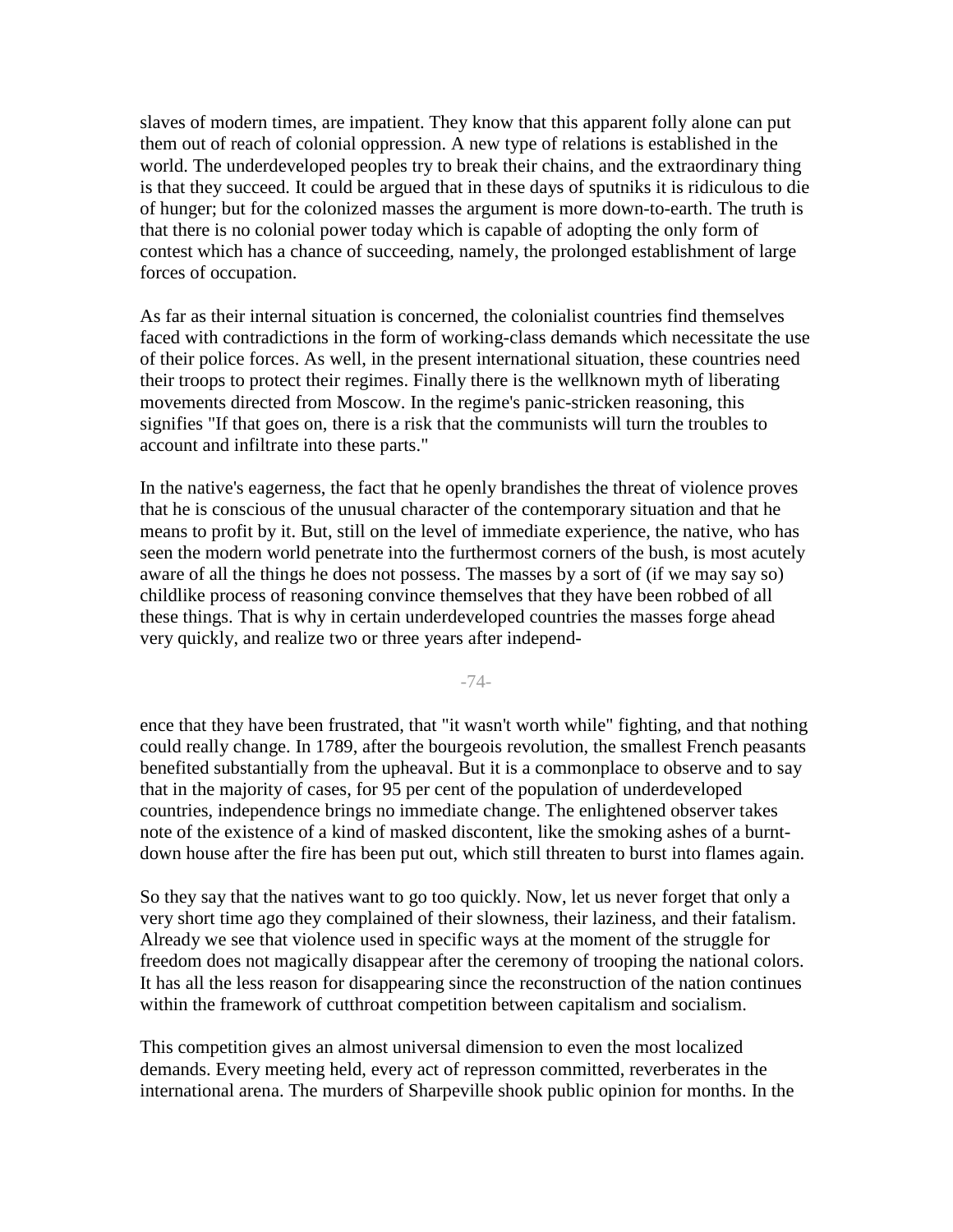slaves of modern times, are impatient. They know that this apparent folly alone can put them out of reach of colonial oppression. A new type of relations is established in the world. The underdeveloped peoples try to break their chains, and the extraordinary thing is that they succeed. It could be argued that in these days of sputniks it is ridiculous to die of hunger; but for the colonized masses the argument is more down-to-earth. The truth is that there is no colonial power today which is capable of adopting the only form of contest which has a chance of succeeding, namely, the prolonged establishment of large forces of occupation.

As far as their internal situation is concerned, the colonialist countries find themselves faced with contradictions in the form of working-class demands which necessitate the use of their police forces. As well, in the present international situation, these countries need their troops to protect their regimes. Finally there is the wellknown myth of liberating movements directed from Moscow. In the regime's panic-stricken reasoning, this signifies "If that goes on, there is a risk that the communists will turn the troubles to account and infiltrate into these parts."

In the native's eagerness, the fact that he openly brandishes the threat of violence proves that he is conscious of the unusual character of the contemporary situation and that he means to profit by it. But, still on the level of immediate experience, the native, who has seen the modern world penetrate into the furthermost corners of the bush, is most acutely aware of all the things he does not possess. The masses by a sort of (if we may say so) childlike process of reasoning convince themselves that they have been robbed of all these things. That is why in certain underdeveloped countries the masses forge ahead very quickly, and realize two or three years after independ-

-74-

ence that they have been frustrated, that "it wasn't worth while" fighting, and that nothing could really change. In 1789, after the bourgeois revolution, the smallest French peasants benefited substantially from the upheaval. But it is a commonplace to observe and to say that in the majority of cases, for 95 per cent of the population of underdeveloped countries, independence brings no immediate change. The enlightened observer takes note of the existence of a kind of masked discontent, like the smoking ashes of a burntdown house after the fire has been put out, which still threaten to burst into flames again.

So they say that the natives want to go too quickly. Now, let us never forget that only a very short time ago they complained of their slowness, their laziness, and their fatalism. Already we see that violence used in specific ways at the moment of the struggle for freedom does not magically disappear after the ceremony of trooping the national colors. It has all the less reason for disappearing since the reconstruction of the nation continues within the framework of cutthroat competition between capitalism and socialism.

This competition gives an almost universal dimension to even the most localized demands. Every meeting held, every act of represson committed, reverberates in the international arena. The murders of Sharpeville shook public opinion for months. In the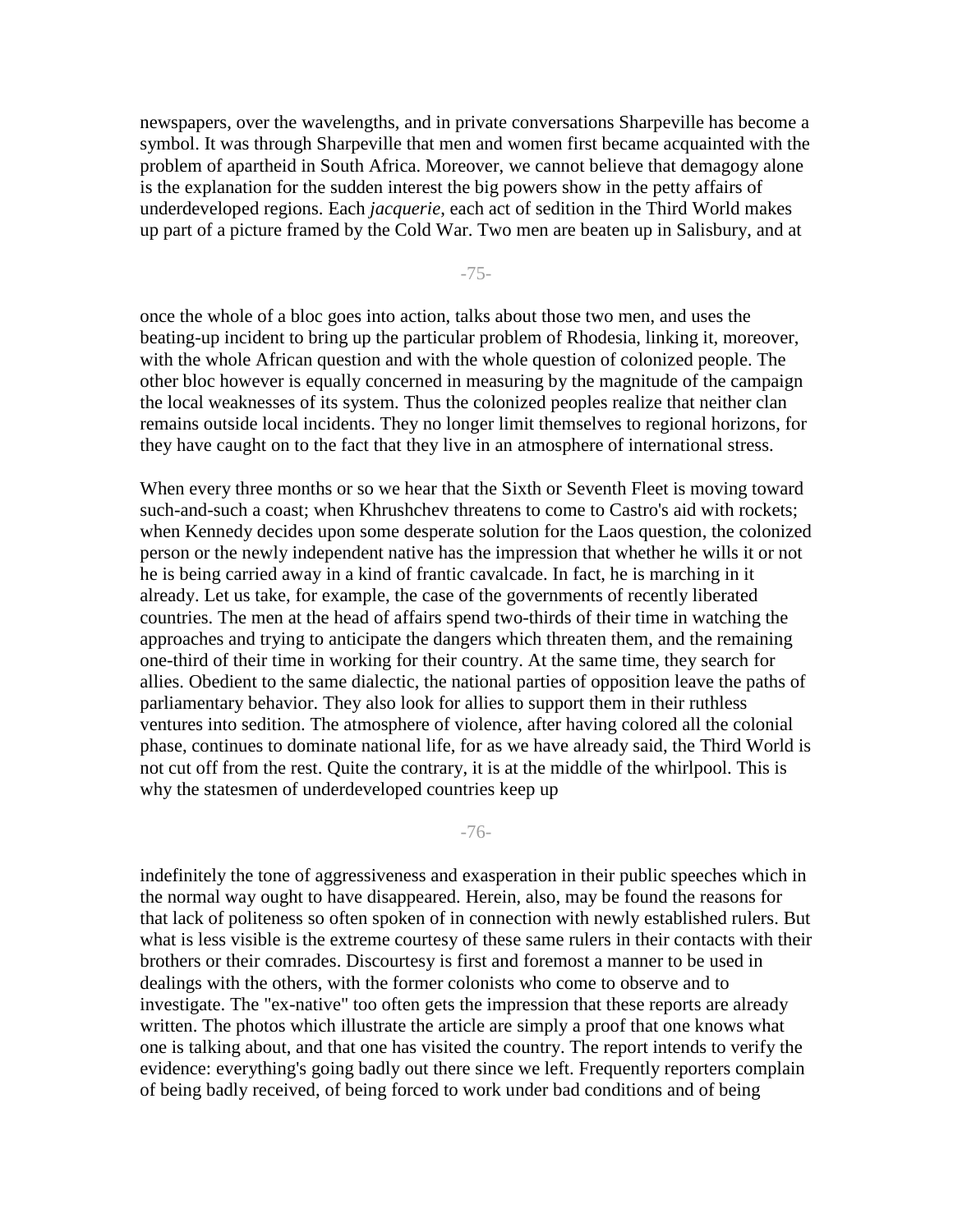newspapers, over the wavelengths, and in private conversations Sharpeville has become a symbol. It was through Sharpeville that men and women first became acquainted with the problem of apartheid in South Africa. Moreover, we cannot believe that demagogy alone is the explanation for the sudden interest the big powers show in the petty affairs of underdeveloped regions. Each *jacquerie*, each act of sedition in the Third World makes up part of a picture framed by the Cold War. Two men are beaten up in Salisbury, and at

-75-

once the whole of a bloc goes into action, talks about those two men, and uses the beating-up incident to bring up the particular problem of Rhodesia, linking it, moreover, with the whole African question and with the whole question of colonized people. The other bloc however is equally concerned in measuring by the magnitude of the campaign the local weaknesses of its system. Thus the colonized peoples realize that neither clan remains outside local incidents. They no longer limit themselves to regional horizons, for they have caught on to the fact that they live in an atmosphere of international stress.

When every three months or so we hear that the Sixth or Seventh Fleet is moving toward such-and-such a coast; when Khrushchev threatens to come to Castro's aid with rockets; when Kennedy decides upon some desperate solution for the Laos question, the colonized person or the newly independent native has the impression that whether he wills it or not he is being carried away in a kind of frantic cavalcade. In fact, he is marching in it already. Let us take, for example, the case of the governments of recently liberated countries. The men at the head of affairs spend two-thirds of their time in watching the approaches and trying to anticipate the dangers which threaten them, and the remaining one-third of their time in working for their country. At the same time, they search for allies. Obedient to the same dialectic, the national parties of opposition leave the paths of parliamentary behavior. They also look for allies to support them in their ruthless ventures into sedition. The atmosphere of violence, after having colored all the colonial phase, continues to dominate national life, for as we have already said, the Third World is not cut off from the rest. Quite the contrary, it is at the middle of the whirlpool. This is why the statesmen of underdeveloped countries keep up

-76-

indefinitely the tone of aggressiveness and exasperation in their public speeches which in the normal way ought to have disappeared. Herein, also, may be found the reasons for that lack of politeness so often spoken of in connection with newly established rulers. But what is less visible is the extreme courtesy of these same rulers in their contacts with their brothers or their comrades. Discourtesy is first and foremost a manner to be used in dealings with the others, with the former colonists who come to observe and to investigate. The "ex-native" too often gets the impression that these reports are already written. The photos which illustrate the article are simply a proof that one knows what one is talking about, and that one has visited the country. The report intends to verify the evidence: everything's going badly out there since we left. Frequently reporters complain of being badly received, of being forced to work under bad conditions and of being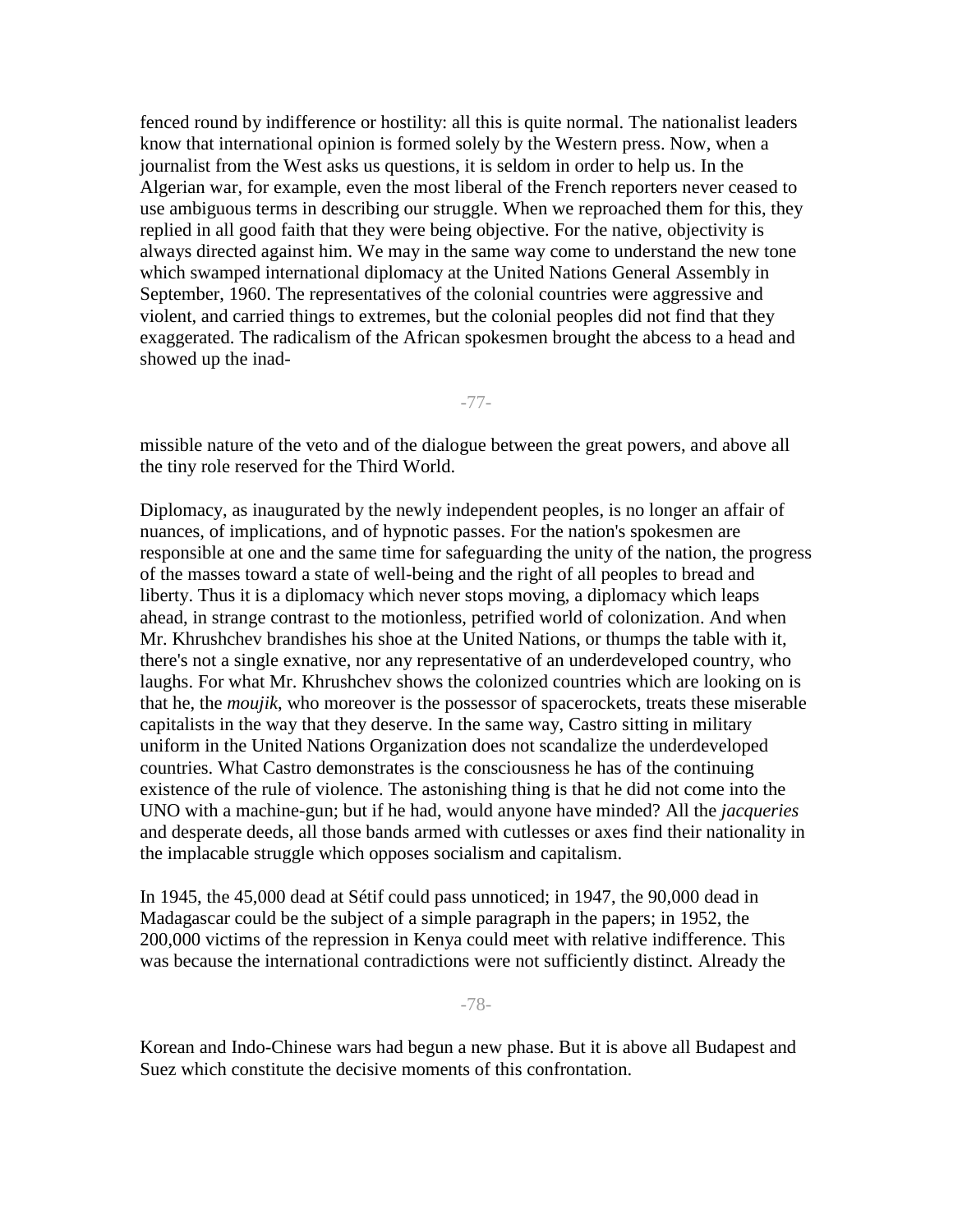fenced round by indifference or hostility: all this is quite normal. The nationalist leaders know that international opinion is formed solely by the Western press. Now, when a journalist from the West asks us questions, it is seldom in order to help us. In the Algerian war, for example, even the most liberal of the French reporters never ceased to use ambiguous terms in describing our struggle. When we reproached them for this, they replied in all good faith that they were being objective. For the native, objectivity is always directed against him. We may in the same way come to understand the new tone which swamped international diplomacy at the United Nations General Assembly in September, 1960. The representatives of the colonial countries were aggressive and violent, and carried things to extremes, but the colonial peoples did not find that they exaggerated. The radicalism of the African spokesmen brought the abcess to a head and showed up the inad-

-77-

missible nature of the veto and of the dialogue between the great powers, and above all the tiny role reserved for the Third World.

Diplomacy, as inaugurated by the newly independent peoples, is no longer an affair of nuances, of implications, and of hypnotic passes. For the nation's spokesmen are responsible at one and the same time for safeguarding the unity of the nation, the progress of the masses toward a state of well-being and the right of all peoples to bread and liberty. Thus it is a diplomacy which never stops moving, a diplomacy which leaps ahead, in strange contrast to the motionless, petrified world of colonization. And when Mr. Khrushchev brandishes his shoe at the United Nations, or thumps the table with it, there's not a single exnative, nor any representative of an underdeveloped country, who laughs. For what Mr. Khrushchev shows the colonized countries which are looking on is that he, the *moujik*, who moreover is the possessor of spacerockets, treats these miserable capitalists in the way that they deserve. In the same way, Castro sitting in military uniform in the United Nations Organization does not scandalize the underdeveloped countries. What Castro demonstrates is the consciousness he has of the continuing existence of the rule of violence. The astonishing thing is that he did not come into the UNO with a machine-gun; but if he had, would anyone have minded? All the *jacqueries* and desperate deeds, all those bands armed with cutlesses or axes find their nationality in the implacable struggle which opposes socialism and capitalism.

In 1945, the 45,000 dead at Sétif could pass unnoticed; in 1947, the 90,000 dead in Madagascar could be the subject of a simple paragraph in the papers; in 1952, the 200,000 victims of the repression in Kenya could meet with relative indifference. This was because the international contradictions were not sufficiently distinct. Already the

-78-

Korean and Indo-Chinese wars had begun a new phase. But it is above all Budapest and Suez which constitute the decisive moments of this confrontation.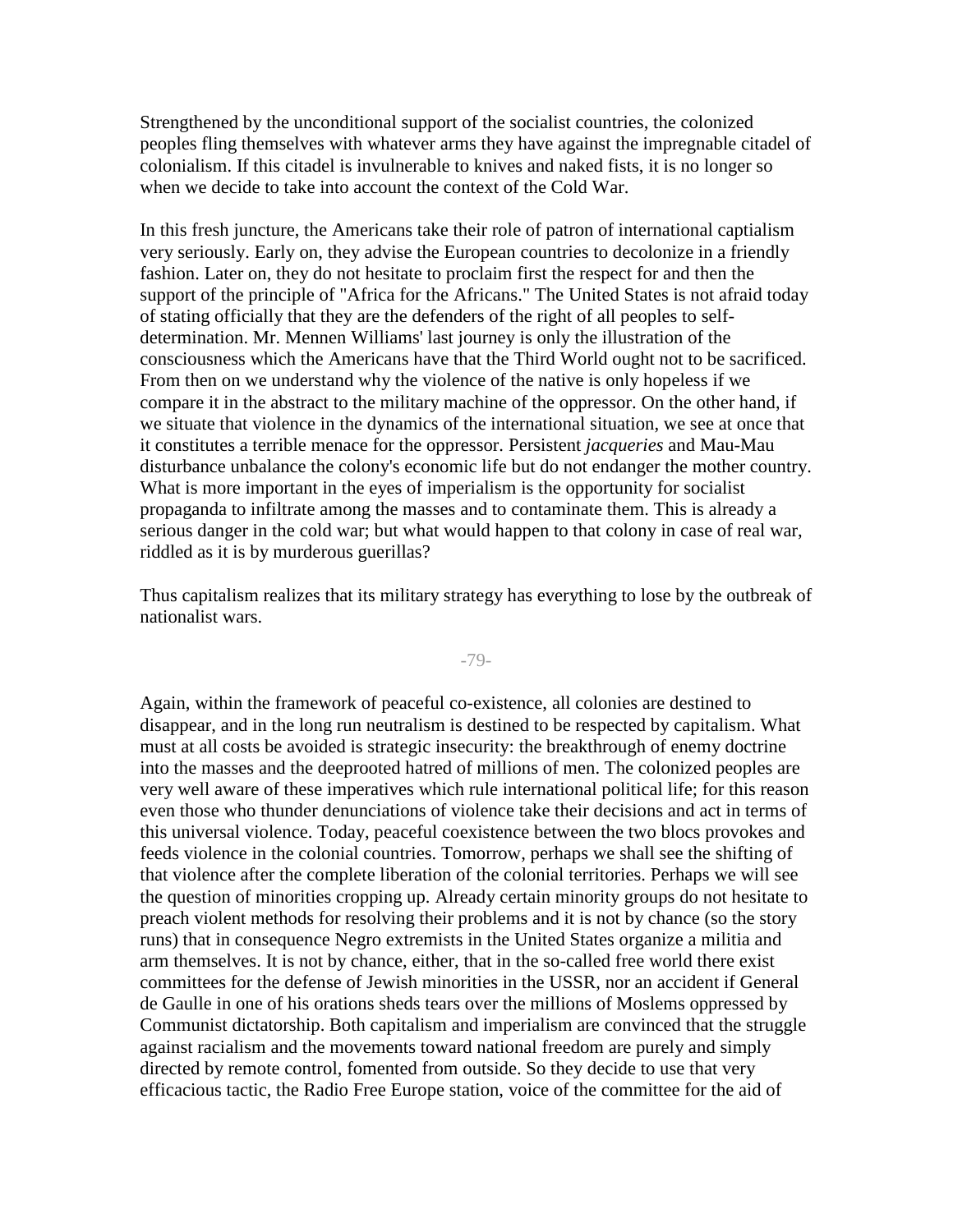Strengthened by the unconditional support of the socialist countries, the colonized peoples fling themselves with whatever arms they have against the impregnable citadel of colonialism. If this citadel is invulnerable to knives and naked fists, it is no longer so when we decide to take into account the context of the Cold War.

In this fresh juncture, the Americans take their role of patron of international captialism very seriously. Early on, they advise the European countries to decolonize in a friendly fashion. Later on, they do not hesitate to proclaim first the respect for and then the support of the principle of "Africa for the Africans." The United States is not afraid today of stating officially that they are the defenders of the right of all peoples to selfdetermination. Mr. Mennen Williams' last journey is only the illustration of the consciousness which the Americans have that the Third World ought not to be sacrificed. From then on we understand why the violence of the native is only hopeless if we compare it in the abstract to the military machine of the oppressor. On the other hand, if we situate that violence in the dynamics of the international situation, we see at once that it constitutes a terrible menace for the oppressor. Persistent *jacqueries* and Mau-Mau disturbance unbalance the colony's economic life but do not endanger the mother country. What is more important in the eyes of imperialism is the opportunity for socialist propaganda to infiltrate among the masses and to contaminate them. This is already a serious danger in the cold war; but what would happen to that colony in case of real war, riddled as it is by murderous guerillas?

Thus capitalism realizes that its military strategy has everything to lose by the outbreak of nationalist wars.

-79-

Again, within the framework of peaceful co-existence, all colonies are destined to disappear, and in the long run neutralism is destined to be respected by capitalism. What must at all costs be avoided is strategic insecurity: the breakthrough of enemy doctrine into the masses and the deeprooted hatred of millions of men. The colonized peoples are very well aware of these imperatives which rule international political life; for this reason even those who thunder denunciations of violence take their decisions and act in terms of this universal violence. Today, peaceful coexistence between the two blocs provokes and feeds violence in the colonial countries. Tomorrow, perhaps we shall see the shifting of that violence after the complete liberation of the colonial territories. Perhaps we will see the question of minorities cropping up. Already certain minority groups do not hesitate to preach violent methods for resolving their problems and it is not by chance (so the story runs) that in consequence Negro extremists in the United States organize a militia and arm themselves. It is not by chance, either, that in the so-called free world there exist committees for the defense of Jewish minorities in the USSR, nor an accident if General de Gaulle in one of his orations sheds tears over the millions of Moslems oppressed by Communist dictatorship. Both capitalism and imperialism are convinced that the struggle against racialism and the movements toward national freedom are purely and simply directed by remote control, fomented from outside. So they decide to use that very efficacious tactic, the Radio Free Europe station, voice of the committee for the aid of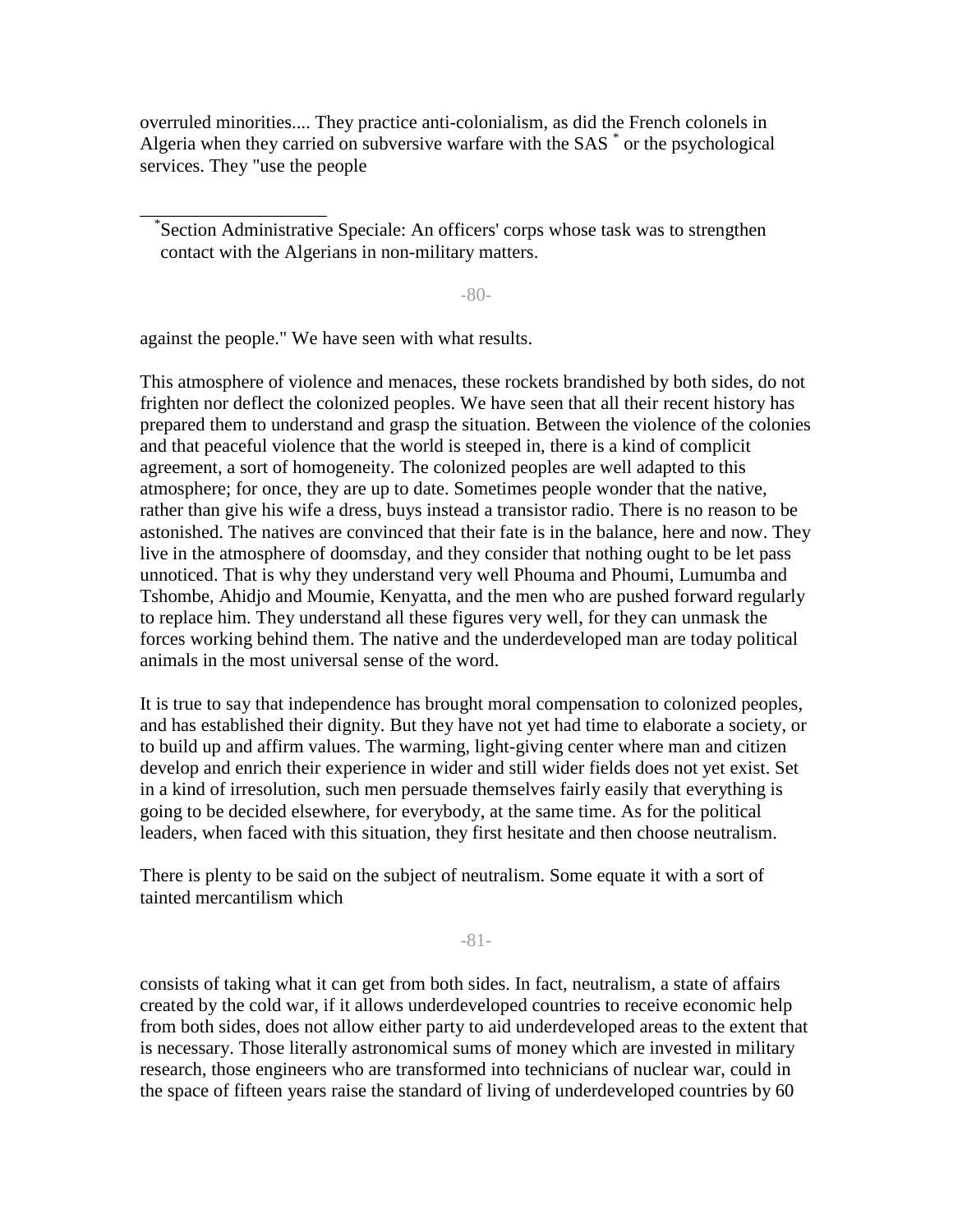overruled minorities.... They practice anti-colonialism, as did the French colonels in Algeria when they carried on subversive warfare with the SAS<sup>\*</sup> or the psychological services. They "use the people

-80-

against the people." We have seen with what results.

\_\_\_\_\_\_\_\_\_\_\_\_\_\_\_\_\_\_\_\_

This atmosphere of violence and menaces, these rockets brandished by both sides, do not frighten nor deflect the colonized peoples. We have seen that all their recent history has prepared them to understand and grasp the situation. Between the violence of the colonies and that peaceful violence that the world is steeped in, there is a kind of complicit agreement, a sort of homogeneity. The colonized peoples are well adapted to this atmosphere; for once, they are up to date. Sometimes people wonder that the native, rather than give his wife a dress, buys instead a transistor radio. There is no reason to be astonished. The natives are convinced that their fate is in the balance, here and now. They live in the atmosphere of doomsday, and they consider that nothing ought to be let pass unnoticed. That is why they understand very well Phouma and Phoumi, Lumumba and Tshombe, Ahidjo and Moumie, Kenyatta, and the men who are pushed forward regularly to replace him. They understand all these figures very well, for they can unmask the forces working behind them. The native and the underdeveloped man are today political animals in the most universal sense of the word.

It is true to say that independence has brought moral compensation to colonized peoples, and has established their dignity. But they have not yet had time to elaborate a society, or to build up and affirm values. The warming, light-giving center where man and citizen develop and enrich their experience in wider and still wider fields does not yet exist. Set in a kind of irresolution, such men persuade themselves fairly easily that everything is going to be decided elsewhere, for everybody, at the same time. As for the political leaders, when faced with this situation, they first hesitate and then choose neutralism.

There is plenty to be said on the subject of neutralism. Some equate it with a sort of tainted mercantilism which

-81-

consists of taking what it can get from both sides. In fact, neutralism, a state of affairs created by the cold war, if it allows underdeveloped countries to receive economic help from both sides, does not allow either party to aid underdeveloped areas to the extent that is necessary. Those literally astronomical sums of money which are invested in military research, those engineers who are transformed into technicians of nuclear war, could in the space of fifteen years raise the standard of living of underdeveloped countries by 60

<sup>\*</sup> Section Administrative Speciale: An officers' corps whose task was to strengthen contact with the Algerians in non-military matters.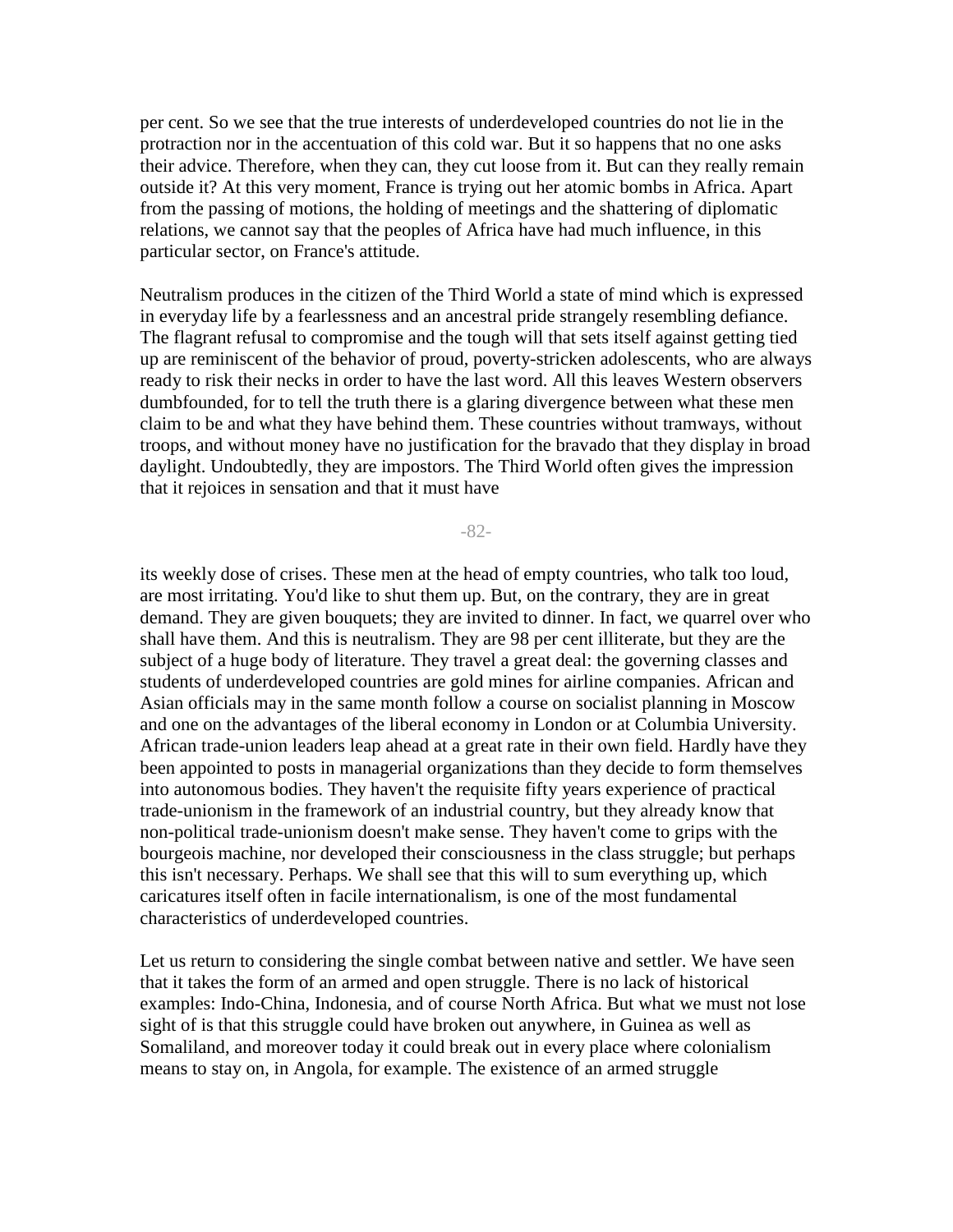per cent. So we see that the true interests of underdeveloped countries do not lie in the protraction nor in the accentuation of this cold war. But it so happens that no one asks their advice. Therefore, when they can, they cut loose from it. But can they really remain outside it? At this very moment, France is trying out her atomic bombs in Africa. Apart from the passing of motions, the holding of meetings and the shattering of diplomatic relations, we cannot say that the peoples of Africa have had much influence, in this particular sector, on France's attitude.

Neutralism produces in the citizen of the Third World a state of mind which is expressed in everyday life by a fearlessness and an ancestral pride strangely resembling defiance. The flagrant refusal to compromise and the tough will that sets itself against getting tied up are reminiscent of the behavior of proud, poverty-stricken adolescents, who are always ready to risk their necks in order to have the last word. All this leaves Western observers dumbfounded, for to tell the truth there is a glaring divergence between what these men claim to be and what they have behind them. These countries without tramways, without troops, and without money have no justification for the bravado that they display in broad daylight. Undoubtedly, they are impostors. The Third World often gives the impression that it rejoices in sensation and that it must have

-82-

its weekly dose of crises. These men at the head of empty countries, who talk too loud, are most irritating. You'd like to shut them up. But, on the contrary, they are in great demand. They are given bouquets; they are invited to dinner. In fact, we quarrel over who shall have them. And this is neutralism. They are 98 per cent illiterate, but they are the subject of a huge body of literature. They travel a great deal: the governing classes and students of underdeveloped countries are gold mines for airline companies. African and Asian officials may in the same month follow a course on socialist planning in Moscow and one on the advantages of the liberal economy in London or at Columbia University. African trade-union leaders leap ahead at a great rate in their own field. Hardly have they been appointed to posts in managerial organizations than they decide to form themselves into autonomous bodies. They haven't the requisite fifty years experience of practical trade-unionism in the framework of an industrial country, but they already know that non-political trade-unionism doesn't make sense. They haven't come to grips with the bourgeois machine, nor developed their consciousness in the class struggle; but perhaps this isn't necessary. Perhaps. We shall see that this will to sum everything up, which caricatures itself often in facile internationalism, is one of the most fundamental characteristics of underdeveloped countries.

Let us return to considering the single combat between native and settler. We have seen that it takes the form of an armed and open struggle. There is no lack of historical examples: Indo-China, Indonesia, and of course North Africa. But what we must not lose sight of is that this struggle could have broken out anywhere, in Guinea as well as Somaliland, and moreover today it could break out in every place where colonialism means to stay on, in Angola, for example. The existence of an armed struggle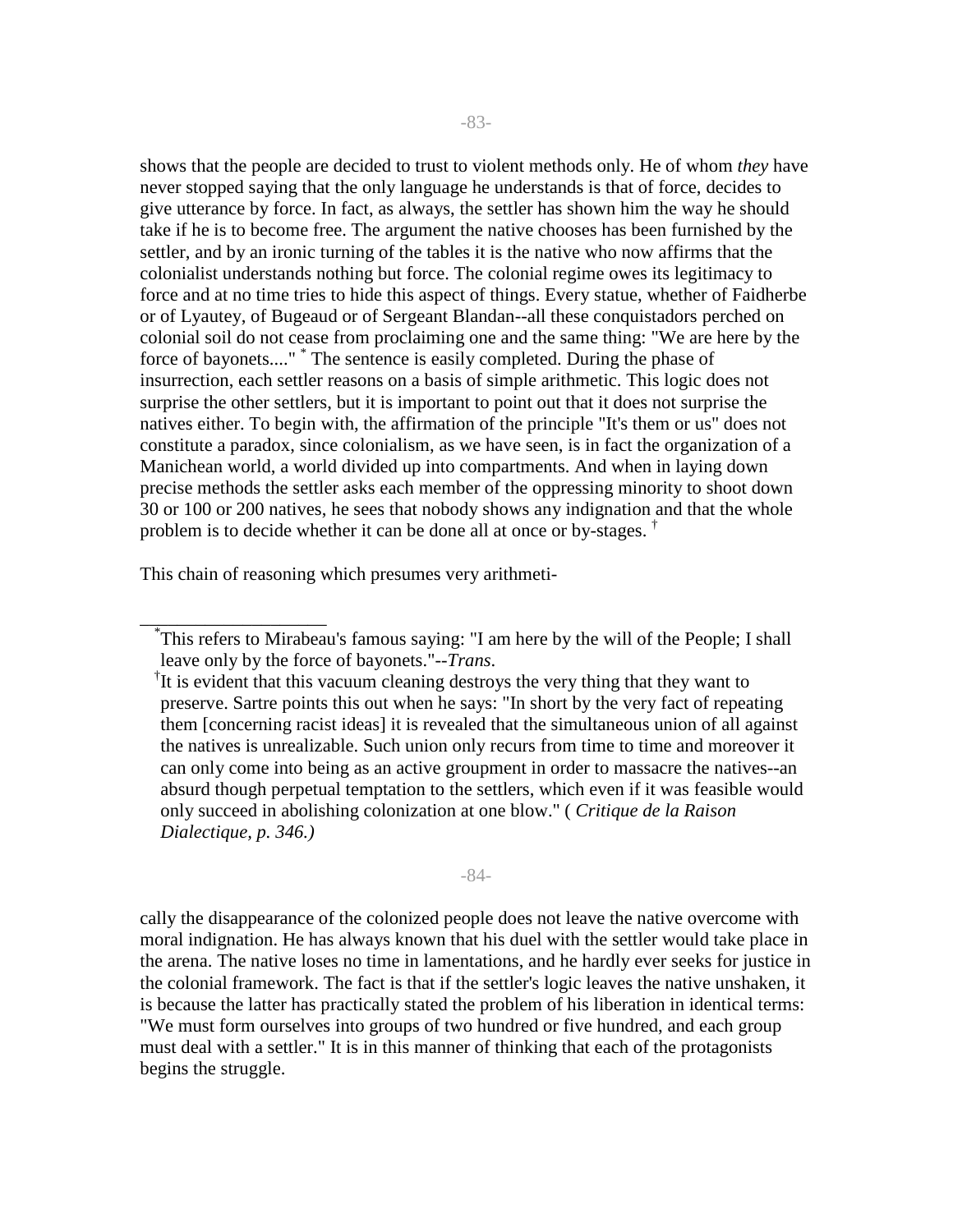shows that the people are decided to trust to violent methods only. He of whom *they* have never stopped saying that the only language he understands is that of force, decides to give utterance by force. In fact, as always, the settler has shown him the way he should take if he is to become free. The argument the native chooses has been furnished by the settler, and by an ironic turning of the tables it is the native who now affirms that the colonialist understands nothing but force. The colonial regime owes its legitimacy to force and at no time tries to hide this aspect of things. Every statue, whether of Faidherbe or of Lyautey, of Bugeaud or of Sergeant Blandan--all these conquistadors perched on colonial soil do not cease from proclaiming one and the same thing: "We are here by the force of bayonets...." \* The sentence is easily completed. During the phase of insurrection, each settler reasons on a basis of simple arithmetic. This logic does not surprise the other settlers, but it is important to point out that it does not surprise the natives either. To begin with, the affirmation of the principle "It's them or us" does not constitute a paradox, since colonialism, as we have seen, is in fact the organization of a Manichean world, a world divided up into compartments. And when in laying down precise methods the settler asks each member of the oppressing minority to shoot down 30 or 100 or 200 natives, he sees that nobody shows any indignation and that the whole problem is to decide whether it can be done all at once or by-stages. †

This chain of reasoning which presumes very arithmeti-

\_\_\_\_\_\_\_\_\_\_\_\_\_\_\_\_\_\_\_\_

-84-

cally the disappearance of the colonized people does not leave the native overcome with moral indignation. He has always known that his duel with the settler would take place in the arena. The native loses no time in lamentations, and he hardly ever seeks for justice in the colonial framework. The fact is that if the settler's logic leaves the native unshaken, it is because the latter has practically stated the problem of his liberation in identical terms: "We must form ourselves into groups of two hundred or five hundred, and each group must deal with a settler." It is in this manner of thinking that each of the protagonists begins the struggle.

<sup>\*</sup> This refers to Mirabeau's famous saying: "I am here by the will of the People; I shall leave only by the force of bayonets."--*Trans*.

<sup>&</sup>lt;sup>†</sup>It is evident that this vacuum cleaning destroys the very thing that they want to preserve. Sartre points this out when he says: "In short by the very fact of repeating them [concerning racist ideas] it is revealed that the simultaneous union of all against the natives is unrealizable. Such union only recurs from time to time and moreover it can only come into being as an active groupment in order to massacre the natives--an absurd though perpetual temptation to the settlers, which even if it was feasible would only succeed in abolishing colonization at one blow." ( *Critique de la Raison Dialectique, p. 346.)*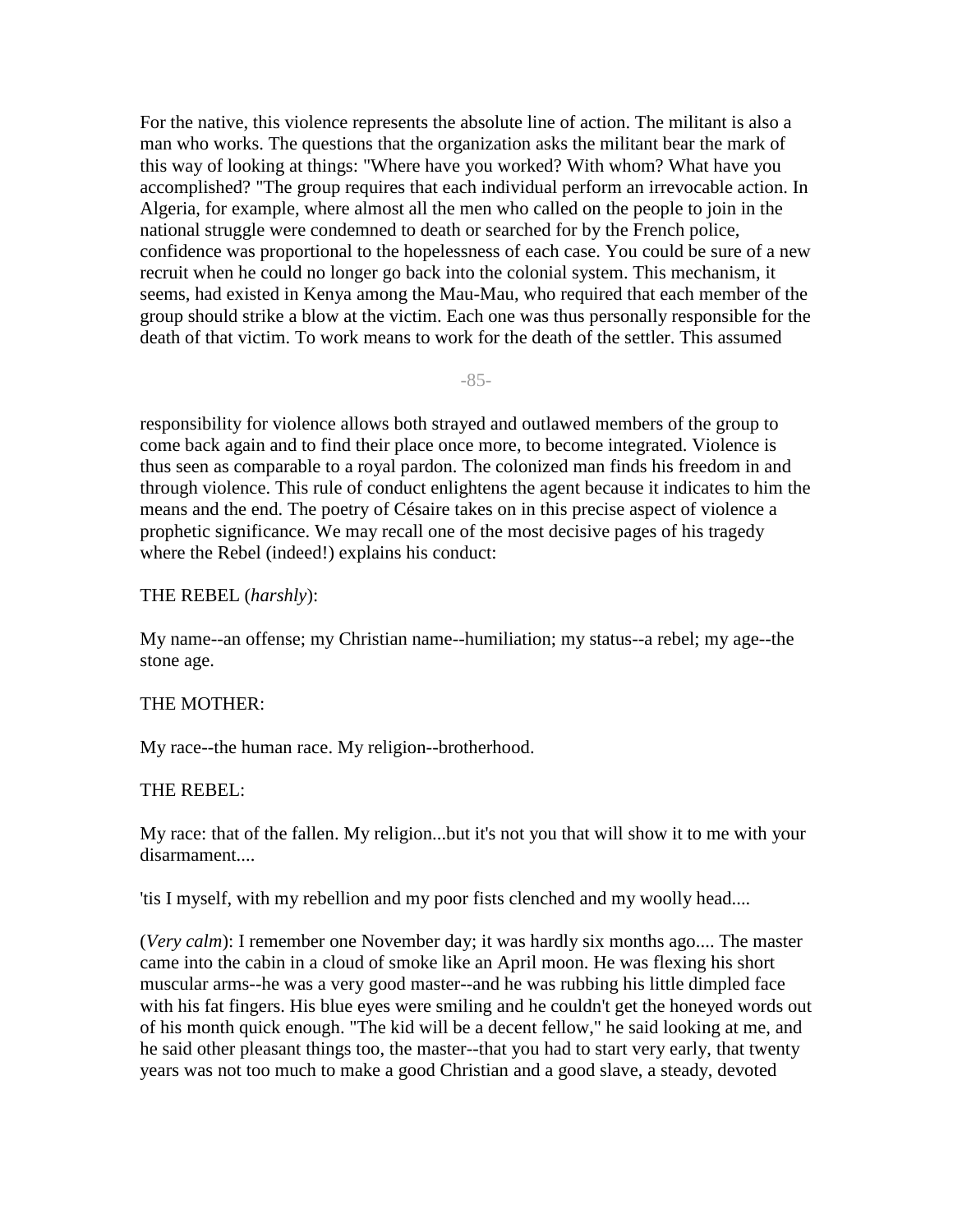For the native, this violence represents the absolute line of action. The militant is also a man who works. The questions that the organization asks the militant bear the mark of this way of looking at things: "Where have you worked? With whom? What have you accomplished? "The group requires that each individual perform an irrevocable action. In Algeria, for example, where almost all the men who called on the people to join in the national struggle were condemned to death or searched for by the French police, confidence was proportional to the hopelessness of each case. You could be sure of a new recruit when he could no longer go back into the colonial system. This mechanism, it seems, had existed in Kenya among the Mau-Mau, who required that each member of the group should strike a blow at the victim. Each one was thus personally responsible for the death of that victim. To work means to work for the death of the settler. This assumed

-85-

responsibility for violence allows both strayed and outlawed members of the group to come back again and to find their place once more, to become integrated. Violence is thus seen as comparable to a royal pardon. The colonized man finds his freedom in and through violence. This rule of conduct enlightens the agent because it indicates to him the means and the end. The poetry of Césaire takes on in this precise aspect of violence a prophetic significance. We may recall one of the most decisive pages of his tragedy where the Rebel (indeed!) explains his conduct:

#### THE REBEL (*harshly*):

My name--an offense; my Christian name--humiliation; my status--a rebel; my age--the stone age.

# THE MOTHER:

My race--the human race. My religion--brotherhood.

# THE REBEL:

My race: that of the fallen. My religion...but it's not you that will show it to me with your disarmament....

'tis I myself, with my rebellion and my poor fists clenched and my woolly head....

(*Very calm*): I remember one November day; it was hardly six months ago.... The master came into the cabin in a cloud of smoke like an April moon. He was flexing his short muscular arms--he was a very good master--and he was rubbing his little dimpled face with his fat fingers. His blue eyes were smiling and he couldn't get the honeyed words out of his month quick enough. "The kid will be a decent fellow," he said looking at me, and he said other pleasant things too, the master--that you had to start very early, that twenty years was not too much to make a good Christian and a good slave, a steady, devoted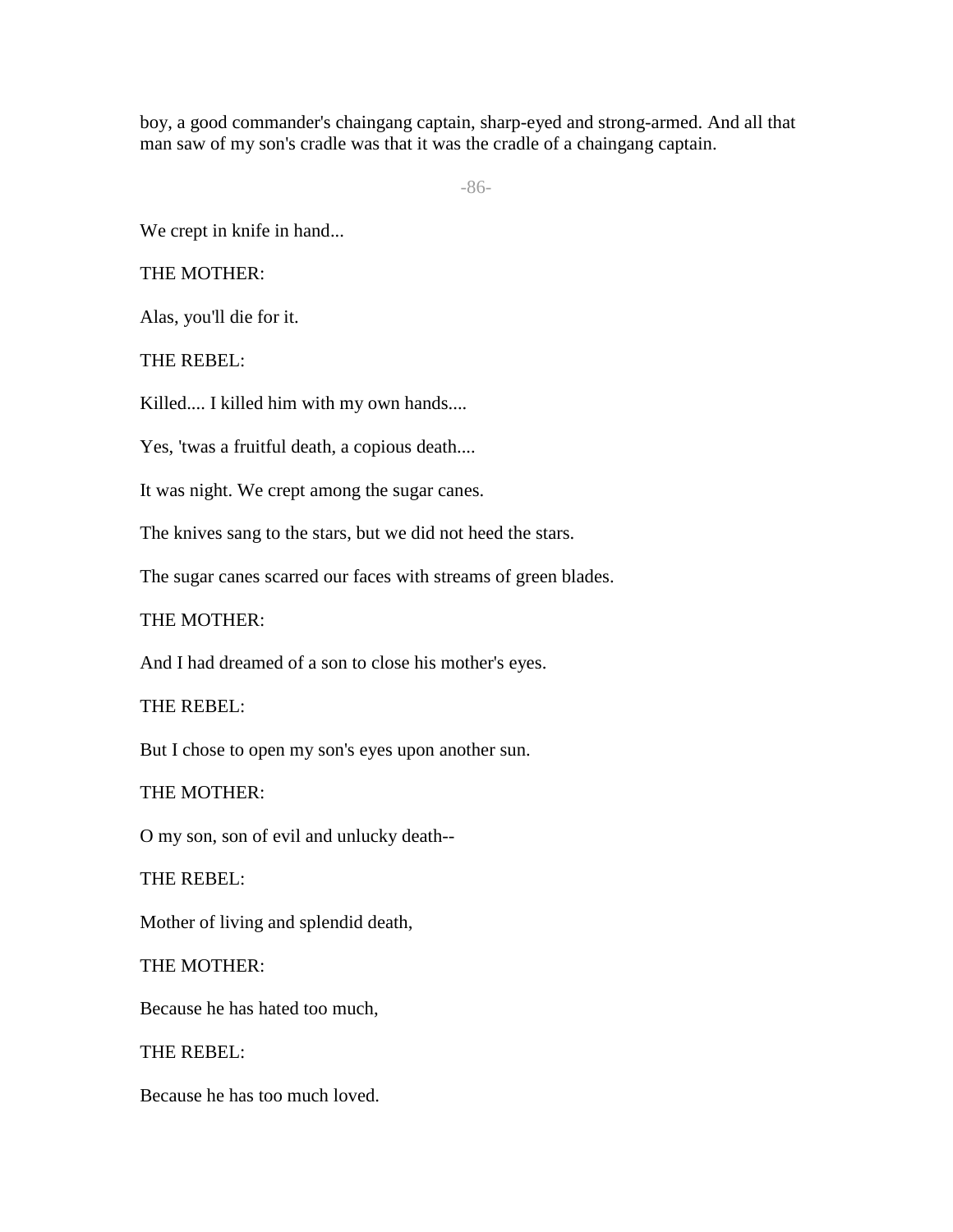boy, a good commander's chaingang captain, sharp-eyed and strong-armed. And all that man saw of my son's cradle was that it was the cradle of a chaingang captain.

-86-

We crept in knife in hand...

# THE MOTHER:

Alas, you'll die for it.

# THE REBEL:

Killed.... I killed him with my own hands....

Yes, 'twas a fruitful death, a copious death....

It was night. We crept among the sugar canes.

The knives sang to the stars, but we did not heed the stars.

The sugar canes scarred our faces with streams of green blades.

# THE MOTHER:

And I had dreamed of a son to close his mother's eyes.

# THE REBEL:

But I chose to open my son's eyes upon another sun.

# THE MOTHER:

O my son, son of evil and unlucky death--

#### THE REBEL:

Mother of living and splendid death,

# THE MOTHER:

Because he has hated too much,

# THE REBEL:

Because he has too much loved.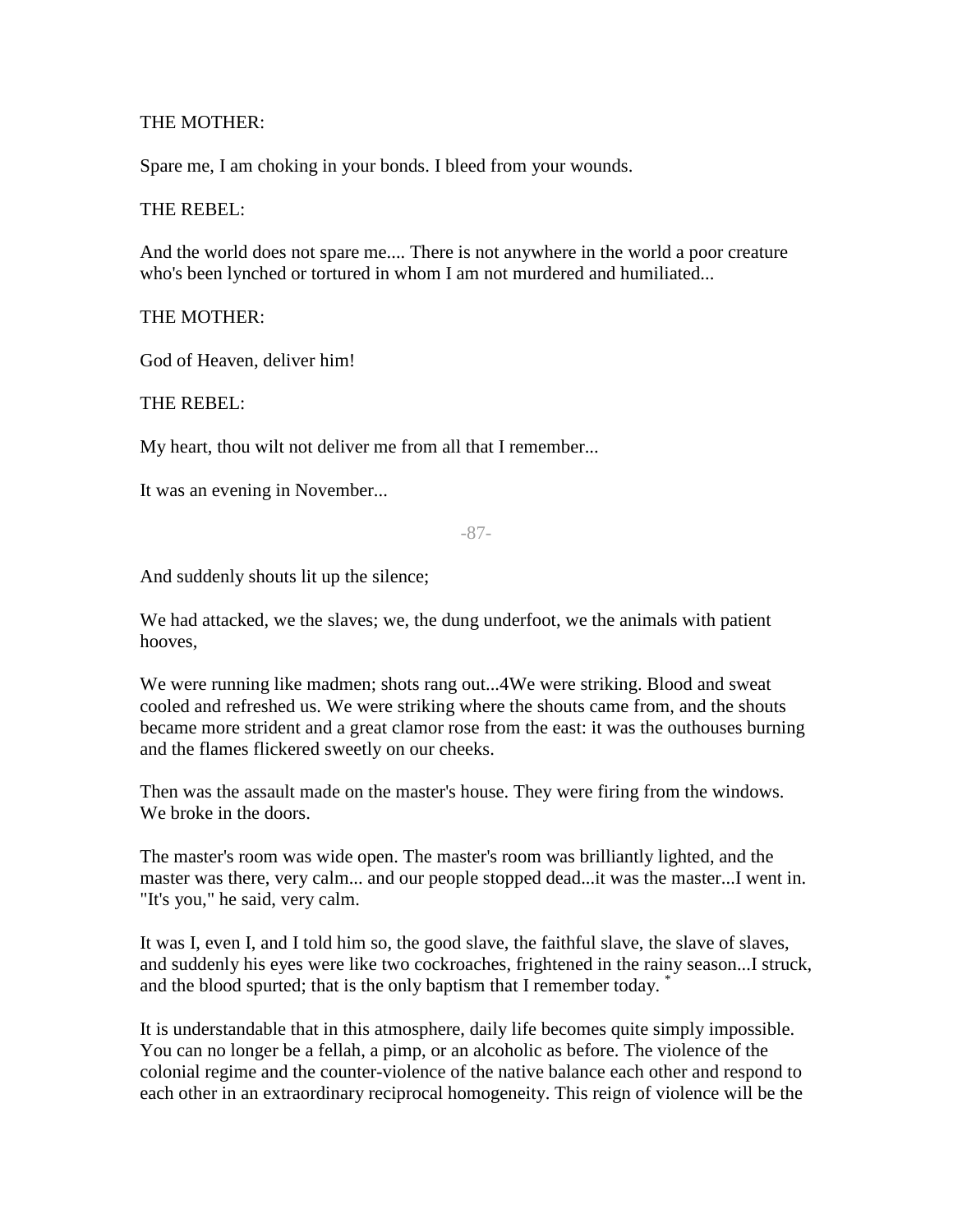# THE MOTHER:

Spare me, I am choking in your bonds. I bleed from your wounds.

#### THE REBEL:

And the world does not spare me.... There is not anywhere in the world a poor creature who's been lynched or tortured in whom I am not murdered and humiliated...

#### THE MOTHER:

God of Heaven, deliver him!

#### THE REBEL:

My heart, thou wilt not deliver me from all that I remember...

It was an evening in November...

-87-

And suddenly shouts lit up the silence;

We had attacked, we the slaves; we, the dung underfoot, we the animals with patient hooves,

We were running like madmen; shots rang out...4We were striking. Blood and sweat cooled and refreshed us. We were striking where the shouts came from, and the shouts became more strident and a great clamor rose from the east: it was the outhouses burning and the flames flickered sweetly on our cheeks.

Then was the assault made on the master's house. They were firing from the windows. We broke in the doors.

The master's room was wide open. The master's room was brilliantly lighted, and the master was there, very calm... and our people stopped dead...it was the master...I went in. "It's you," he said, very calm.

It was I, even I, and I told him so, the good slave, the faithful slave, the slave of slaves, and suddenly his eyes were like two cockroaches, frightened in the rainy season...I struck, and the blood spurted; that is the only baptism that I remember today.

It is understandable that in this atmosphere, daily life becomes quite simply impossible. You can no longer be a fellah, a pimp, or an alcoholic as before. The violence of the colonial regime and the counter-violence of the native balance each other and respond to each other in an extraordinary reciprocal homogeneity. This reign of violence will be the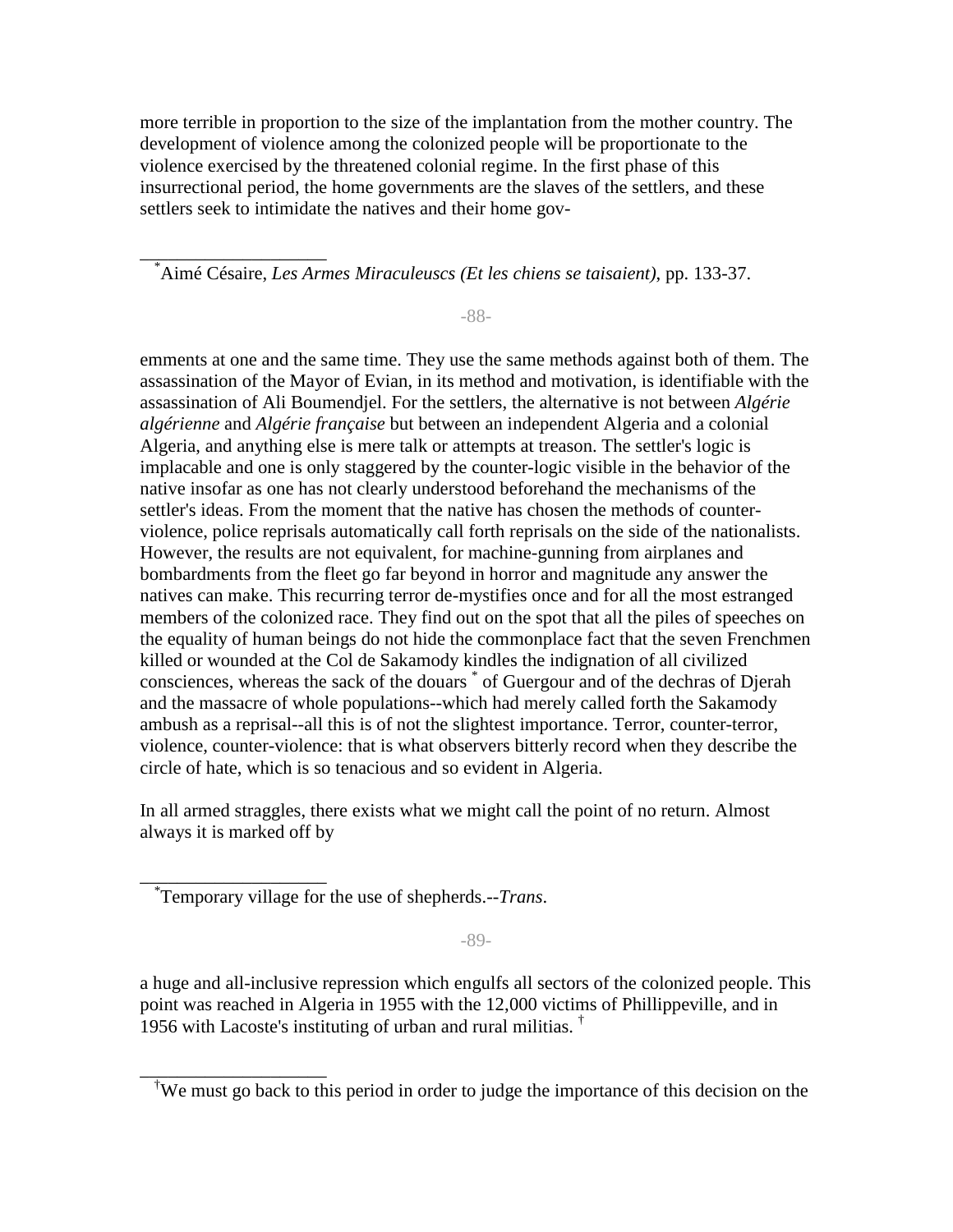more terrible in proportion to the size of the implantation from the mother country. The development of violence among the colonized people will be proportionate to the violence exercised by the threatened colonial regime. In the first phase of this insurrectional period, the home governments are the slaves of the settlers, and these settlers seek to intimidate the natives and their home gov-

\*Aimé Césaire, *Les Armes Miraculeuscs (Et les chiens se taisaient)*, pp. 133-37.

\_\_\_\_\_\_\_\_\_\_\_\_\_\_\_\_\_\_\_\_

-88-

emments at one and the same time. They use the same methods against both of them. The assassination of the Mayor of Evian, in its method and motivation, is identifiable with the assassination of Ali Boumendjel. For the settlers, the alternative is not between *Algérie algérienne* and *Algérie française* but between an independent Algeria and a colonial Algeria, and anything else is mere talk or attempts at treason. The settler's logic is implacable and one is only staggered by the counter-logic visible in the behavior of the native insofar as one has not clearly understood beforehand the mechanisms of the settler's ideas. From the moment that the native has chosen the methods of counterviolence, police reprisals automatically call forth reprisals on the side of the nationalists. However, the results are not equivalent, for machine-gunning from airplanes and bombardments from the fleet go far beyond in horror and magnitude any answer the natives can make. This recurring terror de-mystifies once and for all the most estranged members of the colonized race. They find out on the spot that all the piles of speeches on the equality of human beings do not hide the commonplace fact that the seven Frenchmen killed or wounded at the Col de Sakamody kindles the indignation of all civilized consciences, whereas the sack of the douars  $*$  of Guergour and of the dechras of Djerah and the massacre of whole populations--which had merely called forth the Sakamody ambush as a reprisal--all this is of not the slightest importance. Terror, counter-terror, violence, counter-violence: that is what observers bitterly record when they describe the circle of hate, which is so tenacious and so evident in Algeria.

In all armed straggles, there exists what we might call the point of no return. Almost always it is marked off by

\* Temporary village for the use of shepherds.--*Trans*.

\_\_\_\_\_\_\_\_\_\_\_\_\_\_\_\_\_\_\_\_

\_\_\_\_\_\_\_\_\_\_\_\_\_\_\_\_\_\_\_\_

-89-

a huge and all-inclusive repression which engulfs all sectors of the colonized people. This point was reached in Algeria in 1955 with the 12,000 victims of Phillippeville, and in 1956 with Lacoste's instituting of urban and rural militias.  $\dagger$ 

<sup>&</sup>lt;sup>†</sup>We must go back to this period in order to judge the importance of this decision on the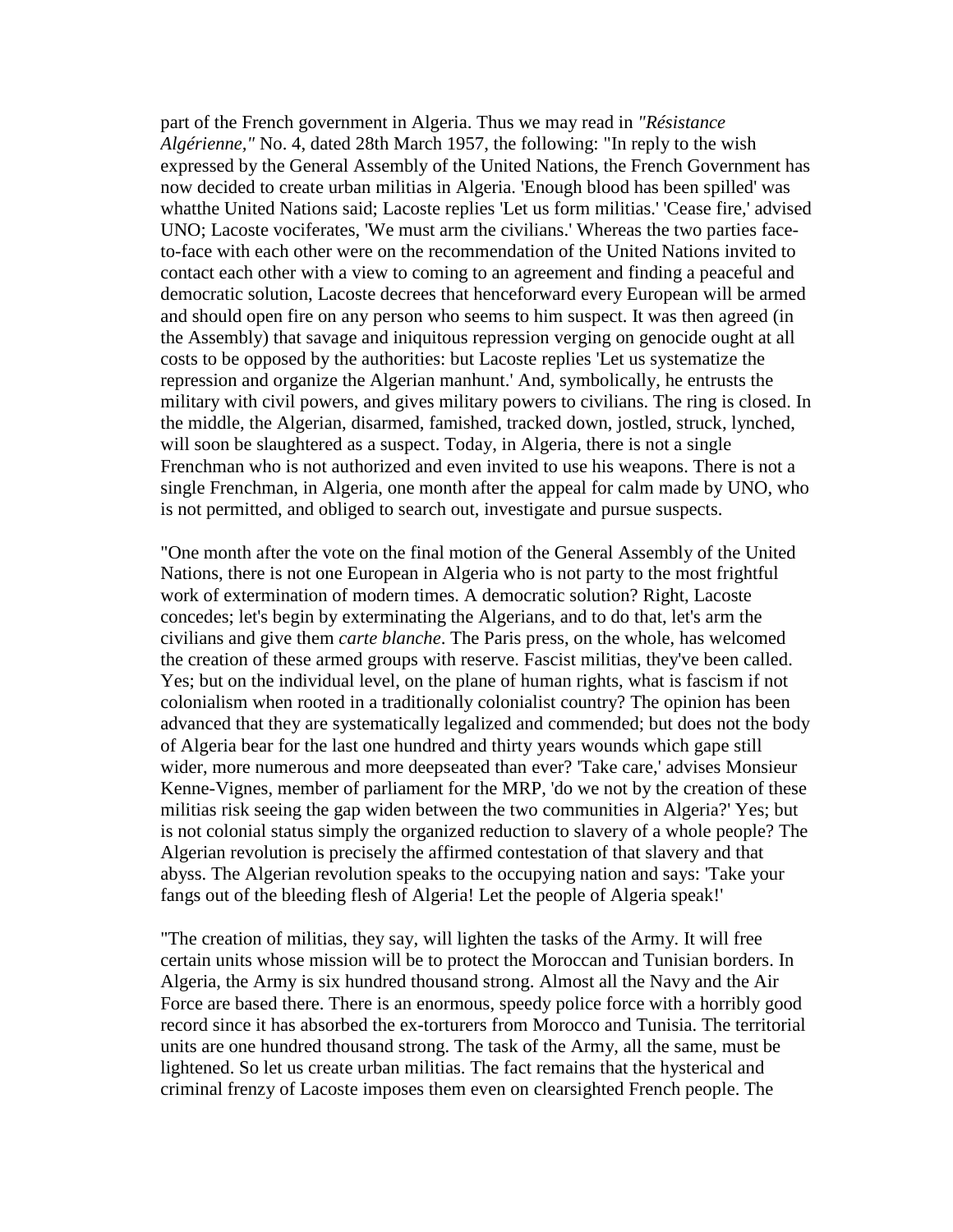part of the French government in Algeria. Thus we may read in *"Résistance Algérienne,"* No. 4, dated 28th March 1957, the following: "In reply to the wish expressed by the General Assembly of the United Nations, the French Government has now decided to create urban militias in Algeria. 'Enough blood has been spilled' was whatthe United Nations said; Lacoste replies 'Let us form militias.' 'Cease fire,' advised UNO; Lacoste vociferates, 'We must arm the civilians.' Whereas the two parties faceto-face with each other were on the recommendation of the United Nations invited to contact each other with a view to coming to an agreement and finding a peaceful and democratic solution, Lacoste decrees that henceforward every European will be armed and should open fire on any person who seems to him suspect. It was then agreed (in the Assembly) that savage and iniquitous repression verging on genocide ought at all costs to be opposed by the authorities: but Lacoste replies 'Let us systematize the repression and organize the Algerian manhunt.' And, symbolically, he entrusts the military with civil powers, and gives military powers to civilians. The ring is closed. In the middle, the Algerian, disarmed, famished, tracked down, jostled, struck, lynched, will soon be slaughtered as a suspect. Today, in Algeria, there is not a single Frenchman who is not authorized and even invited to use his weapons. There is not a single Frenchman, in Algeria, one month after the appeal for calm made by UNO, who is not permitted, and obliged to search out, investigate and pursue suspects.

"One month after the vote on the final motion of the General Assembly of the United Nations, there is not one European in Algeria who is not party to the most frightful work of extermination of modern times. A democratic solution? Right, Lacoste concedes; let's begin by exterminating the Algerians, and to do that, let's arm the civilians and give them *carte blanche*. The Paris press, on the whole, has welcomed the creation of these armed groups with reserve. Fascist militias, they've been called. Yes; but on the individual level, on the plane of human rights, what is fascism if not colonialism when rooted in a traditionally colonialist country? The opinion has been advanced that they are systematically legalized and commended; but does not the body of Algeria bear for the last one hundred and thirty years wounds which gape still wider, more numerous and more deepseated than ever? 'Take care,' advises Monsieur Kenne-Vignes, member of parliament for the MRP, 'do we not by the creation of these militias risk seeing the gap widen between the two communities in Algeria?' Yes; but is not colonial status simply the organized reduction to slavery of a whole people? The Algerian revolution is precisely the affirmed contestation of that slavery and that abyss. The Algerian revolution speaks to the occupying nation and says: 'Take your fangs out of the bleeding flesh of Algeria! Let the people of Algeria speak!'

"The creation of militias, they say, will lighten the tasks of the Army. It will free certain units whose mission will be to protect the Moroccan and Tunisian borders. In Algeria, the Army is six hundred thousand strong. Almost all the Navy and the Air Force are based there. There is an enormous, speedy police force with a horribly good record since it has absorbed the ex-torturers from Morocco and Tunisia. The territorial units are one hundred thousand strong. The task of the Army, all the same, must be lightened. So let us create urban militias. The fact remains that the hysterical and criminal frenzy of Lacoste imposes them even on clearsighted French people. The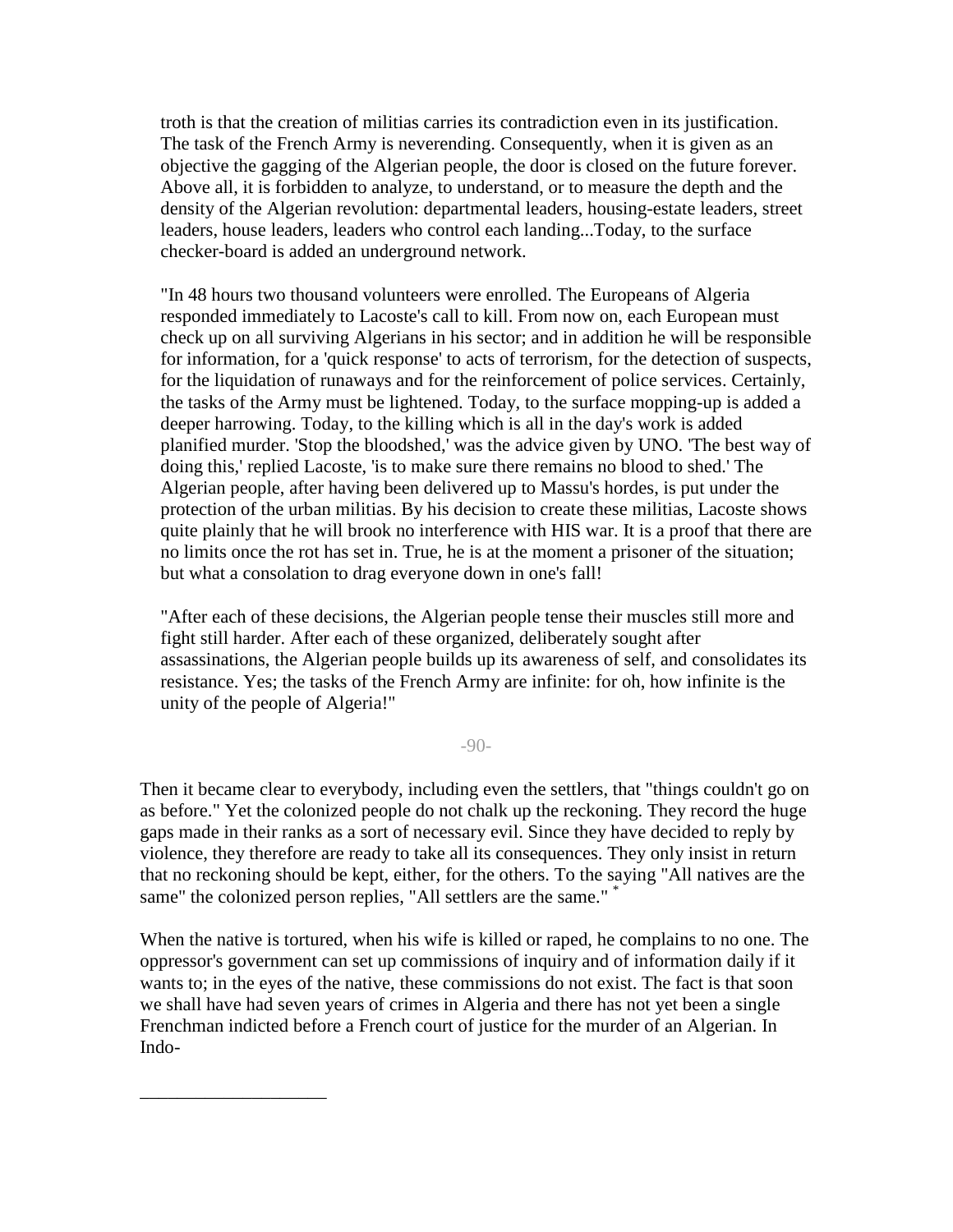troth is that the creation of militias carries its contradiction even in its justification. The task of the French Army is neverending. Consequently, when it is given as an objective the gagging of the Algerian people, the door is closed on the future forever. Above all, it is forbidden to analyze, to understand, or to measure the depth and the density of the Algerian revolution: departmental leaders, housing-estate leaders, street leaders, house leaders, leaders who control each landing...Today, to the surface checker-board is added an underground network.

"In 48 hours two thousand volunteers were enrolled. The Europeans of Algeria responded immediately to Lacoste's call to kill. From now on, each European must check up on all surviving Algerians in his sector; and in addition he will be responsible for information, for a 'quick response' to acts of terrorism, for the detection of suspects, for the liquidation of runaways and for the reinforcement of police services. Certainly, the tasks of the Army must be lightened. Today, to the surface mopping-up is added a deeper harrowing. Today, to the killing which is all in the day's work is added planified murder. 'Stop the bloodshed,' was the advice given by UNO. 'The best way of doing this,' replied Lacoste, 'is to make sure there remains no blood to shed.' The Algerian people, after having been delivered up to Massu's hordes, is put under the protection of the urban militias. By his decision to create these militias, Lacoste shows quite plainly that he will brook no interference with HIS war. It is a proof that there are no limits once the rot has set in. True, he is at the moment a prisoner of the situation; but what a consolation to drag everyone down in one's fall!

"After each of these decisions, the Algerian people tense their muscles still more and fight still harder. After each of these organized, deliberately sought after assassinations, the Algerian people builds up its awareness of self, and consolidates its resistance. Yes; the tasks of the French Army are infinite: for oh, how infinite is the unity of the people of Algeria!"

-90-

Then it became clear to everybody, including even the settlers, that "things couldn't go on as before." Yet the colonized people do not chalk up the reckoning. They record the huge gaps made in their ranks as a sort of necessary evil. Since they have decided to reply by violence, they therefore are ready to take all its consequences. They only insist in return that no reckoning should be kept, either, for the others. To the saying "All natives are the same" the colonized person replies, "All settlers are the same."<sup>\*</sup>

When the native is tortured, when his wife is killed or raped, he complains to no one. The oppressor's government can set up commissions of inquiry and of information daily if it wants to; in the eyes of the native, these commissions do not exist. The fact is that soon we shall have had seven years of crimes in Algeria and there has not yet been a single Frenchman indicted before a French court of justice for the murder of an Algerian. In Indo-

\_\_\_\_\_\_\_\_\_\_\_\_\_\_\_\_\_\_\_\_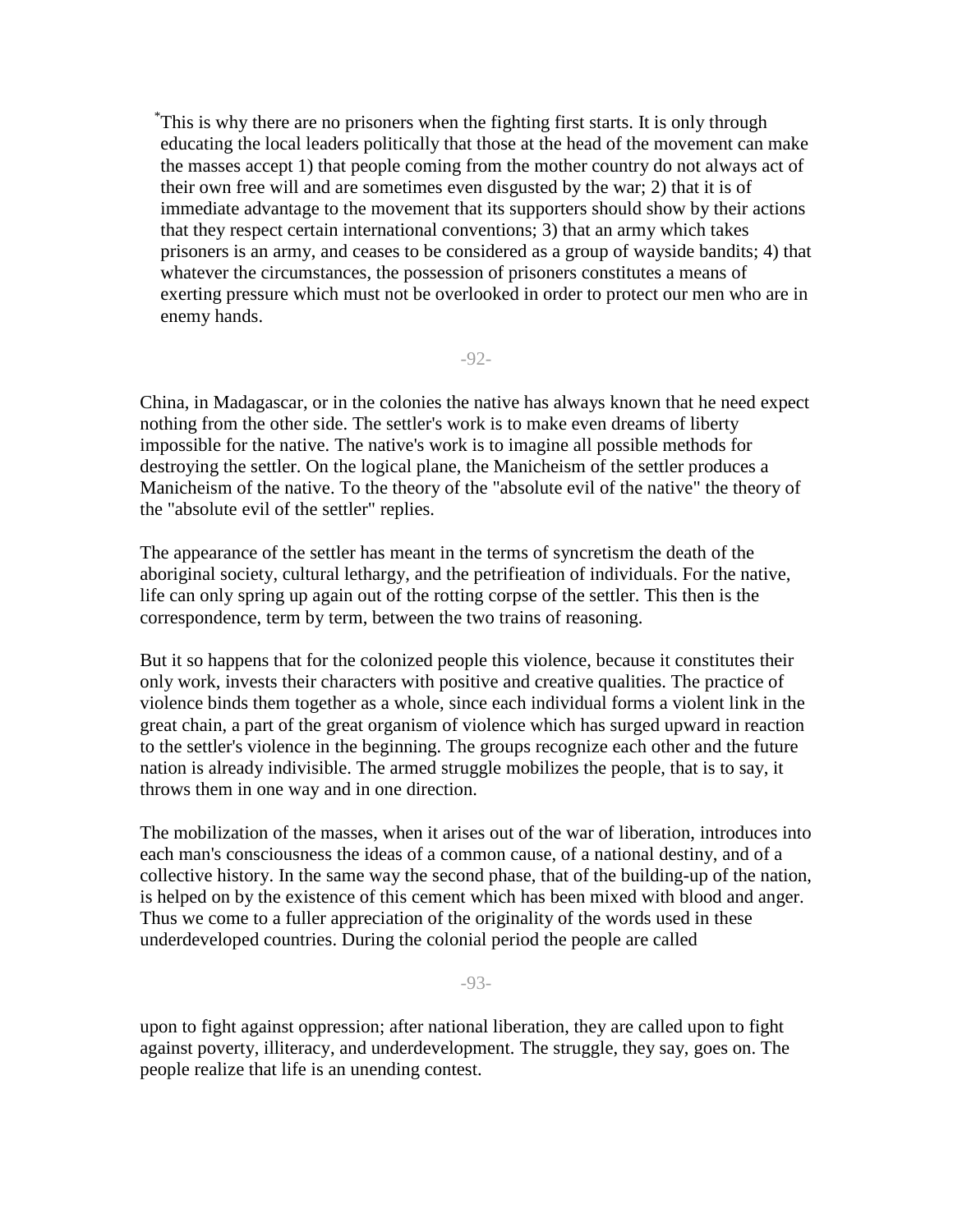\* This is why there are no prisoners when the fighting first starts. It is only through educating the local leaders politically that those at the head of the movement can make the masses accept 1) that people coming from the mother country do not always act of their own free will and are sometimes even disgusted by the war; 2) that it is of immediate advantage to the movement that its supporters should show by their actions that they respect certain international conventions; 3) that an army which takes prisoners is an army, and ceases to be considered as a group of wayside bandits; 4) that whatever the circumstances, the possession of prisoners constitutes a means of exerting pressure which must not be overlooked in order to protect our men who are in enemy hands.

-92-

China, in Madagascar, or in the colonies the native has always known that he need expect nothing from the other side. The settler's work is to make even dreams of liberty impossible for the native. The native's work is to imagine all possible methods for destroying the settler. On the logical plane, the Manicheism of the settler produces a Manicheism of the native. To the theory of the "absolute evil of the native" the theory of the "absolute evil of the settler" replies.

The appearance of the settler has meant in the terms of syncretism the death of the aboriginal society, cultural lethargy, and the petrifieation of individuals. For the native, life can only spring up again out of the rotting corpse of the settler. This then is the correspondence, term by term, between the two trains of reasoning.

But it so happens that for the colonized people this violence, because it constitutes their only work, invests their characters with positive and creative qualities. The practice of violence binds them together as a whole, since each individual forms a violent link in the great chain, a part of the great organism of violence which has surged upward in reaction to the settler's violence in the beginning. The groups recognize each other and the future nation is already indivisible. The armed struggle mobilizes the people, that is to say, it throws them in one way and in one direction.

The mobilization of the masses, when it arises out of the war of liberation, introduces into each man's consciousness the ideas of a common cause, of a national destiny, and of a collective history. In the same way the second phase, that of the building-up of the nation, is helped on by the existence of this cement which has been mixed with blood and anger. Thus we come to a fuller appreciation of the originality of the words used in these underdeveloped countries. During the colonial period the people are called

-93-

upon to fight against oppression; after national liberation, they are called upon to fight against poverty, illiteracy, and underdevelopment. The struggle, they say, goes on. The people realize that life is an unending contest.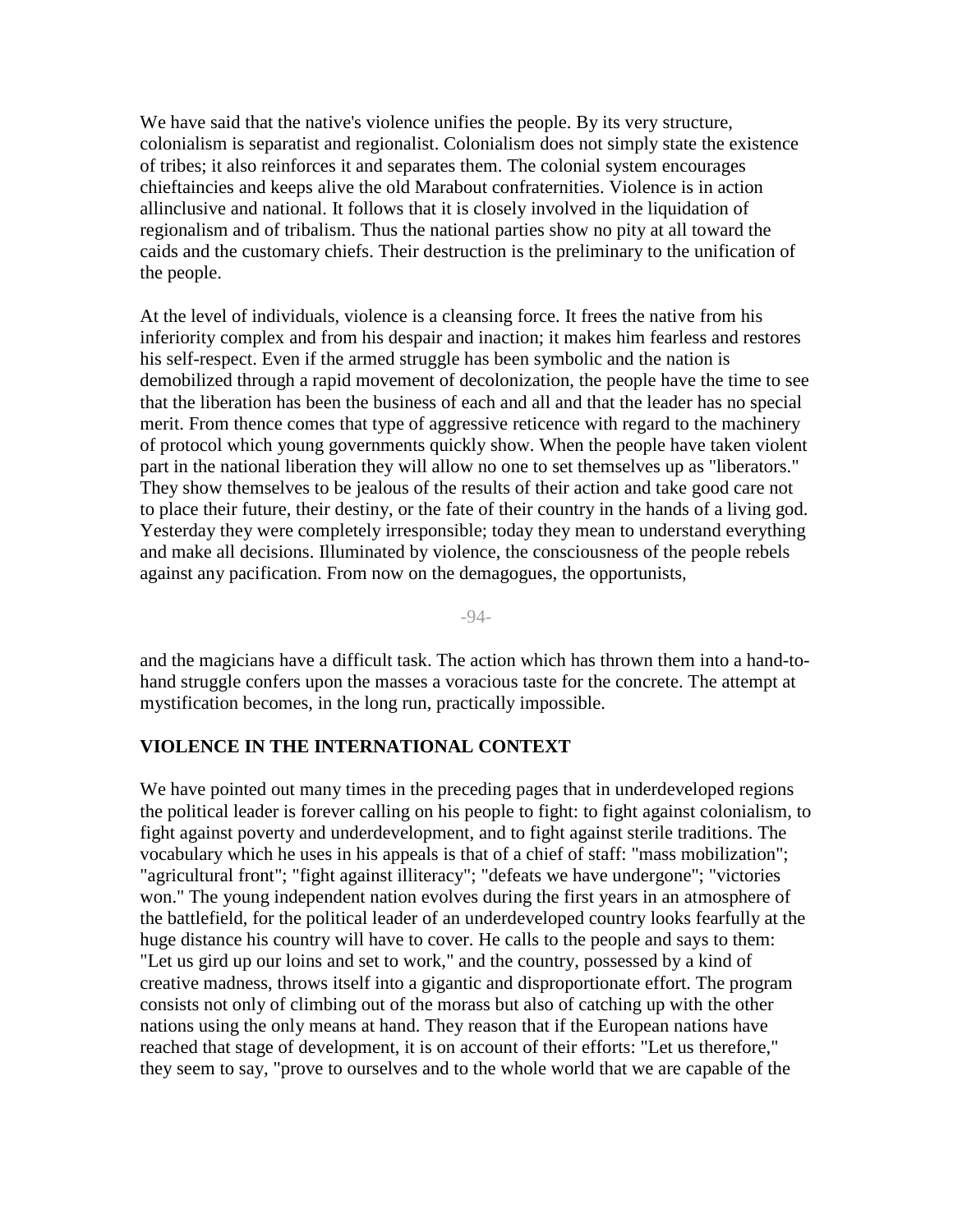We have said that the native's violence unifies the people. By its very structure, colonialism is separatist and regionalist. Colonialism does not simply state the existence of tribes; it also reinforces it and separates them. The colonial system encourages chieftaincies and keeps alive the old Marabout confraternities. Violence is in action allinclusive and national. It follows that it is closely involved in the liquidation of regionalism and of tribalism. Thus the national parties show no pity at all toward the caids and the customary chiefs. Their destruction is the preliminary to the unification of the people.

At the level of individuals, violence is a cleansing force. It frees the native from his inferiority complex and from his despair and inaction; it makes him fearless and restores his self-respect. Even if the armed struggle has been symbolic and the nation is demobilized through a rapid movement of decolonization, the people have the time to see that the liberation has been the business of each and all and that the leader has no special merit. From thence comes that type of aggressive reticence with regard to the machinery of protocol which young governments quickly show. When the people have taken violent part in the national liberation they will allow no one to set themselves up as "liberators." They show themselves to be jealous of the results of their action and take good care not to place their future, their destiny, or the fate of their country in the hands of a living god. Yesterday they were completely irresponsible; today they mean to understand everything and make all decisions. Illuminated by violence, the consciousness of the people rebels against any pacification. From now on the demagogues, the opportunists,

-94-

and the magicians have a difficult task. The action which has thrown them into a hand-tohand struggle confers upon the masses a voracious taste for the concrete. The attempt at mystification becomes, in the long run, practically impossible.

# **VIOLENCE IN THE INTERNATIONAL CONTEXT**

We have pointed out many times in the preceding pages that in underdeveloped regions the political leader is forever calling on his people to fight: to fight against colonialism, to fight against poverty and underdevelopment, and to fight against sterile traditions. The vocabulary which he uses in his appeals is that of a chief of staff: "mass mobilization"; "agricultural front"; "fight against illiteracy"; "defeats we have undergone"; "victories won." The young independent nation evolves during the first years in an atmosphere of the battlefield, for the political leader of an underdeveloped country looks fearfully at the huge distance his country will have to cover. He calls to the people and says to them: "Let us gird up our loins and set to work," and the country, possessed by a kind of creative madness, throws itself into a gigantic and disproportionate effort. The program consists not only of climbing out of the morass but also of catching up with the other nations using the only means at hand. They reason that if the European nations have reached that stage of development, it is on account of their efforts: "Let us therefore," they seem to say, "prove to ourselves and to the whole world that we are capable of the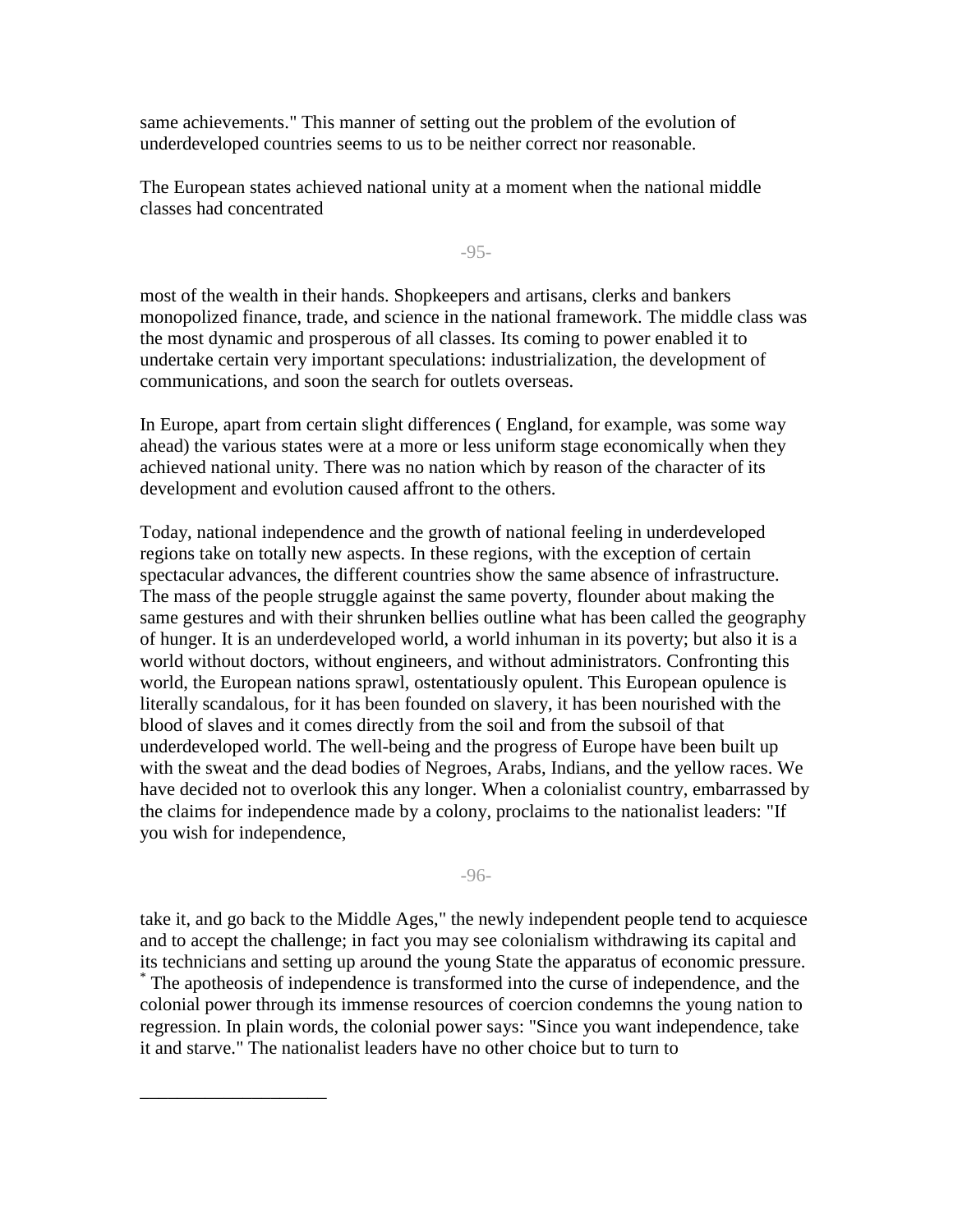same achievements." This manner of setting out the problem of the evolution of underdeveloped countries seems to us to be neither correct nor reasonable.

The European states achieved national unity at a moment when the national middle classes had concentrated

-95-

most of the wealth in their hands. Shopkeepers and artisans, clerks and bankers monopolized finance, trade, and science in the national framework. The middle class was the most dynamic and prosperous of all classes. Its coming to power enabled it to undertake certain very important speculations: industrialization, the development of communications, and soon the search for outlets overseas.

In Europe, apart from certain slight differences ( England, for example, was some way ahead) the various states were at a more or less uniform stage economically when they achieved national unity. There was no nation which by reason of the character of its development and evolution caused affront to the others.

Today, national independence and the growth of national feeling in underdeveloped regions take on totally new aspects. In these regions, with the exception of certain spectacular advances, the different countries show the same absence of infrastructure. The mass of the people struggle against the same poverty, flounder about making the same gestures and with their shrunken bellies outline what has been called the geography of hunger. It is an underdeveloped world, a world inhuman in its poverty; but also it is a world without doctors, without engineers, and without administrators. Confronting this world, the European nations sprawl, ostentatiously opulent. This European opulence is literally scandalous, for it has been founded on slavery, it has been nourished with the blood of slaves and it comes directly from the soil and from the subsoil of that underdeveloped world. The well-being and the progress of Europe have been built up with the sweat and the dead bodies of Negroes, Arabs, Indians, and the yellow races. We have decided not to overlook this any longer. When a colonialist country, embarrassed by the claims for independence made by a colony, proclaims to the nationalist leaders: "If you wish for independence,

-96-

take it, and go back to the Middle Ages," the newly independent people tend to acquiesce and to accept the challenge; in fact you may see colonialism withdrawing its capital and its technicians and setting up around the young State the apparatus of economic pressure. \* The apotheosis of independence is transformed into the curse of independence, and the colonial power through its immense resources of coercion condemns the young nation to regression. In plain words, the colonial power says: "Since you want independence, take it and starve." The nationalist leaders have no other choice but to turn to

\_\_\_\_\_\_\_\_\_\_\_\_\_\_\_\_\_\_\_\_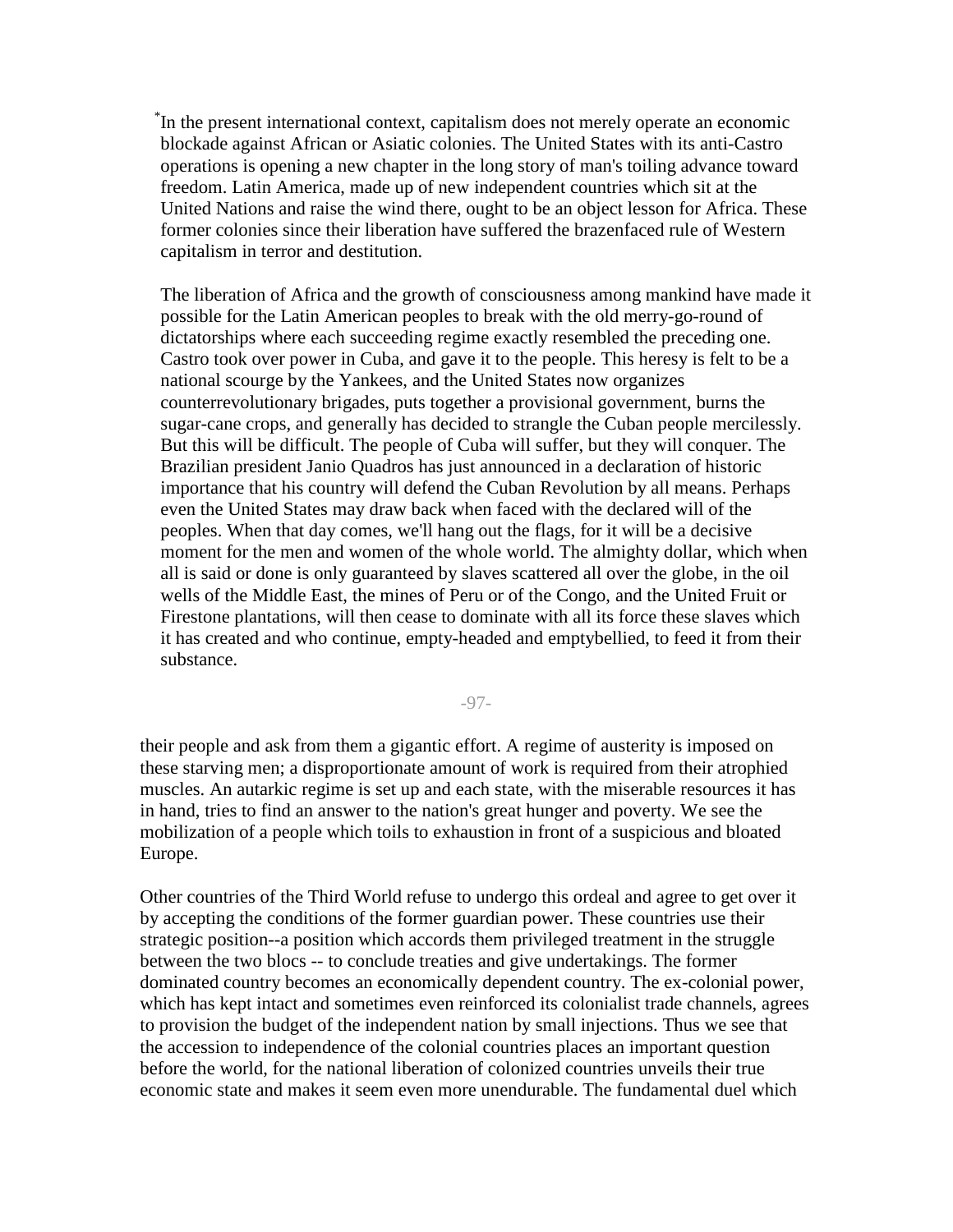\* In the present international context, capitalism does not merely operate an economic blockade against African or Asiatic colonies. The United States with its anti-Castro operations is opening a new chapter in the long story of man's toiling advance toward freedom. Latin America, made up of new independent countries which sit at the United Nations and raise the wind there, ought to be an object lesson for Africa. These former colonies since their liberation have suffered the brazenfaced rule of Western capitalism in terror and destitution.

The liberation of Africa and the growth of consciousness among mankind have made it possible for the Latin American peoples to break with the old merry-go-round of dictatorships where each succeeding regime exactly resembled the preceding one. Castro took over power in Cuba, and gave it to the people. This heresy is felt to be a national scourge by the Yankees, and the United States now organizes counterrevolutionary brigades, puts together a provisional government, burns the sugar-cane crops, and generally has decided to strangle the Cuban people mercilessly. But this will be difficult. The people of Cuba will suffer, but they will conquer. The Brazilian president Janio Quadros has just announced in a declaration of historic importance that his country will defend the Cuban Revolution by all means. Perhaps even the United States may draw back when faced with the declared will of the peoples. When that day comes, we'll hang out the flags, for it will be a decisive moment for the men and women of the whole world. The almighty dollar, which when all is said or done is only guaranteed by slaves scattered all over the globe, in the oil wells of the Middle East, the mines of Peru or of the Congo, and the United Fruit or Firestone plantations, will then cease to dominate with all its force these slaves which it has created and who continue, empty-headed and emptybellied, to feed it from their substance.

-97-

their people and ask from them a gigantic effort. A regime of austerity is imposed on these starving men; a disproportionate amount of work is required from their atrophied muscles. An autarkic regime is set up and each state, with the miserable resources it has in hand, tries to find an answer to the nation's great hunger and poverty. We see the mobilization of a people which toils to exhaustion in front of a suspicious and bloated Europe.

Other countries of the Third World refuse to undergo this ordeal and agree to get over it by accepting the conditions of the former guardian power. These countries use their strategic position--a position which accords them privileged treatment in the struggle between the two blocs -- to conclude treaties and give undertakings. The former dominated country becomes an economically dependent country. The ex-colonial power, which has kept intact and sometimes even reinforced its colonialist trade channels, agrees to provision the budget of the independent nation by small injections. Thus we see that the accession to independence of the colonial countries places an important question before the world, for the national liberation of colonized countries unveils their true economic state and makes it seem even more unendurable. The fundamental duel which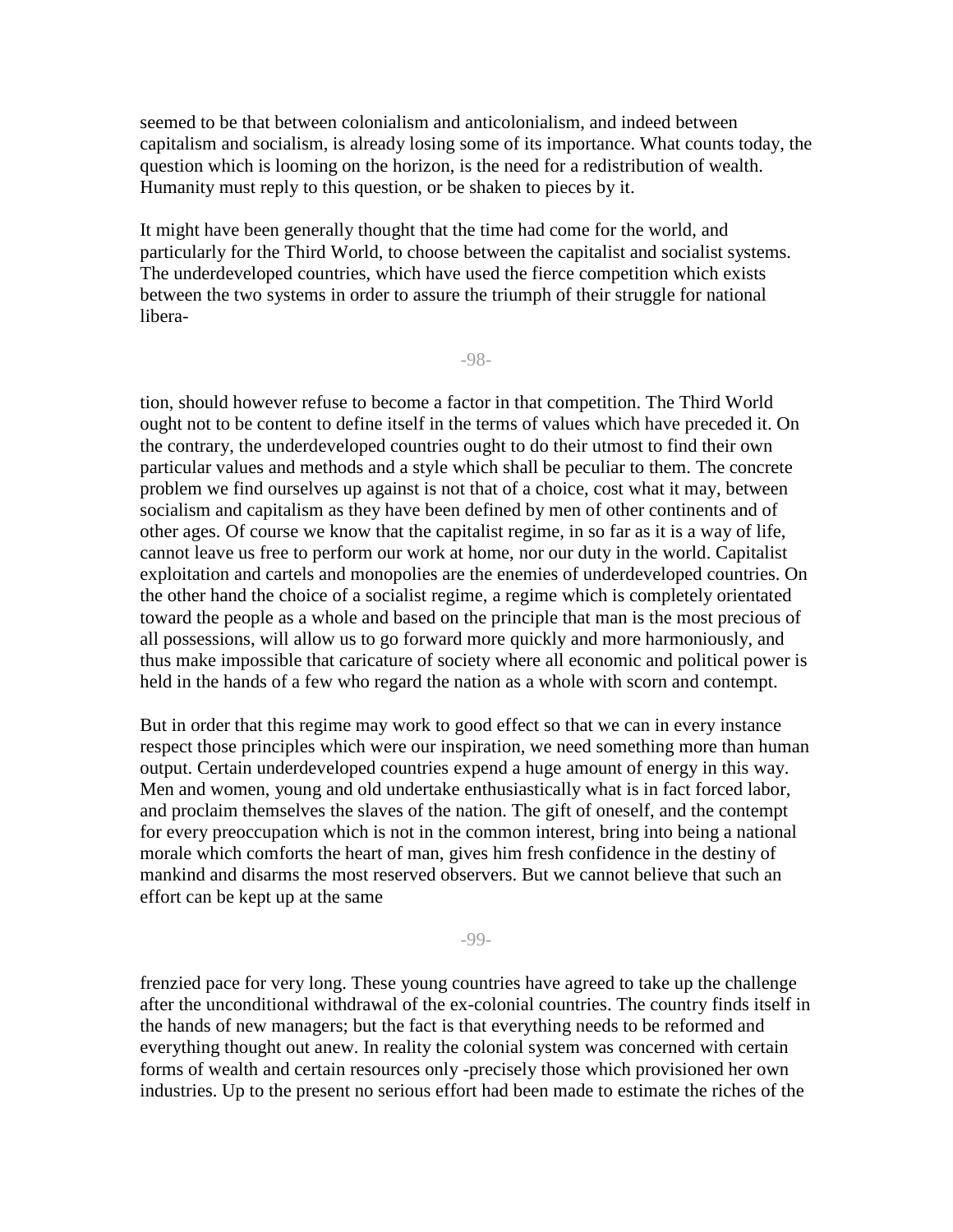seemed to be that between colonialism and anticolonialism, and indeed between capitalism and socialism, is already losing some of its importance. What counts today, the question which is looming on the horizon, is the need for a redistribution of wealth. Humanity must reply to this question, or be shaken to pieces by it.

It might have been generally thought that the time had come for the world, and particularly for the Third World, to choose between the capitalist and socialist systems. The underdeveloped countries, which have used the fierce competition which exists between the two systems in order to assure the triumph of their struggle for national libera-

-98-

tion, should however refuse to become a factor in that competition. The Third World ought not to be content to define itself in the terms of values which have preceded it. On the contrary, the underdeveloped countries ought to do their utmost to find their own particular values and methods and a style which shall be peculiar to them. The concrete problem we find ourselves up against is not that of a choice, cost what it may, between socialism and capitalism as they have been defined by men of other continents and of other ages. Of course we know that the capitalist regime, in so far as it is a way of life, cannot leave us free to perform our work at home, nor our duty in the world. Capitalist exploitation and cartels and monopolies are the enemies of underdeveloped countries. On the other hand the choice of a socialist regime, a regime which is completely orientated toward the people as a whole and based on the principle that man is the most precious of all possessions, will allow us to go forward more quickly and more harmoniously, and thus make impossible that caricature of society where all economic and political power is held in the hands of a few who regard the nation as a whole with scorn and contempt.

But in order that this regime may work to good effect so that we can in every instance respect those principles which were our inspiration, we need something more than human output. Certain underdeveloped countries expend a huge amount of energy in this way. Men and women, young and old undertake enthusiastically what is in fact forced labor, and proclaim themselves the slaves of the nation. The gift of oneself, and the contempt for every preoccupation which is not in the common interest, bring into being a national morale which comforts the heart of man, gives him fresh confidence in the destiny of mankind and disarms the most reserved observers. But we cannot believe that such an effort can be kept up at the same

-99-

frenzied pace for very long. These young countries have agreed to take up the challenge after the unconditional withdrawal of the ex-colonial countries. The country finds itself in the hands of new managers; but the fact is that everything needs to be reformed and everything thought out anew. In reality the colonial system was concerned with certain forms of wealth and certain resources only -precisely those which provisioned her own industries. Up to the present no serious effort had been made to estimate the riches of the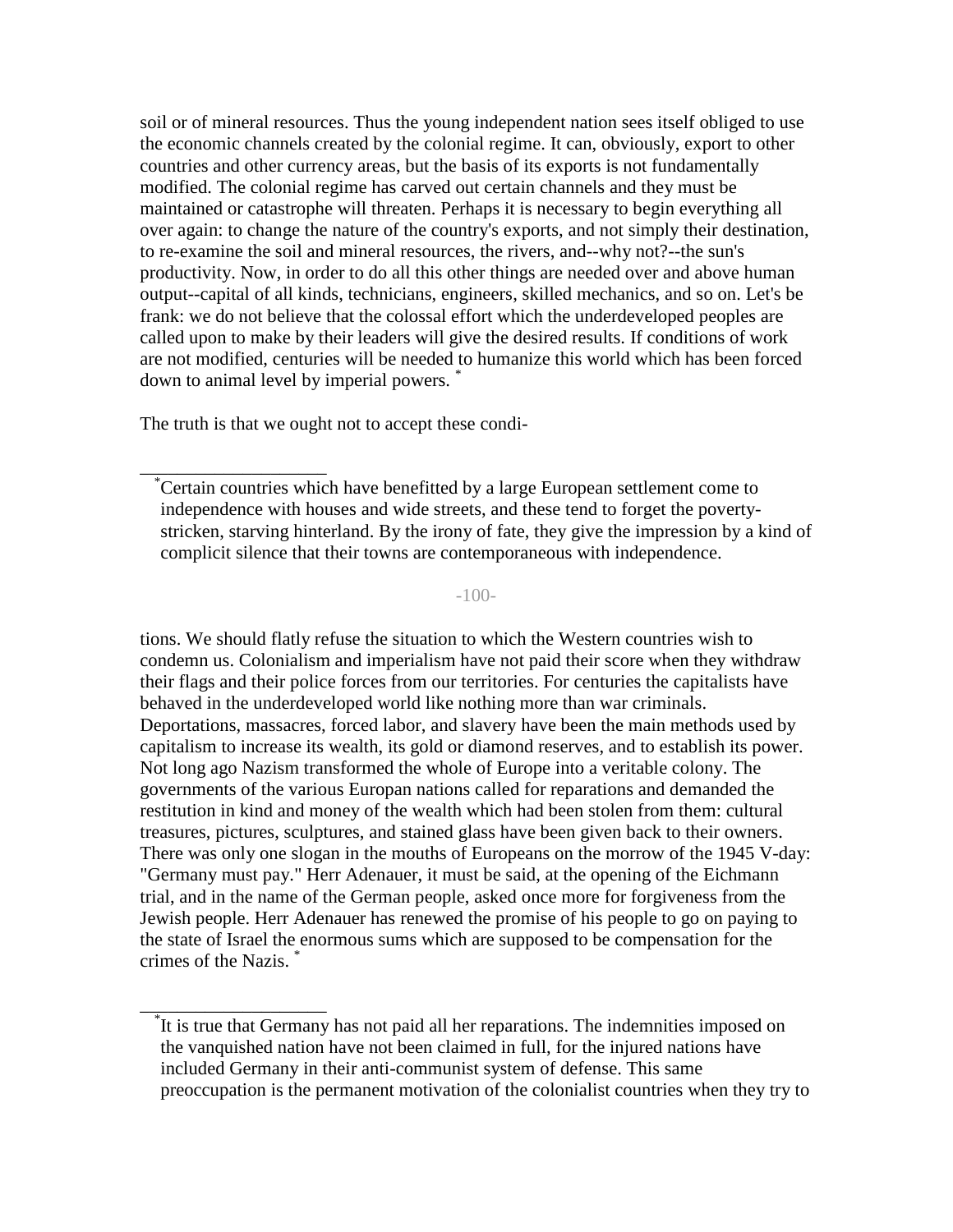soil or of mineral resources. Thus the young independent nation sees itself obliged to use the economic channels created by the colonial regime. It can, obviously, export to other countries and other currency areas, but the basis of its exports is not fundamentally modified. The colonial regime has carved out certain channels and they must be maintained or catastrophe will threaten. Perhaps it is necessary to begin everything all over again: to change the nature of the country's exports, and not simply their destination, to re-examine the soil and mineral resources, the rivers, and--why not?--the sun's productivity. Now, in order to do all this other things are needed over and above human output--capital of all kinds, technicians, engineers, skilled mechanics, and so on. Let's be frank: we do not believe that the colossal effort which the underdeveloped peoples are called upon to make by their leaders will give the desired results. If conditions of work are not modified, centuries will be needed to humanize this world which has been forced down to animal level by imperial powers. \*

The truth is that we ought not to accept these condi-

\_\_\_\_\_\_\_\_\_\_\_\_\_\_\_\_\_\_\_\_

\_\_\_\_\_\_\_\_\_\_\_\_\_\_\_\_\_\_\_\_

#### $-100-$

tions. We should flatly refuse the situation to which the Western countries wish to condemn us. Colonialism and imperialism have not paid their score when they withdraw their flags and their police forces from our territories. For centuries the capitalists have behaved in the underdeveloped world like nothing more than war criminals. Deportations, massacres, forced labor, and slavery have been the main methods used by capitalism to increase its wealth, its gold or diamond reserves, and to establish its power. Not long ago Nazism transformed the whole of Europe into a veritable colony. The governments of the various Europan nations called for reparations and demanded the restitution in kind and money of the wealth which had been stolen from them: cultural treasures, pictures, sculptures, and stained glass have been given back to their owners. There was only one slogan in the mouths of Europeans on the morrow of the 1945 V-day: "Germany must pay." Herr Adenauer, it must be said, at the opening of the Eichmann trial, and in the name of the German people, asked once more for forgiveness from the Jewish people. Herr Adenauer has renewed the promise of his people to go on paying to the state of Israel the enormous sums which are supposed to be compensation for the crimes of the Nazis. \*

<sup>\*</sup>Certain countries which have benefitted by a large European settlement come to independence with houses and wide streets, and these tend to forget the povertystricken, starving hinterland. By the irony of fate, they give the impression by a kind of complicit silence that their towns are contemporaneous with independence.

<sup>\*</sup> It is true that Germany has not paid all her reparations. The indemnities imposed on the vanquished nation have not been claimed in full, for the injured nations have included Germany in their anti-communist system of defense. This same preoccupation is the permanent motivation of the colonialist countries when they try to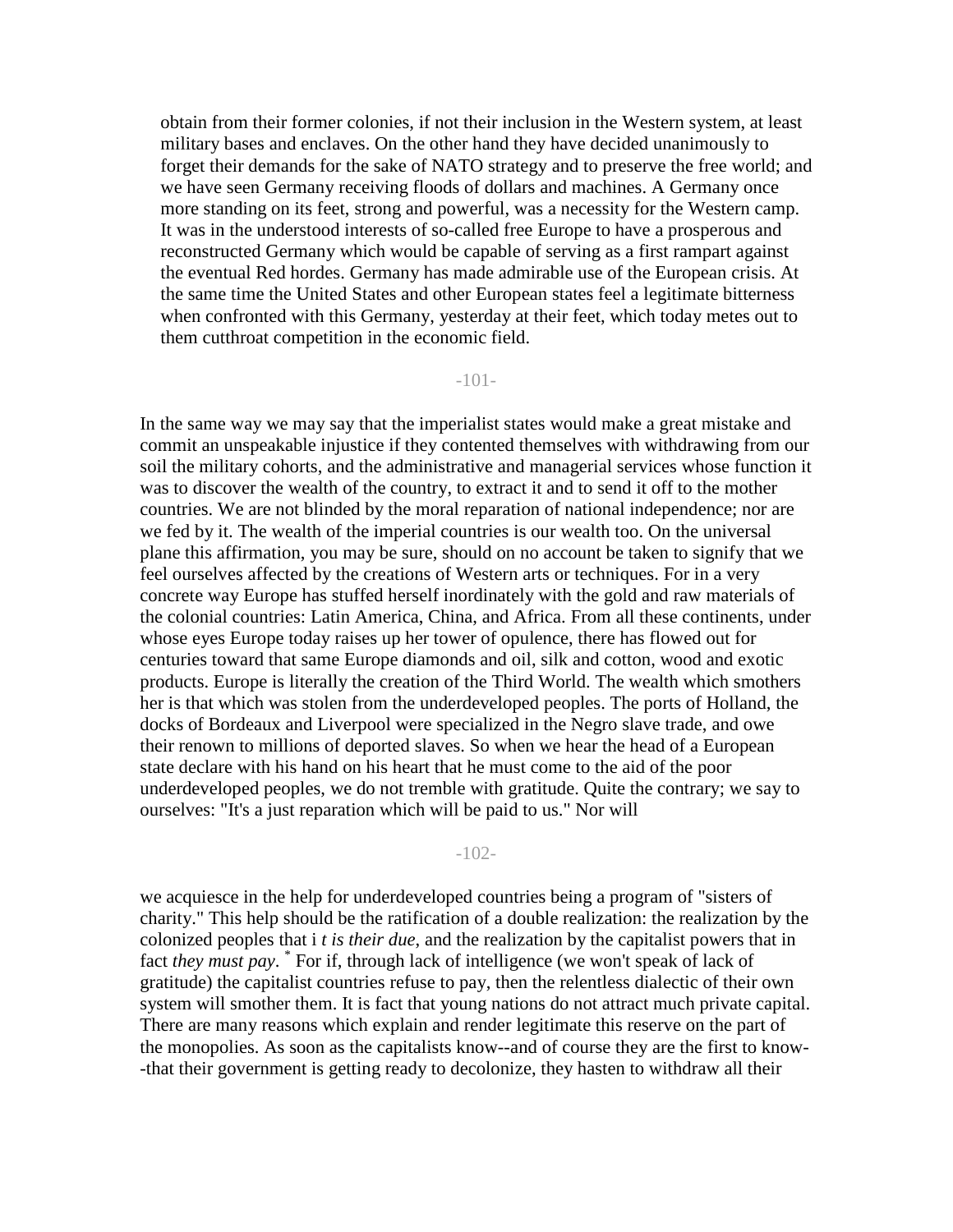obtain from their former colonies, if not their inclusion in the Western system, at least military bases and enclaves. On the other hand they have decided unanimously to forget their demands for the sake of NATO strategy and to preserve the free world; and we have seen Germany receiving floods of dollars and machines. A Germany once more standing on its feet, strong and powerful, was a necessity for the Western camp. It was in the understood interests of so-called free Europe to have a prosperous and reconstructed Germany which would be capable of serving as a first rampart against the eventual Red hordes. Germany has made admirable use of the European crisis. At the same time the United States and other European states feel a legitimate bitterness when confronted with this Germany, yesterday at their feet, which today metes out to them cutthroat competition in the economic field.

#### -101-

In the same way we may say that the imperialist states would make a great mistake and commit an unspeakable injustice if they contented themselves with withdrawing from our soil the military cohorts, and the administrative and managerial services whose function it was to discover the wealth of the country, to extract it and to send it off to the mother countries. We are not blinded by the moral reparation of national independence; nor are we fed by it. The wealth of the imperial countries is our wealth too. On the universal plane this affirmation, you may be sure, should on no account be taken to signify that we feel ourselves affected by the creations of Western arts or techniques. For in a very concrete way Europe has stuffed herself inordinately with the gold and raw materials of the colonial countries: Latin America, China, and Africa. From all these continents, under whose eyes Europe today raises up her tower of opulence, there has flowed out for centuries toward that same Europe diamonds and oil, silk and cotton, wood and exotic products. Europe is literally the creation of the Third World. The wealth which smothers her is that which was stolen from the underdeveloped peoples. The ports of Holland, the docks of Bordeaux and Liverpool were specialized in the Negro slave trade, and owe their renown to millions of deported slaves. So when we hear the head of a European state declare with his hand on his heart that he must come to the aid of the poor underdeveloped peoples, we do not tremble with gratitude. Quite the contrary; we say to ourselves: "It's a just reparation which will be paid to us." Nor will

#### $-102-$

we acquiesce in the help for underdeveloped countries being a program of "sisters of charity." This help should be the ratification of a double realization: the realization by the colonized peoples that i *t is their due*, and the realization by the capitalist powers that in fact they must pay. <sup>\*</sup> For if, through lack of intelligence (we won't speak of lack of gratitude) the capitalist countries refuse to pay, then the relentless dialectic of their own system will smother them. It is fact that young nations do not attract much private capital. There are many reasons which explain and render legitimate this reserve on the part of the monopolies. As soon as the capitalists know--and of course they are the first to know- -that their government is getting ready to decolonize, they hasten to withdraw all their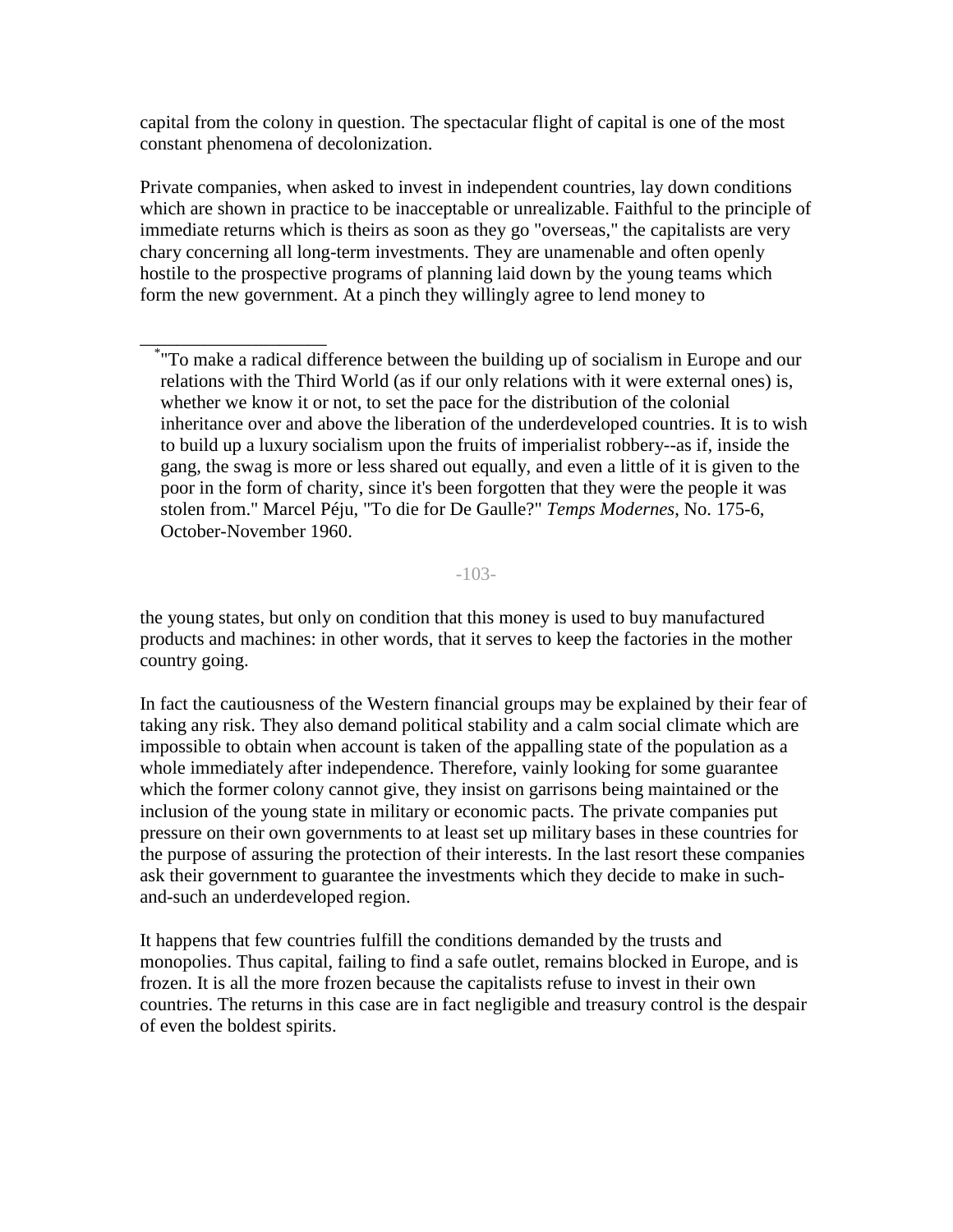capital from the colony in question. The spectacular flight of capital is one of the most constant phenomena of decolonization.

Private companies, when asked to invest in independent countries, lay down conditions which are shown in practice to be inacceptable or unrealizable. Faithful to the principle of immediate returns which is theirs as soon as they go "overseas," the capitalists are very chary concerning all long-term investments. They are unamenable and often openly hostile to the prospective programs of planning laid down by the young teams which form the new government. At a pinch they willingly agree to lend money to

-103-

the young states, but only on condition that this money is used to buy manufactured products and machines: in other words, that it serves to keep the factories in the mother country going.

In fact the cautiousness of the Western financial groups may be explained by their fear of taking any risk. They also demand political stability and a calm social climate which are impossible to obtain when account is taken of the appalling state of the population as a whole immediately after independence. Therefore, vainly looking for some guarantee which the former colony cannot give, they insist on garrisons being maintained or the inclusion of the young state in military or economic pacts. The private companies put pressure on their own governments to at least set up military bases in these countries for the purpose of assuring the protection of their interests. In the last resort these companies ask their government to guarantee the investments which they decide to make in suchand-such an underdeveloped region.

It happens that few countries fulfill the conditions demanded by the trusts and monopolies. Thus capital, failing to find a safe outlet, remains blocked in Europe, and is frozen. It is all the more frozen because the capitalists refuse to invest in their own countries. The returns in this case are in fact negligible and treasury control is the despair of even the boldest spirits.

\_\_\_\_\_\_\_\_\_\_\_\_\_\_\_\_\_\_\_\_ \* "To make a radical difference between the building up of socialism in Europe and our relations with the Third World (as if our only relations with it were external ones) is, whether we know it or not, to set the pace for the distribution of the colonial inheritance over and above the liberation of the underdeveloped countries. It is to wish to build up a luxury socialism upon the fruits of imperialist robbery--as if, inside the gang, the swag is more or less shared out equally, and even a little of it is given to the poor in the form of charity, since it's been forgotten that they were the people it was stolen from." Marcel Péju, "To die for De Gaulle?" *Temps Modernes*, No. 175-6, October-November 1960.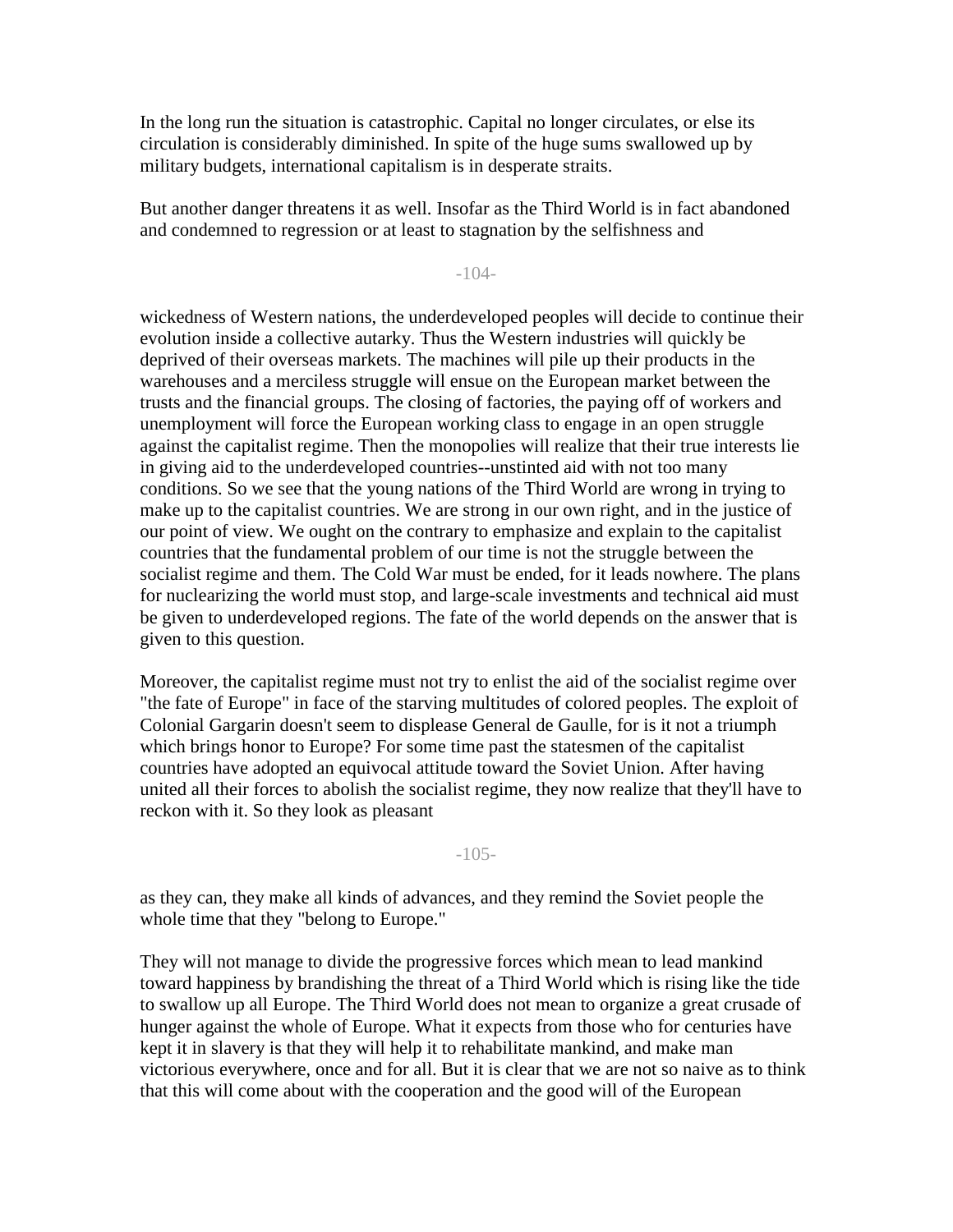In the long run the situation is catastrophic. Capital no longer circulates, or else its circulation is considerably diminished. In spite of the huge sums swallowed up by military budgets, international capitalism is in desperate straits.

But another danger threatens it as well. Insofar as the Third World is in fact abandoned and condemned to regression or at least to stagnation by the selfishness and

-104-

wickedness of Western nations, the underdeveloped peoples will decide to continue their evolution inside a collective autarky. Thus the Western industries will quickly be deprived of their overseas markets. The machines will pile up their products in the warehouses and a merciless struggle will ensue on the European market between the trusts and the financial groups. The closing of factories, the paying off of workers and unemployment will force the European working class to engage in an open struggle against the capitalist regime. Then the monopolies will realize that their true interests lie in giving aid to the underdeveloped countries--unstinted aid with not too many conditions. So we see that the young nations of the Third World are wrong in trying to make up to the capitalist countries. We are strong in our own right, and in the justice of our point of view. We ought on the contrary to emphasize and explain to the capitalist countries that the fundamental problem of our time is not the struggle between the socialist regime and them. The Cold War must be ended, for it leads nowhere. The plans for nuclearizing the world must stop, and large-scale investments and technical aid must be given to underdeveloped regions. The fate of the world depends on the answer that is given to this question.

Moreover, the capitalist regime must not try to enlist the aid of the socialist regime over "the fate of Europe" in face of the starving multitudes of colored peoples. The exploit of Colonial Gargarin doesn't seem to displease General de Gaulle, for is it not a triumph which brings honor to Europe? For some time past the statesmen of the capitalist countries have adopted an equivocal attitude toward the Soviet Union. After having united all their forces to abolish the socialist regime, they now realize that they'll have to reckon with it. So they look as pleasant

 $-105-$ 

as they can, they make all kinds of advances, and they remind the Soviet people the whole time that they "belong to Europe."

They will not manage to divide the progressive forces which mean to lead mankind toward happiness by brandishing the threat of a Third World which is rising like the tide to swallow up all Europe. The Third World does not mean to organize a great crusade of hunger against the whole of Europe. What it expects from those who for centuries have kept it in slavery is that they will help it to rehabilitate mankind, and make man victorious everywhere, once and for all. But it is clear that we are not so naive as to think that this will come about with the cooperation and the good will of the European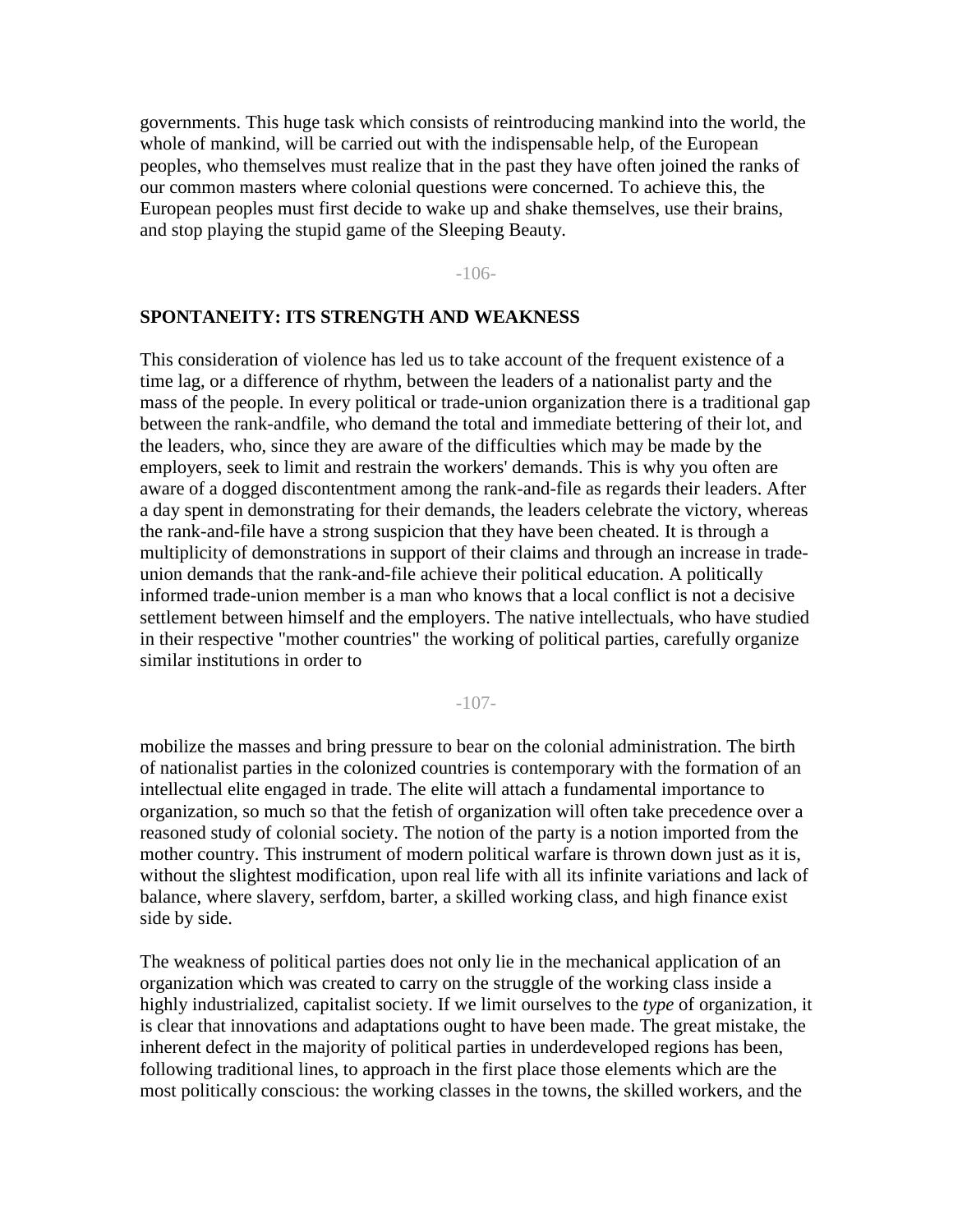governments. This huge task which consists of reintroducing mankind into the world, the whole of mankind, will be carried out with the indispensable help, of the European peoples, who themselves must realize that in the past they have often joined the ranks of our common masters where colonial questions were concerned. To achieve this, the European peoples must first decide to wake up and shake themselves, use their brains, and stop playing the stupid game of the Sleeping Beauty.

-106-

#### **SPONTANEITY: ITS STRENGTH AND WEAKNESS**

This consideration of violence has led us to take account of the frequent existence of a time lag, or a difference of rhythm, between the leaders of a nationalist party and the mass of the people. In every political or trade-union organization there is a traditional gap between the rank-andfile, who demand the total and immediate bettering of their lot, and the leaders, who, since they are aware of the difficulties which may be made by the employers, seek to limit and restrain the workers' demands. This is why you often are aware of a dogged discontentment among the rank-and-file as regards their leaders. After a day spent in demonstrating for their demands, the leaders celebrate the victory, whereas the rank-and-file have a strong suspicion that they have been cheated. It is through a multiplicity of demonstrations in support of their claims and through an increase in tradeunion demands that the rank-and-file achieve their political education. A politically informed trade-union member is a man who knows that a local conflict is not a decisive settlement between himself and the employers. The native intellectuals, who have studied in their respective "mother countries" the working of political parties, carefully organize similar institutions in order to

-107-

mobilize the masses and bring pressure to bear on the colonial administration. The birth of nationalist parties in the colonized countries is contemporary with the formation of an intellectual elite engaged in trade. The elite will attach a fundamental importance to organization, so much so that the fetish of organization will often take precedence over a reasoned study of colonial society. The notion of the party is a notion imported from the mother country. This instrument of modern political warfare is thrown down just as it is, without the slightest modification, upon real life with all its infinite variations and lack of balance, where slavery, serfdom, barter, a skilled working class, and high finance exist side by side.

The weakness of political parties does not only lie in the mechanical application of an organization which was created to carry on the struggle of the working class inside a highly industrialized, capitalist society. If we limit ourselves to the *type* of organization, it is clear that innovations and adaptations ought to have been made. The great mistake, the inherent defect in the majority of political parties in underdeveloped regions has been, following traditional lines, to approach in the first place those elements which are the most politically conscious: the working classes in the towns, the skilled workers, and the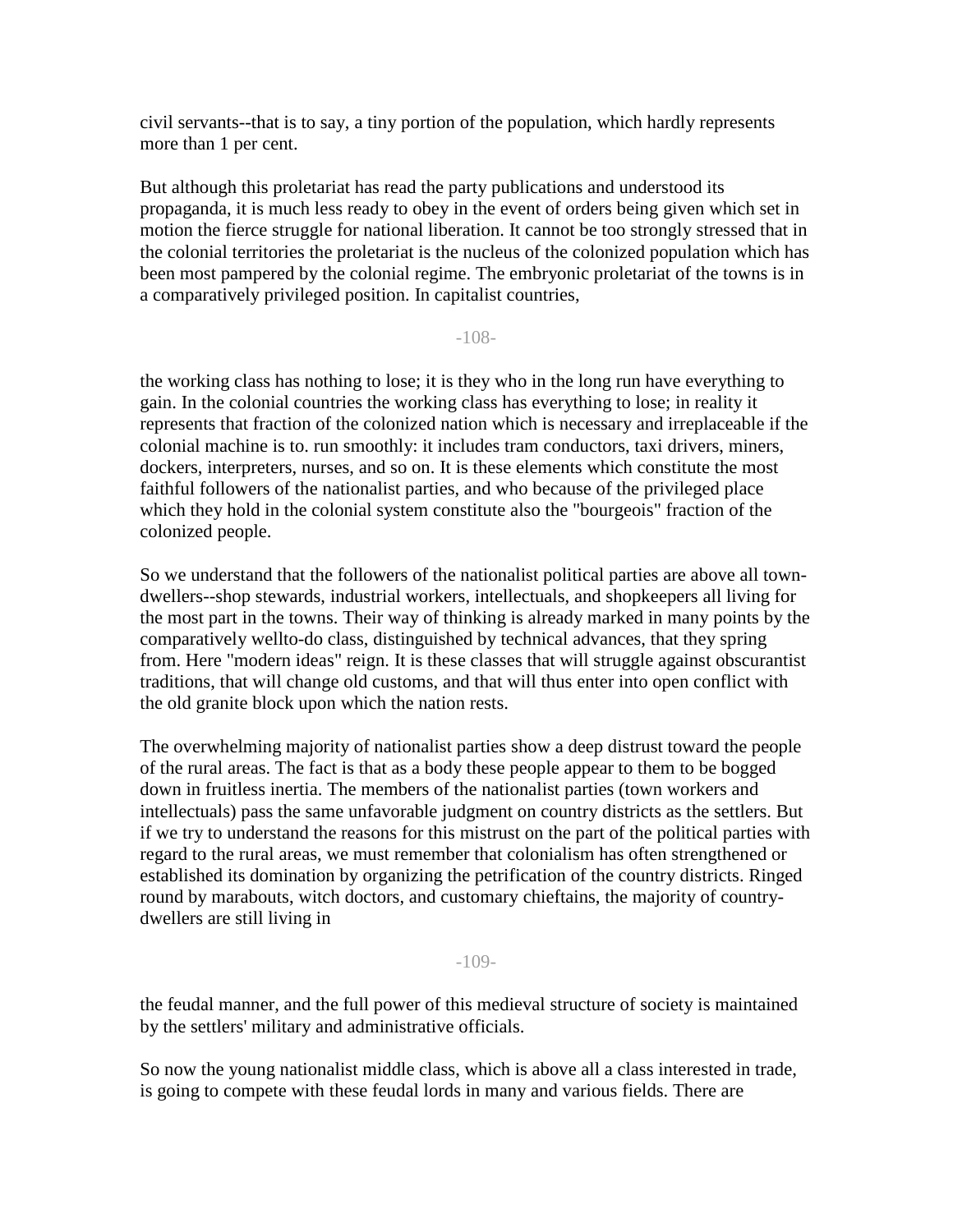civil servants--that is to say, a tiny portion of the population, which hardly represents more than 1 per cent.

But although this proletariat has read the party publications and understood its propaganda, it is much less ready to obey in the event of orders being given which set in motion the fierce struggle for national liberation. It cannot be too strongly stressed that in the colonial territories the proletariat is the nucleus of the colonized population which has been most pampered by the colonial regime. The embryonic proletariat of the towns is in a comparatively privileged position. In capitalist countries,

 $-108-$ 

the working class has nothing to lose; it is they who in the long run have everything to gain. In the colonial countries the working class has everything to lose; in reality it represents that fraction of the colonized nation which is necessary and irreplaceable if the colonial machine is to. run smoothly: it includes tram conductors, taxi drivers, miners, dockers, interpreters, nurses, and so on. It is these elements which constitute the most faithful followers of the nationalist parties, and who because of the privileged place which they hold in the colonial system constitute also the "bourgeois" fraction of the colonized people.

So we understand that the followers of the nationalist political parties are above all towndwellers--shop stewards, industrial workers, intellectuals, and shopkeepers all living for the most part in the towns. Their way of thinking is already marked in many points by the comparatively wellto-do class, distinguished by technical advances, that they spring from. Here "modern ideas" reign. It is these classes that will struggle against obscurantist traditions, that will change old customs, and that will thus enter into open conflict with the old granite block upon which the nation rests.

The overwhelming majority of nationalist parties show a deep distrust toward the people of the rural areas. The fact is that as a body these people appear to them to be bogged down in fruitless inertia. The members of the nationalist parties (town workers and intellectuals) pass the same unfavorable judgment on country districts as the settlers. But if we try to understand the reasons for this mistrust on the part of the political parties with regard to the rural areas, we must remember that colonialism has often strengthened or established its domination by organizing the petrification of the country districts. Ringed round by marabouts, witch doctors, and customary chieftains, the majority of countrydwellers are still living in

 $-109-$ 

the feudal manner, and the full power of this medieval structure of society is maintained by the settlers' military and administrative officials.

So now the young nationalist middle class, which is above all a class interested in trade, is going to compete with these feudal lords in many and various fields. There are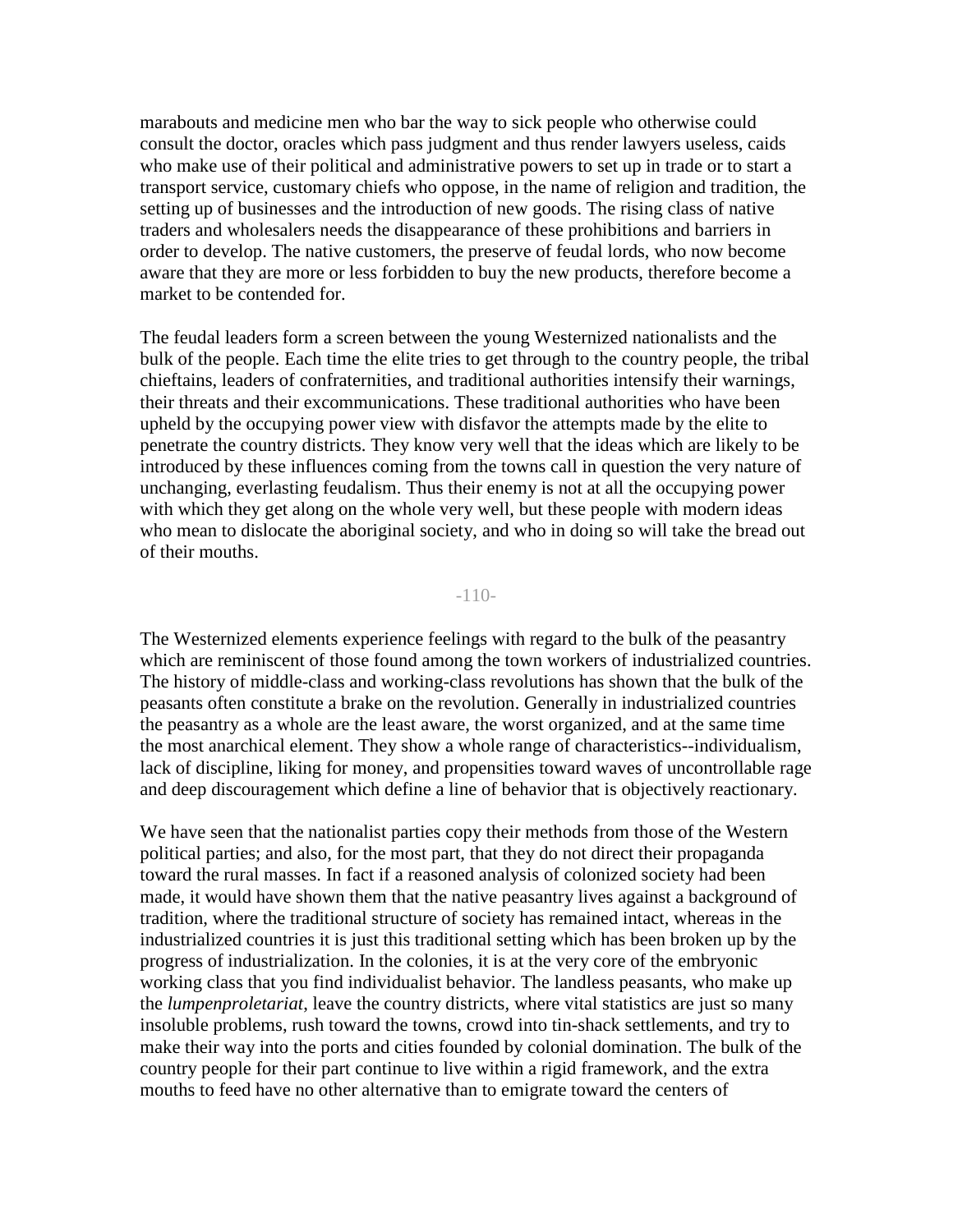marabouts and medicine men who bar the way to sick people who otherwise could consult the doctor, oracles which pass judgment and thus render lawyers useless, caids who make use of their political and administrative powers to set up in trade or to start a transport service, customary chiefs who oppose, in the name of religion and tradition, the setting up of businesses and the introduction of new goods. The rising class of native traders and wholesalers needs the disappearance of these prohibitions and barriers in order to develop. The native customers, the preserve of feudal lords, who now become aware that they are more or less forbidden to buy the new products, therefore become a market to be contended for.

The feudal leaders form a screen between the young Westernized nationalists and the bulk of the people. Each time the elite tries to get through to the country people, the tribal chieftains, leaders of confraternities, and traditional authorities intensify their warnings, their threats and their excommunications. These traditional authorities who have been upheld by the occupying power view with disfavor the attempts made by the elite to penetrate the country districts. They know very well that the ideas which are likely to be introduced by these influences coming from the towns call in question the very nature of unchanging, everlasting feudalism. Thus their enemy is not at all the occupying power with which they get along on the whole very well, but these people with modern ideas who mean to dislocate the aboriginal society, and who in doing so will take the bread out of their mouths.

-110-

The Westernized elements experience feelings with regard to the bulk of the peasantry which are reminiscent of those found among the town workers of industrialized countries. The history of middle-class and working-class revolutions has shown that the bulk of the peasants often constitute a brake on the revolution. Generally in industrialized countries the peasantry as a whole are the least aware, the worst organized, and at the same time the most anarchical element. They show a whole range of characteristics--individualism, lack of discipline, liking for money, and propensities toward waves of uncontrollable rage and deep discouragement which define a line of behavior that is objectively reactionary.

We have seen that the nationalist parties copy their methods from those of the Western political parties; and also, for the most part, that they do not direct their propaganda toward the rural masses. In fact if a reasoned analysis of colonized society had been made, it would have shown them that the native peasantry lives against a background of tradition, where the traditional structure of society has remained intact, whereas in the industrialized countries it is just this traditional setting which has been broken up by the progress of industrialization. In the colonies, it is at the very core of the embryonic working class that you find individualist behavior. The landless peasants, who make up the *lumpenproletariat*, leave the country districts, where vital statistics are just so many insoluble problems, rush toward the towns, crowd into tin-shack settlements, and try to make their way into the ports and cities founded by colonial domination. The bulk of the country people for their part continue to live within a rigid framework, and the extra mouths to feed have no other alternative than to emigrate toward the centers of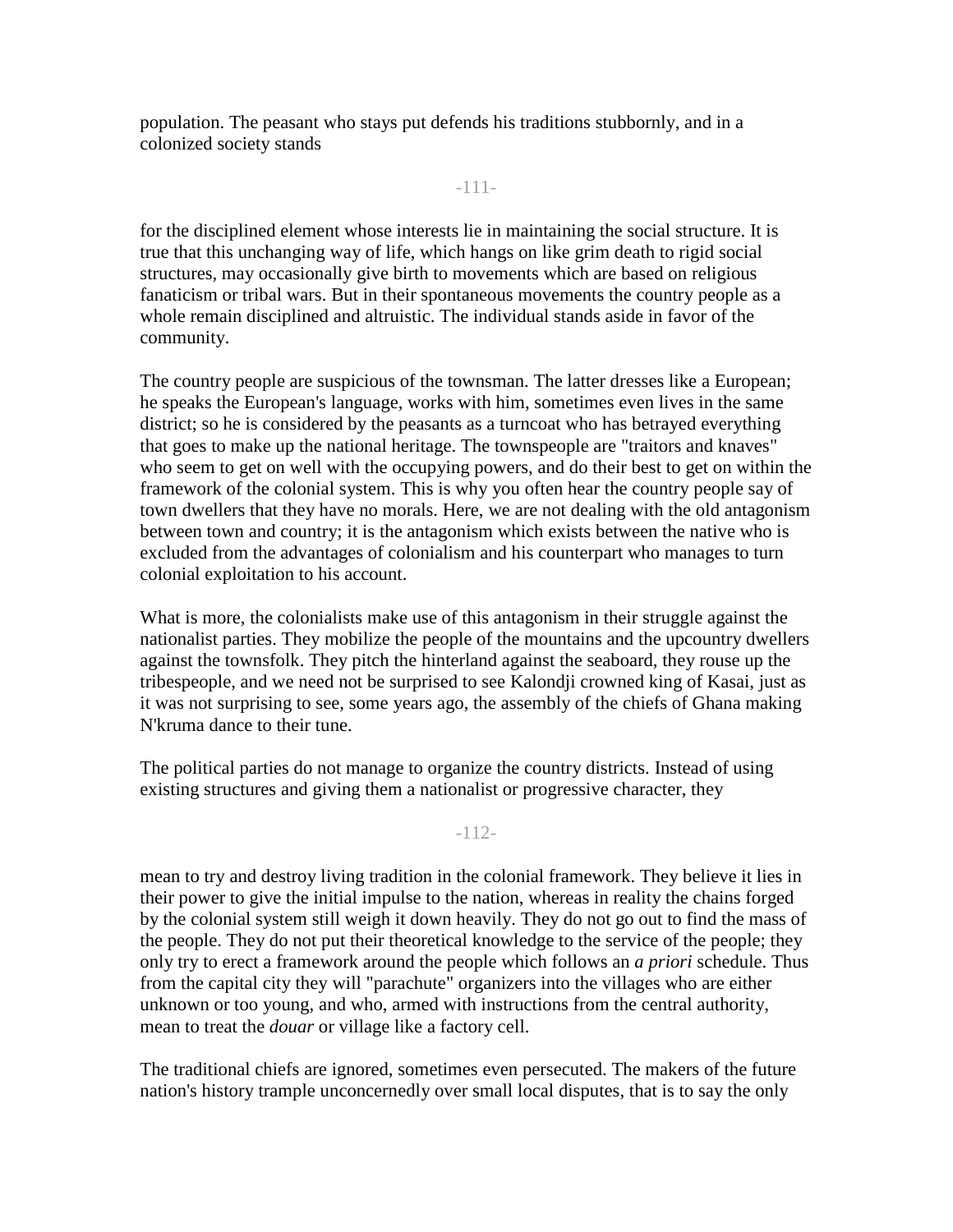population. The peasant who stays put defends his traditions stubbornly, and in a colonized society stands

#### -111-

for the disciplined element whose interests lie in maintaining the social structure. It is true that this unchanging way of life, which hangs on like grim death to rigid social structures, may occasionally give birth to movements which are based on religious fanaticism or tribal wars. But in their spontaneous movements the country people as a whole remain disciplined and altruistic. The individual stands aside in favor of the community.

The country people are suspicious of the townsman. The latter dresses like a European; he speaks the European's language, works with him, sometimes even lives in the same district; so he is considered by the peasants as a turncoat who has betrayed everything that goes to make up the national heritage. The townspeople are "traitors and knaves" who seem to get on well with the occupying powers, and do their best to get on within the framework of the colonial system. This is why you often hear the country people say of town dwellers that they have no morals. Here, we are not dealing with the old antagonism between town and country; it is the antagonism which exists between the native who is excluded from the advantages of colonialism and his counterpart who manages to turn colonial exploitation to his account.

What is more, the colonialists make use of this antagonism in their struggle against the nationalist parties. They mobilize the people of the mountains and the upcountry dwellers against the townsfolk. They pitch the hinterland against the seaboard, they rouse up the tribespeople, and we need not be surprised to see Kalondji crowned king of Kasai, just as it was not surprising to see, some years ago, the assembly of the chiefs of Ghana making N'kruma dance to their tune.

The political parties do not manage to organize the country districts. Instead of using existing structures and giving them a nationalist or progressive character, they

-112-

mean to try and destroy living tradition in the colonial framework. They believe it lies in their power to give the initial impulse to the nation, whereas in reality the chains forged by the colonial system still weigh it down heavily. They do not go out to find the mass of the people. They do not put their theoretical knowledge to the service of the people; they only try to erect a framework around the people which follows an *a priori* schedule. Thus from the capital city they will "parachute" organizers into the villages who are either unknown or too young, and who, armed with instructions from the central authority, mean to treat the *douar* or village like a factory cell.

The traditional chiefs are ignored, sometimes even persecuted. The makers of the future nation's history trample unconcernedly over small local disputes, that is to say the only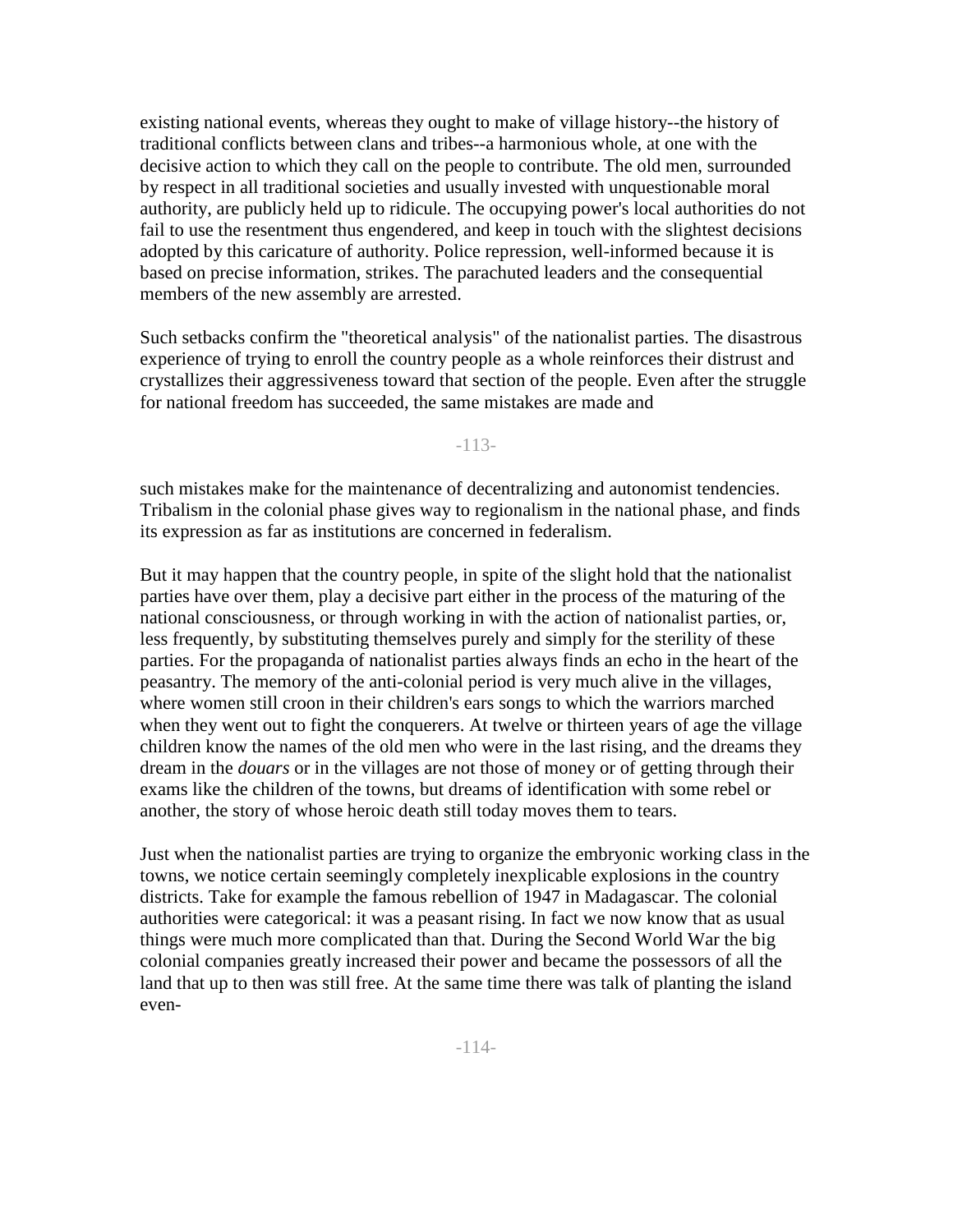existing national events, whereas they ought to make of village history--the history of traditional conflicts between clans and tribes--a harmonious whole, at one with the decisive action to which they call on the people to contribute. The old men, surrounded by respect in all traditional societies and usually invested with unquestionable moral authority, are publicly held up to ridicule. The occupying power's local authorities do not fail to use the resentment thus engendered, and keep in touch with the slightest decisions adopted by this caricature of authority. Police repression, well-informed because it is based on precise information, strikes. The parachuted leaders and the consequential members of the new assembly are arrested.

Such setbacks confirm the "theoretical analysis" of the nationalist parties. The disastrous experience of trying to enroll the country people as a whole reinforces their distrust and crystallizes their aggressiveness toward that section of the people. Even after the struggle for national freedom has succeeded, the same mistakes are made and

-113-

such mistakes make for the maintenance of decentralizing and autonomist tendencies. Tribalism in the colonial phase gives way to regionalism in the national phase, and finds its expression as far as institutions are concerned in federalism.

But it may happen that the country people, in spite of the slight hold that the nationalist parties have over them, play a decisive part either in the process of the maturing of the national consciousness, or through working in with the action of nationalist parties, or, less frequently, by substituting themselves purely and simply for the sterility of these parties. For the propaganda of nationalist parties always finds an echo in the heart of the peasantry. The memory of the anti-colonial period is very much alive in the villages, where women still croon in their children's ears songs to which the warriors marched when they went out to fight the conquerers. At twelve or thirteen years of age the village children know the names of the old men who were in the last rising, and the dreams they dream in the *douars* or in the villages are not those of money or of getting through their exams like the children of the towns, but dreams of identification with some rebel or another, the story of whose heroic death still today moves them to tears.

Just when the nationalist parties are trying to organize the embryonic working class in the towns, we notice certain seemingly completely inexplicable explosions in the country districts. Take for example the famous rebellion of 1947 in Madagascar. The colonial authorities were categorical: it was a peasant rising. In fact we now know that as usual things were much more complicated than that. During the Second World War the big colonial companies greatly increased their power and became the possessors of all the land that up to then was still free. At the same time there was talk of planting the island even-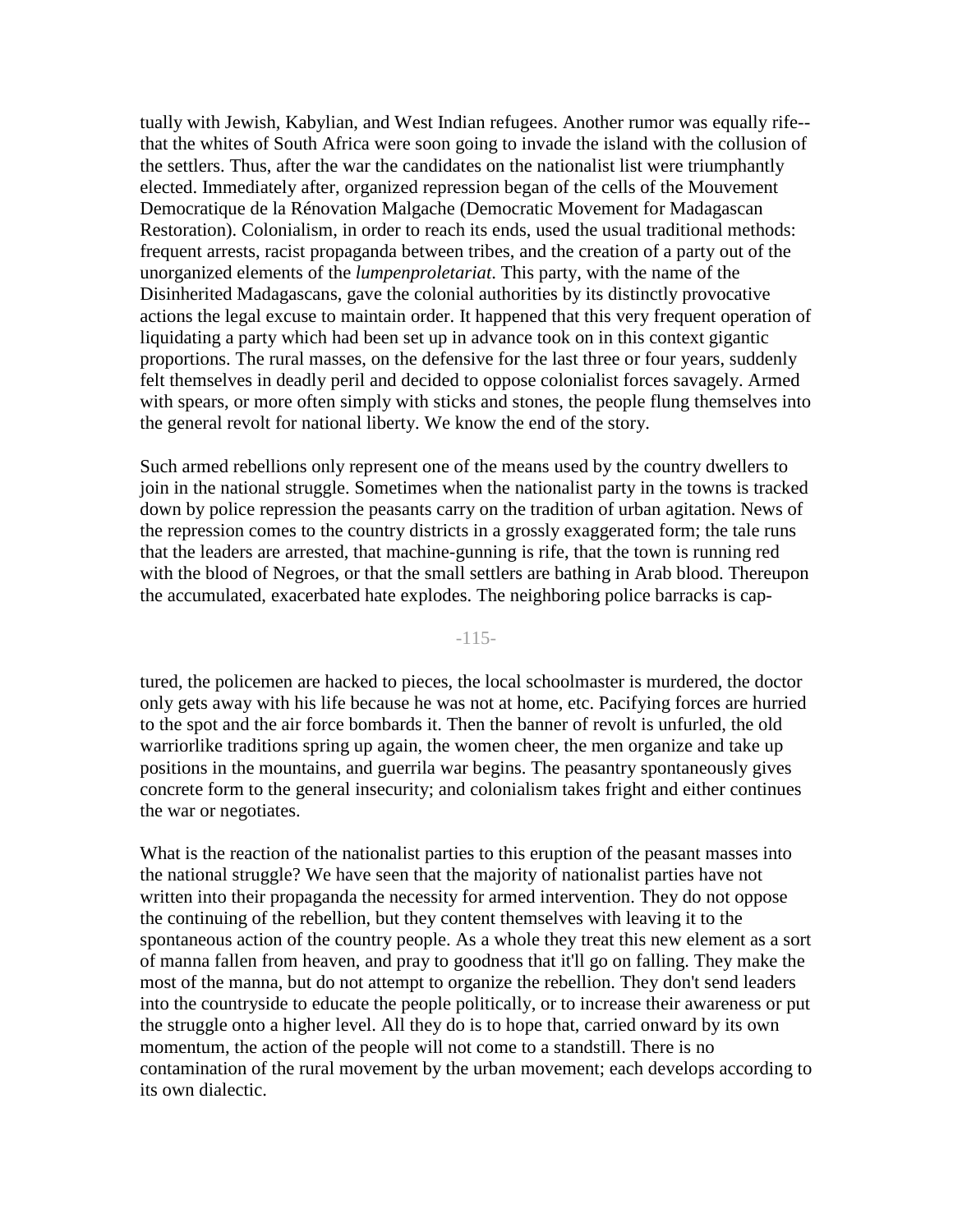tually with Jewish, Kabylian, and West Indian refugees. Another rumor was equally rife- that the whites of South Africa were soon going to invade the island with the collusion of the settlers. Thus, after the war the candidates on the nationalist list were triumphantly elected. Immediately after, organized repression began of the cells of the Mouvement Democratique de la Rénovation Malgache (Democratic Movement for Madagascan Restoration). Colonialism, in order to reach its ends, used the usual traditional methods: frequent arrests, racist propaganda between tribes, and the creation of a party out of the unorganized elements of the *lumpenproletariat*. This party, with the name of the Disinherited Madagascans, gave the colonial authorities by its distinctly provocative actions the legal excuse to maintain order. It happened that this very frequent operation of liquidating a party which had been set up in advance took on in this context gigantic proportions. The rural masses, on the defensive for the last three or four years, suddenly felt themselves in deadly peril and decided to oppose colonialist forces savagely. Armed with spears, or more often simply with sticks and stones, the people flung themselves into the general revolt for national liberty. We know the end of the story.

Such armed rebellions only represent one of the means used by the country dwellers to join in the national struggle. Sometimes when the nationalist party in the towns is tracked down by police repression the peasants carry on the tradition of urban agitation. News of the repression comes to the country districts in a grossly exaggerated form; the tale runs that the leaders are arrested, that machine-gunning is rife, that the town is running red with the blood of Negroes, or that the small settlers are bathing in Arab blood. Thereupon the accumulated, exacerbated hate explodes. The neighboring police barracks is cap-

-115-

tured, the policemen are hacked to pieces, the local schoolmaster is murdered, the doctor only gets away with his life because he was not at home, etc. Pacifying forces are hurried to the spot and the air force bombards it. Then the banner of revolt is unfurled, the old warriorlike traditions spring up again, the women cheer, the men organize and take up positions in the mountains, and guerrila war begins. The peasantry spontaneously gives concrete form to the general insecurity; and colonialism takes fright and either continues the war or negotiates.

What is the reaction of the nationalist parties to this eruption of the peasant masses into the national struggle? We have seen that the majority of nationalist parties have not written into their propaganda the necessity for armed intervention. They do not oppose the continuing of the rebellion, but they content themselves with leaving it to the spontaneous action of the country people. As a whole they treat this new element as a sort of manna fallen from heaven, and pray to goodness that it'll go on falling. They make the most of the manna, but do not attempt to organize the rebellion. They don't send leaders into the countryside to educate the people politically, or to increase their awareness or put the struggle onto a higher level. All they do is to hope that, carried onward by its own momentum, the action of the people will not come to a standstill. There is no contamination of the rural movement by the urban movement; each develops according to its own dialectic.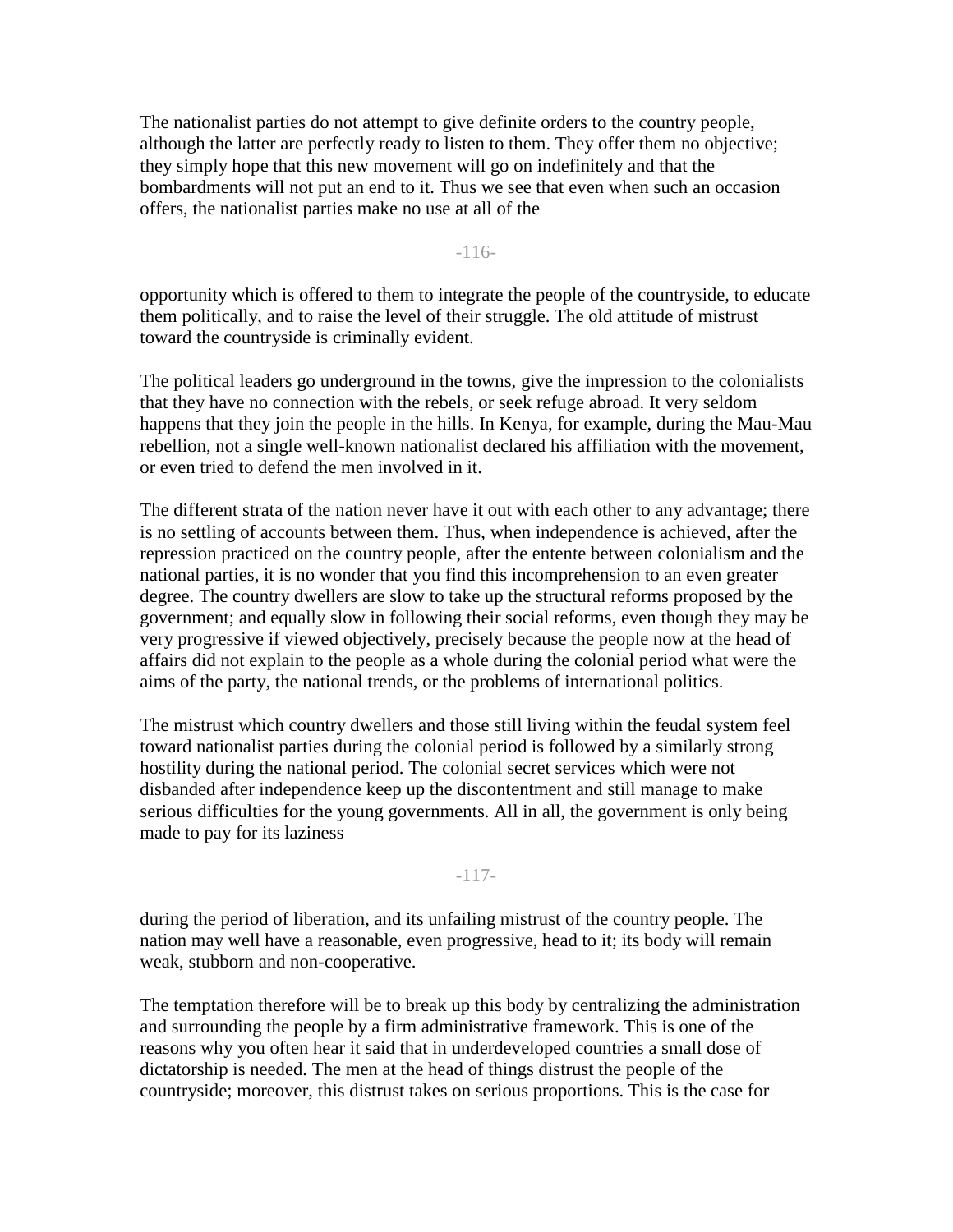The nationalist parties do not attempt to give definite orders to the country people, although the latter are perfectly ready to listen to them. They offer them no objective; they simply hope that this new movement will go on indefinitely and that the bombardments will not put an end to it. Thus we see that even when such an occasion offers, the nationalist parties make no use at all of the

-116-

opportunity which is offered to them to integrate the people of the countryside, to educate them politically, and to raise the level of their struggle. The old attitude of mistrust toward the countryside is criminally evident.

The political leaders go underground in the towns, give the impression to the colonialists that they have no connection with the rebels, or seek refuge abroad. It very seldom happens that they join the people in the hills. In Kenya, for example, during the Mau-Mau rebellion, not a single well-known nationalist declared his affiliation with the movement, or even tried to defend the men involved in it.

The different strata of the nation never have it out with each other to any advantage; there is no settling of accounts between them. Thus, when independence is achieved, after the repression practiced on the country people, after the entente between colonialism and the national parties, it is no wonder that you find this incomprehension to an even greater degree. The country dwellers are slow to take up the structural reforms proposed by the government; and equally slow in following their social reforms, even though they may be very progressive if viewed objectively, precisely because the people now at the head of affairs did not explain to the people as a whole during the colonial period what were the aims of the party, the national trends, or the problems of international politics.

The mistrust which country dwellers and those still living within the feudal system feel toward nationalist parties during the colonial period is followed by a similarly strong hostility during the national period. The colonial secret services which were not disbanded after independence keep up the discontentment and still manage to make serious difficulties for the young governments. All in all, the government is only being made to pay for its laziness

-117-

during the period of liberation, and its unfailing mistrust of the country people. The nation may well have a reasonable, even progressive, head to it; its body will remain weak, stubborn and non-cooperative.

The temptation therefore will be to break up this body by centralizing the administration and surrounding the people by a firm administrative framework. This is one of the reasons why you often hear it said that in underdeveloped countries a small dose of dictatorship is needed. The men at the head of things distrust the people of the countryside; moreover, this distrust takes on serious proportions. This is the case for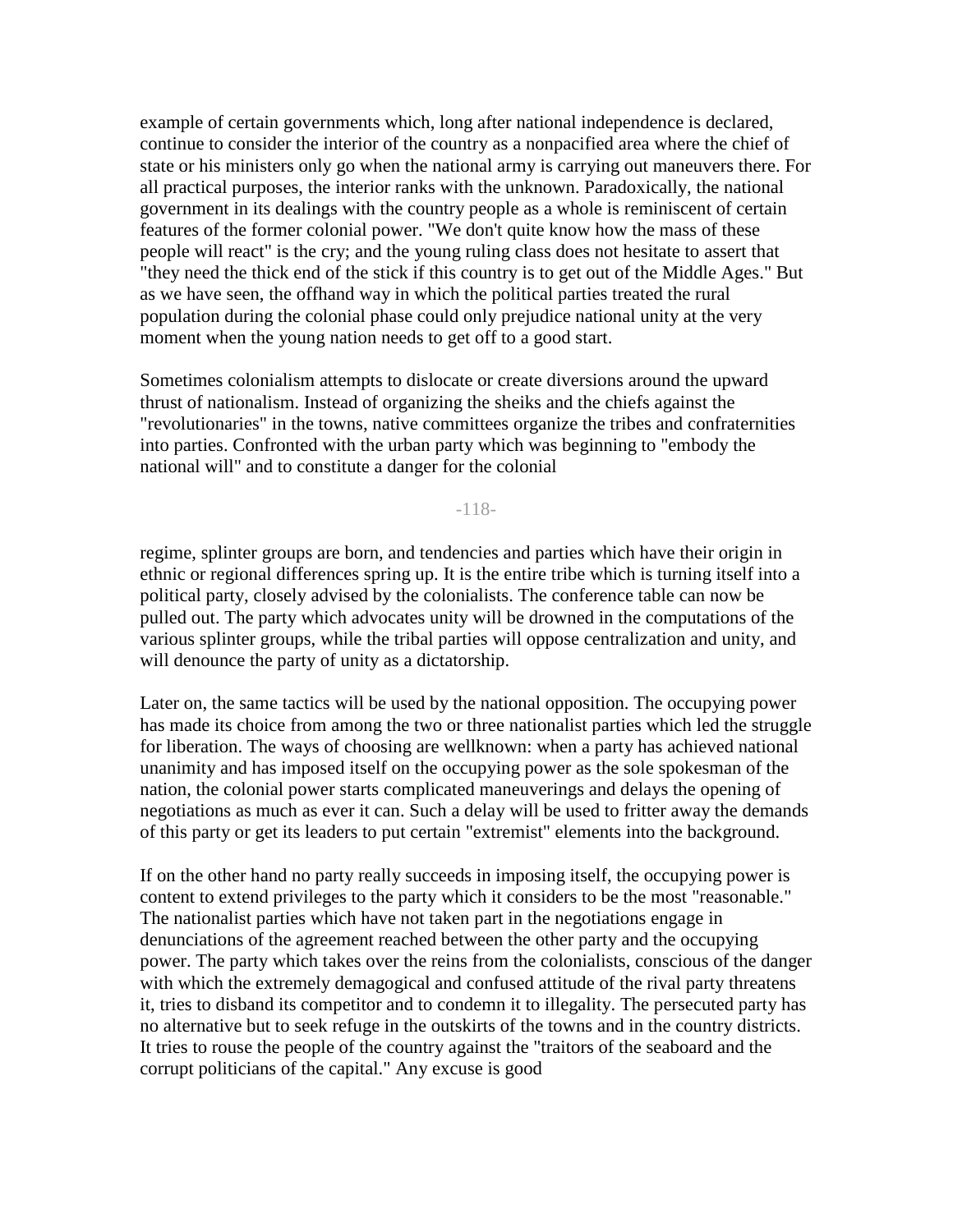example of certain governments which, long after national independence is declared, continue to consider the interior of the country as a nonpacified area where the chief of state or his ministers only go when the national army is carrying out maneuvers there. For all practical purposes, the interior ranks with the unknown. Paradoxically, the national government in its dealings with the country people as a whole is reminiscent of certain features of the former colonial power. "We don't quite know how the mass of these people will react" is the cry; and the young ruling class does not hesitate to assert that "they need the thick end of the stick if this country is to get out of the Middle Ages." But as we have seen, the offhand way in which the political parties treated the rural population during the colonial phase could only prejudice national unity at the very moment when the young nation needs to get off to a good start.

Sometimes colonialism attempts to dislocate or create diversions around the upward thrust of nationalism. Instead of organizing the sheiks and the chiefs against the "revolutionaries" in the towns, native committees organize the tribes and confraternities into parties. Confronted with the urban party which was beginning to "embody the national will" and to constitute a danger for the colonial

-118-

regime, splinter groups are born, and tendencies and parties which have their origin in ethnic or regional differences spring up. It is the entire tribe which is turning itself into a political party, closely advised by the colonialists. The conference table can now be pulled out. The party which advocates unity will be drowned in the computations of the various splinter groups, while the tribal parties will oppose centralization and unity, and will denounce the party of unity as a dictatorship.

Later on, the same tactics will be used by the national opposition. The occupying power has made its choice from among the two or three nationalist parties which led the struggle for liberation. The ways of choosing are wellknown: when a party has achieved national unanimity and has imposed itself on the occupying power as the sole spokesman of the nation, the colonial power starts complicated maneuverings and delays the opening of negotiations as much as ever it can. Such a delay will be used to fritter away the demands of this party or get its leaders to put certain "extremist" elements into the background.

If on the other hand no party really succeeds in imposing itself, the occupying power is content to extend privileges to the party which it considers to be the most "reasonable." The nationalist parties which have not taken part in the negotiations engage in denunciations of the agreement reached between the other party and the occupying power. The party which takes over the reins from the colonialists, conscious of the danger with which the extremely demagogical and confused attitude of the rival party threatens it, tries to disband its competitor and to condemn it to illegality. The persecuted party has no alternative but to seek refuge in the outskirts of the towns and in the country districts. It tries to rouse the people of the country against the "traitors of the seaboard and the corrupt politicians of the capital." Any excuse is good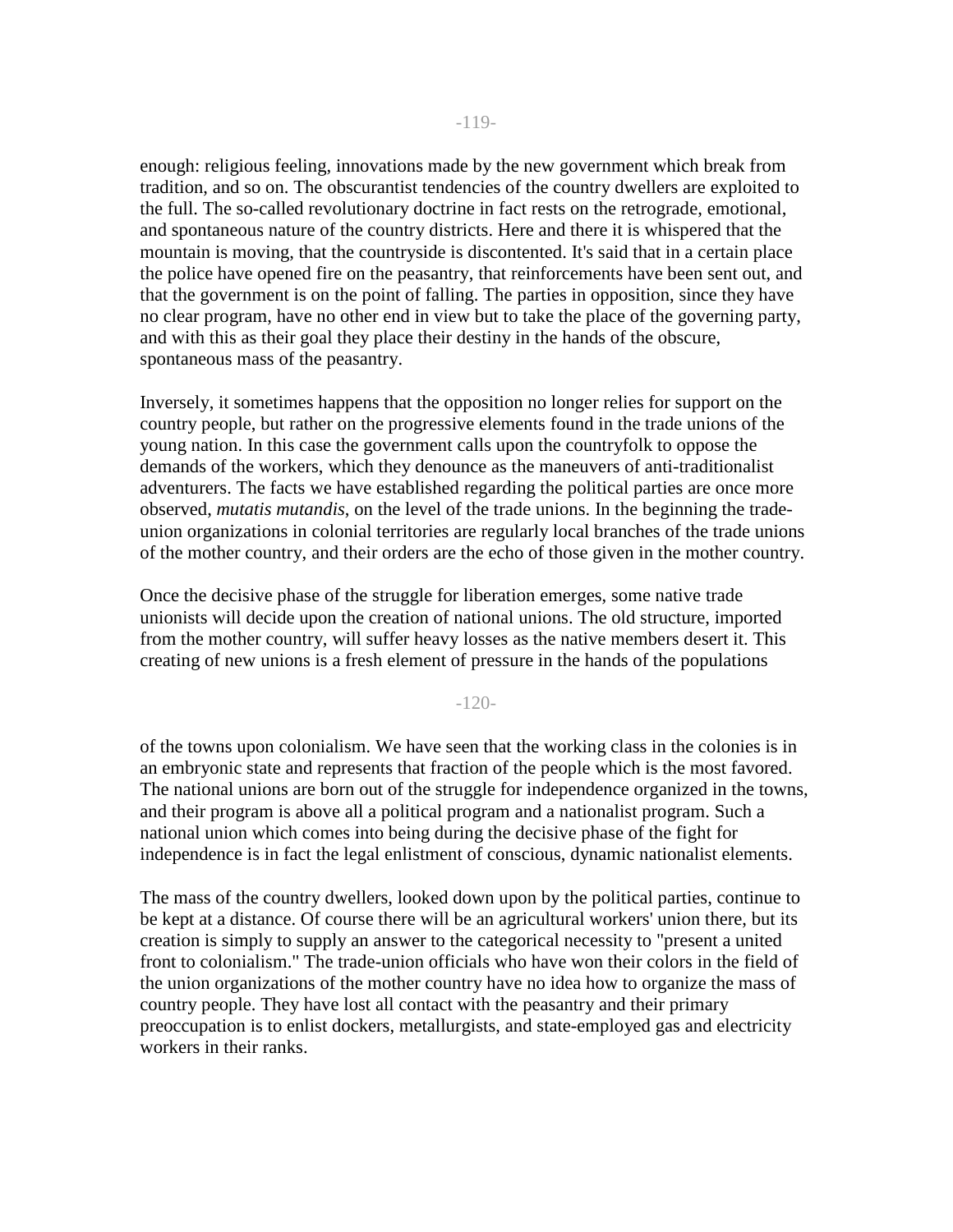enough: religious feeling, innovations made by the new government which break from tradition, and so on. The obscurantist tendencies of the country dwellers are exploited to the full. The so-called revolutionary doctrine in fact rests on the retrograde, emotional, and spontaneous nature of the country districts. Here and there it is whispered that the mountain is moving, that the countryside is discontented. It's said that in a certain place the police have opened fire on the peasantry, that reinforcements have been sent out, and that the government is on the point of falling. The parties in opposition, since they have no clear program, have no other end in view but to take the place of the governing party, and with this as their goal they place their destiny in the hands of the obscure, spontaneous mass of the peasantry.

Inversely, it sometimes happens that the opposition no longer relies for support on the country people, but rather on the progressive elements found in the trade unions of the young nation. In this case the government calls upon the countryfolk to oppose the demands of the workers, which they denounce as the maneuvers of anti-traditionalist adventurers. The facts we have established regarding the political parties are once more observed, *mutatis mutandis*, on the level of the trade unions. In the beginning the tradeunion organizations in colonial territories are regularly local branches of the trade unions of the mother country, and their orders are the echo of those given in the mother country.

Once the decisive phase of the struggle for liberation emerges, some native trade unionists will decide upon the creation of national unions. The old structure, imported from the mother country, will suffer heavy losses as the native members desert it. This creating of new unions is a fresh element of pressure in the hands of the populations

-120-

of the towns upon colonialism. We have seen that the working class in the colonies is in an embryonic state and represents that fraction of the people which is the most favored. The national unions are born out of the struggle for independence organized in the towns, and their program is above all a political program and a nationalist program. Such a national union which comes into being during the decisive phase of the fight for independence is in fact the legal enlistment of conscious, dynamic nationalist elements.

The mass of the country dwellers, looked down upon by the political parties, continue to be kept at a distance. Of course there will be an agricultural workers' union there, but its creation is simply to supply an answer to the categorical necessity to "present a united front to colonialism." The trade-union officials who have won their colors in the field of the union organizations of the mother country have no idea how to organize the mass of country people. They have lost all contact with the peasantry and their primary preoccupation is to enlist dockers, metallurgists, and state-employed gas and electricity workers in their ranks.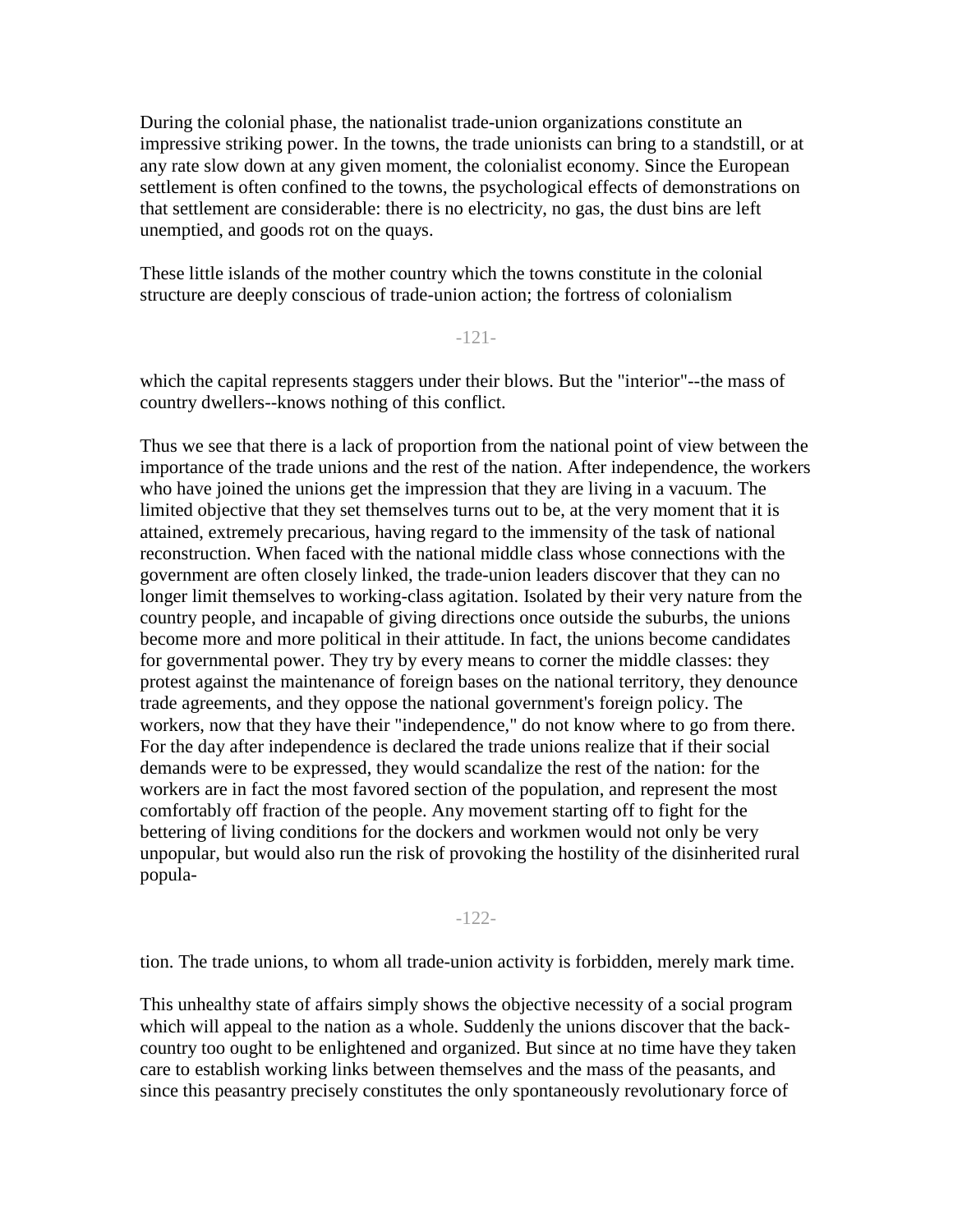During the colonial phase, the nationalist trade-union organizations constitute an impressive striking power. In the towns, the trade unionists can bring to a standstill, or at any rate slow down at any given moment, the colonialist economy. Since the European settlement is often confined to the towns, the psychological effects of demonstrations on that settlement are considerable: there is no electricity, no gas, the dust bins are left unemptied, and goods rot on the quays.

These little islands of the mother country which the towns constitute in the colonial structure are deeply conscious of trade-union action; the fortress of colonialism

-121-

which the capital represents staggers under their blows. But the "interior"--the mass of country dwellers--knows nothing of this conflict.

Thus we see that there is a lack of proportion from the national point of view between the importance of the trade unions and the rest of the nation. After independence, the workers who have joined the unions get the impression that they are living in a vacuum. The limited objective that they set themselves turns out to be, at the very moment that it is attained, extremely precarious, having regard to the immensity of the task of national reconstruction. When faced with the national middle class whose connections with the government are often closely linked, the trade-union leaders discover that they can no longer limit themselves to working-class agitation. Isolated by their very nature from the country people, and incapable of giving directions once outside the suburbs, the unions become more and more political in their attitude. In fact, the unions become candidates for governmental power. They try by every means to corner the middle classes: they protest against the maintenance of foreign bases on the national territory, they denounce trade agreements, and they oppose the national government's foreign policy. The workers, now that they have their "independence," do not know where to go from there. For the day after independence is declared the trade unions realize that if their social demands were to be expressed, they would scandalize the rest of the nation: for the workers are in fact the most favored section of the population, and represent the most comfortably off fraction of the people. Any movement starting off to fight for the bettering of living conditions for the dockers and workmen would not only be very unpopular, but would also run the risk of provoking the hostility of the disinherited rural popula-

-122-

tion. The trade unions, to whom all trade-union activity is forbidden, merely mark time.

This unhealthy state of affairs simply shows the objective necessity of a social program which will appeal to the nation as a whole. Suddenly the unions discover that the backcountry too ought to be enlightened and organized. But since at no time have they taken care to establish working links between themselves and the mass of the peasants, and since this peasantry precisely constitutes the only spontaneously revolutionary force of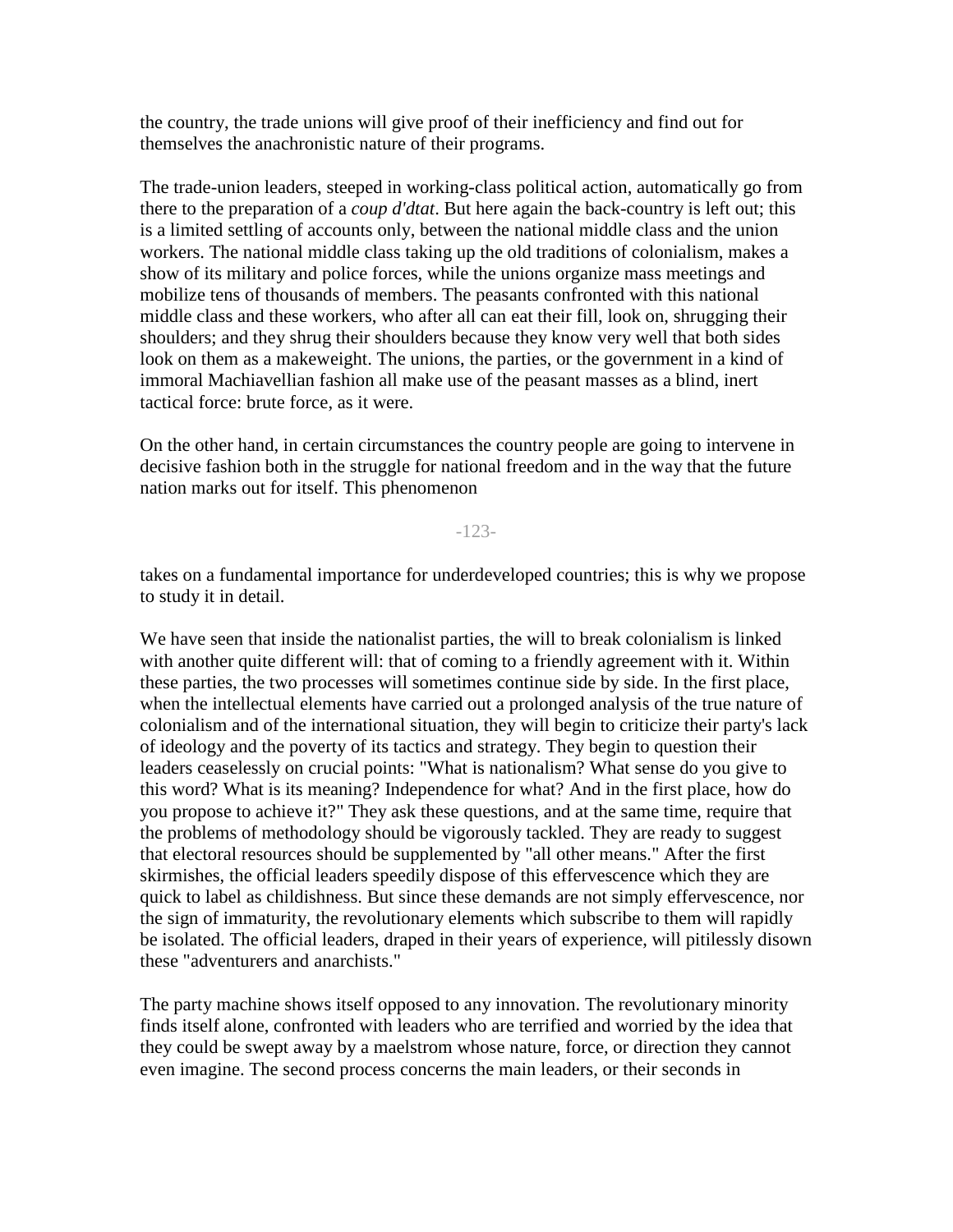the country, the trade unions will give proof of their inefficiency and find out for themselves the anachronistic nature of their programs.

The trade-union leaders, steeped in working-class political action, automatically go from there to the preparation of a *coup d'dtat*. But here again the back-country is left out; this is a limited settling of accounts only, between the national middle class and the union workers. The national middle class taking up the old traditions of colonialism, makes a show of its military and police forces, while the unions organize mass meetings and mobilize tens of thousands of members. The peasants confronted with this national middle class and these workers, who after all can eat their fill, look on, shrugging their shoulders; and they shrug their shoulders because they know very well that both sides look on them as a makeweight. The unions, the parties, or the government in a kind of immoral Machiavellian fashion all make use of the peasant masses as a blind, inert tactical force: brute force, as it were.

On the other hand, in certain circumstances the country people are going to intervene in decisive fashion both in the struggle for national freedom and in the way that the future nation marks out for itself. This phenomenon

-123-

takes on a fundamental importance for underdeveloped countries; this is why we propose to study it in detail.

We have seen that inside the nationalist parties, the will to break colonialism is linked with another quite different will: that of coming to a friendly agreement with it. Within these parties, the two processes will sometimes continue side by side. In the first place, when the intellectual elements have carried out a prolonged analysis of the true nature of colonialism and of the international situation, they will begin to criticize their party's lack of ideology and the poverty of its tactics and strategy. They begin to question their leaders ceaselessly on crucial points: "What is nationalism? What sense do you give to this word? What is its meaning? Independence for what? And in the first place, how do you propose to achieve it?" They ask these questions, and at the same time, require that the problems of methodology should be vigorously tackled. They are ready to suggest that electoral resources should be supplemented by "all other means." After the first skirmishes, the official leaders speedily dispose of this effervescence which they are quick to label as childishness. But since these demands are not simply effervescence, nor the sign of immaturity, the revolutionary elements which subscribe to them will rapidly be isolated. The official leaders, draped in their years of experience, will pitilessly disown these "adventurers and anarchists."

The party machine shows itself opposed to any innovation. The revolutionary minority finds itself alone, confronted with leaders who are terrified and worried by the idea that they could be swept away by a maelstrom whose nature, force, or direction they cannot even imagine. The second process concerns the main leaders, or their seconds in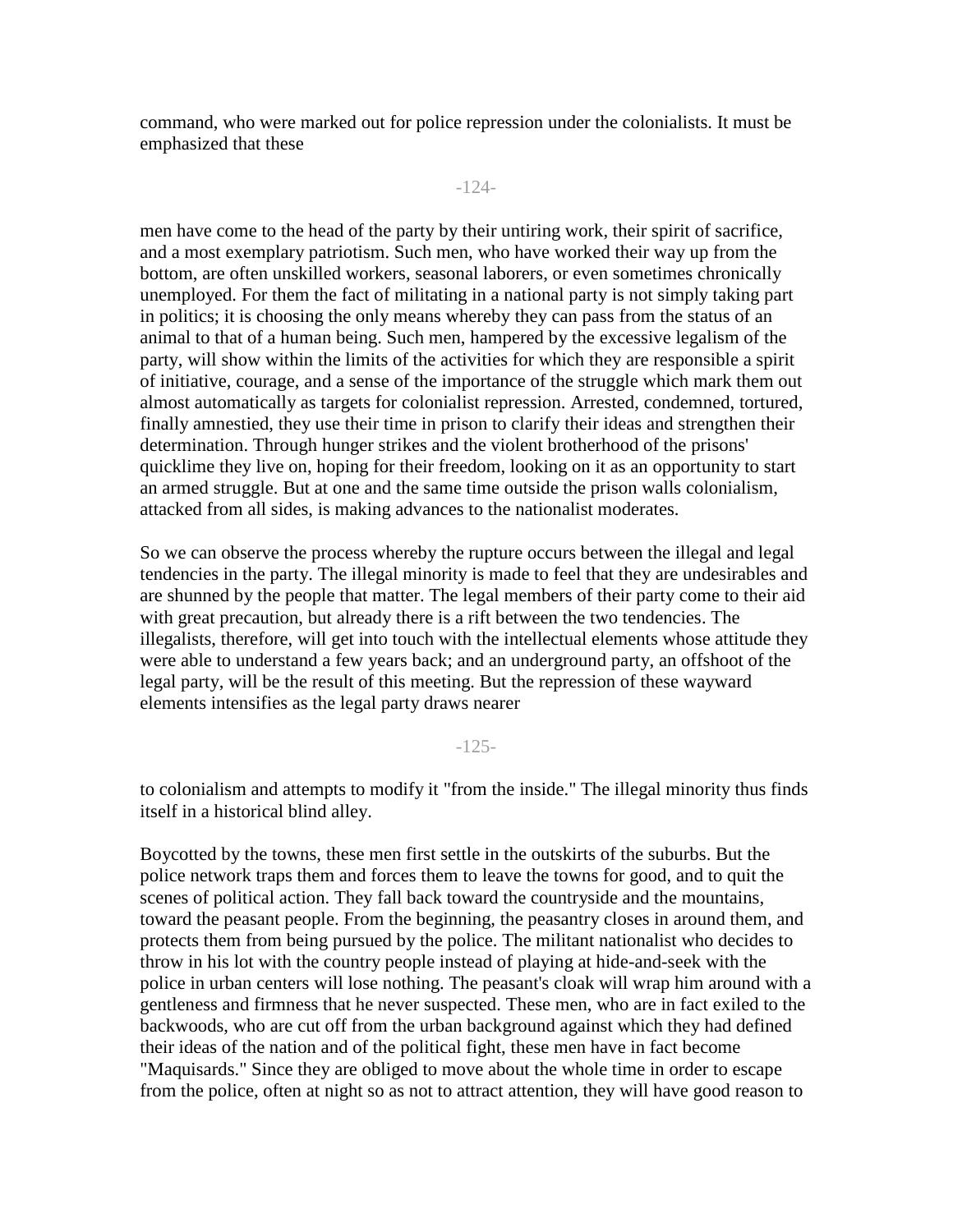command, who were marked out for police repression under the colonialists. It must be emphasized that these

## -124-

men have come to the head of the party by their untiring work, their spirit of sacrifice, and a most exemplary patriotism. Such men, who have worked their way up from the bottom, are often unskilled workers, seasonal laborers, or even sometimes chronically unemployed. For them the fact of militating in a national party is not simply taking part in politics; it is choosing the only means whereby they can pass from the status of an animal to that of a human being. Such men, hampered by the excessive legalism of the party, will show within the limits of the activities for which they are responsible a spirit of initiative, courage, and a sense of the importance of the struggle which mark them out almost automatically as targets for colonialist repression. Arrested, condemned, tortured, finally amnestied, they use their time in prison to clarify their ideas and strengthen their determination. Through hunger strikes and the violent brotherhood of the prisons' quicklime they live on, hoping for their freedom, looking on it as an opportunity to start an armed struggle. But at one and the same time outside the prison walls colonialism, attacked from all sides, is making advances to the nationalist moderates.

So we can observe the process whereby the rupture occurs between the illegal and legal tendencies in the party. The illegal minority is made to feel that they are undesirables and are shunned by the people that matter. The legal members of their party come to their aid with great precaution, but already there is a rift between the two tendencies. The illegalists, therefore, will get into touch with the intellectual elements whose attitude they were able to understand a few years back; and an underground party, an offshoot of the legal party, will be the result of this meeting. But the repression of these wayward elements intensifies as the legal party draws nearer

-125-

to colonialism and attempts to modify it "from the inside." The illegal minority thus finds itself in a historical blind alley.

Boycotted by the towns, these men first settle in the outskirts of the suburbs. But the police network traps them and forces them to leave the towns for good, and to quit the scenes of political action. They fall back toward the countryside and the mountains, toward the peasant people. From the beginning, the peasantry closes in around them, and protects them from being pursued by the police. The militant nationalist who decides to throw in his lot with the country people instead of playing at hide-and-seek with the police in urban centers will lose nothing. The peasant's cloak will wrap him around with a gentleness and firmness that he never suspected. These men, who are in fact exiled to the backwoods, who are cut off from the urban background against which they had defined their ideas of the nation and of the political fight, these men have in fact become "Maquisards." Since they are obliged to move about the whole time in order to escape from the police, often at night so as not to attract attention, they will have good reason to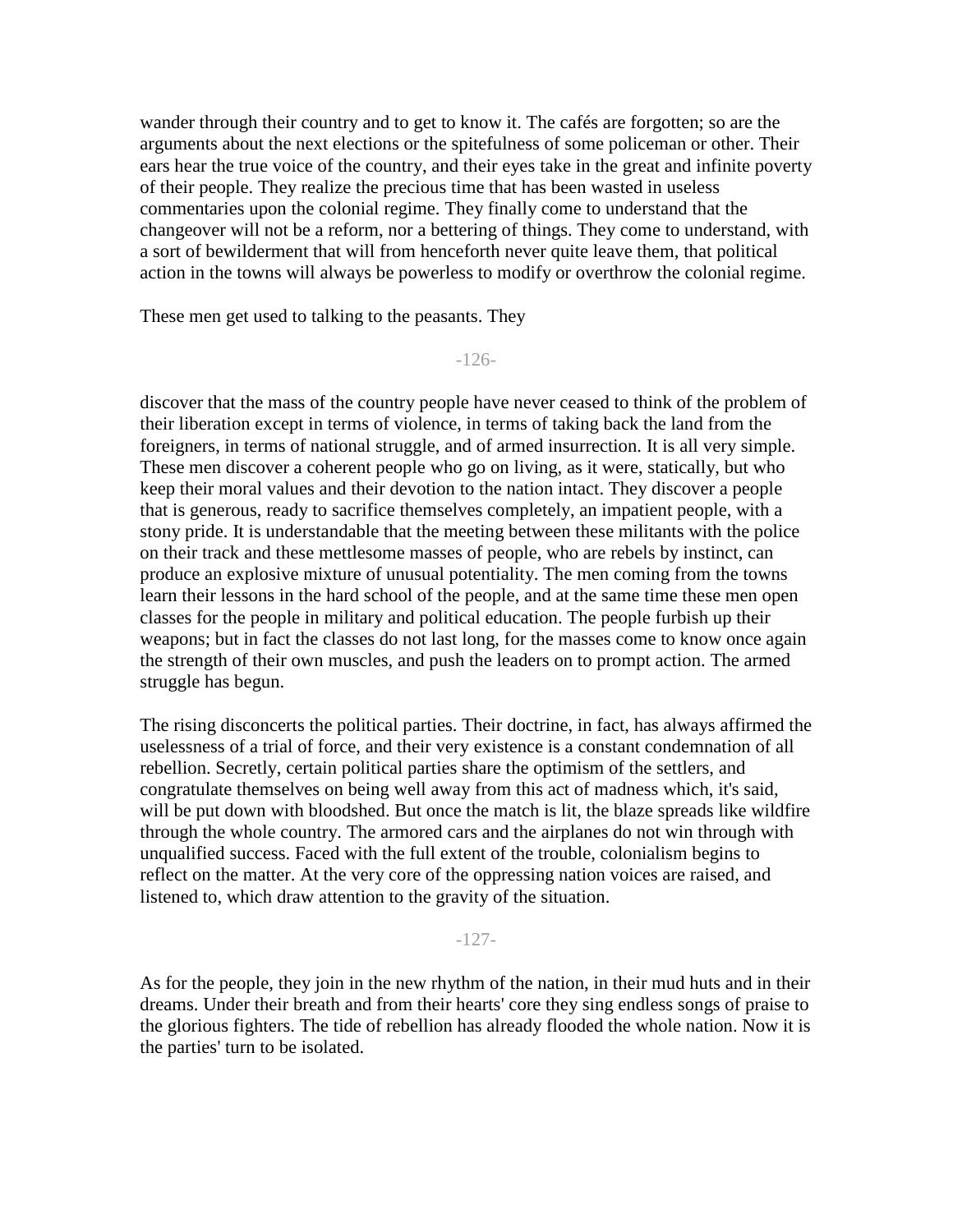wander through their country and to get to know it. The cafés are forgotten; so are the arguments about the next elections or the spitefulness of some policeman or other. Their ears hear the true voice of the country, and their eyes take in the great and infinite poverty of their people. They realize the precious time that has been wasted in useless commentaries upon the colonial regime. They finally come to understand that the changeover will not be a reform, nor a bettering of things. They come to understand, with a sort of bewilderment that will from henceforth never quite leave them, that political action in the towns will always be powerless to modify or overthrow the colonial regime.

These men get used to talking to the peasants. They

-126-

discover that the mass of the country people have never ceased to think of the problem of their liberation except in terms of violence, in terms of taking back the land from the foreigners, in terms of national struggle, and of armed insurrection. It is all very simple. These men discover a coherent people who go on living, as it were, statically, but who keep their moral values and their devotion to the nation intact. They discover a people that is generous, ready to sacrifice themselves completely, an impatient people, with a stony pride. It is understandable that the meeting between these militants with the police on their track and these mettlesome masses of people, who are rebels by instinct, can produce an explosive mixture of unusual potentiality. The men coming from the towns learn their lessons in the hard school of the people, and at the same time these men open classes for the people in military and political education. The people furbish up their weapons; but in fact the classes do not last long, for the masses come to know once again the strength of their own muscles, and push the leaders on to prompt action. The armed struggle has begun.

The rising disconcerts the political parties. Their doctrine, in fact, has always affirmed the uselessness of a trial of force, and their very existence is a constant condemnation of all rebellion. Secretly, certain political parties share the optimism of the settlers, and congratulate themselves on being well away from this act of madness which, it's said, will be put down with bloodshed. But once the match is lit, the blaze spreads like wildfire through the whole country. The armored cars and the airplanes do not win through with unqualified success. Faced with the full extent of the trouble, colonialism begins to reflect on the matter. At the very core of the oppressing nation voices are raised, and listened to, which draw attention to the gravity of the situation.

-127-

As for the people, they join in the new rhythm of the nation, in their mud huts and in their dreams. Under their breath and from their hearts' core they sing endless songs of praise to the glorious fighters. The tide of rebellion has already flooded the whole nation. Now it is the parties' turn to be isolated.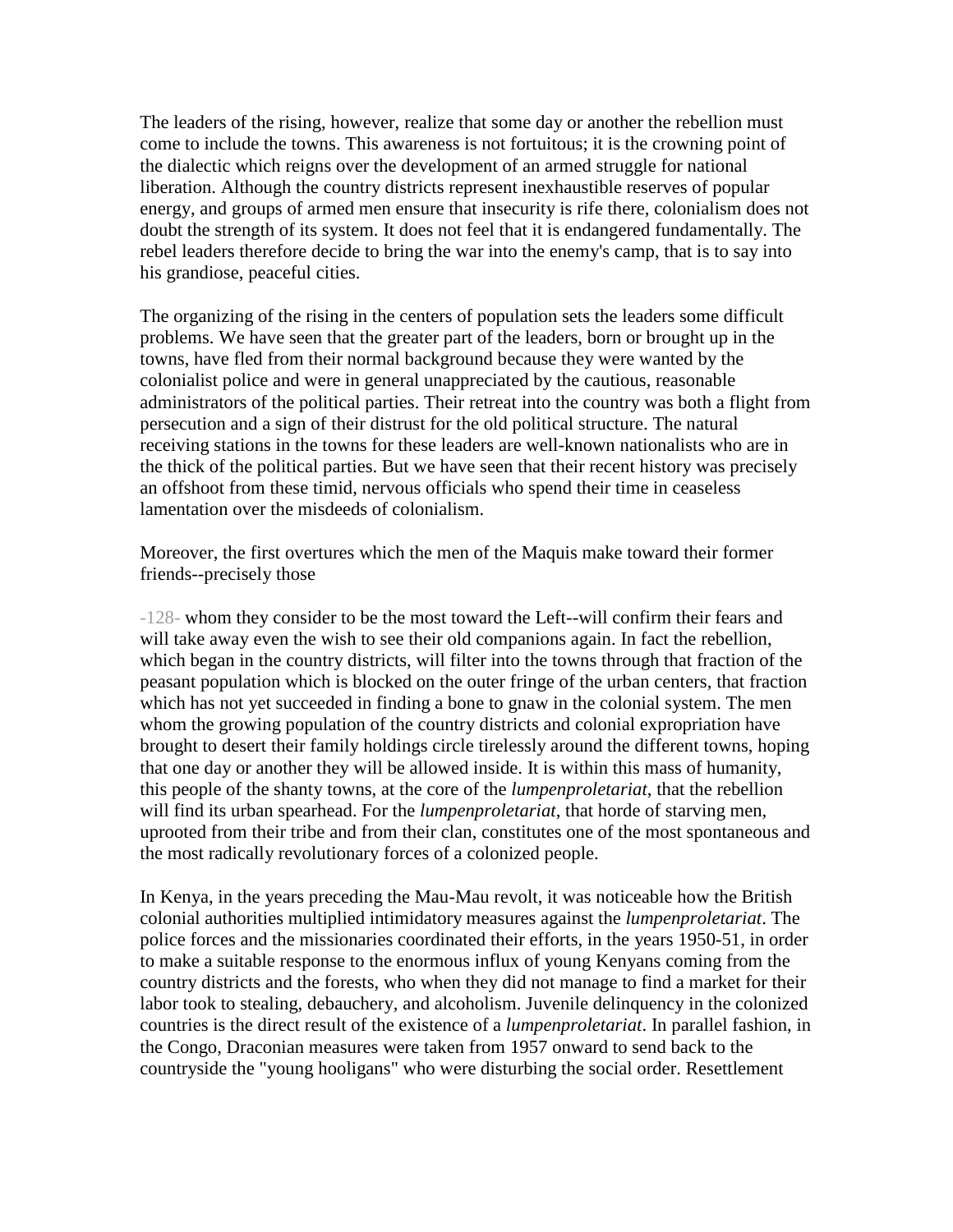The leaders of the rising, however, realize that some day or another the rebellion must come to include the towns. This awareness is not fortuitous; it is the crowning point of the dialectic which reigns over the development of an armed struggle for national liberation. Although the country districts represent inexhaustible reserves of popular energy, and groups of armed men ensure that insecurity is rife there, colonialism does not doubt the strength of its system. It does not feel that it is endangered fundamentally. The rebel leaders therefore decide to bring the war into the enemy's camp, that is to say into his grandiose, peaceful cities.

The organizing of the rising in the centers of population sets the leaders some difficult problems. We have seen that the greater part of the leaders, born or brought up in the towns, have fled from their normal background because they were wanted by the colonialist police and were in general unappreciated by the cautious, reasonable administrators of the political parties. Their retreat into the country was both a flight from persecution and a sign of their distrust for the old political structure. The natural receiving stations in the towns for these leaders are well-known nationalists who are in the thick of the political parties. But we have seen that their recent history was precisely an offshoot from these timid, nervous officials who spend their time in ceaseless lamentation over the misdeeds of colonialism.

Moreover, the first overtures which the men of the Maquis make toward their former friends--precisely those

-128- whom they consider to be the most toward the Left--will confirm their fears and will take away even the wish to see their old companions again. In fact the rebellion, which began in the country districts, will filter into the towns through that fraction of the peasant population which is blocked on the outer fringe of the urban centers, that fraction which has not yet succeeded in finding a bone to gnaw in the colonial system. The men whom the growing population of the country districts and colonial expropriation have brought to desert their family holdings circle tirelessly around the different towns, hoping that one day or another they will be allowed inside. It is within this mass of humanity, this people of the shanty towns, at the core of the *lumpenproletariat*, that the rebellion will find its urban spearhead. For the *lumpenproletariat*, that horde of starving men, uprooted from their tribe and from their clan, constitutes one of the most spontaneous and the most radically revolutionary forces of a colonized people.

In Kenya, in the years preceding the Mau-Mau revolt, it was noticeable how the British colonial authorities multiplied intimidatory measures against the *lumpenproletariat*. The police forces and the missionaries coordinated their efforts, in the years 1950-51, in order to make a suitable response to the enormous influx of young Kenyans coming from the country districts and the forests, who when they did not manage to find a market for their labor took to stealing, debauchery, and alcoholism. Juvenile delinquency in the colonized countries is the direct result of the existence of a *lumpenproletariat*. In parallel fashion, in the Congo, Draconian measures were taken from 1957 onward to send back to the countryside the "young hooligans" who were disturbing the social order. Resettlement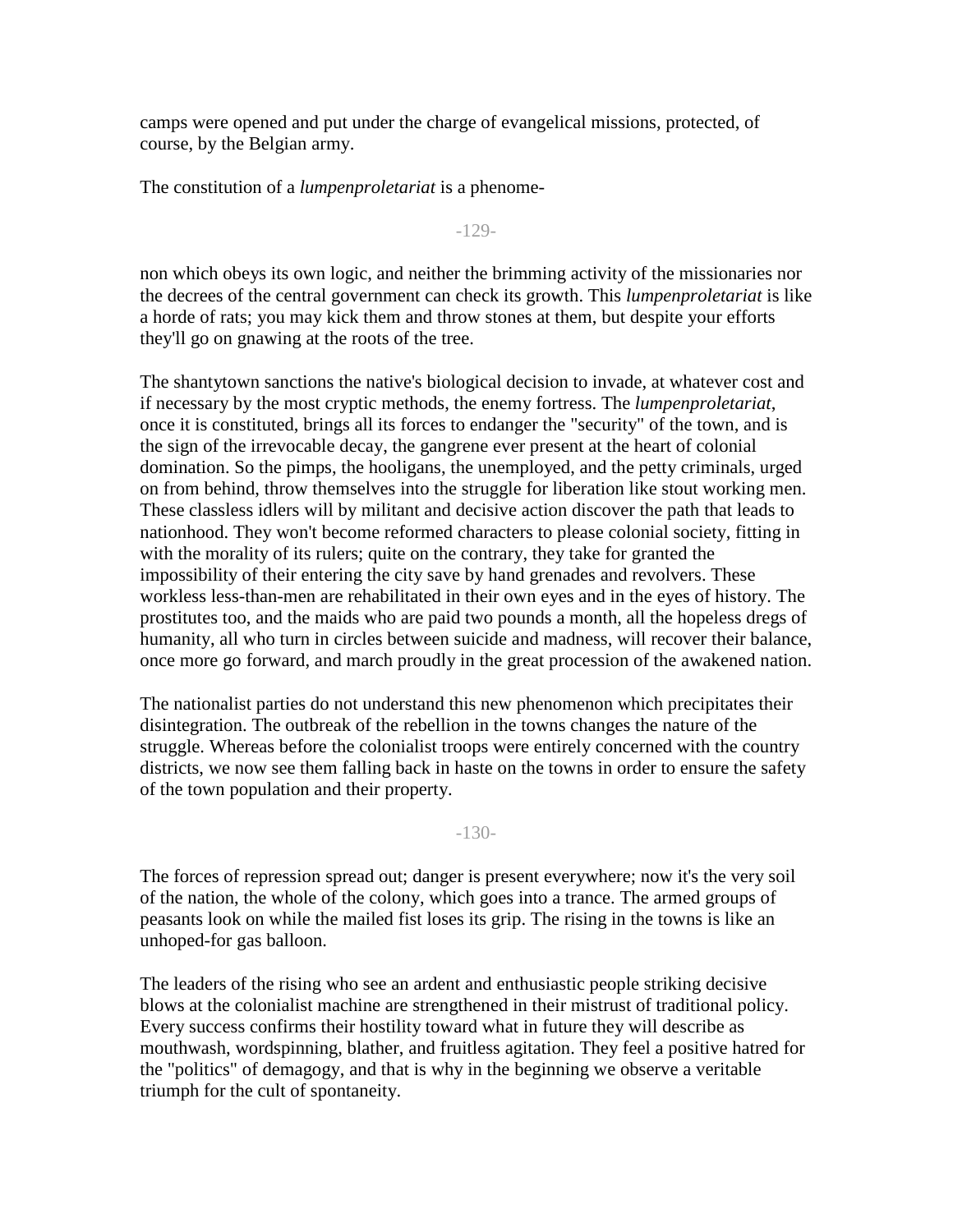camps were opened and put under the charge of evangelical missions, protected, of course, by the Belgian army.

The constitution of a *lumpenproletariat* is a phenome-

-129-

non which obeys its own logic, and neither the brimming activity of the missionaries nor the decrees of the central government can check its growth. This *lumpenproletariat* is like a horde of rats; you may kick them and throw stones at them, but despite your efforts they'll go on gnawing at the roots of the tree.

The shantytown sanctions the native's biological decision to invade, at whatever cost and if necessary by the most cryptic methods, the enemy fortress. The *lumpenproletariat*, once it is constituted, brings all its forces to endanger the "security" of the town, and is the sign of the irrevocable decay, the gangrene ever present at the heart of colonial domination. So the pimps, the hooligans, the unemployed, and the petty criminals, urged on from behind, throw themselves into the struggle for liberation like stout working men. These classless idlers will by militant and decisive action discover the path that leads to nationhood. They won't become reformed characters to please colonial society, fitting in with the morality of its rulers; quite on the contrary, they take for granted the impossibility of their entering the city save by hand grenades and revolvers. These workless less-than-men are rehabilitated in their own eyes and in the eyes of history. The prostitutes too, and the maids who are paid two pounds a month, all the hopeless dregs of humanity, all who turn in circles between suicide and madness, will recover their balance, once more go forward, and march proudly in the great procession of the awakened nation.

The nationalist parties do not understand this new phenomenon which precipitates their disintegration. The outbreak of the rebellion in the towns changes the nature of the struggle. Whereas before the colonialist troops were entirely concerned with the country districts, we now see them falling back in haste on the towns in order to ensure the safety of the town population and their property.

-130-

The forces of repression spread out; danger is present everywhere; now it's the very soil of the nation, the whole of the colony, which goes into a trance. The armed groups of peasants look on while the mailed fist loses its grip. The rising in the towns is like an unhoped-for gas balloon.

The leaders of the rising who see an ardent and enthusiastic people striking decisive blows at the colonialist machine are strengthened in their mistrust of traditional policy. Every success confirms their hostility toward what in future they will describe as mouthwash, wordspinning, blather, and fruitless agitation. They feel a positive hatred for the "politics" of demagogy, and that is why in the beginning we observe a veritable triumph for the cult of spontaneity.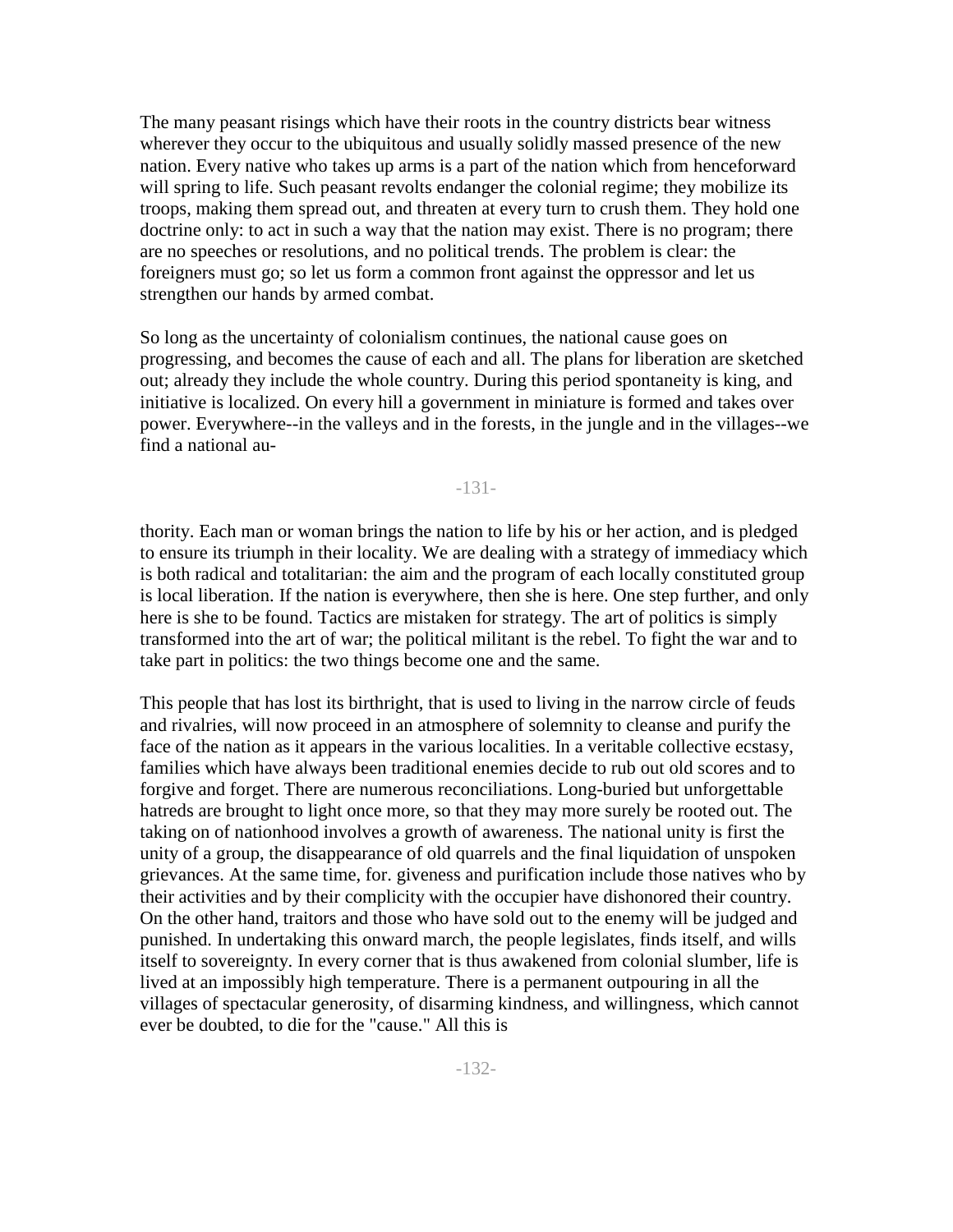The many peasant risings which have their roots in the country districts bear witness wherever they occur to the ubiquitous and usually solidly massed presence of the new nation. Every native who takes up arms is a part of the nation which from henceforward will spring to life. Such peasant revolts endanger the colonial regime; they mobilize its troops, making them spread out, and threaten at every turn to crush them. They hold one doctrine only: to act in such a way that the nation may exist. There is no program; there are no speeches or resolutions, and no political trends. The problem is clear: the foreigners must go; so let us form a common front against the oppressor and let us strengthen our hands by armed combat.

So long as the uncertainty of colonialism continues, the national cause goes on progressing, and becomes the cause of each and all. The plans for liberation are sketched out; already they include the whole country. During this period spontaneity is king, and initiative is localized. On every hill a government in miniature is formed and takes over power. Everywhere--in the valleys and in the forests, in the jungle and in the villages--we find a national au-

-131-

thority. Each man or woman brings the nation to life by his or her action, and is pledged to ensure its triumph in their locality. We are dealing with a strategy of immediacy which is both radical and totalitarian: the aim and the program of each locally constituted group is local liberation. If the nation is everywhere, then she is here. One step further, and only here is she to be found. Tactics are mistaken for strategy. The art of politics is simply transformed into the art of war; the political militant is the rebel. To fight the war and to take part in politics: the two things become one and the same.

This people that has lost its birthright, that is used to living in the narrow circle of feuds and rivalries, will now proceed in an atmosphere of solemnity to cleanse and purify the face of the nation as it appears in the various localities. In a veritable collective ecstasy, families which have always been traditional enemies decide to rub out old scores and to forgive and forget. There are numerous reconciliations. Long-buried but unforgettable hatreds are brought to light once more, so that they may more surely be rooted out. The taking on of nationhood involves a growth of awareness. The national unity is first the unity of a group, the disappearance of old quarrels and the final liquidation of unspoken grievances. At the same time, for. giveness and purification include those natives who by their activities and by their complicity with the occupier have dishonored their country. On the other hand, traitors and those who have sold out to the enemy will be judged and punished. In undertaking this onward march, the people legislates, finds itself, and wills itself to sovereignty. In every corner that is thus awakened from colonial slumber, life is lived at an impossibly high temperature. There is a permanent outpouring in all the villages of spectacular generosity, of disarming kindness, and willingness, which cannot ever be doubted, to die for the "cause." All this is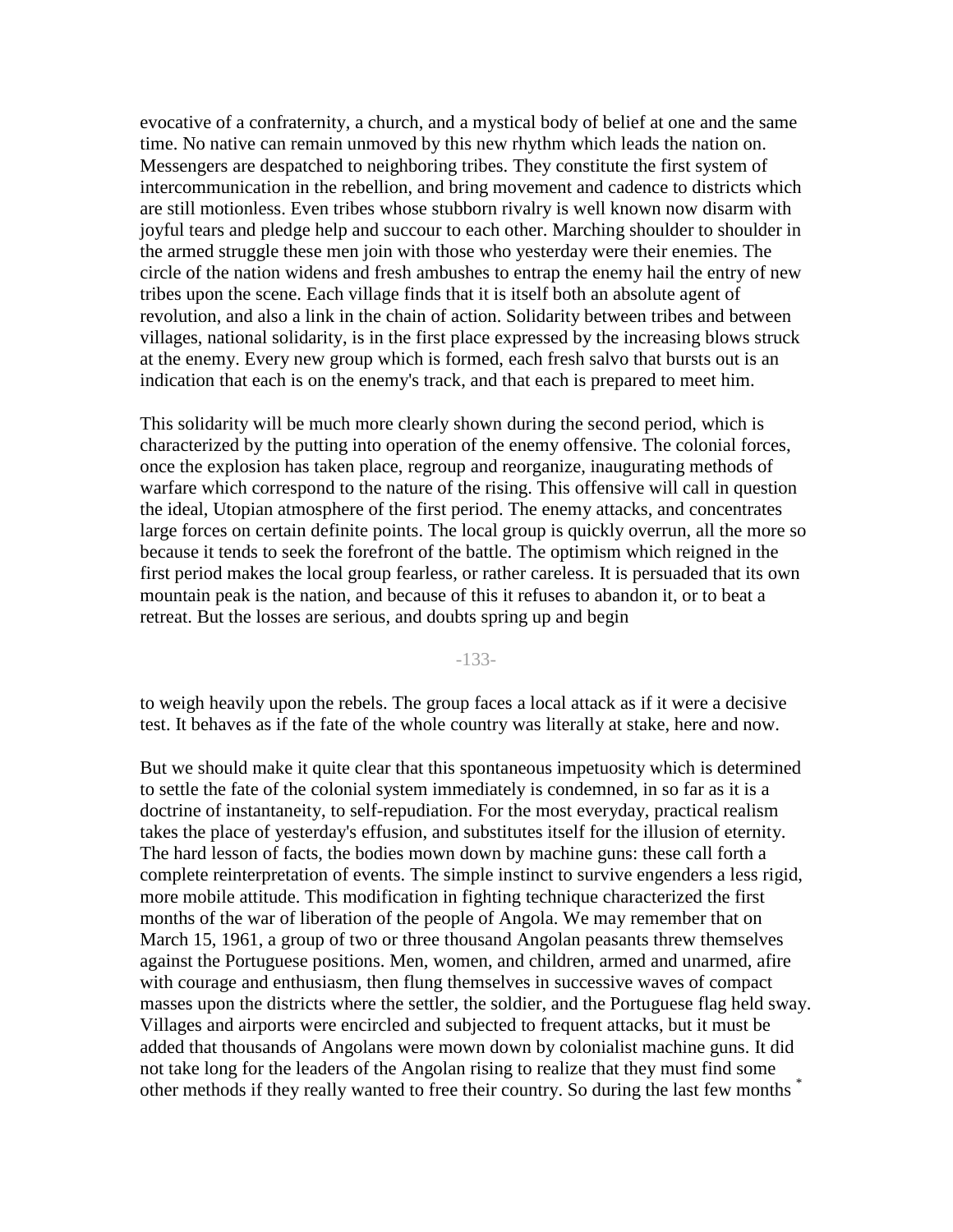evocative of a confraternity, a church, and a mystical body of belief at one and the same time. No native can remain unmoved by this new rhythm which leads the nation on. Messengers are despatched to neighboring tribes. They constitute the first system of intercommunication in the rebellion, and bring movement and cadence to districts which are still motionless. Even tribes whose stubborn rivalry is well known now disarm with joyful tears and pledge help and succour to each other. Marching shoulder to shoulder in the armed struggle these men join with those who yesterday were their enemies. The circle of the nation widens and fresh ambushes to entrap the enemy hail the entry of new tribes upon the scene. Each village finds that it is itself both an absolute agent of revolution, and also a link in the chain of action. Solidarity between tribes and between villages, national solidarity, is in the first place expressed by the increasing blows struck at the enemy. Every new group which is formed, each fresh salvo that bursts out is an indication that each is on the enemy's track, and that each is prepared to meet him.

This solidarity will be much more clearly shown during the second period, which is characterized by the putting into operation of the enemy offensive. The colonial forces, once the explosion has taken place, regroup and reorganize, inaugurating methods of warfare which correspond to the nature of the rising. This offensive will call in question the ideal, Utopian atmosphere of the first period. The enemy attacks, and concentrates large forces on certain definite points. The local group is quickly overrun, all the more so because it tends to seek the forefront of the battle. The optimism which reigned in the first period makes the local group fearless, or rather careless. It is persuaded that its own mountain peak is the nation, and because of this it refuses to abandon it, or to beat a retreat. But the losses are serious, and doubts spring up and begin

-133-

to weigh heavily upon the rebels. The group faces a local attack as if it were a decisive test. It behaves as if the fate of the whole country was literally at stake, here and now.

But we should make it quite clear that this spontaneous impetuosity which is determined to settle the fate of the colonial system immediately is condemned, in so far as it is a doctrine of instantaneity, to self-repudiation. For the most everyday, practical realism takes the place of yesterday's effusion, and substitutes itself for the illusion of eternity. The hard lesson of facts, the bodies mown down by machine guns: these call forth a complete reinterpretation of events. The simple instinct to survive engenders a less rigid, more mobile attitude. This modification in fighting technique characterized the first months of the war of liberation of the people of Angola. We may remember that on March 15, 1961, a group of two or three thousand Angolan peasants threw themselves against the Portuguese positions. Men, women, and children, armed and unarmed, afire with courage and enthusiasm, then flung themselves in successive waves of compact masses upon the districts where the settler, the soldier, and the Portuguese flag held sway. Villages and airports were encircled and subjected to frequent attacks, but it must be added that thousands of Angolans were mown down by colonialist machine guns. It did not take long for the leaders of the Angolan rising to realize that they must find some other methods if they really wanted to free their country. So during the last few months \*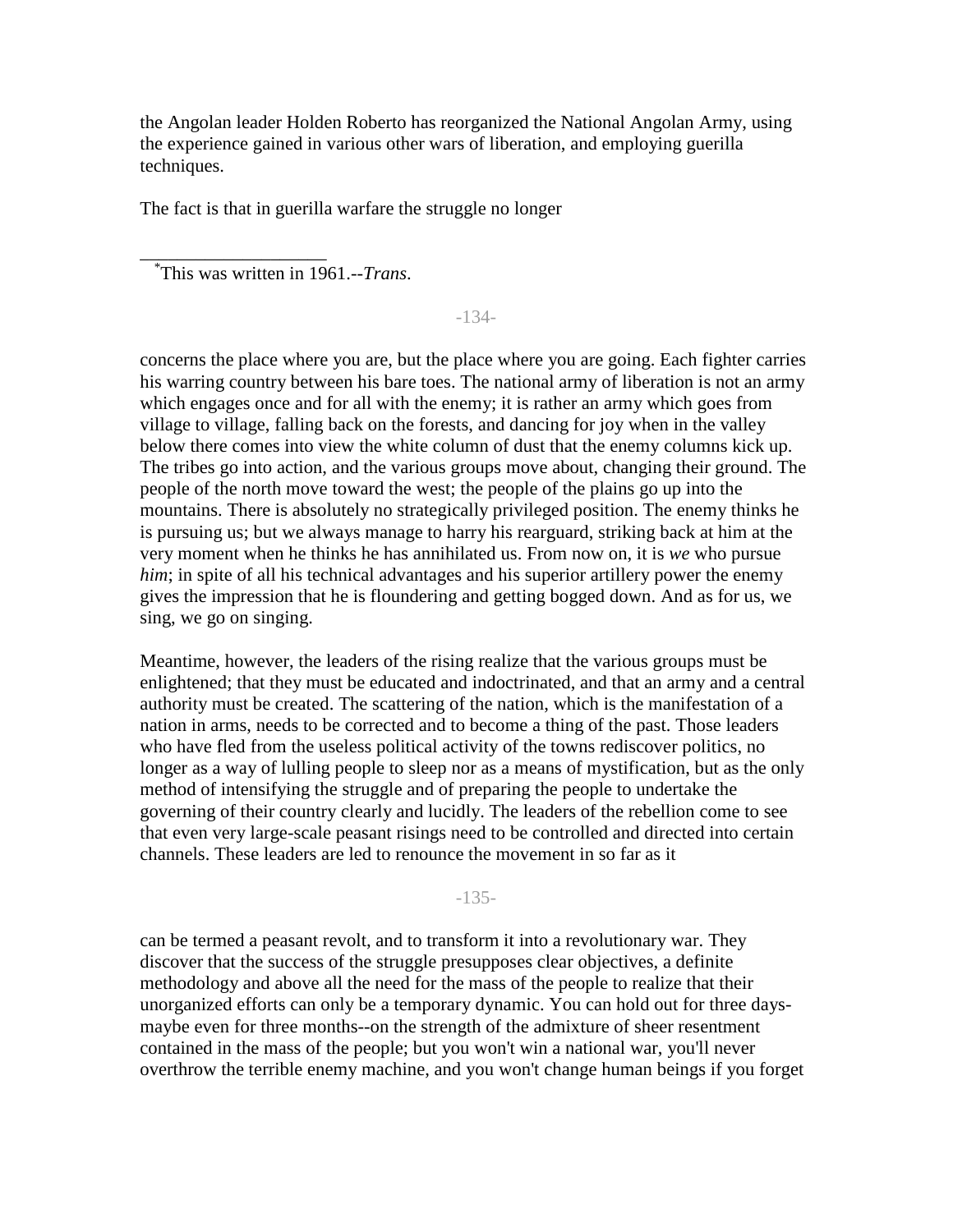the Angolan leader Holden Roberto has reorganized the National Angolan Army, using the experience gained in various other wars of liberation, and employing guerilla techniques.

The fact is that in guerilla warfare the struggle no longer

\* This was written in 1961.--*Trans*.

\_\_\_\_\_\_\_\_\_\_\_\_\_\_\_\_\_\_\_\_

-134-

concerns the place where you are, but the place where you are going. Each fighter carries his warring country between his bare toes. The national army of liberation is not an army which engages once and for all with the enemy; it is rather an army which goes from village to village, falling back on the forests, and dancing for joy when in the valley below there comes into view the white column of dust that the enemy columns kick up. The tribes go into action, and the various groups move about, changing their ground. The people of the north move toward the west; the people of the plains go up into the mountains. There is absolutely no strategically privileged position. The enemy thinks he is pursuing us; but we always manage to harry his rearguard, striking back at him at the very moment when he thinks he has annihilated us. From now on, it is *we* who pursue *him*; in spite of all his technical advantages and his superior artillery power the enemy gives the impression that he is floundering and getting bogged down. And as for us, we sing, we go on singing.

Meantime, however, the leaders of the rising realize that the various groups must be enlightened; that they must be educated and indoctrinated, and that an army and a central authority must be created. The scattering of the nation, which is the manifestation of a nation in arms, needs to be corrected and to become a thing of the past. Those leaders who have fled from the useless political activity of the towns rediscover politics, no longer as a way of lulling people to sleep nor as a means of mystification, but as the only method of intensifying the struggle and of preparing the people to undertake the governing of their country clearly and lucidly. The leaders of the rebellion come to see that even very large-scale peasant risings need to be controlled and directed into certain channels. These leaders are led to renounce the movement in so far as it

-135-

can be termed a peasant revolt, and to transform it into a revolutionary war. They discover that the success of the struggle presupposes clear objectives, a definite methodology and above all the need for the mass of the people to realize that their unorganized efforts can only be a temporary dynamic. You can hold out for three daysmaybe even for three months--on the strength of the admixture of sheer resentment contained in the mass of the people; but you won't win a national war, you'll never overthrow the terrible enemy machine, and you won't change human beings if you forget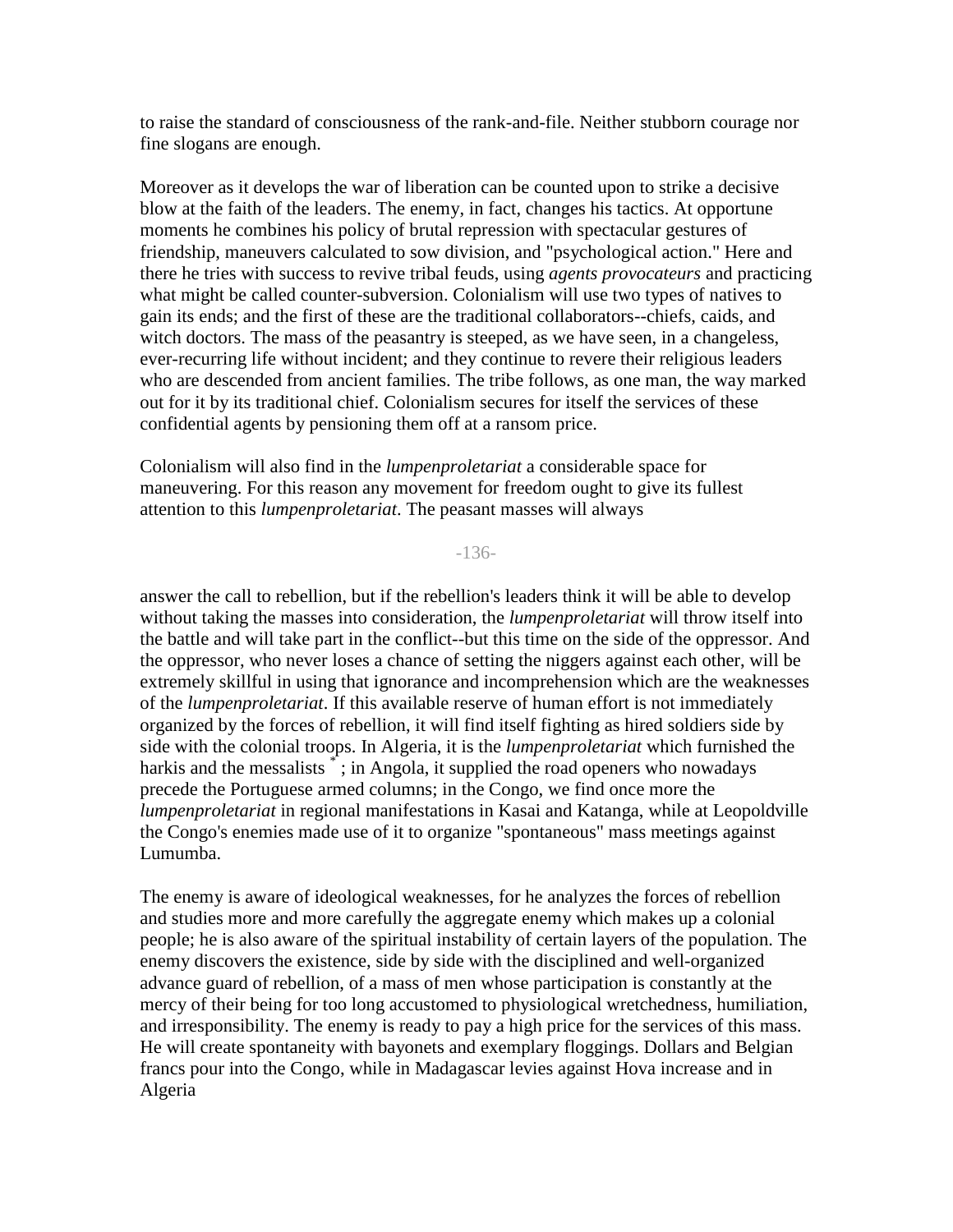to raise the standard of consciousness of the rank-and-file. Neither stubborn courage nor fine slogans are enough.

Moreover as it develops the war of liberation can be counted upon to strike a decisive blow at the faith of the leaders. The enemy, in fact, changes his tactics. At opportune moments he combines his policy of brutal repression with spectacular gestures of friendship, maneuvers calculated to sow division, and "psychological action." Here and there he tries with success to revive tribal feuds, using *agents provocateurs* and practicing what might be called counter-subversion. Colonialism will use two types of natives to gain its ends; and the first of these are the traditional collaborators--chiefs, caids, and witch doctors. The mass of the peasantry is steeped, as we have seen, in a changeless, ever-recurring life without incident; and they continue to revere their religious leaders who are descended from ancient families. The tribe follows, as one man, the way marked out for it by its traditional chief. Colonialism secures for itself the services of these confidential agents by pensioning them off at a ransom price.

Colonialism will also find in the *lumpenproletariat* a considerable space for maneuvering. For this reason any movement for freedom ought to give its fullest attention to this *lumpenproletariat*. The peasant masses will always

-136-

answer the call to rebellion, but if the rebellion's leaders think it will be able to develop without taking the masses into consideration, the *lumpenproletariat* will throw itself into the battle and will take part in the conflict--but this time on the side of the oppressor. And the oppressor, who never loses a chance of setting the niggers against each other, will be extremely skillful in using that ignorance and incomprehension which are the weaknesses of the *lumpenproletariat*. If this available reserve of human effort is not immediately organized by the forces of rebellion, it will find itself fighting as hired soldiers side by side with the colonial troops. In Algeria, it is the *lumpenproletariat* which furnished the harkis and the messalists  $\overline{\ }$ ; in Angola, it supplied the road openers who nowadays precede the Portuguese armed columns; in the Congo, we find once more the *lumpenproletariat* in regional manifestations in Kasai and Katanga, while at Leopoldville the Congo's enemies made use of it to organize "spontaneous" mass meetings against Lumumba.

The enemy is aware of ideological weaknesses, for he analyzes the forces of rebellion and studies more and more carefully the aggregate enemy which makes up a colonial people; he is also aware of the spiritual instability of certain layers of the population. The enemy discovers the existence, side by side with the disciplined and well-organized advance guard of rebellion, of a mass of men whose participation is constantly at the mercy of their being for too long accustomed to physiological wretchedness, humiliation, and irresponsibility. The enemy is ready to pay a high price for the services of this mass. He will create spontaneity with bayonets and exemplary floggings. Dollars and Belgian francs pour into the Congo, while in Madagascar levies against Hova increase and in Algeria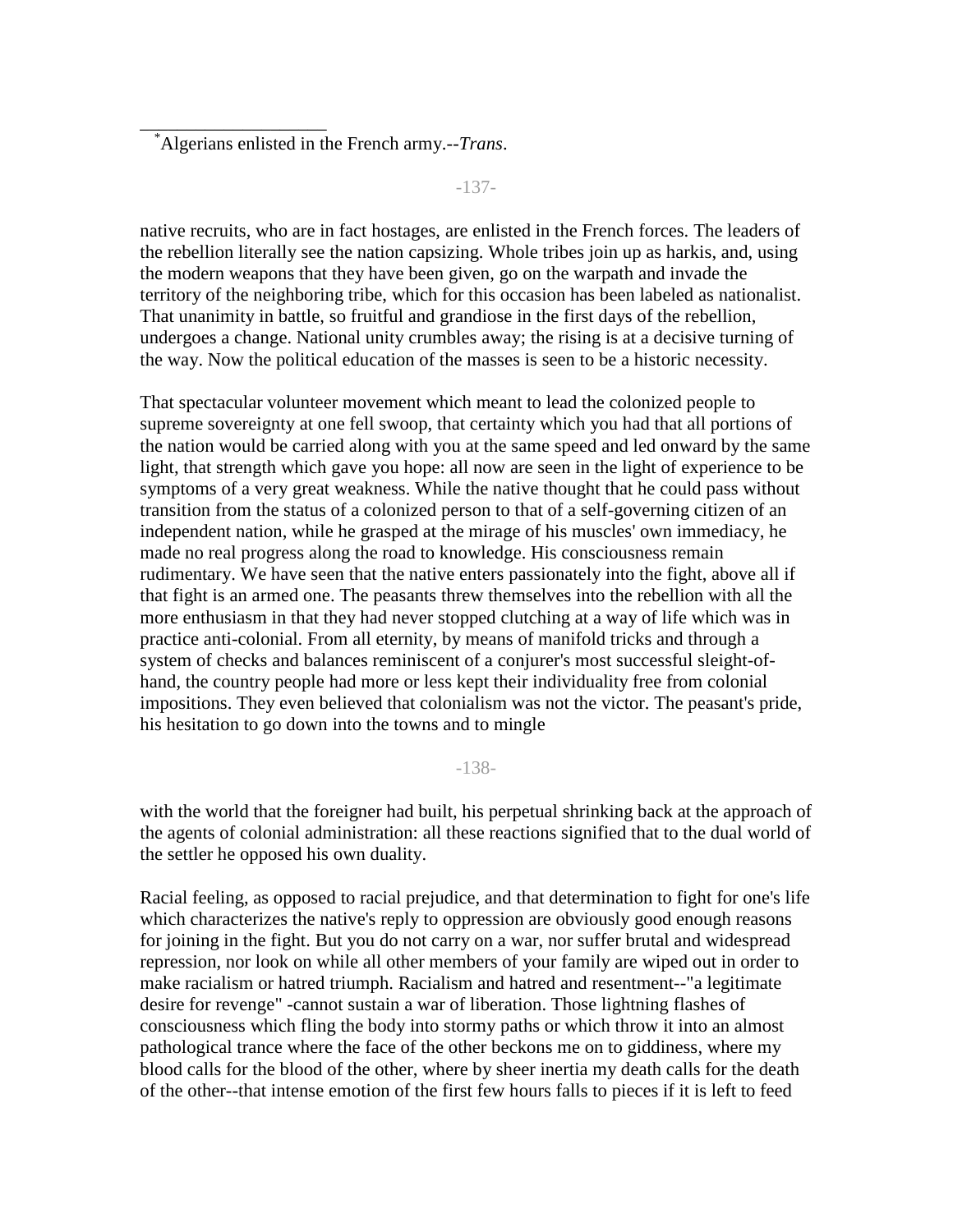\*Algerians enlisted in the French army.--*Trans*.

\_\_\_\_\_\_\_\_\_\_\_\_\_\_\_\_\_\_\_\_

-137-

native recruits, who are in fact hostages, are enlisted in the French forces. The leaders of the rebellion literally see the nation capsizing. Whole tribes join up as harkis, and, using the modern weapons that they have been given, go on the warpath and invade the territory of the neighboring tribe, which for this occasion has been labeled as nationalist. That unanimity in battle, so fruitful and grandiose in the first days of the rebellion, undergoes a change. National unity crumbles away; the rising is at a decisive turning of the way. Now the political education of the masses is seen to be a historic necessity.

That spectacular volunteer movement which meant to lead the colonized people to supreme sovereignty at one fell swoop, that certainty which you had that all portions of the nation would be carried along with you at the same speed and led onward by the same light, that strength which gave you hope: all now are seen in the light of experience to be symptoms of a very great weakness. While the native thought that he could pass without transition from the status of a colonized person to that of a self-governing citizen of an independent nation, while he grasped at the mirage of his muscles' own immediacy, he made no real progress along the road to knowledge. His consciousness remain rudimentary. We have seen that the native enters passionately into the fight, above all if that fight is an armed one. The peasants threw themselves into the rebellion with all the more enthusiasm in that they had never stopped clutching at a way of life which was in practice anti-colonial. From all eternity, by means of manifold tricks and through a system of checks and balances reminiscent of a conjurer's most successful sleight-ofhand, the country people had more or less kept their individuality free from colonial impositions. They even believed that colonialism was not the victor. The peasant's pride, his hesitation to go down into the towns and to mingle

-138-

with the world that the foreigner had built, his perpetual shrinking back at the approach of the agents of colonial administration: all these reactions signified that to the dual world of the settler he opposed his own duality.

Racial feeling, as opposed to racial prejudice, and that determination to fight for one's life which characterizes the native's reply to oppression are obviously good enough reasons for joining in the fight. But you do not carry on a war, nor suffer brutal and widespread repression, nor look on while all other members of your family are wiped out in order to make racialism or hatred triumph. Racialism and hatred and resentment--"a legitimate desire for revenge" -cannot sustain a war of liberation. Those lightning flashes of consciousness which fling the body into stormy paths or which throw it into an almost pathological trance where the face of the other beckons me on to giddiness, where my blood calls for the blood of the other, where by sheer inertia my death calls for the death of the other--that intense emotion of the first few hours falls to pieces if it is left to feed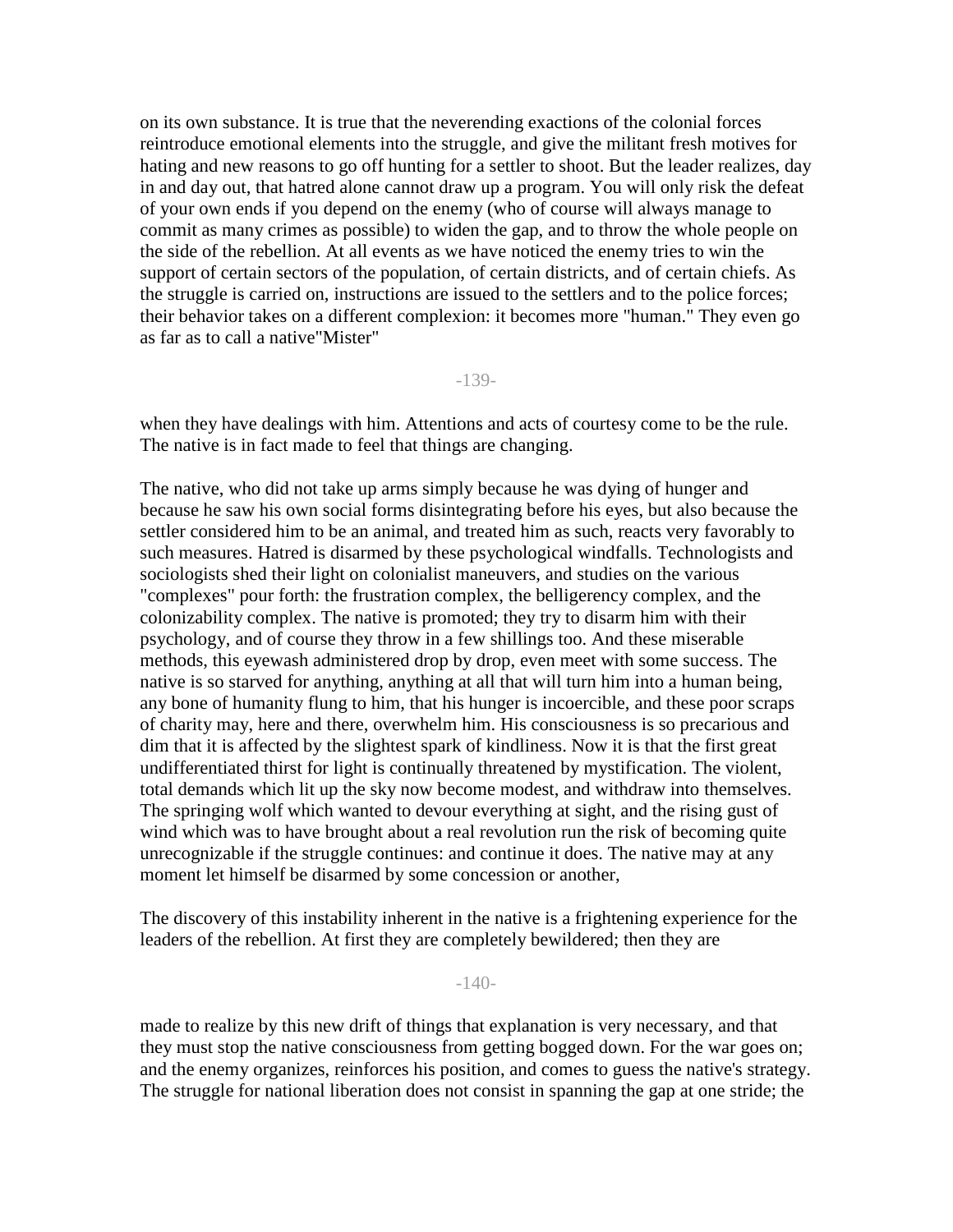on its own substance. It is true that the neverending exactions of the colonial forces reintroduce emotional elements into the struggle, and give the militant fresh motives for hating and new reasons to go off hunting for a settler to shoot. But the leader realizes, day in and day out, that hatred alone cannot draw up a program. You will only risk the defeat of your own ends if you depend on the enemy (who of course will always manage to commit as many crimes as possible) to widen the gap, and to throw the whole people on the side of the rebellion. At all events as we have noticed the enemy tries to win the support of certain sectors of the population, of certain districts, and of certain chiefs. As the struggle is carried on, instructions are issued to the settlers and to the police forces; their behavior takes on a different complexion: it becomes more "human." They even go as far as to call a native"Mister"

-139-

when they have dealings with him. Attentions and acts of courtesy come to be the rule. The native is in fact made to feel that things are changing.

The native, who did not take up arms simply because he was dying of hunger and because he saw his own social forms disintegrating before his eyes, but also because the settler considered him to be an animal, and treated him as such, reacts very favorably to such measures. Hatred is disarmed by these psychological windfalls. Technologists and sociologists shed their light on colonialist maneuvers, and studies on the various "complexes" pour forth: the frustration complex, the belligerency complex, and the colonizability complex. The native is promoted; they try to disarm him with their psychology, and of course they throw in a few shillings too. And these miserable methods, this eyewash administered drop by drop, even meet with some success. The native is so starved for anything, anything at all that will turn him into a human being, any bone of humanity flung to him, that his hunger is incoercible, and these poor scraps of charity may, here and there, overwhelm him. His consciousness is so precarious and dim that it is affected by the slightest spark of kindliness. Now it is that the first great undifferentiated thirst for light is continually threatened by mystification. The violent, total demands which lit up the sky now become modest, and withdraw into themselves. The springing wolf which wanted to devour everything at sight, and the rising gust of wind which was to have brought about a real revolution run the risk of becoming quite unrecognizable if the struggle continues: and continue it does. The native may at any moment let himself be disarmed by some concession or another,

The discovery of this instability inherent in the native is a frightening experience for the leaders of the rebellion. At first they are completely bewildered; then they are

 $-140-$ 

made to realize by this new drift of things that explanation is very necessary, and that they must stop the native consciousness from getting bogged down. For the war goes on; and the enemy organizes, reinforces his position, and comes to guess the native's strategy. The struggle for national liberation does not consist in spanning the gap at one stride; the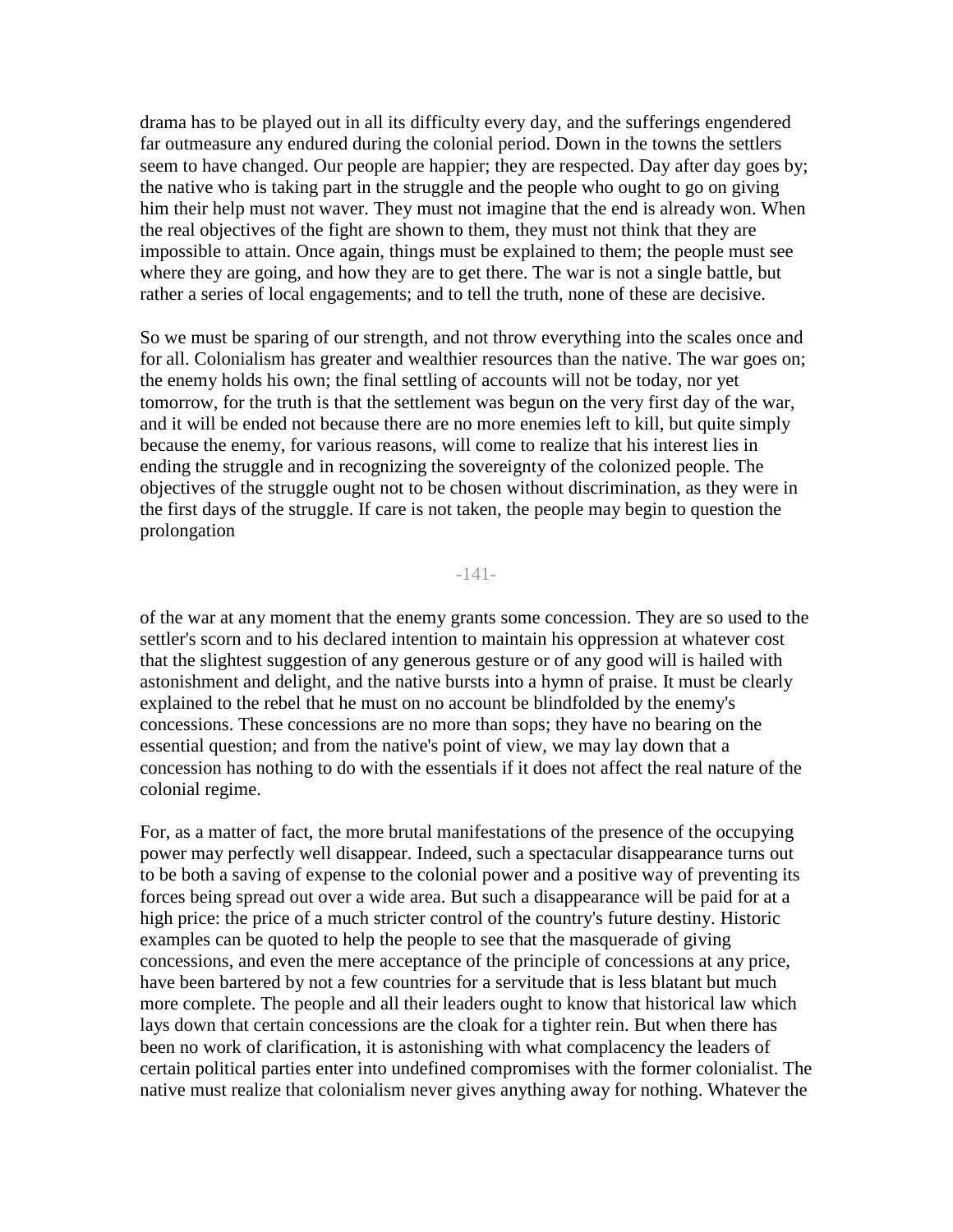drama has to be played out in all its difficulty every day, and the sufferings engendered far outmeasure any endured during the colonial period. Down in the towns the settlers seem to have changed. Our people are happier; they are respected. Day after day goes by; the native who is taking part in the struggle and the people who ought to go on giving him their help must not waver. They must not imagine that the end is already won. When the real objectives of the fight are shown to them, they must not think that they are impossible to attain. Once again, things must be explained to them; the people must see where they are going, and how they are to get there. The war is not a single battle, but rather a series of local engagements; and to tell the truth, none of these are decisive.

So we must be sparing of our strength, and not throw everything into the scales once and for all. Colonialism has greater and wealthier resources than the native. The war goes on; the enemy holds his own; the final settling of accounts will not be today, nor yet tomorrow, for the truth is that the settlement was begun on the very first day of the war, and it will be ended not because there are no more enemies left to kill, but quite simply because the enemy, for various reasons, will come to realize that his interest lies in ending the struggle and in recognizing the sovereignty of the colonized people. The objectives of the struggle ought not to be chosen without discrimination, as they were in the first days of the struggle. If care is not taken, the people may begin to question the prolongation

-141-

of the war at any moment that the enemy grants some concession. They are so used to the settler's scorn and to his declared intention to maintain his oppression at whatever cost that the slightest suggestion of any generous gesture or of any good will is hailed with astonishment and delight, and the native bursts into a hymn of praise. It must be clearly explained to the rebel that he must on no account be blindfolded by the enemy's concessions. These concessions are no more than sops; they have no bearing on the essential question; and from the native's point of view, we may lay down that a concession has nothing to do with the essentials if it does not affect the real nature of the colonial regime.

For, as a matter of fact, the more brutal manifestations of the presence of the occupying power may perfectly well disappear. Indeed, such a spectacular disappearance turns out to be both a saving of expense to the colonial power and a positive way of preventing its forces being spread out over a wide area. But such a disappearance will be paid for at a high price: the price of a much stricter control of the country's future destiny. Historic examples can be quoted to help the people to see that the masquerade of giving concessions, and even the mere acceptance of the principle of concessions at any price, have been bartered by not a few countries for a servitude that is less blatant but much more complete. The people and all their leaders ought to know that historical law which lays down that certain concessions are the cloak for a tighter rein. But when there has been no work of clarification, it is astonishing with what complacency the leaders of certain political parties enter into undefined compromises with the former colonialist. The native must realize that colonialism never gives anything away for nothing. Whatever the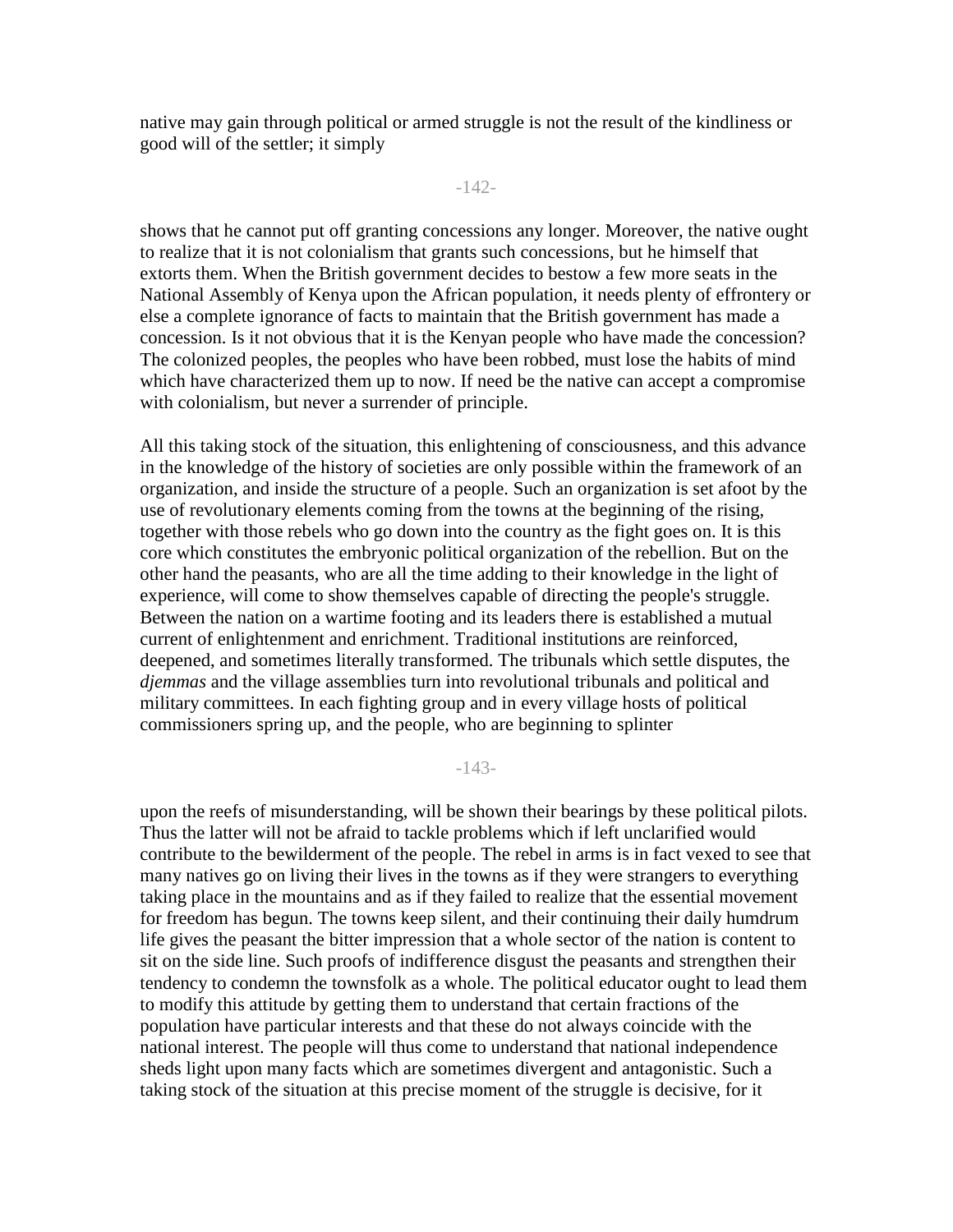native may gain through political or armed struggle is not the result of the kindliness or good will of the settler; it simply

## -142-

shows that he cannot put off granting concessions any longer. Moreover, the native ought to realize that it is not colonialism that grants such concessions, but he himself that extorts them. When the British government decides to bestow a few more seats in the National Assembly of Kenya upon the African population, it needs plenty of effrontery or else a complete ignorance of facts to maintain that the British government has made a concession. Is it not obvious that it is the Kenyan people who have made the concession? The colonized peoples, the peoples who have been robbed, must lose the habits of mind which have characterized them up to now. If need be the native can accept a compromise with colonialism, but never a surrender of principle.

All this taking stock of the situation, this enlightening of consciousness, and this advance in the knowledge of the history of societies are only possible within the framework of an organization, and inside the structure of a people. Such an organization is set afoot by the use of revolutionary elements coming from the towns at the beginning of the rising, together with those rebels who go down into the country as the fight goes on. It is this core which constitutes the embryonic political organization of the rebellion. But on the other hand the peasants, who are all the time adding to their knowledge in the light of experience, will come to show themselves capable of directing the people's struggle. Between the nation on a wartime footing and its leaders there is established a mutual current of enlightenment and enrichment. Traditional institutions are reinforced, deepened, and sometimes literally transformed. The tribunals which settle disputes, the *djemmas* and the village assemblies turn into revolutional tribunals and political and military committees. In each fighting group and in every village hosts of political commissioners spring up, and the people, who are beginning to splinter

-143-

upon the reefs of misunderstanding, will be shown their bearings by these political pilots. Thus the latter will not be afraid to tackle problems which if left unclarified would contribute to the bewilderment of the people. The rebel in arms is in fact vexed to see that many natives go on living their lives in the towns as if they were strangers to everything taking place in the mountains and as if they failed to realize that the essential movement for freedom has begun. The towns keep silent, and their continuing their daily humdrum life gives the peasant the bitter impression that a whole sector of the nation is content to sit on the side line. Such proofs of indifference disgust the peasants and strengthen their tendency to condemn the townsfolk as a whole. The political educator ought to lead them to modify this attitude by getting them to understand that certain fractions of the population have particular interests and that these do not always coincide with the national interest. The people will thus come to understand that national independence sheds light upon many facts which are sometimes divergent and antagonistic. Such a taking stock of the situation at this precise moment of the struggle is decisive, for it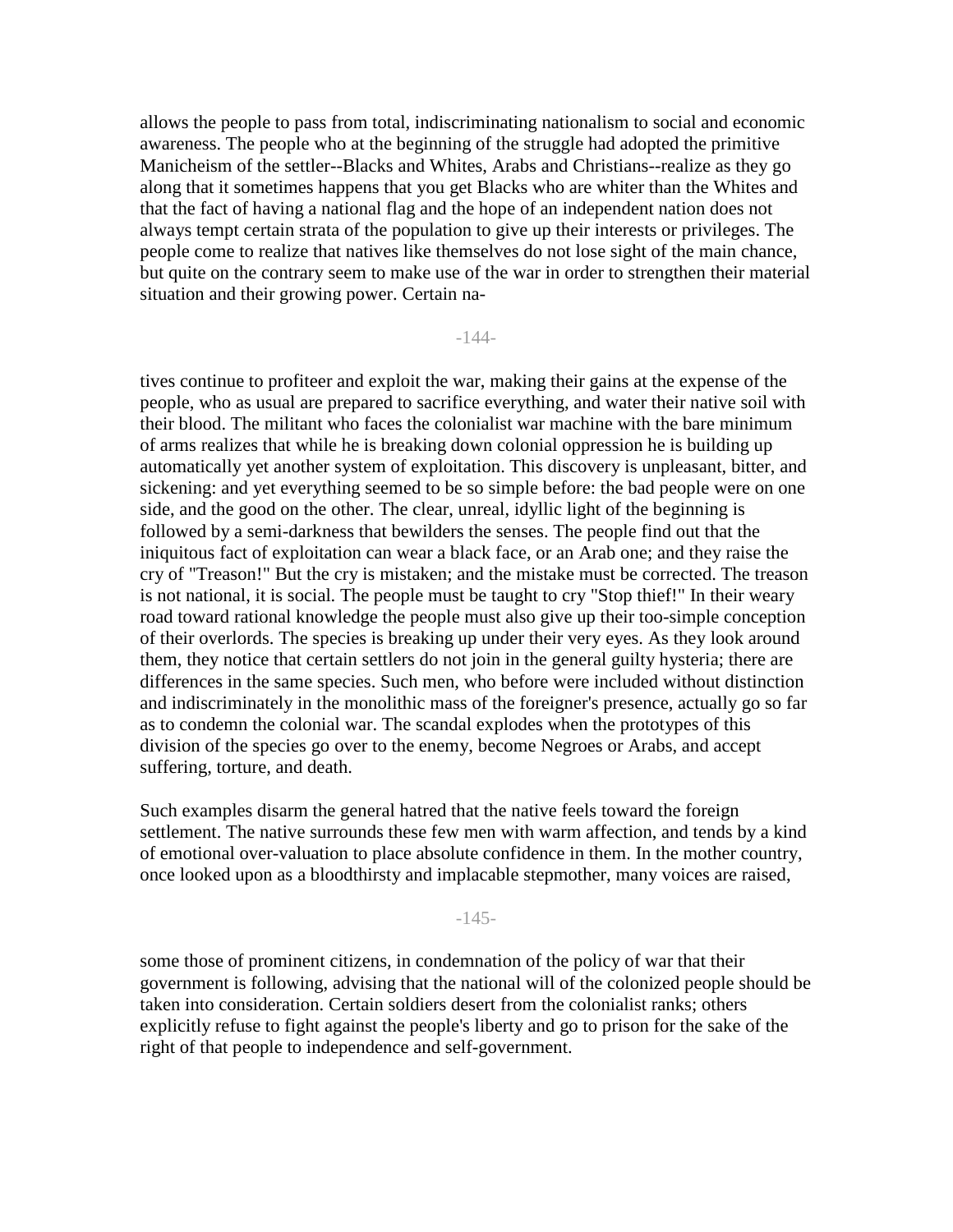allows the people to pass from total, indiscriminating nationalism to social and economic awareness. The people who at the beginning of the struggle had adopted the primitive Manicheism of the settler--Blacks and Whites, Arabs and Christians--realize as they go along that it sometimes happens that you get Blacks who are whiter than the Whites and that the fact of having a national flag and the hope of an independent nation does not always tempt certain strata of the population to give up their interests or privileges. The people come to realize that natives like themselves do not lose sight of the main chance, but quite on the contrary seem to make use of the war in order to strengthen their material situation and their growing power. Certain na-

-144-

tives continue to profiteer and exploit the war, making their gains at the expense of the people, who as usual are prepared to sacrifice everything, and water their native soil with their blood. The militant who faces the colonialist war machine with the bare minimum of arms realizes that while he is breaking down colonial oppression he is building up automatically yet another system of exploitation. This discovery is unpleasant, bitter, and sickening: and yet everything seemed to be so simple before: the bad people were on one side, and the good on the other. The clear, unreal, idyllic light of the beginning is followed by a semi-darkness that bewilders the senses. The people find out that the iniquitous fact of exploitation can wear a black face, or an Arab one; and they raise the cry of "Treason!" But the cry is mistaken; and the mistake must be corrected. The treason is not national, it is social. The people must be taught to cry "Stop thief!" In their weary road toward rational knowledge the people must also give up their too-simple conception of their overlords. The species is breaking up under their very eyes. As they look around them, they notice that certain settlers do not join in the general guilty hysteria; there are differences in the same species. Such men, who before were included without distinction and indiscriminately in the monolithic mass of the foreigner's presence, actually go so far as to condemn the colonial war. The scandal explodes when the prototypes of this division of the species go over to the enemy, become Negroes or Arabs, and accept suffering, torture, and death.

Such examples disarm the general hatred that the native feels toward the foreign settlement. The native surrounds these few men with warm affection, and tends by a kind of emotional over-valuation to place absolute confidence in them. In the mother country, once looked upon as a bloodthirsty and implacable stepmother, many voices are raised,

-145-

some those of prominent citizens, in condemnation of the policy of war that their government is following, advising that the national will of the colonized people should be taken into consideration. Certain soldiers desert from the colonialist ranks; others explicitly refuse to fight against the people's liberty and go to prison for the sake of the right of that people to independence and self-government.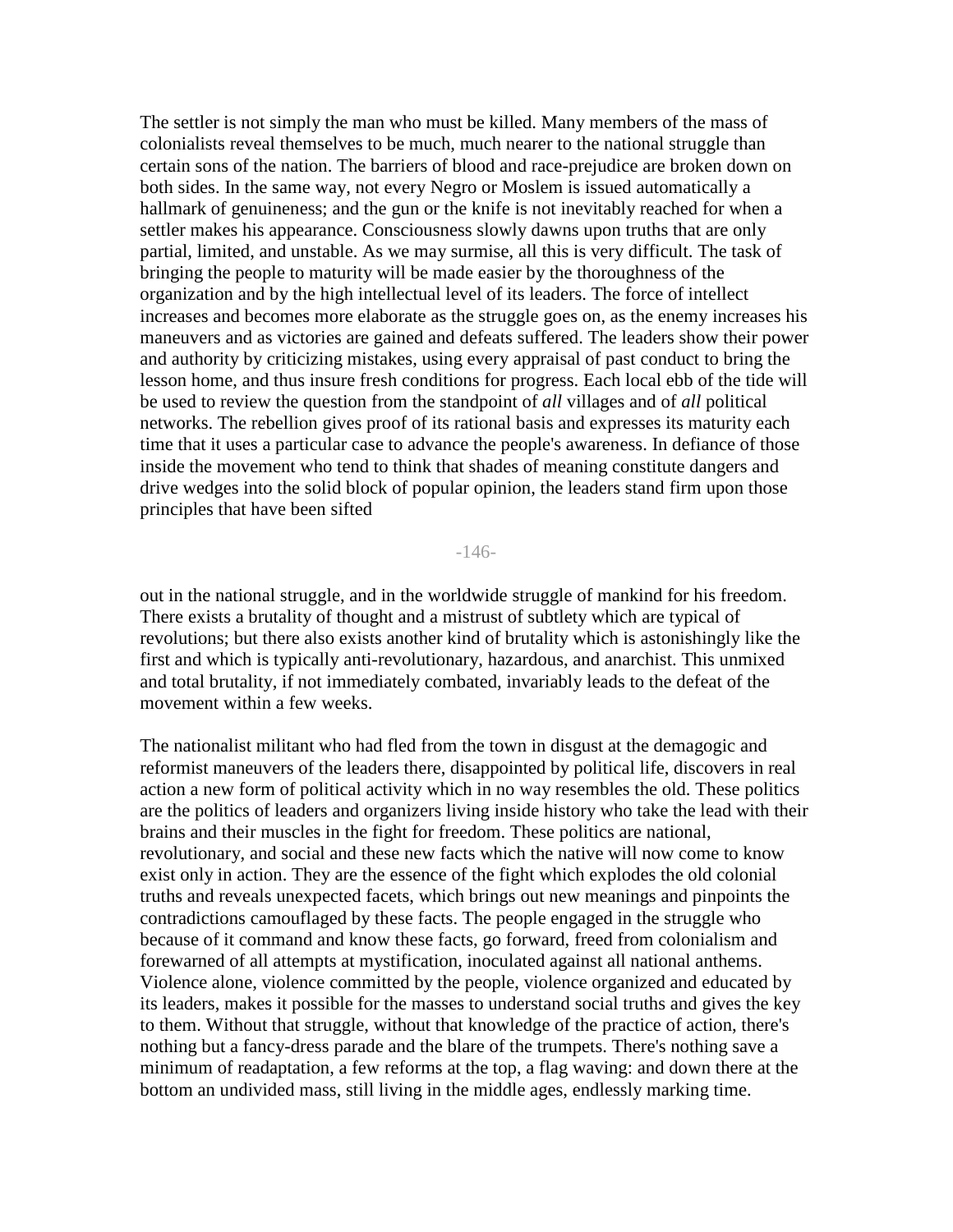The settler is not simply the man who must be killed. Many members of the mass of colonialists reveal themselves to be much, much nearer to the national struggle than certain sons of the nation. The barriers of blood and race-prejudice are broken down on both sides. In the same way, not every Negro or Moslem is issued automatically a hallmark of genuineness; and the gun or the knife is not inevitably reached for when a settler makes his appearance. Consciousness slowly dawns upon truths that are only partial, limited, and unstable. As we may surmise, all this is very difficult. The task of bringing the people to maturity will be made easier by the thoroughness of the organization and by the high intellectual level of its leaders. The force of intellect increases and becomes more elaborate as the struggle goes on, as the enemy increases his maneuvers and as victories are gained and defeats suffered. The leaders show their power and authority by criticizing mistakes, using every appraisal of past conduct to bring the lesson home, and thus insure fresh conditions for progress. Each local ebb of the tide will be used to review the question from the standpoint of *all* villages and of *all* political networks. The rebellion gives proof of its rational basis and expresses its maturity each time that it uses a particular case to advance the people's awareness. In defiance of those inside the movement who tend to think that shades of meaning constitute dangers and drive wedges into the solid block of popular opinion, the leaders stand firm upon those principles that have been sifted

-146-

out in the national struggle, and in the worldwide struggle of mankind for his freedom. There exists a brutality of thought and a mistrust of subtlety which are typical of revolutions; but there also exists another kind of brutality which is astonishingly like the first and which is typically anti-revolutionary, hazardous, and anarchist. This unmixed and total brutality, if not immediately combated, invariably leads to the defeat of the movement within a few weeks.

The nationalist militant who had fled from the town in disgust at the demagogic and reformist maneuvers of the leaders there, disappointed by political life, discovers in real action a new form of political activity which in no way resembles the old. These politics are the politics of leaders and organizers living inside history who take the lead with their brains and their muscles in the fight for freedom. These politics are national, revolutionary, and social and these new facts which the native will now come to know exist only in action. They are the essence of the fight which explodes the old colonial truths and reveals unexpected facets, which brings out new meanings and pinpoints the contradictions camouflaged by these facts. The people engaged in the struggle who because of it command and know these facts, go forward, freed from colonialism and forewarned of all attempts at mystification, inoculated against all national anthems. Violence alone, violence committed by the people, violence organized and educated by its leaders, makes it possible for the masses to understand social truths and gives the key to them. Without that struggle, without that knowledge of the practice of action, there's nothing but a fancy-dress parade and the blare of the trumpets. There's nothing save a minimum of readaptation, a few reforms at the top, a flag waving: and down there at the bottom an undivided mass, still living in the middle ages, endlessly marking time.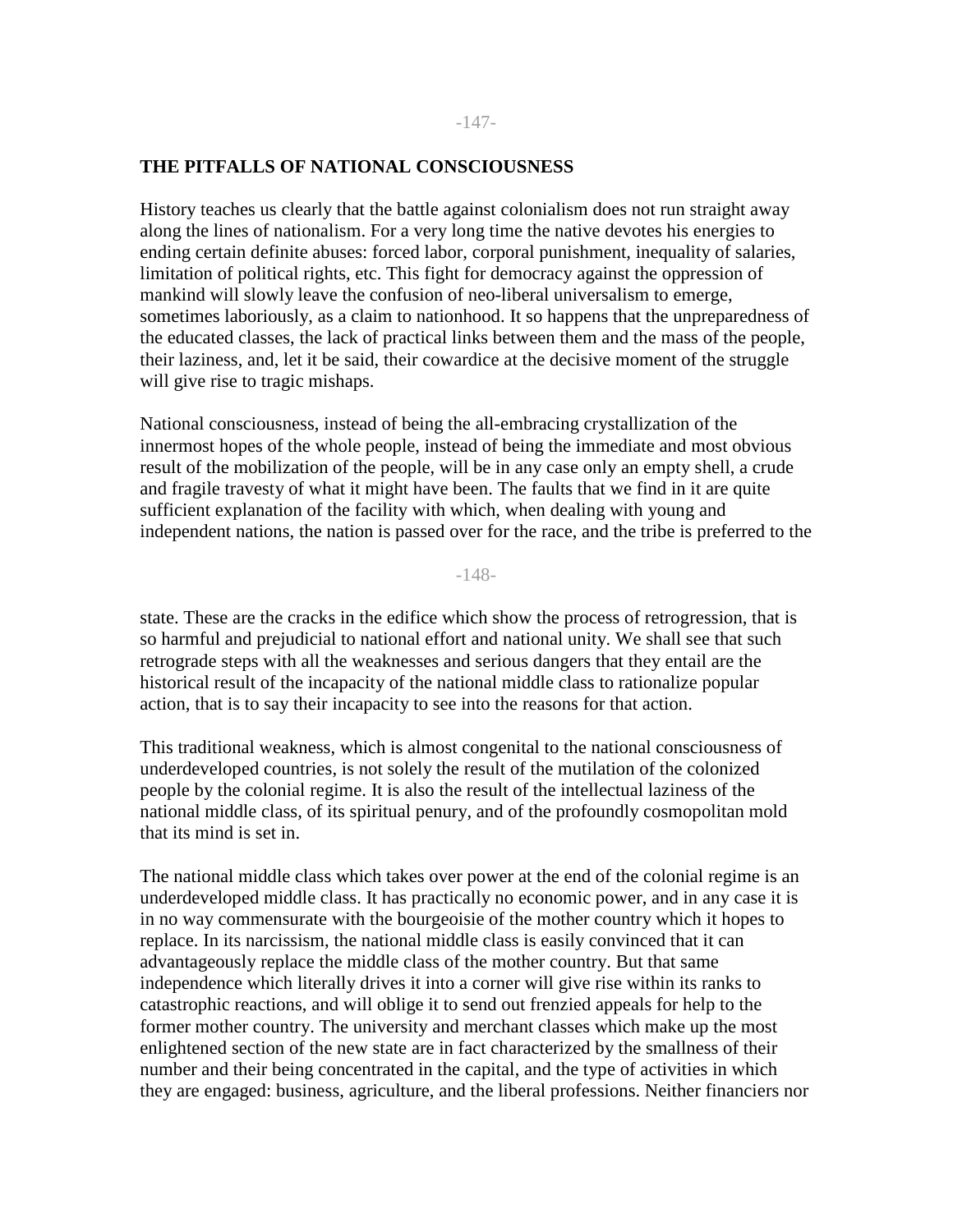## -147-

## **THE PITFALLS OF NATIONAL CONSCIOUSNESS**

History teaches us clearly that the battle against colonialism does not run straight away along the lines of nationalism. For a very long time the native devotes his energies to ending certain definite abuses: forced labor, corporal punishment, inequality of salaries, limitation of political rights, etc. This fight for democracy against the oppression of mankind will slowly leave the confusion of neo-liberal universalism to emerge, sometimes laboriously, as a claim to nationhood. It so happens that the unpreparedness of the educated classes, the lack of practical links between them and the mass of the people, their laziness, and, let it be said, their cowardice at the decisive moment of the struggle will give rise to tragic mishaps.

National consciousness, instead of being the all-embracing crystallization of the innermost hopes of the whole people, instead of being the immediate and most obvious result of the mobilization of the people, will be in any case only an empty shell, a crude and fragile travesty of what it might have been. The faults that we find in it are quite sufficient explanation of the facility with which, when dealing with young and independent nations, the nation is passed over for the race, and the tribe is preferred to the

-148-

state. These are the cracks in the edifice which show the process of retrogression, that is so harmful and prejudicial to national effort and national unity. We shall see that such retrograde steps with all the weaknesses and serious dangers that they entail are the historical result of the incapacity of the national middle class to rationalize popular action, that is to say their incapacity to see into the reasons for that action.

This traditional weakness, which is almost congenital to the national consciousness of underdeveloped countries, is not solely the result of the mutilation of the colonized people by the colonial regime. It is also the result of the intellectual laziness of the national middle class, of its spiritual penury, and of the profoundly cosmopolitan mold that its mind is set in.

The national middle class which takes over power at the end of the colonial regime is an underdeveloped middle class. It has practically no economic power, and in any case it is in no way commensurate with the bourgeoisie of the mother country which it hopes to replace. In its narcissism, the national middle class is easily convinced that it can advantageously replace the middle class of the mother country. But that same independence which literally drives it into a corner will give rise within its ranks to catastrophic reactions, and will oblige it to send out frenzied appeals for help to the former mother country. The university and merchant classes which make up the most enlightened section of the new state are in fact characterized by the smallness of their number and their being concentrated in the capital, and the type of activities in which they are engaged: business, agriculture, and the liberal professions. Neither financiers nor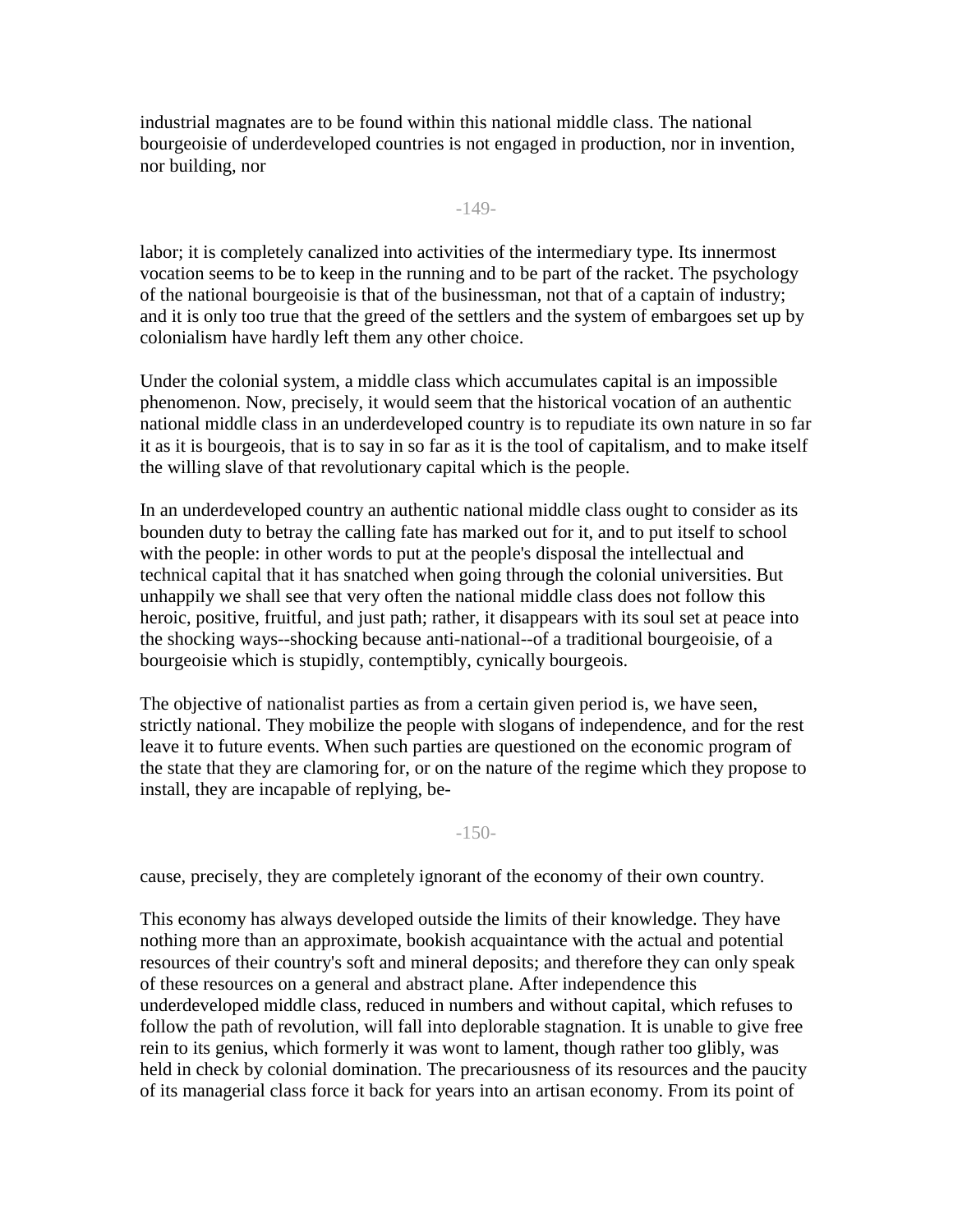industrial magnates are to be found within this national middle class. The national bourgeoisie of underdeveloped countries is not engaged in production, nor in invention, nor building, nor

-149-

labor; it is completely canalized into activities of the intermediary type. Its innermost vocation seems to be to keep in the running and to be part of the racket. The psychology of the national bourgeoisie is that of the businessman, not that of a captain of industry; and it is only too true that the greed of the settlers and the system of embargoes set up by colonialism have hardly left them any other choice.

Under the colonial system, a middle class which accumulates capital is an impossible phenomenon. Now, precisely, it would seem that the historical vocation of an authentic national middle class in an underdeveloped country is to repudiate its own nature in so far it as it is bourgeois, that is to say in so far as it is the tool of capitalism, and to make itself the willing slave of that revolutionary capital which is the people.

In an underdeveloped country an authentic national middle class ought to consider as its bounden duty to betray the calling fate has marked out for it, and to put itself to school with the people: in other words to put at the people's disposal the intellectual and technical capital that it has snatched when going through the colonial universities. But unhappily we shall see that very often the national middle class does not follow this heroic, positive, fruitful, and just path; rather, it disappears with its soul set at peace into the shocking ways--shocking because anti-national--of a traditional bourgeoisie, of a bourgeoisie which is stupidly, contemptibly, cynically bourgeois.

The objective of nationalist parties as from a certain given period is, we have seen, strictly national. They mobilize the people with slogans of independence, and for the rest leave it to future events. When such parties are questioned on the economic program of the state that they are clamoring for, or on the nature of the regime which they propose to install, they are incapable of replying, be-

 $-150-$ 

cause, precisely, they are completely ignorant of the economy of their own country.

This economy has always developed outside the limits of their knowledge. They have nothing more than an approximate, bookish acquaintance with the actual and potential resources of their country's soft and mineral deposits; and therefore they can only speak of these resources on a general and abstract plane. After independence this underdeveloped middle class, reduced in numbers and without capital, which refuses to follow the path of revolution, will fall into deplorable stagnation. It is unable to give free rein to its genius, which formerly it was wont to lament, though rather too glibly, was held in check by colonial domination. The precariousness of its resources and the paucity of its managerial class force it back for years into an artisan economy. From its point of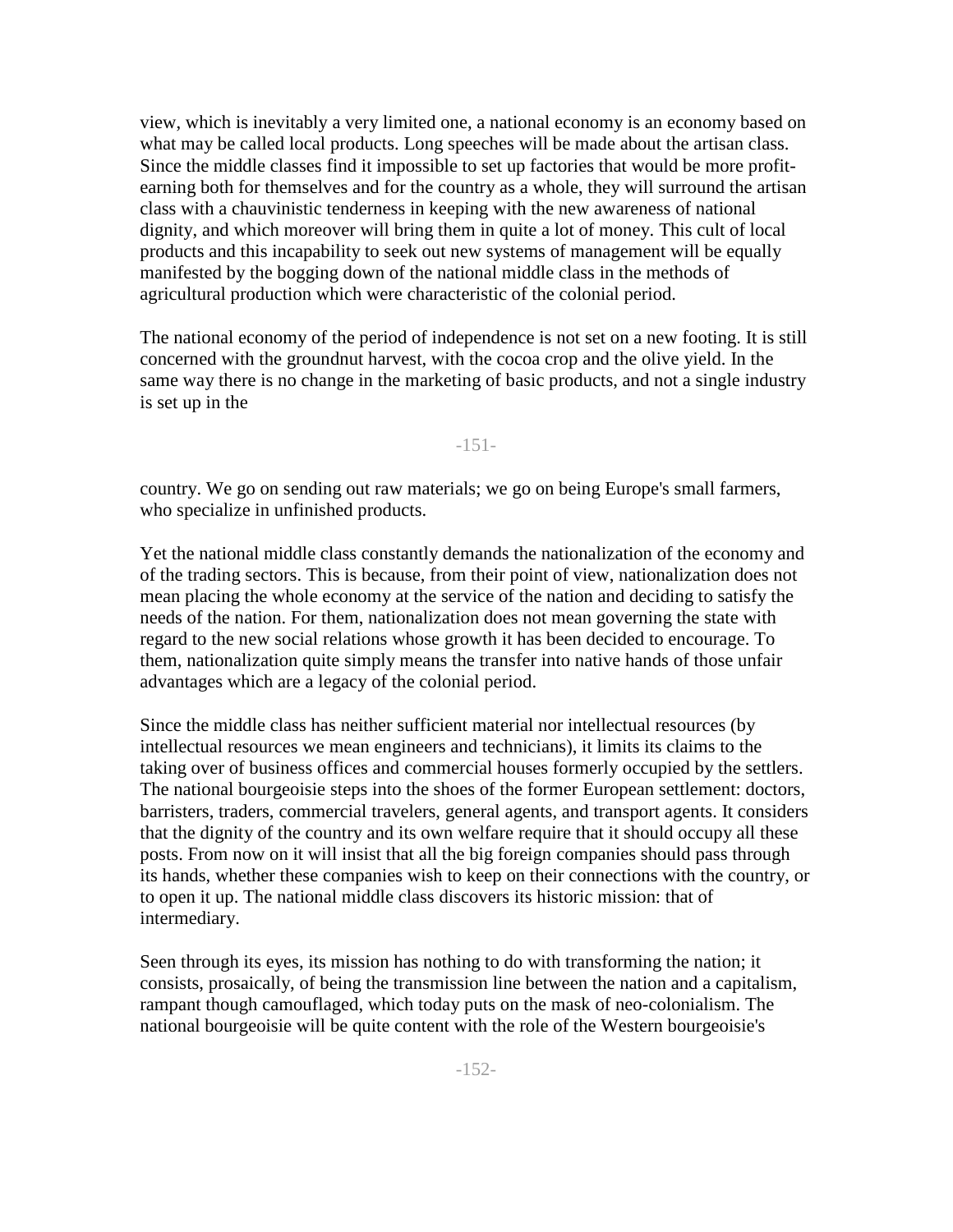view, which is inevitably a very limited one, a national economy is an economy based on what may be called local products. Long speeches will be made about the artisan class. Since the middle classes find it impossible to set up factories that would be more profitearning both for themselves and for the country as a whole, they will surround the artisan class with a chauvinistic tenderness in keeping with the new awareness of national dignity, and which moreover will bring them in quite a lot of money. This cult of local products and this incapability to seek out new systems of management will be equally manifested by the bogging down of the national middle class in the methods of agricultural production which were characteristic of the colonial period.

The national economy of the period of independence is not set on a new footing. It is still concerned with the groundnut harvest, with the cocoa crop and the olive yield. In the same way there is no change in the marketing of basic products, and not a single industry is set up in the

-151-

country. We go on sending out raw materials; we go on being Europe's small farmers, who specialize in unfinished products.

Yet the national middle class constantly demands the nationalization of the economy and of the trading sectors. This is because, from their point of view, nationalization does not mean placing the whole economy at the service of the nation and deciding to satisfy the needs of the nation. For them, nationalization does not mean governing the state with regard to the new social relations whose growth it has been decided to encourage. To them, nationalization quite simply means the transfer into native hands of those unfair advantages which are a legacy of the colonial period.

Since the middle class has neither sufficient material nor intellectual resources (by intellectual resources we mean engineers and technicians), it limits its claims to the taking over of business offices and commercial houses formerly occupied by the settlers. The national bourgeoisie steps into the shoes of the former European settlement: doctors, barristers, traders, commercial travelers, general agents, and transport agents. It considers that the dignity of the country and its own welfare require that it should occupy all these posts. From now on it will insist that all the big foreign companies should pass through its hands, whether these companies wish to keep on their connections with the country, or to open it up. The national middle class discovers its historic mission: that of intermediary.

Seen through its eyes, its mission has nothing to do with transforming the nation; it consists, prosaically, of being the transmission line between the nation and a capitalism, rampant though camouflaged, which today puts on the mask of neo-colonialism. The national bourgeoisie will be quite content with the role of the Western bourgeoisie's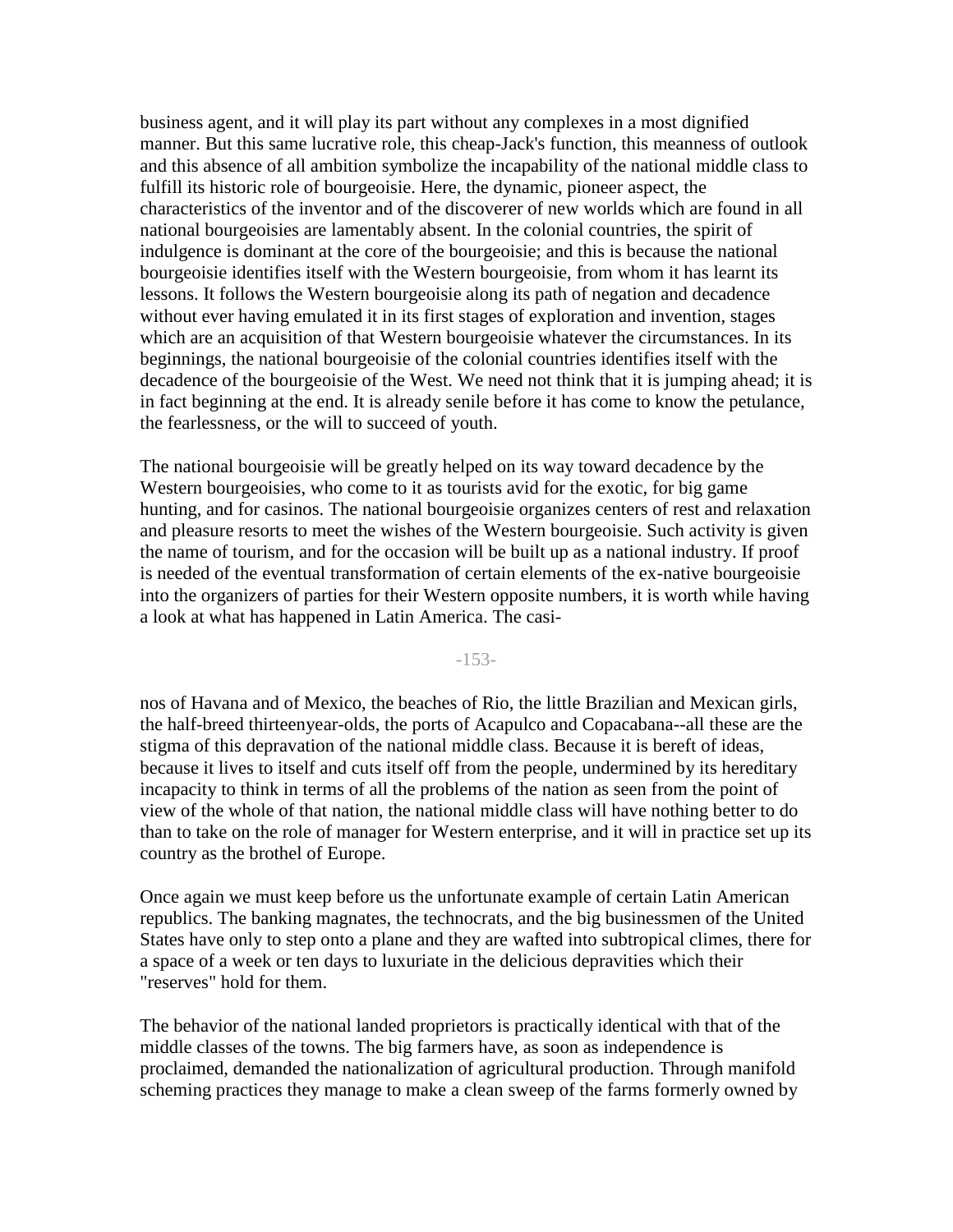business agent, and it will play its part without any complexes in a most dignified manner. But this same lucrative role, this cheap-Jack's function, this meanness of outlook and this absence of all ambition symbolize the incapability of the national middle class to fulfill its historic role of bourgeoisie. Here, the dynamic, pioneer aspect, the characteristics of the inventor and of the discoverer of new worlds which are found in all national bourgeoisies are lamentably absent. In the colonial countries, the spirit of indulgence is dominant at the core of the bourgeoisie; and this is because the national bourgeoisie identifies itself with the Western bourgeoisie, from whom it has learnt its lessons. It follows the Western bourgeoisie along its path of negation and decadence without ever having emulated it in its first stages of exploration and invention, stages which are an acquisition of that Western bourgeoisie whatever the circumstances. In its beginnings, the national bourgeoisie of the colonial countries identifies itself with the decadence of the bourgeoisie of the West. We need not think that it is jumping ahead; it is in fact beginning at the end. It is already senile before it has come to know the petulance, the fearlessness, or the will to succeed of youth.

The national bourgeoisie will be greatly helped on its way toward decadence by the Western bourgeoisies, who come to it as tourists avid for the exotic, for big game hunting, and for casinos. The national bourgeoisie organizes centers of rest and relaxation and pleasure resorts to meet the wishes of the Western bourgeoisie. Such activity is given the name of tourism, and for the occasion will be built up as a national industry. If proof is needed of the eventual transformation of certain elements of the ex-native bourgeoisie into the organizers of parties for their Western opposite numbers, it is worth while having a look at what has happened in Latin America. The casi-

-153-

nos of Havana and of Mexico, the beaches of Rio, the little Brazilian and Mexican girls, the half-breed thirteenyear-olds, the ports of Acapulco and Copacabana--all these are the stigma of this depravation of the national middle class. Because it is bereft of ideas, because it lives to itself and cuts itself off from the people, undermined by its hereditary incapacity to think in terms of all the problems of the nation as seen from the point of view of the whole of that nation, the national middle class will have nothing better to do than to take on the role of manager for Western enterprise, and it will in practice set up its country as the brothel of Europe.

Once again we must keep before us the unfortunate example of certain Latin American republics. The banking magnates, the technocrats, and the big businessmen of the United States have only to step onto a plane and they are wafted into subtropical climes, there for a space of a week or ten days to luxuriate in the delicious depravities which their "reserves" hold for them.

The behavior of the national landed proprietors is practically identical with that of the middle classes of the towns. The big farmers have, as soon as independence is proclaimed, demanded the nationalization of agricultural production. Through manifold scheming practices they manage to make a clean sweep of the farms formerly owned by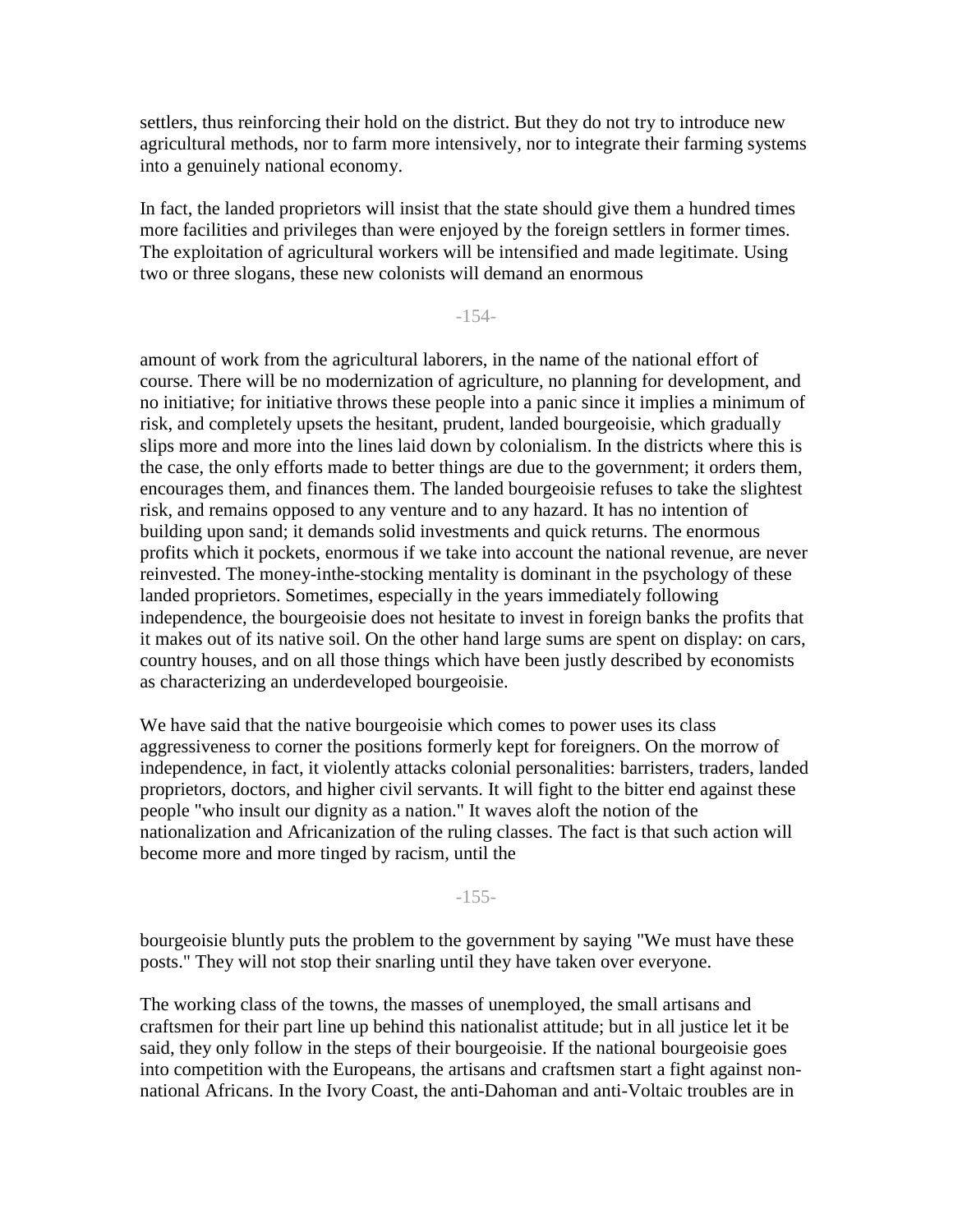settlers, thus reinforcing their hold on the district. But they do not try to introduce new agricultural methods, nor to farm more intensively, nor to integrate their farming systems into a genuinely national economy.

In fact, the landed proprietors will insist that the state should give them a hundred times more facilities and privileges than were enjoyed by the foreign settlers in former times. The exploitation of agricultural workers will be intensified and made legitimate. Using two or three slogans, these new colonists will demand an enormous

 $-154-$ 

amount of work from the agricultural laborers, in the name of the national effort of course. There will be no modernization of agriculture, no planning for development, and no initiative; for initiative throws these people into a panic since it implies a minimum of risk, and completely upsets the hesitant, prudent, landed bourgeoisie, which gradually slips more and more into the lines laid down by colonialism. In the districts where this is the case, the only efforts made to better things are due to the government; it orders them, encourages them, and finances them. The landed bourgeoisie refuses to take the slightest risk, and remains opposed to any venture and to any hazard. It has no intention of building upon sand; it demands solid investments and quick returns. The enormous profits which it pockets, enormous if we take into account the national revenue, are never reinvested. The money-inthe-stocking mentality is dominant in the psychology of these landed proprietors. Sometimes, especially in the years immediately following independence, the bourgeoisie does not hesitate to invest in foreign banks the profits that it makes out of its native soil. On the other hand large sums are spent on display: on cars, country houses, and on all those things which have been justly described by economists as characterizing an underdeveloped bourgeoisie.

We have said that the native bourgeoisie which comes to power uses its class aggressiveness to corner the positions formerly kept for foreigners. On the morrow of independence, in fact, it violently attacks colonial personalities: barristers, traders, landed proprietors, doctors, and higher civil servants. It will fight to the bitter end against these people "who insult our dignity as a nation." It waves aloft the notion of the nationalization and Africanization of the ruling classes. The fact is that such action will become more and more tinged by racism, until the

-155-

bourgeoisie bluntly puts the problem to the government by saying "We must have these posts." They will not stop their snarling until they have taken over everyone.

The working class of the towns, the masses of unemployed, the small artisans and craftsmen for their part line up behind this nationalist attitude; but in all justice let it be said, they only follow in the steps of their bourgeoisie. If the national bourgeoisie goes into competition with the Europeans, the artisans and craftsmen start a fight against nonnational Africans. In the Ivory Coast, the anti-Dahoman and anti-Voltaic troubles are in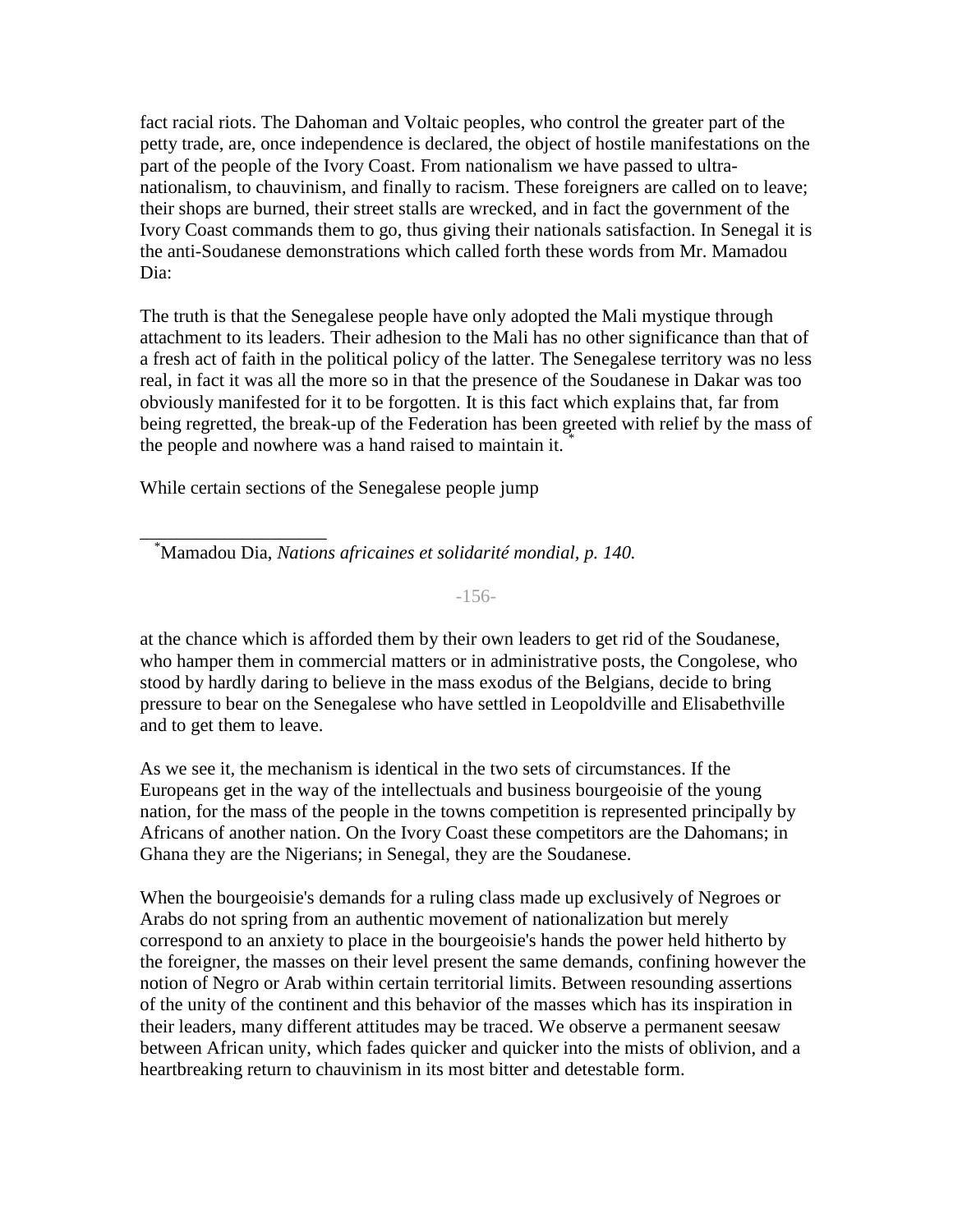fact racial riots. The Dahoman and Voltaic peoples, who control the greater part of the petty trade, are, once independence is declared, the object of hostile manifestations on the part of the people of the Ivory Coast. From nationalism we have passed to ultranationalism, to chauvinism, and finally to racism. These foreigners are called on to leave; their shops are burned, their street stalls are wrecked, and in fact the government of the Ivory Coast commands them to go, thus giving their nationals satisfaction. In Senegal it is the anti-Soudanese demonstrations which called forth these words from Mr. Mamadou Dia:

The truth is that the Senegalese people have only adopted the Mali mystique through attachment to its leaders. Their adhesion to the Mali has no other significance than that of a fresh act of faith in the political policy of the latter. The Senegalese territory was no less real, in fact it was all the more so in that the presence of the Soudanese in Dakar was too obviously manifested for it to be forgotten. It is this fact which explains that, far from being regretted, the break-up of the Federation has been greeted with relief by the mass of the people and nowhere was a hand raised to maintain it.

While certain sections of the Senegalese people jump

\_\_\_\_\_\_\_\_\_\_\_\_\_\_\_\_\_\_\_\_ \*Mamadou Dia, *Nations africaines et solidarité mondial, p. 140.* 

-156-

at the chance which is afforded them by their own leaders to get rid of the Soudanese, who hamper them in commercial matters or in administrative posts, the Congolese, who stood by hardly daring to believe in the mass exodus of the Belgians, decide to bring pressure to bear on the Senegalese who have settled in Leopoldville and Elisabethville and to get them to leave.

As we see it, the mechanism is identical in the two sets of circumstances. If the Europeans get in the way of the intellectuals and business bourgeoisie of the young nation, for the mass of the people in the towns competition is represented principally by Africans of another nation. On the Ivory Coast these competitors are the Dahomans; in Ghana they are the Nigerians; in Senegal, they are the Soudanese.

When the bourgeoisie's demands for a ruling class made up exclusively of Negroes or Arabs do not spring from an authentic movement of nationalization but merely correspond to an anxiety to place in the bourgeoisie's hands the power held hitherto by the foreigner, the masses on their level present the same demands, confining however the notion of Negro or Arab within certain territorial limits. Between resounding assertions of the unity of the continent and this behavior of the masses which has its inspiration in their leaders, many different attitudes may be traced. We observe a permanent seesaw between African unity, which fades quicker and quicker into the mists of oblivion, and a heartbreaking return to chauvinism in its most bitter and detestable form.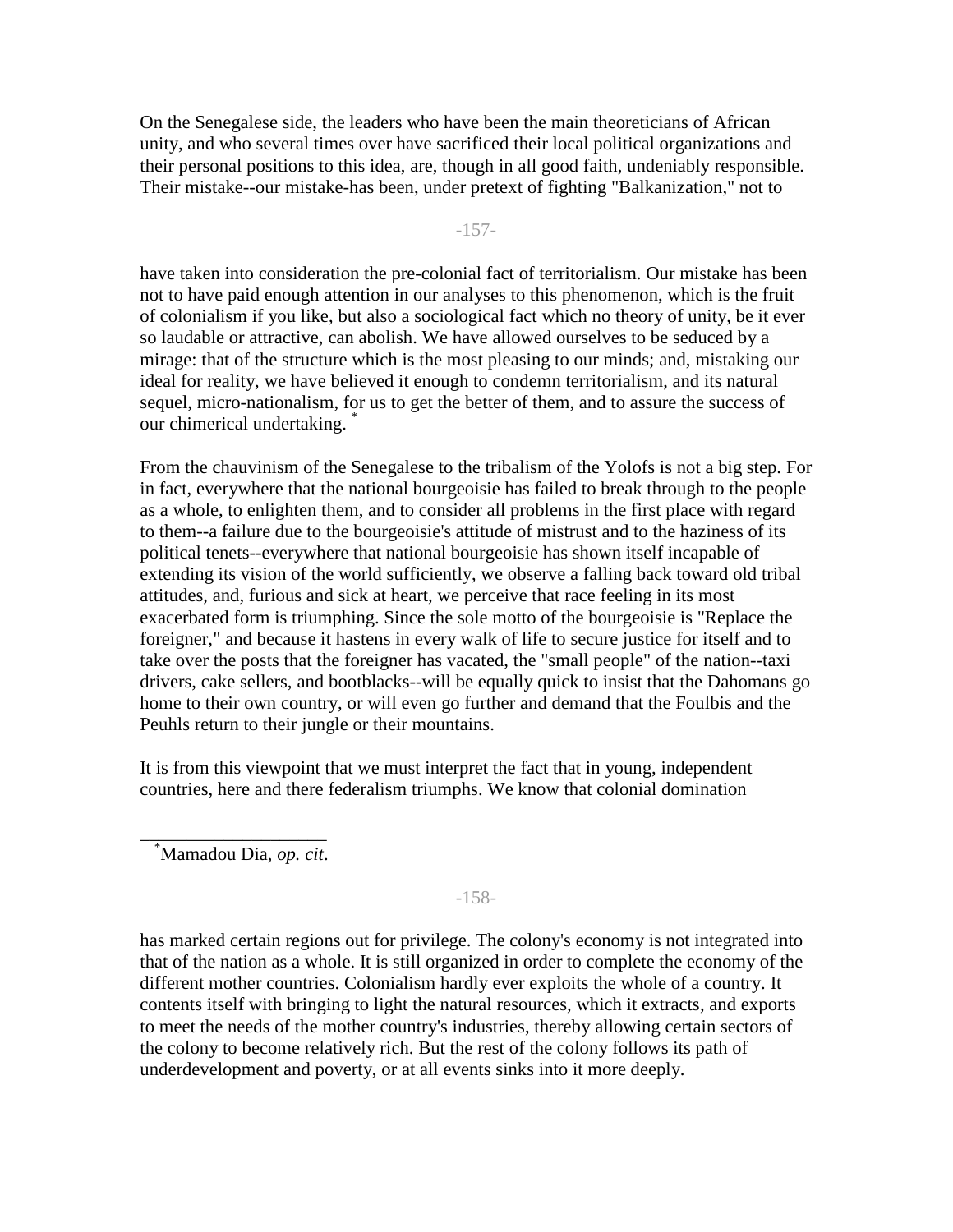On the Senegalese side, the leaders who have been the main theoreticians of African unity, and who several times over have sacrificed their local political organizations and their personal positions to this idea, are, though in all good faith, undeniably responsible. Their mistake--our mistake-has been, under pretext of fighting "Balkanization," not to

-157-

have taken into consideration the pre-colonial fact of territorialism. Our mistake has been not to have paid enough attention in our analyses to this phenomenon, which is the fruit of colonialism if you like, but also a sociological fact which no theory of unity, be it ever so laudable or attractive, can abolish. We have allowed ourselves to be seduced by a mirage: that of the structure which is the most pleasing to our minds; and, mistaking our ideal for reality, we have believed it enough to condemn territorialism, and its natural sequel, micro-nationalism, for us to get the better of them, and to assure the success of our chimerical undertaking. \*

From the chauvinism of the Senegalese to the tribalism of the Yolofs is not a big step. For in fact, everywhere that the national bourgeoisie has failed to break through to the people as a whole, to enlighten them, and to consider all problems in the first place with regard to them--a failure due to the bourgeoisie's attitude of mistrust and to the haziness of its political tenets--everywhere that national bourgeoisie has shown itself incapable of extending its vision of the world sufficiently, we observe a falling back toward old tribal attitudes, and, furious and sick at heart, we perceive that race feeling in its most exacerbated form is triumphing. Since the sole motto of the bourgeoisie is "Replace the foreigner," and because it hastens in every walk of life to secure justice for itself and to take over the posts that the foreigner has vacated, the "small people" of the nation--taxi drivers, cake sellers, and bootblacks--will be equally quick to insist that the Dahomans go home to their own country, or will even go further and demand that the Foulbis and the Peuhls return to their jungle or their mountains.

It is from this viewpoint that we must interpret the fact that in young, independent countries, here and there federalism triumphs. We know that colonial domination

\_\_\_\_\_\_\_\_\_\_\_\_\_\_\_\_\_\_\_\_ \*Mamadou Dia, *op. cit*.

-158-

has marked certain regions out for privilege. The colony's economy is not integrated into that of the nation as a whole. It is still organized in order to complete the economy of the different mother countries. Colonialism hardly ever exploits the whole of a country. It contents itself with bringing to light the natural resources, which it extracts, and exports to meet the needs of the mother country's industries, thereby allowing certain sectors of the colony to become relatively rich. But the rest of the colony follows its path of underdevelopment and poverty, or at all events sinks into it more deeply.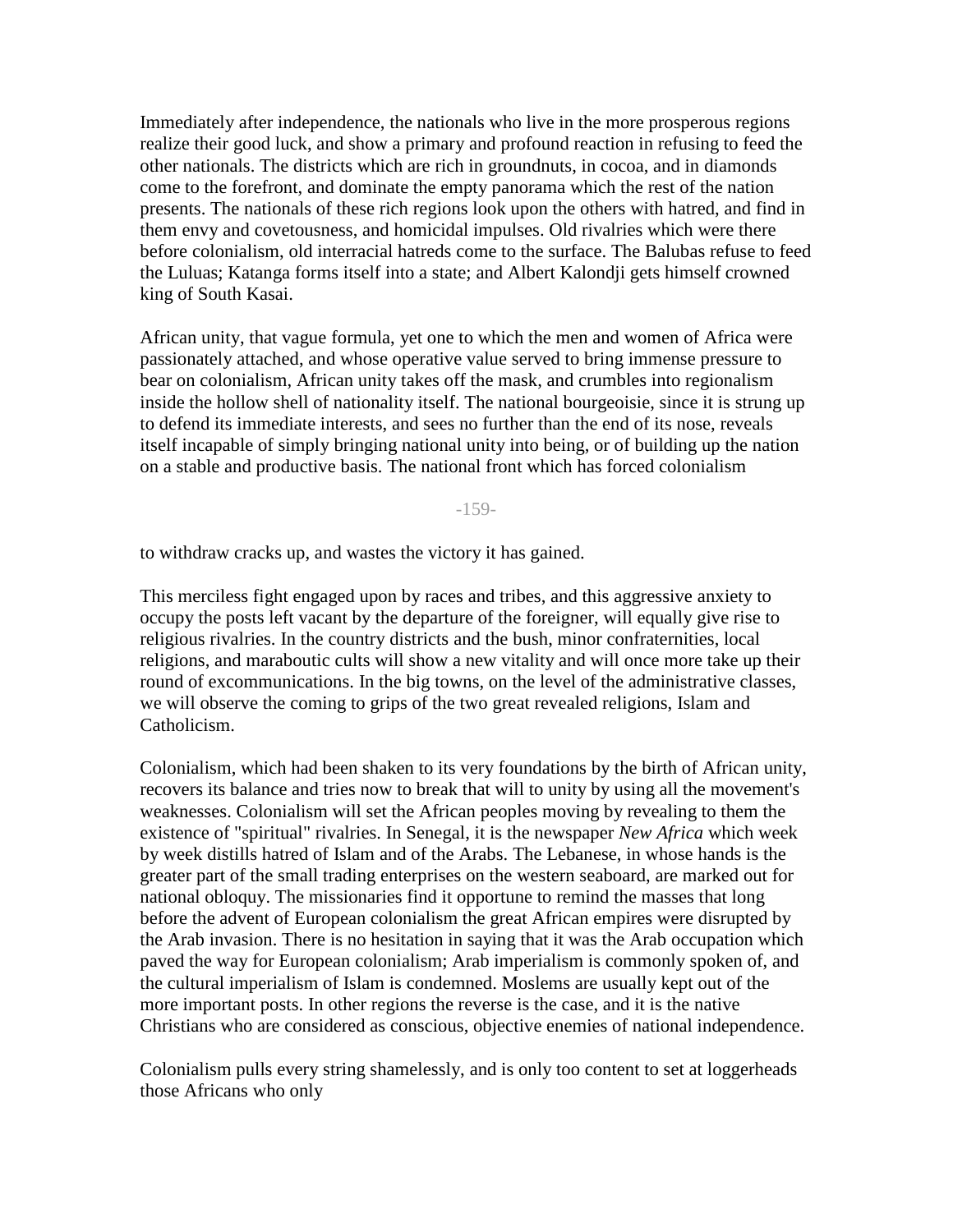Immediately after independence, the nationals who live in the more prosperous regions realize their good luck, and show a primary and profound reaction in refusing to feed the other nationals. The districts which are rich in groundnuts, in cocoa, and in diamonds come to the forefront, and dominate the empty panorama which the rest of the nation presents. The nationals of these rich regions look upon the others with hatred, and find in them envy and covetousness, and homicidal impulses. Old rivalries which were there before colonialism, old interracial hatreds come to the surface. The Balubas refuse to feed the Luluas; Katanga forms itself into a state; and Albert Kalondji gets himself crowned king of South Kasai.

African unity, that vague formula, yet one to which the men and women of Africa were passionately attached, and whose operative value served to bring immense pressure to bear on colonialism, African unity takes off the mask, and crumbles into regionalism inside the hollow shell of nationality itself. The national bourgeoisie, since it is strung up to defend its immediate interests, and sees no further than the end of its nose, reveals itself incapable of simply bringing national unity into being, or of building up the nation on a stable and productive basis. The national front which has forced colonialism

 $-159-$ 

to withdraw cracks up, and wastes the victory it has gained.

This merciless fight engaged upon by races and tribes, and this aggressive anxiety to occupy the posts left vacant by the departure of the foreigner, will equally give rise to religious rivalries. In the country districts and the bush, minor confraternities, local religions, and maraboutic cults will show a new vitality and will once more take up their round of excommunications. In the big towns, on the level of the administrative classes, we will observe the coming to grips of the two great revealed religions, Islam and Catholicism.

Colonialism, which had been shaken to its very foundations by the birth of African unity, recovers its balance and tries now to break that will to unity by using all the movement's weaknesses. Colonialism will set the African peoples moving by revealing to them the existence of "spiritual" rivalries. In Senegal, it is the newspaper *New Africa* which week by week distills hatred of Islam and of the Arabs. The Lebanese, in whose hands is the greater part of the small trading enterprises on the western seaboard, are marked out for national obloquy. The missionaries find it opportune to remind the masses that long before the advent of European colonialism the great African empires were disrupted by the Arab invasion. There is no hesitation in saying that it was the Arab occupation which paved the way for European colonialism; Arab imperialism is commonly spoken of, and the cultural imperialism of Islam is condemned. Moslems are usually kept out of the more important posts. In other regions the reverse is the case, and it is the native Christians who are considered as conscious, objective enemies of national independence.

Colonialism pulls every string shamelessly, and is only too content to set at loggerheads those Africans who only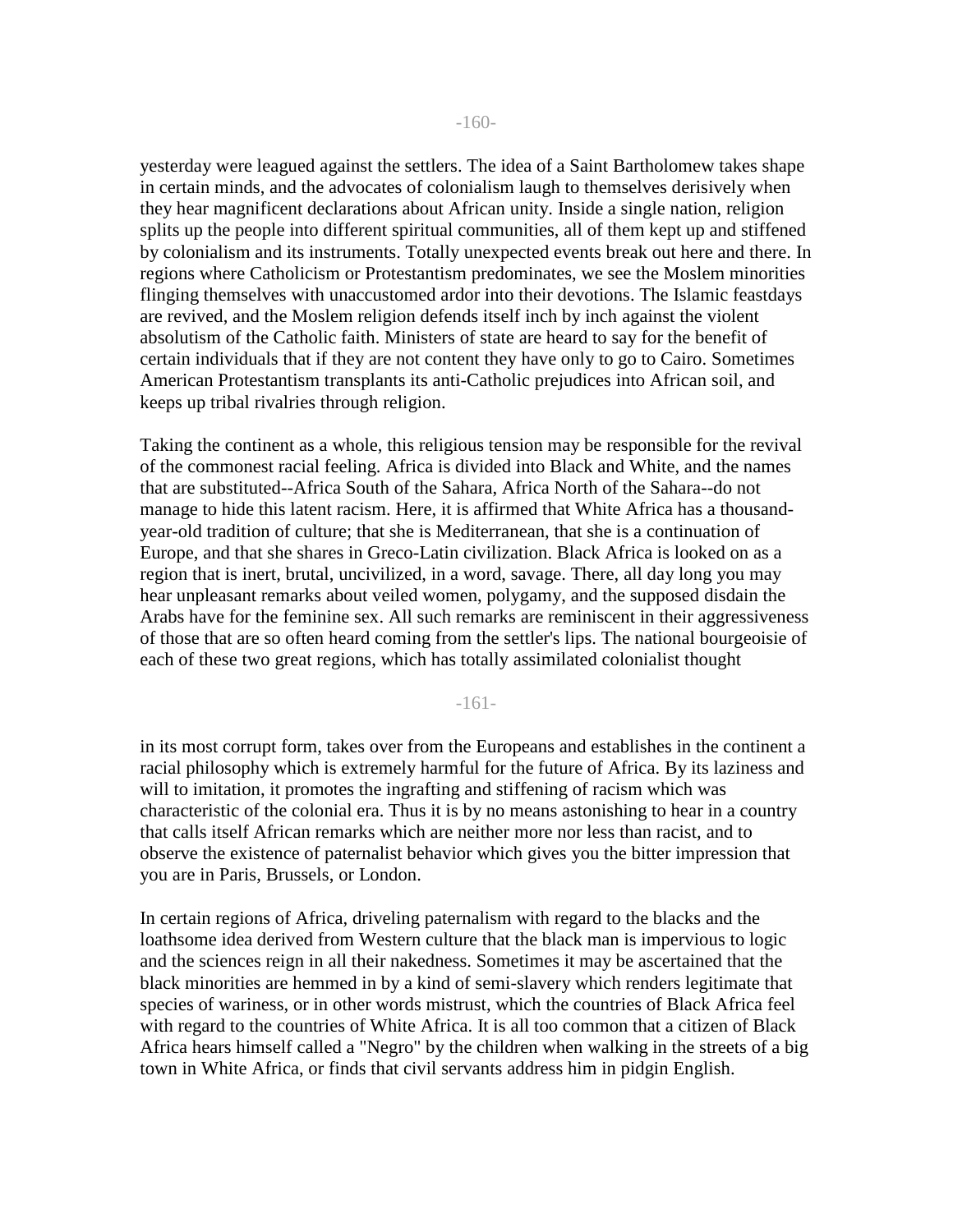yesterday were leagued against the settlers. The idea of a Saint Bartholomew takes shape in certain minds, and the advocates of colonialism laugh to themselves derisively when they hear magnificent declarations about African unity. Inside a single nation, religion splits up the people into different spiritual communities, all of them kept up and stiffened by colonialism and its instruments. Totally unexpected events break out here and there. In regions where Catholicism or Protestantism predominates, we see the Moslem minorities flinging themselves with unaccustomed ardor into their devotions. The Islamic feastdays are revived, and the Moslem religion defends itself inch by inch against the violent absolutism of the Catholic faith. Ministers of state are heard to say for the benefit of certain individuals that if they are not content they have only to go to Cairo. Sometimes American Protestantism transplants its anti-Catholic prejudices into African soil, and keeps up tribal rivalries through religion.

Taking the continent as a whole, this religious tension may be responsible for the revival of the commonest racial feeling. Africa is divided into Black and White, and the names that are substituted--Africa South of the Sahara, Africa North of the Sahara--do not manage to hide this latent racism. Here, it is affirmed that White Africa has a thousandyear-old tradition of culture; that she is Mediterranean, that she is a continuation of Europe, and that she shares in Greco-Latin civilization. Black Africa is looked on as a region that is inert, brutal, uncivilized, in a word, savage. There, all day long you may hear unpleasant remarks about veiled women, polygamy, and the supposed disdain the Arabs have for the feminine sex. All such remarks are reminiscent in their aggressiveness of those that are so often heard coming from the settler's lips. The national bourgeoisie of each of these two great regions, which has totally assimilated colonialist thought

-161-

in its most corrupt form, takes over from the Europeans and establishes in the continent a racial philosophy which is extremely harmful for the future of Africa. By its laziness and will to imitation, it promotes the ingrafting and stiffening of racism which was characteristic of the colonial era. Thus it is by no means astonishing to hear in a country that calls itself African remarks which are neither more nor less than racist, and to observe the existence of paternalist behavior which gives you the bitter impression that you are in Paris, Brussels, or London.

In certain regions of Africa, driveling paternalism with regard to the blacks and the loathsome idea derived from Western culture that the black man is impervious to logic and the sciences reign in all their nakedness. Sometimes it may be ascertained that the black minorities are hemmed in by a kind of semi-slavery which renders legitimate that species of wariness, or in other words mistrust, which the countries of Black Africa feel with regard to the countries of White Africa. It is all too common that a citizen of Black Africa hears himself called a "Negro" by the children when walking in the streets of a big town in White Africa, or finds that civil servants address him in pidgin English.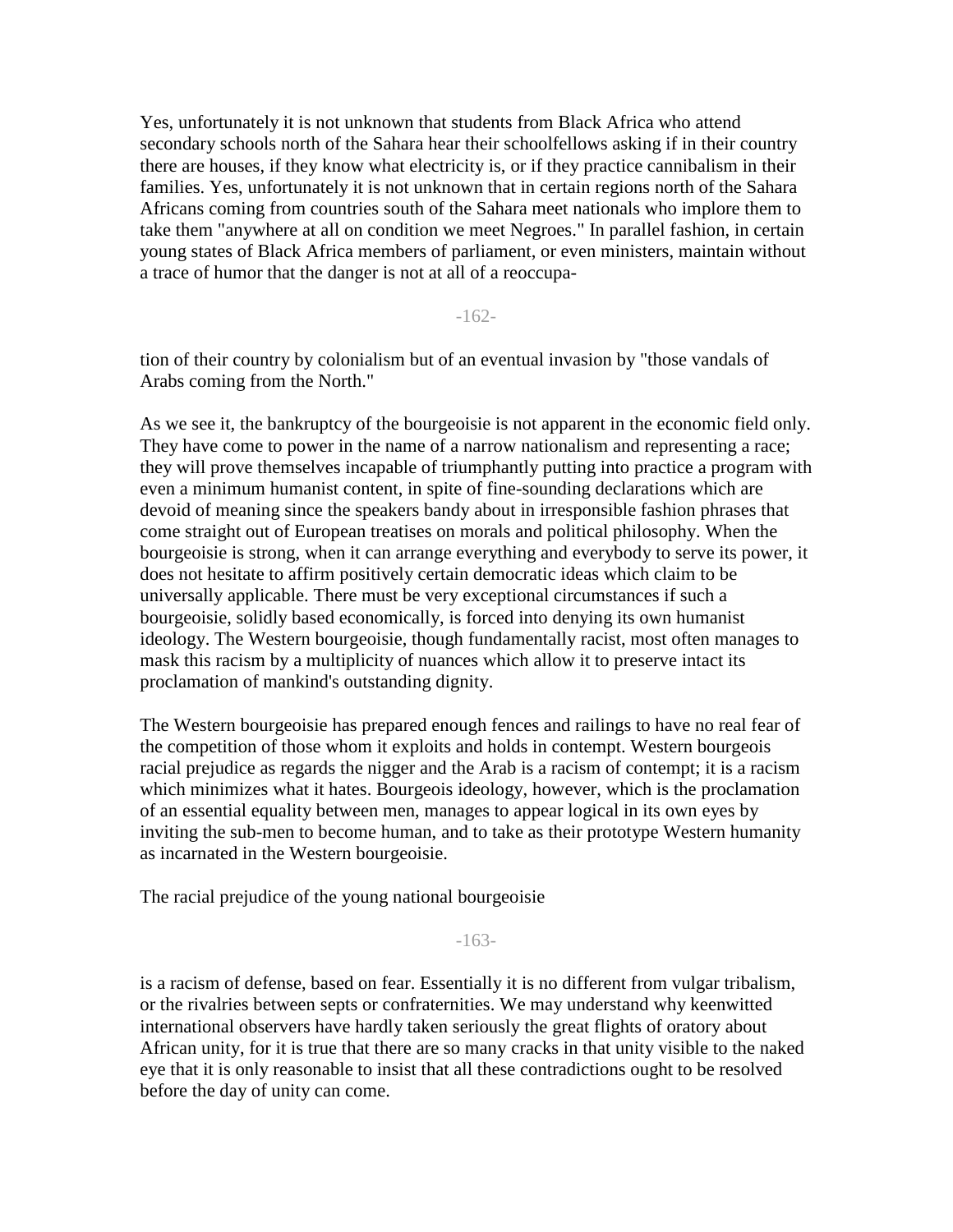Yes, unfortunately it is not unknown that students from Black Africa who attend secondary schools north of the Sahara hear their schoolfellows asking if in their country there are houses, if they know what electricity is, or if they practice cannibalism in their families. Yes, unfortunately it is not unknown that in certain regions north of the Sahara Africans coming from countries south of the Sahara meet nationals who implore them to take them "anywhere at all on condition we meet Negroes." In parallel fashion, in certain young states of Black Africa members of parliament, or even ministers, maintain without a trace of humor that the danger is not at all of a reoccupa-

-162-

tion of their country by colonialism but of an eventual invasion by "those vandals of Arabs coming from the North."

As we see it, the bankruptcy of the bourgeoisie is not apparent in the economic field only. They have come to power in the name of a narrow nationalism and representing a race; they will prove themselves incapable of triumphantly putting into practice a program with even a minimum humanist content, in spite of fine-sounding declarations which are devoid of meaning since the speakers bandy about in irresponsible fashion phrases that come straight out of European treatises on morals and political philosophy. When the bourgeoisie is strong, when it can arrange everything and everybody to serve its power, it does not hesitate to affirm positively certain democratic ideas which claim to be universally applicable. There must be very exceptional circumstances if such a bourgeoisie, solidly based economically, is forced into denying its own humanist ideology. The Western bourgeoisie, though fundamentally racist, most often manages to mask this racism by a multiplicity of nuances which allow it to preserve intact its proclamation of mankind's outstanding dignity.

The Western bourgeoisie has prepared enough fences and railings to have no real fear of the competition of those whom it exploits and holds in contempt. Western bourgeois racial prejudice as regards the nigger and the Arab is a racism of contempt; it is a racism which minimizes what it hates. Bourgeois ideology, however, which is the proclamation of an essential equality between men, manages to appear logical in its own eyes by inviting the sub-men to become human, and to take as their prototype Western humanity as incarnated in the Western bourgeoisie.

The racial prejudice of the young national bourgeoisie

-163-

is a racism of defense, based on fear. Essentially it is no different from vulgar tribalism, or the rivalries between septs or confraternities. We may understand why keenwitted international observers have hardly taken seriously the great flights of oratory about African unity, for it is true that there are so many cracks in that unity visible to the naked eye that it is only reasonable to insist that all these contradictions ought to be resolved before the day of unity can come.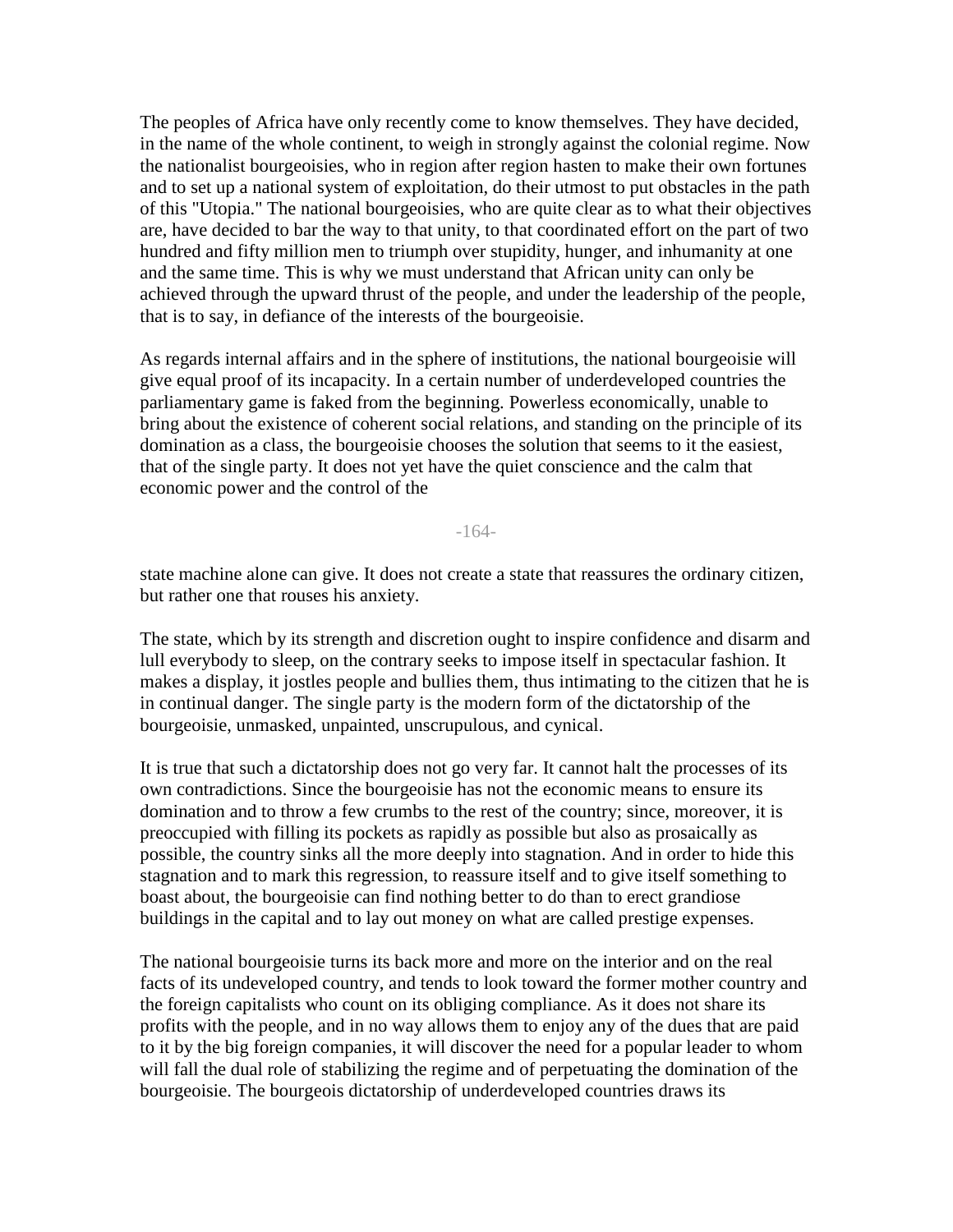The peoples of Africa have only recently come to know themselves. They have decided, in the name of the whole continent, to weigh in strongly against the colonial regime. Now the nationalist bourgeoisies, who in region after region hasten to make their own fortunes and to set up a national system of exploitation, do their utmost to put obstacles in the path of this "Utopia." The national bourgeoisies, who are quite clear as to what their objectives are, have decided to bar the way to that unity, to that coordinated effort on the part of two hundred and fifty million men to triumph over stupidity, hunger, and inhumanity at one and the same time. This is why we must understand that African unity can only be achieved through the upward thrust of the people, and under the leadership of the people, that is to say, in defiance of the interests of the bourgeoisie.

As regards internal affairs and in the sphere of institutions, the national bourgeoisie will give equal proof of its incapacity. In a certain number of underdeveloped countries the parliamentary game is faked from the beginning. Powerless economically, unable to bring about the existence of coherent social relations, and standing on the principle of its domination as a class, the bourgeoisie chooses the solution that seems to it the easiest, that of the single party. It does not yet have the quiet conscience and the calm that economic power and the control of the

-164-

state machine alone can give. It does not create a state that reassures the ordinary citizen, but rather one that rouses his anxiety.

The state, which by its strength and discretion ought to inspire confidence and disarm and lull everybody to sleep, on the contrary seeks to impose itself in spectacular fashion. It makes a display, it jostles people and bullies them, thus intimating to the citizen that he is in continual danger. The single party is the modern form of the dictatorship of the bourgeoisie, unmasked, unpainted, unscrupulous, and cynical.

It is true that such a dictatorship does not go very far. It cannot halt the processes of its own contradictions. Since the bourgeoisie has not the economic means to ensure its domination and to throw a few crumbs to the rest of the country; since, moreover, it is preoccupied with filling its pockets as rapidly as possible but also as prosaically as possible, the country sinks all the more deeply into stagnation. And in order to hide this stagnation and to mark this regression, to reassure itself and to give itself something to boast about, the bourgeoisie can find nothing better to do than to erect grandiose buildings in the capital and to lay out money on what are called prestige expenses.

The national bourgeoisie turns its back more and more on the interior and on the real facts of its undeveloped country, and tends to look toward the former mother country and the foreign capitalists who count on its obliging compliance. As it does not share its profits with the people, and in no way allows them to enjoy any of the dues that are paid to it by the big foreign companies, it will discover the need for a popular leader to whom will fall the dual role of stabilizing the regime and of perpetuating the domination of the bourgeoisie. The bourgeois dictatorship of underdeveloped countries draws its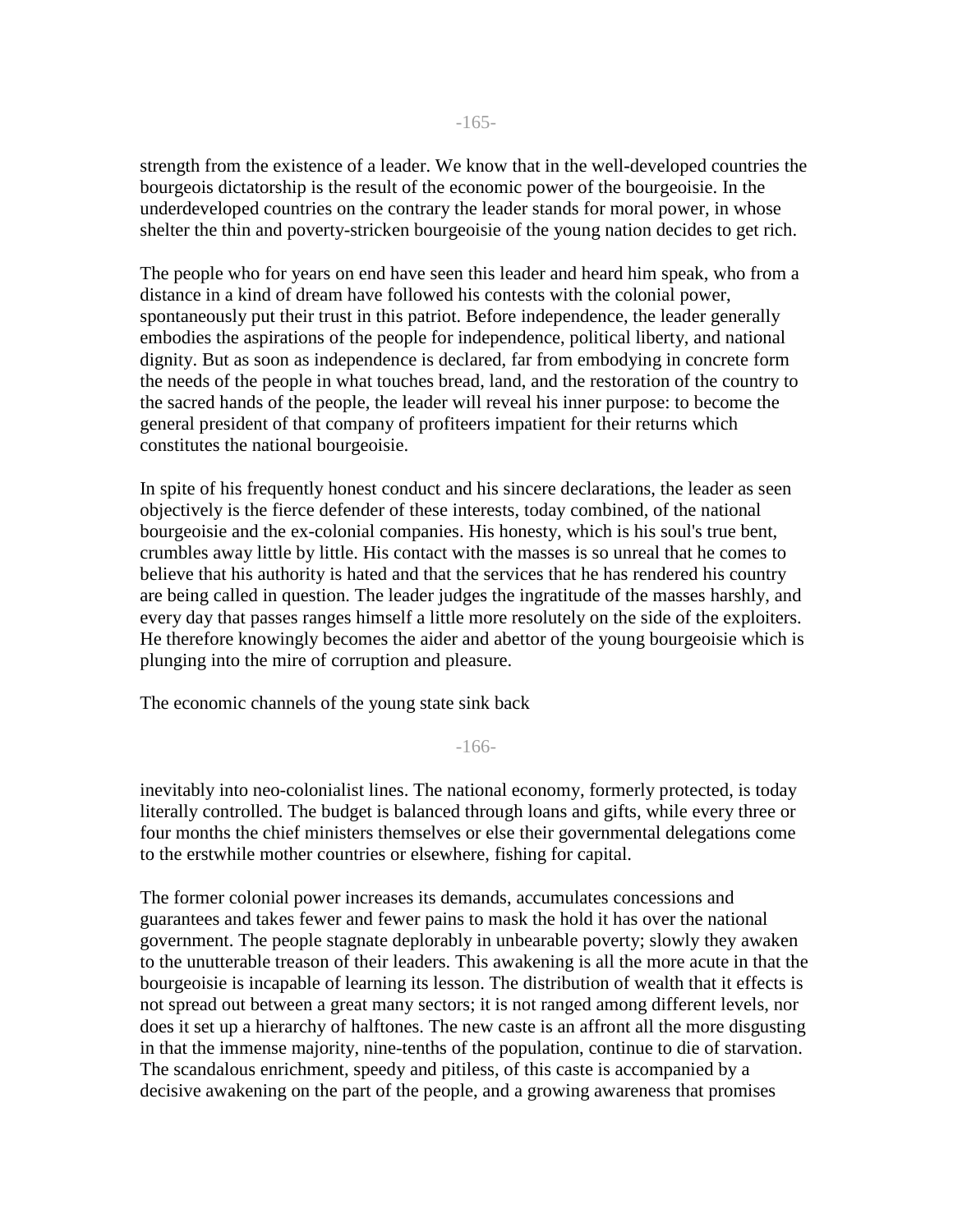strength from the existence of a leader. We know that in the well-developed countries the bourgeois dictatorship is the result of the economic power of the bourgeoisie. In the underdeveloped countries on the contrary the leader stands for moral power, in whose shelter the thin and poverty-stricken bourgeoisie of the young nation decides to get rich.

The people who for years on end have seen this leader and heard him speak, who from a distance in a kind of dream have followed his contests with the colonial power, spontaneously put their trust in this patriot. Before independence, the leader generally embodies the aspirations of the people for independence, political liberty, and national dignity. But as soon as independence is declared, far from embodying in concrete form the needs of the people in what touches bread, land, and the restoration of the country to the sacred hands of the people, the leader will reveal his inner purpose: to become the general president of that company of profiteers impatient for their returns which constitutes the national bourgeoisie.

In spite of his frequently honest conduct and his sincere declarations, the leader as seen objectively is the fierce defender of these interests, today combined, of the national bourgeoisie and the ex-colonial companies. His honesty, which is his soul's true bent, crumbles away little by little. His contact with the masses is so unreal that he comes to believe that his authority is hated and that the services that he has rendered his country are being called in question. The leader judges the ingratitude of the masses harshly, and every day that passes ranges himself a little more resolutely on the side of the exploiters. He therefore knowingly becomes the aider and abettor of the young bourgeoisie which is plunging into the mire of corruption and pleasure.

The economic channels of the young state sink back

-166-

inevitably into neo-colonialist lines. The national economy, formerly protected, is today literally controlled. The budget is balanced through loans and gifts, while every three or four months the chief ministers themselves or else their governmental delegations come to the erstwhile mother countries or elsewhere, fishing for capital.

The former colonial power increases its demands, accumulates concessions and guarantees and takes fewer and fewer pains to mask the hold it has over the national government. The people stagnate deplorably in unbearable poverty; slowly they awaken to the unutterable treason of their leaders. This awakening is all the more acute in that the bourgeoisie is incapable of learning its lesson. The distribution of wealth that it effects is not spread out between a great many sectors; it is not ranged among different levels, nor does it set up a hierarchy of halftones. The new caste is an affront all the more disgusting in that the immense majority, nine-tenths of the population, continue to die of starvation. The scandalous enrichment, speedy and pitiless, of this caste is accompanied by a decisive awakening on the part of the people, and a growing awareness that promises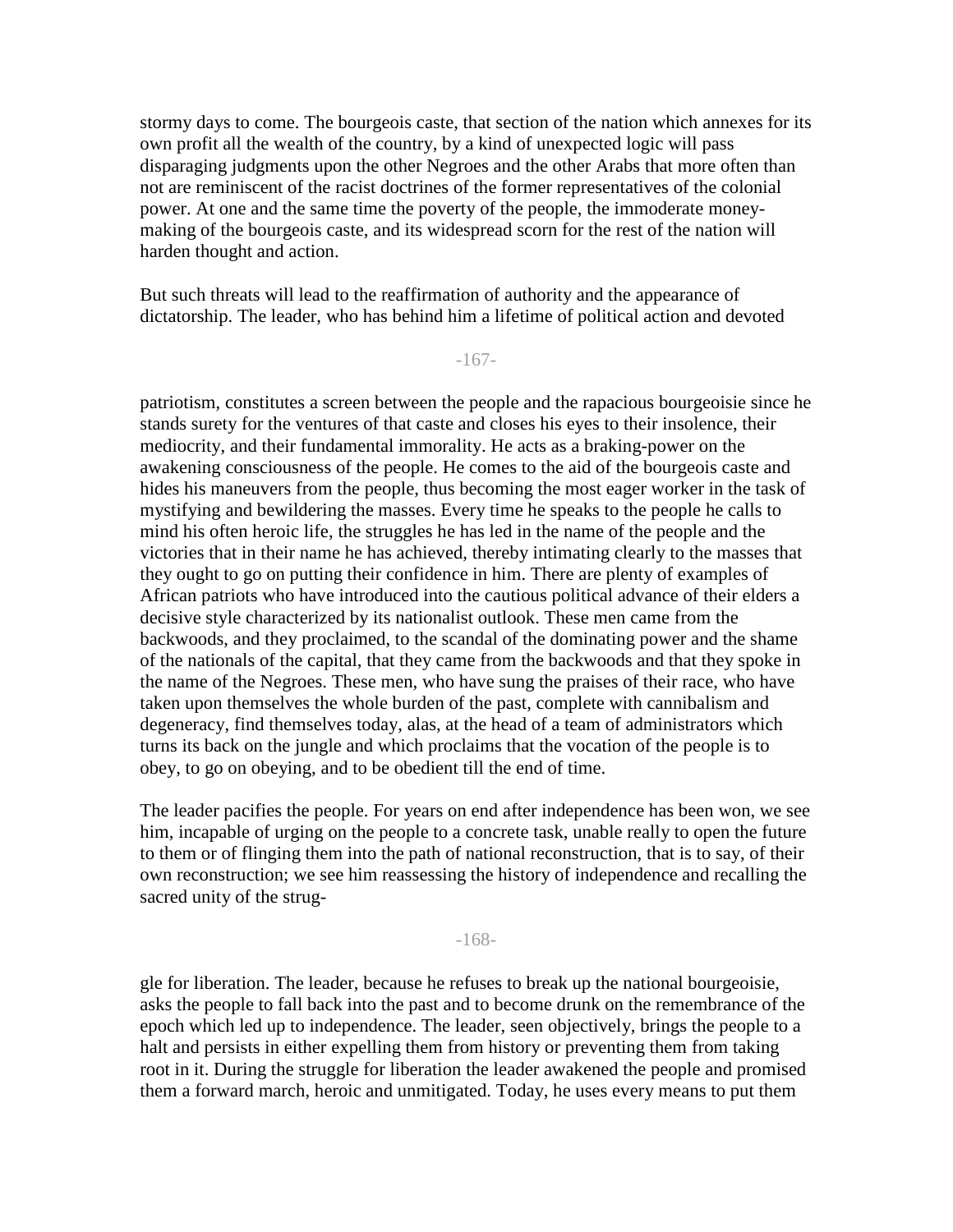stormy days to come. The bourgeois caste, that section of the nation which annexes for its own profit all the wealth of the country, by a kind of unexpected logic will pass disparaging judgments upon the other Negroes and the other Arabs that more often than not are reminiscent of the racist doctrines of the former representatives of the colonial power. At one and the same time the poverty of the people, the immoderate moneymaking of the bourgeois caste, and its widespread scorn for the rest of the nation will harden thought and action.

But such threats will lead to the reaffirmation of authority and the appearance of dictatorship. The leader, who has behind him a lifetime of political action and devoted

-167-

patriotism, constitutes a screen between the people and the rapacious bourgeoisie since he stands surety for the ventures of that caste and closes his eyes to their insolence, their mediocrity, and their fundamental immorality. He acts as a braking-power on the awakening consciousness of the people. He comes to the aid of the bourgeois caste and hides his maneuvers from the people, thus becoming the most eager worker in the task of mystifying and bewildering the masses. Every time he speaks to the people he calls to mind his often heroic life, the struggles he has led in the name of the people and the victories that in their name he has achieved, thereby intimating clearly to the masses that they ought to go on putting their confidence in him. There are plenty of examples of African patriots who have introduced into the cautious political advance of their elders a decisive style characterized by its nationalist outlook. These men came from the backwoods, and they proclaimed, to the scandal of the dominating power and the shame of the nationals of the capital, that they came from the backwoods and that they spoke in the name of the Negroes. These men, who have sung the praises of their race, who have taken upon themselves the whole burden of the past, complete with cannibalism and degeneracy, find themselves today, alas, at the head of a team of administrators which turns its back on the jungle and which proclaims that the vocation of the people is to obey, to go on obeying, and to be obedient till the end of time.

The leader pacifies the people. For years on end after independence has been won, we see him, incapable of urging on the people to a concrete task, unable really to open the future to them or of flinging them into the path of national reconstruction, that is to say, of their own reconstruction; we see him reassessing the history of independence and recalling the sacred unity of the strug-

-168-

gle for liberation. The leader, because he refuses to break up the national bourgeoisie, asks the people to fall back into the past and to become drunk on the remembrance of the epoch which led up to independence. The leader, seen objectively, brings the people to a halt and persists in either expelling them from history or preventing them from taking root in it. During the struggle for liberation the leader awakened the people and promised them a forward march, heroic and unmitigated. Today, he uses every means to put them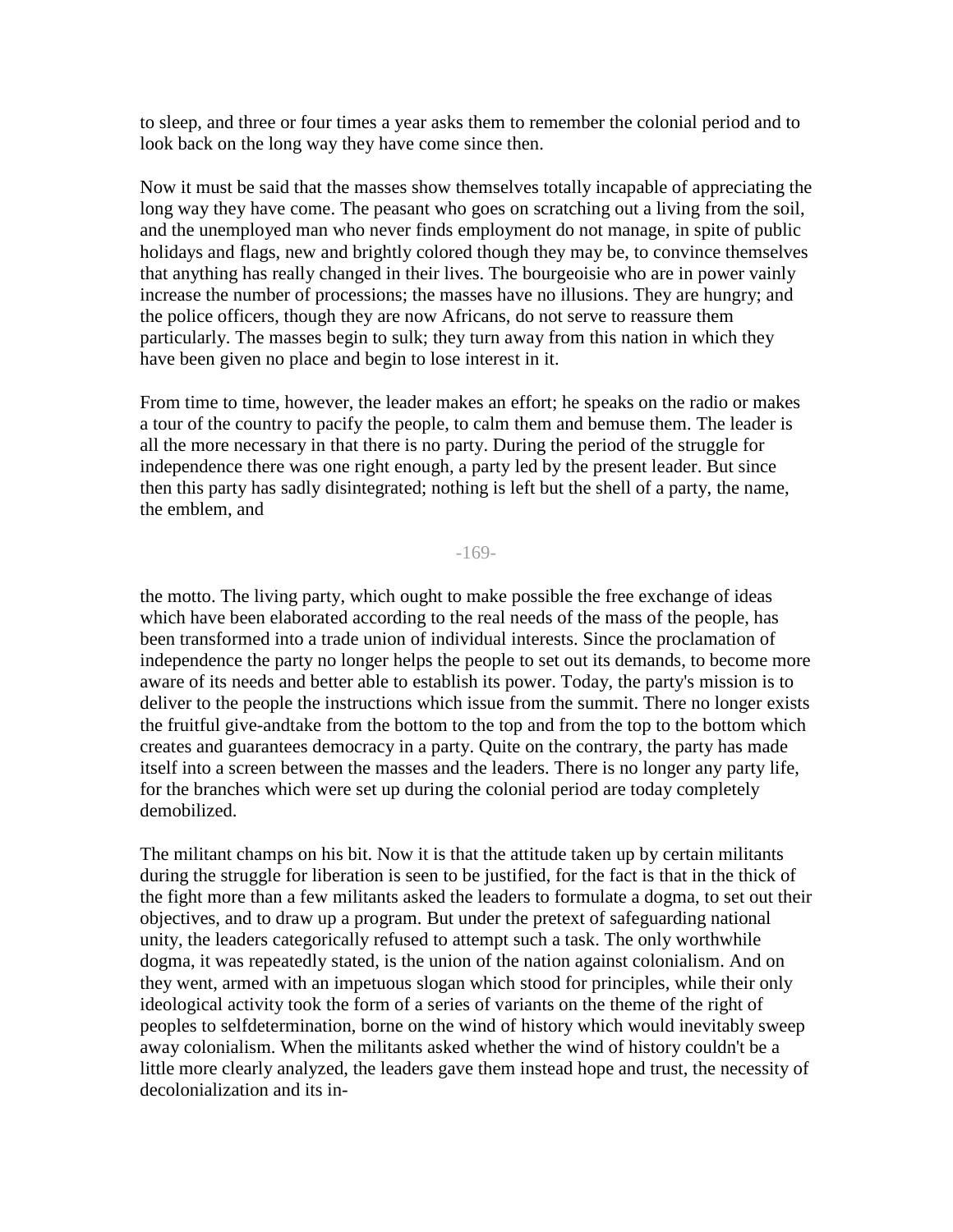to sleep, and three or four times a year asks them to remember the colonial period and to look back on the long way they have come since then.

Now it must be said that the masses show themselves totally incapable of appreciating the long way they have come. The peasant who goes on scratching out a living from the soil, and the unemployed man who never finds employment do not manage, in spite of public holidays and flags, new and brightly colored though they may be, to convince themselves that anything has really changed in their lives. The bourgeoisie who are in power vainly increase the number of processions; the masses have no illusions. They are hungry; and the police officers, though they are now Africans, do not serve to reassure them particularly. The masses begin to sulk; they turn away from this nation in which they have been given no place and begin to lose interest in it.

From time to time, however, the leader makes an effort; he speaks on the radio or makes a tour of the country to pacify the people, to calm them and bemuse them. The leader is all the more necessary in that there is no party. During the period of the struggle for independence there was one right enough, a party led by the present leader. But since then this party has sadly disintegrated; nothing is left but the shell of a party, the name, the emblem, and

-169-

the motto. The living party, which ought to make possible the free exchange of ideas which have been elaborated according to the real needs of the mass of the people, has been transformed into a trade union of individual interests. Since the proclamation of independence the party no longer helps the people to set out its demands, to become more aware of its needs and better able to establish its power. Today, the party's mission is to deliver to the people the instructions which issue from the summit. There no longer exists the fruitful give-andtake from the bottom to the top and from the top to the bottom which creates and guarantees democracy in a party. Quite on the contrary, the party has made itself into a screen between the masses and the leaders. There is no longer any party life, for the branches which were set up during the colonial period are today completely demobilized.

The militant champs on his bit. Now it is that the attitude taken up by certain militants during the struggle for liberation is seen to be justified, for the fact is that in the thick of the fight more than a few militants asked the leaders to formulate a dogma, to set out their objectives, and to draw up a program. But under the pretext of safeguarding national unity, the leaders categorically refused to attempt such a task. The only worthwhile dogma, it was repeatedly stated, is the union of the nation against colonialism. And on they went, armed with an impetuous slogan which stood for principles, while their only ideological activity took the form of a series of variants on the theme of the right of peoples to selfdetermination, borne on the wind of history which would inevitably sweep away colonialism. When the militants asked whether the wind of history couldn't be a little more clearly analyzed, the leaders gave them instead hope and trust, the necessity of decolonialization and its in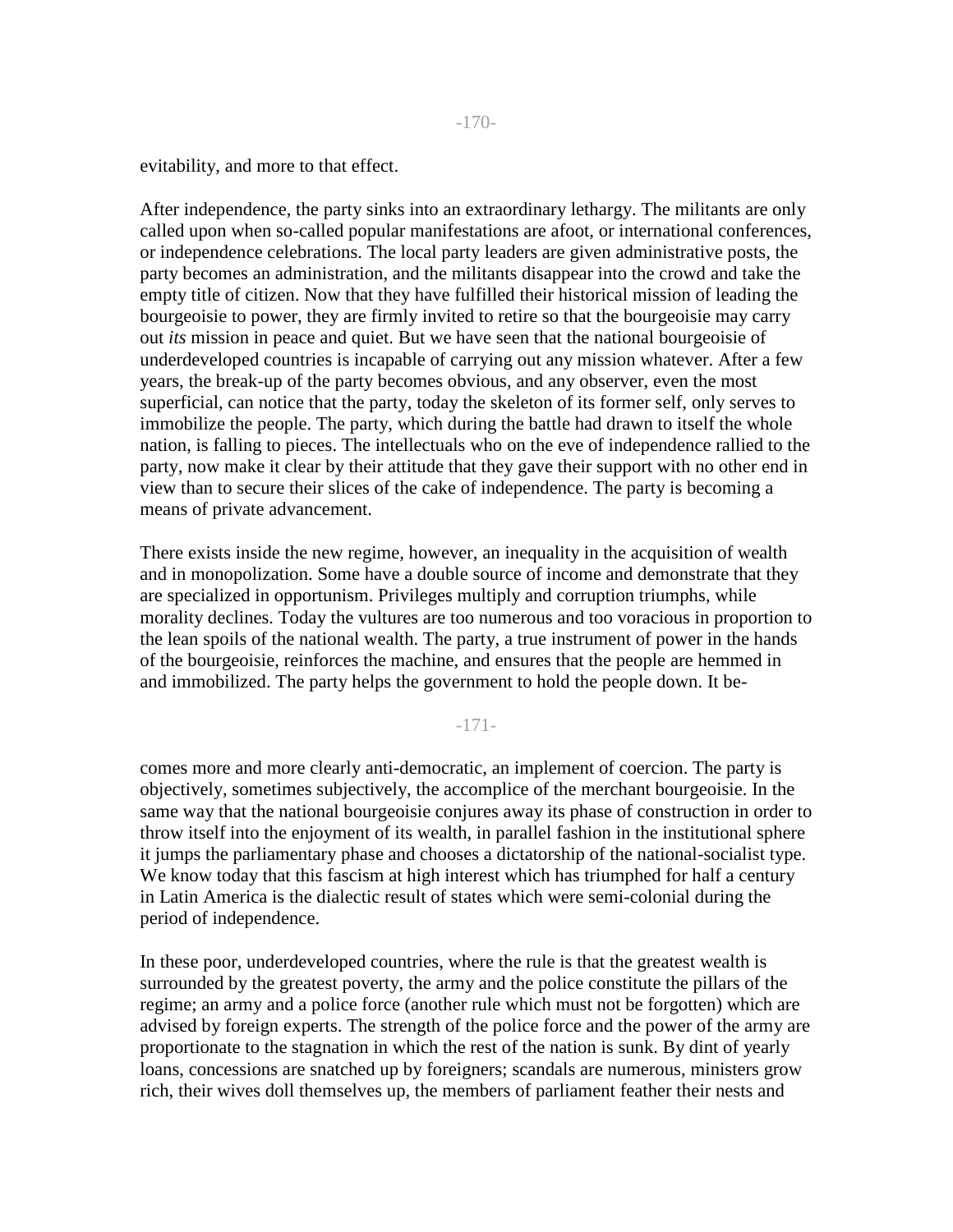evitability, and more to that effect.

After independence, the party sinks into an extraordinary lethargy. The militants are only called upon when so-called popular manifestations are afoot, or international conferences, or independence celebrations. The local party leaders are given administrative posts, the party becomes an administration, and the militants disappear into the crowd and take the empty title of citizen. Now that they have fulfilled their historical mission of leading the bourgeoisie to power, they are firmly invited to retire so that the bourgeoisie may carry out *its* mission in peace and quiet. But we have seen that the national bourgeoisie of underdeveloped countries is incapable of carrying out any mission whatever. After a few years, the break-up of the party becomes obvious, and any observer, even the most superficial, can notice that the party, today the skeleton of its former self, only serves to immobilize the people. The party, which during the battle had drawn to itself the whole nation, is falling to pieces. The intellectuals who on the eve of independence rallied to the party, now make it clear by their attitude that they gave their support with no other end in view than to secure their slices of the cake of independence. The party is becoming a means of private advancement.

There exists inside the new regime, however, an inequality in the acquisition of wealth and in monopolization. Some have a double source of income and demonstrate that they are specialized in opportunism. Privileges multiply and corruption triumphs, while morality declines. Today the vultures are too numerous and too voracious in proportion to the lean spoils of the national wealth. The party, a true instrument of power in the hands of the bourgeoisie, reinforces the machine, and ensures that the people are hemmed in and immobilized. The party helps the government to hold the people down. It be-

-171-

comes more and more clearly anti-democratic, an implement of coercion. The party is objectively, sometimes subjectively, the accomplice of the merchant bourgeoisie. In the same way that the national bourgeoisie conjures away its phase of construction in order to throw itself into the enjoyment of its wealth, in parallel fashion in the institutional sphere it jumps the parliamentary phase and chooses a dictatorship of the national-socialist type. We know today that this fascism at high interest which has triumphed for half a century in Latin America is the dialectic result of states which were semi-colonial during the period of independence.

In these poor, underdeveloped countries, where the rule is that the greatest wealth is surrounded by the greatest poverty, the army and the police constitute the pillars of the regime; an army and a police force (another rule which must not be forgotten) which are advised by foreign experts. The strength of the police force and the power of the army are proportionate to the stagnation in which the rest of the nation is sunk. By dint of yearly loans, concessions are snatched up by foreigners; scandals are numerous, ministers grow rich, their wives doll themselves up, the members of parliament feather their nests and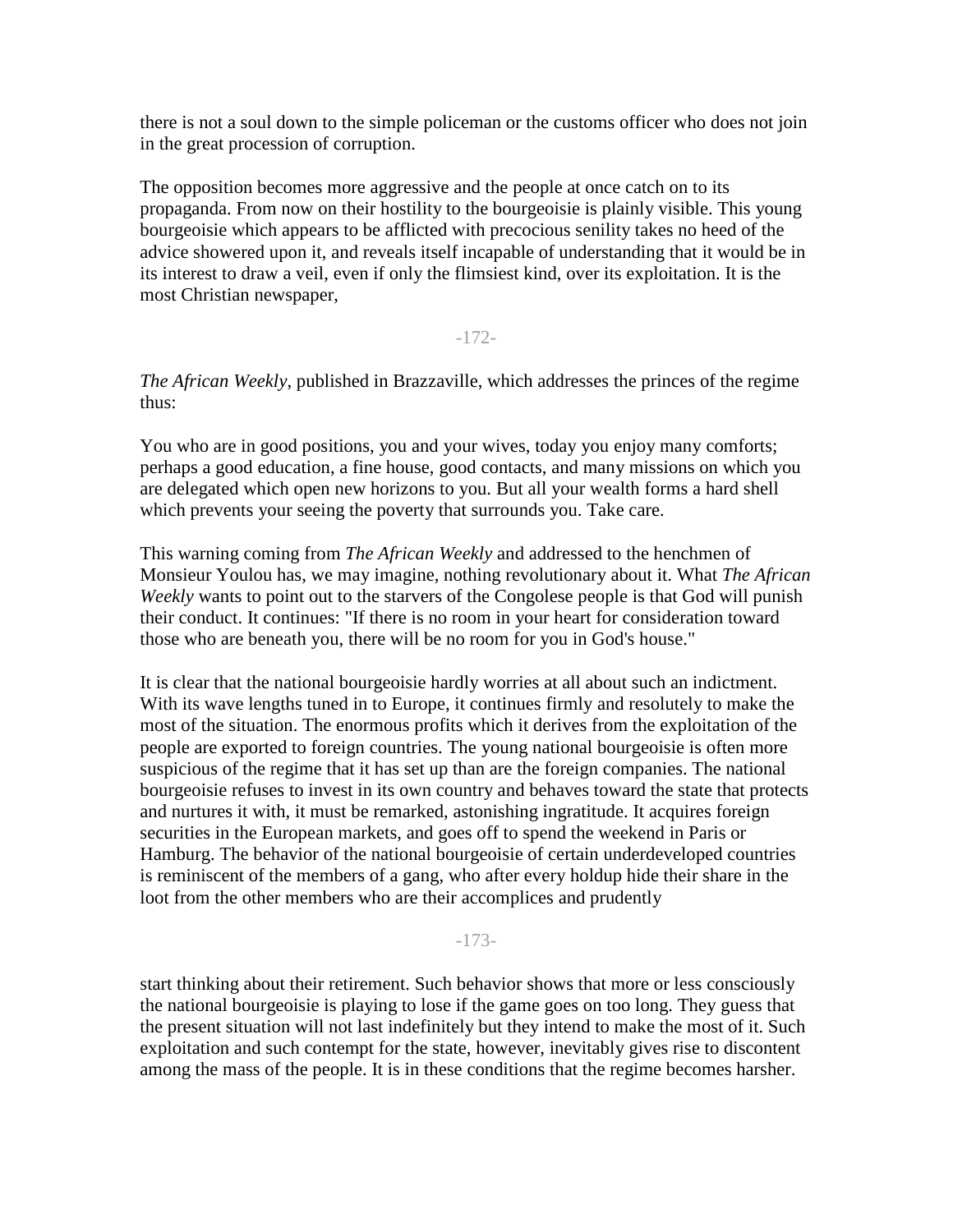there is not a soul down to the simple policeman or the customs officer who does not join in the great procession of corruption.

The opposition becomes more aggressive and the people at once catch on to its propaganda. From now on their hostility to the bourgeoisie is plainly visible. This young bourgeoisie which appears to be afflicted with precocious senility takes no heed of the advice showered upon it, and reveals itself incapable of understanding that it would be in its interest to draw a veil, even if only the flimsiest kind, over its exploitation. It is the most Christian newspaper,

-172-

*The African Weekly*, published in Brazzaville, which addresses the princes of the regime thus:

You who are in good positions, you and your wives, today you enjoy many comforts; perhaps a good education, a fine house, good contacts, and many missions on which you are delegated which open new horizons to you. But all your wealth forms a hard shell which prevents your seeing the poverty that surrounds you. Take care.

This warning coming from *The African Weekly* and addressed to the henchmen of Monsieur Youlou has, we may imagine, nothing revolutionary about it. What *The African Weekly* wants to point out to the starvers of the Congolese people is that God will punish their conduct. It continues: "If there is no room in your heart for consideration toward those who are beneath you, there will be no room for you in God's house."

It is clear that the national bourgeoisie hardly worries at all about such an indictment. With its wave lengths tuned in to Europe, it continues firmly and resolutely to make the most of the situation. The enormous profits which it derives from the exploitation of the people are exported to foreign countries. The young national bourgeoisie is often more suspicious of the regime that it has set up than are the foreign companies. The national bourgeoisie refuses to invest in its own country and behaves toward the state that protects and nurtures it with, it must be remarked, astonishing ingratitude. It acquires foreign securities in the European markets, and goes off to spend the weekend in Paris or Hamburg. The behavior of the national bourgeoisie of certain underdeveloped countries is reminiscent of the members of a gang, who after every holdup hide their share in the loot from the other members who are their accomplices and prudently

-173-

start thinking about their retirement. Such behavior shows that more or less consciously the national bourgeoisie is playing to lose if the game goes on too long. They guess that the present situation will not last indefinitely but they intend to make the most of it. Such exploitation and such contempt for the state, however, inevitably gives rise to discontent among the mass of the people. It is in these conditions that the regime becomes harsher.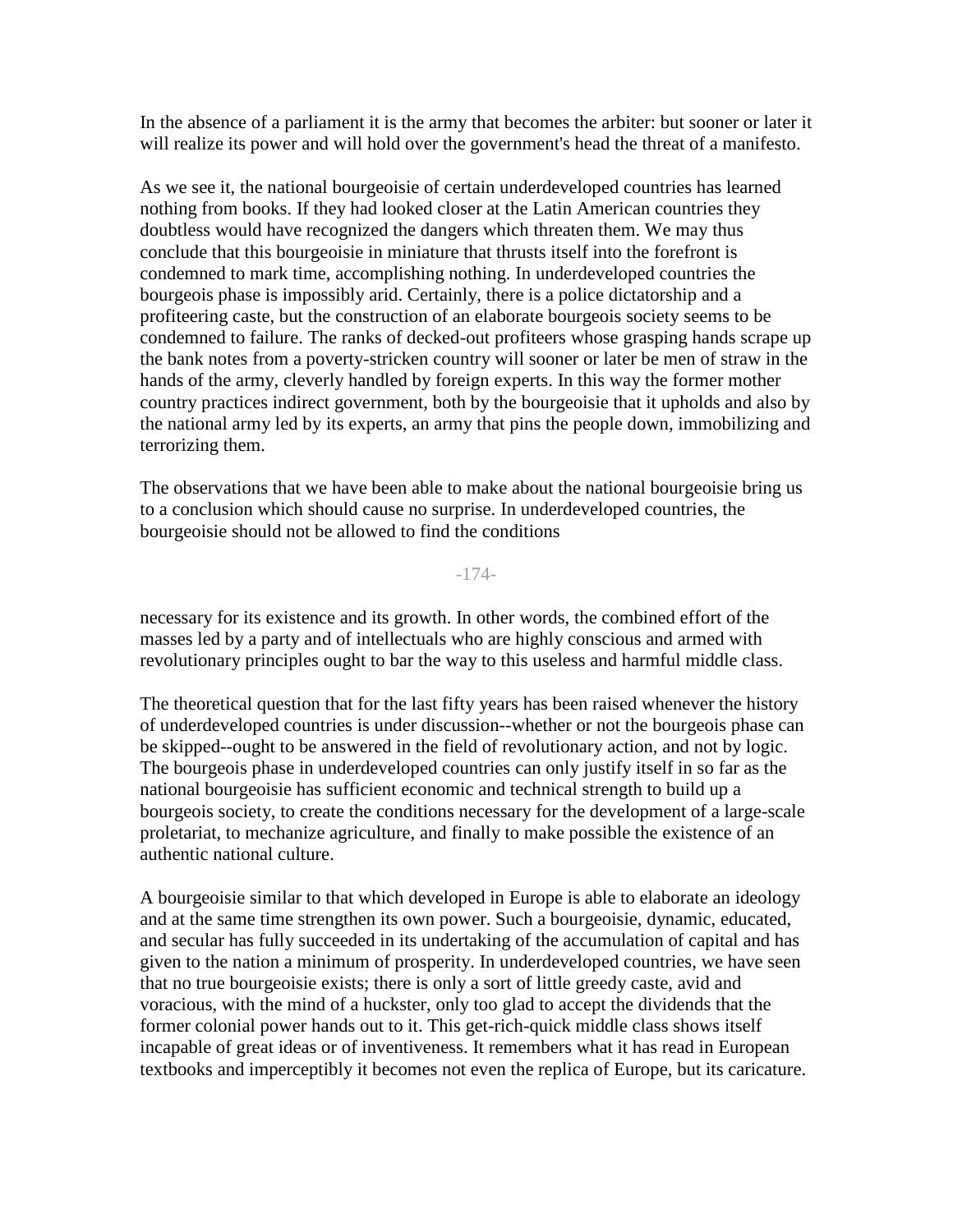In the absence of a parliament it is the army that becomes the arbiter: but sooner or later it will realize its power and will hold over the government's head the threat of a manifesto.

As we see it, the national bourgeoisie of certain underdeveloped countries has learned nothing from books. If they had looked closer at the Latin American countries they doubtless would have recognized the dangers which threaten them. We may thus conclude that this bourgeoisie in miniature that thrusts itself into the forefront is condemned to mark time, accomplishing nothing. In underdeveloped countries the bourgeois phase is impossibly arid. Certainly, there is a police dictatorship and a profiteering caste, but the construction of an elaborate bourgeois society seems to be condemned to failure. The ranks of decked-out profiteers whose grasping hands scrape up the bank notes from a poverty-stricken country will sooner or later be men of straw in the hands of the army, cleverly handled by foreign experts. In this way the former mother country practices indirect government, both by the bourgeoisie that it upholds and also by the national army led by its experts, an army that pins the people down, immobilizing and terrorizing them.

The observations that we have been able to make about the national bourgeoisie bring us to a conclusion which should cause no surprise. In underdeveloped countries, the bourgeoisie should not be allowed to find the conditions

-174-

necessary for its existence and its growth. In other words, the combined effort of the masses led by a party and of intellectuals who are highly conscious and armed with revolutionary principles ought to bar the way to this useless and harmful middle class.

The theoretical question that for the last fifty years has been raised whenever the history of underdeveloped countries is under discussion--whether or not the bourgeois phase can be skipped--ought to be answered in the field of revolutionary action, and not by logic. The bourgeois phase in underdeveloped countries can only justify itself in so far as the national bourgeoisie has sufficient economic and technical strength to build up a bourgeois society, to create the conditions necessary for the development of a large-scale proletariat, to mechanize agriculture, and finally to make possible the existence of an authentic national culture.

A bourgeoisie similar to that which developed in Europe is able to elaborate an ideology and at the same time strengthen its own power. Such a bourgeoisie, dynamic, educated, and secular has fully succeeded in its undertaking of the accumulation of capital and has given to the nation a minimum of prosperity. In underdeveloped countries, we have seen that no true bourgeoisie exists; there is only a sort of little greedy caste, avid and voracious, with the mind of a huckster, only too glad to accept the dividends that the former colonial power hands out to it. This get-rich-quick middle class shows itself incapable of great ideas or of inventiveness. It remembers what it has read in European textbooks and imperceptibly it becomes not even the replica of Europe, but its caricature.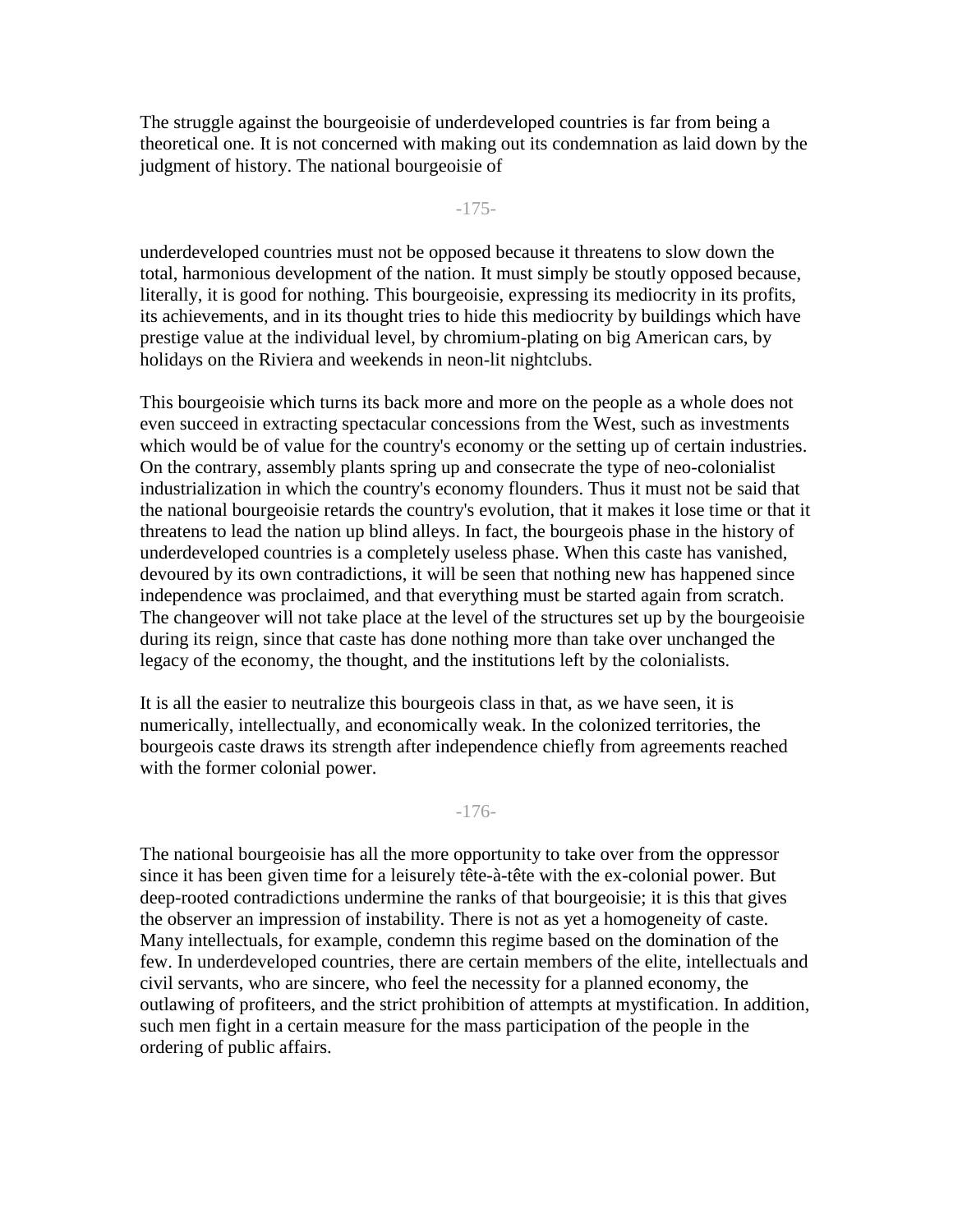The struggle against the bourgeoisie of underdeveloped countries is far from being a theoretical one. It is not concerned with making out its condemnation as laid down by the judgment of history. The national bourgeoisie of

-175-

underdeveloped countries must not be opposed because it threatens to slow down the total, harmonious development of the nation. It must simply be stoutly opposed because, literally, it is good for nothing. This bourgeoisie, expressing its mediocrity in its profits, its achievements, and in its thought tries to hide this mediocrity by buildings which have prestige value at the individual level, by chromium-plating on big American cars, by holidays on the Riviera and weekends in neon-lit nightclubs.

This bourgeoisie which turns its back more and more on the people as a whole does not even succeed in extracting spectacular concessions from the West, such as investments which would be of value for the country's economy or the setting up of certain industries. On the contrary, assembly plants spring up and consecrate the type of neo-colonialist industrialization in which the country's economy flounders. Thus it must not be said that the national bourgeoisie retards the country's evolution, that it makes it lose time or that it threatens to lead the nation up blind alleys. In fact, the bourgeois phase in the history of underdeveloped countries is a completely useless phase. When this caste has vanished, devoured by its own contradictions, it will be seen that nothing new has happened since independence was proclaimed, and that everything must be started again from scratch. The changeover will not take place at the level of the structures set up by the bourgeoisie during its reign, since that caste has done nothing more than take over unchanged the legacy of the economy, the thought, and the institutions left by the colonialists.

It is all the easier to neutralize this bourgeois class in that, as we have seen, it is numerically, intellectually, and economically weak. In the colonized territories, the bourgeois caste draws its strength after independence chiefly from agreements reached with the former colonial power.

-176-

The national bourgeoisie has all the more opportunity to take over from the oppressor since it has been given time for a leisurely tête-à-tête with the ex-colonial power. But deep-rooted contradictions undermine the ranks of that bourgeoisie; it is this that gives the observer an impression of instability. There is not as yet a homogeneity of caste. Many intellectuals, for example, condemn this regime based on the domination of the few. In underdeveloped countries, there are certain members of the elite, intellectuals and civil servants, who are sincere, who feel the necessity for a planned economy, the outlawing of profiteers, and the strict prohibition of attempts at mystification. In addition, such men fight in a certain measure for the mass participation of the people in the ordering of public affairs.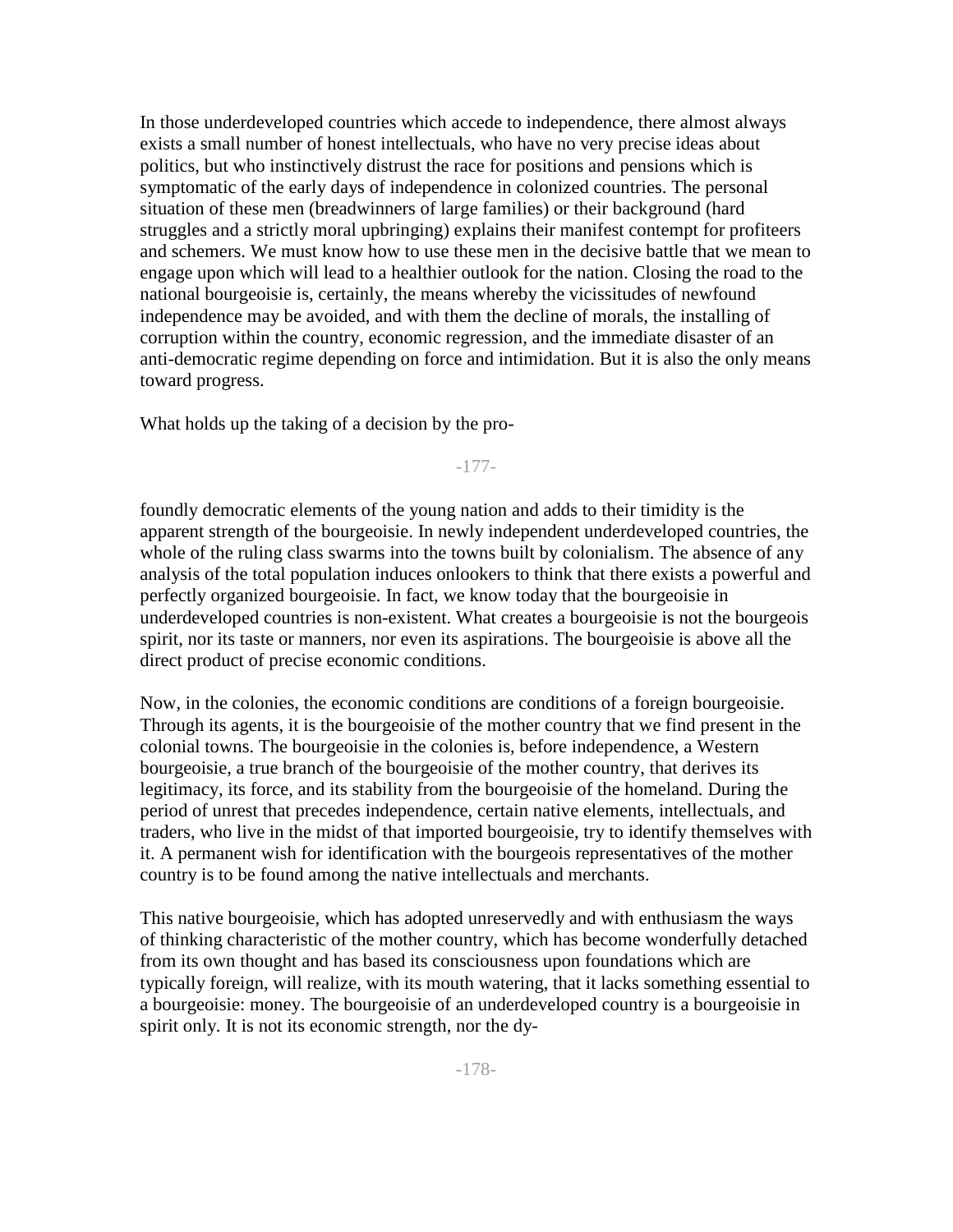In those underdeveloped countries which accede to independence, there almost always exists a small number of honest intellectuals, who have no very precise ideas about politics, but who instinctively distrust the race for positions and pensions which is symptomatic of the early days of independence in colonized countries. The personal situation of these men (breadwinners of large families) or their background (hard struggles and a strictly moral upbringing) explains their manifest contempt for profiteers and schemers. We must know how to use these men in the decisive battle that we mean to engage upon which will lead to a healthier outlook for the nation. Closing the road to the national bourgeoisie is, certainly, the means whereby the vicissitudes of newfound independence may be avoided, and with them the decline of morals, the installing of corruption within the country, economic regression, and the immediate disaster of an anti-democratic regime depending on force and intimidation. But it is also the only means toward progress.

What holds up the taking of a decision by the pro-

-177-

foundly democratic elements of the young nation and adds to their timidity is the apparent strength of the bourgeoisie. In newly independent underdeveloped countries, the whole of the ruling class swarms into the towns built by colonialism. The absence of any analysis of the total population induces onlookers to think that there exists a powerful and perfectly organized bourgeoisie. In fact, we know today that the bourgeoisie in underdeveloped countries is non-existent. What creates a bourgeoisie is not the bourgeois spirit, nor its taste or manners, nor even its aspirations. The bourgeoisie is above all the direct product of precise economic conditions.

Now, in the colonies, the economic conditions are conditions of a foreign bourgeoisie. Through its agents, it is the bourgeoisie of the mother country that we find present in the colonial towns. The bourgeoisie in the colonies is, before independence, a Western bourgeoisie, a true branch of the bourgeoisie of the mother country, that derives its legitimacy, its force, and its stability from the bourgeoisie of the homeland. During the period of unrest that precedes independence, certain native elements, intellectuals, and traders, who live in the midst of that imported bourgeoisie, try to identify themselves with it. A permanent wish for identification with the bourgeois representatives of the mother country is to be found among the native intellectuals and merchants.

This native bourgeoisie, which has adopted unreservedly and with enthusiasm the ways of thinking characteristic of the mother country, which has become wonderfully detached from its own thought and has based its consciousness upon foundations which are typically foreign, will realize, with its mouth watering, that it lacks something essential to a bourgeoisie: money. The bourgeoisie of an underdeveloped country is a bourgeoisie in spirit only. It is not its economic strength, nor the dy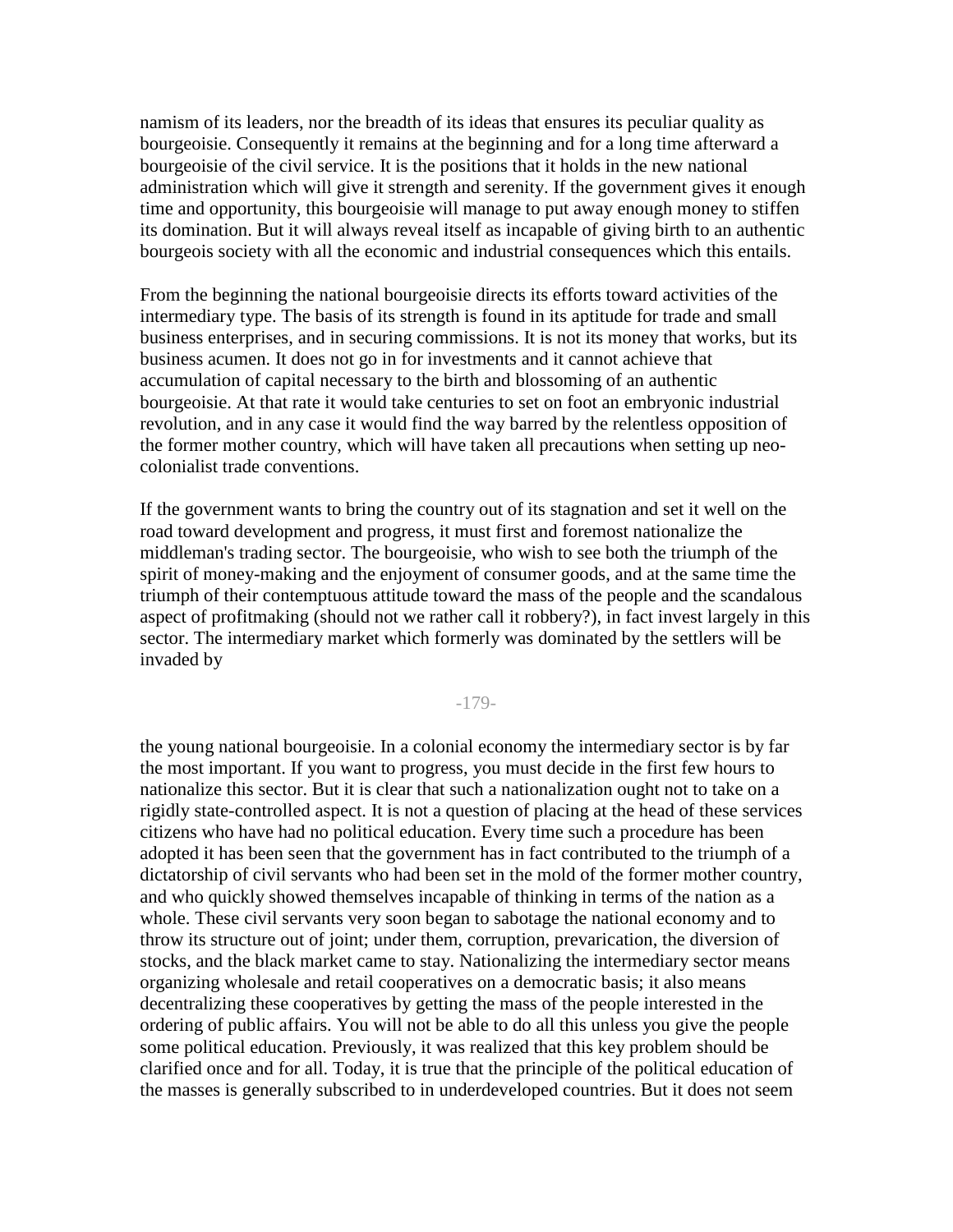namism of its leaders, nor the breadth of its ideas that ensures its peculiar quality as bourgeoisie. Consequently it remains at the beginning and for a long time afterward a bourgeoisie of the civil service. It is the positions that it holds in the new national administration which will give it strength and serenity. If the government gives it enough time and opportunity, this bourgeoisie will manage to put away enough money to stiffen its domination. But it will always reveal itself as incapable of giving birth to an authentic bourgeois society with all the economic and industrial consequences which this entails.

From the beginning the national bourgeoisie directs its efforts toward activities of the intermediary type. The basis of its strength is found in its aptitude for trade and small business enterprises, and in securing commissions. It is not its money that works, but its business acumen. It does not go in for investments and it cannot achieve that accumulation of capital necessary to the birth and blossoming of an authentic bourgeoisie. At that rate it would take centuries to set on foot an embryonic industrial revolution, and in any case it would find the way barred by the relentless opposition of the former mother country, which will have taken all precautions when setting up neocolonialist trade conventions.

If the government wants to bring the country out of its stagnation and set it well on the road toward development and progress, it must first and foremost nationalize the middleman's trading sector. The bourgeoisie, who wish to see both the triumph of the spirit of money-making and the enjoyment of consumer goods, and at the same time the triumph of their contemptuous attitude toward the mass of the people and the scandalous aspect of profitmaking (should not we rather call it robbery?), in fact invest largely in this sector. The intermediary market which formerly was dominated by the settlers will be invaded by

-179-

the young national bourgeoisie. In a colonial economy the intermediary sector is by far the most important. If you want to progress, you must decide in the first few hours to nationalize this sector. But it is clear that such a nationalization ought not to take on a rigidly state-controlled aspect. It is not a question of placing at the head of these services citizens who have had no political education. Every time such a procedure has been adopted it has been seen that the government has in fact contributed to the triumph of a dictatorship of civil servants who had been set in the mold of the former mother country, and who quickly showed themselves incapable of thinking in terms of the nation as a whole. These civil servants very soon began to sabotage the national economy and to throw its structure out of joint; under them, corruption, prevarication, the diversion of stocks, and the black market came to stay. Nationalizing the intermediary sector means organizing wholesale and retail cooperatives on a democratic basis; it also means decentralizing these cooperatives by getting the mass of the people interested in the ordering of public affairs. You will not be able to do all this unless you give the people some political education. Previously, it was realized that this key problem should be clarified once and for all. Today, it is true that the principle of the political education of the masses is generally subscribed to in underdeveloped countries. But it does not seem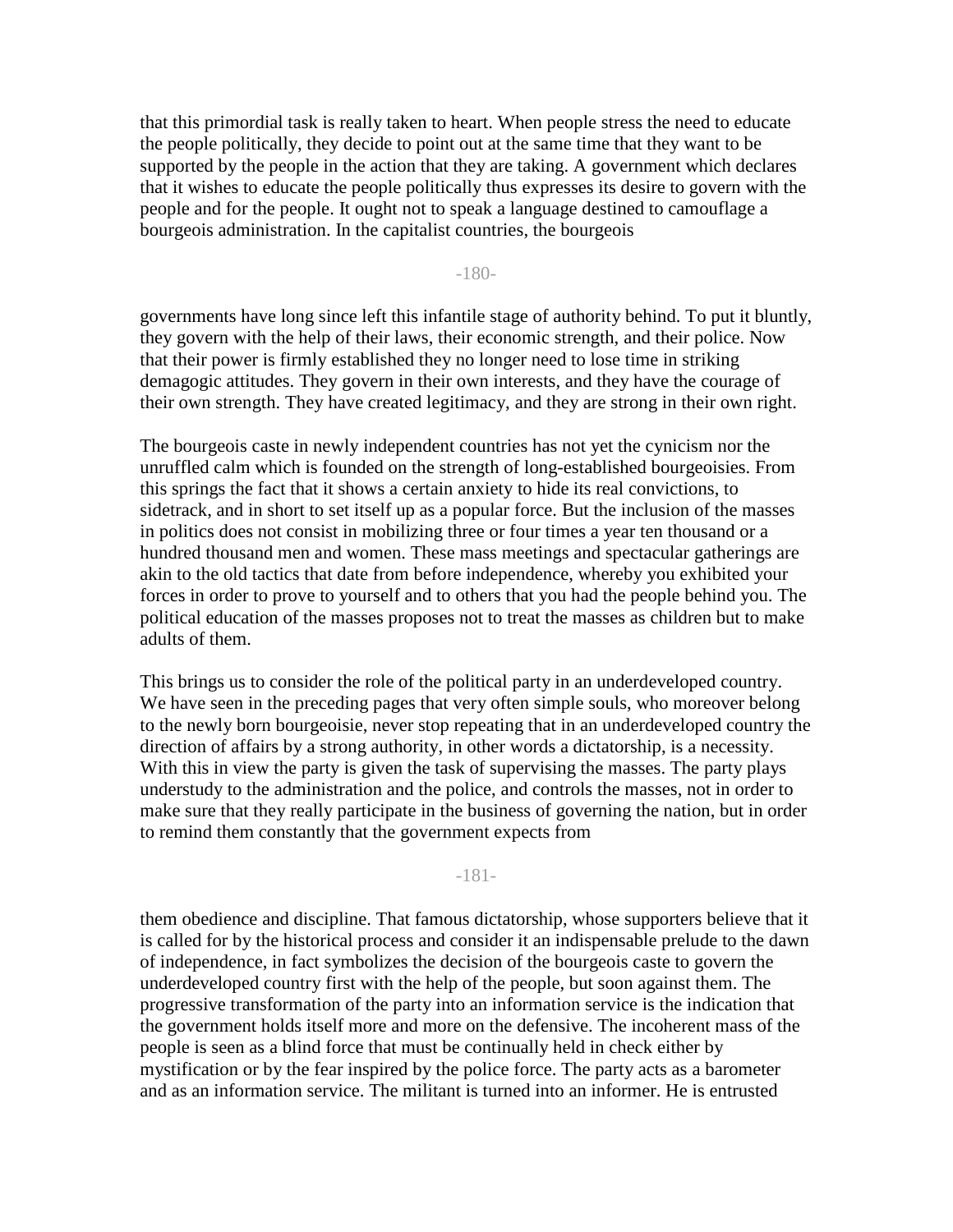that this primordial task is really taken to heart. When people stress the need to educate the people politically, they decide to point out at the same time that they want to be supported by the people in the action that they are taking. A government which declares that it wishes to educate the people politically thus expresses its desire to govern with the people and for the people. It ought not to speak a language destined to camouflage a bourgeois administration. In the capitalist countries, the bourgeois

-180-

governments have long since left this infantile stage of authority behind. To put it bluntly, they govern with the help of their laws, their economic strength, and their police. Now that their power is firmly established they no longer need to lose time in striking demagogic attitudes. They govern in their own interests, and they have the courage of their own strength. They have created legitimacy, and they are strong in their own right.

The bourgeois caste in newly independent countries has not yet the cynicism nor the unruffled calm which is founded on the strength of long-established bourgeoisies. From this springs the fact that it shows a certain anxiety to hide its real convictions, to sidetrack, and in short to set itself up as a popular force. But the inclusion of the masses in politics does not consist in mobilizing three or four times a year ten thousand or a hundred thousand men and women. These mass meetings and spectacular gatherings are akin to the old tactics that date from before independence, whereby you exhibited your forces in order to prove to yourself and to others that you had the people behind you. The political education of the masses proposes not to treat the masses as children but to make adults of them.

This brings us to consider the role of the political party in an underdeveloped country. We have seen in the preceding pages that very often simple souls, who moreover belong to the newly born bourgeoisie, never stop repeating that in an underdeveloped country the direction of affairs by a strong authority, in other words a dictatorship, is a necessity. With this in view the party is given the task of supervising the masses. The party plays understudy to the administration and the police, and controls the masses, not in order to make sure that they really participate in the business of governing the nation, but in order to remind them constantly that the government expects from

-181-

them obedience and discipline. That famous dictatorship, whose supporters believe that it is called for by the historical process and consider it an indispensable prelude to the dawn of independence, in fact symbolizes the decision of the bourgeois caste to govern the underdeveloped country first with the help of the people, but soon against them. The progressive transformation of the party into an information service is the indication that the government holds itself more and more on the defensive. The incoherent mass of the people is seen as a blind force that must be continually held in check either by mystification or by the fear inspired by the police force. The party acts as a barometer and as an information service. The militant is turned into an informer. He is entrusted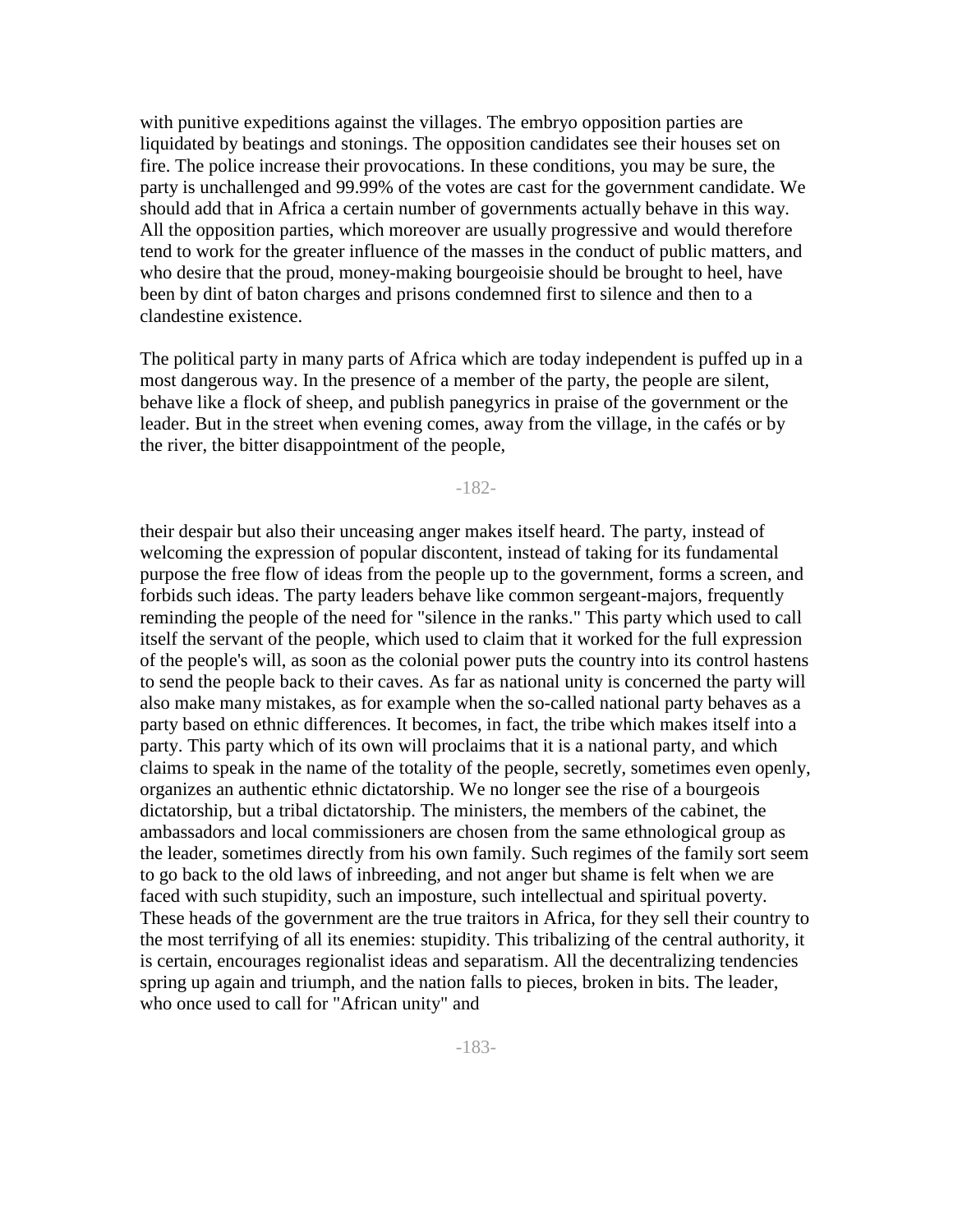with punitive expeditions against the villages. The embryo opposition parties are liquidated by beatings and stonings. The opposition candidates see their houses set on fire. The police increase their provocations. In these conditions, you may be sure, the party is unchallenged and 99.99% of the votes are cast for the government candidate. We should add that in Africa a certain number of governments actually behave in this way. All the opposition parties, which moreover are usually progressive and would therefore tend to work for the greater influence of the masses in the conduct of public matters, and who desire that the proud, money-making bourgeoisie should be brought to heel, have been by dint of baton charges and prisons condemned first to silence and then to a clandestine existence.

The political party in many parts of Africa which are today independent is puffed up in a most dangerous way. In the presence of a member of the party, the people are silent, behave like a flock of sheep, and publish panegyrics in praise of the government or the leader. But in the street when evening comes, away from the village, in the cafés or by the river, the bitter disappointment of the people,

#### -182-

their despair but also their unceasing anger makes itself heard. The party, instead of welcoming the expression of popular discontent, instead of taking for its fundamental purpose the free flow of ideas from the people up to the government, forms a screen, and forbids such ideas. The party leaders behave like common sergeant-majors, frequently reminding the people of the need for "silence in the ranks." This party which used to call itself the servant of the people, which used to claim that it worked for the full expression of the people's will, as soon as the colonial power puts the country into its control hastens to send the people back to their caves. As far as national unity is concerned the party will also make many mistakes, as for example when the so-called national party behaves as a party based on ethnic differences. It becomes, in fact, the tribe which makes itself into a party. This party which of its own will proclaims that it is a national party, and which claims to speak in the name of the totality of the people, secretly, sometimes even openly, organizes an authentic ethnic dictatorship. We no longer see the rise of a bourgeois dictatorship, but a tribal dictatorship. The ministers, the members of the cabinet, the ambassadors and local commissioners are chosen from the same ethnological group as the leader, sometimes directly from his own family. Such regimes of the family sort seem to go back to the old laws of inbreeding, and not anger but shame is felt when we are faced with such stupidity, such an imposture, such intellectual and spiritual poverty. These heads of the government are the true traitors in Africa, for they sell their country to the most terrifying of all its enemies: stupidity. This tribalizing of the central authority, it is certain, encourages regionalist ideas and separatism. All the decentralizing tendencies spring up again and triumph, and the nation falls to pieces, broken in bits. The leader, who once used to call for "African unity" and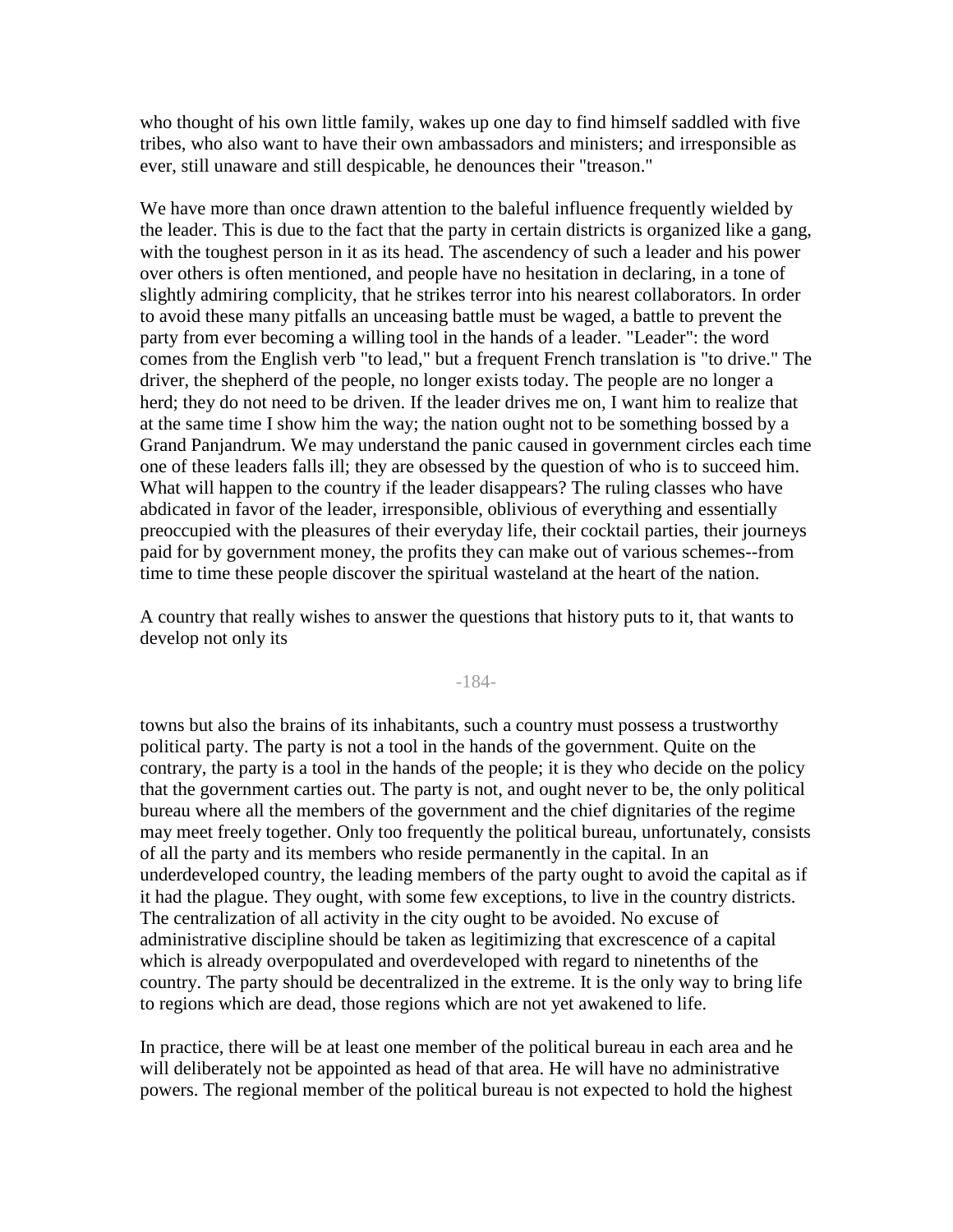who thought of his own little family, wakes up one day to find himself saddled with five tribes, who also want to have their own ambassadors and ministers; and irresponsible as ever, still unaware and still despicable, he denounces their "treason."

We have more than once drawn attention to the baleful influence frequently wielded by the leader. This is due to the fact that the party in certain districts is organized like a gang, with the toughest person in it as its head. The ascendency of such a leader and his power over others is often mentioned, and people have no hesitation in declaring, in a tone of slightly admiring complicity, that he strikes terror into his nearest collaborators. In order to avoid these many pitfalls an unceasing battle must be waged, a battle to prevent the party from ever becoming a willing tool in the hands of a leader. "Leader": the word comes from the English verb "to lead," but a frequent French translation is "to drive." The driver, the shepherd of the people, no longer exists today. The people are no longer a herd; they do not need to be driven. If the leader drives me on, I want him to realize that at the same time I show him the way; the nation ought not to be something bossed by a Grand Panjandrum. We may understand the panic caused in government circles each time one of these leaders falls ill; they are obsessed by the question of who is to succeed him. What will happen to the country if the leader disappears? The ruling classes who have abdicated in favor of the leader, irresponsible, oblivious of everything and essentially preoccupied with the pleasures of their everyday life, their cocktail parties, their journeys paid for by government money, the profits they can make out of various schemes--from time to time these people discover the spiritual wasteland at the heart of the nation.

A country that really wishes to answer the questions that history puts to it, that wants to develop not only its

-184-

towns but also the brains of its inhabitants, such a country must possess a trustworthy political party. The party is not a tool in the hands of the government. Quite on the contrary, the party is a tool in the hands of the people; it is they who decide on the policy that the government carties out. The party is not, and ought never to be, the only political bureau where all the members of the government and the chief dignitaries of the regime may meet freely together. Only too frequently the political bureau, unfortunately, consists of all the party and its members who reside permanently in the capital. In an underdeveloped country, the leading members of the party ought to avoid the capital as if it had the plague. They ought, with some few exceptions, to live in the country districts. The centralization of all activity in the city ought to be avoided. No excuse of administrative discipline should be taken as legitimizing that excrescence of a capital which is already overpopulated and overdeveloped with regard to ninetenths of the country. The party should be decentralized in the extreme. It is the only way to bring life to regions which are dead, those regions which are not yet awakened to life.

In practice, there will be at least one member of the political bureau in each area and he will deliberately not be appointed as head of that area. He will have no administrative powers. The regional member of the political bureau is not expected to hold the highest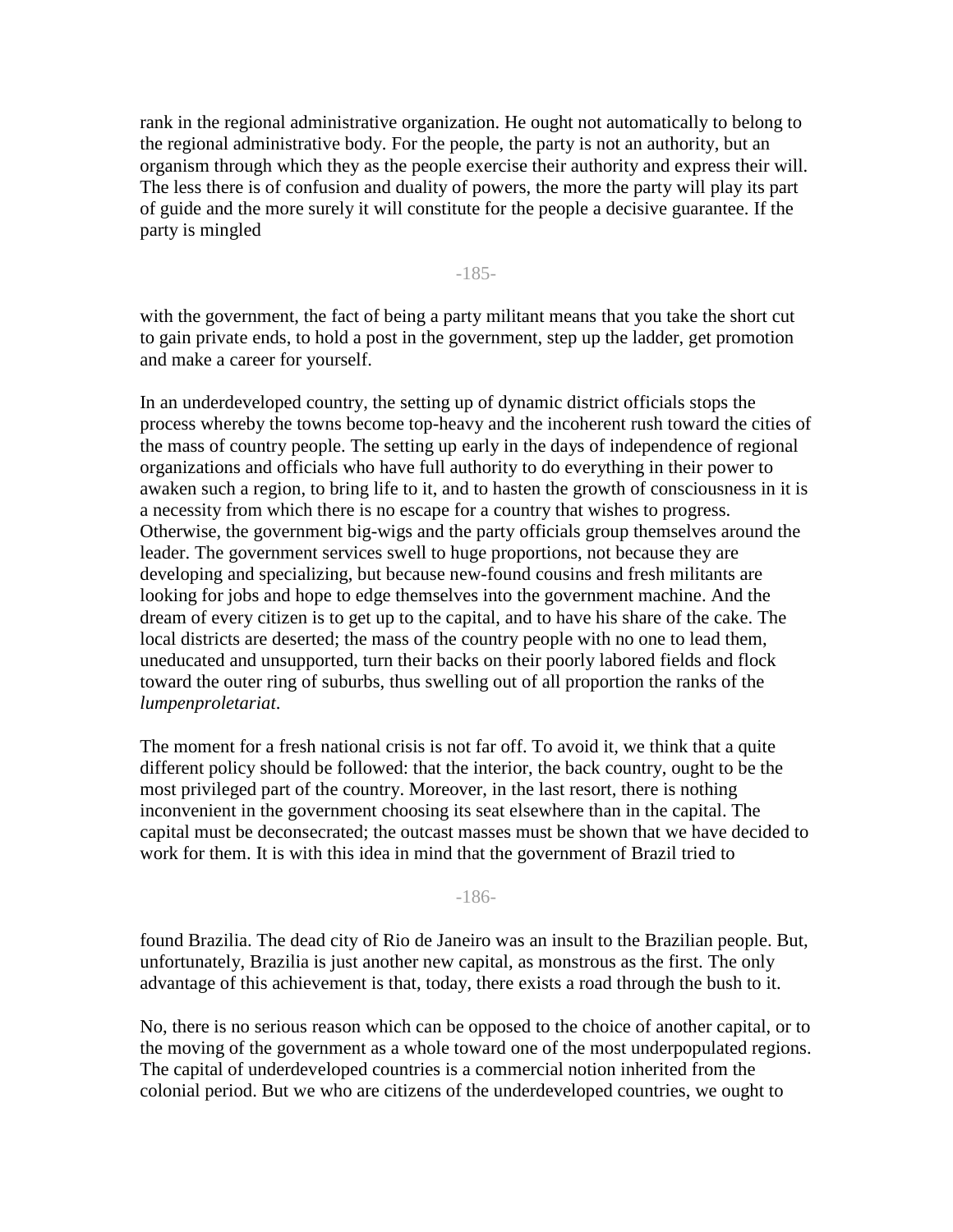rank in the regional administrative organization. He ought not automatically to belong to the regional administrative body. For the people, the party is not an authority, but an organism through which they as the people exercise their authority and express their will. The less there is of confusion and duality of powers, the more the party will play its part of guide and the more surely it will constitute for the people a decisive guarantee. If the party is mingled

-185-

with the government, the fact of being a party militant means that you take the short cut to gain private ends, to hold a post in the government, step up the ladder, get promotion and make a career for yourself.

In an underdeveloped country, the setting up of dynamic district officials stops the process whereby the towns become top-heavy and the incoherent rush toward the cities of the mass of country people. The setting up early in the days of independence of regional organizations and officials who have full authority to do everything in their power to awaken such a region, to bring life to it, and to hasten the growth of consciousness in it is a necessity from which there is no escape for a country that wishes to progress. Otherwise, the government big-wigs and the party officials group themselves around the leader. The government services swell to huge proportions, not because they are developing and specializing, but because new-found cousins and fresh militants are looking for jobs and hope to edge themselves into the government machine. And the dream of every citizen is to get up to the capital, and to have his share of the cake. The local districts are deserted; the mass of the country people with no one to lead them, uneducated and unsupported, turn their backs on their poorly labored fields and flock toward the outer ring of suburbs, thus swelling out of all proportion the ranks of the *lumpenproletariat*.

The moment for a fresh national crisis is not far off. To avoid it, we think that a quite different policy should be followed: that the interior, the back country, ought to be the most privileged part of the country. Moreover, in the last resort, there is nothing inconvenient in the government choosing its seat elsewhere than in the capital. The capital must be deconsecrated; the outcast masses must be shown that we have decided to work for them. It is with this idea in mind that the government of Brazil tried to

-186-

found Brazilia. The dead city of Rio de Janeiro was an insult to the Brazilian people. But, unfortunately, Brazilia is just another new capital, as monstrous as the first. The only advantage of this achievement is that, today, there exists a road through the bush to it.

No, there is no serious reason which can be opposed to the choice of another capital, or to the moving of the government as a whole toward one of the most underpopulated regions. The capital of underdeveloped countries is a commercial notion inherited from the colonial period. But we who are citizens of the underdeveloped countries, we ought to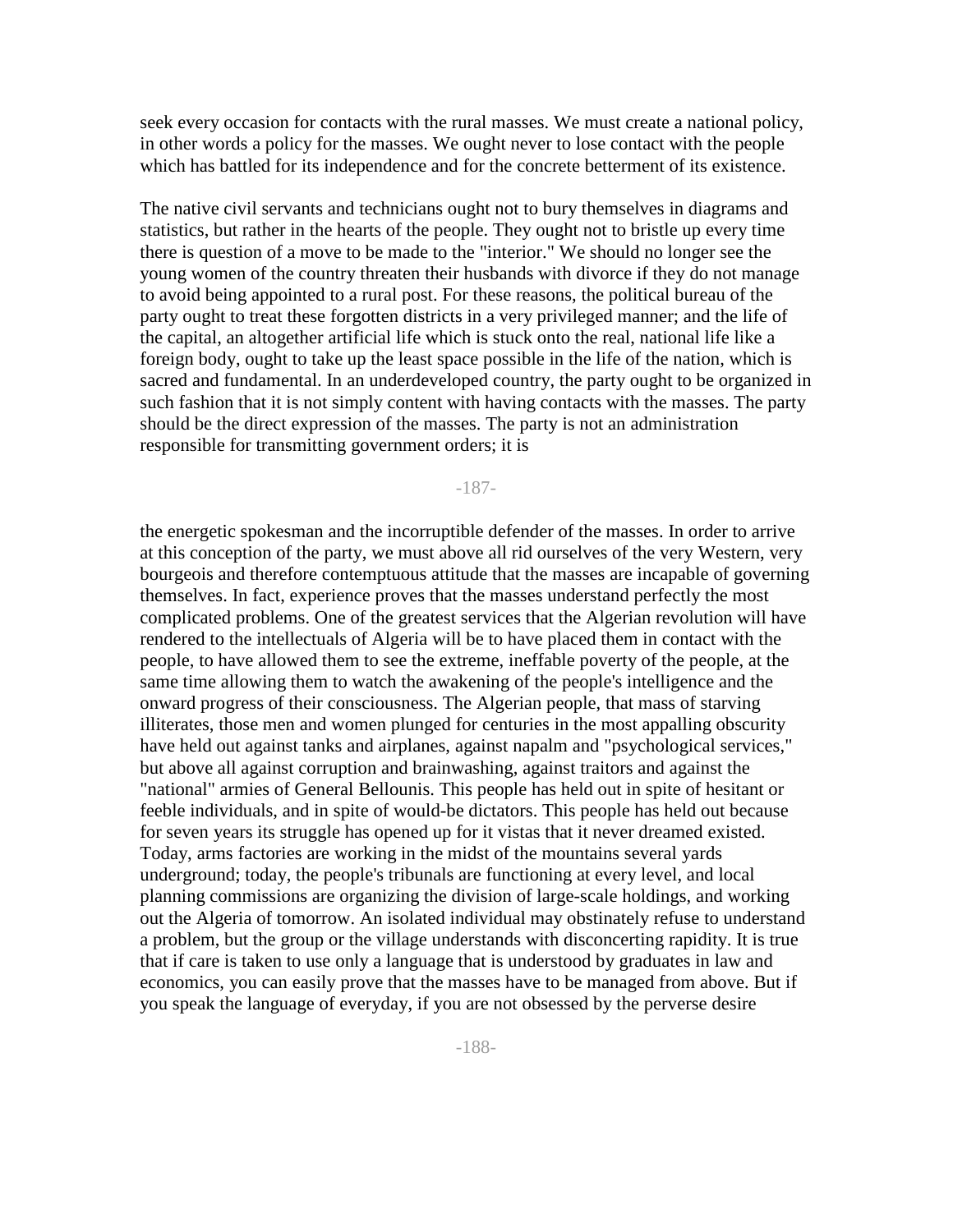seek every occasion for contacts with the rural masses. We must create a national policy, in other words a policy for the masses. We ought never to lose contact with the people which has battled for its independence and for the concrete betterment of its existence.

The native civil servants and technicians ought not to bury themselves in diagrams and statistics, but rather in the hearts of the people. They ought not to bristle up every time there is question of a move to be made to the "interior." We should no longer see the young women of the country threaten their husbands with divorce if they do not manage to avoid being appointed to a rural post. For these reasons, the political bureau of the party ought to treat these forgotten districts in a very privileged manner; and the life of the capital, an altogether artificial life which is stuck onto the real, national life like a foreign body, ought to take up the least space possible in the life of the nation, which is sacred and fundamental. In an underdeveloped country, the party ought to be organized in such fashion that it is not simply content with having contacts with the masses. The party should be the direct expression of the masses. The party is not an administration responsible for transmitting government orders; it is

#### -187-

the energetic spokesman and the incorruptible defender of the masses. In order to arrive at this conception of the party, we must above all rid ourselves of the very Western, very bourgeois and therefore contemptuous attitude that the masses are incapable of governing themselves. In fact, experience proves that the masses understand perfectly the most complicated problems. One of the greatest services that the Algerian revolution will have rendered to the intellectuals of Algeria will be to have placed them in contact with the people, to have allowed them to see the extreme, ineffable poverty of the people, at the same time allowing them to watch the awakening of the people's intelligence and the onward progress of their consciousness. The Algerian people, that mass of starving illiterates, those men and women plunged for centuries in the most appalling obscurity have held out against tanks and airplanes, against napalm and "psychological services," but above all against corruption and brainwashing, against traitors and against the "national" armies of General Bellounis. This people has held out in spite of hesitant or feeble individuals, and in spite of would-be dictators. This people has held out because for seven years its struggle has opened up for it vistas that it never dreamed existed. Today, arms factories are working in the midst of the mountains several yards underground; today, the people's tribunals are functioning at every level, and local planning commissions are organizing the division of large-scale holdings, and working out the Algeria of tomorrow. An isolated individual may obstinately refuse to understand a problem, but the group or the village understands with disconcerting rapidity. It is true that if care is taken to use only a language that is understood by graduates in law and economics, you can easily prove that the masses have to be managed from above. But if you speak the language of everyday, if you are not obsessed by the perverse desire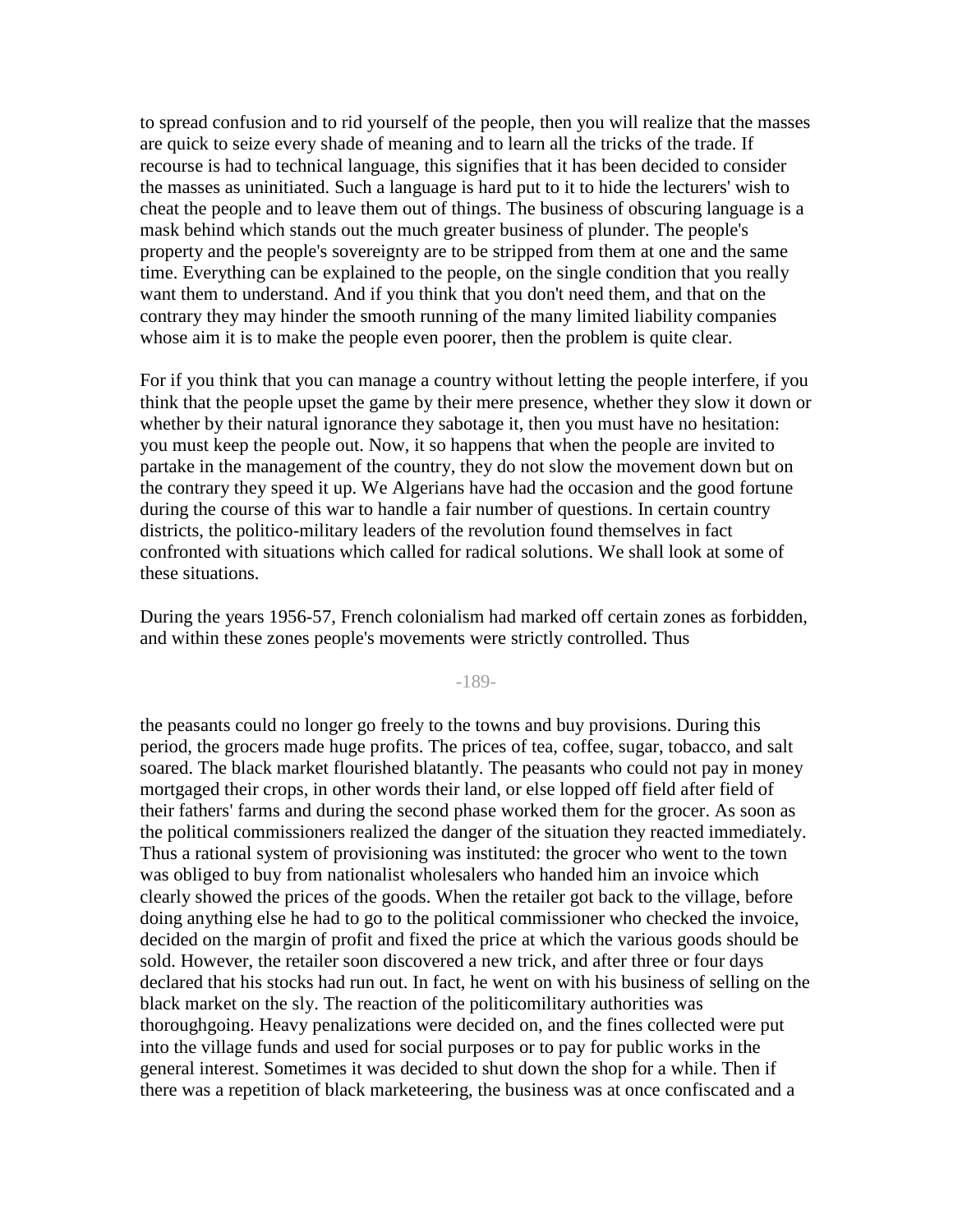to spread confusion and to rid yourself of the people, then you will realize that the masses are quick to seize every shade of meaning and to learn all the tricks of the trade. If recourse is had to technical language, this signifies that it has been decided to consider the masses as uninitiated. Such a language is hard put to it to hide the lecturers' wish to cheat the people and to leave them out of things. The business of obscuring language is a mask behind which stands out the much greater business of plunder. The people's property and the people's sovereignty are to be stripped from them at one and the same time. Everything can be explained to the people, on the single condition that you really want them to understand. And if you think that you don't need them, and that on the contrary they may hinder the smooth running of the many limited liability companies whose aim it is to make the people even poorer, then the problem is quite clear.

For if you think that you can manage a country without letting the people interfere, if you think that the people upset the game by their mere presence, whether they slow it down or whether by their natural ignorance they sabotage it, then you must have no hesitation: you must keep the people out. Now, it so happens that when the people are invited to partake in the management of the country, they do not slow the movement down but on the contrary they speed it up. We Algerians have had the occasion and the good fortune during the course of this war to handle a fair number of questions. In certain country districts, the politico-military leaders of the revolution found themselves in fact confronted with situations which called for radical solutions. We shall look at some of these situations.

During the years 1956-57, French colonialism had marked off certain zones as forbidden, and within these zones people's movements were strictly controlled. Thus

-189-

the peasants could no longer go freely to the towns and buy provisions. During this period, the grocers made huge profits. The prices of tea, coffee, sugar, tobacco, and salt soared. The black market flourished blatantly. The peasants who could not pay in money mortgaged their crops, in other words their land, or else lopped off field after field of their fathers' farms and during the second phase worked them for the grocer. As soon as the political commissioners realized the danger of the situation they reacted immediately. Thus a rational system of provisioning was instituted: the grocer who went to the town was obliged to buy from nationalist wholesalers who handed him an invoice which clearly showed the prices of the goods. When the retailer got back to the village, before doing anything else he had to go to the political commissioner who checked the invoice, decided on the margin of profit and fixed the price at which the various goods should be sold. However, the retailer soon discovered a new trick, and after three or four days declared that his stocks had run out. In fact, he went on with his business of selling on the black market on the sly. The reaction of the politicomilitary authorities was thoroughgoing. Heavy penalizations were decided on, and the fines collected were put into the village funds and used for social purposes or to pay for public works in the general interest. Sometimes it was decided to shut down the shop for a while. Then if there was a repetition of black marketeering, the business was at once confiscated and a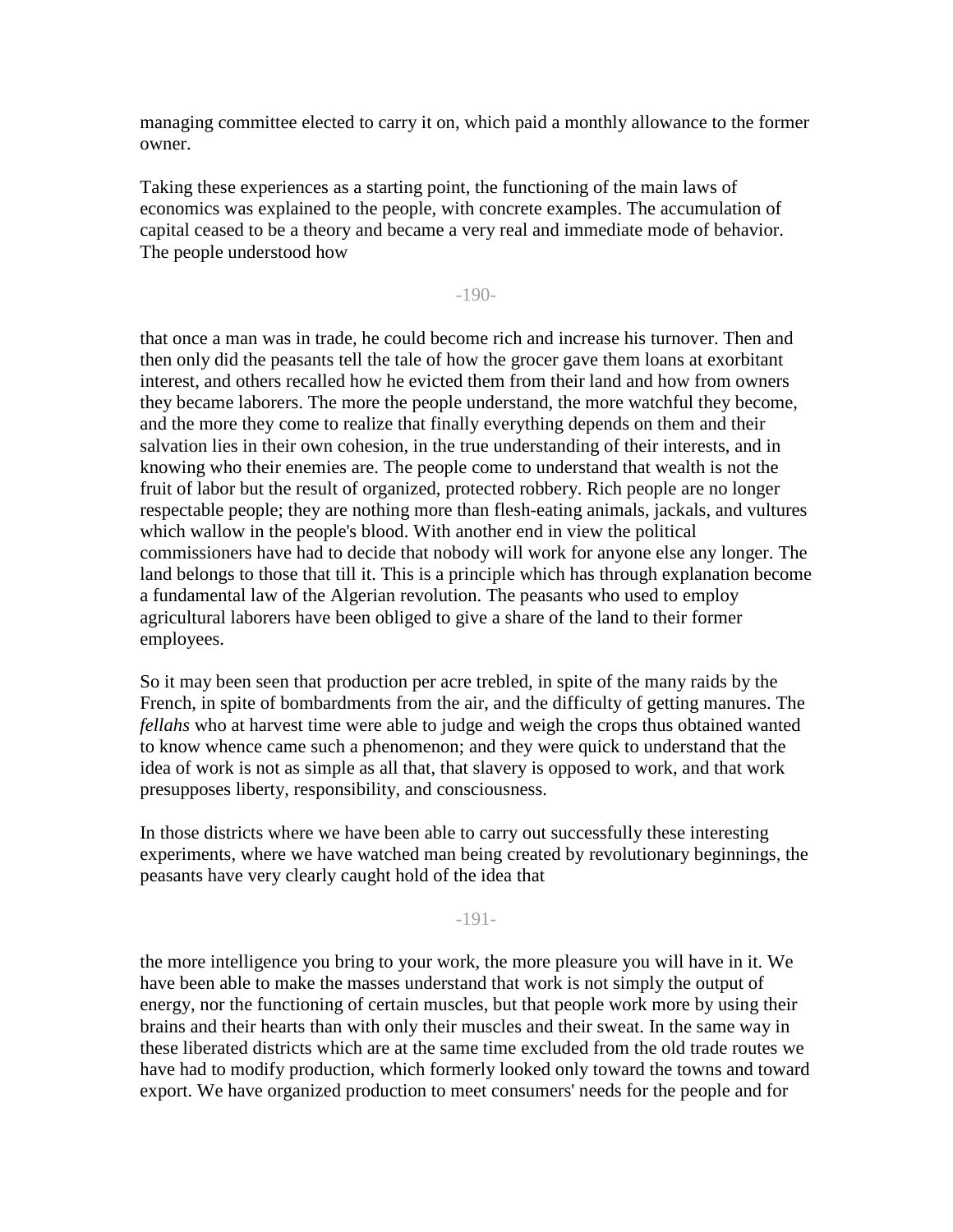managing committee elected to carry it on, which paid a monthly allowance to the former owner.

Taking these experiences as a starting point, the functioning of the main laws of economics was explained to the people, with concrete examples. The accumulation of capital ceased to be a theory and became a very real and immediate mode of behavior. The people understood how

-190-

that once a man was in trade, he could become rich and increase his turnover. Then and then only did the peasants tell the tale of how the grocer gave them loans at exorbitant interest, and others recalled how he evicted them from their land and how from owners they became laborers. The more the people understand, the more watchful they become, and the more they come to realize that finally everything depends on them and their salvation lies in their own cohesion, in the true understanding of their interests, and in knowing who their enemies are. The people come to understand that wealth is not the fruit of labor but the result of organized, protected robbery. Rich people are no longer respectable people; they are nothing more than flesh-eating animals, jackals, and vultures which wallow in the people's blood. With another end in view the political commissioners have had to decide that nobody will work for anyone else any longer. The land belongs to those that till it. This is a principle which has through explanation become a fundamental law of the Algerian revolution. The peasants who used to employ agricultural laborers have been obliged to give a share of the land to their former employees.

So it may been seen that production per acre trebled, in spite of the many raids by the French, in spite of bombardments from the air, and the difficulty of getting manures. The *fellahs* who at harvest time were able to judge and weigh the crops thus obtained wanted to know whence came such a phenomenon; and they were quick to understand that the idea of work is not as simple as all that, that slavery is opposed to work, and that work presupposes liberty, responsibility, and consciousness.

In those districts where we have been able to carry out successfully these interesting experiments, where we have watched man being created by revolutionary beginnings, the peasants have very clearly caught hold of the idea that

-191-

the more intelligence you bring to your work, the more pleasure you will have in it. We have been able to make the masses understand that work is not simply the output of energy, nor the functioning of certain muscles, but that people work more by using their brains and their hearts than with only their muscles and their sweat. In the same way in these liberated districts which are at the same time excluded from the old trade routes we have had to modify production, which formerly looked only toward the towns and toward export. We have organized production to meet consumers' needs for the people and for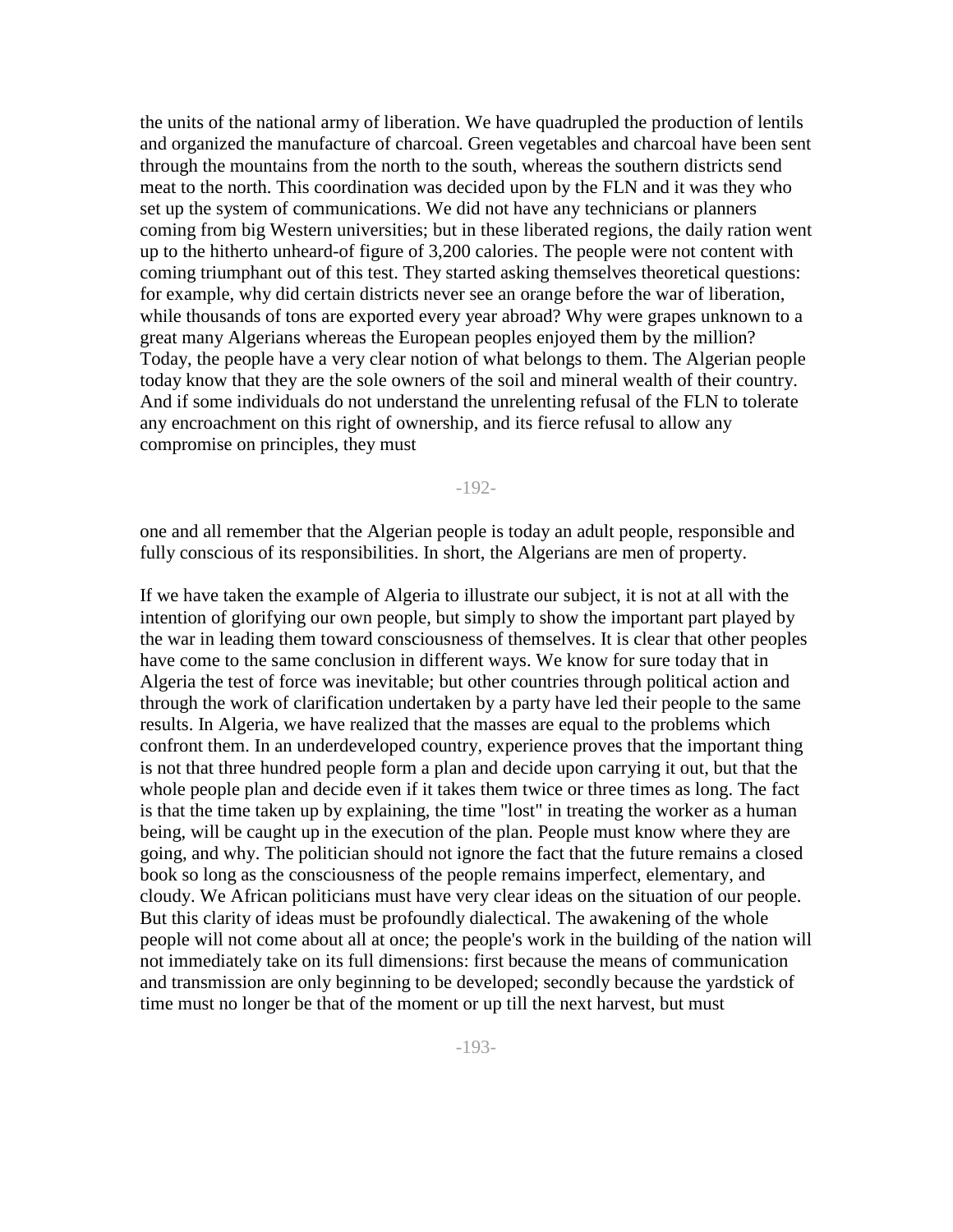the units of the national army of liberation. We have quadrupled the production of lentils and organized the manufacture of charcoal. Green vegetables and charcoal have been sent through the mountains from the north to the south, whereas the southern districts send meat to the north. This coordination was decided upon by the FLN and it was they who set up the system of communications. We did not have any technicians or planners coming from big Western universities; but in these liberated regions, the daily ration went up to the hitherto unheard-of figure of 3,200 calories. The people were not content with coming triumphant out of this test. They started asking themselves theoretical questions: for example, why did certain districts never see an orange before the war of liberation, while thousands of tons are exported every year abroad? Why were grapes unknown to a great many Algerians whereas the European peoples enjoyed them by the million? Today, the people have a very clear notion of what belongs to them. The Algerian people today know that they are the sole owners of the soil and mineral wealth of their country. And if some individuals do not understand the unrelenting refusal of the FLN to tolerate any encroachment on this right of ownership, and its fierce refusal to allow any compromise on principles, they must

-192-

one and all remember that the Algerian people is today an adult people, responsible and fully conscious of its responsibilities. In short, the Algerians are men of property.

If we have taken the example of Algeria to illustrate our subject, it is not at all with the intention of glorifying our own people, but simply to show the important part played by the war in leading them toward consciousness of themselves. It is clear that other peoples have come to the same conclusion in different ways. We know for sure today that in Algeria the test of force was inevitable; but other countries through political action and through the work of clarification undertaken by a party have led their people to the same results. In Algeria, we have realized that the masses are equal to the problems which confront them. In an underdeveloped country, experience proves that the important thing is not that three hundred people form a plan and decide upon carrying it out, but that the whole people plan and decide even if it takes them twice or three times as long. The fact is that the time taken up by explaining, the time "lost" in treating the worker as a human being, will be caught up in the execution of the plan. People must know where they are going, and why. The politician should not ignore the fact that the future remains a closed book so long as the consciousness of the people remains imperfect, elementary, and cloudy. We African politicians must have very clear ideas on the situation of our people. But this clarity of ideas must be profoundly dialectical. The awakening of the whole people will not come about all at once; the people's work in the building of the nation will not immediately take on its full dimensions: first because the means of communication and transmission are only beginning to be developed; secondly because the yardstick of time must no longer be that of the moment or up till the next harvest, but must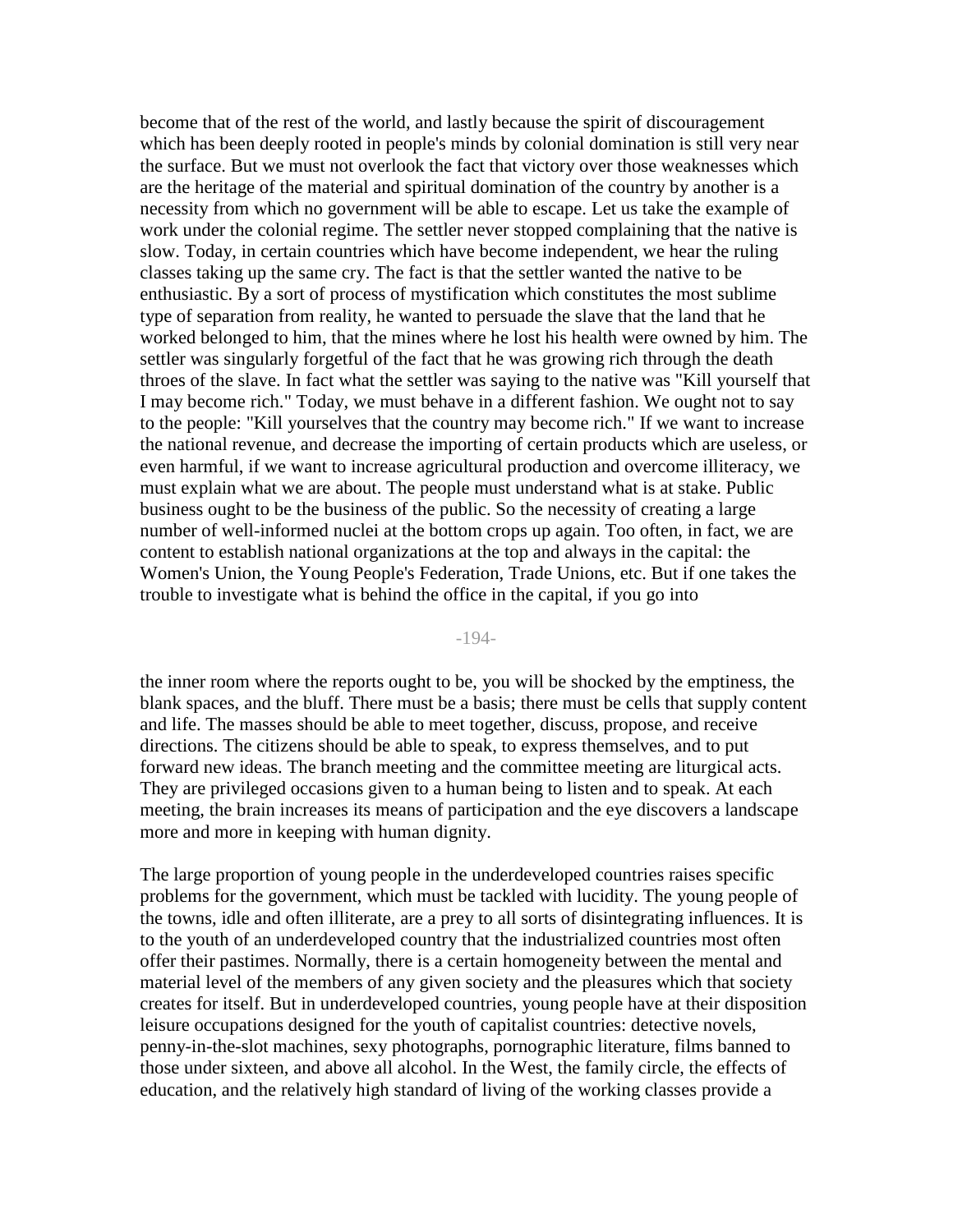become that of the rest of the world, and lastly because the spirit of discouragement which has been deeply rooted in people's minds by colonial domination is still very near the surface. But we must not overlook the fact that victory over those weaknesses which are the heritage of the material and spiritual domination of the country by another is a necessity from which no government will be able to escape. Let us take the example of work under the colonial regime. The settler never stopped complaining that the native is slow. Today, in certain countries which have become independent, we hear the ruling classes taking up the same cry. The fact is that the settler wanted the native to be enthusiastic. By a sort of process of mystification which constitutes the most sublime type of separation from reality, he wanted to persuade the slave that the land that he worked belonged to him, that the mines where he lost his health were owned by him. The settler was singularly forgetful of the fact that he was growing rich through the death throes of the slave. In fact what the settler was saying to the native was "Kill yourself that I may become rich." Today, we must behave in a different fashion. We ought not to say to the people: "Kill yourselves that the country may become rich." If we want to increase the national revenue, and decrease the importing of certain products which are useless, or even harmful, if we want to increase agricultural production and overcome illiteracy, we must explain what we are about. The people must understand what is at stake. Public business ought to be the business of the public. So the necessity of creating a large number of well-informed nuclei at the bottom crops up again. Too often, in fact, we are content to establish national organizations at the top and always in the capital: the Women's Union, the Young People's Federation, Trade Unions, etc. But if one takes the trouble to investigate what is behind the office in the capital, if you go into

-194-

the inner room where the reports ought to be, you will be shocked by the emptiness, the blank spaces, and the bluff. There must be a basis; there must be cells that supply content and life. The masses should be able to meet together, discuss, propose, and receive directions. The citizens should be able to speak, to express themselves, and to put forward new ideas. The branch meeting and the committee meeting are liturgical acts. They are privileged occasions given to a human being to listen and to speak. At each meeting, the brain increases its means of participation and the eye discovers a landscape more and more in keeping with human dignity.

The large proportion of young people in the underdeveloped countries raises specific problems for the government, which must be tackled with lucidity. The young people of the towns, idle and often illiterate, are a prey to all sorts of disintegrating influences. It is to the youth of an underdeveloped country that the industrialized countries most often offer their pastimes. Normally, there is a certain homogeneity between the mental and material level of the members of any given society and the pleasures which that society creates for itself. But in underdeveloped countries, young people have at their disposition leisure occupations designed for the youth of capitalist countries: detective novels, penny-in-the-slot machines, sexy photographs, pornographic literature, films banned to those under sixteen, and above all alcohol. In the West, the family circle, the effects of education, and the relatively high standard of living of the working classes provide a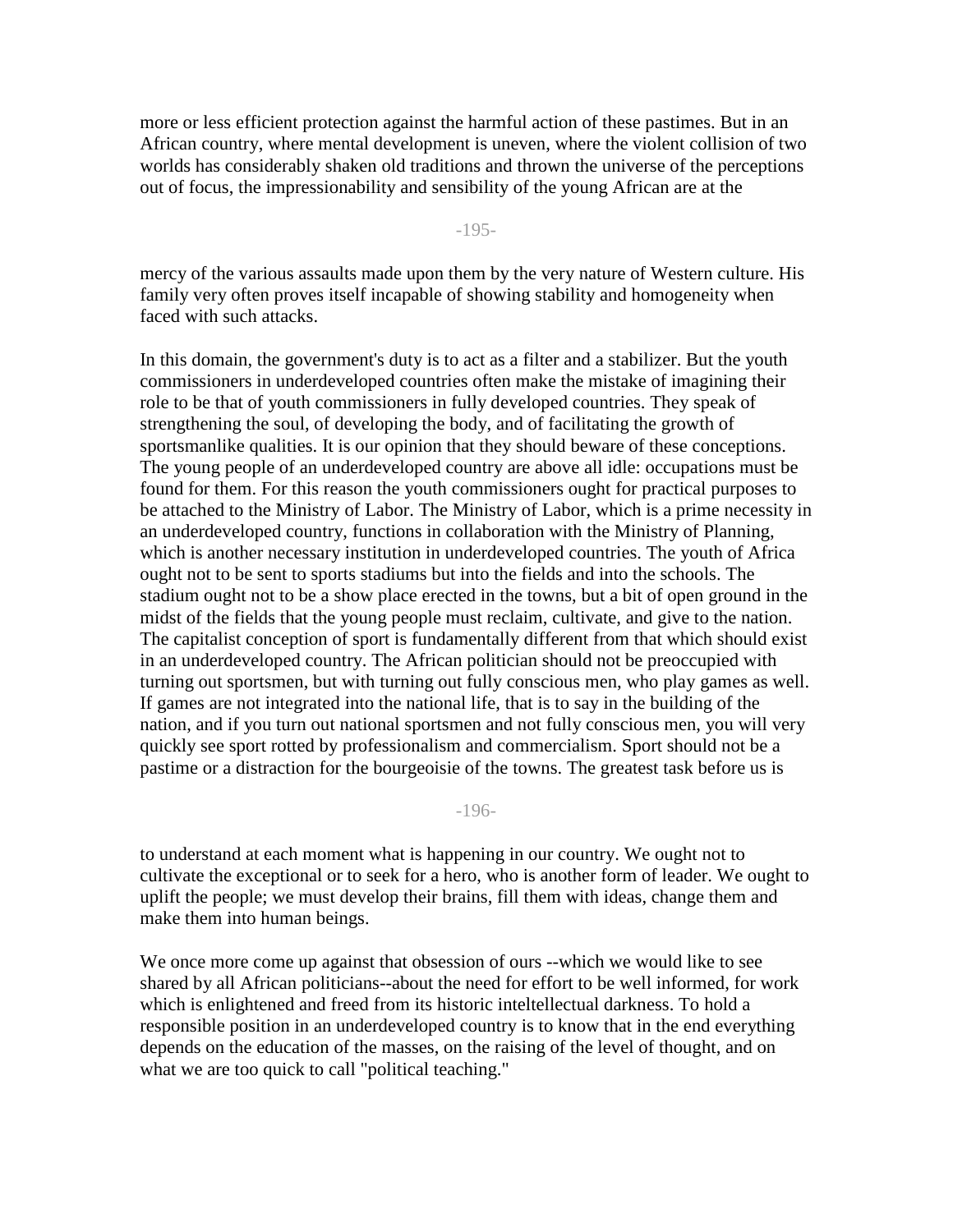more or less efficient protection against the harmful action of these pastimes. But in an African country, where mental development is uneven, where the violent collision of two worlds has considerably shaken old traditions and thrown the universe of the perceptions out of focus, the impressionability and sensibility of the young African are at the

#### -195-

mercy of the various assaults made upon them by the very nature of Western culture. His family very often proves itself incapable of showing stability and homogeneity when faced with such attacks.

In this domain, the government's duty is to act as a filter and a stabilizer. But the youth commissioners in underdeveloped countries often make the mistake of imagining their role to be that of youth commissioners in fully developed countries. They speak of strengthening the soul, of developing the body, and of facilitating the growth of sportsmanlike qualities. It is our opinion that they should beware of these conceptions. The young people of an underdeveloped country are above all idle: occupations must be found for them. For this reason the youth commissioners ought for practical purposes to be attached to the Ministry of Labor. The Ministry of Labor, which is a prime necessity in an underdeveloped country, functions in collaboration with the Ministry of Planning, which is another necessary institution in underdeveloped countries. The youth of Africa ought not to be sent to sports stadiums but into the fields and into the schools. The stadium ought not to be a show place erected in the towns, but a bit of open ground in the midst of the fields that the young people must reclaim, cultivate, and give to the nation. The capitalist conception of sport is fundamentally different from that which should exist in an underdeveloped country. The African politician should not be preoccupied with turning out sportsmen, but with turning out fully conscious men, who play games as well. If games are not integrated into the national life, that is to say in the building of the nation, and if you turn out national sportsmen and not fully conscious men, you will very quickly see sport rotted by professionalism and commercialism. Sport should not be a pastime or a distraction for the bourgeoisie of the towns. The greatest task before us is

-196-

to understand at each moment what is happening in our country. We ought not to cultivate the exceptional or to seek for a hero, who is another form of leader. We ought to uplift the people; we must develop their brains, fill them with ideas, change them and make them into human beings.

We once more come up against that obsession of ours --which we would like to see shared by all African politicians--about the need for effort to be well informed, for work which is enlightened and freed from its historic inteltellectual darkness. To hold a responsible position in an underdeveloped country is to know that in the end everything depends on the education of the masses, on the raising of the level of thought, and on what we are too quick to call "political teaching."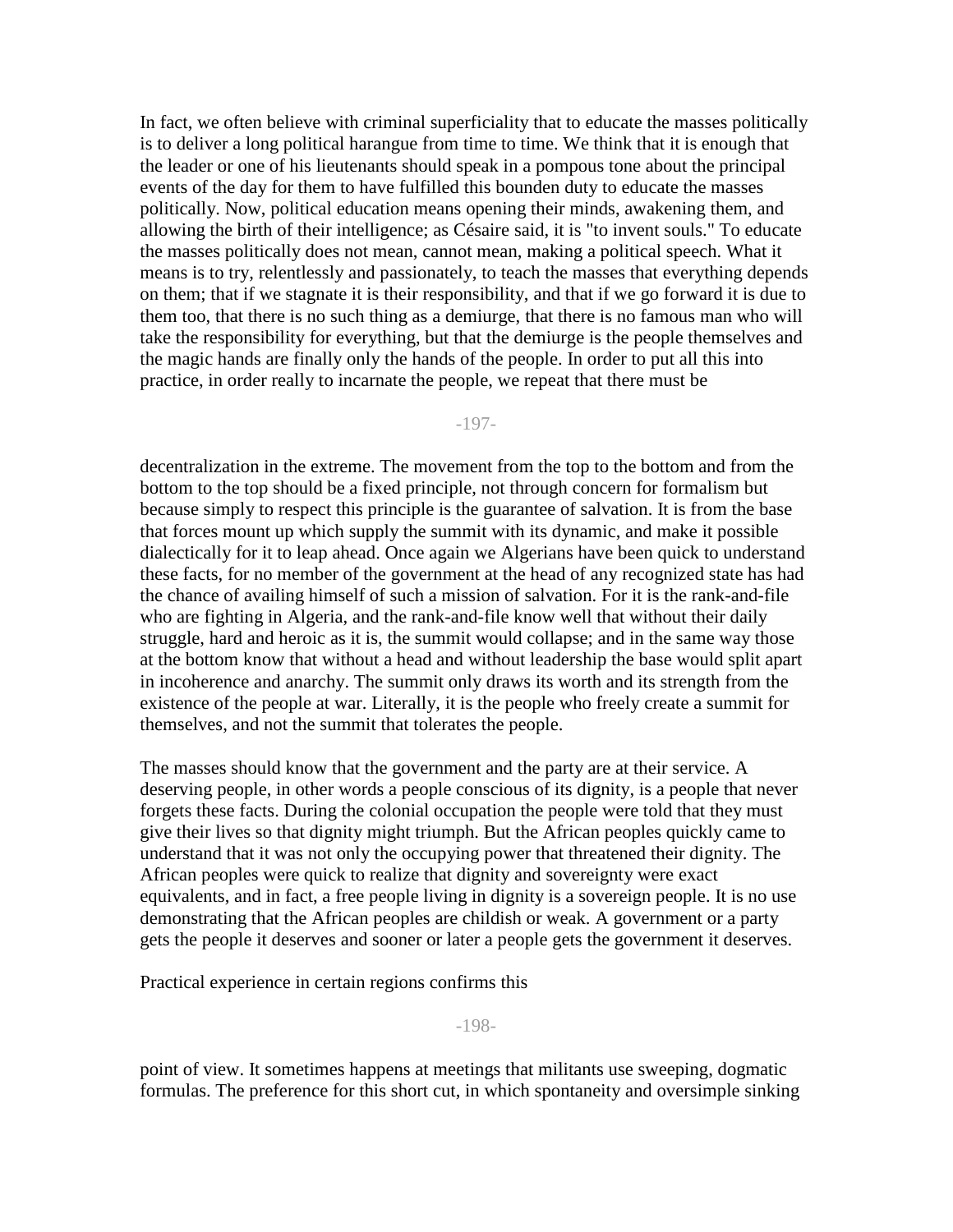In fact, we often believe with criminal superficiality that to educate the masses politically is to deliver a long political harangue from time to time. We think that it is enough that the leader or one of his lieutenants should speak in a pompous tone about the principal events of the day for them to have fulfilled this bounden duty to educate the masses politically. Now, political education means opening their minds, awakening them, and allowing the birth of their intelligence; as Césaire said, it is "to invent souls." To educate the masses politically does not mean, cannot mean, making a political speech. What it means is to try, relentlessly and passionately, to teach the masses that everything depends on them; that if we stagnate it is their responsibility, and that if we go forward it is due to them too, that there is no such thing as a demiurge, that there is no famous man who will take the responsibility for everything, but that the demiurge is the people themselves and the magic hands are finally only the hands of the people. In order to put all this into practice, in order really to incarnate the people, we repeat that there must be

#### -197-

decentralization in the extreme. The movement from the top to the bottom and from the bottom to the top should be a fixed principle, not through concern for formalism but because simply to respect this principle is the guarantee of salvation. It is from the base that forces mount up which supply the summit with its dynamic, and make it possible dialectically for it to leap ahead. Once again we Algerians have been quick to understand these facts, for no member of the government at the head of any recognized state has had the chance of availing himself of such a mission of salvation. For it is the rank-and-file who are fighting in Algeria, and the rank-and-file know well that without their daily struggle, hard and heroic as it is, the summit would collapse; and in the same way those at the bottom know that without a head and without leadership the base would split apart in incoherence and anarchy. The summit only draws its worth and its strength from the existence of the people at war. Literally, it is the people who freely create a summit for themselves, and not the summit that tolerates the people.

The masses should know that the government and the party are at their service. A deserving people, in other words a people conscious of its dignity, is a people that never forgets these facts. During the colonial occupation the people were told that they must give their lives so that dignity might triumph. But the African peoples quickly came to understand that it was not only the occupying power that threatened their dignity. The African peoples were quick to realize that dignity and sovereignty were exact equivalents, and in fact, a free people living in dignity is a sovereign people. It is no use demonstrating that the African peoples are childish or weak. A government or a party gets the people it deserves and sooner or later a people gets the government it deserves.

Practical experience in certain regions confirms this

-198-

point of view. It sometimes happens at meetings that militants use sweeping, dogmatic formulas. The preference for this short cut, in which spontaneity and oversimple sinking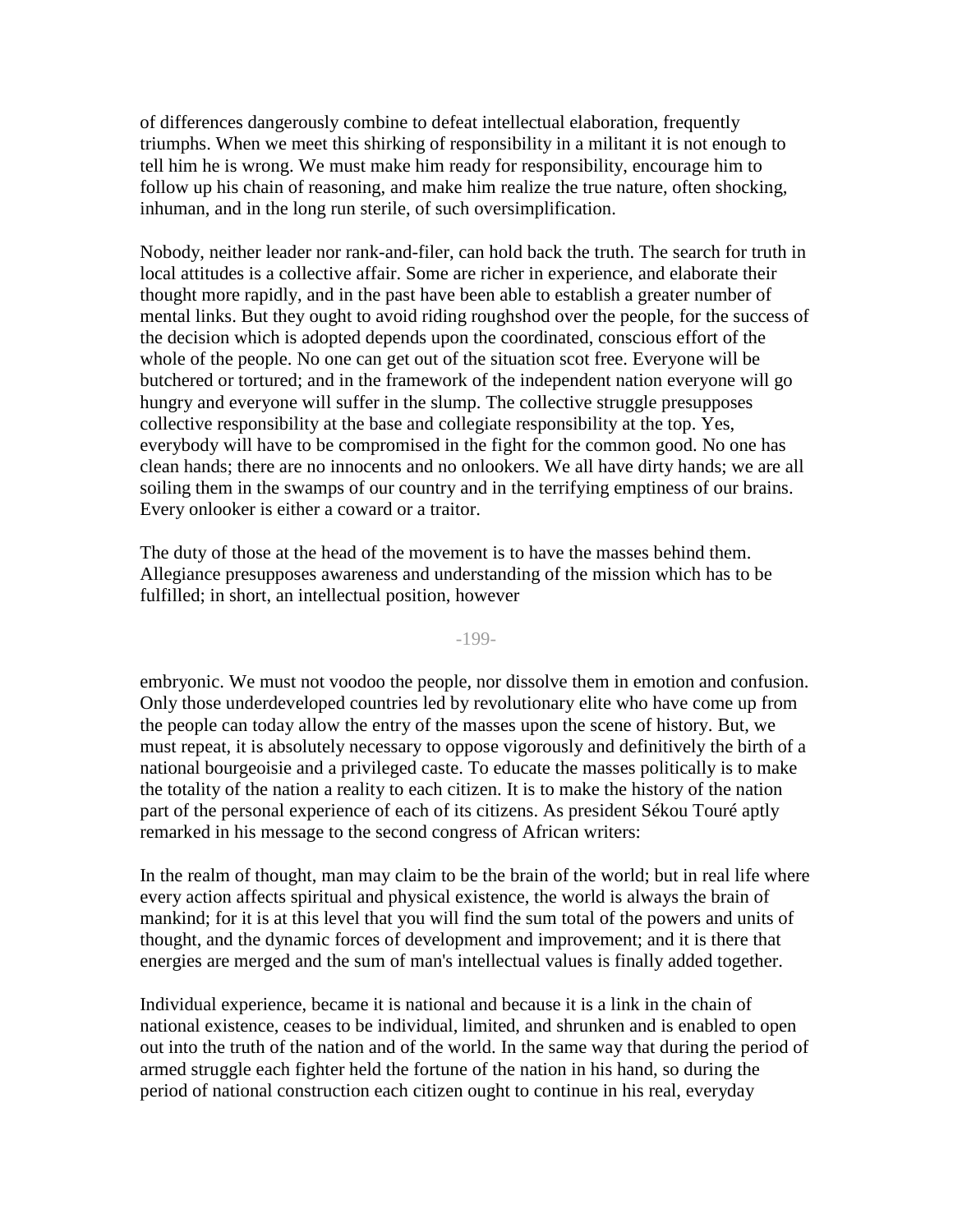of differences dangerously combine to defeat intellectual elaboration, frequently triumphs. When we meet this shirking of responsibility in a militant it is not enough to tell him he is wrong. We must make him ready for responsibility, encourage him to follow up his chain of reasoning, and make him realize the true nature, often shocking, inhuman, and in the long run sterile, of such oversimplification.

Nobody, neither leader nor rank-and-filer, can hold back the truth. The search for truth in local attitudes is a collective affair. Some are richer in experience, and elaborate their thought more rapidly, and in the past have been able to establish a greater number of mental links. But they ought to avoid riding roughshod over the people, for the success of the decision which is adopted depends upon the coordinated, conscious effort of the whole of the people. No one can get out of the situation scot free. Everyone will be butchered or tortured; and in the framework of the independent nation everyone will go hungry and everyone will suffer in the slump. The collective struggle presupposes collective responsibility at the base and collegiate responsibility at the top. Yes, everybody will have to be compromised in the fight for the common good. No one has clean hands; there are no innocents and no onlookers. We all have dirty hands; we are all soiling them in the swamps of our country and in the terrifying emptiness of our brains. Every onlooker is either a coward or a traitor.

The duty of those at the head of the movement is to have the masses behind them. Allegiance presupposes awareness and understanding of the mission which has to be fulfilled; in short, an intellectual position, however

-199-

embryonic. We must not voodoo the people, nor dissolve them in emotion and confusion. Only those underdeveloped countries led by revolutionary elite who have come up from the people can today allow the entry of the masses upon the scene of history. But, we must repeat, it is absolutely necessary to oppose vigorously and definitively the birth of a national bourgeoisie and a privileged caste. To educate the masses politically is to make the totality of the nation a reality to each citizen. It is to make the history of the nation part of the personal experience of each of its citizens. As president Sékou Touré aptly remarked in his message to the second congress of African writers:

In the realm of thought, man may claim to be the brain of the world; but in real life where every action affects spiritual and physical existence, the world is always the brain of mankind; for it is at this level that you will find the sum total of the powers and units of thought, and the dynamic forces of development and improvement; and it is there that energies are merged and the sum of man's intellectual values is finally added together.

Individual experience, became it is national and because it is a link in the chain of national existence, ceases to be individual, limited, and shrunken and is enabled to open out into the truth of the nation and of the world. In the same way that during the period of armed struggle each fighter held the fortune of the nation in his hand, so during the period of national construction each citizen ought to continue in his real, everyday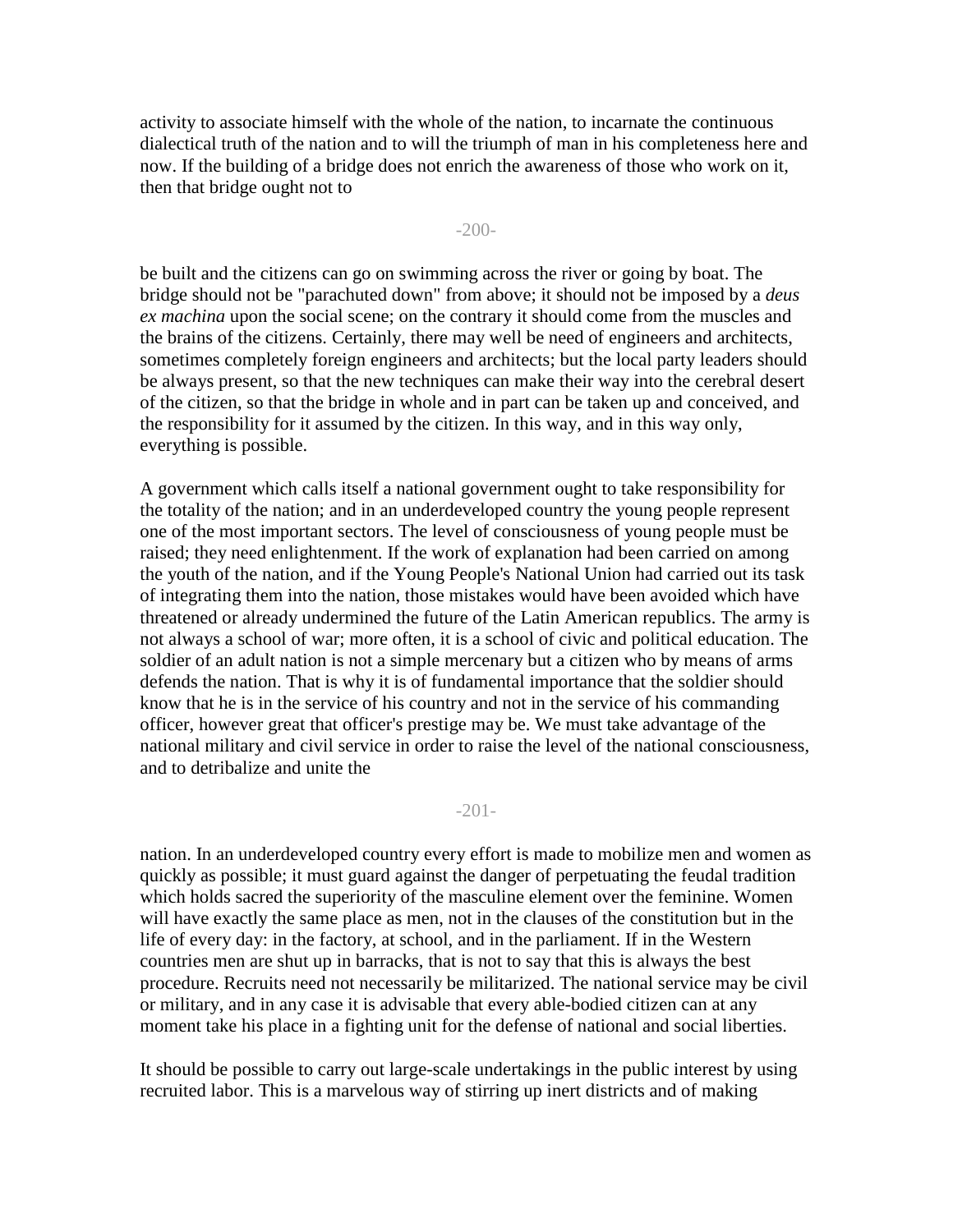activity to associate himself with the whole of the nation, to incarnate the continuous dialectical truth of the nation and to will the triumph of man in his completeness here and now. If the building of a bridge does not enrich the awareness of those who work on it, then that bridge ought not to

-200-

be built and the citizens can go on swimming across the river or going by boat. The bridge should not be "parachuted down" from above; it should not be imposed by a *deus ex machina* upon the social scene; on the contrary it should come from the muscles and the brains of the citizens. Certainly, there may well be need of engineers and architects, sometimes completely foreign engineers and architects; but the local party leaders should be always present, so that the new techniques can make their way into the cerebral desert of the citizen, so that the bridge in whole and in part can be taken up and conceived, and the responsibility for it assumed by the citizen. In this way, and in this way only, everything is possible.

A government which calls itself a national government ought to take responsibility for the totality of the nation; and in an underdeveloped country the young people represent one of the most important sectors. The level of consciousness of young people must be raised; they need enlightenment. If the work of explanation had been carried on among the youth of the nation, and if the Young People's National Union had carried out its task of integrating them into the nation, those mistakes would have been avoided which have threatened or already undermined the future of the Latin American republics. The army is not always a school of war; more often, it is a school of civic and political education. The soldier of an adult nation is not a simple mercenary but a citizen who by means of arms defends the nation. That is why it is of fundamental importance that the soldier should know that he is in the service of his country and not in the service of his commanding officer, however great that officer's prestige may be. We must take advantage of the national military and civil service in order to raise the level of the national consciousness, and to detribalize and unite the

 $-201-$ 

nation. In an underdeveloped country every effort is made to mobilize men and women as quickly as possible; it must guard against the danger of perpetuating the feudal tradition which holds sacred the superiority of the masculine element over the feminine. Women will have exactly the same place as men, not in the clauses of the constitution but in the life of every day: in the factory, at school, and in the parliament. If in the Western countries men are shut up in barracks, that is not to say that this is always the best procedure. Recruits need not necessarily be militarized. The national service may be civil or military, and in any case it is advisable that every able-bodied citizen can at any moment take his place in a fighting unit for the defense of national and social liberties.

It should be possible to carry out large-scale undertakings in the public interest by using recruited labor. This is a marvelous way of stirring up inert districts and of making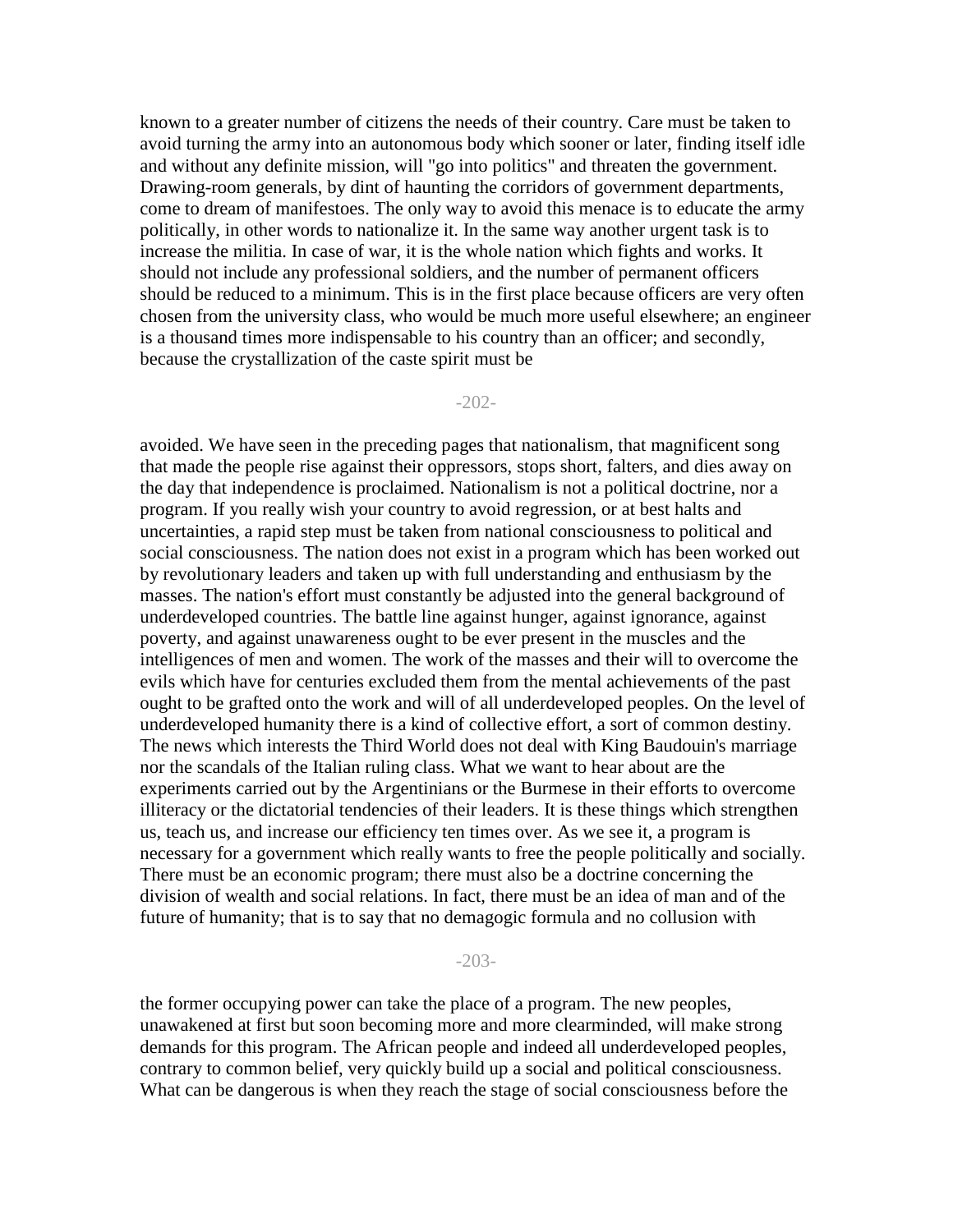known to a greater number of citizens the needs of their country. Care must be taken to avoid turning the army into an autonomous body which sooner or later, finding itself idle and without any definite mission, will "go into politics" and threaten the government. Drawing-room generals, by dint of haunting the corridors of government departments, come to dream of manifestoes. The only way to avoid this menace is to educate the army politically, in other words to nationalize it. In the same way another urgent task is to increase the militia. In case of war, it is the whole nation which fights and works. It should not include any professional soldiers, and the number of permanent officers should be reduced to a minimum. This is in the first place because officers are very often chosen from the university class, who would be much more useful elsewhere; an engineer is a thousand times more indispensable to his country than an officer; and secondly, because the crystallization of the caste spirit must be

### -202-

avoided. We have seen in the preceding pages that nationalism, that magnificent song that made the people rise against their oppressors, stops short, falters, and dies away on the day that independence is proclaimed. Nationalism is not a political doctrine, nor a program. If you really wish your country to avoid regression, or at best halts and uncertainties, a rapid step must be taken from national consciousness to political and social consciousness. The nation does not exist in a program which has been worked out by revolutionary leaders and taken up with full understanding and enthusiasm by the masses. The nation's effort must constantly be adjusted into the general background of underdeveloped countries. The battle line against hunger, against ignorance, against poverty, and against unawareness ought to be ever present in the muscles and the intelligences of men and women. The work of the masses and their will to overcome the evils which have for centuries excluded them from the mental achievements of the past ought to be grafted onto the work and will of all underdeveloped peoples. On the level of underdeveloped humanity there is a kind of collective effort, a sort of common destiny. The news which interests the Third World does not deal with King Baudouin's marriage nor the scandals of the Italian ruling class. What we want to hear about are the experiments carried out by the Argentinians or the Burmese in their efforts to overcome illiteracy or the dictatorial tendencies of their leaders. It is these things which strengthen us, teach us, and increase our efficiency ten times over. As we see it, a program is necessary for a government which really wants to free the people politically and socially. There must be an economic program; there must also be a doctrine concerning the division of wealth and social relations. In fact, there must be an idea of man and of the future of humanity; that is to say that no demagogic formula and no collusion with

-203-

the former occupying power can take the place of a program. The new peoples, unawakened at first but soon becoming more and more clearminded, will make strong demands for this program. The African people and indeed all underdeveloped peoples, contrary to common belief, very quickly build up a social and political consciousness. What can be dangerous is when they reach the stage of social consciousness before the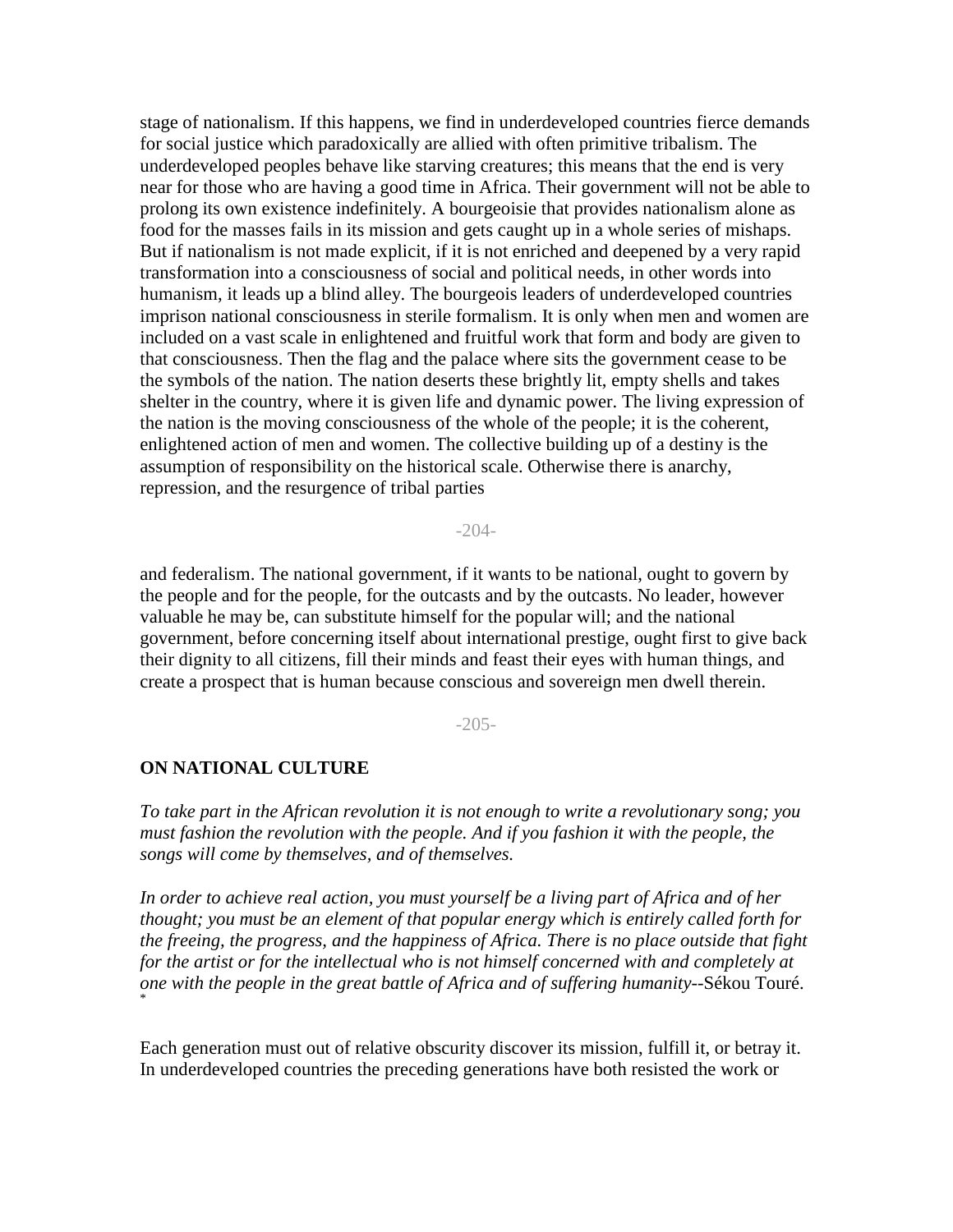stage of nationalism. If this happens, we find in underdeveloped countries fierce demands for social justice which paradoxically are allied with often primitive tribalism. The underdeveloped peoples behave like starving creatures; this means that the end is very near for those who are having a good time in Africa. Their government will not be able to prolong its own existence indefinitely. A bourgeoisie that provides nationalism alone as food for the masses fails in its mission and gets caught up in a whole series of mishaps. But if nationalism is not made explicit, if it is not enriched and deepened by a very rapid transformation into a consciousness of social and political needs, in other words into humanism, it leads up a blind alley. The bourgeois leaders of underdeveloped countries imprison national consciousness in sterile formalism. It is only when men and women are included on a vast scale in enlightened and fruitful work that form and body are given to that consciousness. Then the flag and the palace where sits the government cease to be the symbols of the nation. The nation deserts these brightly lit, empty shells and takes shelter in the country, where it is given life and dynamic power. The living expression of the nation is the moving consciousness of the whole of the people; it is the coherent, enlightened action of men and women. The collective building up of a destiny is the assumption of responsibility on the historical scale. Otherwise there is anarchy, repression, and the resurgence of tribal parties

-204-

and federalism. The national government, if it wants to be national, ought to govern by the people and for the people, for the outcasts and by the outcasts. No leader, however valuable he may be, can substitute himself for the popular will; and the national government, before concerning itself about international prestige, ought first to give back their dignity to all citizens, fill their minds and feast their eyes with human things, and create a prospect that is human because conscious and sovereign men dwell therein.

 $-205-$ 

#### **ON NATIONAL CULTURE**

*To take part in the African revolution it is not enough to write a revolutionary song; you must fashion the revolution with the people. And if you fashion it with the people, the songs will come by themselves, and of themselves.*

*In order to achieve real action, you must yourself be a living part of Africa and of her thought; you must be an element of that popular energy which is entirely called forth for the freeing, the progress, and the happiness of Africa. There is no place outside that fight for the artist or for the intellectual who is not himself concerned with and completely at one with the people in the great battle of Africa and of suffering humanity*--Sékou Touré. \*

Each generation must out of relative obscurity discover its mission, fulfill it, or betray it. In underdeveloped countries the preceding generations have both resisted the work or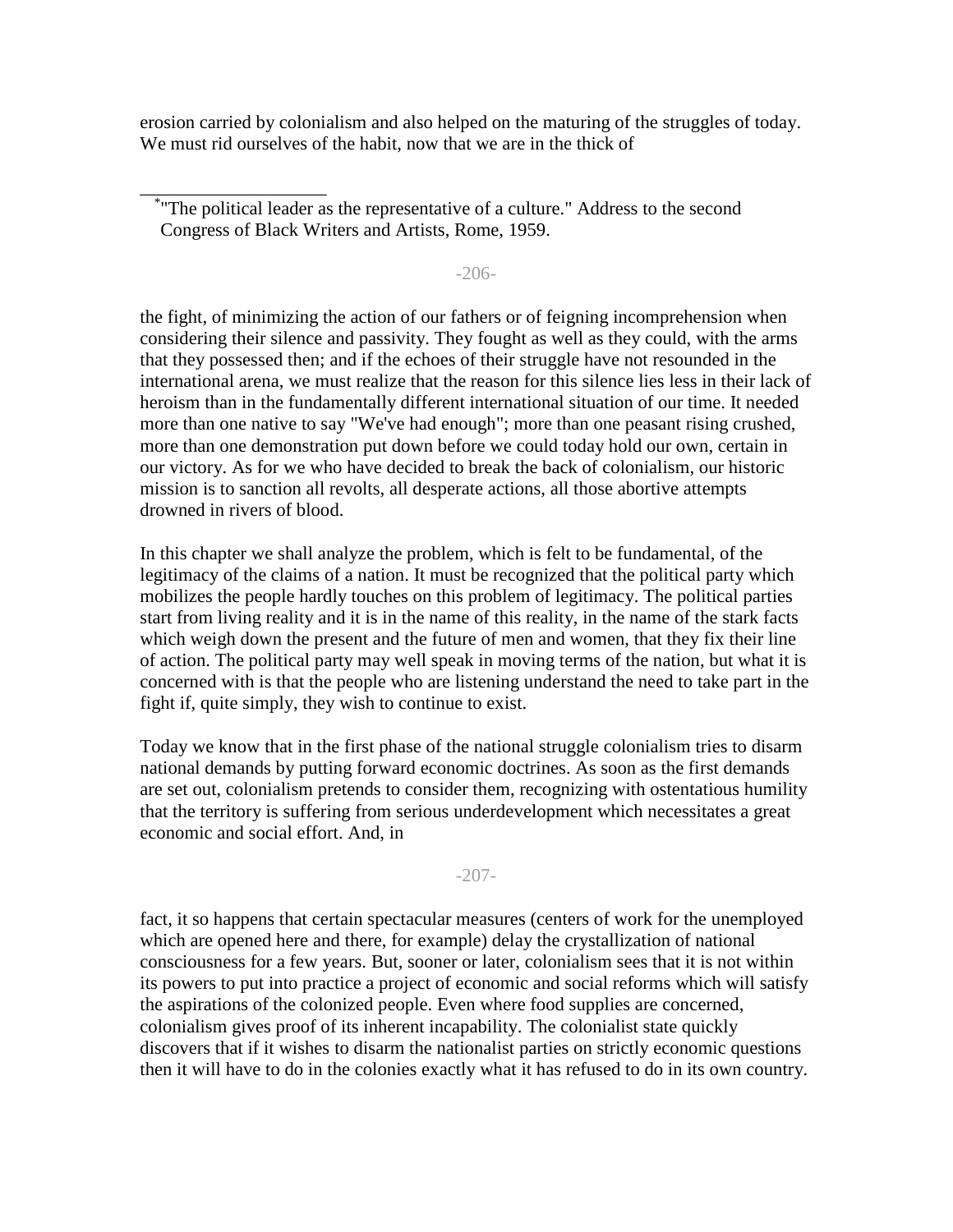erosion carried by colonialism and also helped on the maturing of the struggles of today. We must rid ourselves of the habit, now that we are in the thick of

-206-

the fight, of minimizing the action of our fathers or of feigning incomprehension when considering their silence and passivity. They fought as well as they could, with the arms that they possessed then; and if the echoes of their struggle have not resounded in the international arena, we must realize that the reason for this silence lies less in their lack of heroism than in the fundamentally different international situation of our time. It needed more than one native to say "We've had enough"; more than one peasant rising crushed, more than one demonstration put down before we could today hold our own, certain in our victory. As for we who have decided to break the back of colonialism, our historic mission is to sanction all revolts, all desperate actions, all those abortive attempts drowned in rivers of blood.

In this chapter we shall analyze the problem, which is felt to be fundamental, of the legitimacy of the claims of a nation. It must be recognized that the political party which mobilizes the people hardly touches on this problem of legitimacy. The political parties start from living reality and it is in the name of this reality, in the name of the stark facts which weigh down the present and the future of men and women, that they fix their line of action. The political party may well speak in moving terms of the nation, but what it is concerned with is that the people who are listening understand the need to take part in the fight if, quite simply, they wish to continue to exist.

Today we know that in the first phase of the national struggle colonialism tries to disarm national demands by putting forward economic doctrines. As soon as the first demands are set out, colonialism pretends to consider them, recognizing with ostentatious humility that the territory is suffering from serious underdevelopment which necessitates a great economic and social effort. And, in

-207-

fact, it so happens that certain spectacular measures (centers of work for the unemployed which are opened here and there, for example) delay the crystallization of national consciousness for a few years. But, sooner or later, colonialism sees that it is not within its powers to put into practice a project of economic and social reforms which will satisfy the aspirations of the colonized people. Even where food supplies are concerned, colonialism gives proof of its inherent incapability. The colonialist state quickly discovers that if it wishes to disarm the nationalist parties on strictly economic questions then it will have to do in the colonies exactly what it has refused to do in its own country.

\_\_\_\_\_\_\_\_\_\_\_\_\_\_\_\_\_\_\_\_ \* "The political leader as the representative of a culture." Address to the second Congress of Black Writers and Artists, Rome, 1959.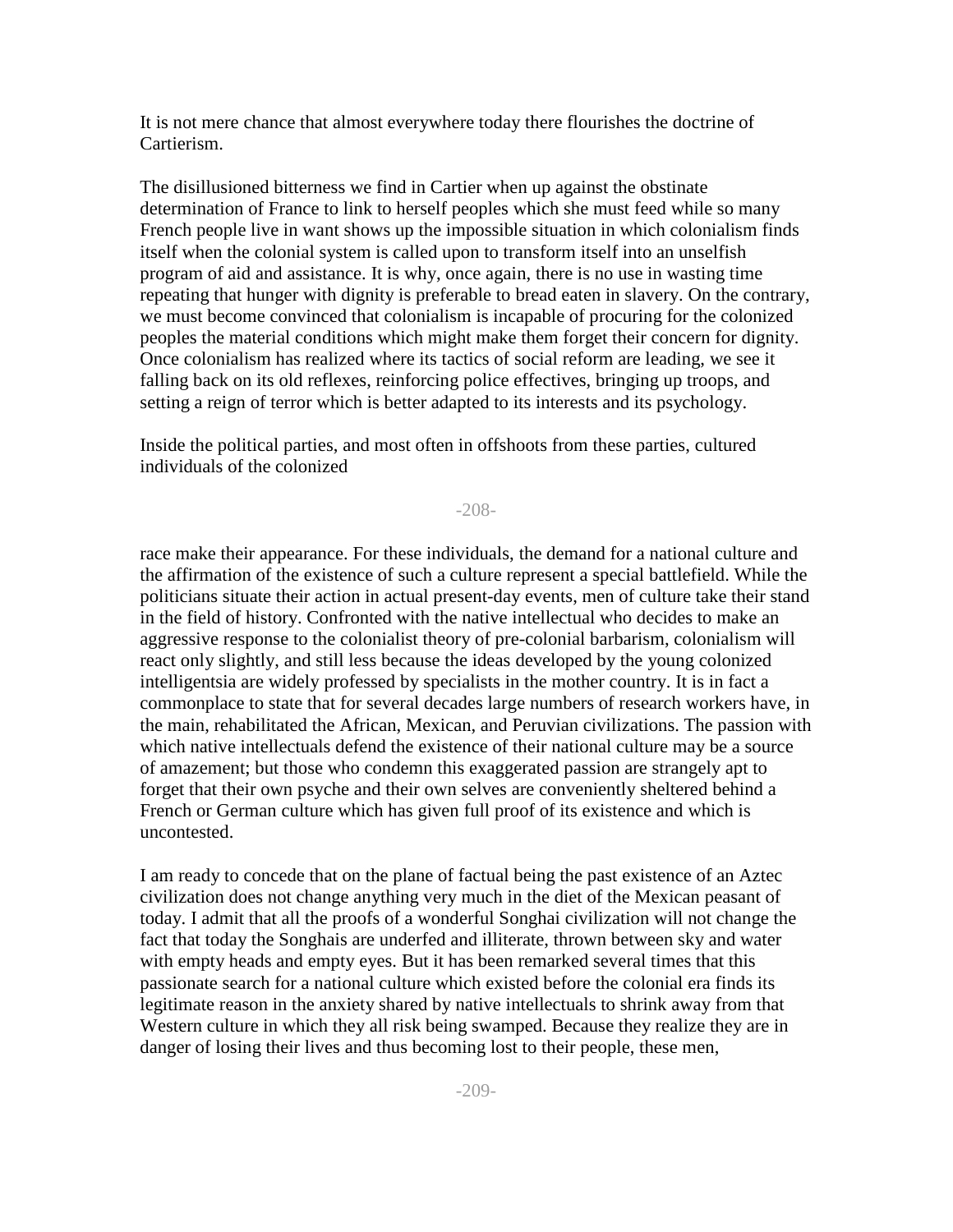It is not mere chance that almost everywhere today there flourishes the doctrine of Cartierism.

The disillusioned bitterness we find in Cartier when up against the obstinate determination of France to link to herself peoples which she must feed while so many French people live in want shows up the impossible situation in which colonialism finds itself when the colonial system is called upon to transform itself into an unselfish program of aid and assistance. It is why, once again, there is no use in wasting time repeating that hunger with dignity is preferable to bread eaten in slavery. On the contrary, we must become convinced that colonialism is incapable of procuring for the colonized peoples the material conditions which might make them forget their concern for dignity. Once colonialism has realized where its tactics of social reform are leading, we see it falling back on its old reflexes, reinforcing police effectives, bringing up troops, and setting a reign of terror which is better adapted to its interests and its psychology.

Inside the political parties, and most often in offshoots from these parties, cultured individuals of the colonized

-208-

race make their appearance. For these individuals, the demand for a national culture and the affirmation of the existence of such a culture represent a special battlefield. While the politicians situate their action in actual present-day events, men of culture take their stand in the field of history. Confronted with the native intellectual who decides to make an aggressive response to the colonialist theory of pre-colonial barbarism, colonialism will react only slightly, and still less because the ideas developed by the young colonized intelligentsia are widely professed by specialists in the mother country. It is in fact a commonplace to state that for several decades large numbers of research workers have, in the main, rehabilitated the African, Mexican, and Peruvian civilizations. The passion with which native intellectuals defend the existence of their national culture may be a source of amazement; but those who condemn this exaggerated passion are strangely apt to forget that their own psyche and their own selves are conveniently sheltered behind a French or German culture which has given full proof of its existence and which is uncontested.

I am ready to concede that on the plane of factual being the past existence of an Aztec civilization does not change anything very much in the diet of the Mexican peasant of today. I admit that all the proofs of a wonderful Songhai civilization will not change the fact that today the Songhais are underfed and illiterate, thrown between sky and water with empty heads and empty eyes. But it has been remarked several times that this passionate search for a national culture which existed before the colonial era finds its legitimate reason in the anxiety shared by native intellectuals to shrink away from that Western culture in which they all risk being swamped. Because they realize they are in danger of losing their lives and thus becoming lost to their people, these men,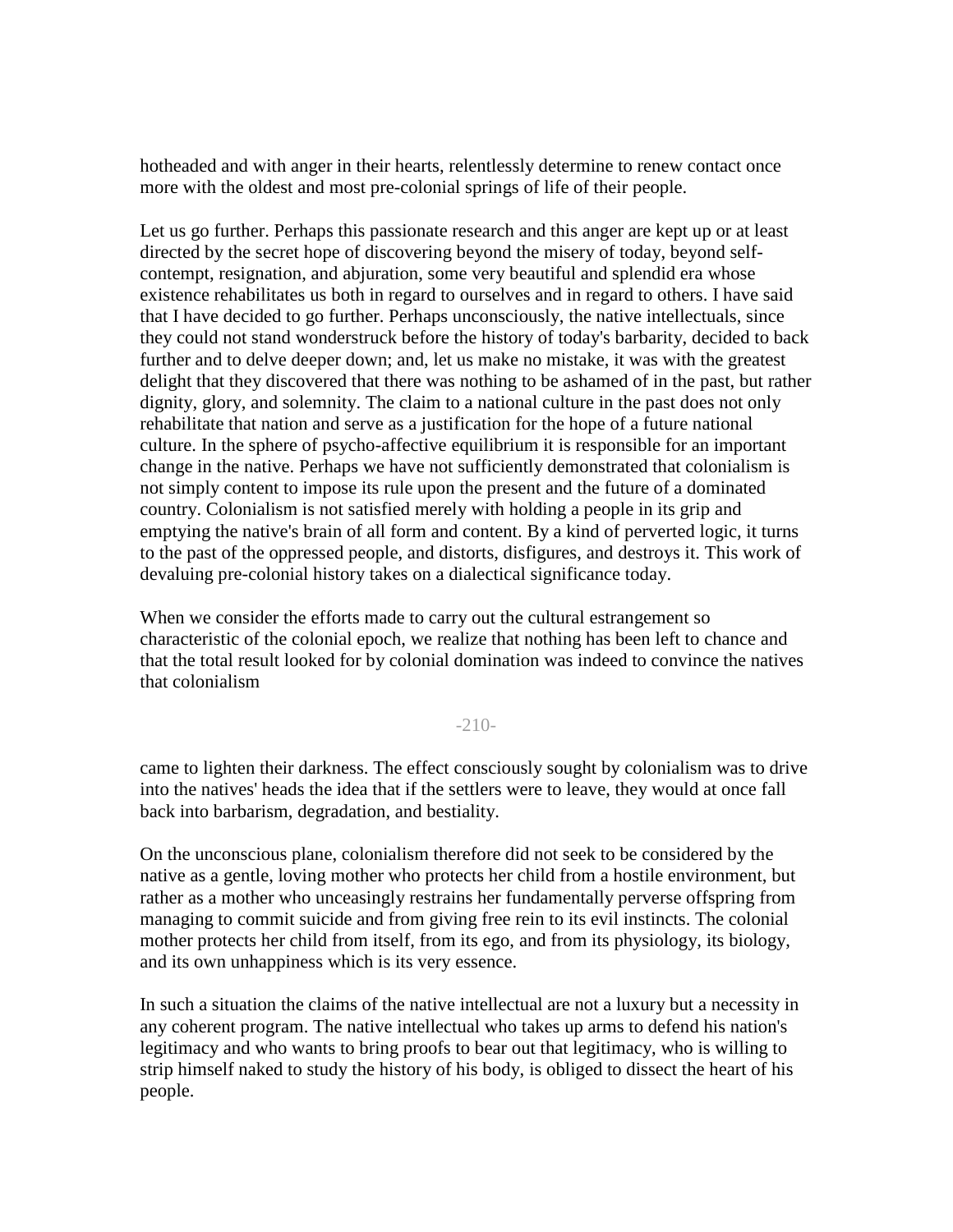hotheaded and with anger in their hearts, relentlessly determine to renew contact once more with the oldest and most pre-colonial springs of life of their people.

Let us go further. Perhaps this passionate research and this anger are kept up or at least directed by the secret hope of discovering beyond the misery of today, beyond selfcontempt, resignation, and abjuration, some very beautiful and splendid era whose existence rehabilitates us both in regard to ourselves and in regard to others. I have said that I have decided to go further. Perhaps unconsciously, the native intellectuals, since they could not stand wonderstruck before the history of today's barbarity, decided to back further and to delve deeper down; and, let us make no mistake, it was with the greatest delight that they discovered that there was nothing to be ashamed of in the past, but rather dignity, glory, and solemnity. The claim to a national culture in the past does not only rehabilitate that nation and serve as a justification for the hope of a future national culture. In the sphere of psycho-affective equilibrium it is responsible for an important change in the native. Perhaps we have not sufficiently demonstrated that colonialism is not simply content to impose its rule upon the present and the future of a dominated country. Colonialism is not satisfied merely with holding a people in its grip and emptying the native's brain of all form and content. By a kind of perverted logic, it turns to the past of the oppressed people, and distorts, disfigures, and destroys it. This work of devaluing pre-colonial history takes on a dialectical significance today.

When we consider the efforts made to carry out the cultural estrangement so characteristic of the colonial epoch, we realize that nothing has been left to chance and that the total result looked for by colonial domination was indeed to convince the natives that colonialism

#### -210-

came to lighten their darkness. The effect consciously sought by colonialism was to drive into the natives' heads the idea that if the settlers were to leave, they would at once fall back into barbarism, degradation, and bestiality.

On the unconscious plane, colonialism therefore did not seek to be considered by the native as a gentle, loving mother who protects her child from a hostile environment, but rather as a mother who unceasingly restrains her fundamentally perverse offspring from managing to commit suicide and from giving free rein to its evil instincts. The colonial mother protects her child from itself, from its ego, and from its physiology, its biology, and its own unhappiness which is its very essence.

In such a situation the claims of the native intellectual are not a luxury but a necessity in any coherent program. The native intellectual who takes up arms to defend his nation's legitimacy and who wants to bring proofs to bear out that legitimacy, who is willing to strip himself naked to study the history of his body, is obliged to dissect the heart of his people.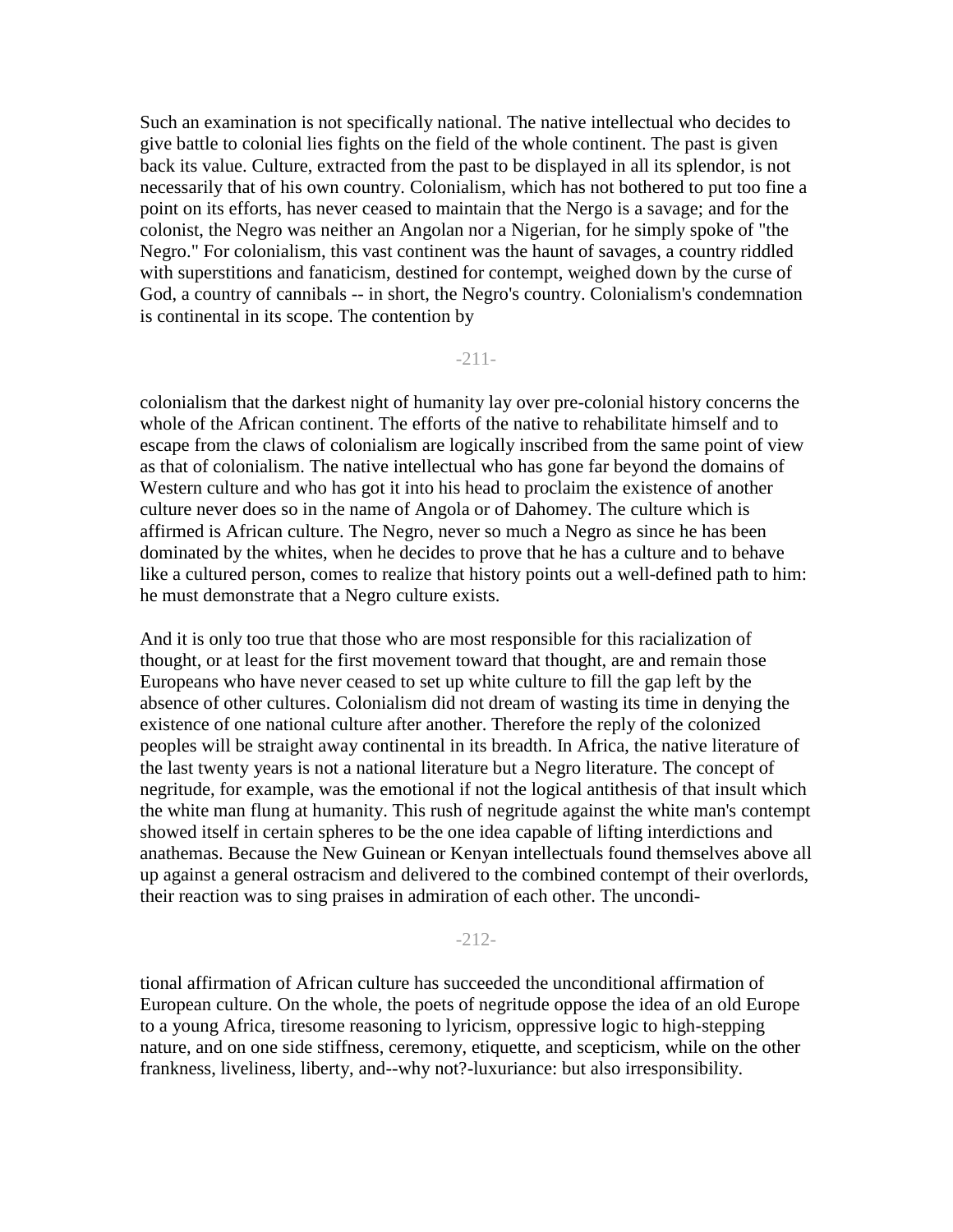Such an examination is not specifically national. The native intellectual who decides to give battle to colonial lies fights on the field of the whole continent. The past is given back its value. Culture, extracted from the past to be displayed in all its splendor, is not necessarily that of his own country. Colonialism, which has not bothered to put too fine a point on its efforts, has never ceased to maintain that the Nergo is a savage; and for the colonist, the Negro was neither an Angolan nor a Nigerian, for he simply spoke of "the Negro." For colonialism, this vast continent was the haunt of savages, a country riddled with superstitions and fanaticism, destined for contempt, weighed down by the curse of God, a country of cannibals -- in short, the Negro's country. Colonialism's condemnation is continental in its scope. The contention by

-211-

colonialism that the darkest night of humanity lay over pre-colonial history concerns the whole of the African continent. The efforts of the native to rehabilitate himself and to escape from the claws of colonialism are logically inscribed from the same point of view as that of colonialism. The native intellectual who has gone far beyond the domains of Western culture and who has got it into his head to proclaim the existence of another culture never does so in the name of Angola or of Dahomey. The culture which is affirmed is African culture. The Negro, never so much a Negro as since he has been dominated by the whites, when he decides to prove that he has a culture and to behave like a cultured person, comes to realize that history points out a well-defined path to him: he must demonstrate that a Negro culture exists.

And it is only too true that those who are most responsible for this racialization of thought, or at least for the first movement toward that thought, are and remain those Europeans who have never ceased to set up white culture to fill the gap left by the absence of other cultures. Colonialism did not dream of wasting its time in denying the existence of one national culture after another. Therefore the reply of the colonized peoples will be straight away continental in its breadth. In Africa, the native literature of the last twenty years is not a national literature but a Negro literature. The concept of negritude, for example, was the emotional if not the logical antithesis of that insult which the white man flung at humanity. This rush of negritude against the white man's contempt showed itself in certain spheres to be the one idea capable of lifting interdictions and anathemas. Because the New Guinean or Kenyan intellectuals found themselves above all up against a general ostracism and delivered to the combined contempt of their overlords, their reaction was to sing praises in admiration of each other. The uncondi-

-212-

tional affirmation of African culture has succeeded the unconditional affirmation of European culture. On the whole, the poets of negritude oppose the idea of an old Europe to a young Africa, tiresome reasoning to lyricism, oppressive logic to high-stepping nature, and on one side stiffness, ceremony, etiquette, and scepticism, while on the other frankness, liveliness, liberty, and--why not?-luxuriance: but also irresponsibility.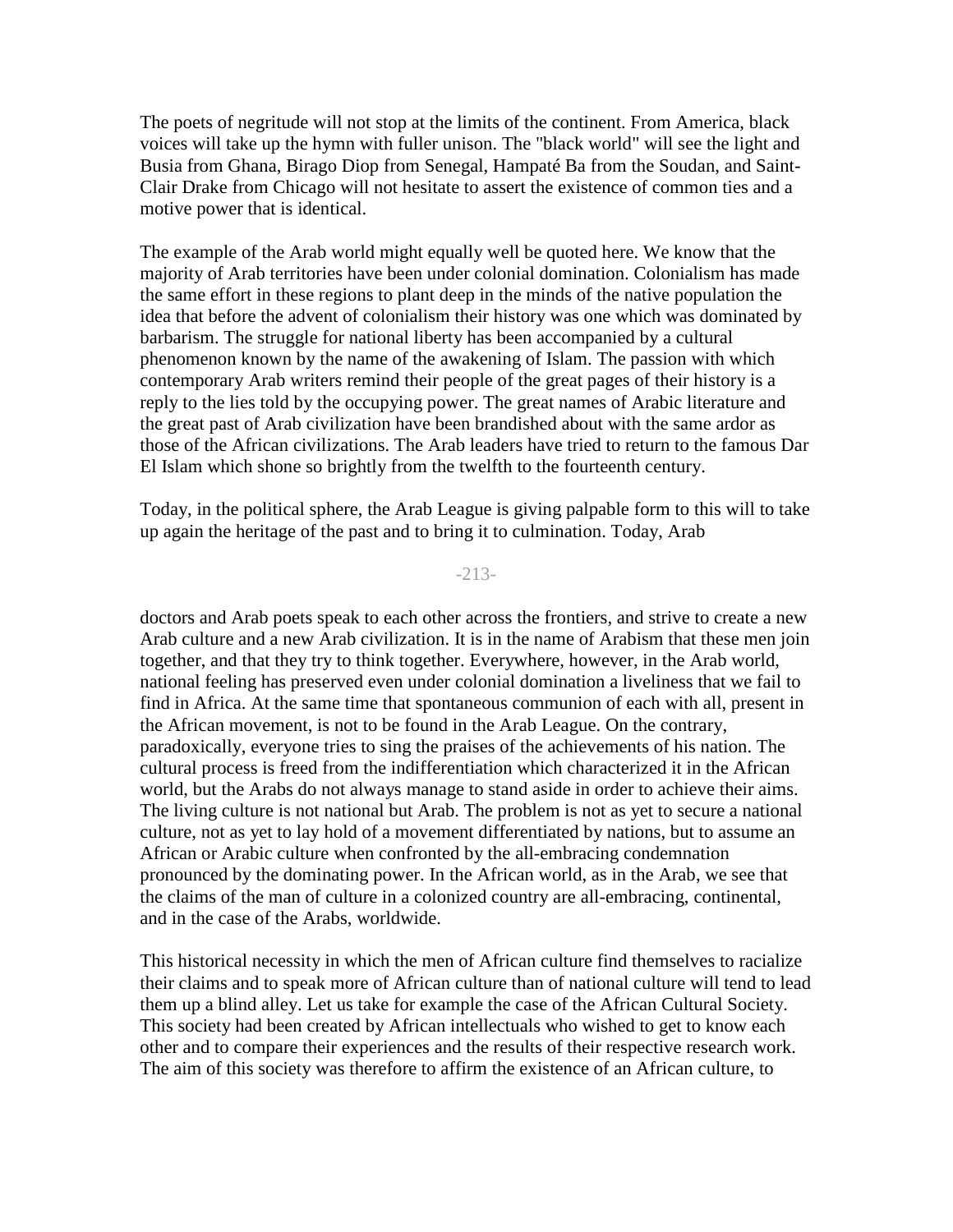The poets of negritude will not stop at the limits of the continent. From America, black voices will take up the hymn with fuller unison. The "black world" will see the light and Busia from Ghana, Birago Diop from Senegal, Hampaté Ba from the Soudan, and Saint-Clair Drake from Chicago will not hesitate to assert the existence of common ties and a motive power that is identical.

The example of the Arab world might equally well be quoted here. We know that the majority of Arab territories have been under colonial domination. Colonialism has made the same effort in these regions to plant deep in the minds of the native population the idea that before the advent of colonialism their history was one which was dominated by barbarism. The struggle for national liberty has been accompanied by a cultural phenomenon known by the name of the awakening of Islam. The passion with which contemporary Arab writers remind their people of the great pages of their history is a reply to the lies told by the occupying power. The great names of Arabic literature and the great past of Arab civilization have been brandished about with the same ardor as those of the African civilizations. The Arab leaders have tried to return to the famous Dar El Islam which shone so brightly from the twelfth to the fourteenth century.

Today, in the political sphere, the Arab League is giving palpable form to this will to take up again the heritage of the past and to bring it to culmination. Today, Arab

-213-

doctors and Arab poets speak to each other across the frontiers, and strive to create a new Arab culture and a new Arab civilization. It is in the name of Arabism that these men join together, and that they try to think together. Everywhere, however, in the Arab world, national feeling has preserved even under colonial domination a liveliness that we fail to find in Africa. At the same time that spontaneous communion of each with all, present in the African movement, is not to be found in the Arab League. On the contrary, paradoxically, everyone tries to sing the praises of the achievements of his nation. The cultural process is freed from the indifferentiation which characterized it in the African world, but the Arabs do not always manage to stand aside in order to achieve their aims. The living culture is not national but Arab. The problem is not as yet to secure a national culture, not as yet to lay hold of a movement differentiated by nations, but to assume an African or Arabic culture when confronted by the all-embracing condemnation pronounced by the dominating power. In the African world, as in the Arab, we see that the claims of the man of culture in a colonized country are all-embracing, continental, and in the case of the Arabs, worldwide.

This historical necessity in which the men of African culture find themselves to racialize their claims and to speak more of African culture than of national culture will tend to lead them up a blind alley. Let us take for example the case of the African Cultural Society. This society had been created by African intellectuals who wished to get to know each other and to compare their experiences and the results of their respective research work. The aim of this society was therefore to affirm the existence of an African culture, to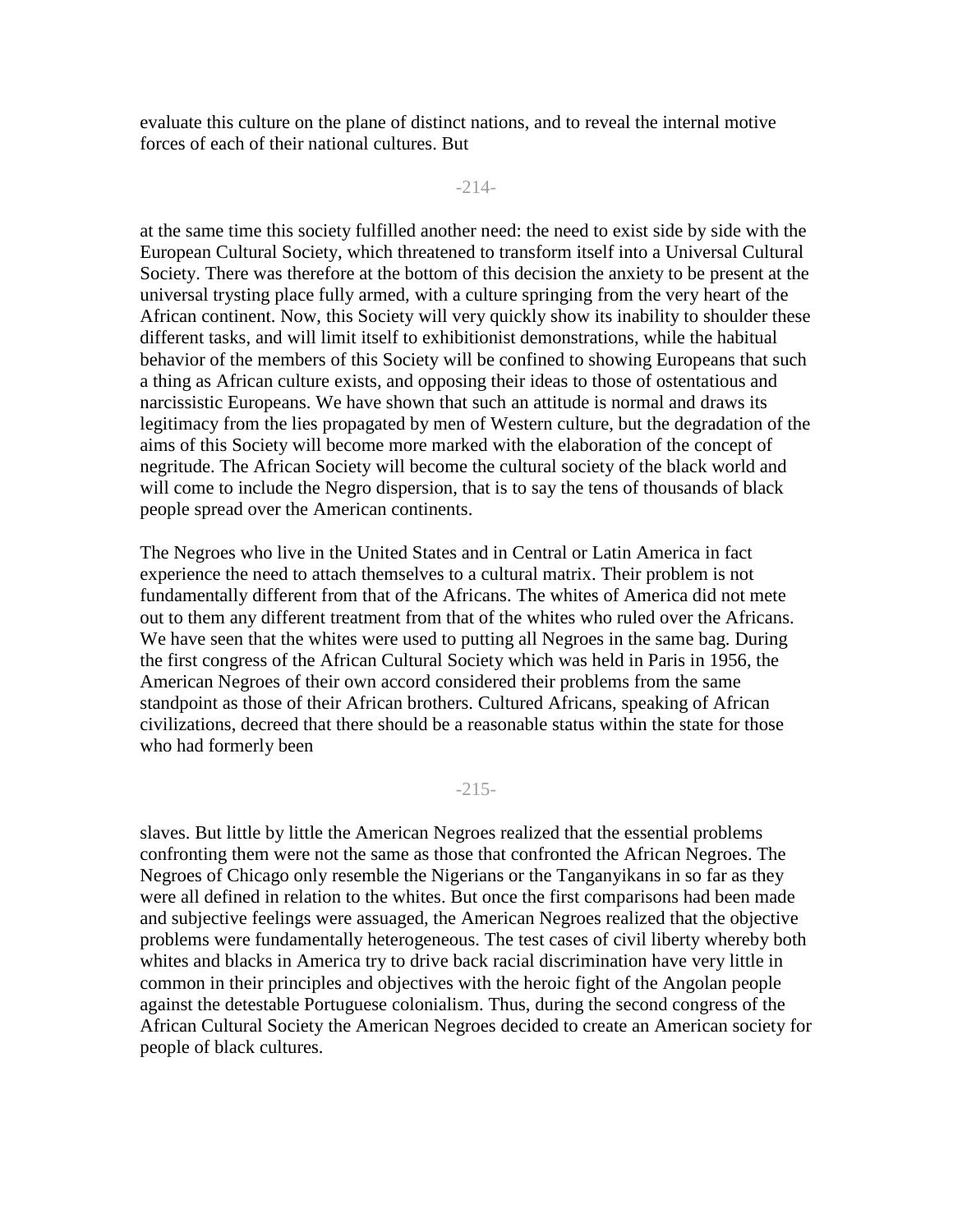evaluate this culture on the plane of distinct nations, and to reveal the internal motive forces of each of their national cultures. But

#### -214-

at the same time this society fulfilled another need: the need to exist side by side with the European Cultural Society, which threatened to transform itself into a Universal Cultural Society. There was therefore at the bottom of this decision the anxiety to be present at the universal trysting place fully armed, with a culture springing from the very heart of the African continent. Now, this Society will very quickly show its inability to shoulder these different tasks, and will limit itself to exhibitionist demonstrations, while the habitual behavior of the members of this Society will be confined to showing Europeans that such a thing as African culture exists, and opposing their ideas to those of ostentatious and narcissistic Europeans. We have shown that such an attitude is normal and draws its legitimacy from the lies propagated by men of Western culture, but the degradation of the aims of this Society will become more marked with the elaboration of the concept of negritude. The African Society will become the cultural society of the black world and will come to include the Negro dispersion, that is to say the tens of thousands of black people spread over the American continents.

The Negroes who live in the United States and in Central or Latin America in fact experience the need to attach themselves to a cultural matrix. Their problem is not fundamentally different from that of the Africans. The whites of America did not mete out to them any different treatment from that of the whites who ruled over the Africans. We have seen that the whites were used to putting all Negroes in the same bag. During the first congress of the African Cultural Society which was held in Paris in 1956, the American Negroes of their own accord considered their problems from the same standpoint as those of their African brothers. Cultured Africans, speaking of African civilizations, decreed that there should be a reasonable status within the state for those who had formerly been

-215-

slaves. But little by little the American Negroes realized that the essential problems confronting them were not the same as those that confronted the African Negroes. The Negroes of Chicago only resemble the Nigerians or the Tanganyikans in so far as they were all defined in relation to the whites. But once the first comparisons had been made and subjective feelings were assuaged, the American Negroes realized that the objective problems were fundamentally heterogeneous. The test cases of civil liberty whereby both whites and blacks in America try to drive back racial discrimination have very little in common in their principles and objectives with the heroic fight of the Angolan people against the detestable Portuguese colonialism. Thus, during the second congress of the African Cultural Society the American Negroes decided to create an American society for people of black cultures.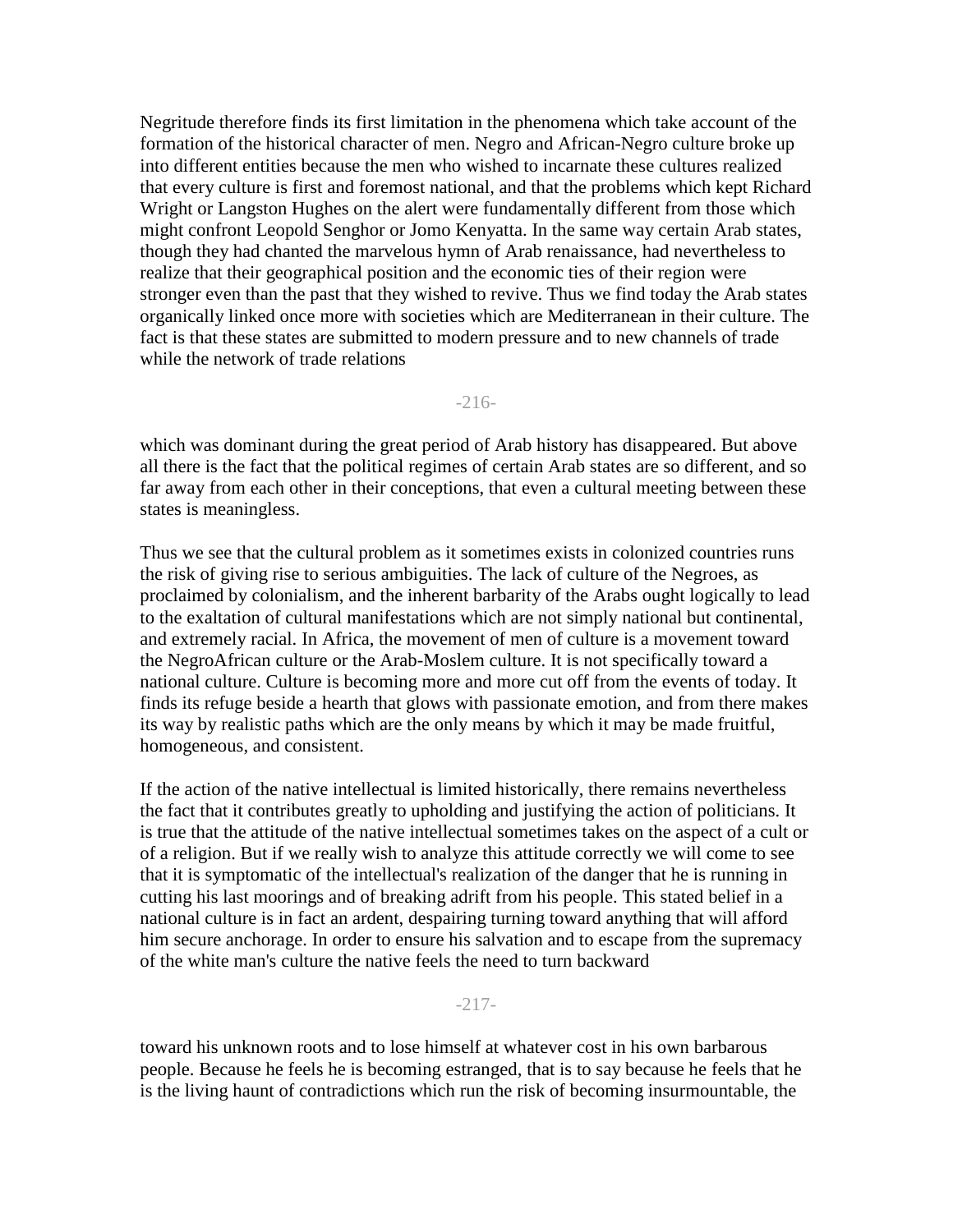Negritude therefore finds its first limitation in the phenomena which take account of the formation of the historical character of men. Negro and African-Negro culture broke up into different entities because the men who wished to incarnate these cultures realized that every culture is first and foremost national, and that the problems which kept Richard Wright or Langston Hughes on the alert were fundamentally different from those which might confront Leopold Senghor or Jomo Kenyatta. In the same way certain Arab states, though they had chanted the marvelous hymn of Arab renaissance, had nevertheless to realize that their geographical position and the economic ties of their region were stronger even than the past that they wished to revive. Thus we find today the Arab states organically linked once more with societies which are Mediterranean in their culture. The fact is that these states are submitted to modern pressure and to new channels of trade while the network of trade relations

-216-

which was dominant during the great period of Arab history has disappeared. But above all there is the fact that the political regimes of certain Arab states are so different, and so far away from each other in their conceptions, that even a cultural meeting between these states is meaningless.

Thus we see that the cultural problem as it sometimes exists in colonized countries runs the risk of giving rise to serious ambiguities. The lack of culture of the Negroes, as proclaimed by colonialism, and the inherent barbarity of the Arabs ought logically to lead to the exaltation of cultural manifestations which are not simply national but continental, and extremely racial. In Africa, the movement of men of culture is a movement toward the NegroAfrican culture or the Arab-Moslem culture. It is not specifically toward a national culture. Culture is becoming more and more cut off from the events of today. It finds its refuge beside a hearth that glows with passionate emotion, and from there makes its way by realistic paths which are the only means by which it may be made fruitful, homogeneous, and consistent.

If the action of the native intellectual is limited historically, there remains nevertheless the fact that it contributes greatly to upholding and justifying the action of politicians. It is true that the attitude of the native intellectual sometimes takes on the aspect of a cult or of a religion. But if we really wish to analyze this attitude correctly we will come to see that it is symptomatic of the intellectual's realization of the danger that he is running in cutting his last moorings and of breaking adrift from his people. This stated belief in a national culture is in fact an ardent, despairing turning toward anything that will afford him secure anchorage. In order to ensure his salvation and to escape from the supremacy of the white man's culture the native feels the need to turn backward

-217-

toward his unknown roots and to lose himself at whatever cost in his own barbarous people. Because he feels he is becoming estranged, that is to say because he feels that he is the living haunt of contradictions which run the risk of becoming insurmountable, the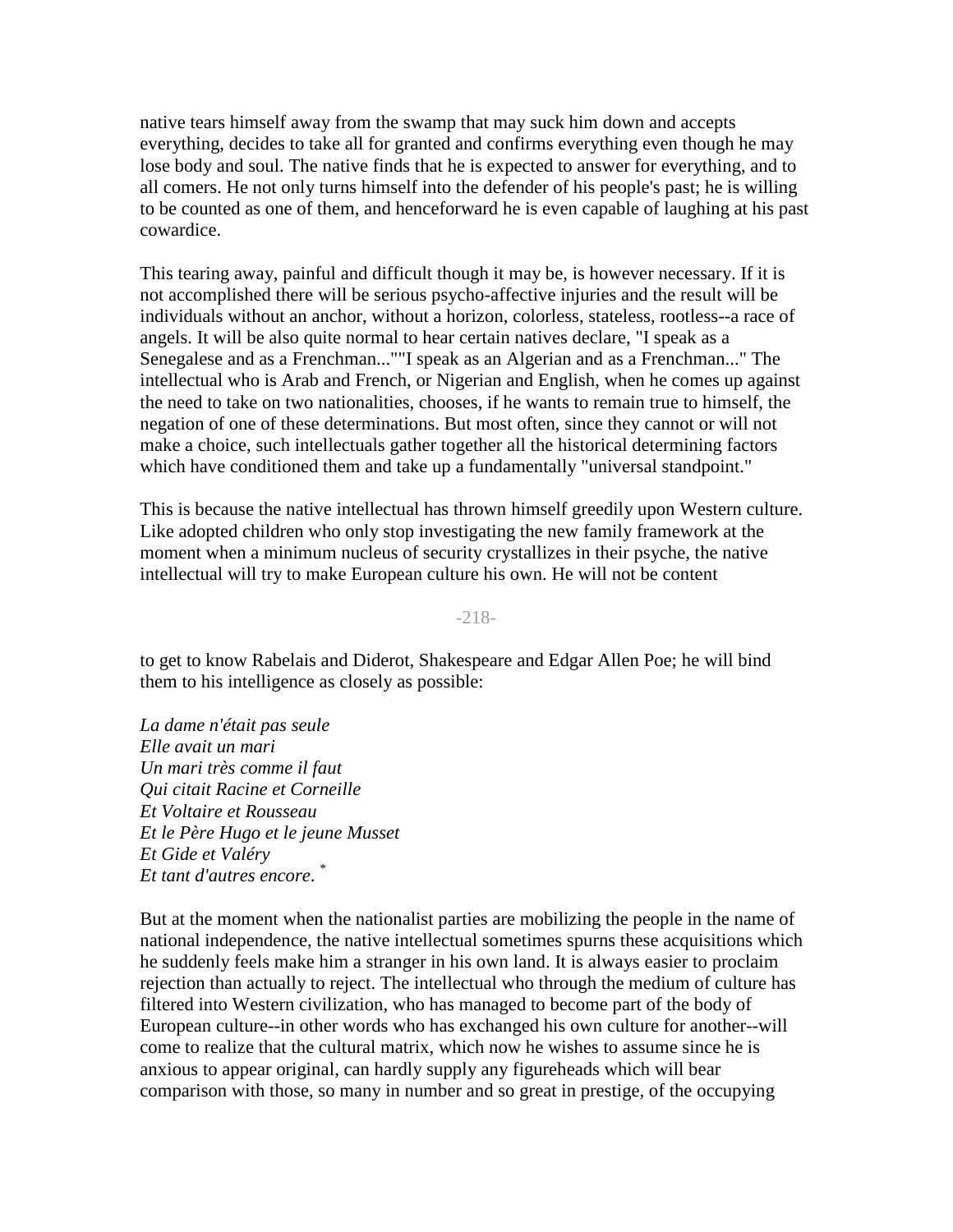native tears himself away from the swamp that may suck him down and accepts everything, decides to take all for granted and confirms everything even though he may lose body and soul. The native finds that he is expected to answer for everything, and to all comers. He not only turns himself into the defender of his people's past; he is willing to be counted as one of them, and henceforward he is even capable of laughing at his past cowardice.

This tearing away, painful and difficult though it may be, is however necessary. If it is not accomplished there will be serious psycho-affective injuries and the result will be individuals without an anchor, without a horizon, colorless, stateless, rootless--a race of angels. It will be also quite normal to hear certain natives declare, "I speak as a Senegalese and as a Frenchman...""I speak as an Algerian and as a Frenchman..." The intellectual who is Arab and French, or Nigerian and English, when he comes up against the need to take on two nationalities, chooses, if he wants to remain true to himself, the negation of one of these determinations. But most often, since they cannot or will not make a choice, such intellectuals gather together all the historical determining factors which have conditioned them and take up a fundamentally "universal standpoint."

This is because the native intellectual has thrown himself greedily upon Western culture. Like adopted children who only stop investigating the new family framework at the moment when a minimum nucleus of security crystallizes in their psyche, the native intellectual will try to make European culture his own. He will not be content

-218-

to get to know Rabelais and Diderot, Shakespeare and Edgar Allen Poe; he will bind them to his intelligence as closely as possible:

*La dame n'était pas seule Elle avait un mari Un mari très comme il faut Qui citait Racine et Corneille Et Voltaire et Rousseau Et le Père Hugo et le jeune Musset Et Gide et Valéry Et tant d'autres encore*. \*

But at the moment when the nationalist parties are mobilizing the people in the name of national independence, the native intellectual sometimes spurns these acquisitions which he suddenly feels make him a stranger in his own land. It is always easier to proclaim rejection than actually to reject. The intellectual who through the medium of culture has filtered into Western civilization, who has managed to become part of the body of European culture--in other words who has exchanged his own culture for another--will come to realize that the cultural matrix, which now he wishes to assume since he is anxious to appear original, can hardly supply any figureheads which will bear comparison with those, so many in number and so great in prestige, of the occupying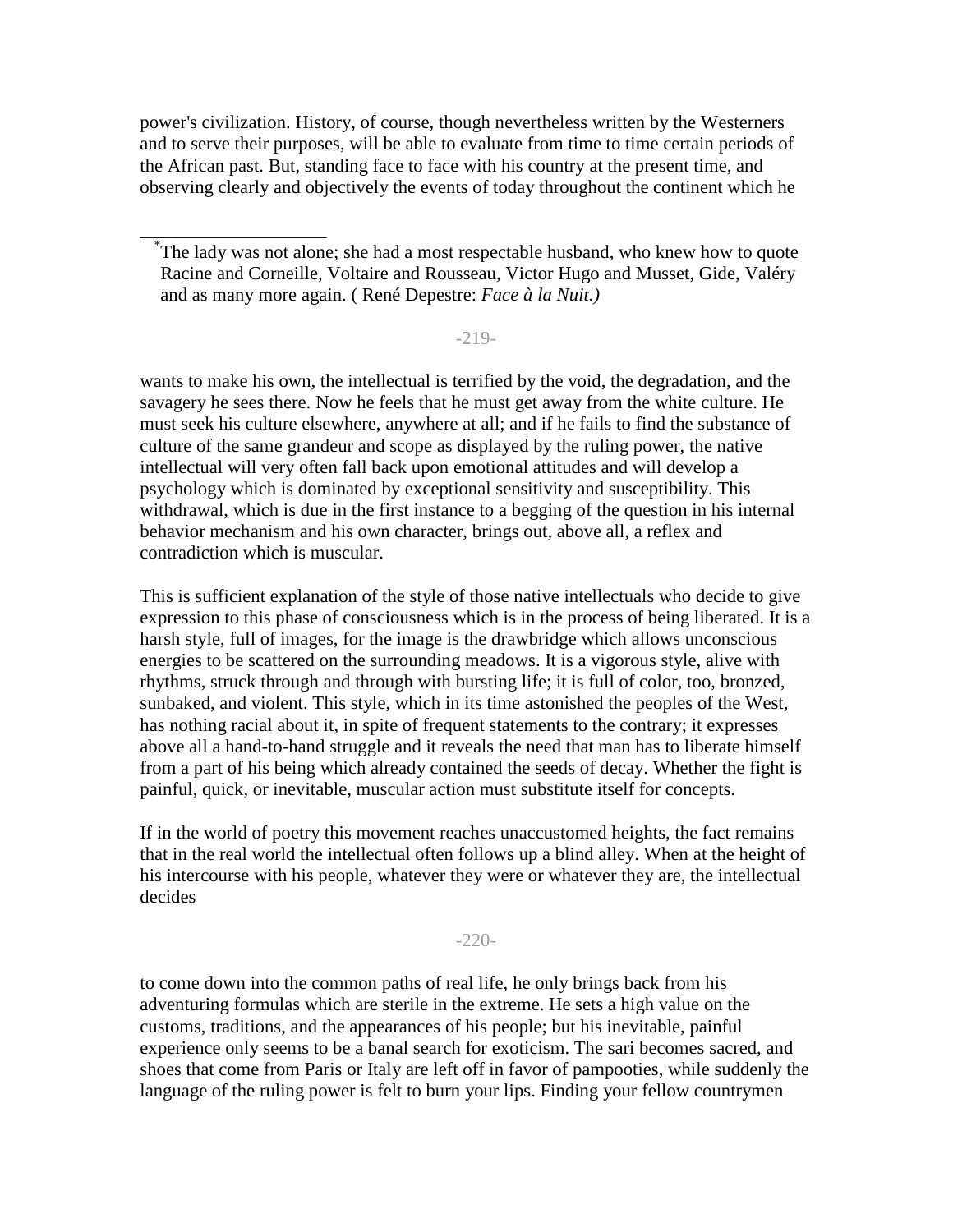power's civilization. History, of course, though nevertheless written by the Westerners and to serve their purposes, will be able to evaluate from time to time certain periods of the African past. But, standing face to face with his country at the present time, and observing clearly and objectively the events of today throughout the continent which he

\_\_\_\_\_\_\_\_\_\_\_\_\_\_\_\_\_\_\_\_

-219-

wants to make his own, the intellectual is terrified by the void, the degradation, and the savagery he sees there. Now he feels that he must get away from the white culture. He must seek his culture elsewhere, anywhere at all; and if he fails to find the substance of culture of the same grandeur and scope as displayed by the ruling power, the native intellectual will very often fall back upon emotional attitudes and will develop a psychology which is dominated by exceptional sensitivity and susceptibility. This withdrawal, which is due in the first instance to a begging of the question in his internal behavior mechanism and his own character, brings out, above all, a reflex and contradiction which is muscular.

This is sufficient explanation of the style of those native intellectuals who decide to give expression to this phase of consciousness which is in the process of being liberated. It is a harsh style, full of images, for the image is the drawbridge which allows unconscious energies to be scattered on the surrounding meadows. It is a vigorous style, alive with rhythms, struck through and through with bursting life; it is full of color, too, bronzed, sunbaked, and violent. This style, which in its time astonished the peoples of the West, has nothing racial about it, in spite of frequent statements to the contrary; it expresses above all a hand-to-hand struggle and it reveals the need that man has to liberate himself from a part of his being which already contained the seeds of decay. Whether the fight is painful, quick, or inevitable, muscular action must substitute itself for concepts.

If in the world of poetry this movement reaches unaccustomed heights, the fact remains that in the real world the intellectual often follows up a blind alley. When at the height of his intercourse with his people, whatever they were or whatever they are, the intellectual decides

-220-

to come down into the common paths of real life, he only brings back from his adventuring formulas which are sterile in the extreme. He sets a high value on the customs, traditions, and the appearances of his people; but his inevitable, painful experience only seems to be a banal search for exoticism. The sari becomes sacred, and shoes that come from Paris or Italy are left off in favor of pampooties, while suddenly the language of the ruling power is felt to burn your lips. Finding your fellow countrymen

<sup>\*</sup> The lady was not alone; she had a most respectable husband, who knew how to quote Racine and Corneille, Voltaire and Rousseau, Victor Hugo and Musset, Gide, Valéry and as many more again. ( René Depestre: *Face à la Nuit.)*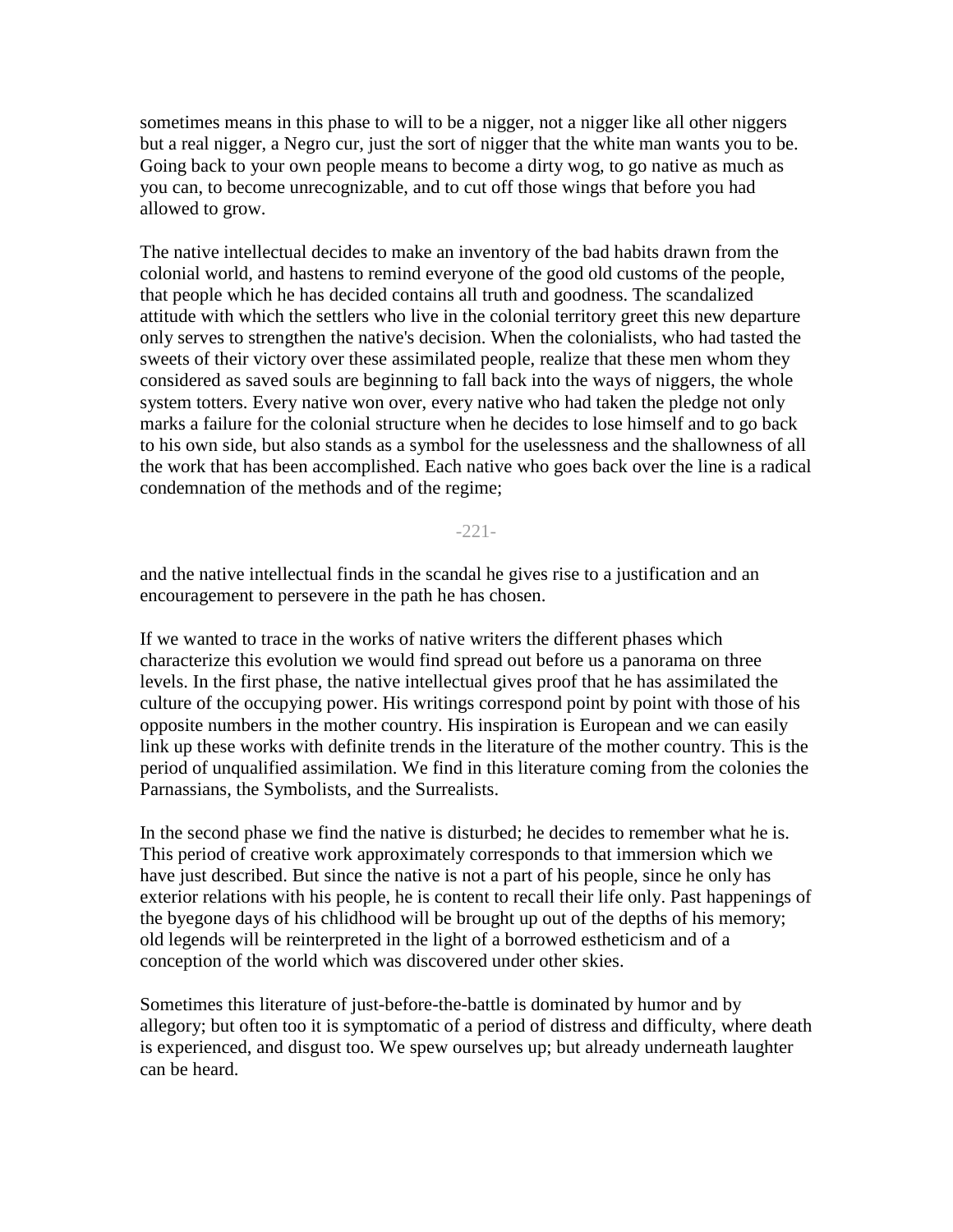sometimes means in this phase to will to be a nigger, not a nigger like all other niggers but a real nigger, a Negro cur, just the sort of nigger that the white man wants you to be. Going back to your own people means to become a dirty wog, to go native as much as you can, to become unrecognizable, and to cut off those wings that before you had allowed to grow.

The native intellectual decides to make an inventory of the bad habits drawn from the colonial world, and hastens to remind everyone of the good old customs of the people, that people which he has decided contains all truth and goodness. The scandalized attitude with which the settlers who live in the colonial territory greet this new departure only serves to strengthen the native's decision. When the colonialists, who had tasted the sweets of their victory over these assimilated people, realize that these men whom they considered as saved souls are beginning to fall back into the ways of niggers, the whole system totters. Every native won over, every native who had taken the pledge not only marks a failure for the colonial structure when he decides to lose himself and to go back to his own side, but also stands as a symbol for the uselessness and the shallowness of all the work that has been accomplished. Each native who goes back over the line is a radical condemnation of the methods and of the regime;

-221-

and the native intellectual finds in the scandal he gives rise to a justification and an encouragement to persevere in the path he has chosen.

If we wanted to trace in the works of native writers the different phases which characterize this evolution we would find spread out before us a panorama on three levels. In the first phase, the native intellectual gives proof that he has assimilated the culture of the occupying power. His writings correspond point by point with those of his opposite numbers in the mother country. His inspiration is European and we can easily link up these works with definite trends in the literature of the mother country. This is the period of unqualified assimilation. We find in this literature coming from the colonies the Parnassians, the Symbolists, and the Surrealists.

In the second phase we find the native is disturbed; he decides to remember what he is. This period of creative work approximately corresponds to that immersion which we have just described. But since the native is not a part of his people, since he only has exterior relations with his people, he is content to recall their life only. Past happenings of the byegone days of his chlidhood will be brought up out of the depths of his memory; old legends will be reinterpreted in the light of a borrowed estheticism and of a conception of the world which was discovered under other skies.

Sometimes this literature of just-before-the-battle is dominated by humor and by allegory; but often too it is symptomatic of a period of distress and difficulty, where death is experienced, and disgust too. We spew ourselves up; but already underneath laughter can be heard.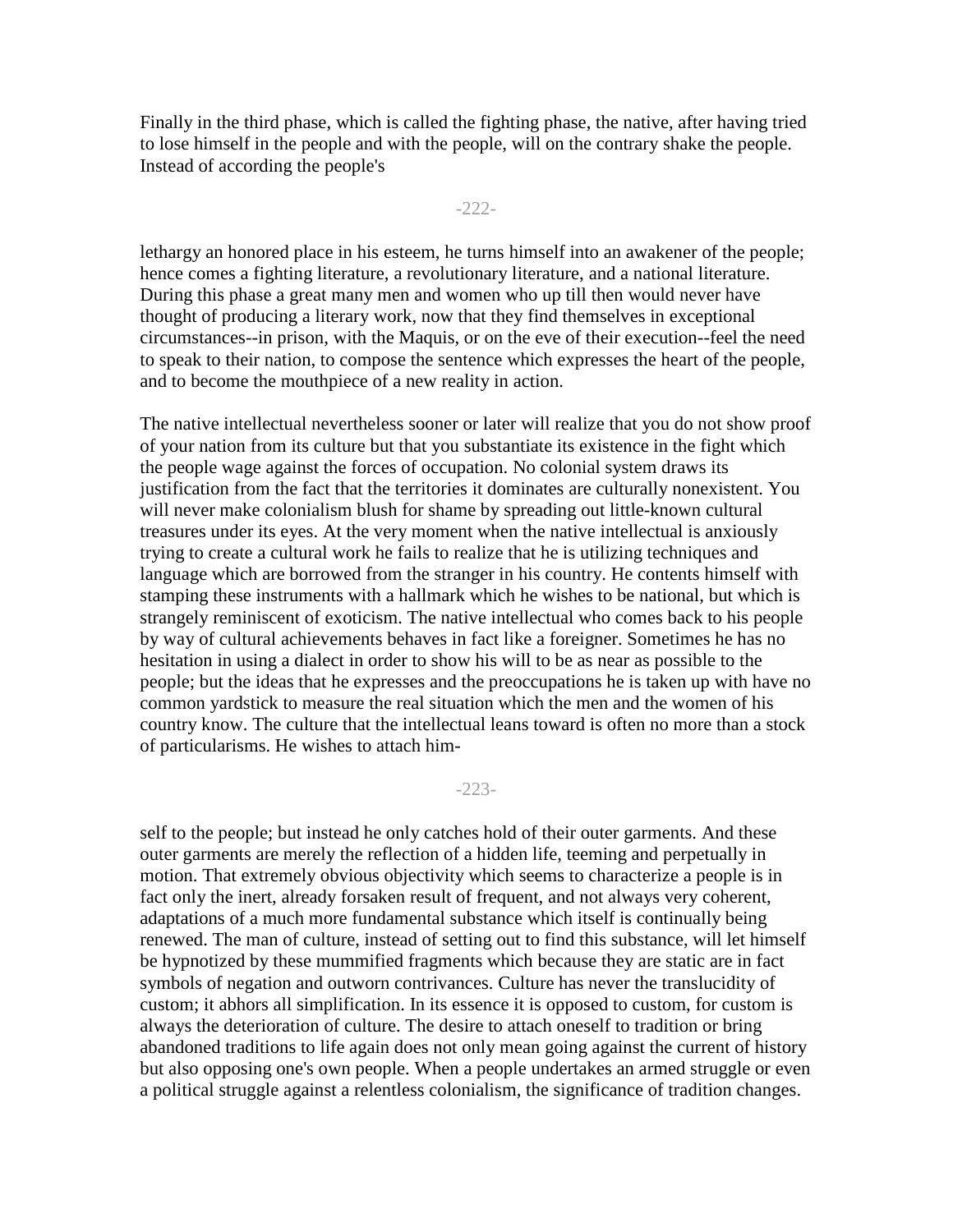Finally in the third phase, which is called the fighting phase, the native, after having tried to lose himself in the people and with the people, will on the contrary shake the people. Instead of according the people's

-222-

lethargy an honored place in his esteem, he turns himself into an awakener of the people; hence comes a fighting literature, a revolutionary literature, and a national literature. During this phase a great many men and women who up till then would never have thought of producing a literary work, now that they find themselves in exceptional circumstances--in prison, with the Maquis, or on the eve of their execution--feel the need to speak to their nation, to compose the sentence which expresses the heart of the people, and to become the mouthpiece of a new reality in action.

The native intellectual nevertheless sooner or later will realize that you do not show proof of your nation from its culture but that you substantiate its existence in the fight which the people wage against the forces of occupation. No colonial system draws its justification from the fact that the territories it dominates are culturally nonexistent. You will never make colonialism blush for shame by spreading out little-known cultural treasures under its eyes. At the very moment when the native intellectual is anxiously trying to create a cultural work he fails to realize that he is utilizing techniques and language which are borrowed from the stranger in his country. He contents himself with stamping these instruments with a hallmark which he wishes to be national, but which is strangely reminiscent of exoticism. The native intellectual who comes back to his people by way of cultural achievements behaves in fact like a foreigner. Sometimes he has no hesitation in using a dialect in order to show his will to be as near as possible to the people; but the ideas that he expresses and the preoccupations he is taken up with have no common yardstick to measure the real situation which the men and the women of his country know. The culture that the intellectual leans toward is often no more than a stock of particularisms. He wishes to attach him-

-223-

self to the people; but instead he only catches hold of their outer garments. And these outer garments are merely the reflection of a hidden life, teeming and perpetually in motion. That extremely obvious objectivity which seems to characterize a people is in fact only the inert, already forsaken result of frequent, and not always very coherent, adaptations of a much more fundamental substance which itself is continually being renewed. The man of culture, instead of setting out to find this substance, will let himself be hypnotized by these mummified fragments which because they are static are in fact symbols of negation and outworn contrivances. Culture has never the translucidity of custom; it abhors all simplification. In its essence it is opposed to custom, for custom is always the deterioration of culture. The desire to attach oneself to tradition or bring abandoned traditions to life again does not only mean going against the current of history but also opposing one's own people. When a people undertakes an armed struggle or even a political struggle against a relentless colonialism, the significance of tradition changes.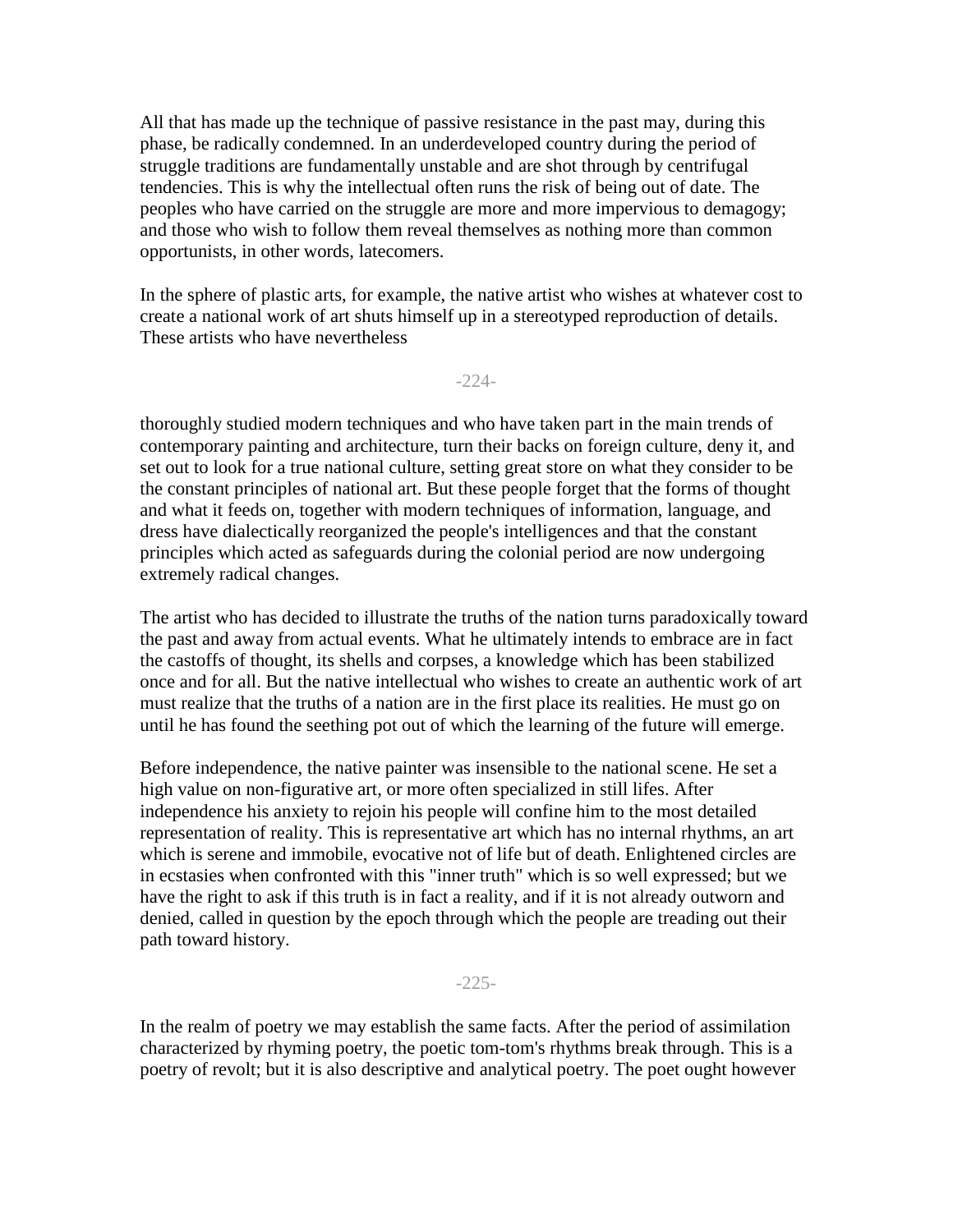All that has made up the technique of passive resistance in the past may, during this phase, be radically condemned. In an underdeveloped country during the period of struggle traditions are fundamentally unstable and are shot through by centrifugal tendencies. This is why the intellectual often runs the risk of being out of date. The peoples who have carried on the struggle are more and more impervious to demagogy; and those who wish to follow them reveal themselves as nothing more than common opportunists, in other words, latecomers.

In the sphere of plastic arts, for example, the native artist who wishes at whatever cost to create a national work of art shuts himself up in a stereotyped reproduction of details. These artists who have nevertheless

-224-

thoroughly studied modern techniques and who have taken part in the main trends of contemporary painting and architecture, turn their backs on foreign culture, deny it, and set out to look for a true national culture, setting great store on what they consider to be the constant principles of national art. But these people forget that the forms of thought and what it feeds on, together with modern techniques of information, language, and dress have dialectically reorganized the people's intelligences and that the constant principles which acted as safeguards during the colonial period are now undergoing extremely radical changes.

The artist who has decided to illustrate the truths of the nation turns paradoxically toward the past and away from actual events. What he ultimately intends to embrace are in fact the castoffs of thought, its shells and corpses, a knowledge which has been stabilized once and for all. But the native intellectual who wishes to create an authentic work of art must realize that the truths of a nation are in the first place its realities. He must go on until he has found the seething pot out of which the learning of the future will emerge.

Before independence, the native painter was insensible to the national scene. He set a high value on non-figurative art, or more often specialized in still lifes. After independence his anxiety to rejoin his people will confine him to the most detailed representation of reality. This is representative art which has no internal rhythms, an art which is serene and immobile, evocative not of life but of death. Enlightened circles are in ecstasies when confronted with this "inner truth" which is so well expressed; but we have the right to ask if this truth is in fact a reality, and if it is not already outworn and denied, called in question by the epoch through which the people are treading out their path toward history.

-225-

In the realm of poetry we may establish the same facts. After the period of assimilation characterized by rhyming poetry, the poetic tom-tom's rhythms break through. This is a poetry of revolt; but it is also descriptive and analytical poetry. The poet ought however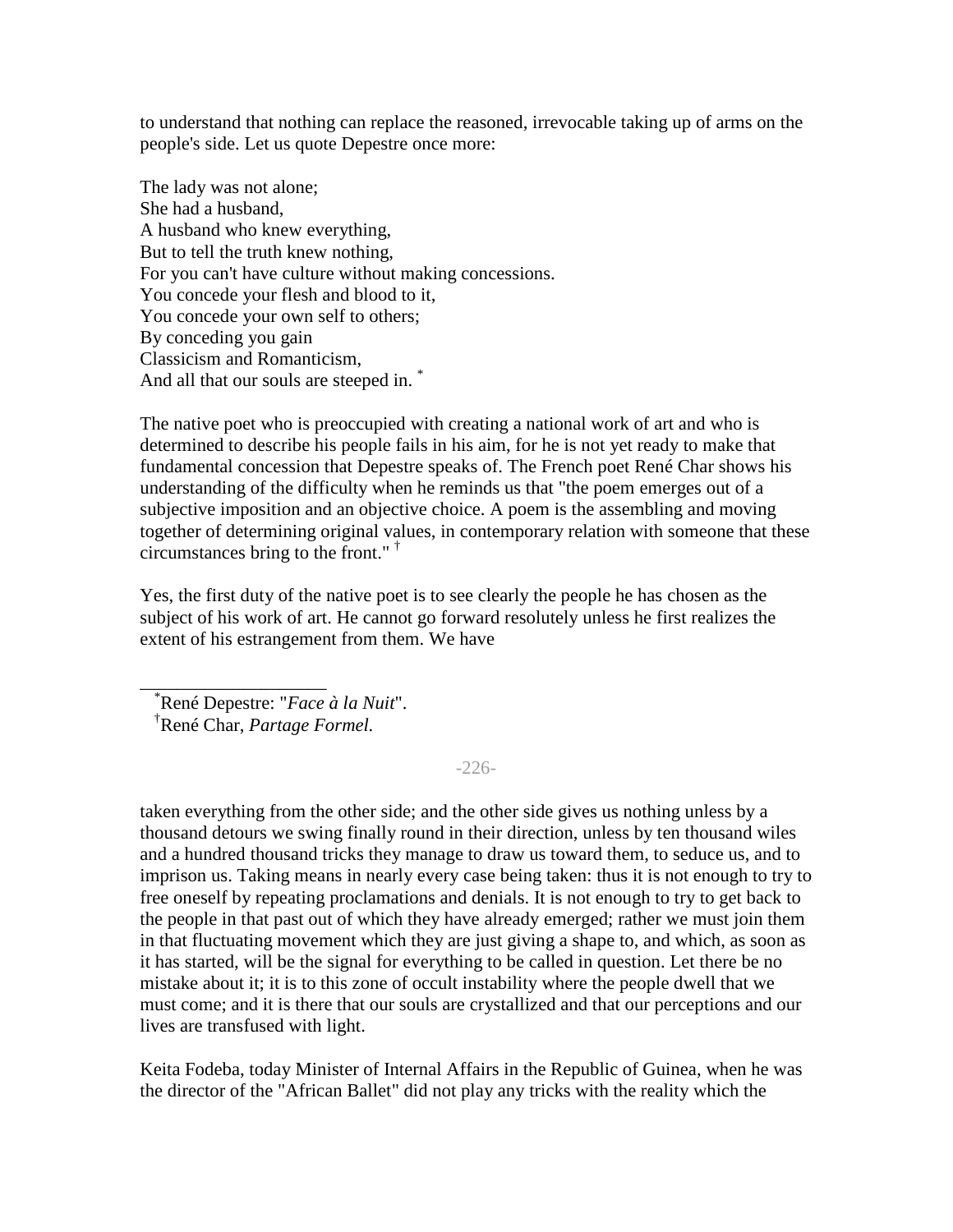to understand that nothing can replace the reasoned, irrevocable taking up of arms on the people's side. Let us quote Depestre once more:

The lady was not alone; She had a husband, A husband who knew everything, But to tell the truth knew nothing, For you can't have culture without making concessions. You concede your flesh and blood to it, You concede your own self to others; By conceding you gain Classicism and Romanticism, And all that our souls are steeped in.

The native poet who is preoccupied with creating a national work of art and who is determined to describe his people fails in his aim, for he is not yet ready to make that fundamental concession that Depestre speaks of. The French poet René Char shows his understanding of the difficulty when he reminds us that "the poem emerges out of a subjective imposition and an objective choice. A poem is the assembling and moving together of determining original values, in contemporary relation with someone that these circumstances bring to the front." †

Yes, the first duty of the native poet is to see clearly the people he has chosen as the subject of his work of art. He cannot go forward resolutely unless he first realizes the extent of his estrangement from them. We have

\*René Depestre: "*Face à la Nuit*".

†René Char, *Partage Formel.* 

\_\_\_\_\_\_\_\_\_\_\_\_\_\_\_\_\_\_\_\_

-226-

taken everything from the other side; and the other side gives us nothing unless by a thousand detours we swing finally round in their direction, unless by ten thousand wiles and a hundred thousand tricks they manage to draw us toward them, to seduce us, and to imprison us. Taking means in nearly every case being taken: thus it is not enough to try to free oneself by repeating proclamations and denials. It is not enough to try to get back to the people in that past out of which they have already emerged; rather we must join them in that fluctuating movement which they are just giving a shape to, and which, as soon as it has started, will be the signal for everything to be called in question. Let there be no mistake about it; it is to this zone of occult instability where the people dwell that we must come; and it is there that our souls are crystallized and that our perceptions and our lives are transfused with light.

Keita Fodeba, today Minister of Internal Affairs in the Republic of Guinea, when he was the director of the "African Ballet" did not play any tricks with the reality which the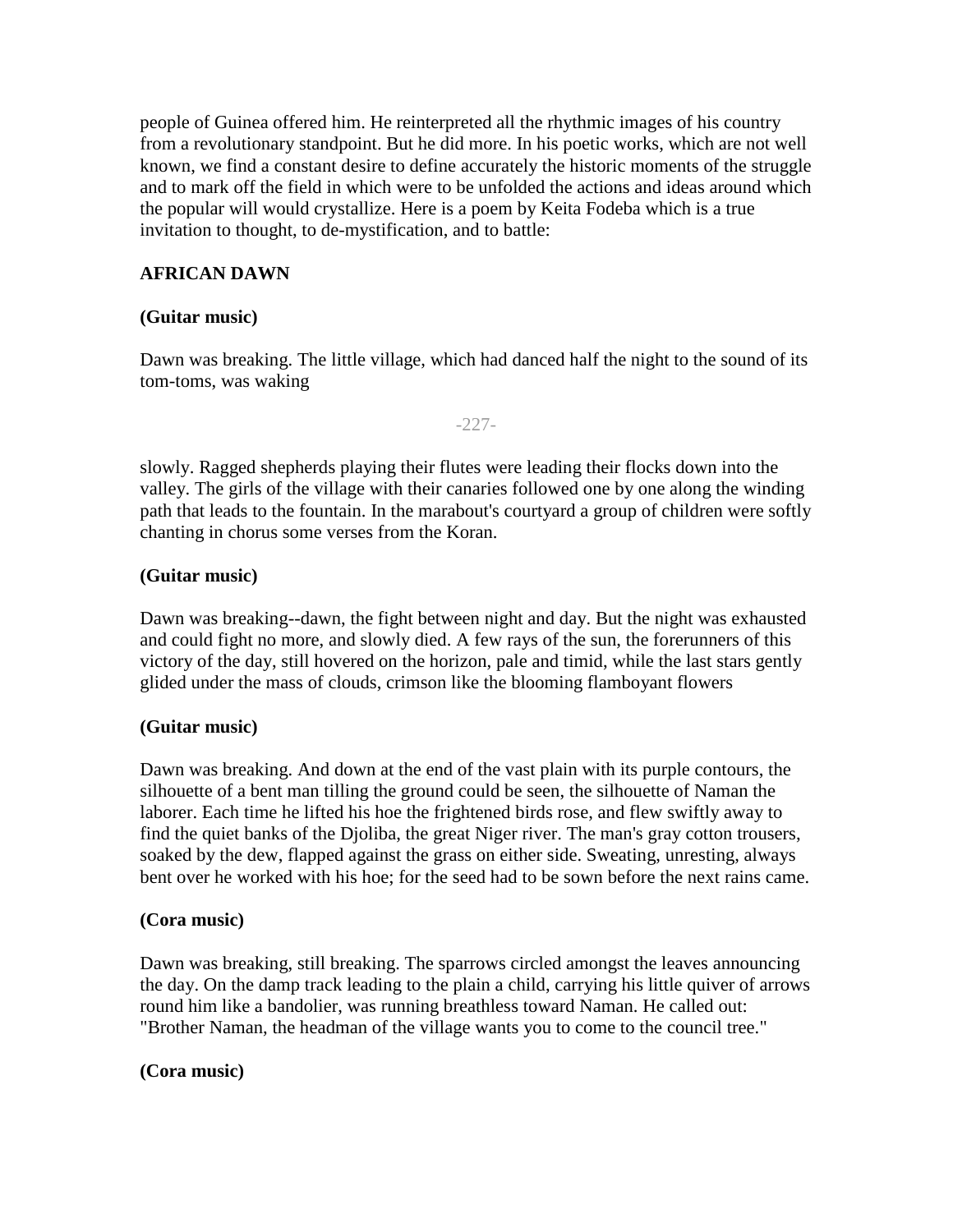people of Guinea offered him. He reinterpreted all the rhythmic images of his country from a revolutionary standpoint. But he did more. In his poetic works, which are not well known, we find a constant desire to define accurately the historic moments of the struggle and to mark off the field in which were to be unfolded the actions and ideas around which the popular will would crystallize. Here is a poem by Keita Fodeba which is a true invitation to thought, to de-mystification, and to battle:

# **AFRICAN DAWN**

# **(Guitar music)**

Dawn was breaking. The little village, which had danced half the night to the sound of its tom-toms, was waking

-227-

slowly. Ragged shepherds playing their flutes were leading their flocks down into the valley. The girls of the village with their canaries followed one by one along the winding path that leads to the fountain. In the marabout's courtyard a group of children were softly chanting in chorus some verses from the Koran.

# **(Guitar music)**

Dawn was breaking--dawn, the fight between night and day. But the night was exhausted and could fight no more, and slowly died. A few rays of the sun, the forerunners of this victory of the day, still hovered on the horizon, pale and timid, while the last stars gently glided under the mass of clouds, crimson like the blooming flamboyant flowers

# **(Guitar music)**

Dawn was breaking. And down at the end of the vast plain with its purple contours, the silhouette of a bent man tilling the ground could be seen, the silhouette of Naman the laborer. Each time he lifted his hoe the frightened birds rose, and flew swiftly away to find the quiet banks of the Djoliba, the great Niger river. The man's gray cotton trousers, soaked by the dew, flapped against the grass on either side. Sweating, unresting, always bent over he worked with his hoe; for the seed had to be sown before the next rains came.

# **(Cora music)**

Dawn was breaking, still breaking. The sparrows circled amongst the leaves announcing the day. On the damp track leading to the plain a child, carrying his little quiver of arrows round him like a bandolier, was running breathless toward Naman. He called out: "Brother Naman, the headman of the village wants you to come to the council tree."

## **(Cora music)**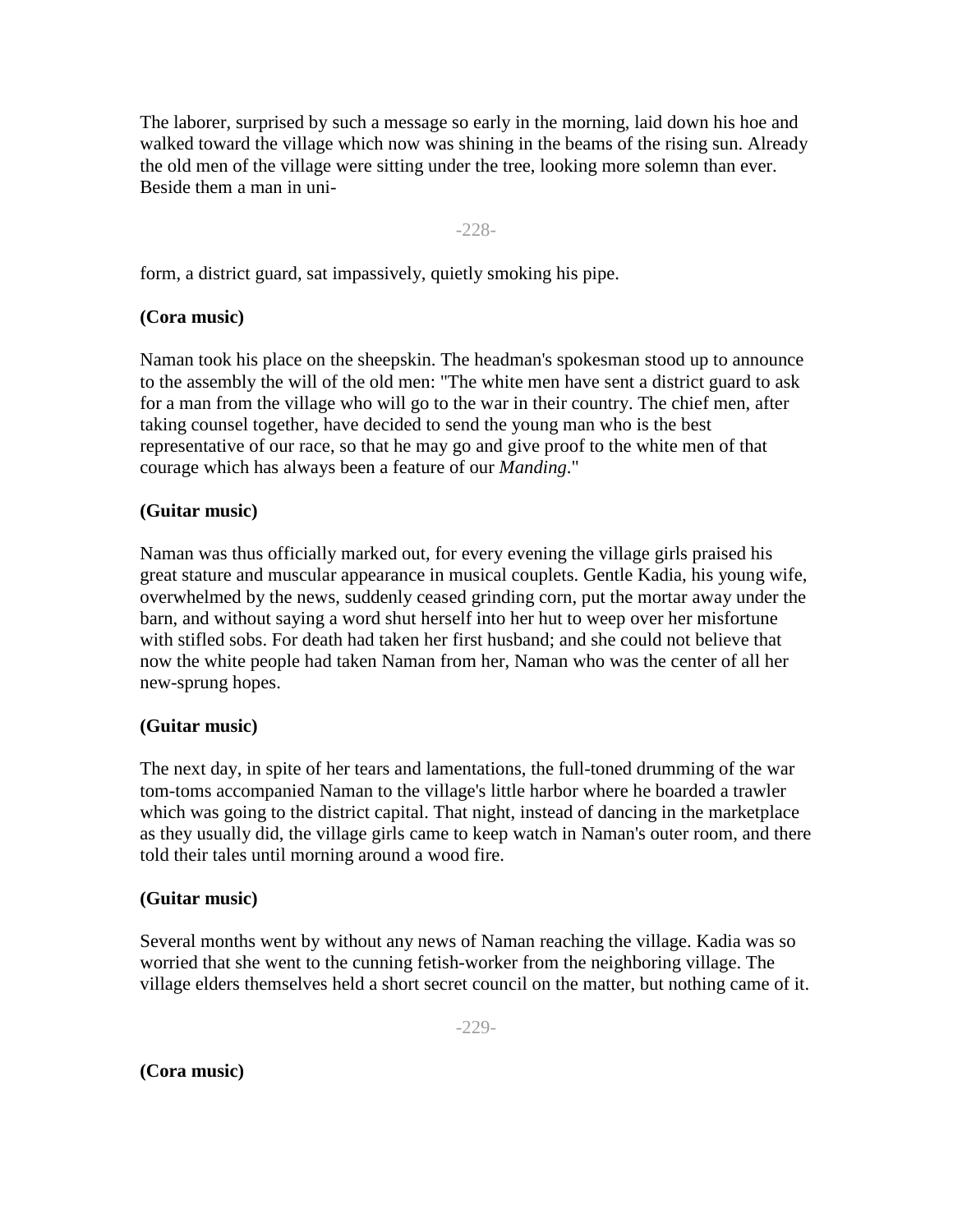The laborer, surprised by such a message so early in the morning, laid down his hoe and walked toward the village which now was shining in the beams of the rising sun. Already the old men of the village were sitting under the tree, looking more solemn than ever. Beside them a man in uni-

-228-

form, a district guard, sat impassively, quietly smoking his pipe.

# **(Cora music)**

Naman took his place on the sheepskin. The headman's spokesman stood up to announce to the assembly the will of the old men: "The white men have sent a district guard to ask for a man from the village who will go to the war in their country. The chief men, after taking counsel together, have decided to send the young man who is the best representative of our race, so that he may go and give proof to the white men of that courage which has always been a feature of our *Manding*."

# **(Guitar music)**

Naman was thus officially marked out, for every evening the village girls praised his great stature and muscular appearance in musical couplets. Gentle Kadia, his young wife, overwhelmed by the news, suddenly ceased grinding corn, put the mortar away under the barn, and without saying a word shut herself into her hut to weep over her misfortune with stifled sobs. For death had taken her first husband; and she could not believe that now the white people had taken Naman from her, Naman who was the center of all her new-sprung hopes.

## **(Guitar music)**

The next day, in spite of her tears and lamentations, the full-toned drumming of the war tom-toms accompanied Naman to the village's little harbor where he boarded a trawler which was going to the district capital. That night, instead of dancing in the marketplace as they usually did, the village girls came to keep watch in Naman's outer room, and there told their tales until morning around a wood fire.

## **(Guitar music)**

Several months went by without any news of Naman reaching the village. Kadia was so worried that she went to the cunning fetish-worker from the neighboring village. The village elders themselves held a short secret council on the matter, but nothing came of it.

-229-

## **(Cora music)**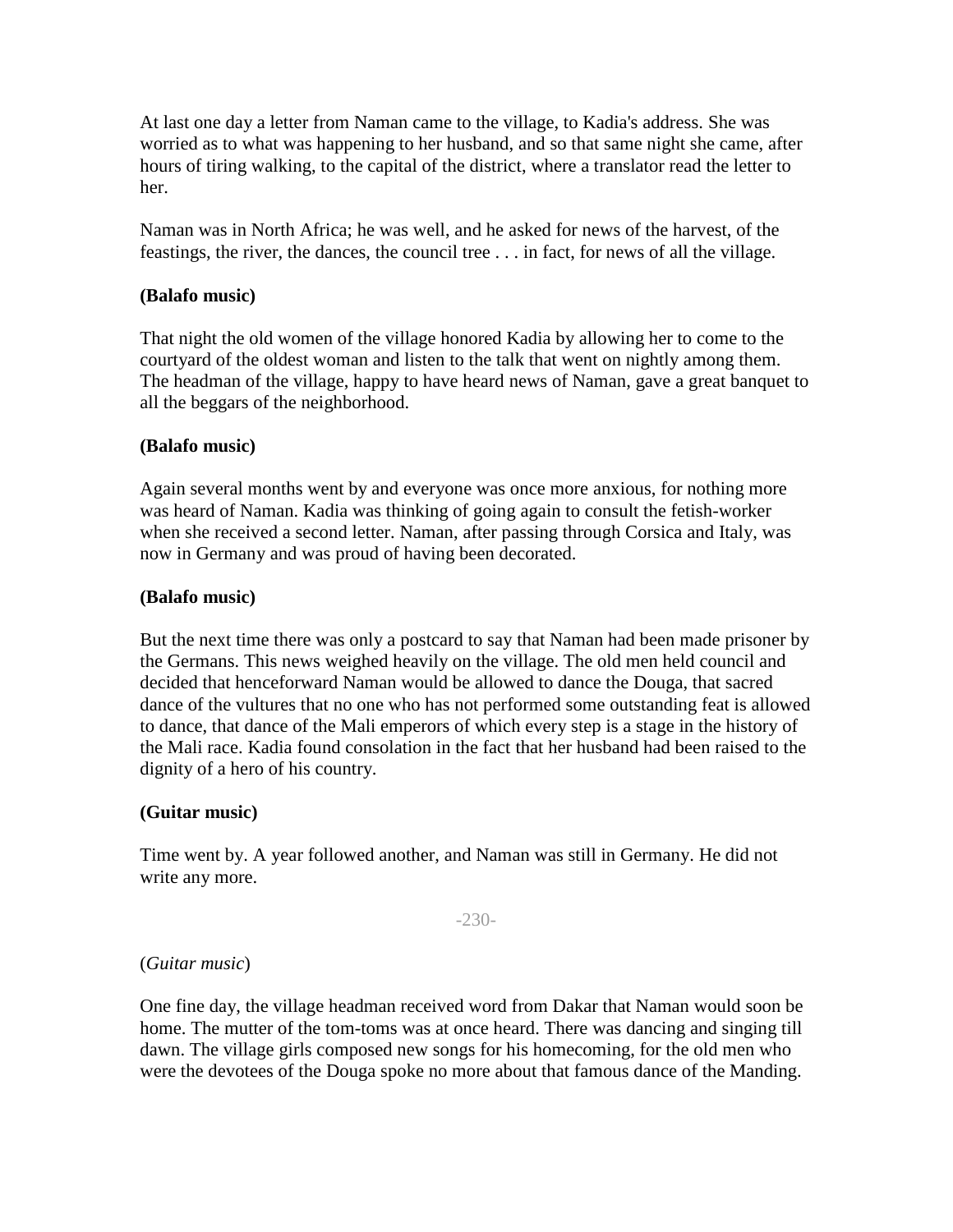At last one day a letter from Naman came to the village, to Kadia's address. She was worried as to what was happening to her husband, and so that same night she came, after hours of tiring walking, to the capital of the district, where a translator read the letter to her.

Naman was in North Africa; he was well, and he asked for news of the harvest, of the feastings, the river, the dances, the council tree . . . in fact, for news of all the village.

# **(Balafo music)**

That night the old women of the village honored Kadia by allowing her to come to the courtyard of the oldest woman and listen to the talk that went on nightly among them. The headman of the village, happy to have heard news of Naman, gave a great banquet to all the beggars of the neighborhood.

## **(Balafo music)**

Again several months went by and everyone was once more anxious, for nothing more was heard of Naman. Kadia was thinking of going again to consult the fetish-worker when she received a second letter. Naman, after passing through Corsica and Italy, was now in Germany and was proud of having been decorated.

## **(Balafo music)**

But the next time there was only a postcard to say that Naman had been made prisoner by the Germans. This news weighed heavily on the village. The old men held council and decided that henceforward Naman would be allowed to dance the Douga, that sacred dance of the vultures that no one who has not performed some outstanding feat is allowed to dance, that dance of the Mali emperors of which every step is a stage in the history of the Mali race. Kadia found consolation in the fact that her husband had been raised to the dignity of a hero of his country.

## **(Guitar music)**

Time went by. A year followed another, and Naman was still in Germany. He did not write any more.

-230-

# (*Guitar music*)

One fine day, the village headman received word from Dakar that Naman would soon be home. The mutter of the tom-toms was at once heard. There was dancing and singing till dawn. The village girls composed new songs for his homecoming, for the old men who were the devotees of the Douga spoke no more about that famous dance of the Manding.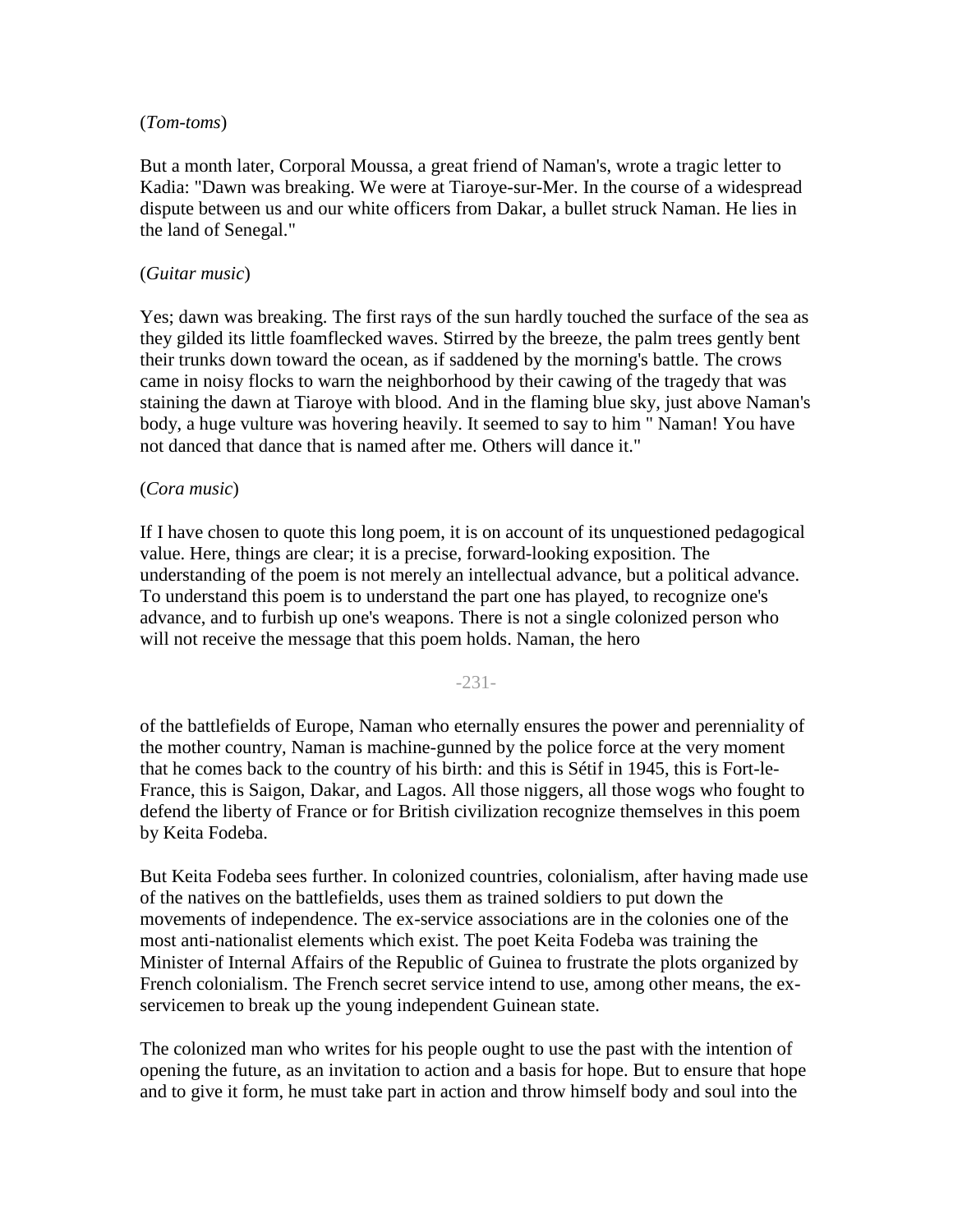### (*Tom-toms*)

But a month later, Corporal Moussa, a great friend of Naman's, wrote a tragic letter to Kadia: "Dawn was breaking. We were at Tiaroye-sur-Mer. In the course of a widespread dispute between us and our white officers from Dakar, a bullet struck Naman. He lies in the land of Senegal."

# (*Guitar music*)

Yes; dawn was breaking. The first rays of the sun hardly touched the surface of the sea as they gilded its little foamflecked waves. Stirred by the breeze, the palm trees gently bent their trunks down toward the ocean, as if saddened by the morning's battle. The crows came in noisy flocks to warn the neighborhood by their cawing of the tragedy that was staining the dawn at Tiaroye with blood. And in the flaming blue sky, just above Naman's body, a huge vulture was hovering heavily. It seemed to say to him " Naman! You have not danced that dance that is named after me. Others will dance it."

## (*Cora music*)

If I have chosen to quote this long poem, it is on account of its unquestioned pedagogical value. Here, things are clear; it is a precise, forward-looking exposition. The understanding of the poem is not merely an intellectual advance, but a political advance. To understand this poem is to understand the part one has played, to recognize one's advance, and to furbish up one's weapons. There is not a single colonized person who will not receive the message that this poem holds. Naman, the hero

-231-

of the battlefields of Europe, Naman who eternally ensures the power and perenniality of the mother country, Naman is machine-gunned by the police force at the very moment that he comes back to the country of his birth: and this is Sétif in 1945, this is Fort-le-France, this is Saigon, Dakar, and Lagos. All those niggers, all those wogs who fought to defend the liberty of France or for British civilization recognize themselves in this poem by Keita Fodeba.

But Keita Fodeba sees further. In colonized countries, colonialism, after having made use of the natives on the battlefields, uses them as trained soldiers to put down the movements of independence. The ex-service associations are in the colonies one of the most anti-nationalist elements which exist. The poet Keita Fodeba was training the Minister of Internal Affairs of the Republic of Guinea to frustrate the plots organized by French colonialism. The French secret service intend to use, among other means, the exservicemen to break up the young independent Guinean state.

The colonized man who writes for his people ought to use the past with the intention of opening the future, as an invitation to action and a basis for hope. But to ensure that hope and to give it form, he must take part in action and throw himself body and soul into the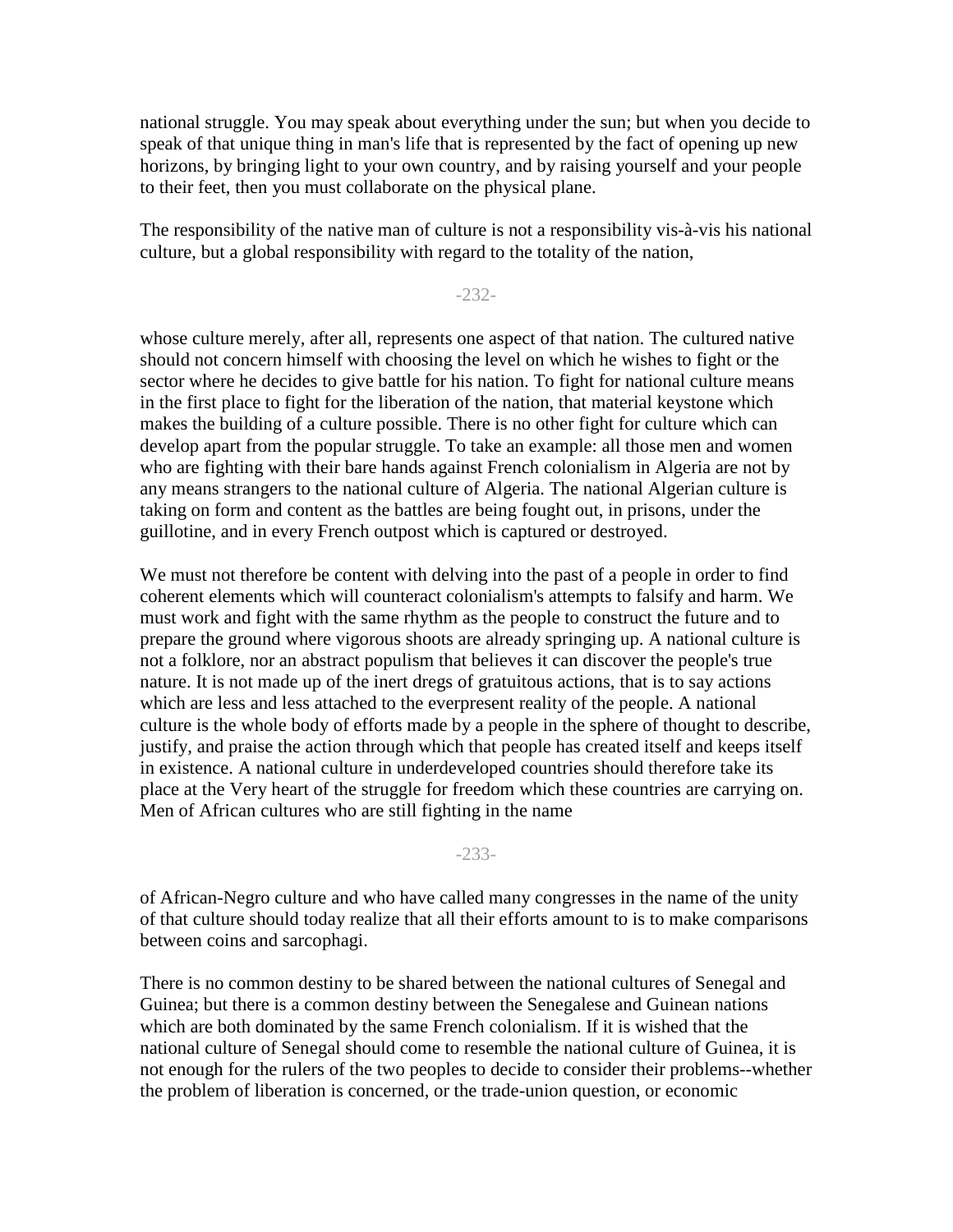national struggle. You may speak about everything under the sun; but when you decide to speak of that unique thing in man's life that is represented by the fact of opening up new horizons, by bringing light to your own country, and by raising yourself and your people to their feet, then you must collaborate on the physical plane.

The responsibility of the native man of culture is not a responsibility vis-à-vis his national culture, but a global responsibility with regard to the totality of the nation,

-232-

whose culture merely, after all, represents one aspect of that nation. The cultured native should not concern himself with choosing the level on which he wishes to fight or the sector where he decides to give battle for his nation. To fight for national culture means in the first place to fight for the liberation of the nation, that material keystone which makes the building of a culture possible. There is no other fight for culture which can develop apart from the popular struggle. To take an example: all those men and women who are fighting with their bare hands against French colonialism in Algeria are not by any means strangers to the national culture of Algeria. The national Algerian culture is taking on form and content as the battles are being fought out, in prisons, under the guillotine, and in every French outpost which is captured or destroyed.

We must not therefore be content with delving into the past of a people in order to find coherent elements which will counteract colonialism's attempts to falsify and harm. We must work and fight with the same rhythm as the people to construct the future and to prepare the ground where vigorous shoots are already springing up. A national culture is not a folklore, nor an abstract populism that believes it can discover the people's true nature. It is not made up of the inert dregs of gratuitous actions, that is to say actions which are less and less attached to the everpresent reality of the people. A national culture is the whole body of efforts made by a people in the sphere of thought to describe, justify, and praise the action through which that people has created itself and keeps itself in existence. A national culture in underdeveloped countries should therefore take its place at the Very heart of the struggle for freedom which these countries are carrying on. Men of African cultures who are still fighting in the name

-233-

of African-Negro culture and who have called many congresses in the name of the unity of that culture should today realize that all their efforts amount to is to make comparisons between coins and sarcophagi.

There is no common destiny to be shared between the national cultures of Senegal and Guinea; but there is a common destiny between the Senegalese and Guinean nations which are both dominated by the same French colonialism. If it is wished that the national culture of Senegal should come to resemble the national culture of Guinea, it is not enough for the rulers of the two peoples to decide to consider their problems--whether the problem of liberation is concerned, or the trade-union question, or economic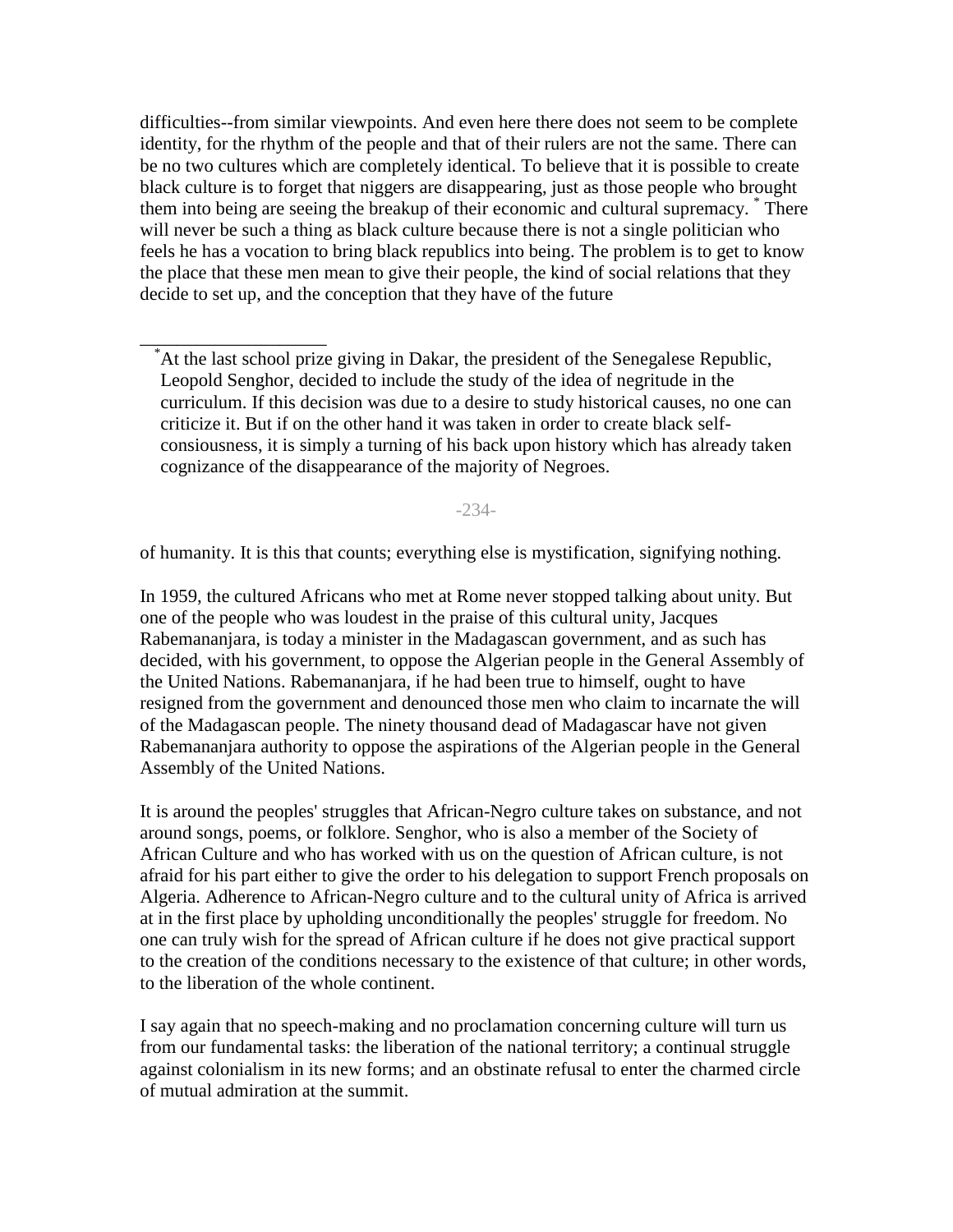difficulties--from similar viewpoints. And even here there does not seem to be complete identity, for the rhythm of the people and that of their rulers are not the same. There can be no two cultures which are completely identical. To believe that it is possible to create black culture is to forget that niggers are disappearing, just as those people who brought them into being are seeing the breakup of their economic and cultural supremacy. \* There will never be such a thing as black culture because there is not a single politician who feels he has a vocation to bring black republics into being. The problem is to get to know the place that these men mean to give their people, the kind of social relations that they decide to set up, and the conception that they have of the future

\_\_\_\_\_\_\_\_\_\_\_\_\_\_\_\_\_\_\_\_

-234-

of humanity. It is this that counts; everything else is mystification, signifying nothing.

In 1959, the cultured Africans who met at Rome never stopped talking about unity. But one of the people who was loudest in the praise of this cultural unity, Jacques Rabemananjara, is today a minister in the Madagascan government, and as such has decided, with his government, to oppose the Algerian people in the General Assembly of the United Nations. Rabemananjara, if he had been true to himself, ought to have resigned from the government and denounced those men who claim to incarnate the will of the Madagascan people. The ninety thousand dead of Madagascar have not given Rabemananjara authority to oppose the aspirations of the Algerian people in the General Assembly of the United Nations.

It is around the peoples' struggles that African-Negro culture takes on substance, and not around songs, poems, or folklore. Senghor, who is also a member of the Society of African Culture and who has worked with us on the question of African culture, is not afraid for his part either to give the order to his delegation to support French proposals on Algeria. Adherence to African-Negro culture and to the cultural unity of Africa is arrived at in the first place by upholding unconditionally the peoples' struggle for freedom. No one can truly wish for the spread of African culture if he does not give practical support to the creation of the conditions necessary to the existence of that culture; in other words, to the liberation of the whole continent.

I say again that no speech-making and no proclamation concerning culture will turn us from our fundamental tasks: the liberation of the national territory; a continual struggle against colonialism in its new forms; and an obstinate refusal to enter the charmed circle of mutual admiration at the summit.

<sup>\*</sup>At the last school prize giving in Dakar, the president of the Senegalese Republic, Leopold Senghor, decided to include the study of the idea of negritude in the curriculum. If this decision was due to a desire to study historical causes, no one can criticize it. But if on the other hand it was taken in order to create black selfconsiousness, it is simply a turning of his back upon history which has already taken cognizance of the disappearance of the majority of Negroes.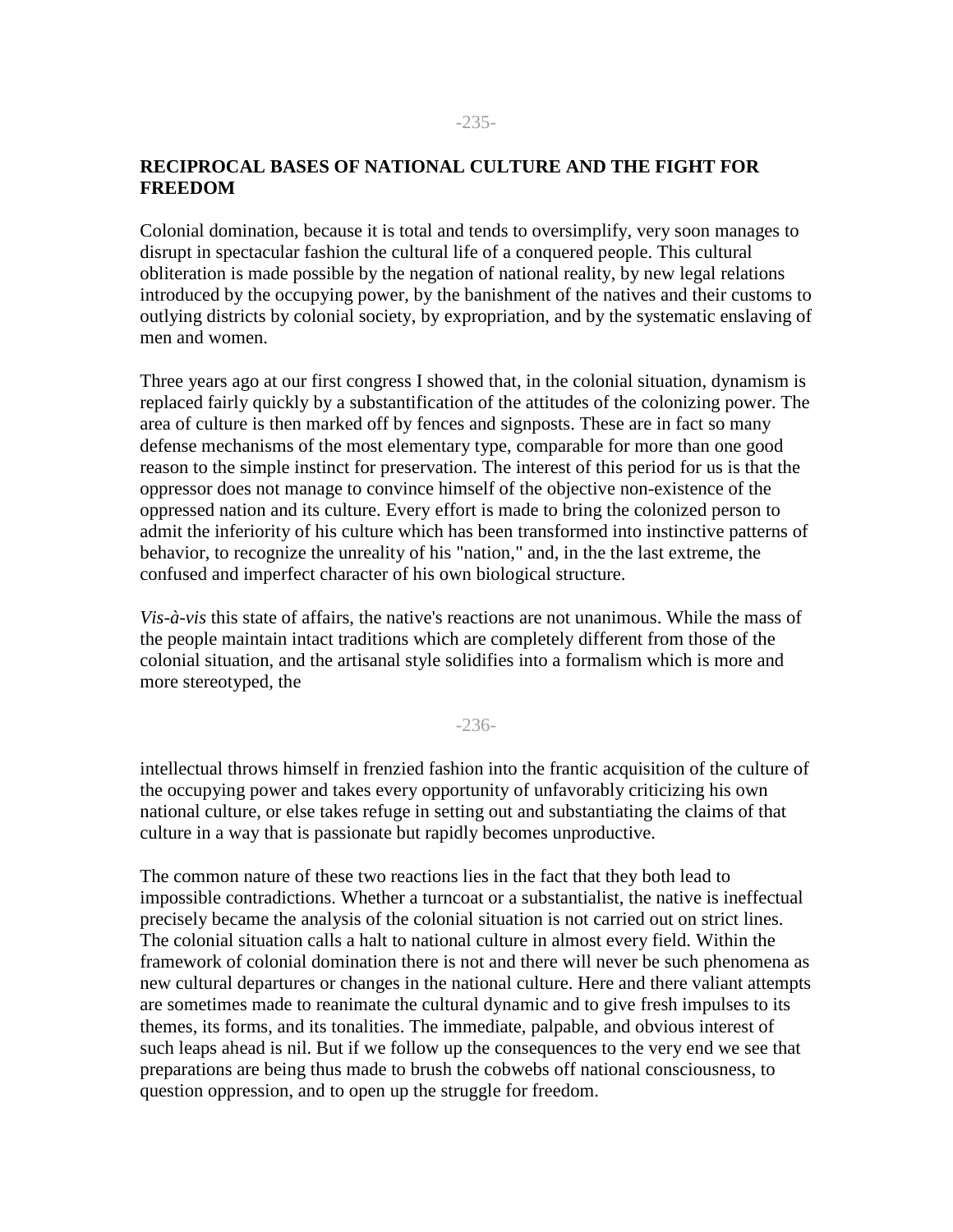# **RECIPROCAL BASES OF NATIONAL CULTURE AND THE FIGHT FOR FREEDOM**

Colonial domination, because it is total and tends to oversimplify, very soon manages to disrupt in spectacular fashion the cultural life of a conquered people. This cultural obliteration is made possible by the negation of national reality, by new legal relations introduced by the occupying power, by the banishment of the natives and their customs to outlying districts by colonial society, by expropriation, and by the systematic enslaving of men and women.

Three years ago at our first congress I showed that, in the colonial situation, dynamism is replaced fairly quickly by a substantification of the attitudes of the colonizing power. The area of culture is then marked off by fences and signposts. These are in fact so many defense mechanisms of the most elementary type, comparable for more than one good reason to the simple instinct for preservation. The interest of this period for us is that the oppressor does not manage to convince himself of the objective non-existence of the oppressed nation and its culture. Every effort is made to bring the colonized person to admit the inferiority of his culture which has been transformed into instinctive patterns of behavior, to recognize the unreality of his "nation," and, in the the last extreme, the confused and imperfect character of his own biological structure.

*Vis-à-vis* this state of affairs, the native's reactions are not unanimous. While the mass of the people maintain intact traditions which are completely different from those of the colonial situation, and the artisanal style solidifies into a formalism which is more and more stereotyped, the

#### -236-

intellectual throws himself in frenzied fashion into the frantic acquisition of the culture of the occupying power and takes every opportunity of unfavorably criticizing his own national culture, or else takes refuge in setting out and substantiating the claims of that culture in a way that is passionate but rapidly becomes unproductive.

The common nature of these two reactions lies in the fact that they both lead to impossible contradictions. Whether a turncoat or a substantialist, the native is ineffectual precisely became the analysis of the colonial situation is not carried out on strict lines. The colonial situation calls a halt to national culture in almost every field. Within the framework of colonial domination there is not and there will never be such phenomena as new cultural departures or changes in the national culture. Here and there valiant attempts are sometimes made to reanimate the cultural dynamic and to give fresh impulses to its themes, its forms, and its tonalities. The immediate, palpable, and obvious interest of such leaps ahead is nil. But if we follow up the consequences to the very end we see that preparations are being thus made to brush the cobwebs off national consciousness, to question oppression, and to open up the struggle for freedom.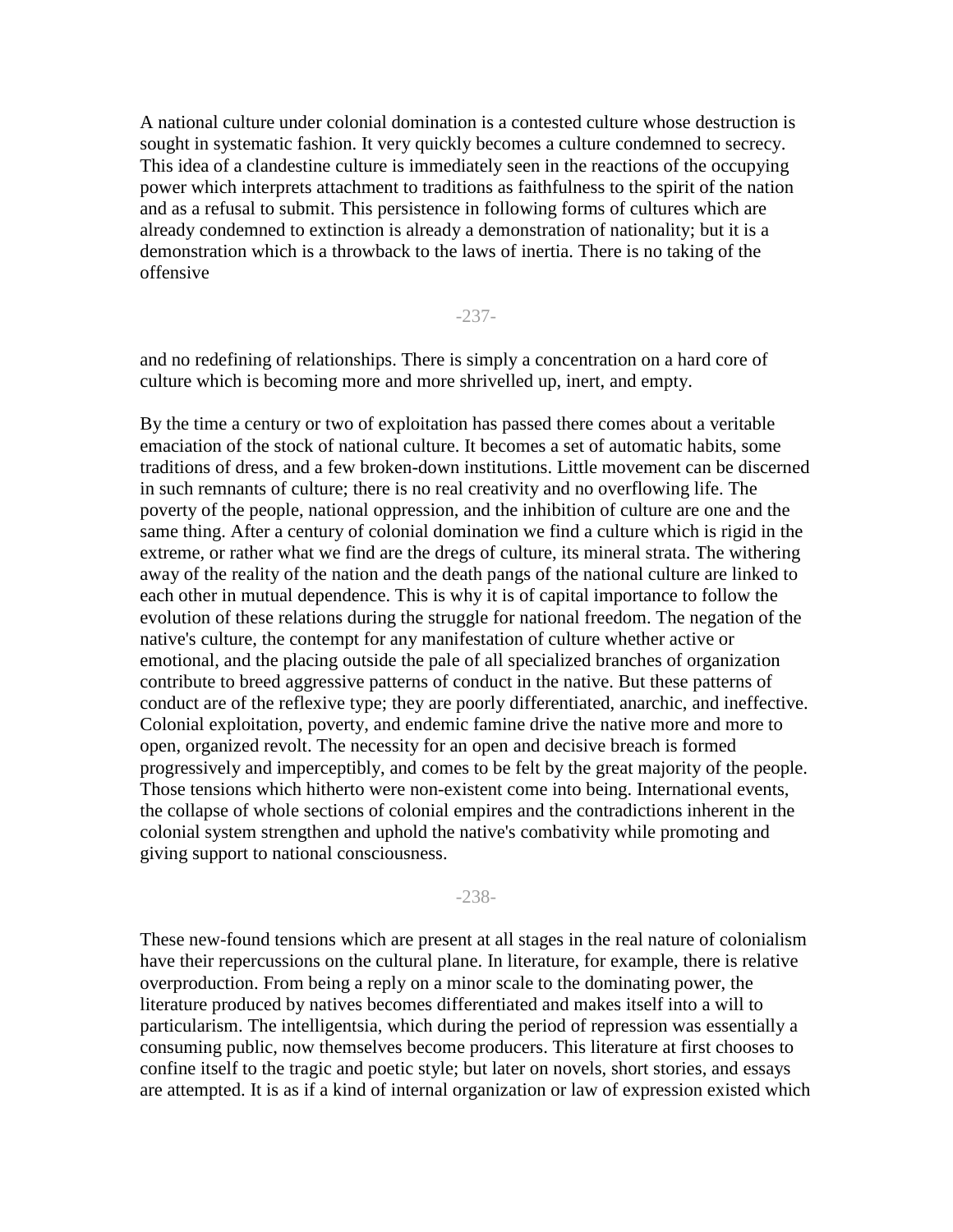A national culture under colonial domination is a contested culture whose destruction is sought in systematic fashion. It very quickly becomes a culture condemned to secrecy. This idea of a clandestine culture is immediately seen in the reactions of the occupying power which interprets attachment to traditions as faithfulness to the spirit of the nation and as a refusal to submit. This persistence in following forms of cultures which are already condemned to extinction is already a demonstration of nationality; but it is a demonstration which is a throwback to the laws of inertia. There is no taking of the offensive

-237-

and no redefining of relationships. There is simply a concentration on a hard core of culture which is becoming more and more shrivelled up, inert, and empty.

By the time a century or two of exploitation has passed there comes about a veritable emaciation of the stock of national culture. It becomes a set of automatic habits, some traditions of dress, and a few broken-down institutions. Little movement can be discerned in such remnants of culture; there is no real creativity and no overflowing life. The poverty of the people, national oppression, and the inhibition of culture are one and the same thing. After a century of colonial domination we find a culture which is rigid in the extreme, or rather what we find are the dregs of culture, its mineral strata. The withering away of the reality of the nation and the death pangs of the national culture are linked to each other in mutual dependence. This is why it is of capital importance to follow the evolution of these relations during the struggle for national freedom. The negation of the native's culture, the contempt for any manifestation of culture whether active or emotional, and the placing outside the pale of all specialized branches of organization contribute to breed aggressive patterns of conduct in the native. But these patterns of conduct are of the reflexive type; they are poorly differentiated, anarchic, and ineffective. Colonial exploitation, poverty, and endemic famine drive the native more and more to open, organized revolt. The necessity for an open and decisive breach is formed progressively and imperceptibly, and comes to be felt by the great majority of the people. Those tensions which hitherto were non-existent come into being. International events, the collapse of whole sections of colonial empires and the contradictions inherent in the colonial system strengthen and uphold the native's combativity while promoting and giving support to national consciousness.

-238-

These new-found tensions which are present at all stages in the real nature of colonialism have their repercussions on the cultural plane. In literature, for example, there is relative overproduction. From being a reply on a minor scale to the dominating power, the literature produced by natives becomes differentiated and makes itself into a will to particularism. The intelligentsia, which during the period of repression was essentially a consuming public, now themselves become producers. This literature at first chooses to confine itself to the tragic and poetic style; but later on novels, short stories, and essays are attempted. It is as if a kind of internal organization or law of expression existed which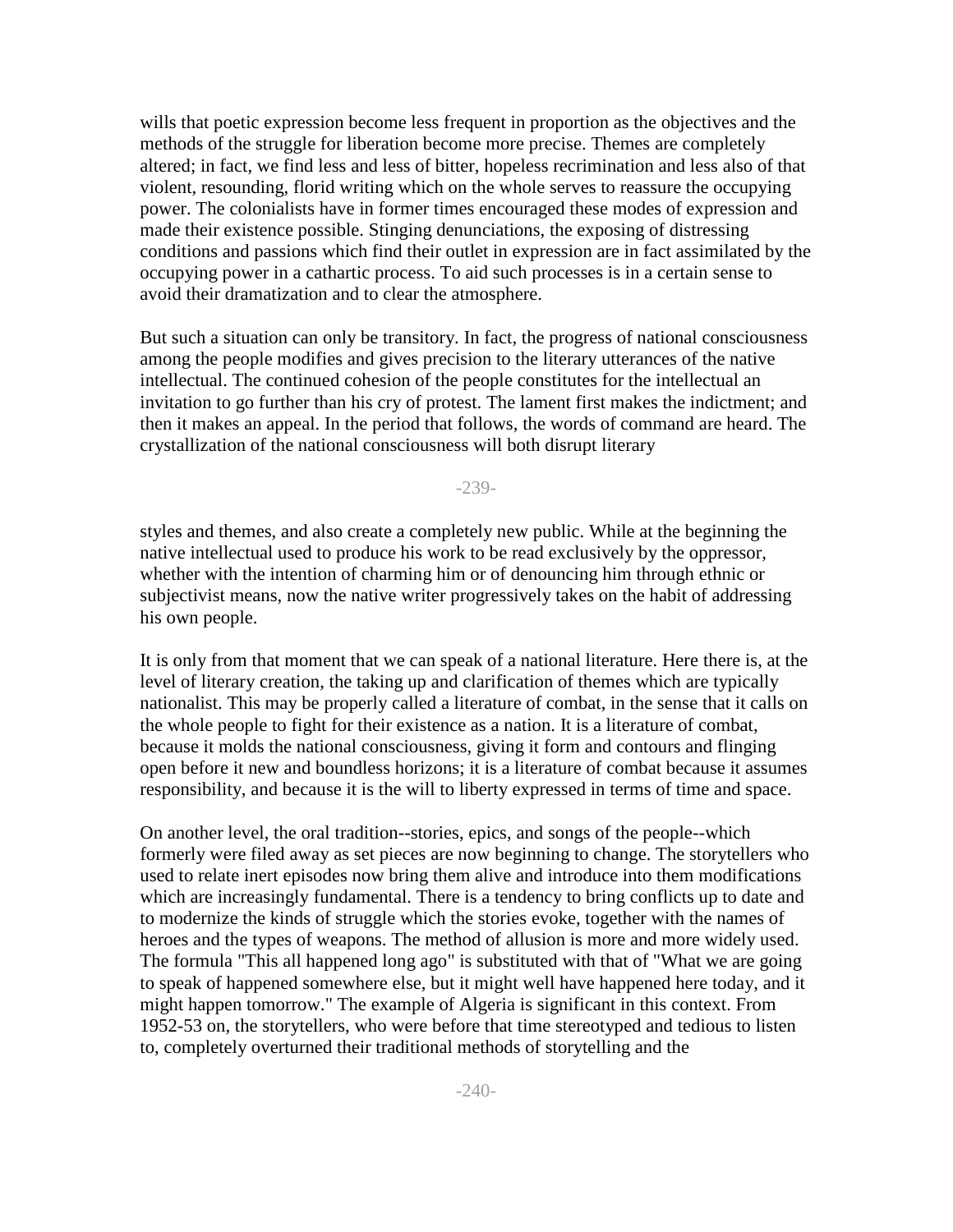wills that poetic expression become less frequent in proportion as the objectives and the methods of the struggle for liberation become more precise. Themes are completely altered; in fact, we find less and less of bitter, hopeless recrimination and less also of that violent, resounding, florid writing which on the whole serves to reassure the occupying power. The colonialists have in former times encouraged these modes of expression and made their existence possible. Stinging denunciations, the exposing of distressing conditions and passions which find their outlet in expression are in fact assimilated by the occupying power in a cathartic process. To aid such processes is in a certain sense to avoid their dramatization and to clear the atmosphere.

But such a situation can only be transitory. In fact, the progress of national consciousness among the people modifies and gives precision to the literary utterances of the native intellectual. The continued cohesion of the people constitutes for the intellectual an invitation to go further than his cry of protest. The lament first makes the indictment; and then it makes an appeal. In the period that follows, the words of command are heard. The crystallization of the national consciousness will both disrupt literary

-239-

styles and themes, and also create a completely new public. While at the beginning the native intellectual used to produce his work to be read exclusively by the oppressor, whether with the intention of charming him or of denouncing him through ethnic or subjectivist means, now the native writer progressively takes on the habit of addressing his own people.

It is only from that moment that we can speak of a national literature. Here there is, at the level of literary creation, the taking up and clarification of themes which are typically nationalist. This may be properly called a literature of combat, in the sense that it calls on the whole people to fight for their existence as a nation. It is a literature of combat, because it molds the national consciousness, giving it form and contours and flinging open before it new and boundless horizons; it is a literature of combat because it assumes responsibility, and because it is the will to liberty expressed in terms of time and space.

On another level, the oral tradition--stories, epics, and songs of the people--which formerly were filed away as set pieces are now beginning to change. The storytellers who used to relate inert episodes now bring them alive and introduce into them modifications which are increasingly fundamental. There is a tendency to bring conflicts up to date and to modernize the kinds of struggle which the stories evoke, together with the names of heroes and the types of weapons. The method of allusion is more and more widely used. The formula "This all happened long ago" is substituted with that of "What we are going to speak of happened somewhere else, but it might well have happened here today, and it might happen tomorrow." The example of Algeria is significant in this context. From 1952-53 on, the storytellers, who were before that time stereotyped and tedious to listen to, completely overturned their traditional methods of storytelling and the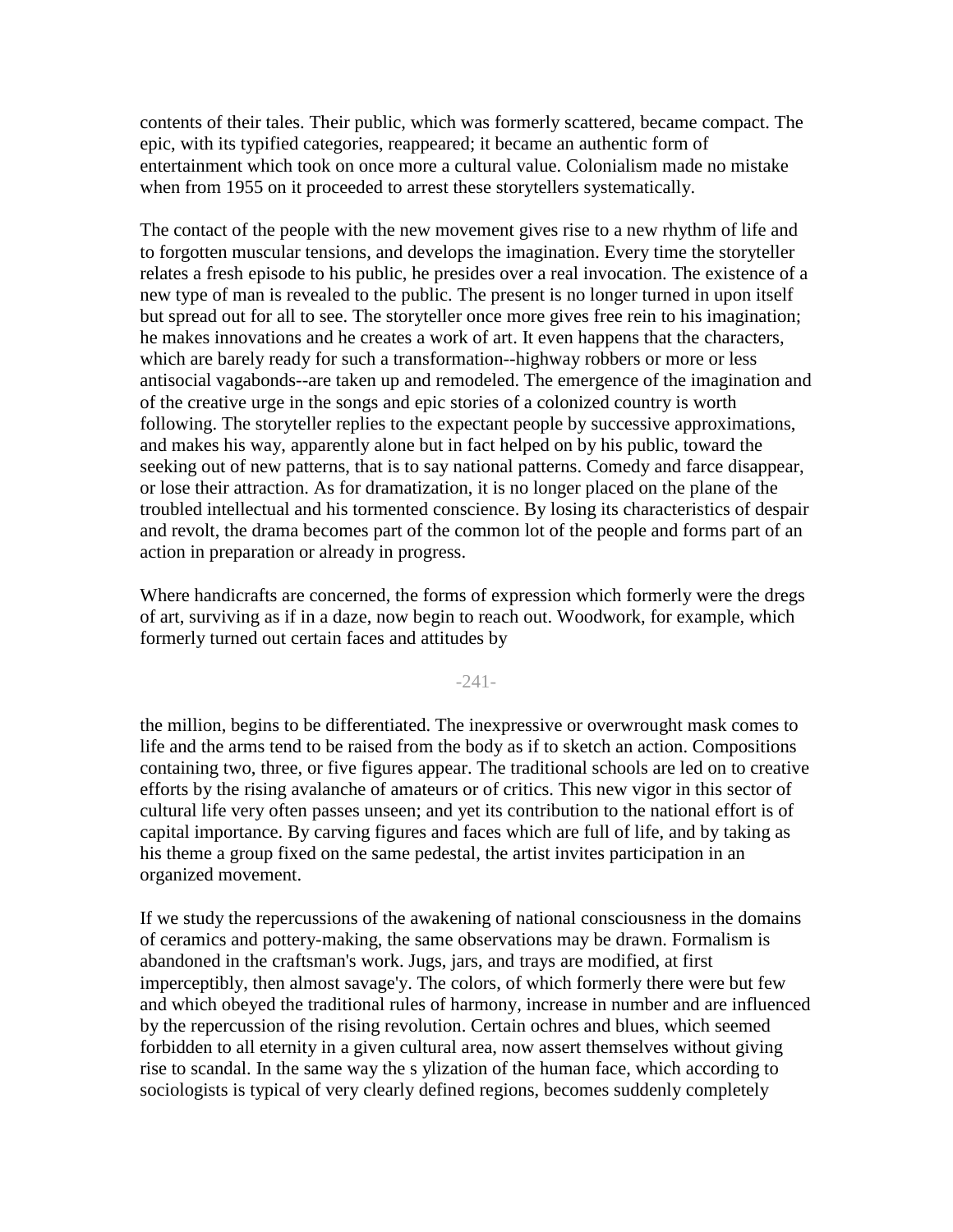contents of their tales. Their public, which was formerly scattered, became compact. The epic, with its typified categories, reappeared; it became an authentic form of entertainment which took on once more a cultural value. Colonialism made no mistake when from 1955 on it proceeded to arrest these storytellers systematically.

The contact of the people with the new movement gives rise to a new rhythm of life and to forgotten muscular tensions, and develops the imagination. Every time the storyteller relates a fresh episode to his public, he presides over a real invocation. The existence of a new type of man is revealed to the public. The present is no longer turned in upon itself but spread out for all to see. The storyteller once more gives free rein to his imagination; he makes innovations and he creates a work of art. It even happens that the characters, which are barely ready for such a transformation--highway robbers or more or less antisocial vagabonds--are taken up and remodeled. The emergence of the imagination and of the creative urge in the songs and epic stories of a colonized country is worth following. The storyteller replies to the expectant people by successive approximations, and makes his way, apparently alone but in fact helped on by his public, toward the seeking out of new patterns, that is to say national patterns. Comedy and farce disappear, or lose their attraction. As for dramatization, it is no longer placed on the plane of the troubled intellectual and his tormented conscience. By losing its characteristics of despair and revolt, the drama becomes part of the common lot of the people and forms part of an action in preparation or already in progress.

Where handicrafts are concerned, the forms of expression which formerly were the dregs of art, surviving as if in a daze, now begin to reach out. Woodwork, for example, which formerly turned out certain faces and attitudes by

-241-

the million, begins to be differentiated. The inexpressive or overwrought mask comes to life and the arms tend to be raised from the body as if to sketch an action. Compositions containing two, three, or five figures appear. The traditional schools are led on to creative efforts by the rising avalanche of amateurs or of critics. This new vigor in this sector of cultural life very often passes unseen; and yet its contribution to the national effort is of capital importance. By carving figures and faces which are full of life, and by taking as his theme a group fixed on the same pedestal, the artist invites participation in an organized movement.

If we study the repercussions of the awakening of national consciousness in the domains of ceramics and pottery-making, the same observations may be drawn. Formalism is abandoned in the craftsman's work. Jugs, jars, and trays are modified, at first imperceptibly, then almost savage'y. The colors, of which formerly there were but few and which obeyed the traditional rules of harmony, increase in number and are influenced by the repercussion of the rising revolution. Certain ochres and blues, which seemed forbidden to all eternity in a given cultural area, now assert themselves without giving rise to scandal. In the same way the s ylization of the human face, which according to sociologists is typical of very clearly defined regions, becomes suddenly completely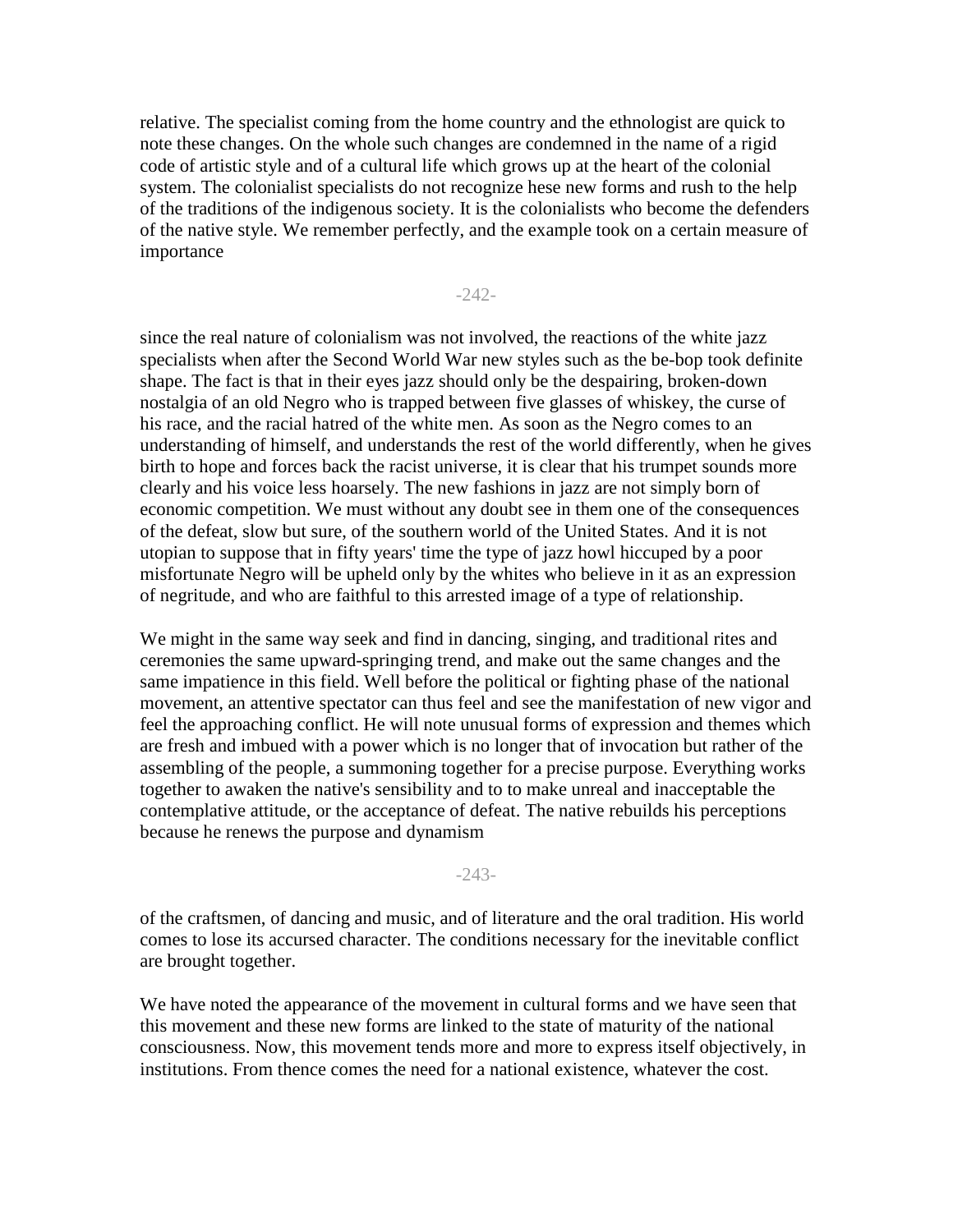relative. The specialist coming from the home country and the ethnologist are quick to note these changes. On the whole such changes are condemned in the name of a rigid code of artistic style and of a cultural life which grows up at the heart of the colonial system. The colonialist specialists do not recognize hese new forms and rush to the help of the traditions of the indigenous society. It is the colonialists who become the defenders of the native style. We remember perfectly, and the example took on a certain measure of importance

-242-

since the real nature of colonialism was not involved, the reactions of the white jazz specialists when after the Second World War new styles such as the be-bop took definite shape. The fact is that in their eyes jazz should only be the despairing, broken-down nostalgia of an old Negro who is trapped between five glasses of whiskey, the curse of his race, and the racial hatred of the white men. As soon as the Negro comes to an understanding of himself, and understands the rest of the world differently, when he gives birth to hope and forces back the racist universe, it is clear that his trumpet sounds more clearly and his voice less hoarsely. The new fashions in jazz are not simply born of economic competition. We must without any doubt see in them one of the consequences of the defeat, slow but sure, of the southern world of the United States. And it is not utopian to suppose that in fifty years' time the type of jazz howl hiccuped by a poor misfortunate Negro will be upheld only by the whites who believe in it as an expression of negritude, and who are faithful to this arrested image of a type of relationship.

We might in the same way seek and find in dancing, singing, and traditional rites and ceremonies the same upward-springing trend, and make out the same changes and the same impatience in this field. Well before the political or fighting phase of the national movement, an attentive spectator can thus feel and see the manifestation of new vigor and feel the approaching conflict. He will note unusual forms of expression and themes which are fresh and imbued with a power which is no longer that of invocation but rather of the assembling of the people, a summoning together for a precise purpose. Everything works together to awaken the native's sensibility and to to make unreal and inacceptable the contemplative attitude, or the acceptance of defeat. The native rebuilds his perceptions because he renews the purpose and dynamism

-243-

of the craftsmen, of dancing and music, and of literature and the oral tradition. His world comes to lose its accursed character. The conditions necessary for the inevitable conflict are brought together.

We have noted the appearance of the movement in cultural forms and we have seen that this movement and these new forms are linked to the state of maturity of the national consciousness. Now, this movement tends more and more to express itself objectively, in institutions. From thence comes the need for a national existence, whatever the cost.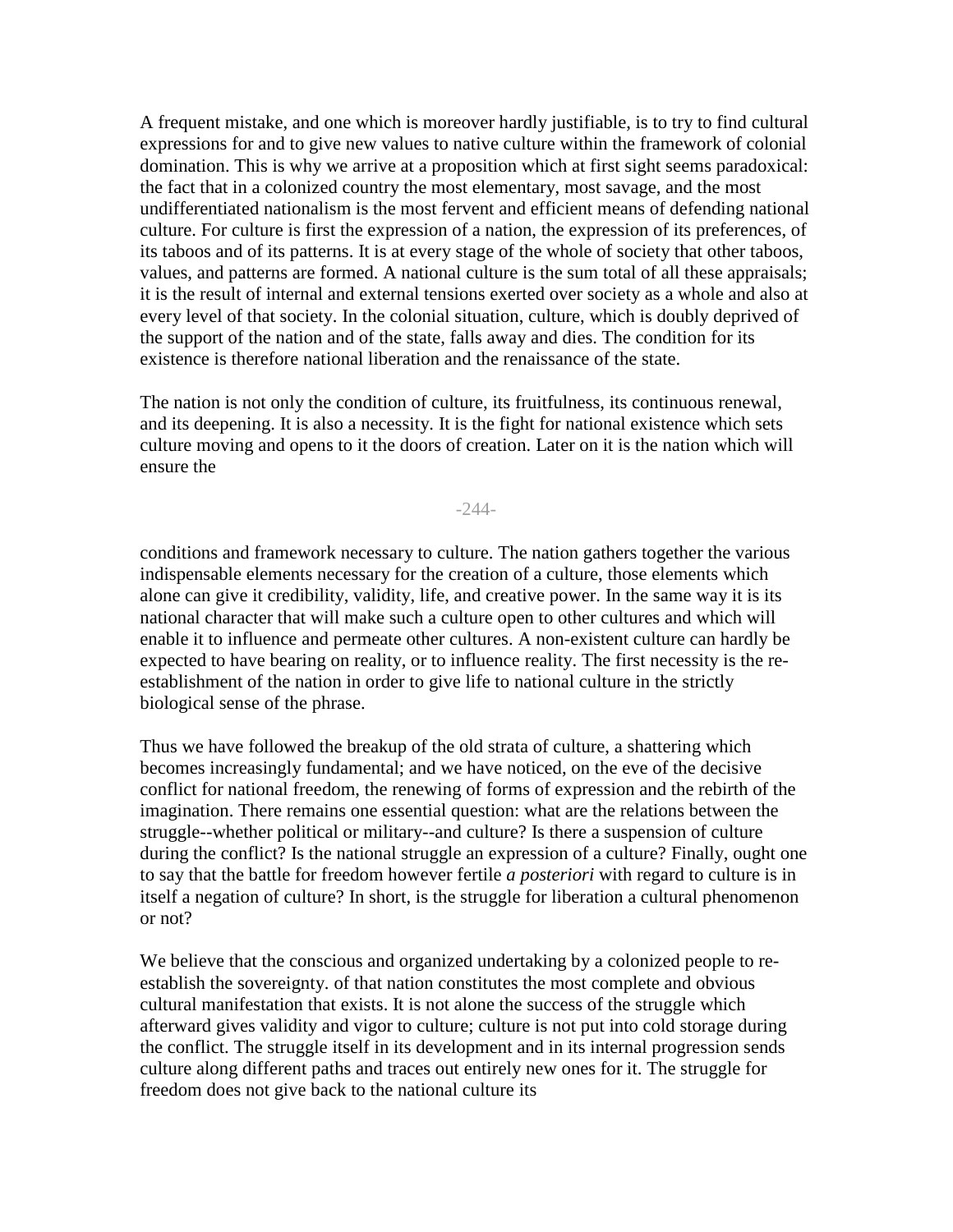A frequent mistake, and one which is moreover hardly justifiable, is to try to find cultural expressions for and to give new values to native culture within the framework of colonial domination. This is why we arrive at a proposition which at first sight seems paradoxical: the fact that in a colonized country the most elementary, most savage, and the most undifferentiated nationalism is the most fervent and efficient means of defending national culture. For culture is first the expression of a nation, the expression of its preferences, of its taboos and of its patterns. It is at every stage of the whole of society that other taboos, values, and patterns are formed. A national culture is the sum total of all these appraisals; it is the result of internal and external tensions exerted over society as a whole and also at every level of that society. In the colonial situation, culture, which is doubly deprived of the support of the nation and of the state, falls away and dies. The condition for its existence is therefore national liberation and the renaissance of the state.

The nation is not only the condition of culture, its fruitfulness, its continuous renewal, and its deepening. It is also a necessity. It is the fight for national existence which sets culture moving and opens to it the doors of creation. Later on it is the nation which will ensure the

-244-

conditions and framework necessary to culture. The nation gathers together the various indispensable elements necessary for the creation of a culture, those elements which alone can give it credibility, validity, life, and creative power. In the same way it is its national character that will make such a culture open to other cultures and which will enable it to influence and permeate other cultures. A non-existent culture can hardly be expected to have bearing on reality, or to influence reality. The first necessity is the reestablishment of the nation in order to give life to national culture in the strictly biological sense of the phrase.

Thus we have followed the breakup of the old strata of culture, a shattering which becomes increasingly fundamental; and we have noticed, on the eve of the decisive conflict for national freedom, the renewing of forms of expression and the rebirth of the imagination. There remains one essential question: what are the relations between the struggle--whether political or military--and culture? Is there a suspension of culture during the conflict? Is the national struggle an expression of a culture? Finally, ought one to say that the battle for freedom however fertile *a posteriori* with regard to culture is in itself a negation of culture? In short, is the struggle for liberation a cultural phenomenon or not?

We believe that the conscious and organized undertaking by a colonized people to reestablish the sovereignty. of that nation constitutes the most complete and obvious cultural manifestation that exists. It is not alone the success of the struggle which afterward gives validity and vigor to culture; culture is not put into cold storage during the conflict. The struggle itself in its development and in its internal progression sends culture along different paths and traces out entirely new ones for it. The struggle for freedom does not give back to the national culture its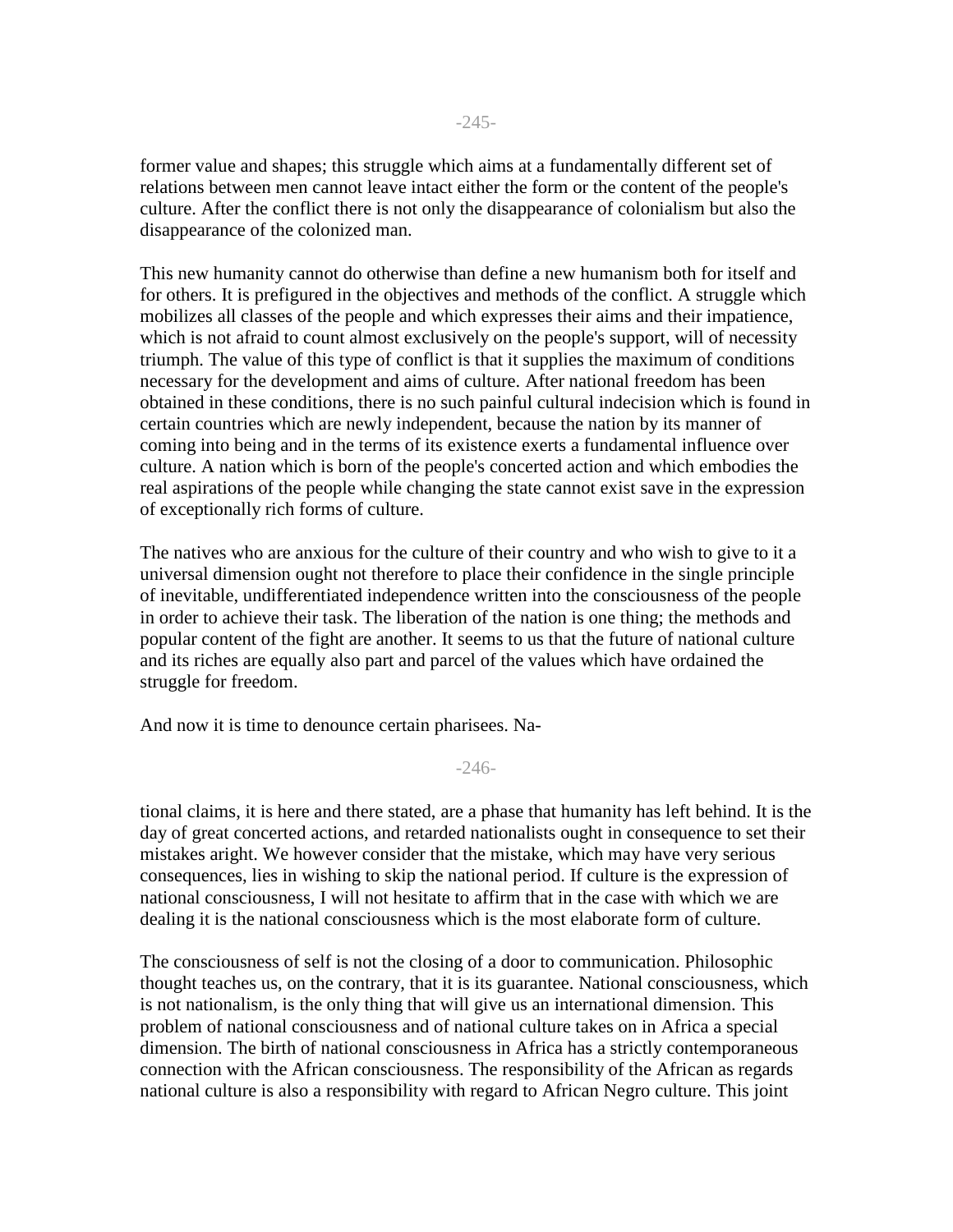former value and shapes; this struggle which aims at a fundamentally different set of relations between men cannot leave intact either the form or the content of the people's culture. After the conflict there is not only the disappearance of colonialism but also the disappearance of the colonized man.

This new humanity cannot do otherwise than define a new humanism both for itself and for others. It is prefigured in the objectives and methods of the conflict. A struggle which mobilizes all classes of the people and which expresses their aims and their impatience, which is not afraid to count almost exclusively on the people's support, will of necessity triumph. The value of this type of conflict is that it supplies the maximum of conditions necessary for the development and aims of culture. After national freedom has been obtained in these conditions, there is no such painful cultural indecision which is found in certain countries which are newly independent, because the nation by its manner of coming into being and in the terms of its existence exerts a fundamental influence over culture. A nation which is born of the people's concerted action and which embodies the real aspirations of the people while changing the state cannot exist save in the expression of exceptionally rich forms of culture.

The natives who are anxious for the culture of their country and who wish to give to it a universal dimension ought not therefore to place their confidence in the single principle of inevitable, undifferentiated independence written into the consciousness of the people in order to achieve their task. The liberation of the nation is one thing; the methods and popular content of the fight are another. It seems to us that the future of national culture and its riches are equally also part and parcel of the values which have ordained the struggle for freedom.

And now it is time to denounce certain pharisees. Na-

-246-

tional claims, it is here and there stated, are a phase that humanity has left behind. It is the day of great concerted actions, and retarded nationalists ought in consequence to set their mistakes aright. We however consider that the mistake, which may have very serious consequences, lies in wishing to skip the national period. If culture is the expression of national consciousness, I will not hesitate to affirm that in the case with which we are dealing it is the national consciousness which is the most elaborate form of culture.

The consciousness of self is not the closing of a door to communication. Philosophic thought teaches us, on the contrary, that it is its guarantee. National consciousness, which is not nationalism, is the only thing that will give us an international dimension. This problem of national consciousness and of national culture takes on in Africa a special dimension. The birth of national consciousness in Africa has a strictly contemporaneous connection with the African consciousness. The responsibility of the African as regards national culture is also a responsibility with regard to African Negro culture. This joint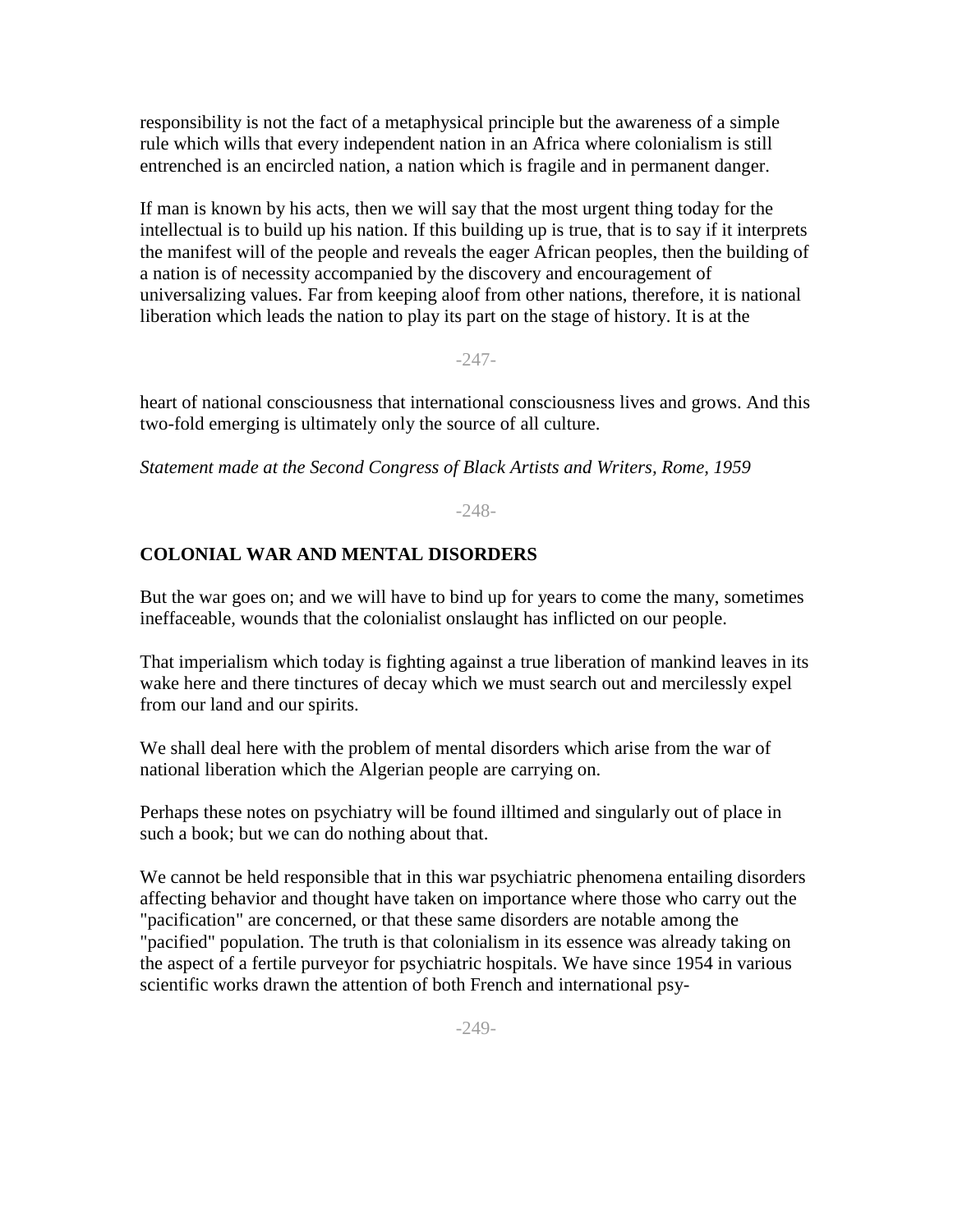responsibility is not the fact of a metaphysical principle but the awareness of a simple rule which wills that every independent nation in an Africa where colonialism is still entrenched is an encircled nation, a nation which is fragile and in permanent danger.

If man is known by his acts, then we will say that the most urgent thing today for the intellectual is to build up his nation. If this building up is true, that is to say if it interprets the manifest will of the people and reveals the eager African peoples, then the building of a nation is of necessity accompanied by the discovery and encouragement of universalizing values. Far from keeping aloof from other nations, therefore, it is national liberation which leads the nation to play its part on the stage of history. It is at the

-247-

heart of national consciousness that international consciousness lives and grows. And this two-fold emerging is ultimately only the source of all culture.

*Statement made at the Second Congress of Black Artists and Writers, Rome, 1959*

-248-

# **COLONIAL WAR AND MENTAL DISORDERS**

But the war goes on; and we will have to bind up for years to come the many, sometimes ineffaceable, wounds that the colonialist onslaught has inflicted on our people.

That imperialism which today is fighting against a true liberation of mankind leaves in its wake here and there tinctures of decay which we must search out and mercilessly expel from our land and our spirits.

We shall deal here with the problem of mental disorders which arise from the war of national liberation which the Algerian people are carrying on.

Perhaps these notes on psychiatry will be found illtimed and singularly out of place in such a book; but we can do nothing about that.

We cannot be held responsible that in this war psychiatric phenomena entailing disorders affecting behavior and thought have taken on importance where those who carry out the "pacification" are concerned, or that these same disorders are notable among the "pacified" population. The truth is that colonialism in its essence was already taking on the aspect of a fertile purveyor for psychiatric hospitals. We have since 1954 in various scientific works drawn the attention of both French and international psy-

-249-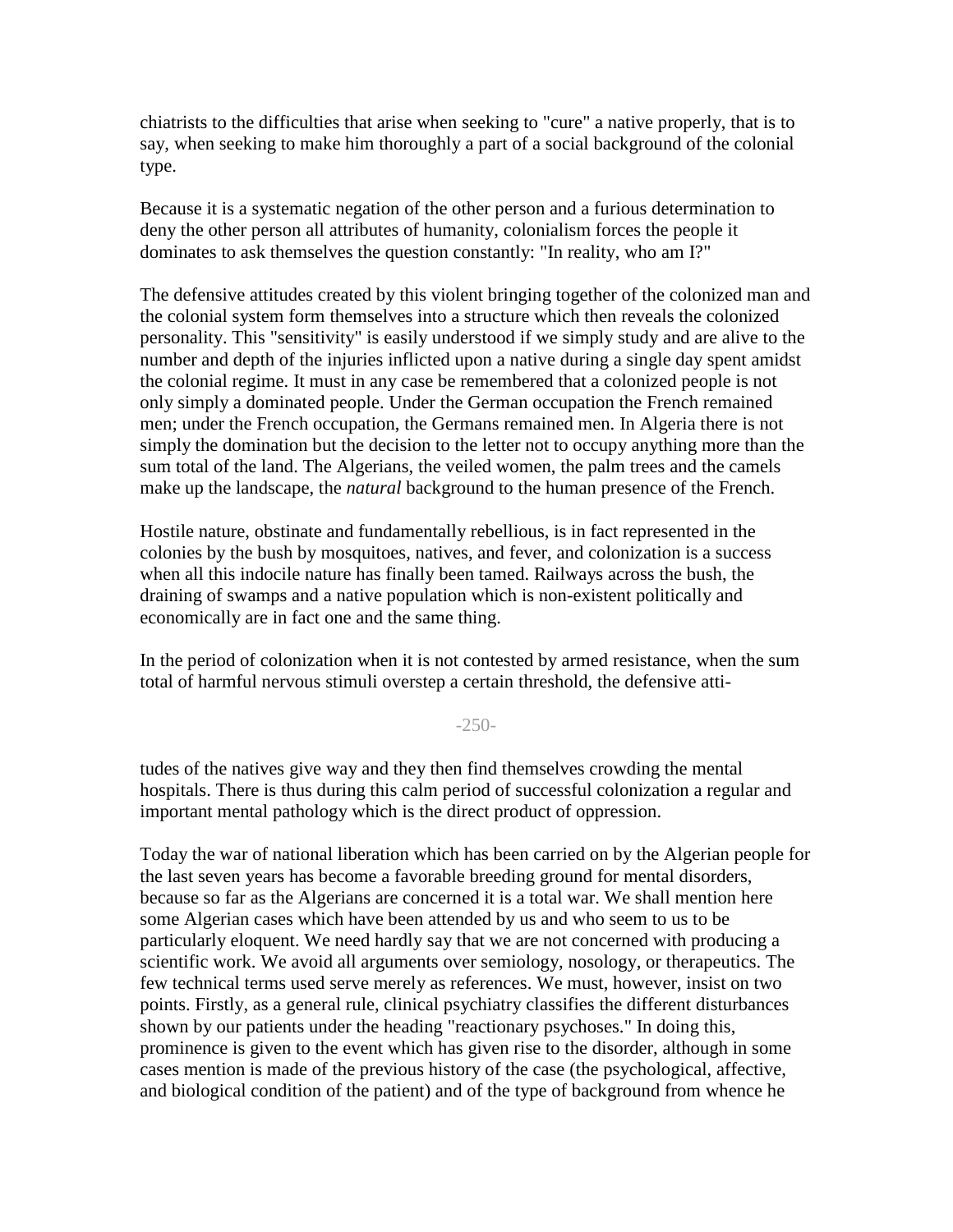chiatrists to the difficulties that arise when seeking to "cure" a native properly, that is to say, when seeking to make him thoroughly a part of a social background of the colonial type.

Because it is a systematic negation of the other person and a furious determination to deny the other person all attributes of humanity, colonialism forces the people it dominates to ask themselves the question constantly: "In reality, who am I?"

The defensive attitudes created by this violent bringing together of the colonized man and the colonial system form themselves into a structure which then reveals the colonized personality. This "sensitivity" is easily understood if we simply study and are alive to the number and depth of the injuries inflicted upon a native during a single day spent amidst the colonial regime. It must in any case be remembered that a colonized people is not only simply a dominated people. Under the German occupation the French remained men; under the French occupation, the Germans remained men. In Algeria there is not simply the domination but the decision to the letter not to occupy anything more than the sum total of the land. The Algerians, the veiled women, the palm trees and the camels make up the landscape, the *natural* background to the human presence of the French.

Hostile nature, obstinate and fundamentally rebellious, is in fact represented in the colonies by the bush by mosquitoes, natives, and fever, and colonization is a success when all this indocile nature has finally been tamed. Railways across the bush, the draining of swamps and a native population which is non-existent politically and economically are in fact one and the same thing.

In the period of colonization when it is not contested by armed resistance, when the sum total of harmful nervous stimuli overstep a certain threshold, the defensive atti-

#### -250-

tudes of the natives give way and they then find themselves crowding the mental hospitals. There is thus during this calm period of successful colonization a regular and important mental pathology which is the direct product of oppression.

Today the war of national liberation which has been carried on by the Algerian people for the last seven years has become a favorable breeding ground for mental disorders, because so far as the Algerians are concerned it is a total war. We shall mention here some Algerian cases which have been attended by us and who seem to us to be particularly eloquent. We need hardly say that we are not concerned with producing a scientific work. We avoid all arguments over semiology, nosology, or therapeutics. The few technical terms used serve merely as references. We must, however, insist on two points. Firstly, as a general rule, clinical psychiatry classifies the different disturbances shown by our patients under the heading "reactionary psychoses." In doing this, prominence is given to the event which has given rise to the disorder, although in some cases mention is made of the previous history of the case (the psychological, affective, and biological condition of the patient) and of the type of background from whence he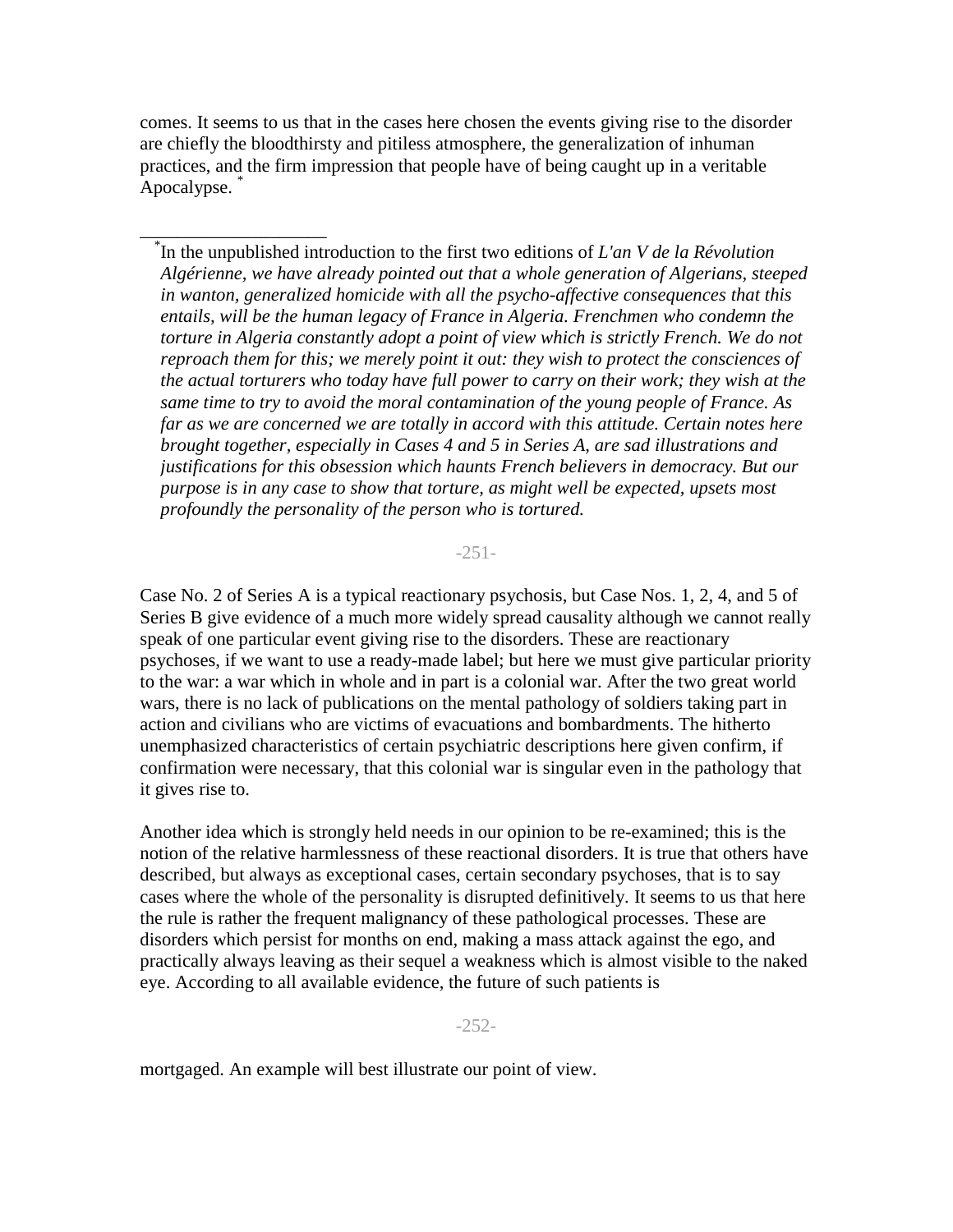comes. It seems to us that in the cases here chosen the events giving rise to the disorder are chiefly the bloodthirsty and pitiless atmosphere, the generalization of inhuman practices, and the firm impression that people have of being caught up in a veritable Apocalypse.

\_\_\_\_\_\_\_\_\_\_\_\_\_\_\_\_\_\_\_\_

\* In the unpublished introduction to the first two editions of *L'an V de la Révolution Algérienne, we have already pointed out that a whole generation of Algerians, steeped in wanton, generalized homicide with all the psycho-affective consequences that this entails, will be the human legacy of France in Algeria. Frenchmen who condemn the torture in Algeria constantly adopt a point of view which is strictly French. We do not reproach them for this; we merely point it out: they wish to protect the consciences of the actual torturers who today have full power to carry on their work; they wish at the same time to try to avoid the moral contamination of the young people of France. As far as we are concerned we are totally in accord with this attitude. Certain notes here brought together, especially in Cases 4 and 5 in Series A, are sad illustrations and justifications for this obsession which haunts French believers in democracy. But our purpose is in any case to show that torture, as might well be expected, upsets most profoundly the personality of the person who is tortured.* 

-251-

Case No. 2 of Series A is a typical reactionary psychosis, but Case Nos. 1, 2, 4, and 5 of Series B give evidence of a much more widely spread causality although we cannot really speak of one particular event giving rise to the disorders. These are reactionary psychoses, if we want to use a ready-made label; but here we must give particular priority to the war: a war which in whole and in part is a colonial war. After the two great world wars, there is no lack of publications on the mental pathology of soldiers taking part in action and civilians who are victims of evacuations and bombardments. The hitherto unemphasized characteristics of certain psychiatric descriptions here given confirm, if confirmation were necessary, that this colonial war is singular even in the pathology that it gives rise to.

Another idea which is strongly held needs in our opinion to be re-examined; this is the notion of the relative harmlessness of these reactional disorders. It is true that others have described, but always as exceptional cases, certain secondary psychoses, that is to say cases where the whole of the personality is disrupted definitively. It seems to us that here the rule is rather the frequent malignancy of these pathological processes. These are disorders which persist for months on end, making a mass attack against the ego, and practically always leaving as their sequel a weakness which is almost visible to the naked eye. According to all available evidence, the future of such patients is

-252-

mortgaged. An example will best illustrate our point of view.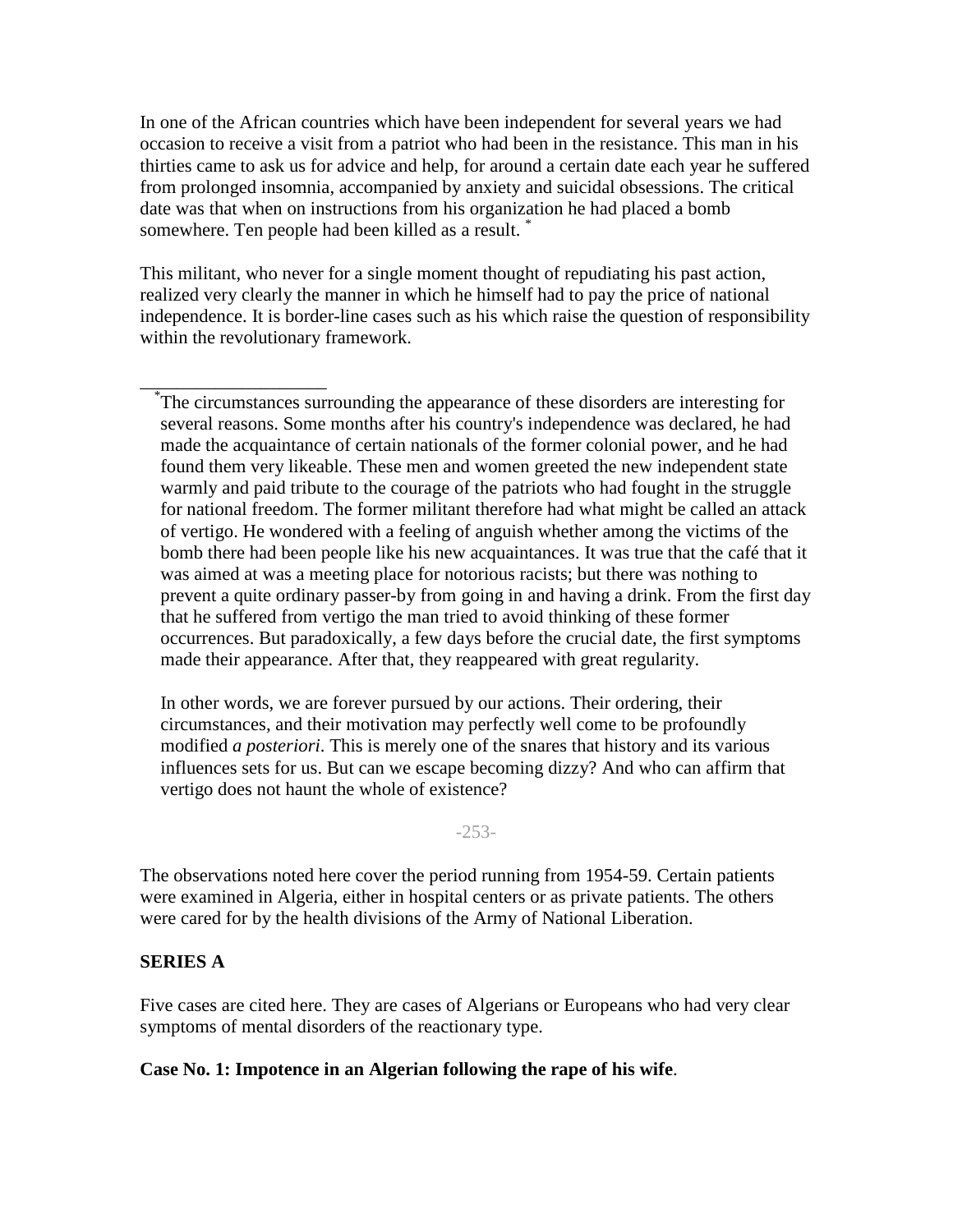In one of the African countries which have been independent for several years we had occasion to receive a visit from a patriot who had been in the resistance. This man in his thirties came to ask us for advice and help, for around a certain date each year he suffered from prolonged insomnia, accompanied by anxiety and suicidal obsessions. The critical date was that when on instructions from his organization he had placed a bomb somewhere. Ten people had been killed as a result.

This militant, who never for a single moment thought of repudiating his past action, realized very clearly the manner in which he himself had to pay the price of national independence. It is border-line cases such as his which raise the question of responsibility within the revolutionary framework.

\_\_\_\_\_\_\_\_\_\_\_\_\_\_\_\_\_\_\_\_ \* The circumstances surrounding the appearance of these disorders are interesting for several reasons. Some months after his country's independence was declared, he had made the acquaintance of certain nationals of the former colonial power, and he had found them very likeable. These men and women greeted the new independent state warmly and paid tribute to the courage of the patriots who had fought in the struggle for national freedom. The former militant therefore had what might be called an attack of vertigo. He wondered with a feeling of anguish whether among the victims of the bomb there had been people like his new acquaintances. It was true that the café that it was aimed at was a meeting place for notorious racists; but there was nothing to prevent a quite ordinary passer-by from going in and having a drink. From the first day that he suffered from vertigo the man tried to avoid thinking of these former occurrences. But paradoxically, a few days before the crucial date, the first symptoms made their appearance. After that, they reappeared with great regularity.

In other words, we are forever pursued by our actions. Their ordering, their circumstances, and their motivation may perfectly well come to be profoundly modified *a posteriori*. This is merely one of the snares that history and its various influences sets for us. But can we escape becoming dizzy? And who can affirm that vertigo does not haunt the whole of existence?

-253-

The observations noted here cover the period running from 1954-59. Certain patients were examined in Algeria, either in hospital centers or as private patients. The others were cared for by the health divisions of the Army of National Liberation.

# **SERIES A**

Five cases are cited here. They are cases of Algerians or Europeans who had very clear symptoms of mental disorders of the reactionary type.

## **Case No. 1: Impotence in an Algerian following the rape of his wife**.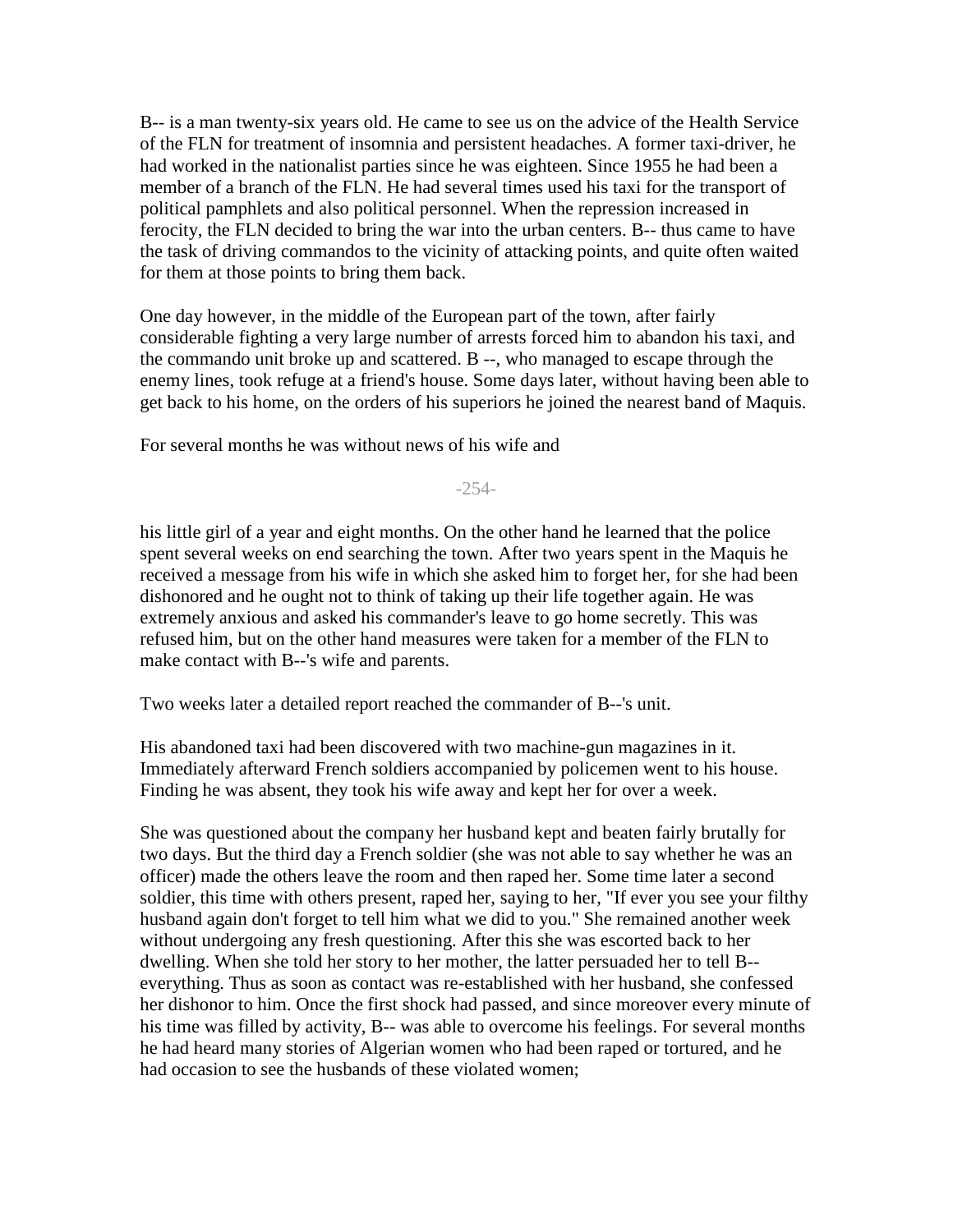B-- is a man twenty-six years old. He came to see us on the advice of the Health Service of the FLN for treatment of insomnia and persistent headaches. A former taxi-driver, he had worked in the nationalist parties since he was eighteen. Since 1955 he had been a member of a branch of the FLN. He had several times used his taxi for the transport of political pamphlets and also political personnel. When the repression increased in ferocity, the FLN decided to bring the war into the urban centers. B-- thus came to have the task of driving commandos to the vicinity of attacking points, and quite often waited for them at those points to bring them back.

One day however, in the middle of the European part of the town, after fairly considerable fighting a very large number of arrests forced him to abandon his taxi, and the commando unit broke up and scattered. B --, who managed to escape through the enemy lines, took refuge at a friend's house. Some days later, without having been able to get back to his home, on the orders of his superiors he joined the nearest band of Maquis.

For several months he was without news of his wife and

-254-

his little girl of a year and eight months. On the other hand he learned that the police spent several weeks on end searching the town. After two years spent in the Maquis he received a message from his wife in which she asked him to forget her, for she had been dishonored and he ought not to think of taking up their life together again. He was extremely anxious and asked his commander's leave to go home secretly. This was refused him, but on the other hand measures were taken for a member of the FLN to make contact with B--'s wife and parents.

Two weeks later a detailed report reached the commander of B--'s unit.

His abandoned taxi had been discovered with two machine-gun magazines in it. Immediately afterward French soldiers accompanied by policemen went to his house. Finding he was absent, they took his wife away and kept her for over a week.

She was questioned about the company her husband kept and beaten fairly brutally for two days. But the third day a French soldier (she was not able to say whether he was an officer) made the others leave the room and then raped her. Some time later a second soldier, this time with others present, raped her, saying to her, "If ever you see your filthy husband again don't forget to tell him what we did to you." She remained another week without undergoing any fresh questioning. After this she was escorted back to her dwelling. When she told her story to her mother, the latter persuaded her to tell B- everything. Thus as soon as contact was re-established with her husband, she confessed her dishonor to him. Once the first shock had passed, and since moreover every minute of his time was filled by activity, B-- was able to overcome his feelings. For several months he had heard many stories of Algerian women who had been raped or tortured, and he had occasion to see the husbands of these violated women;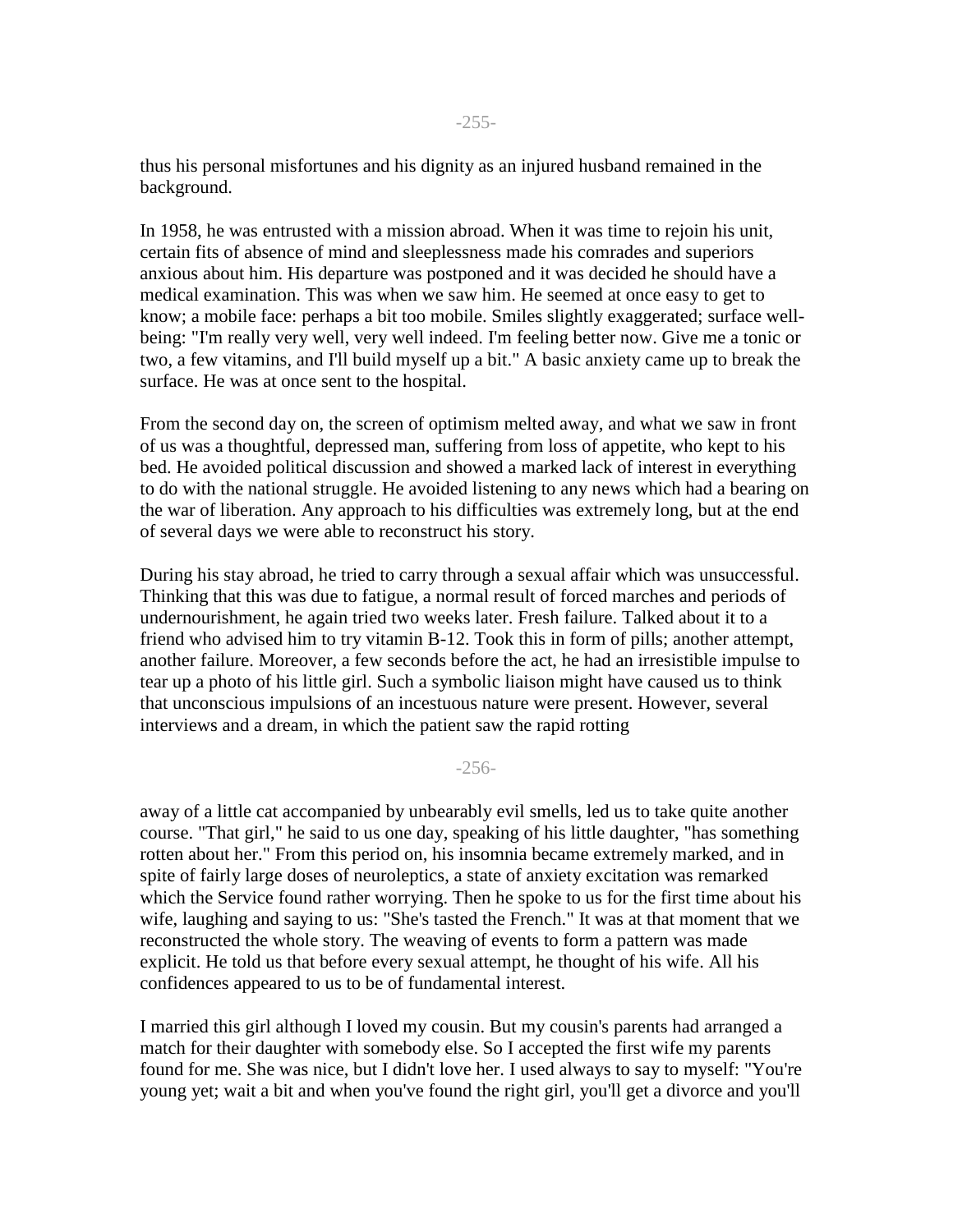thus his personal misfortunes and his dignity as an injured husband remained in the background.

In 1958, he was entrusted with a mission abroad. When it was time to rejoin his unit, certain fits of absence of mind and sleeplessness made his comrades and superiors anxious about him. His departure was postponed and it was decided he should have a medical examination. This was when we saw him. He seemed at once easy to get to know; a mobile face: perhaps a bit too mobile. Smiles slightly exaggerated; surface wellbeing: "I'm really very well, very well indeed. I'm feeling better now. Give me a tonic or two, a few vitamins, and I'll build myself up a bit." A basic anxiety came up to break the surface. He was at once sent to the hospital.

From the second day on, the screen of optimism melted away, and what we saw in front of us was a thoughtful, depressed man, suffering from loss of appetite, who kept to his bed. He avoided political discussion and showed a marked lack of interest in everything to do with the national struggle. He avoided listening to any news which had a bearing on the war of liberation. Any approach to his difficulties was extremely long, but at the end of several days we were able to reconstruct his story.

During his stay abroad, he tried to carry through a sexual affair which was unsuccessful. Thinking that this was due to fatigue, a normal result of forced marches and periods of undernourishment, he again tried two weeks later. Fresh failure. Talked about it to a friend who advised him to try vitamin B-12. Took this in form of pills; another attempt, another failure. Moreover, a few seconds before the act, he had an irresistible impulse to tear up a photo of his little girl. Such a symbolic liaison might have caused us to think that unconscious impulsions of an incestuous nature were present. However, several interviews and a dream, in which the patient saw the rapid rotting

-256-

away of a little cat accompanied by unbearably evil smells, led us to take quite another course. "That girl," he said to us one day, speaking of his little daughter, "has something rotten about her." From this period on, his insomnia became extremely marked, and in spite of fairly large doses of neuroleptics, a state of anxiety excitation was remarked which the Service found rather worrying. Then he spoke to us for the first time about his wife, laughing and saying to us: "She's tasted the French." It was at that moment that we reconstructed the whole story. The weaving of events to form a pattern was made explicit. He told us that before every sexual attempt, he thought of his wife. All his confidences appeared to us to be of fundamental interest.

I married this girl although I loved my cousin. But my cousin's parents had arranged a match for their daughter with somebody else. So I accepted the first wife my parents found for me. She was nice, but I didn't love her. I used always to say to myself: "You're young yet; wait a bit and when you've found the right girl, you'll get a divorce and you'll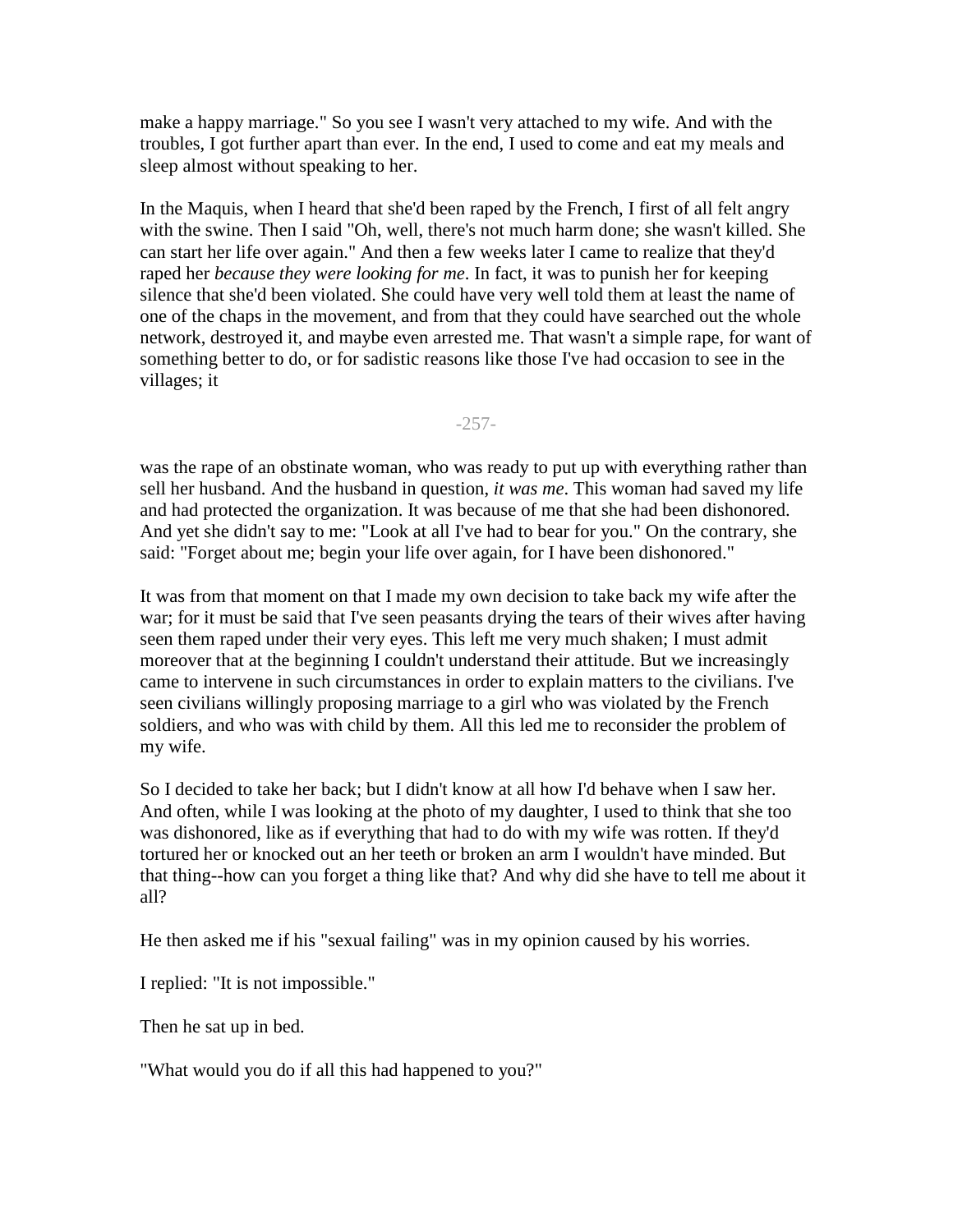make a happy marriage." So you see I wasn't very attached to my wife. And with the troubles, I got further apart than ever. In the end, I used to come and eat my meals and sleep almost without speaking to her.

In the Maquis, when I heard that she'd been raped by the French, I first of all felt angry with the swine. Then I said "Oh, well, there's not much harm done; she wasn't killed. She can start her life over again." And then a few weeks later I came to realize that they'd raped her *because they were looking for me*. In fact, it was to punish her for keeping silence that she'd been violated. She could have very well told them at least the name of one of the chaps in the movement, and from that they could have searched out the whole network, destroyed it, and maybe even arrested me. That wasn't a simple rape, for want of something better to do, or for sadistic reasons like those I've had occasion to see in the villages; it

-257-

was the rape of an obstinate woman, who was ready to put up with everything rather than sell her husband. And the husband in question, *it was me*. This woman had saved my life and had protected the organization. It was because of me that she had been dishonored. And yet she didn't say to me: "Look at all I've had to bear for you." On the contrary, she said: "Forget about me; begin your life over again, for I have been dishonored."

It was from that moment on that I made my own decision to take back my wife after the war; for it must be said that I've seen peasants drying the tears of their wives after having seen them raped under their very eyes. This left me very much shaken; I must admit moreover that at the beginning I couldn't understand their attitude. But we increasingly came to intervene in such circumstances in order to explain matters to the civilians. I've seen civilians willingly proposing marriage to a girl who was violated by the French soldiers, and who was with child by them. All this led me to reconsider the problem of my wife.

So I decided to take her back; but I didn't know at all how I'd behave when I saw her. And often, while I was looking at the photo of my daughter, I used to think that she too was dishonored, like as if everything that had to do with my wife was rotten. If they'd tortured her or knocked out an her teeth or broken an arm I wouldn't have minded. But that thing--how can you forget a thing like that? And why did she have to tell me about it all?

He then asked me if his "sexual failing" was in my opinion caused by his worries.

I replied: "It is not impossible."

Then he sat up in bed.

"What would you do if all this had happened to you?"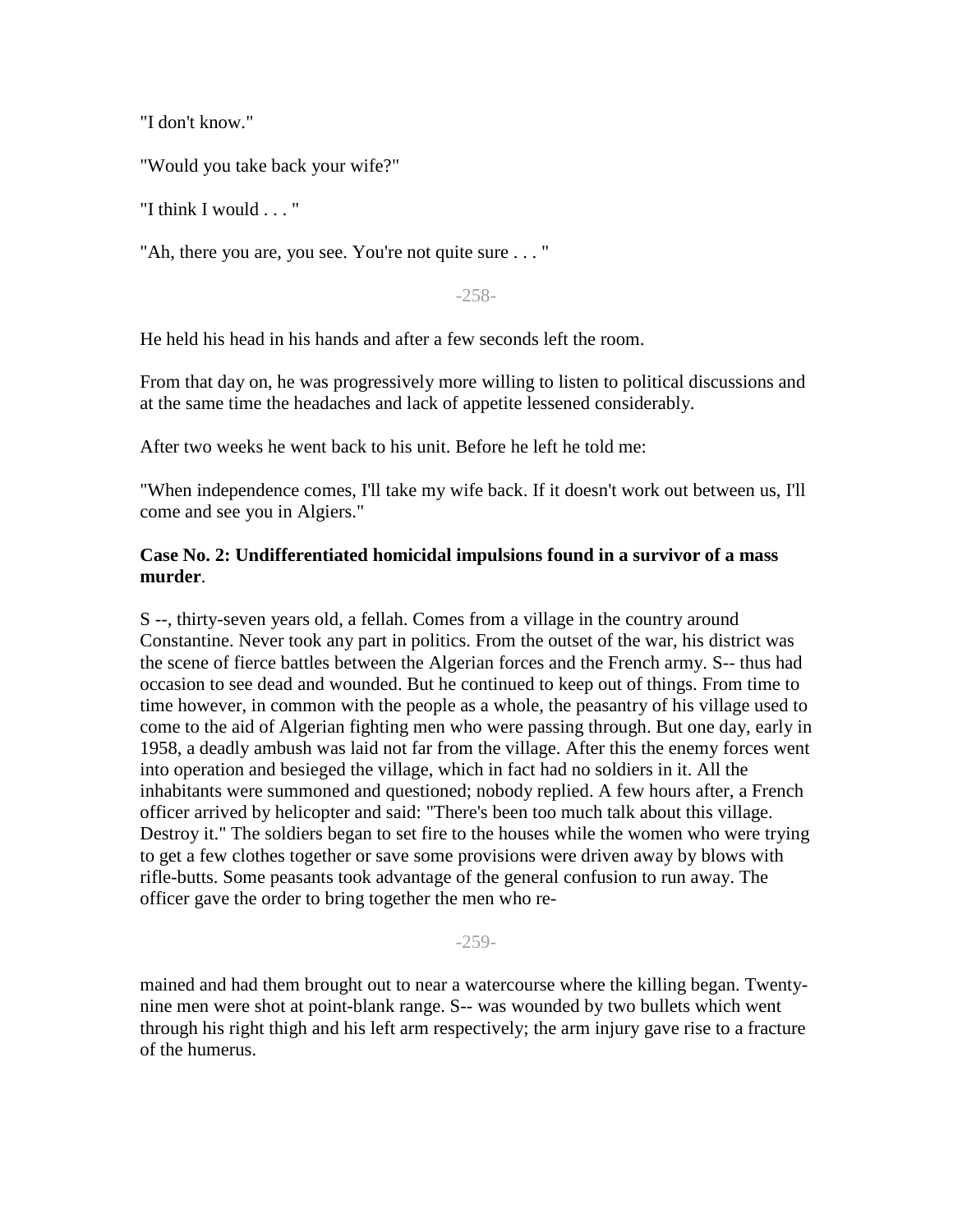"I don't know."

"Would you take back your wife?"

"I think I would . . . "

"Ah, there you are, you see. You're not quite sure . . . "

-258-

He held his head in his hands and after a few seconds left the room.

From that day on, he was progressively more willing to listen to political discussions and at the same time the headaches and lack of appetite lessened considerably.

After two weeks he went back to his unit. Before he left he told me:

"When independence comes, I'll take my wife back. If it doesn't work out between us, I'll come and see you in Algiers."

## **Case No. 2: Undifferentiated homicidal impulsions found in a survivor of a mass murder**.

S --, thirty-seven years old, a fellah. Comes from a village in the country around Constantine. Never took any part in politics. From the outset of the war, his district was the scene of fierce battles between the Algerian forces and the French army. S-- thus had occasion to see dead and wounded. But he continued to keep out of things. From time to time however, in common with the people as a whole, the peasantry of his village used to come to the aid of Algerian fighting men who were passing through. But one day, early in 1958, a deadly ambush was laid not far from the village. After this the enemy forces went into operation and besieged the village, which in fact had no soldiers in it. All the inhabitants were summoned and questioned; nobody replied. A few hours after, a French officer arrived by helicopter and said: "There's been too much talk about this village. Destroy it." The soldiers began to set fire to the houses while the women who were trying to get a few clothes together or save some provisions were driven away by blows with rifle-butts. Some peasants took advantage of the general confusion to run away. The officer gave the order to bring together the men who re-

-259-

mained and had them brought out to near a watercourse where the killing began. Twentynine men were shot at point-blank range. S-- was wounded by two bullets which went through his right thigh and his left arm respectively; the arm injury gave rise to a fracture of the humerus.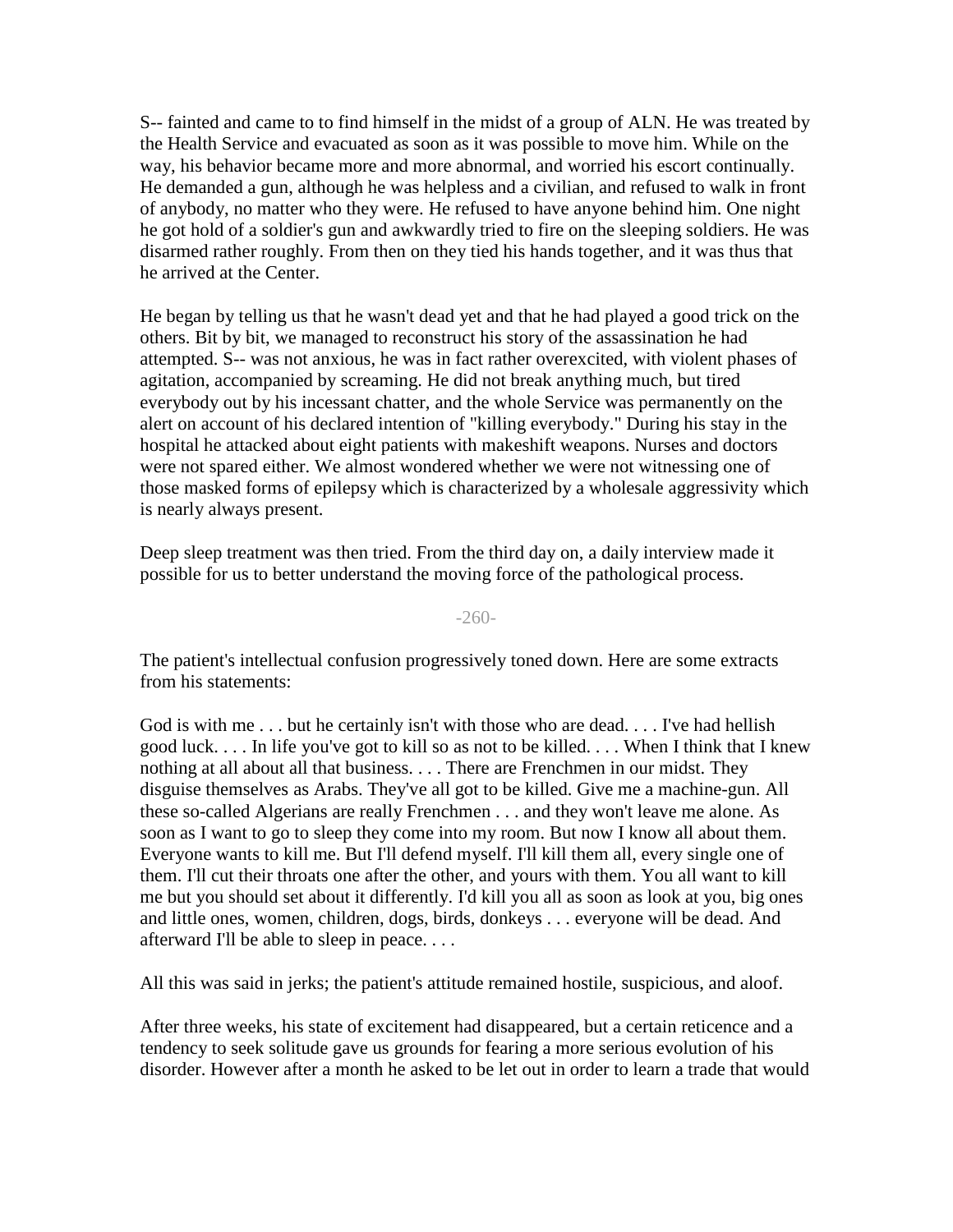S-- fainted and came to to find himself in the midst of a group of ALN. He was treated by the Health Service and evacuated as soon as it was possible to move him. While on the way, his behavior became more and more abnormal, and worried his escort continually. He demanded a gun, although he was helpless and a civilian, and refused to walk in front of anybody, no matter who they were. He refused to have anyone behind him. One night he got hold of a soldier's gun and awkwardly tried to fire on the sleeping soldiers. He was disarmed rather roughly. From then on they tied his hands together, and it was thus that he arrived at the Center.

He began by telling us that he wasn't dead yet and that he had played a good trick on the others. Bit by bit, we managed to reconstruct his story of the assassination he had attempted. S-- was not anxious, he was in fact rather overexcited, with violent phases of agitation, accompanied by screaming. He did not break anything much, but tired everybody out by his incessant chatter, and the whole Service was permanently on the alert on account of his declared intention of "killing everybody." During his stay in the hospital he attacked about eight patients with makeshift weapons. Nurses and doctors were not spared either. We almost wondered whether we were not witnessing one of those masked forms of epilepsy which is characterized by a wholesale aggressivity which is nearly always present.

Deep sleep treatment was then tried. From the third day on, a daily interview made it possible for us to better understand the moving force of the pathological process.

 $-260-$ 

The patient's intellectual confusion progressively toned down. Here are some extracts from his statements:

God is with me . . . but he certainly isn't with those who are dead. . . . I've had hellish good luck. . . . In life you've got to kill so as not to be killed. . . . When I think that I knew nothing at all about all that business. . . . There are Frenchmen in our midst. They disguise themselves as Arabs. They've all got to be killed. Give me a machine-gun. All these so-called Algerians are really Frenchmen . . . and they won't leave me alone. As soon as I want to go to sleep they come into my room. But now I know all about them. Everyone wants to kill me. But I'll defend myself. I'll kill them all, every single one of them. I'll cut their throats one after the other, and yours with them. You all want to kill me but you should set about it differently. I'd kill you all as soon as look at you, big ones and little ones, women, children, dogs, birds, donkeys . . . everyone will be dead. And afterward I'll be able to sleep in peace. . . .

All this was said in jerks; the patient's attitude remained hostile, suspicious, and aloof.

After three weeks, his state of excitement had disappeared, but a certain reticence and a tendency to seek solitude gave us grounds for fearing a more serious evolution of his disorder. However after a month he asked to be let out in order to learn a trade that would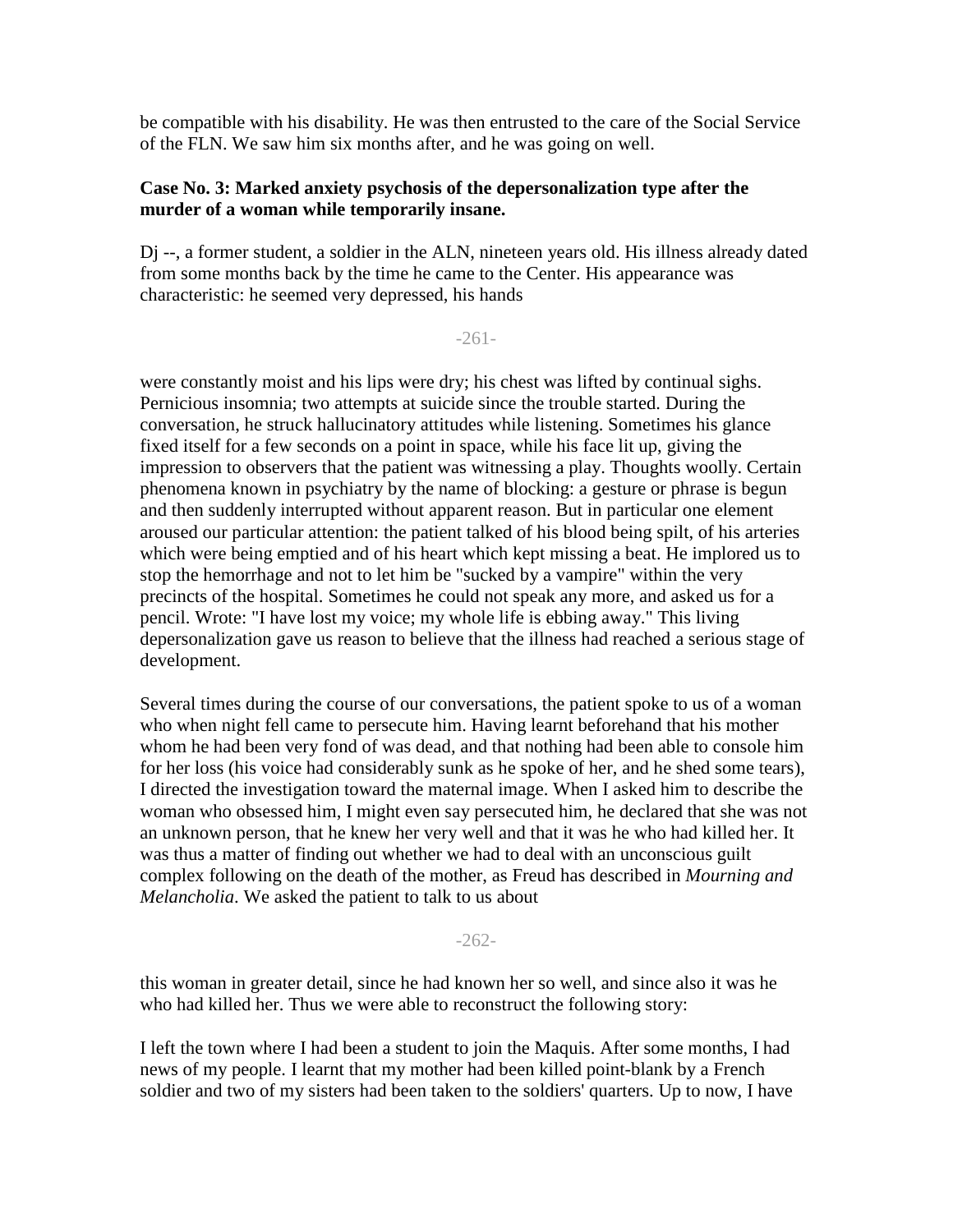be compatible with his disability. He was then entrusted to the care of the Social Service of the FLN. We saw him six months after, and he was going on well.

## **Case No. 3: Marked anxiety psychosis of the depersonalization type after the murder of a woman while temporarily insane.**

Dj --, a former student, a soldier in the ALN, nineteen years old. His illness already dated from some months back by the time he came to the Center. His appearance was characteristic: he seemed very depressed, his hands

-261-

were constantly moist and his lips were dry; his chest was lifted by continual sighs. Pernicious insomnia; two attempts at suicide since the trouble started. During the conversation, he struck hallucinatory attitudes while listening. Sometimes his glance fixed itself for a few seconds on a point in space, while his face lit up, giving the impression to observers that the patient was witnessing a play. Thoughts woolly. Certain phenomena known in psychiatry by the name of blocking: a gesture or phrase is begun and then suddenly interrupted without apparent reason. But in particular one element aroused our particular attention: the patient talked of his blood being spilt, of his arteries which were being emptied and of his heart which kept missing a beat. He implored us to stop the hemorrhage and not to let him be "sucked by a vampire" within the very precincts of the hospital. Sometimes he could not speak any more, and asked us for a pencil. Wrote: "I have lost my voice; my whole life is ebbing away." This living depersonalization gave us reason to believe that the illness had reached a serious stage of development.

Several times during the course of our conversations, the patient spoke to us of a woman who when night fell came to persecute him. Having learnt beforehand that his mother whom he had been very fond of was dead, and that nothing had been able to console him for her loss (his voice had considerably sunk as he spoke of her, and he shed some tears), I directed the investigation toward the maternal image. When I asked him to describe the woman who obsessed him, I might even say persecuted him, he declared that she was not an unknown person, that he knew her very well and that it was he who had killed her. It was thus a matter of finding out whether we had to deal with an unconscious guilt complex following on the death of the mother, as Freud has described in *Mourning and Melancholia*. We asked the patient to talk to us about

-262-

this woman in greater detail, since he had known her so well, and since also it was he who had killed her. Thus we were able to reconstruct the following story:

I left the town where I had been a student to join the Maquis. After some months, I had news of my people. I learnt that my mother had been killed point-blank by a French soldier and two of my sisters had been taken to the soldiers' quarters. Up to now, I have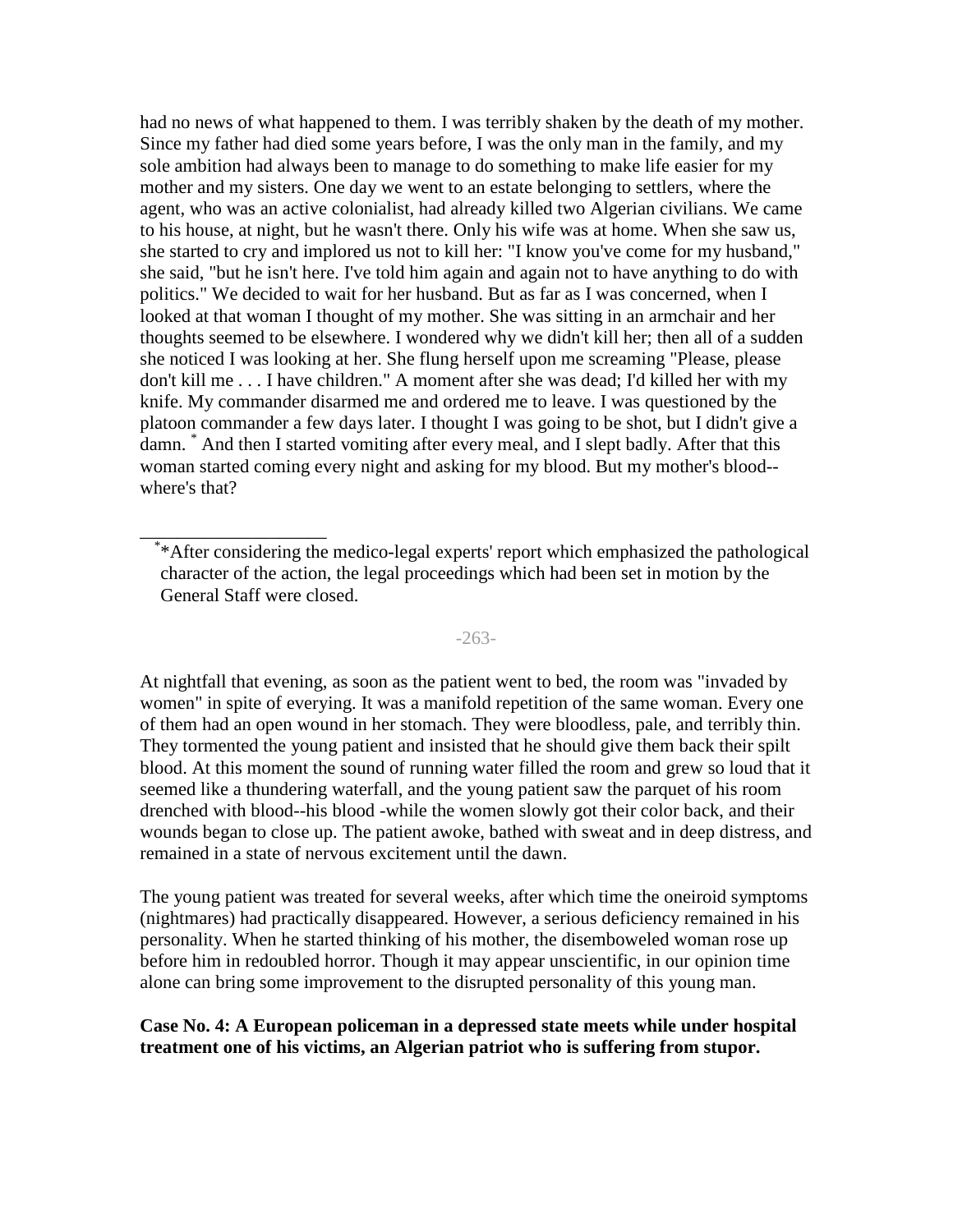had no news of what happened to them. I was terribly shaken by the death of my mother. Since my father had died some years before, I was the only man in the family, and my sole ambition had always been to manage to do something to make life easier for my mother and my sisters. One day we went to an estate belonging to settlers, where the agent, who was an active colonialist, had already killed two Algerian civilians. We came to his house, at night, but he wasn't there. Only his wife was at home. When she saw us, she started to cry and implored us not to kill her: "I know you've come for my husband," she said, "but he isn't here. I've told him again and again not to have anything to do with politics." We decided to wait for her husband. But as far as I was concerned, when I looked at that woman I thought of my mother. She was sitting in an armchair and her thoughts seemed to be elsewhere. I wondered why we didn't kill her; then all of a sudden she noticed I was looking at her. She flung herself upon me screaming "Please, please don't kill me . . . I have children." A moment after she was dead; I'd killed her with my knife. My commander disarmed me and ordered me to leave. I was questioned by the platoon commander a few days later. I thought I was going to be shot, but I didn't give a damn. \* And then I started vomiting after every meal, and I slept badly. After that this woman started coming every night and asking for my blood. But my mother's blood- where's that?

\_\_\_\_\_\_\_\_\_\_\_\_\_\_\_\_\_\_\_\_

-263-

At nightfall that evening, as soon as the patient went to bed, the room was "invaded by women" in spite of everying. It was a manifold repetition of the same woman. Every one of them had an open wound in her stomach. They were bloodless, pale, and terribly thin. They tormented the young patient and insisted that he should give them back their spilt blood. At this moment the sound of running water filled the room and grew so loud that it seemed like a thundering waterfall, and the young patient saw the parquet of his room drenched with blood--his blood -while the women slowly got their color back, and their wounds began to close up. The patient awoke, bathed with sweat and in deep distress, and remained in a state of nervous excitement until the dawn.

The young patient was treated for several weeks, after which time the oneiroid symptoms (nightmares) had practically disappeared. However, a serious deficiency remained in his personality. When he started thinking of his mother, the disemboweled woman rose up before him in redoubled horror. Though it may appear unscientific, in our opinion time alone can bring some improvement to the disrupted personality of this young man.

**Case No. 4: A European policeman in a depressed state meets while under hospital treatment one of his victims, an Algerian patriot who is suffering from stupor.** 

<sup>\*\*</sup> After considering the medico-legal experts' report which emphasized the pathological character of the action, the legal proceedings which had been set in motion by the General Staff were closed.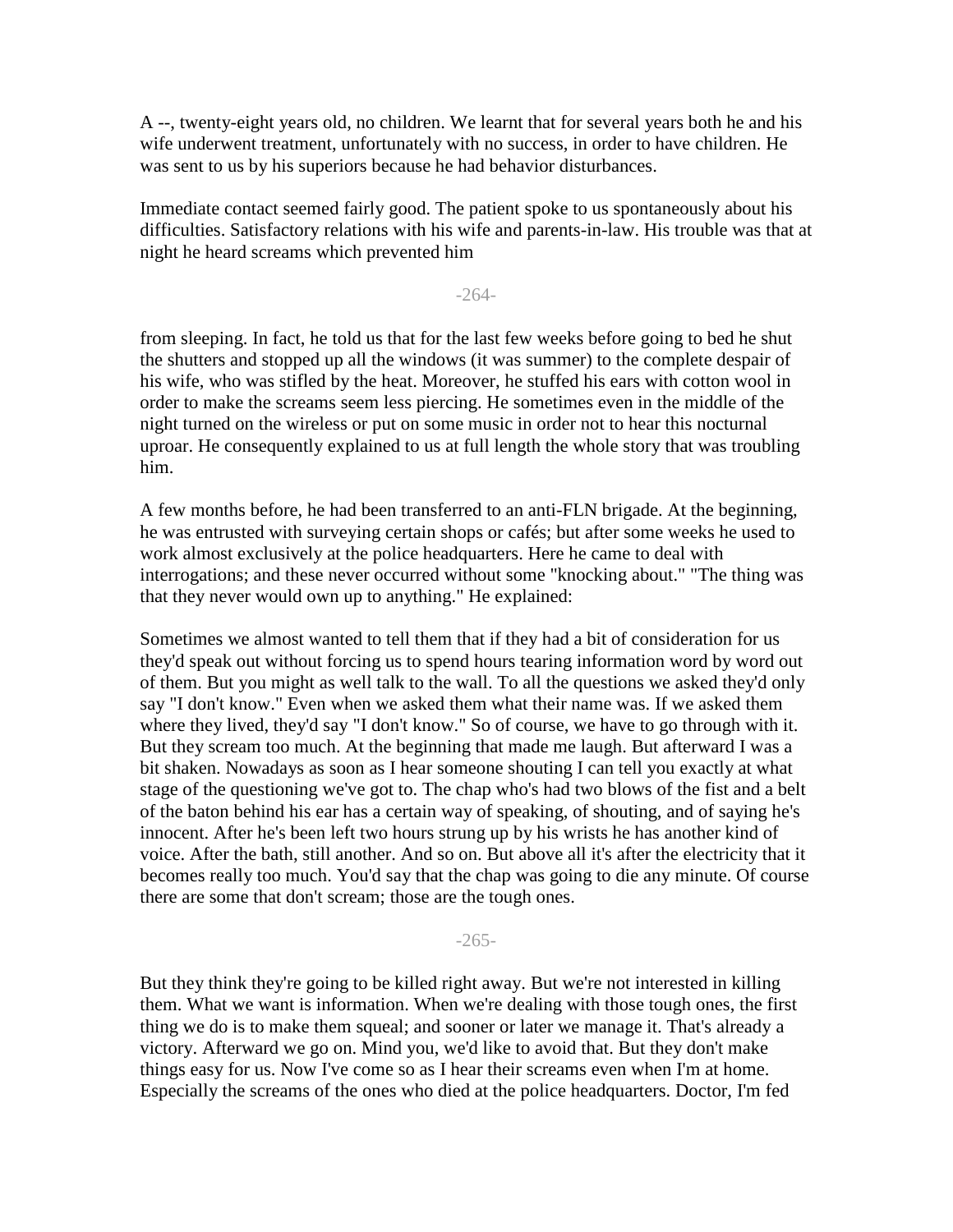A --, twenty-eight years old, no children. We learnt that for several years both he and his wife underwent treatment, unfortunately with no success, in order to have children. He was sent to us by his superiors because he had behavior disturbances.

Immediate contact seemed fairly good. The patient spoke to us spontaneously about his difficulties. Satisfactory relations with his wife and parents-in-law. His trouble was that at night he heard screams which prevented him

-264-

from sleeping. In fact, he told us that for the last few weeks before going to bed he shut the shutters and stopped up all the windows (it was summer) to the complete despair of his wife, who was stifled by the heat. Moreover, he stuffed his ears with cotton wool in order to make the screams seem less piercing. He sometimes even in the middle of the night turned on the wireless or put on some music in order not to hear this nocturnal uproar. He consequently explained to us at full length the whole story that was troubling him.

A few months before, he had been transferred to an anti-FLN brigade. At the beginning, he was entrusted with surveying certain shops or cafés; but after some weeks he used to work almost exclusively at the police headquarters. Here he came to deal with interrogations; and these never occurred without some "knocking about." "The thing was that they never would own up to anything." He explained:

Sometimes we almost wanted to tell them that if they had a bit of consideration for us they'd speak out without forcing us to spend hours tearing information word by word out of them. But you might as well talk to the wall. To all the questions we asked they'd only say "I don't know." Even when we asked them what their name was. If we asked them where they lived, they'd say "I don't know." So of course, we have to go through with it. But they scream too much. At the beginning that made me laugh. But afterward I was a bit shaken. Nowadays as soon as I hear someone shouting I can tell you exactly at what stage of the questioning we've got to. The chap who's had two blows of the fist and a belt of the baton behind his ear has a certain way of speaking, of shouting, and of saying he's innocent. After he's been left two hours strung up by his wrists he has another kind of voice. After the bath, still another. And so on. But above all it's after the electricity that it becomes really too much. You'd say that the chap was going to die any minute. Of course there are some that don't scream; those are the tough ones.

-265-

But they think they're going to be killed right away. But we're not interested in killing them. What we want is information. When we're dealing with those tough ones, the first thing we do is to make them squeal; and sooner or later we manage it. That's already a victory. Afterward we go on. Mind you, we'd like to avoid that. But they don't make things easy for us. Now I've come so as I hear their screams even when I'm at home. Especially the screams of the ones who died at the police headquarters. Doctor, I'm fed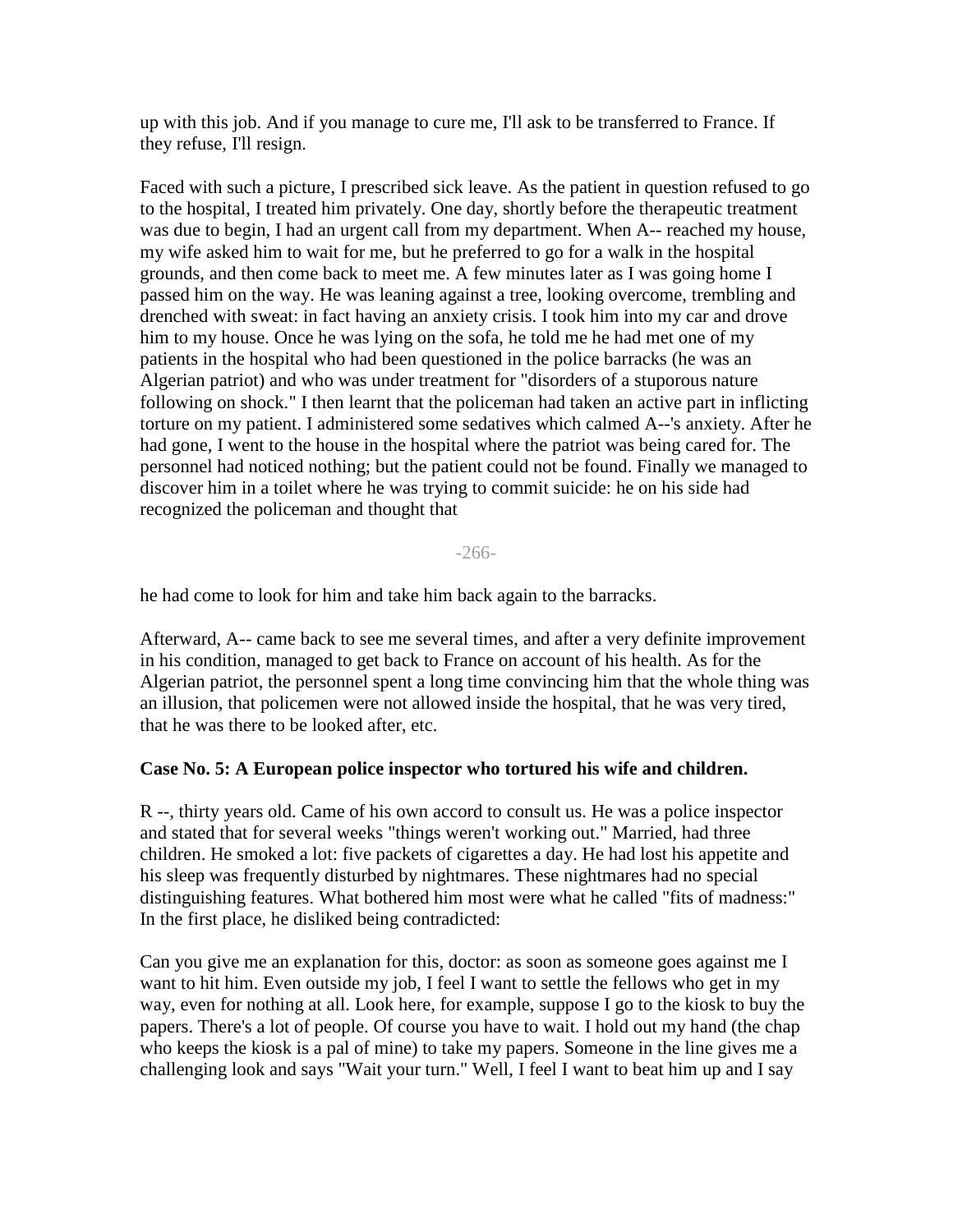up with this job. And if you manage to cure me, I'll ask to be transferred to France. If they refuse, I'll resign.

Faced with such a picture, I prescribed sick leave. As the patient in question refused to go to the hospital, I treated him privately. One day, shortly before the therapeutic treatment was due to begin, I had an urgent call from my department. When A-- reached my house, my wife asked him to wait for me, but he preferred to go for a walk in the hospital grounds, and then come back to meet me. A few minutes later as I was going home I passed him on the way. He was leaning against a tree, looking overcome, trembling and drenched with sweat: in fact having an anxiety crisis. I took him into my car and drove him to my house. Once he was lying on the sofa, he told me he had met one of my patients in the hospital who had been questioned in the police barracks (he was an Algerian patriot) and who was under treatment for "disorders of a stuporous nature following on shock." I then learnt that the policeman had taken an active part in inflicting torture on my patient. I administered some sedatives which calmed A--'s anxiety. After he had gone, I went to the house in the hospital where the patriot was being cared for. The personnel had noticed nothing; but the patient could not be found. Finally we managed to discover him in a toilet where he was trying to commit suicide: he on his side had recognized the policeman and thought that

-266-

he had come to look for him and take him back again to the barracks.

Afterward, A-- came back to see me several times, and after a very definite improvement in his condition, managed to get back to France on account of his health. As for the Algerian patriot, the personnel spent a long time convincing him that the whole thing was an illusion, that policemen were not allowed inside the hospital, that he was very tired, that he was there to be looked after, etc.

## **Case No. 5: A European police inspector who tortured his wife and children.**

R --, thirty years old. Came of his own accord to consult us. He was a police inspector and stated that for several weeks "things weren't working out." Married, had three children. He smoked a lot: five packets of cigarettes a day. He had lost his appetite and his sleep was frequently disturbed by nightmares. These nightmares had no special distinguishing features. What bothered him most were what he called "fits of madness:" In the first place, he disliked being contradicted:

Can you give me an explanation for this, doctor: as soon as someone goes against me I want to hit him. Even outside my job, I feel I want to settle the fellows who get in my way, even for nothing at all. Look here, for example, suppose I go to the kiosk to buy the papers. There's a lot of people. Of course you have to wait. I hold out my hand (the chap who keeps the kiosk is a pal of mine) to take my papers. Someone in the line gives me a challenging look and says "Wait your turn." Well, I feel I want to beat him up and I say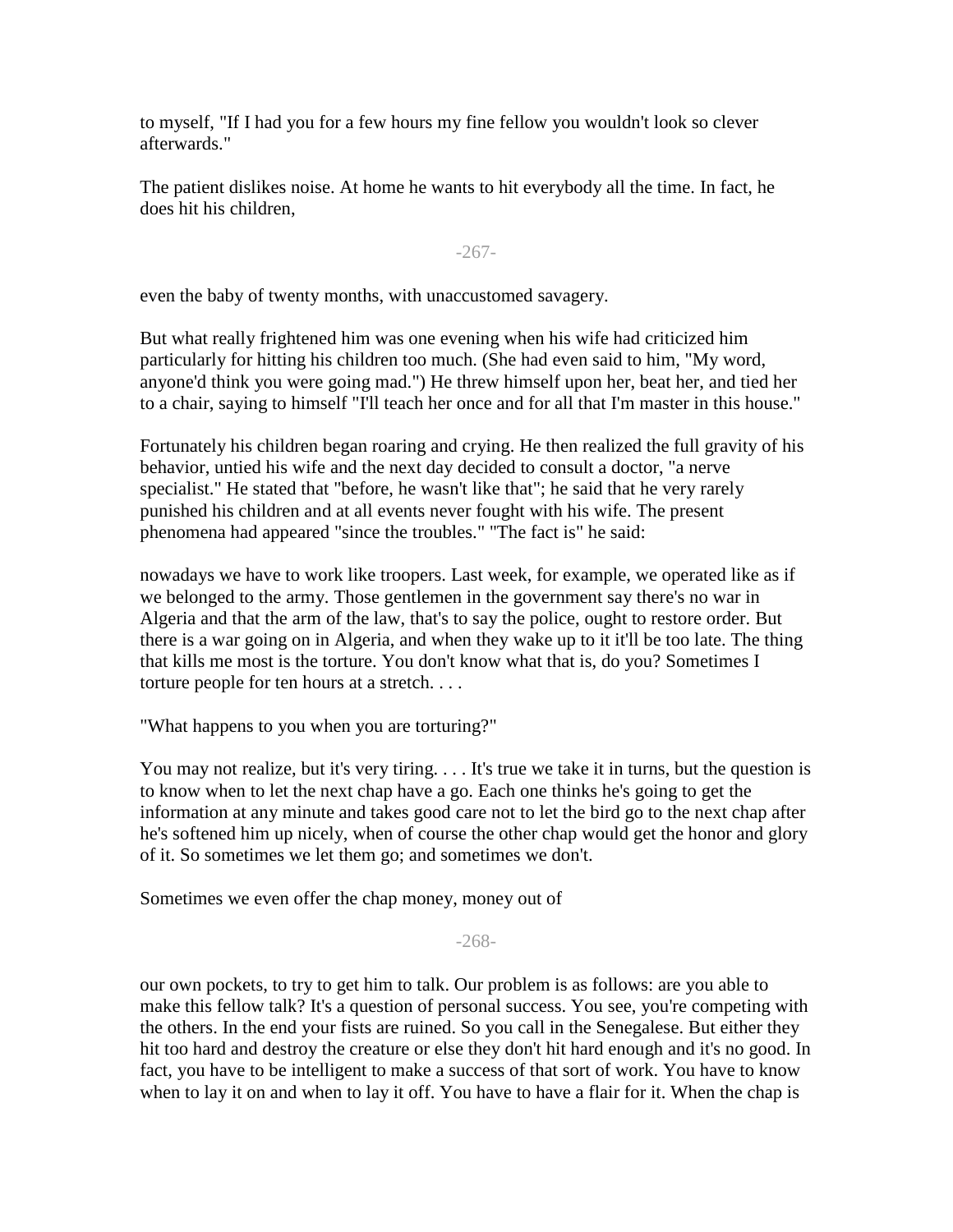to myself, "If I had you for a few hours my fine fellow you wouldn't look so clever afterwards."

The patient dislikes noise. At home he wants to hit everybody all the time. In fact, he does hit his children,

-267-

even the baby of twenty months, with unaccustomed savagery.

But what really frightened him was one evening when his wife had criticized him particularly for hitting his children too much. (She had even said to him, "My word, anyone'd think you were going mad.") He threw himself upon her, beat her, and tied her to a chair, saying to himself "I'll teach her once and for all that I'm master in this house."

Fortunately his children began roaring and crying. He then realized the full gravity of his behavior, untied his wife and the next day decided to consult a doctor, "a nerve specialist." He stated that "before, he wasn't like that"; he said that he very rarely punished his children and at all events never fought with his wife. The present phenomena had appeared "since the troubles." "The fact is" he said:

nowadays we have to work like troopers. Last week, for example, we operated like as if we belonged to the army. Those gentlemen in the government say there's no war in Algeria and that the arm of the law, that's to say the police, ought to restore order. But there is a war going on in Algeria, and when they wake up to it it'll be too late. The thing that kills me most is the torture. You don't know what that is, do you? Sometimes I torture people for ten hours at a stretch. . . .

"What happens to you when you are torturing?"

You may not realize, but it's very tiring. . . . It's true we take it in turns, but the question is to know when to let the next chap have a go. Each one thinks he's going to get the information at any minute and takes good care not to let the bird go to the next chap after he's softened him up nicely, when of course the other chap would get the honor and glory of it. So sometimes we let them go; and sometimes we don't.

Sometimes we even offer the chap money, money out of

-268-

our own pockets, to try to get him to talk. Our problem is as follows: are you able to make this fellow talk? It's a question of personal success. You see, you're competing with the others. In the end your fists are ruined. So you call in the Senegalese. But either they hit too hard and destroy the creature or else they don't hit hard enough and it's no good. In fact, you have to be intelligent to make a success of that sort of work. You have to know when to lay it on and when to lay it off. You have to have a flair for it. When the chap is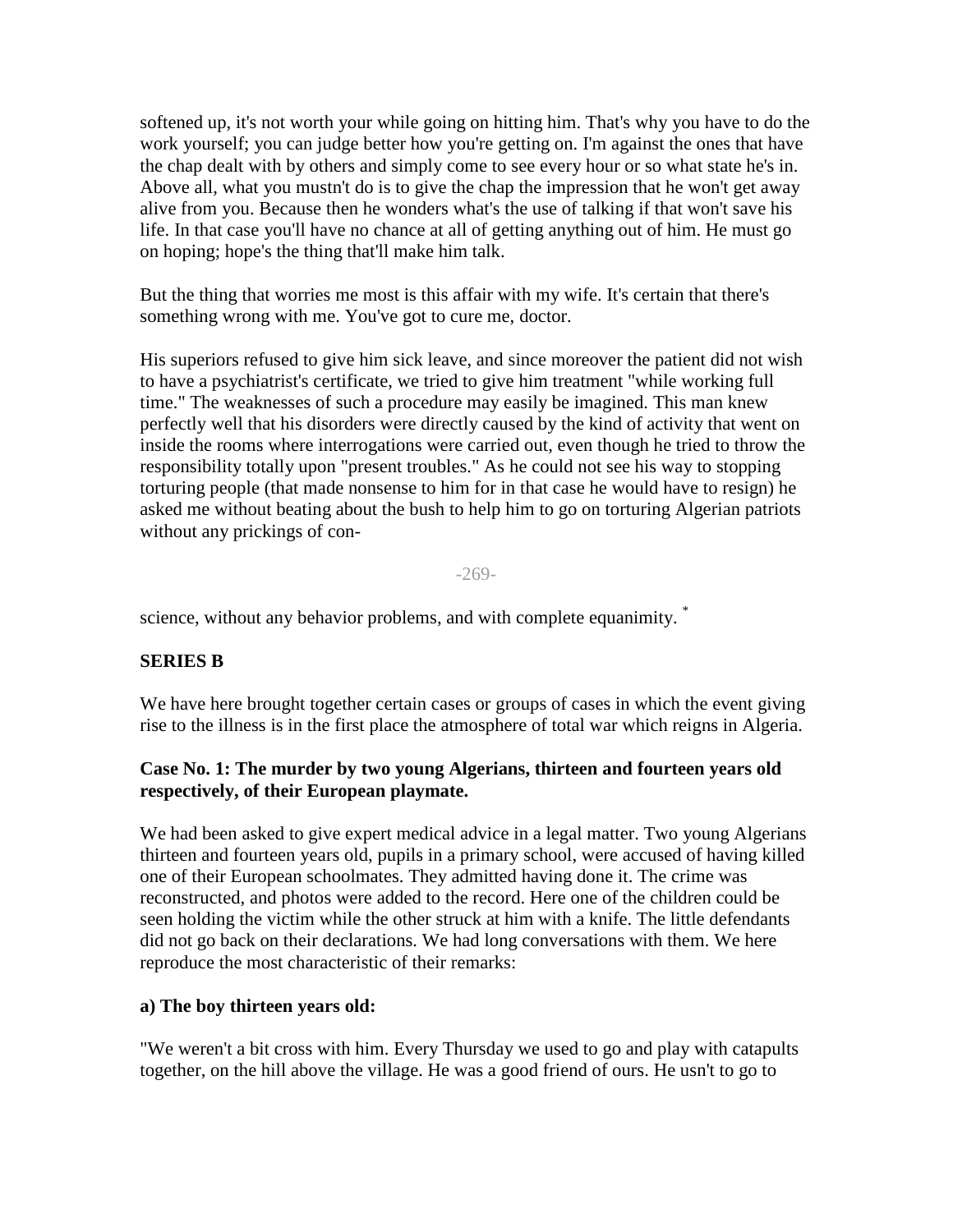softened up, it's not worth your while going on hitting him. That's why you have to do the work yourself; you can judge better how you're getting on. I'm against the ones that have the chap dealt with by others and simply come to see every hour or so what state he's in. Above all, what you mustn't do is to give the chap the impression that he won't get away alive from you. Because then he wonders what's the use of talking if that won't save his life. In that case you'll have no chance at all of getting anything out of him. He must go on hoping; hope's the thing that'll make him talk.

But the thing that worries me most is this affair with my wife. It's certain that there's something wrong with me. You've got to cure me, doctor.

His superiors refused to give him sick leave, and since moreover the patient did not wish to have a psychiatrist's certificate, we tried to give him treatment "while working full time." The weaknesses of such a procedure may easily be imagined. This man knew perfectly well that his disorders were directly caused by the kind of activity that went on inside the rooms where interrogations were carried out, even though he tried to throw the responsibility totally upon "present troubles." As he could not see his way to stopping torturing people (that made nonsense to him for in that case he would have to resign) he asked me without beating about the bush to help him to go on torturing Algerian patriots without any prickings of con-

-269-

science, without any behavior problems, and with complete equanimity.<sup>\*</sup>

# **SERIES B**

We have here brought together certain cases or groups of cases in which the event giving rise to the illness is in the first place the atmosphere of total war which reigns in Algeria.

# **Case No. 1: The murder by two young Algerians, thirteen and fourteen years old respectively, of their European playmate.**

We had been asked to give expert medical advice in a legal matter. Two young Algerians thirteen and fourteen years old, pupils in a primary school, were accused of having killed one of their European schoolmates. They admitted having done it. The crime was reconstructed, and photos were added to the record. Here one of the children could be seen holding the victim while the other struck at him with a knife. The little defendants did not go back on their declarations. We had long conversations with them. We here reproduce the most characteristic of their remarks:

## **a) The boy thirteen years old:**

"We weren't a bit cross with him. Every Thursday we used to go and play with catapults together, on the hill above the village. He was a good friend of ours. He usn't to go to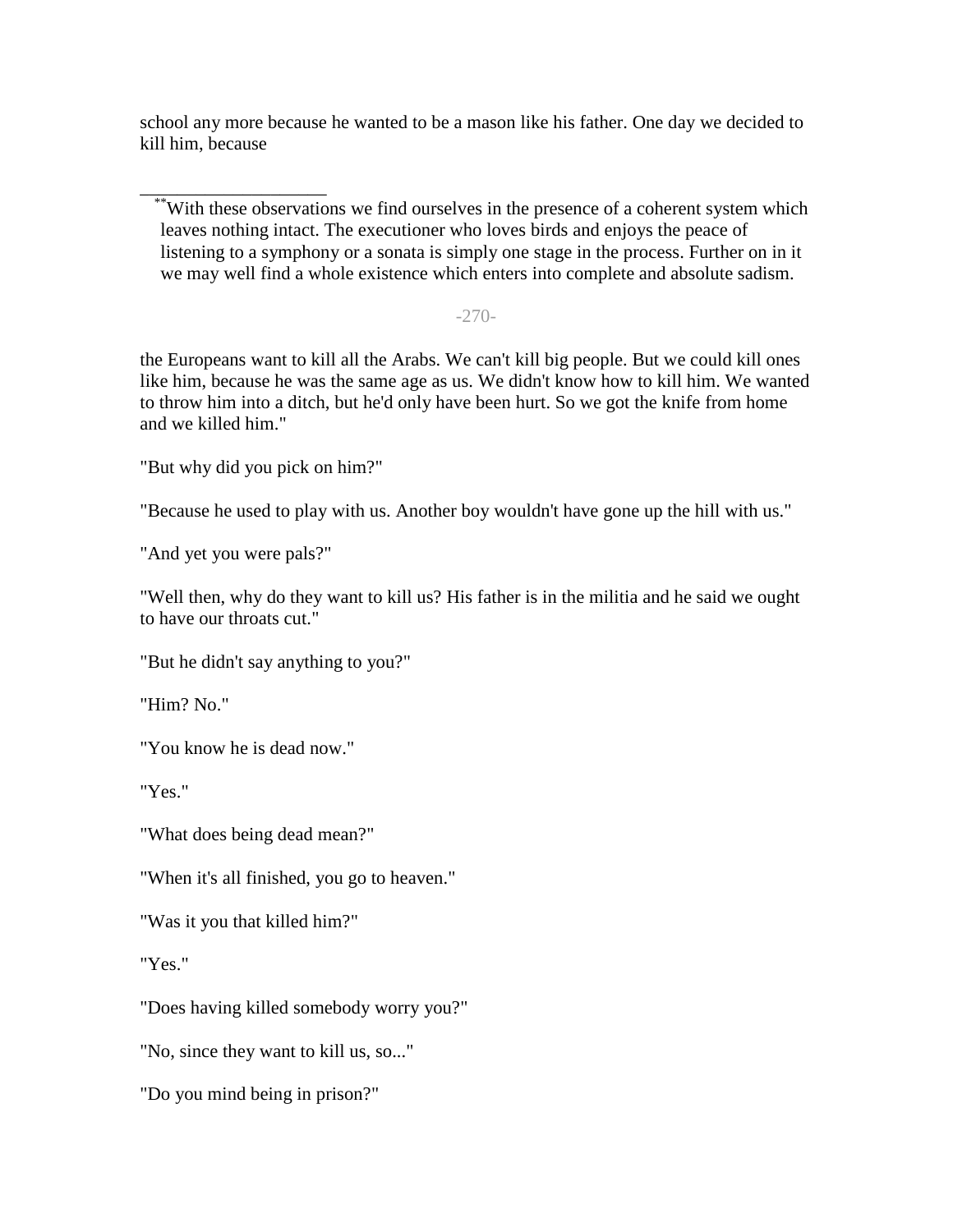school any more because he wanted to be a mason like his father. One day we decided to kill him, because

\_\_\_\_\_\_\_\_\_\_\_\_\_\_\_\_\_\_\_\_ \*\*With these observations we find ourselves in the presence of a coherent system which leaves nothing intact. The executioner who loves birds and enjoys the peace of listening to a symphony or a sonata is simply one stage in the process. Further on in it we may well find a whole existence which enters into complete and absolute sadism.

-270-

the Europeans want to kill all the Arabs. We can't kill big people. But we could kill ones like him, because he was the same age as us. We didn't know how to kill him. We wanted to throw him into a ditch, but he'd only have been hurt. So we got the knife from home and we killed him."

"But why did you pick on him?"

"Because he used to play with us. Another boy wouldn't have gone up the hill with us."

"And yet you were pals?"

"Well then, why do they want to kill us? His father is in the militia and he said we ought to have our throats cut."

"But he didn't say anything to you?"

"Him? No."

"You know he is dead now."

"Yes."

"What does being dead mean?"

"When it's all finished, you go to heaven."

"Was it you that killed him?"

"Yes."

"Does having killed somebody worry you?"

"No, since they want to kill us, so..."

"Do you mind being in prison?"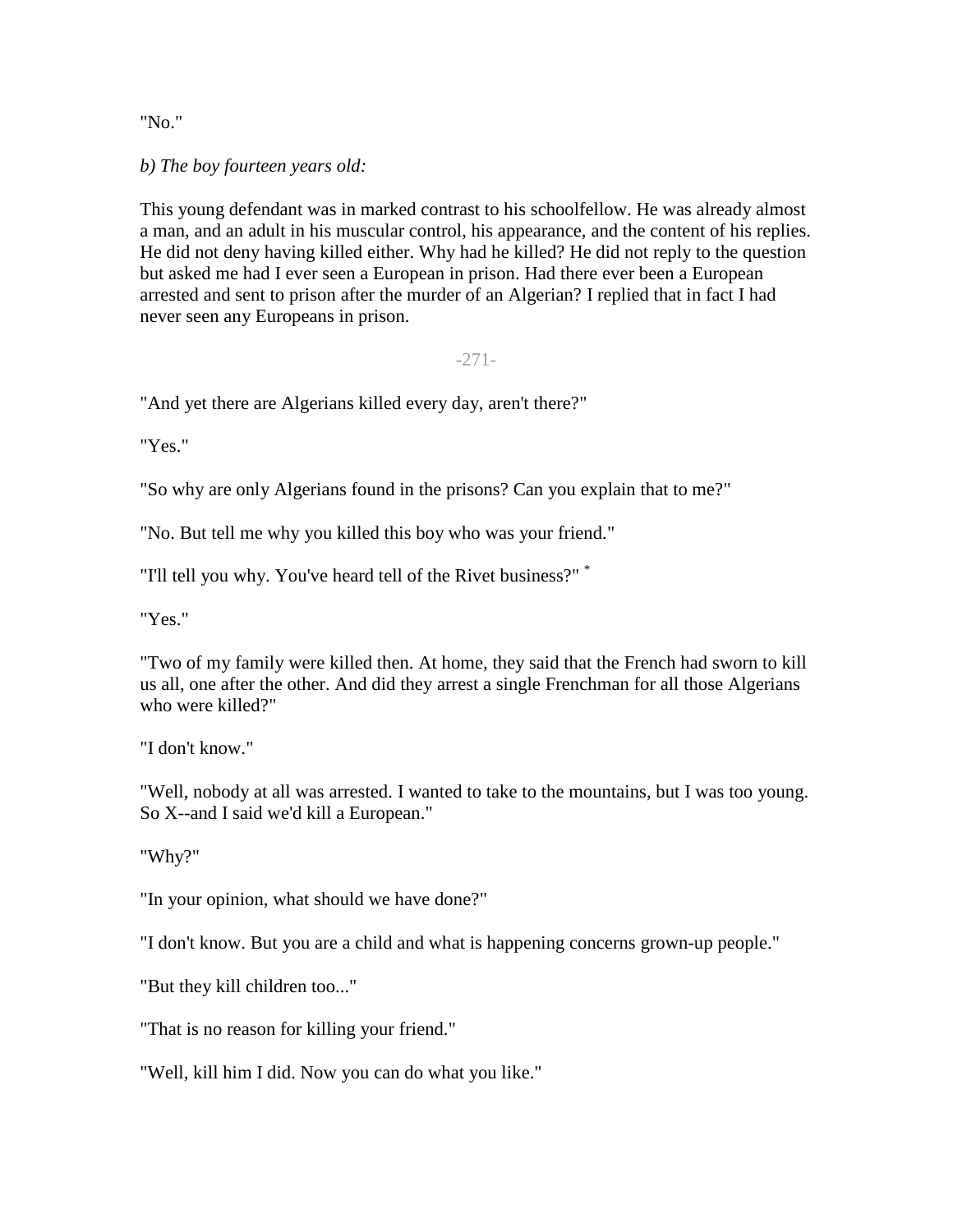"No."

*b) The boy fourteen years old:*

This young defendant was in marked contrast to his schoolfellow. He was already almost a man, and an adult in his muscular control, his appearance, and the content of his replies. He did not deny having killed either. Why had he killed? He did not reply to the question but asked me had I ever seen a European in prison. Had there ever been a European arrested and sent to prison after the murder of an Algerian? I replied that in fact I had never seen any Europeans in prison.

-271-

"And yet there are Algerians killed every day, aren't there?"

"Yes."

"So why are only Algerians found in the prisons? Can you explain that to me?"

"No. But tell me why you killed this boy who was your friend."

"I'll tell you why. You've heard tell of the Rivet business?" \*

"Yes."

"Two of my family were killed then. At home, they said that the French had sworn to kill us all, one after the other. And did they arrest a single Frenchman for all those Algerians who were killed?"

"I don't know."

"Well, nobody at all was arrested. I wanted to take to the mountains, but I was too young. So X--and I said we'd kill a European."

"Why?"

"In your opinion, what should we have done?"

"I don't know. But you are a child and what is happening concerns grown-up people."

"But they kill children too..."

"That is no reason for killing your friend."

"Well, kill him I did. Now you can do what you like."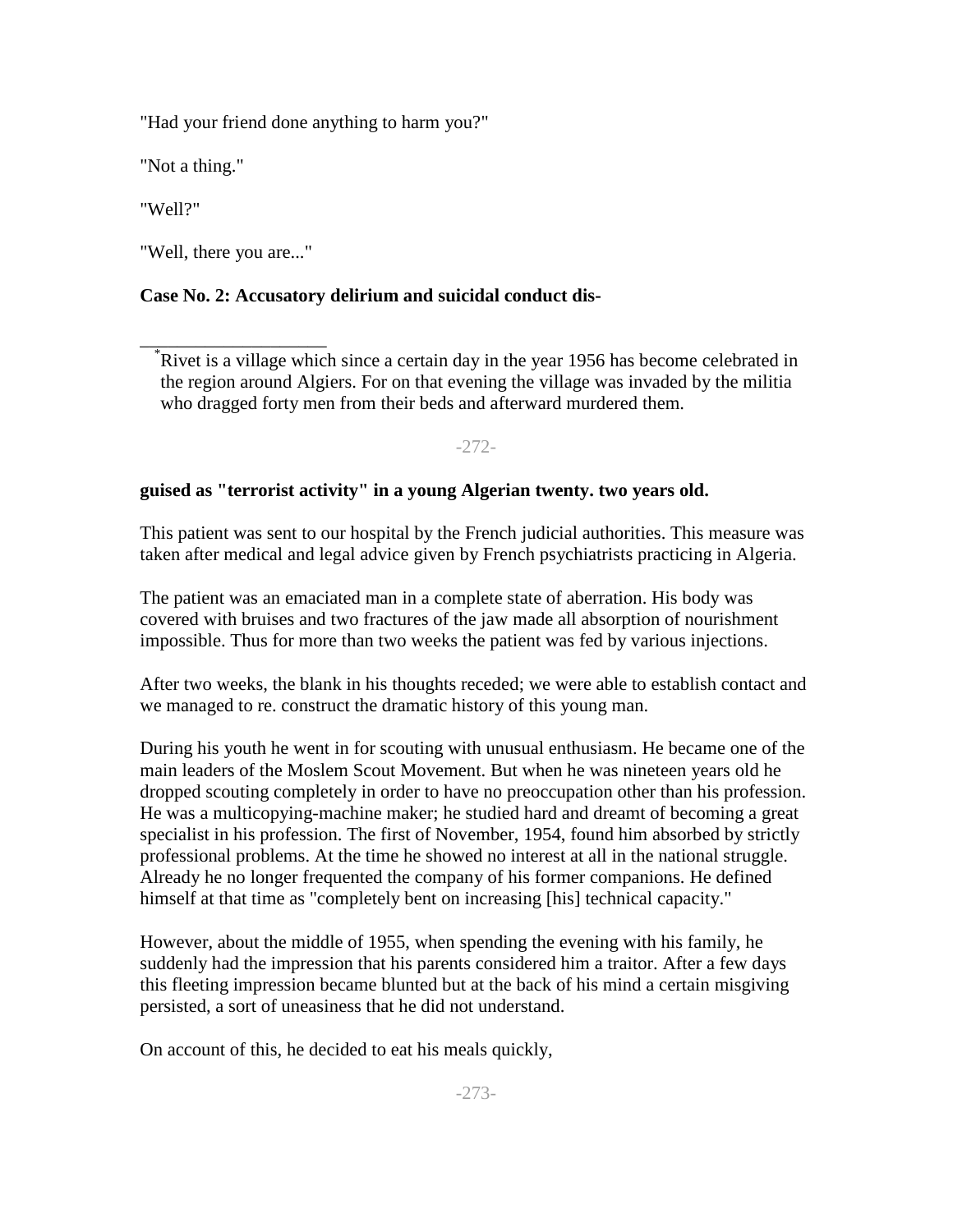"Had your friend done anything to harm you?"

"Not a thing."

"Well?"

"Well, there you are..."

\_\_\_\_\_\_\_\_\_\_\_\_\_\_\_\_\_\_\_\_

# **Case No. 2: Accusatory delirium and suicidal conduct dis-**

-272-

# **guised as "terrorist activity" in a young Algerian twenty. two years old.**

This patient was sent to our hospital by the French judicial authorities. This measure was taken after medical and legal advice given by French psychiatrists practicing in Algeria.

The patient was an emaciated man in a complete state of aberration. His body was covered with bruises and two fractures of the jaw made all absorption of nourishment impossible. Thus for more than two weeks the patient was fed by various injections.

After two weeks, the blank in his thoughts receded; we were able to establish contact and we managed to re. construct the dramatic history of this young man.

During his youth he went in for scouting with unusual enthusiasm. He became one of the main leaders of the Moslem Scout Movement. But when he was nineteen years old he dropped scouting completely in order to have no preoccupation other than his profession. He was a multicopying-machine maker; he studied hard and dreamt of becoming a great specialist in his profession. The first of November, 1954, found him absorbed by strictly professional problems. At the time he showed no interest at all in the national struggle. Already he no longer frequented the company of his former companions. He defined himself at that time as "completely bent on increasing [his] technical capacity."

However, about the middle of 1955, when spending the evening with his family, he suddenly had the impression that his parents considered him a traitor. After a few days this fleeting impression became blunted but at the back of his mind a certain misgiving persisted, a sort of uneasiness that he did not understand.

On account of this, he decided to eat his meals quickly,

<sup>\*</sup>Rivet is a village which since a certain day in the year 1956 has become celebrated in the region around Algiers. For on that evening the village was invaded by the militia who dragged forty men from their beds and afterward murdered them.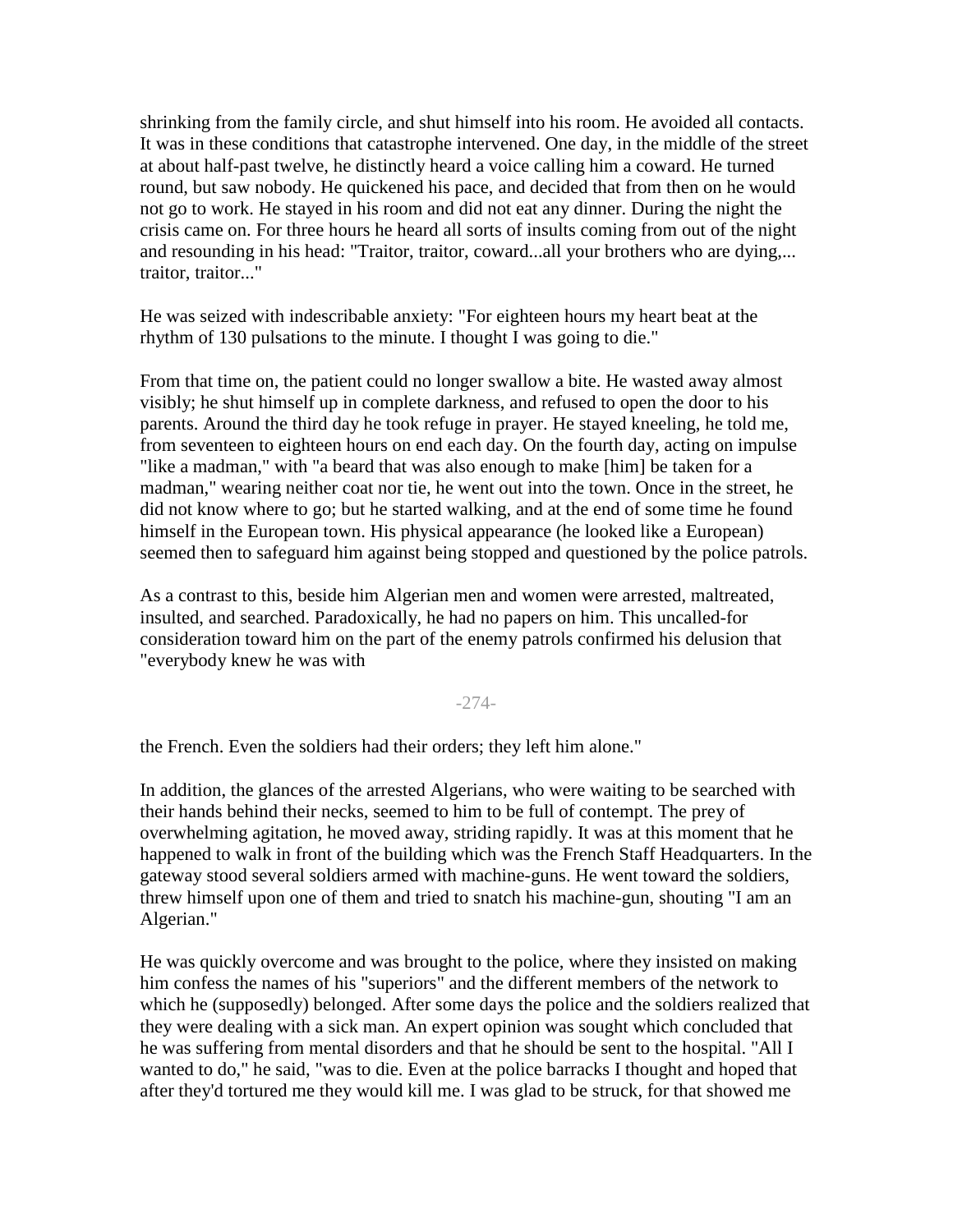shrinking from the family circle, and shut himself into his room. He avoided all contacts. It was in these conditions that catastrophe intervened. One day, in the middle of the street at about half-past twelve, he distinctly heard a voice calling him a coward. He turned round, but saw nobody. He quickened his pace, and decided that from then on he would not go to work. He stayed in his room and did not eat any dinner. During the night the crisis came on. For three hours he heard all sorts of insults coming from out of the night and resounding in his head: "Traitor, traitor, coward...all your brothers who are dying,... traitor, traitor..."

He was seized with indescribable anxiety: "For eighteen hours my heart beat at the rhythm of 130 pulsations to the minute. I thought I was going to die."

From that time on, the patient could no longer swallow a bite. He wasted away almost visibly; he shut himself up in complete darkness, and refused to open the door to his parents. Around the third day he took refuge in prayer. He stayed kneeling, he told me, from seventeen to eighteen hours on end each day. On the fourth day, acting on impulse "like a madman," with "a beard that was also enough to make [him] be taken for a madman," wearing neither coat nor tie, he went out into the town. Once in the street, he did not know where to go; but he started walking, and at the end of some time he found himself in the European town. His physical appearance (he looked like a European) seemed then to safeguard him against being stopped and questioned by the police patrols.

As a contrast to this, beside him Algerian men and women were arrested, maltreated, insulted, and searched. Paradoxically, he had no papers on him. This uncalled-for consideration toward him on the part of the enemy patrols confirmed his delusion that "everybody knew he was with

-274-

the French. Even the soldiers had their orders; they left him alone."

In addition, the glances of the arrested Algerians, who were waiting to be searched with their hands behind their necks, seemed to him to be full of contempt. The prey of overwhelming agitation, he moved away, striding rapidly. It was at this moment that he happened to walk in front of the building which was the French Staff Headquarters. In the gateway stood several soldiers armed with machine-guns. He went toward the soldiers, threw himself upon one of them and tried to snatch his machine-gun, shouting "I am an Algerian."

He was quickly overcome and was brought to the police, where they insisted on making him confess the names of his "superiors" and the different members of the network to which he (supposedly) belonged. After some days the police and the soldiers realized that they were dealing with a sick man. An expert opinion was sought which concluded that he was suffering from mental disorders and that he should be sent to the hospital. "All I wanted to do," he said, "was to die. Even at the police barracks I thought and hoped that after they'd tortured me they would kill me. I was glad to be struck, for that showed me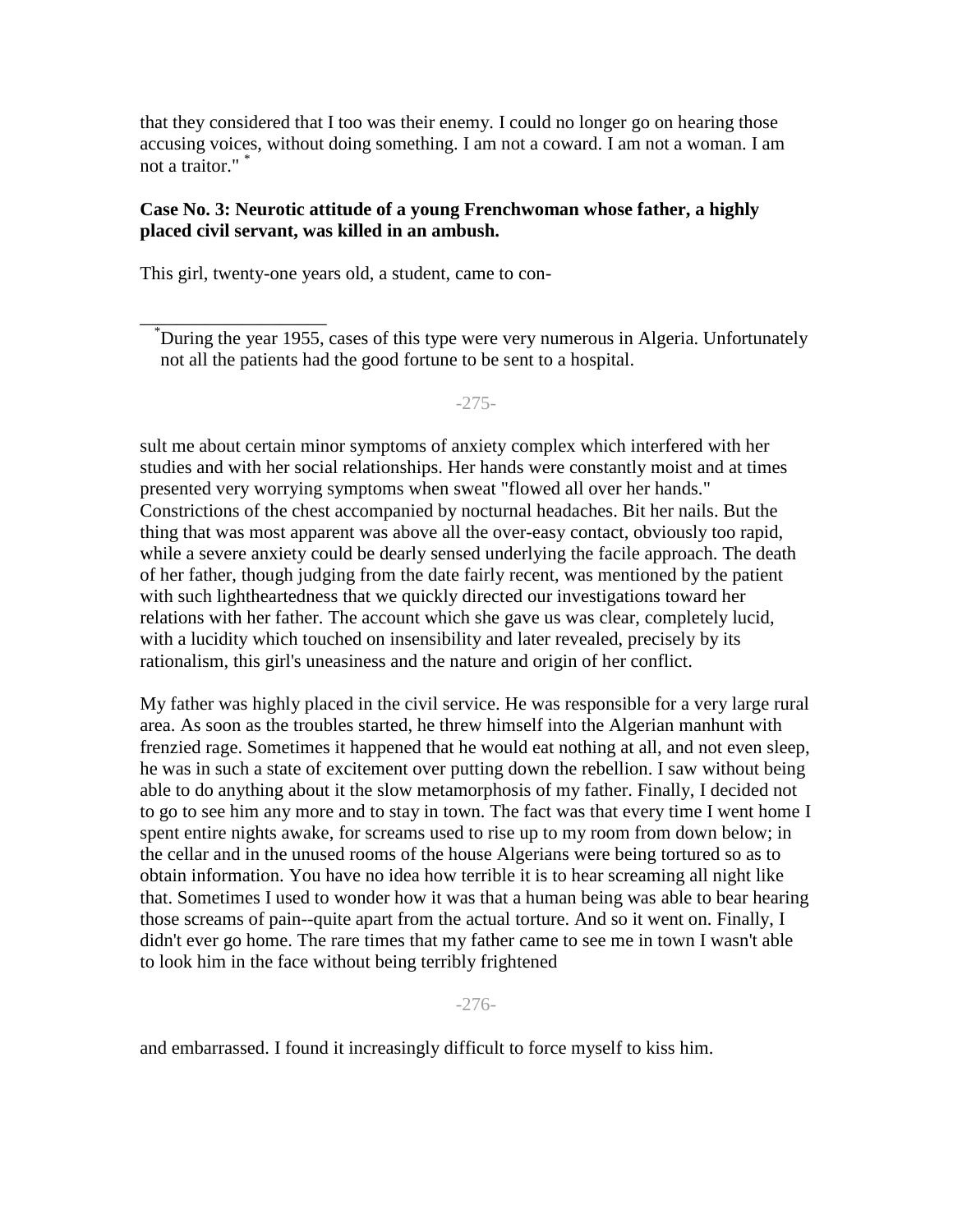that they considered that I too was their enemy. I could no longer go on hearing those accusing voices, without doing something. I am not a coward. I am not a woman. I am not a traitor." \*

## **Case No. 3: Neurotic attitude of a young Frenchwoman whose father, a highly placed civil servant, was killed in an ambush.**

This girl, twenty-one years old, a student, came to con-

\_\_\_\_\_\_\_\_\_\_\_\_\_\_\_\_\_\_\_\_

-275-

sult me about certain minor symptoms of anxiety complex which interfered with her studies and with her social relationships. Her hands were constantly moist and at times presented very worrying symptoms when sweat "flowed all over her hands." Constrictions of the chest accompanied by nocturnal headaches. Bit her nails. But the thing that was most apparent was above all the over-easy contact, obviously too rapid, while a severe anxiety could be dearly sensed underlying the facile approach. The death of her father, though judging from the date fairly recent, was mentioned by the patient with such lightheartedness that we quickly directed our investigations toward her relations with her father. The account which she gave us was clear, completely lucid, with a lucidity which touched on insensibility and later revealed, precisely by its rationalism, this girl's uneasiness and the nature and origin of her conflict.

My father was highly placed in the civil service. He was responsible for a very large rural area. As soon as the troubles started, he threw himself into the Algerian manhunt with frenzied rage. Sometimes it happened that he would eat nothing at all, and not even sleep, he was in such a state of excitement over putting down the rebellion. I saw without being able to do anything about it the slow metamorphosis of my father. Finally, I decided not to go to see him any more and to stay in town. The fact was that every time I went home I spent entire nights awake, for screams used to rise up to my room from down below; in the cellar and in the unused rooms of the house Algerians were being tortured so as to obtain information. You have no idea how terrible it is to hear screaming all night like that. Sometimes I used to wonder how it was that a human being was able to bear hearing those screams of pain--quite apart from the actual torture. And so it went on. Finally, I didn't ever go home. The rare times that my father came to see me in town I wasn't able to look him in the face without being terribly frightened

-276-

and embarrassed. I found it increasingly difficult to force myself to kiss him.

<sup>\*</sup>During the year 1955, cases of this type were very numerous in Algeria. Unfortunately not all the patients had the good fortune to be sent to a hospital.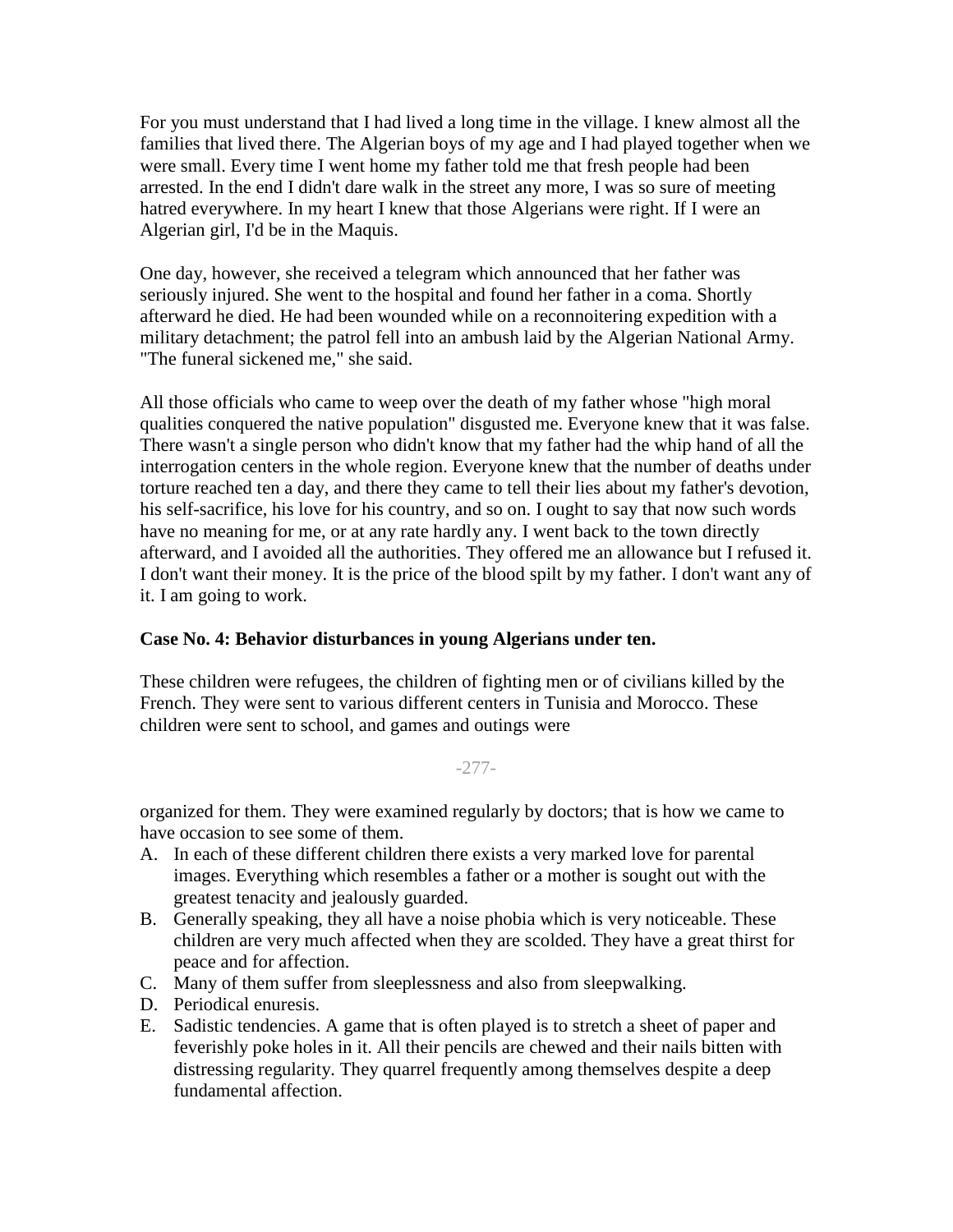For you must understand that I had lived a long time in the village. I knew almost all the families that lived there. The Algerian boys of my age and I had played together when we were small. Every time I went home my father told me that fresh people had been arrested. In the end I didn't dare walk in the street any more, I was so sure of meeting hatred everywhere. In my heart I knew that those Algerians were right. If I were an Algerian girl, I'd be in the Maquis.

One day, however, she received a telegram which announced that her father was seriously injured. She went to the hospital and found her father in a coma. Shortly afterward he died. He had been wounded while on a reconnoitering expedition with a military detachment; the patrol fell into an ambush laid by the Algerian National Army. "The funeral sickened me," she said.

All those officials who came to weep over the death of my father whose "high moral qualities conquered the native population" disgusted me. Everyone knew that it was false. There wasn't a single person who didn't know that my father had the whip hand of all the interrogation centers in the whole region. Everyone knew that the number of deaths under torture reached ten a day, and there they came to tell their lies about my father's devotion, his self-sacrifice, his love for his country, and so on. I ought to say that now such words have no meaning for me, or at any rate hardly any. I went back to the town directly afterward, and I avoided all the authorities. They offered me an allowance but I refused it. I don't want their money. It is the price of the blood spilt by my father. I don't want any of it. I am going to work.

## **Case No. 4: Behavior disturbances in young Algerians under ten.**

These children were refugees, the children of fighting men or of civilians killed by the French. They were sent to various different centers in Tunisia and Morocco. These children were sent to school, and games and outings were

-277-

organized for them. They were examined regularly by doctors; that is how we came to have occasion to see some of them.

- A. In each of these different children there exists a very marked love for parental images. Everything which resembles a father or a mother is sought out with the greatest tenacity and jealously guarded.
- B. Generally speaking, they all have a noise phobia which is very noticeable. These children are very much affected when they are scolded. They have a great thirst for peace and for affection.
- C. Many of them suffer from sleeplessness and also from sleepwalking.
- D. Periodical enuresis.
- E. Sadistic tendencies. A game that is often played is to stretch a sheet of paper and feverishly poke holes in it. All their pencils are chewed and their nails bitten with distressing regularity. They quarrel frequently among themselves despite a deep fundamental affection.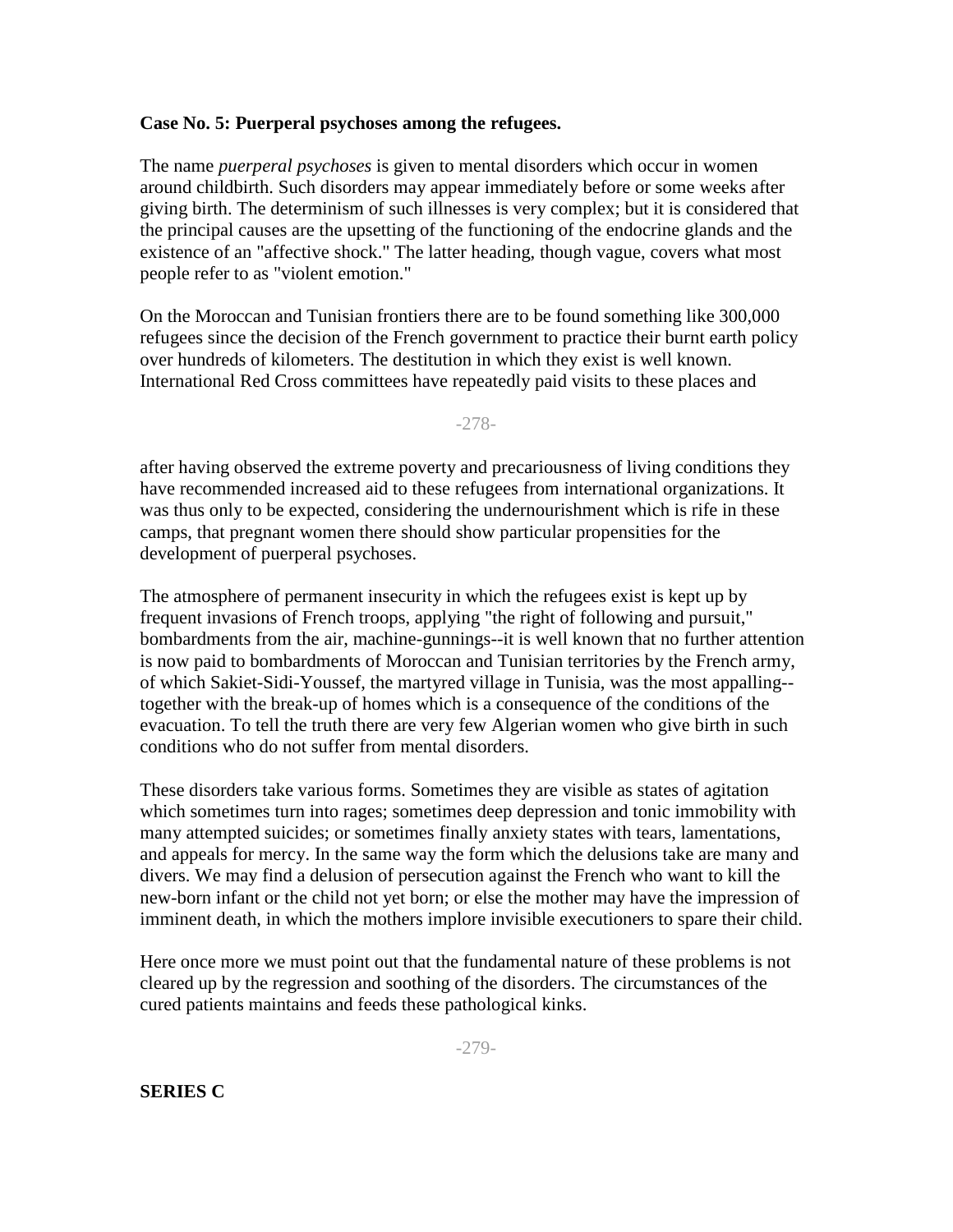#### **Case No. 5: Puerperal psychoses among the refugees.**

The name *puerperal psychoses* is given to mental disorders which occur in women around childbirth. Such disorders may appear immediately before or some weeks after giving birth. The determinism of such illnesses is very complex; but it is considered that the principal causes are the upsetting of the functioning of the endocrine glands and the existence of an "affective shock." The latter heading, though vague, covers what most people refer to as "violent emotion."

On the Moroccan and Tunisian frontiers there are to be found something like 300,000 refugees since the decision of the French government to practice their burnt earth policy over hundreds of kilometers. The destitution in which they exist is well known. International Red Cross committees have repeatedly paid visits to these places and

-278-

after having observed the extreme poverty and precariousness of living conditions they have recommended increased aid to these refugees from international organizations. It was thus only to be expected, considering the undernourishment which is rife in these camps, that pregnant women there should show particular propensities for the development of puerperal psychoses.

The atmosphere of permanent insecurity in which the refugees exist is kept up by frequent invasions of French troops, applying "the right of following and pursuit," bombardments from the air, machine-gunnings--it is well known that no further attention is now paid to bombardments of Moroccan and Tunisian territories by the French army, of which Sakiet-Sidi-Youssef, the martyred village in Tunisia, was the most appalling- together with the break-up of homes which is a consequence of the conditions of the evacuation. To tell the truth there are very few Algerian women who give birth in such conditions who do not suffer from mental disorders.

These disorders take various forms. Sometimes they are visible as states of agitation which sometimes turn into rages; sometimes deep depression and tonic immobility with many attempted suicides; or sometimes finally anxiety states with tears, lamentations, and appeals for mercy. In the same way the form which the delusions take are many and divers. We may find a delusion of persecution against the French who want to kill the new-born infant or the child not yet born; or else the mother may have the impression of imminent death, in which the mothers implore invisible executioners to spare their child.

Here once more we must point out that the fundamental nature of these problems is not cleared up by the regression and soothing of the disorders. The circumstances of the cured patients maintains and feeds these pathological kinks.

-279-

## **SERIES C**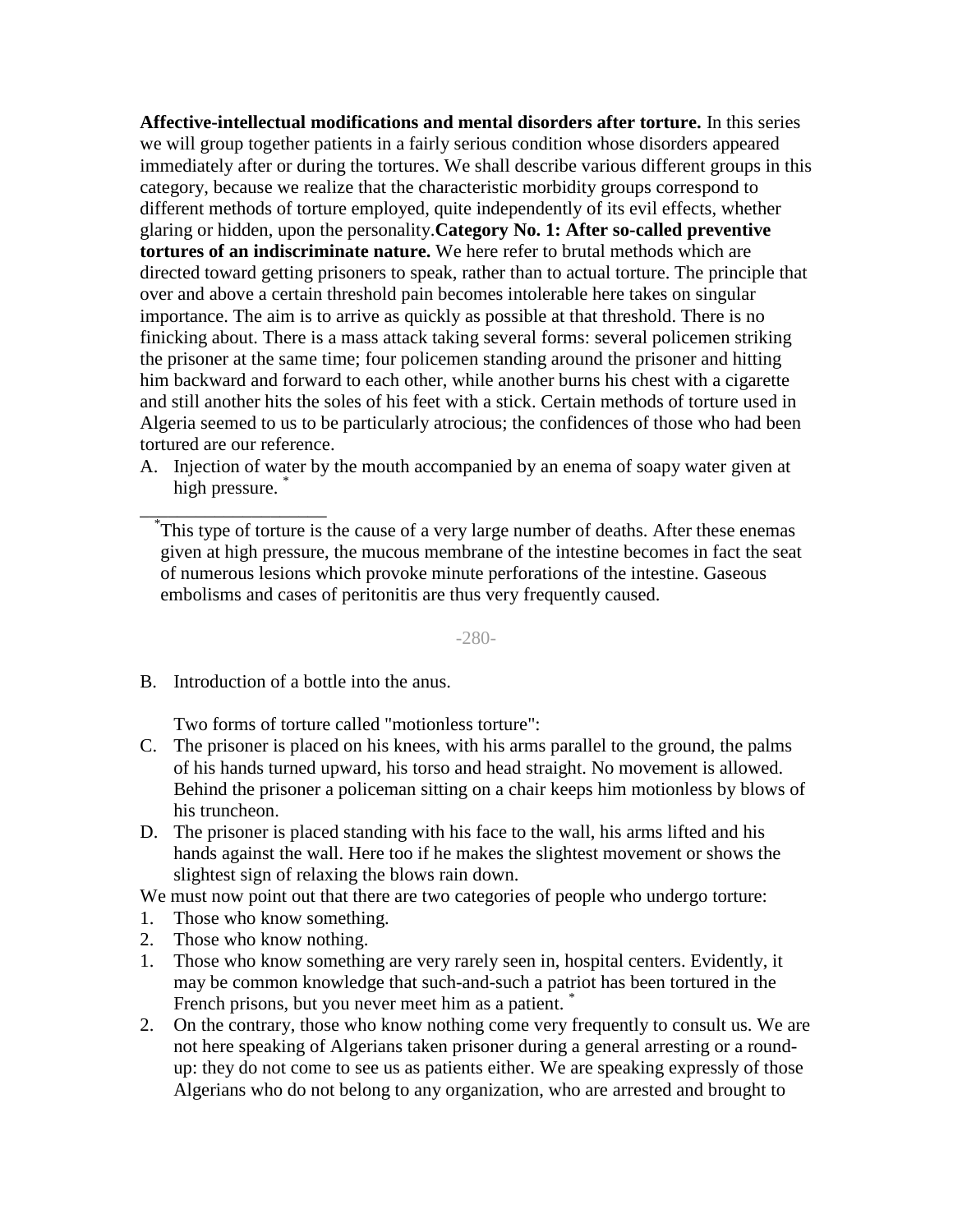**Affective-intellectual modifications and mental disorders after torture.** In this series we will group together patients in a fairly serious condition whose disorders appeared immediately after or during the tortures. We shall describe various different groups in this category, because we realize that the characteristic morbidity groups correspond to different methods of torture employed, quite independently of its evil effects, whether glaring or hidden, upon the personality.**Category No. 1: After so-called preventive tortures of an indiscriminate nature.** We here refer to brutal methods which are directed toward getting prisoners to speak, rather than to actual torture. The principle that over and above a certain threshold pain becomes intolerable here takes on singular importance. The aim is to arrive as quickly as possible at that threshold. There is no finicking about. There is a mass attack taking several forms: several policemen striking the prisoner at the same time; four policemen standing around the prisoner and hitting him backward and forward to each other, while another burns his chest with a cigarette and still another hits the soles of his feet with a stick. Certain methods of torture used in Algeria seemed to us to be particularly atrocious; the confidences of those who had been tortured are our reference.

A. Injection of water by the mouth accompanied by an enema of soapy water given at high pressure. \*

 $-280-$ 

B. Introduction of a bottle into the anus.

\_\_\_\_\_\_\_\_\_\_\_\_\_\_\_\_\_\_\_\_

Two forms of torture called "motionless torture":

- C. The prisoner is placed on his knees, with his arms parallel to the ground, the palms of his hands turned upward, his torso and head straight. No movement is allowed. Behind the prisoner a policeman sitting on a chair keeps him motionless by blows of his truncheon.
- D. The prisoner is placed standing with his face to the wall, his arms lifted and his hands against the wall. Here too if he makes the slightest movement or shows the slightest sign of relaxing the blows rain down.

We must now point out that there are two categories of people who undergo torture:

- 1. Those who know something.
- 2. Those who know nothing.
- 1. Those who know something are very rarely seen in, hospital centers. Evidently, it may be common knowledge that such-and-such a patriot has been tortured in the French prisons, but you never meet him as a patient.
- 2. On the contrary, those who know nothing come very frequently to consult us. We are not here speaking of Algerians taken prisoner during a general arresting or a roundup: they do not come to see us as patients either. We are speaking expressly of those Algerians who do not belong to any organization, who are arrested and brought to

<sup>\*</sup> This type of torture is the cause of a very large number of deaths. After these enemas given at high pressure, the mucous membrane of the intestine becomes in fact the seat of numerous lesions which provoke minute perforations of the intestine. Gaseous embolisms and cases of peritonitis are thus very frequently caused.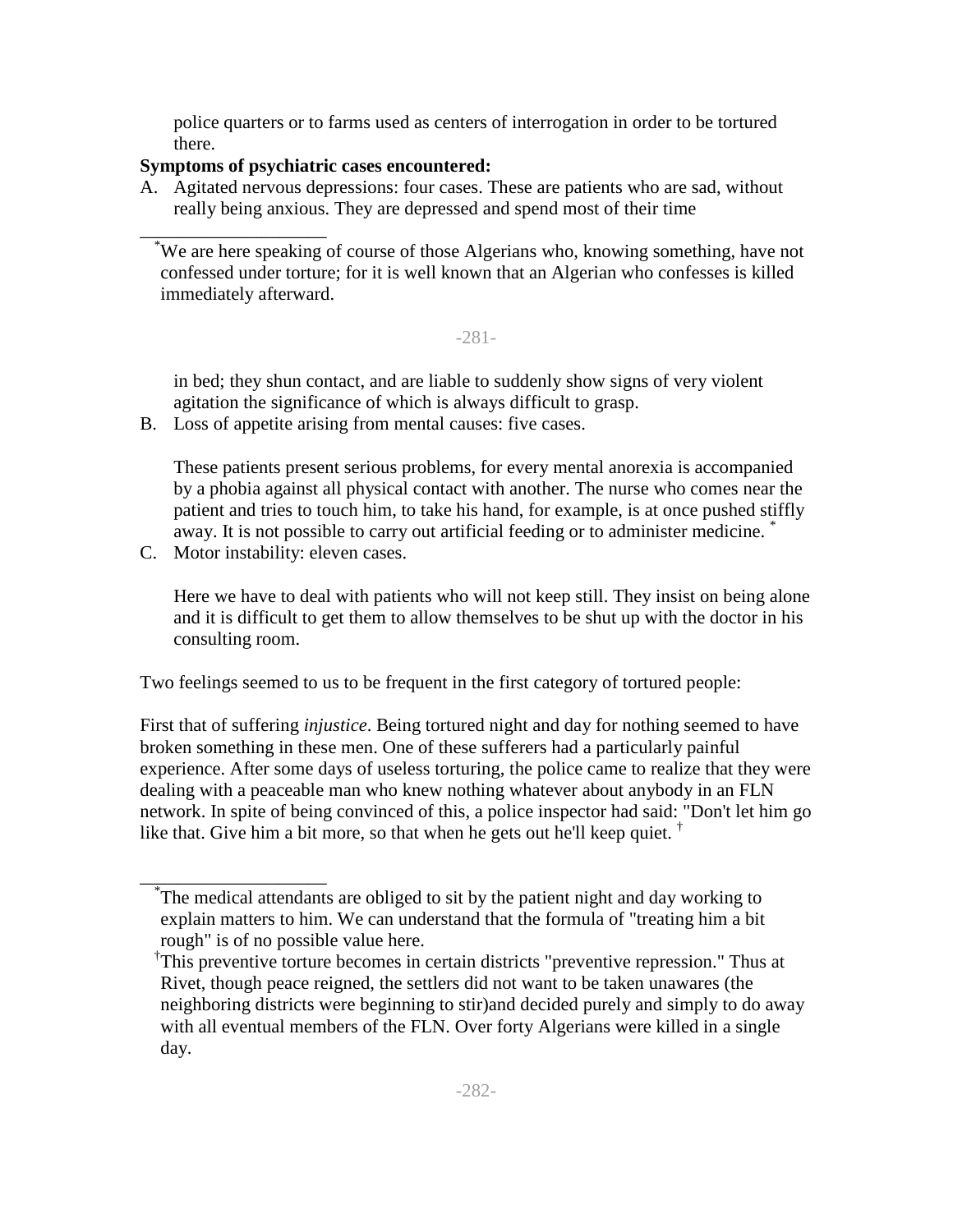police quarters or to farms used as centers of interrogation in order to be tortured there.

## **Symptoms of psychiatric cases encountered:**

\_\_\_\_\_\_\_\_\_\_\_\_\_\_\_\_\_\_\_\_

A. Agitated nervous depressions: four cases. These are patients who are sad, without really being anxious. They are depressed and spend most of their time

-281-

 in bed; they shun contact, and are liable to suddenly show signs of very violent agitation the significance of which is always difficult to grasp.

B. Loss of appetite arising from mental causes: five cases.

These patients present serious problems, for every mental anorexia is accompanied by a phobia against all physical contact with another. The nurse who comes near the patient and tries to touch him, to take his hand, for example, is at once pushed stiffly away. It is not possible to carry out artificial feeding or to administer medicine.

C. Motor instability: eleven cases.

\_\_\_\_\_\_\_\_\_\_\_\_\_\_\_\_\_\_\_\_

Here we have to deal with patients who will not keep still. They insist on being alone and it is difficult to get them to allow themselves to be shut up with the doctor in his consulting room.

Two feelings seemed to us to be frequent in the first category of tortured people:

First that of suffering *injustice*. Being tortured night and day for nothing seemed to have broken something in these men. One of these sufferers had a particularly painful experience. After some days of useless torturing, the police came to realize that they were dealing with a peaceable man who knew nothing whatever about anybody in an FLN network. In spite of being convinced of this, a police inspector had said: "Don't let him go like that. Give him a bit more, so that when he gets out he'll keep quiet.<sup>†</sup>

<sup>\*</sup>We are here speaking of course of those Algerians who, knowing something, have not confessed under torture; for it is well known that an Algerian who confesses is killed immediately afterward.

<sup>\*</sup> The medical attendants are obliged to sit by the patient night and day working to explain matters to him. We can understand that the formula of "treating him a bit rough" is of no possible value here.

<sup>†</sup> This preventive torture becomes in certain districts "preventive repression." Thus at Rivet, though peace reigned, the settlers did not want to be taken unawares (the neighboring districts were beginning to stir)and decided purely and simply to do away with all eventual members of the FLN. Over forty Algerians were killed in a single day.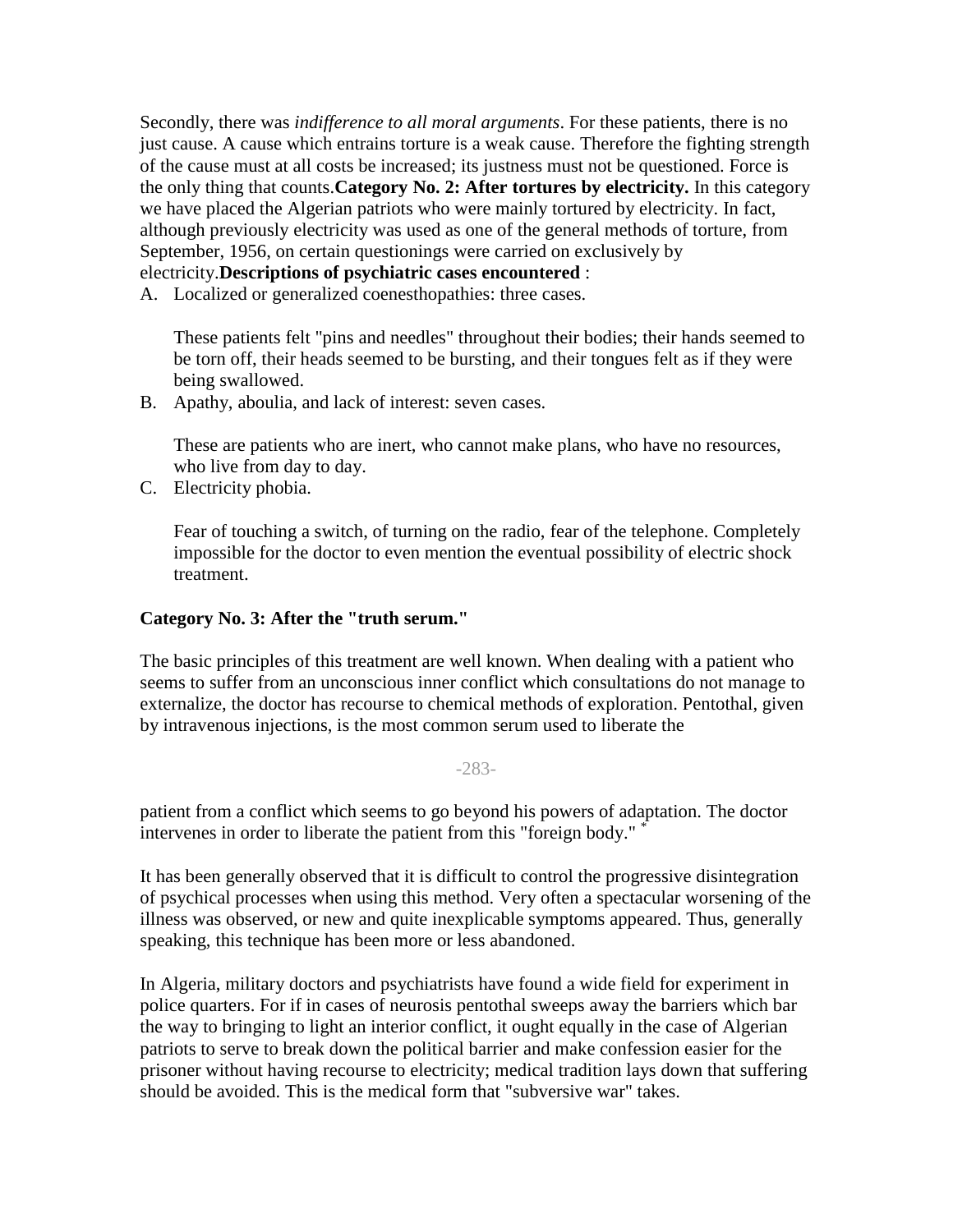Secondly, there was *indifference to all moral arguments*. For these patients, there is no just cause. A cause which entrains torture is a weak cause. Therefore the fighting strength of the cause must at all costs be increased; its justness must not be questioned. Force is the only thing that counts.**Category No. 2: After tortures by electricity.** In this category we have placed the Algerian patriots who were mainly tortured by electricity. In fact, although previously electricity was used as one of the general methods of torture, from September, 1956, on certain questionings were carried on exclusively by electricity.**Descriptions of psychiatric cases encountered** :

A. Localized or generalized coenesthopathies: three cases.

These patients felt "pins and needles" throughout their bodies; their hands seemed to be torn off, their heads seemed to be bursting, and their tongues felt as if they were being swallowed.

B. Apathy, aboulia, and lack of interest: seven cases.

These are patients who are inert, who cannot make plans, who have no resources, who live from day to day.

C. Electricity phobia.

Fear of touching a switch, of turning on the radio, fear of the telephone. Completely impossible for the doctor to even mention the eventual possibility of electric shock treatment.

## **Category No. 3: After the "truth serum."**

The basic principles of this treatment are well known. When dealing with a patient who seems to suffer from an unconscious inner conflict which consultations do not manage to externalize, the doctor has recourse to chemical methods of exploration. Pentothal, given by intravenous injections, is the most common serum used to liberate the

-283-

patient from a conflict which seems to go beyond his powers of adaptation. The doctor intervenes in order to liberate the patient from this "foreign body."

It has been generally observed that it is difficult to control the progressive disintegration of psychical processes when using this method. Very often a spectacular worsening of the illness was observed, or new and quite inexplicable symptoms appeared. Thus, generally speaking, this technique has been more or less abandoned.

In Algeria, military doctors and psychiatrists have found a wide field for experiment in police quarters. For if in cases of neurosis pentothal sweeps away the barriers which bar the way to bringing to light an interior conflict, it ought equally in the case of Algerian patriots to serve to break down the political barrier and make confession easier for the prisoner without having recourse to electricity; medical tradition lays down that suffering should be avoided. This is the medical form that "subversive war" takes.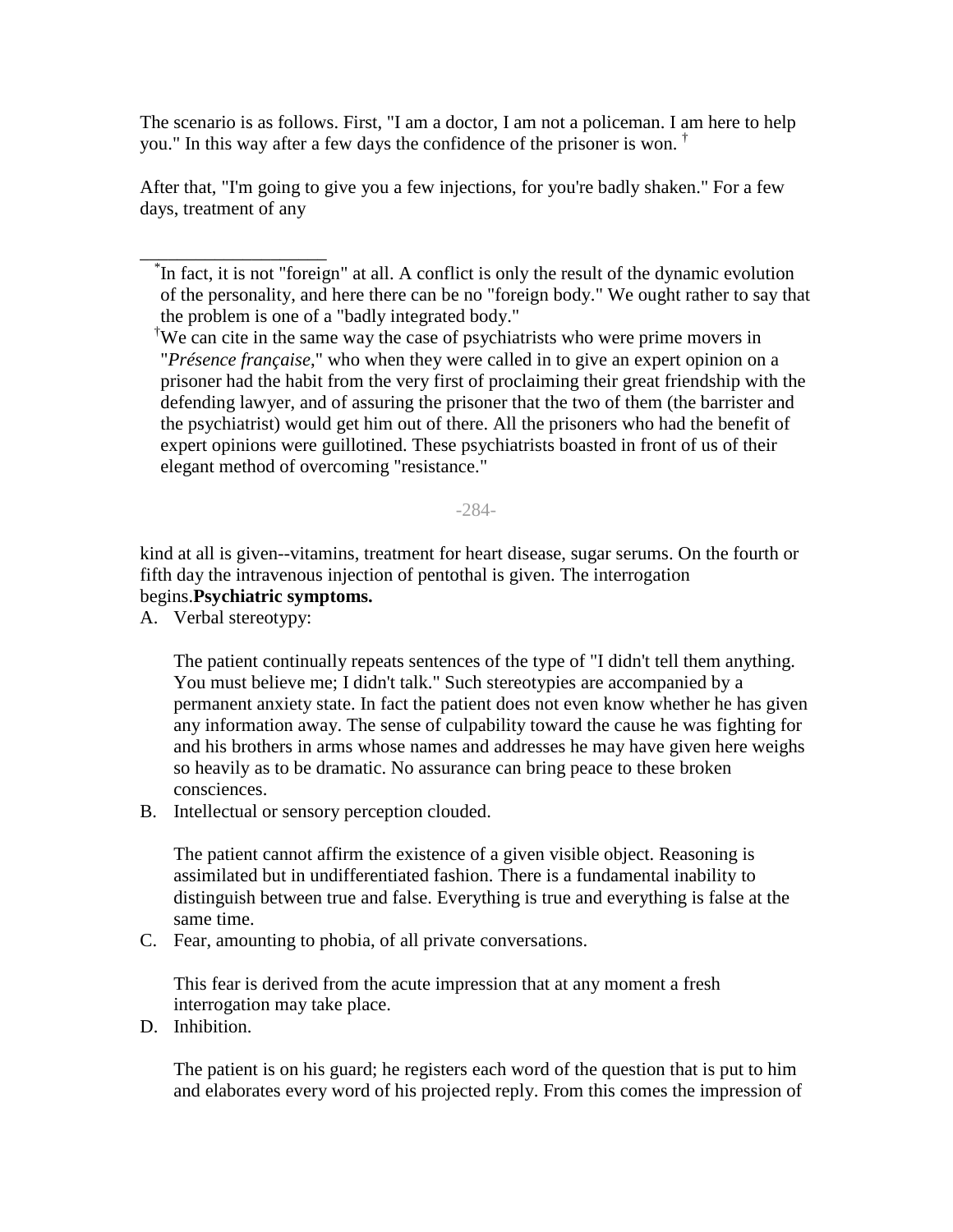The scenario is as follows. First, "I am a doctor, I am not a policeman. I am here to help you." In this way after a few days the confidence of the prisoner is won.  $^{\dagger}$ 

After that, "I'm going to give you a few injections, for you're badly shaken." For a few days, treatment of any

\_\_\_\_\_\_\_\_\_\_\_\_\_\_\_\_\_\_\_\_ \* In fact, it is not "foreign" at all. A conflict is only the result of the dynamic evolution of the personality, and here there can be no "foreign body." We ought rather to say that the problem is one of a "badly integrated body."

†We can cite in the same way the case of psychiatrists who were prime movers in "*Présence française*," who when they were called in to give an expert opinion on a prisoner had the habit from the very first of proclaiming their great friendship with the defending lawyer, and of assuring the prisoner that the two of them (the barrister and the psychiatrist) would get him out of there. All the prisoners who had the benefit of expert opinions were guillotined. These psychiatrists boasted in front of us of their elegant method of overcoming "resistance."

-284-

kind at all is given--vitamins, treatment for heart disease, sugar serums. On the fourth or fifth day the intravenous injection of pentothal is given. The interrogation begins.**Psychiatric symptoms.** 

A. Verbal stereotypy:

The patient continually repeats sentences of the type of "I didn't tell them anything. You must believe me; I didn't talk." Such stereotypies are accompanied by a permanent anxiety state. In fact the patient does not even know whether he has given any information away. The sense of culpability toward the cause he was fighting for and his brothers in arms whose names and addresses he may have given here weighs so heavily as to be dramatic. No assurance can bring peace to these broken consciences.

B. Intellectual or sensory perception clouded.

The patient cannot affirm the existence of a given visible object. Reasoning is assimilated but in undifferentiated fashion. There is a fundamental inability to distinguish between true and false. Everything is true and everything is false at the same time.

C. Fear, amounting to phobia, of all private conversations.

This fear is derived from the acute impression that at any moment a fresh interrogation may take place.

D. Inhibition.

The patient is on his guard; he registers each word of the question that is put to him and elaborates every word of his projected reply. From this comes the impression of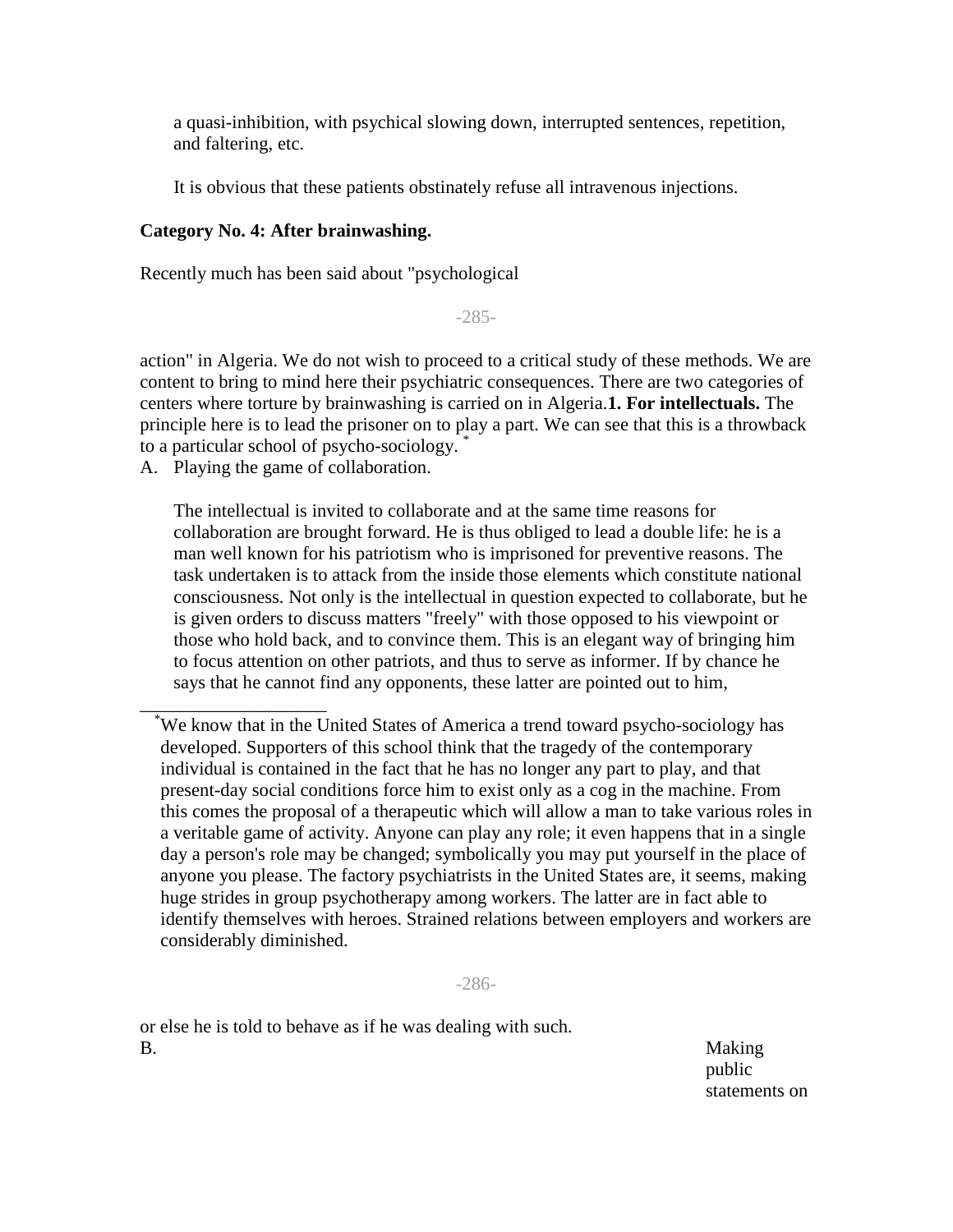a quasi-inhibition, with psychical slowing down, interrupted sentences, repetition, and faltering, etc.

It is obvious that these patients obstinately refuse all intravenous injections.

# **Category No. 4: After brainwashing.**

Recently much has been said about "psychological

-285-

action" in Algeria. We do not wish to proceed to a critical study of these methods. We are content to bring to mind here their psychiatric consequences. There are two categories of centers where torture by brainwashing is carried on in Algeria.**1. For intellectuals.** The principle here is to lead the prisoner on to play a part. We can see that this is a throwback to a particular school of psycho-sociology.

A. Playing the game of collaboration.

\_\_\_\_\_\_\_\_\_\_\_\_\_\_\_\_\_\_\_\_

The intellectual is invited to collaborate and at the same time reasons for collaboration are brought forward. He is thus obliged to lead a double life: he is a man well known for his patriotism who is imprisoned for preventive reasons. The task undertaken is to attack from the inside those elements which constitute national consciousness. Not only is the intellectual in question expected to collaborate, but he is given orders to discuss matters "freely" with those opposed to his viewpoint or those who hold back, and to convince them. This is an elegant way of bringing him to focus attention on other patriots, and thus to serve as informer. If by chance he says that he cannot find any opponents, these latter are pointed out to him,

-286-

or else he is told to behave as if he was dealing with such. B. Making

public statements on

<sup>\*</sup>We know that in the United States of America a trend toward psycho-sociology has developed. Supporters of this school think that the tragedy of the contemporary individual is contained in the fact that he has no longer any part to play, and that present-day social conditions force him to exist only as a cog in the machine. From this comes the proposal of a therapeutic which will allow a man to take various roles in a veritable game of activity. Anyone can play any role; it even happens that in a single day a person's role may be changed; symbolically you may put yourself in the place of anyone you please. The factory psychiatrists in the United States are, it seems, making huge strides in group psychotherapy among workers. The latter are in fact able to identify themselves with heroes. Strained relations between employers and workers are considerably diminished.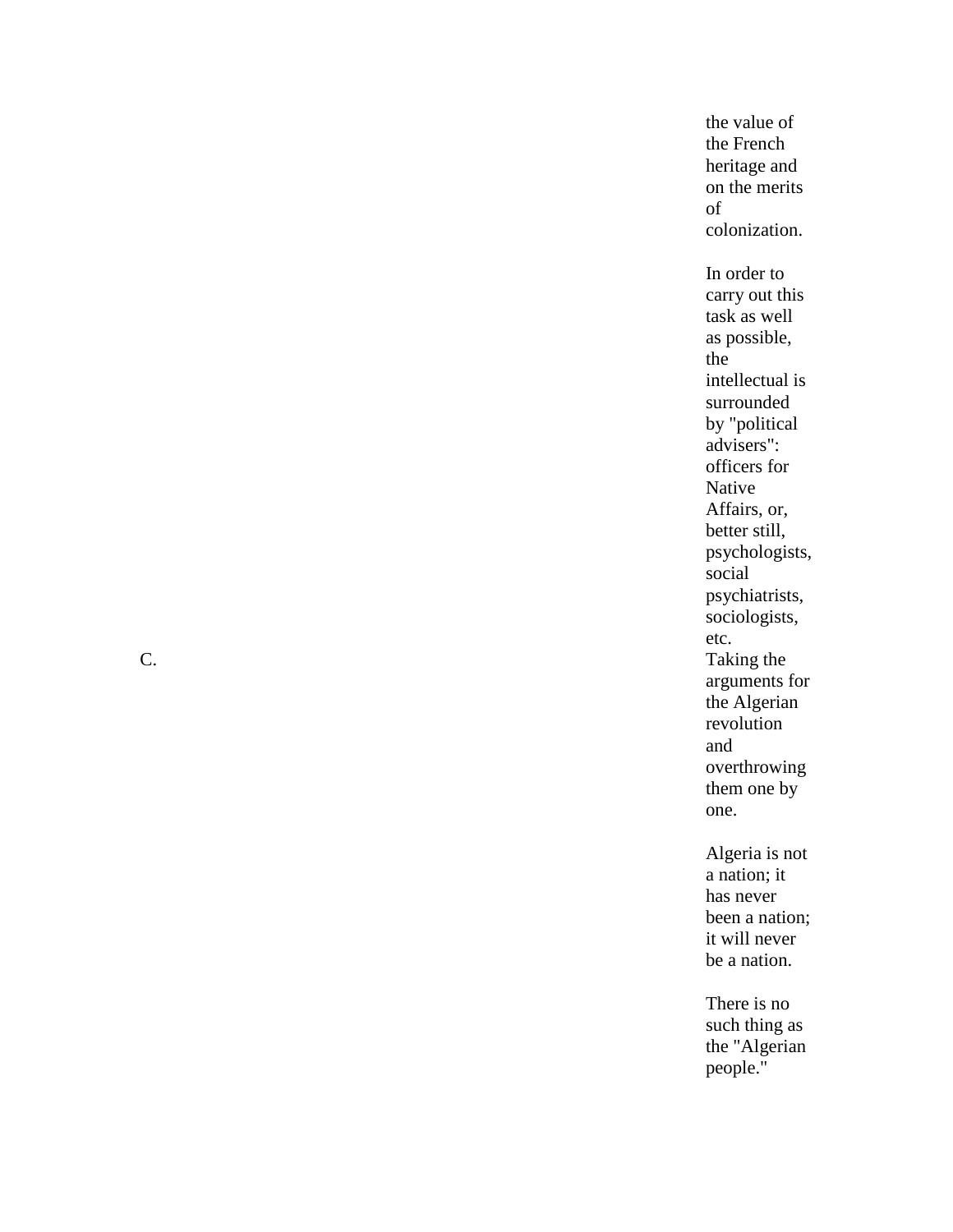the value of the French heritage and on the merits of colonization. In order to carry out this task as well as possible, the intellectual is surrounded by "political advisers": officers for Native Affairs, or, better still, psychologists, social psychiatrists, sociologists, etc. C. Taking the Taking the C. arguments for the Algerian revolution and overthrowing them one by one. Algeria is not

a nation; it has never been a nation; it will never be a nation.

There is no such thing as the "Algerian people."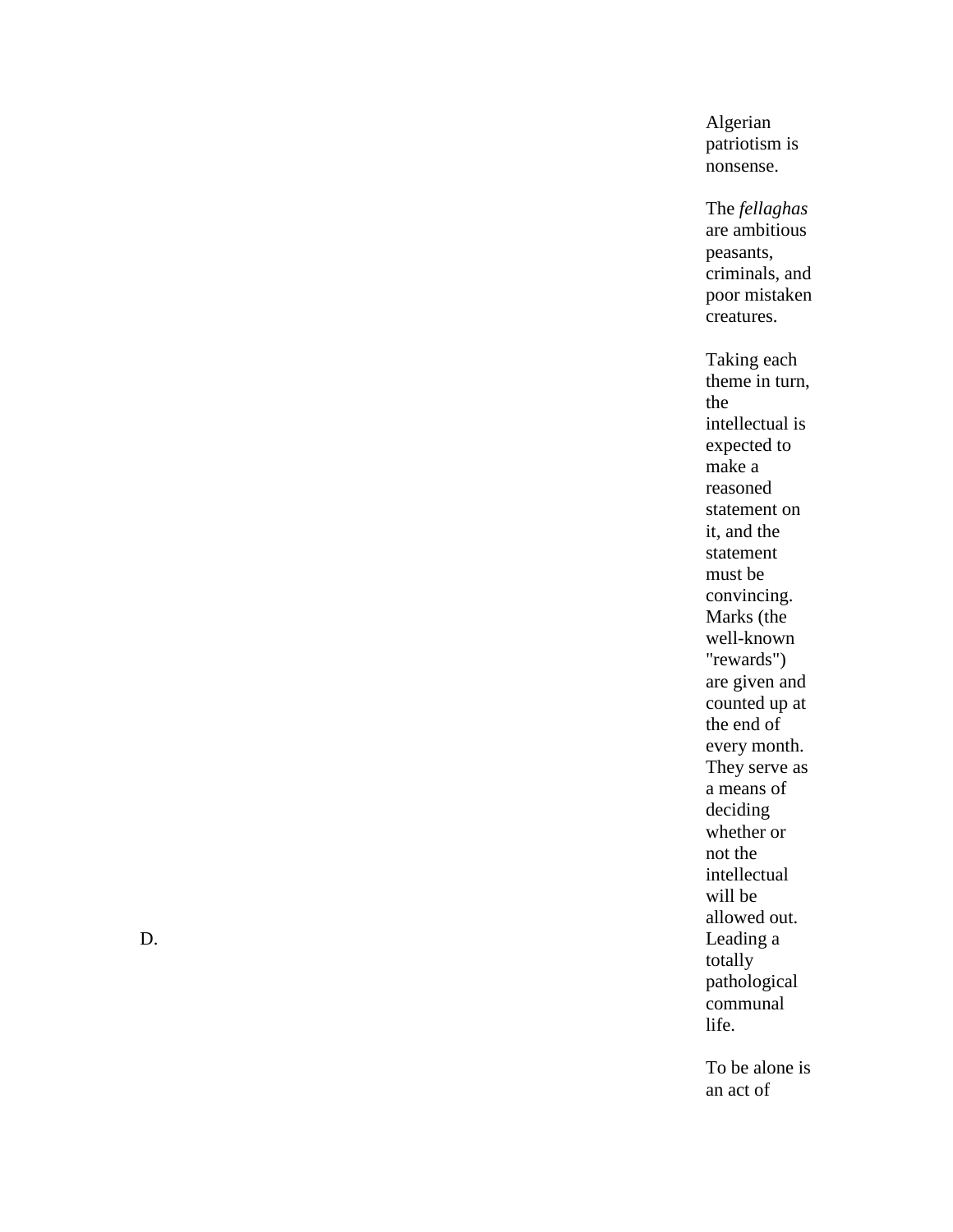Algerian patriotism is nonsense.

The *fellaghas* are ambitious peasants, criminals, and poor mistaken creatures.

Taking each theme in turn, the intellectual is expected to make a reasoned statement on it, and the statement must be convincing. Marks (the well-known "rewards") are given and counted up at the end of every month. They serve as a means of deciding whether or not the intellectual will be allowed out. D. Leading a totally pathological communal life.

> To be alone is an act of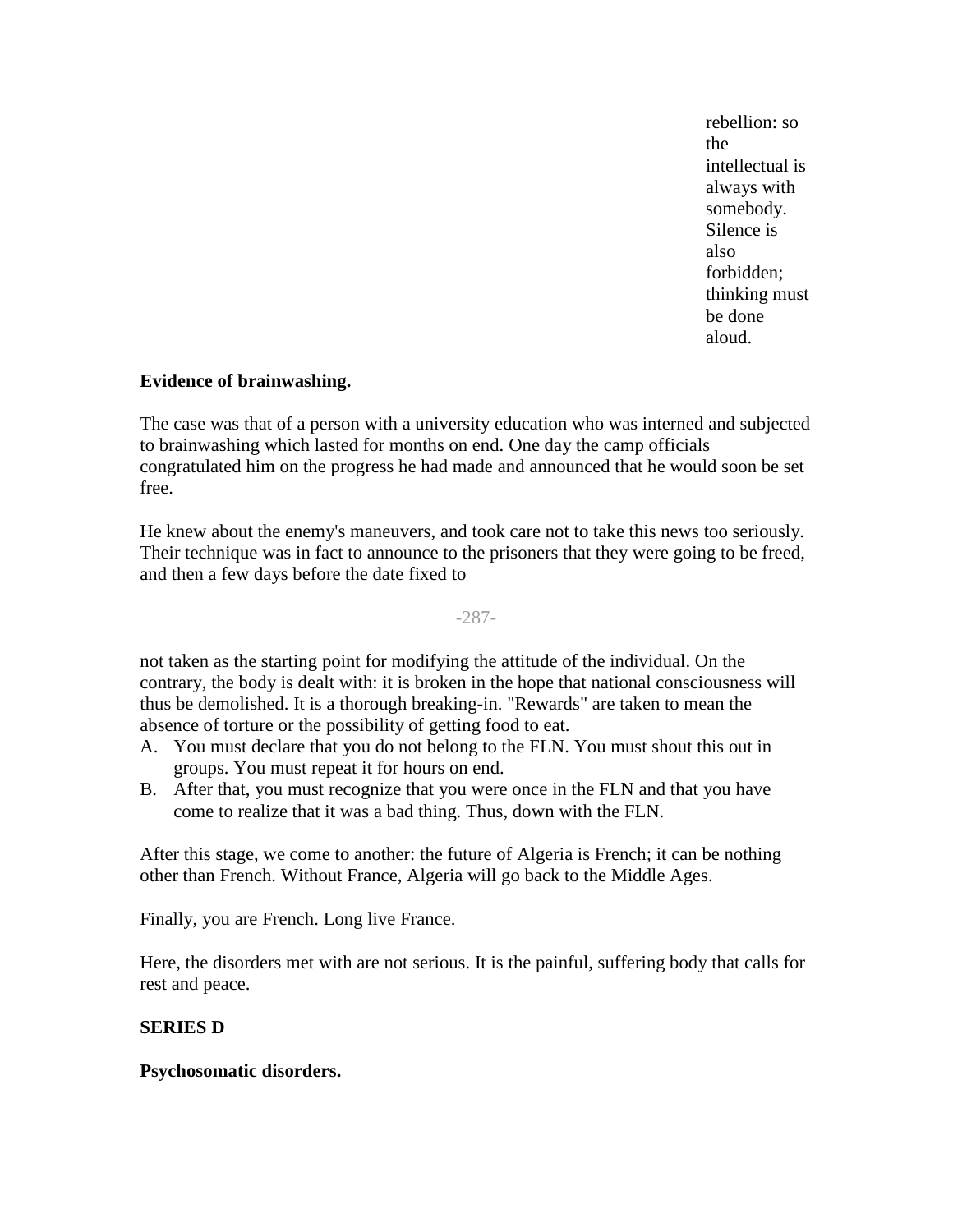rebellion: so the intellectual is always with somebody. Silence is also forbidden; thinking must be done aloud.

## **Evidence of brainwashing.**

The case was that of a person with a university education who was interned and subjected to brainwashing which lasted for months on end. One day the camp officials congratulated him on the progress he had made and announced that he would soon be set free.

He knew about the enemy's maneuvers, and took care not to take this news too seriously. Their technique was in fact to announce to the prisoners that they were going to be freed, and then a few days before the date fixed to

-287-

not taken as the starting point for modifying the attitude of the individual. On the contrary, the body is dealt with: it is broken in the hope that national consciousness will thus be demolished. It is a thorough breaking-in. "Rewards" are taken to mean the absence of torture or the possibility of getting food to eat.

- A. You must declare that you do not belong to the FLN. You must shout this out in groups. You must repeat it for hours on end.
- B. After that, you must recognize that you were once in the FLN and that you have come to realize that it was a bad thing. Thus, down with the FLN.

After this stage, we come to another: the future of Algeria is French; it can be nothing other than French. Without France, Algeria will go back to the Middle Ages.

Finally, you are French. Long live France.

Here, the disorders met with are not serious. It is the painful, suffering body that calls for rest and peace.

# **SERIES D**

# **Psychosomatic disorders.**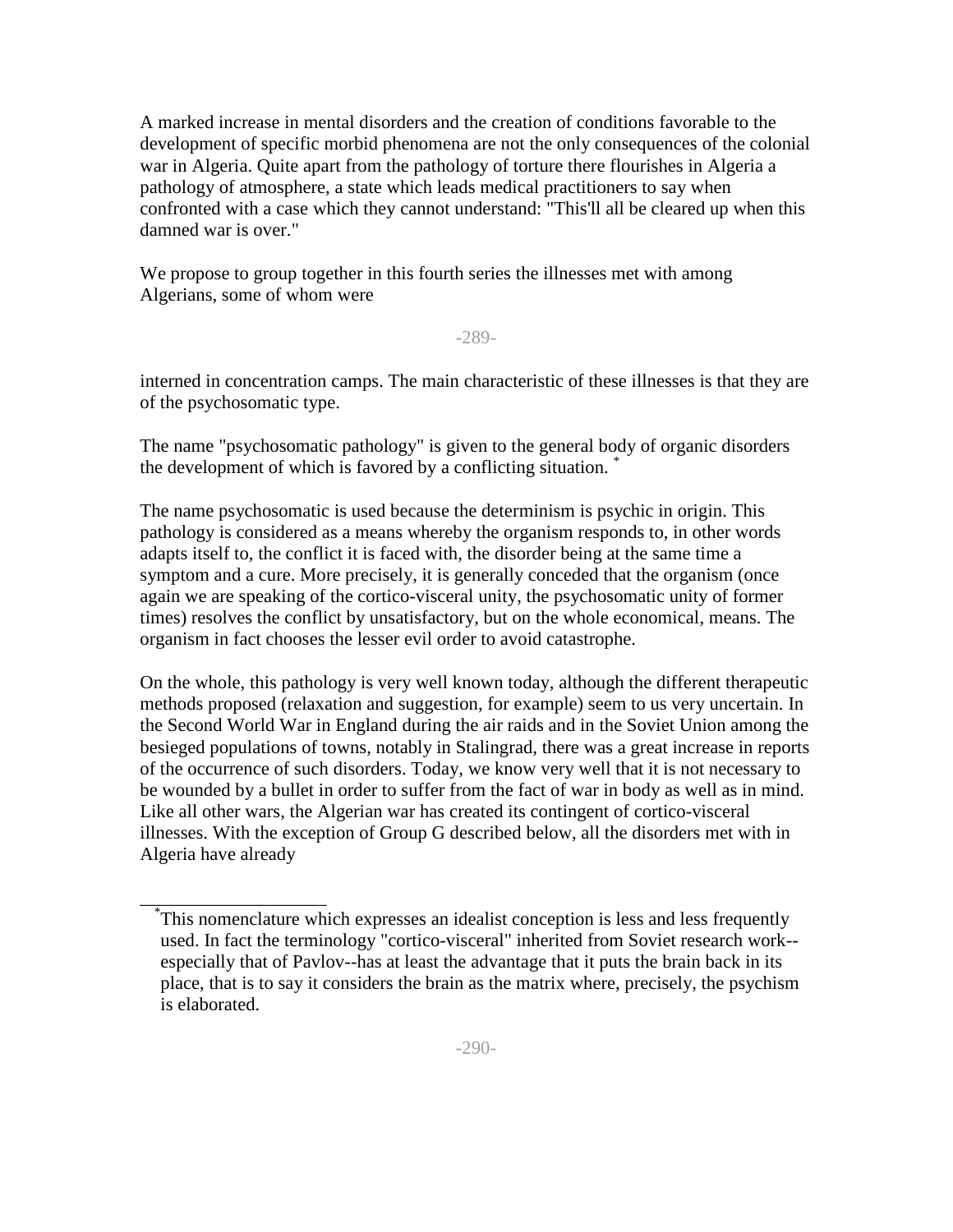A marked increase in mental disorders and the creation of conditions favorable to the development of specific morbid phenomena are not the only consequences of the colonial war in Algeria. Quite apart from the pathology of torture there flourishes in Algeria a pathology of atmosphere, a state which leads medical practitioners to say when confronted with a case which they cannot understand: "This'll all be cleared up when this damned war is over."

We propose to group together in this fourth series the illnesses met with among Algerians, some of whom were

-289-

interned in concentration camps. The main characteristic of these illnesses is that they are of the psychosomatic type.

The name "psychosomatic pathology" is given to the general body of organic disorders the development of which is favored by a conflicting situation.

The name psychosomatic is used because the determinism is psychic in origin. This pathology is considered as a means whereby the organism responds to, in other words adapts itself to, the conflict it is faced with, the disorder being at the same time a symptom and a cure. More precisely, it is generally conceded that the organism (once again we are speaking of the cortico-visceral unity, the psychosomatic unity of former times) resolves the conflict by unsatisfactory, but on the whole economical, means. The organism in fact chooses the lesser evil order to avoid catastrophe.

On the whole, this pathology is very well known today, although the different therapeutic methods proposed (relaxation and suggestion, for example) seem to us very uncertain. In the Second World War in England during the air raids and in the Soviet Union among the besieged populations of towns, notably in Stalingrad, there was a great increase in reports of the occurrence of such disorders. Today, we know very well that it is not necessary to be wounded by a bullet in order to suffer from the fact of war in body as well as in mind. Like all other wars, the Algerian war has created its contingent of cortico-visceral illnesses. With the exception of Group G described below, all the disorders met with in Algeria have already

\_\_\_\_\_\_\_\_\_\_\_\_\_\_\_\_\_\_\_\_

<sup>\*</sup> This nomenclature which expresses an idealist conception is less and less frequently used. In fact the terminology "cortico-visceral" inherited from Soviet research work- especially that of Pavlov--has at least the advantage that it puts the brain back in its place, that is to say it considers the brain as the matrix where, precisely, the psychism is elaborated.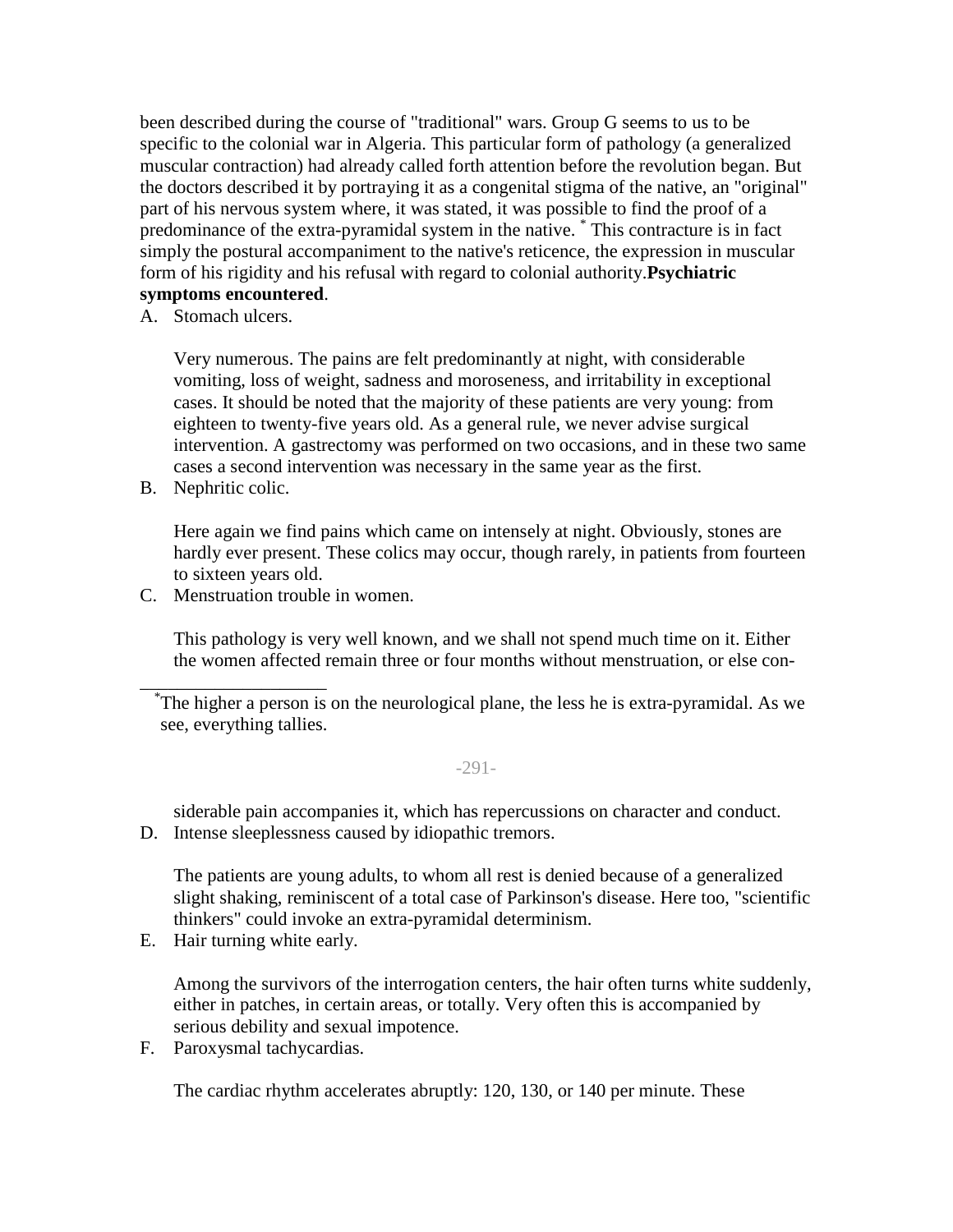been described during the course of "traditional" wars. Group G seems to us to be specific to the colonial war in Algeria. This particular form of pathology (a generalized muscular contraction) had already called forth attention before the revolution began. But the doctors described it by portraying it as a congenital stigma of the native, an "original" part of his nervous system where, it was stated, it was possible to find the proof of a predominance of the extra-pyramidal system in the native. \* This contracture is in fact simply the postural accompaniment to the native's reticence, the expression in muscular form of his rigidity and his refusal with regard to colonial authority.**Psychiatric symptoms encountered**.

A. Stomach ulcers.

Very numerous. The pains are felt predominantly at night, with considerable vomiting, loss of weight, sadness and moroseness, and irritability in exceptional cases. It should be noted that the majority of these patients are very young: from eighteen to twenty-five years old. As a general rule, we never advise surgical intervention. A gastrectomy was performed on two occasions, and in these two same cases a second intervention was necessary in the same year as the first.

B. Nephritic colic.

\_\_\_\_\_\_\_\_\_\_\_\_\_\_\_\_\_\_\_\_

Here again we find pains which came on intensely at night. Obviously, stones are hardly ever present. These colics may occur, though rarely, in patients from fourteen to sixteen years old.

C. Menstruation trouble in women.

This pathology is very well known, and we shall not spend much time on it. Either the women affected remain three or four months without menstruation, or else con-

-291-

 siderable pain accompanies it, which has repercussions on character and conduct. D. Intense sleeplessness caused by idiopathic tremors.

The patients are young adults, to whom all rest is denied because of a generalized slight shaking, reminiscent of a total case of Parkinson's disease. Here too, "scientific thinkers" could invoke an extra-pyramidal determinism.

E. Hair turning white early.

Among the survivors of the interrogation centers, the hair often turns white suddenly, either in patches, in certain areas, or totally. Very often this is accompanied by serious debility and sexual impotence.

F. Paroxysmal tachycardias.

The cardiac rhythm accelerates abruptly: 120, 130, or 140 per minute. These

<sup>\*</sup> The higher a person is on the neurological plane, the less he is extra-pyramidal. As we see, everything tallies.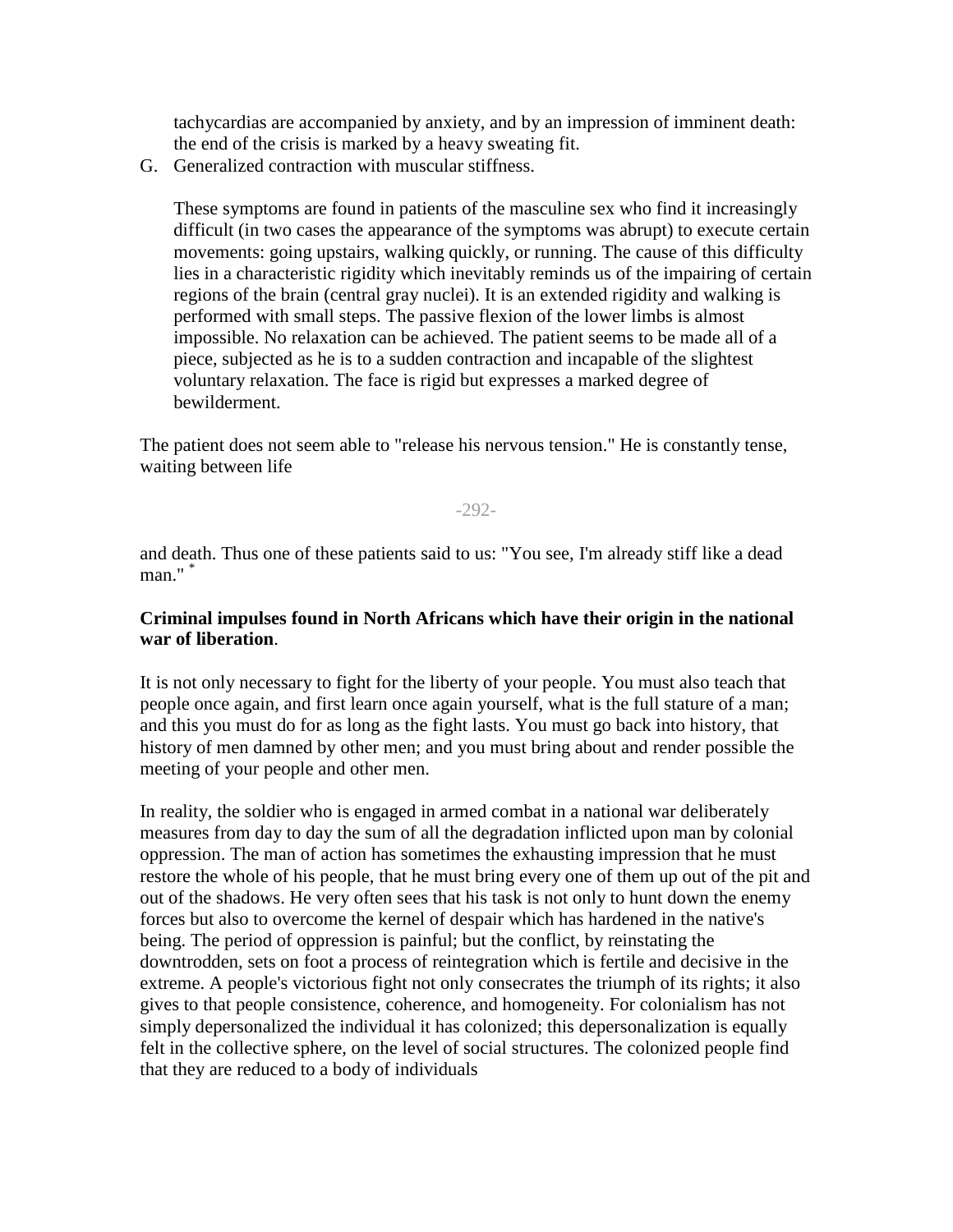tachycardias are accompanied by anxiety, and by an impression of imminent death: the end of the crisis is marked by a heavy sweating fit.

G. Generalized contraction with muscular stiffness.

These symptoms are found in patients of the masculine sex who find it increasingly difficult (in two cases the appearance of the symptoms was abrupt) to execute certain movements: going upstairs, walking quickly, or running. The cause of this difficulty lies in a characteristic rigidity which inevitably reminds us of the impairing of certain regions of the brain (central gray nuclei). It is an extended rigidity and walking is performed with small steps. The passive flexion of the lower limbs is almost impossible. No relaxation can be achieved. The patient seems to be made all of a piece, subjected as he is to a sudden contraction and incapable of the slightest voluntary relaxation. The face is rigid but expresses a marked degree of bewilderment.

The patient does not seem able to "release his nervous tension." He is constantly tense, waiting between life

-292-

and death. Thus one of these patients said to us: "You see, I'm already stiff like a dead  $man.$ "

## **Criminal impulses found in North Africans which have their origin in the national war of liberation**.

It is not only necessary to fight for the liberty of your people. You must also teach that people once again, and first learn once again yourself, what is the full stature of a man; and this you must do for as long as the fight lasts. You must go back into history, that history of men damned by other men; and you must bring about and render possible the meeting of your people and other men.

In reality, the soldier who is engaged in armed combat in a national war deliberately measures from day to day the sum of all the degradation inflicted upon man by colonial oppression. The man of action has sometimes the exhausting impression that he must restore the whole of his people, that he must bring every one of them up out of the pit and out of the shadows. He very often sees that his task is not only to hunt down the enemy forces but also to overcome the kernel of despair which has hardened in the native's being. The period of oppression is painful; but the conflict, by reinstating the downtrodden, sets on foot a process of reintegration which is fertile and decisive in the extreme. A people's victorious fight not only consecrates the triumph of its rights; it also gives to that people consistence, coherence, and homogeneity. For colonialism has not simply depersonalized the individual it has colonized; this depersonalization is equally felt in the collective sphere, on the level of social structures. The colonized people find that they are reduced to a body of individuals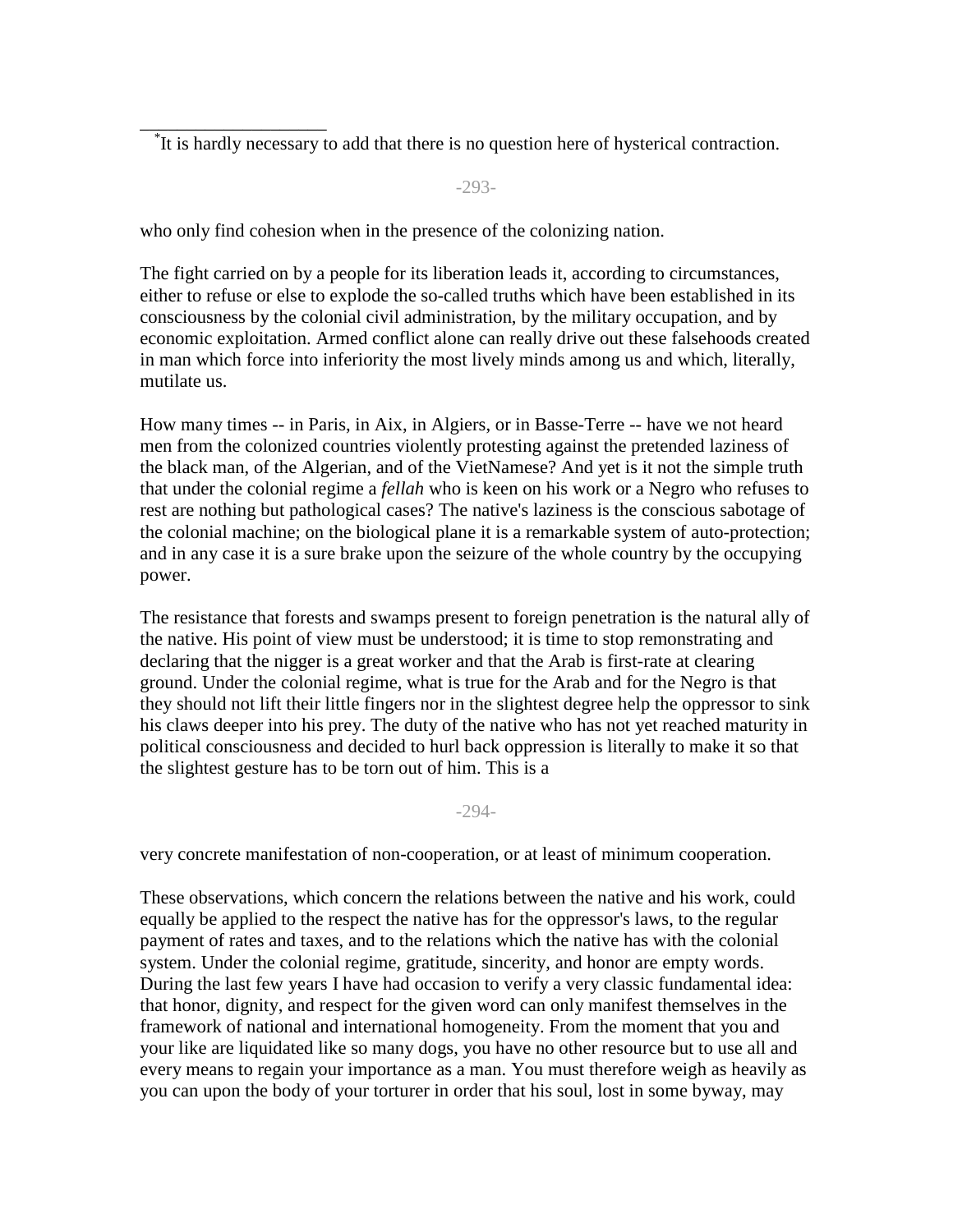\_\_\_\_\_\_\_\_\_\_\_\_\_\_\_\_\_\_\_\_ \* It is hardly necessary to add that there is no question here of hysterical contraction.

-293-

who only find cohesion when in the presence of the colonizing nation.

The fight carried on by a people for its liberation leads it, according to circumstances, either to refuse or else to explode the so-called truths which have been established in its consciousness by the colonial civil administration, by the military occupation, and by economic exploitation. Armed conflict alone can really drive out these falsehoods created in man which force into inferiority the most lively minds among us and which, literally, mutilate us.

How many times -- in Paris, in Aix, in Algiers, or in Basse-Terre -- have we not heard men from the colonized countries violently protesting against the pretended laziness of the black man, of the Algerian, and of the VietNamese? And yet is it not the simple truth that under the colonial regime a *fellah* who is keen on his work or a Negro who refuses to rest are nothing but pathological cases? The native's laziness is the conscious sabotage of the colonial machine; on the biological plane it is a remarkable system of auto-protection; and in any case it is a sure brake upon the seizure of the whole country by the occupying power.

The resistance that forests and swamps present to foreign penetration is the natural ally of the native. His point of view must be understood; it is time to stop remonstrating and declaring that the nigger is a great worker and that the Arab is first-rate at clearing ground. Under the colonial regime, what is true for the Arab and for the Negro is that they should not lift their little fingers nor in the slightest degree help the oppressor to sink his claws deeper into his prey. The duty of the native who has not yet reached maturity in political consciousness and decided to hurl back oppression is literally to make it so that the slightest gesture has to be torn out of him. This is a

-294-

very concrete manifestation of non-cooperation, or at least of minimum cooperation.

These observations, which concern the relations between the native and his work, could equally be applied to the respect the native has for the oppressor's laws, to the regular payment of rates and taxes, and to the relations which the native has with the colonial system. Under the colonial regime, gratitude, sincerity, and honor are empty words. During the last few years I have had occasion to verify a very classic fundamental idea: that honor, dignity, and respect for the given word can only manifest themselves in the framework of national and international homogeneity. From the moment that you and your like are liquidated like so many dogs, you have no other resource but to use all and every means to regain your importance as a man. You must therefore weigh as heavily as you can upon the body of your torturer in order that his soul, lost in some byway, may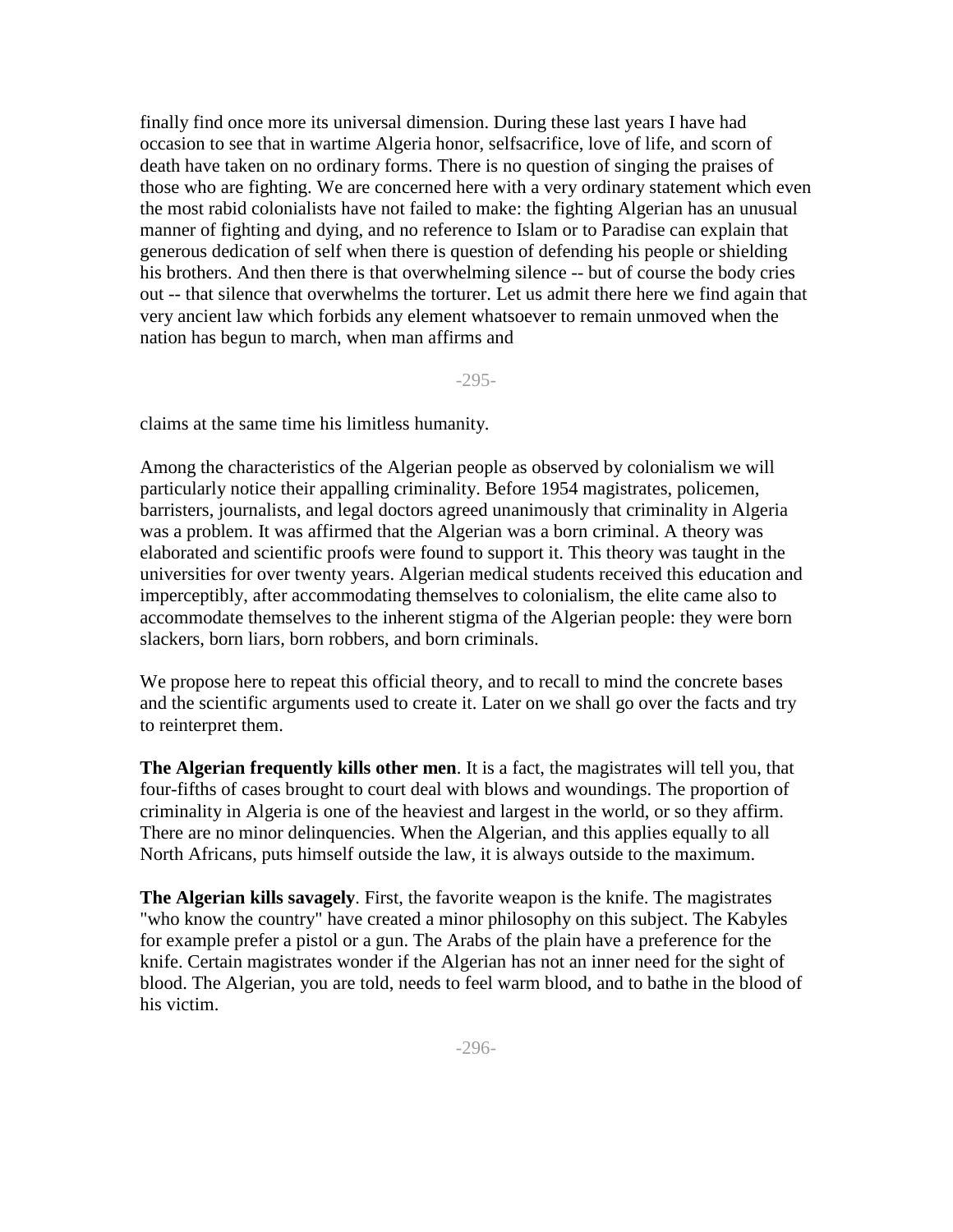finally find once more its universal dimension. During these last years I have had occasion to see that in wartime Algeria honor, selfsacrifice, love of life, and scorn of death have taken on no ordinary forms. There is no question of singing the praises of those who are fighting. We are concerned here with a very ordinary statement which even the most rabid colonialists have not failed to make: the fighting Algerian has an unusual manner of fighting and dying, and no reference to Islam or to Paradise can explain that generous dedication of self when there is question of defending his people or shielding his brothers. And then there is that overwhelming silence -- but of course the body cries out -- that silence that overwhelms the torturer. Let us admit there here we find again that very ancient law which forbids any element whatsoever to remain unmoved when the nation has begun to march, when man affirms and

-295-

claims at the same time his limitless humanity.

Among the characteristics of the Algerian people as observed by colonialism we will particularly notice their appalling criminality. Before 1954 magistrates, policemen, barristers, journalists, and legal doctors agreed unanimously that criminality in Algeria was a problem. It was affirmed that the Algerian was a born criminal. A theory was elaborated and scientific proofs were found to support it. This theory was taught in the universities for over twenty years. Algerian medical students received this education and imperceptibly, after accommodating themselves to colonialism, the elite came also to accommodate themselves to the inherent stigma of the Algerian people: they were born slackers, born liars, born robbers, and born criminals.

We propose here to repeat this official theory, and to recall to mind the concrete bases and the scientific arguments used to create it. Later on we shall go over the facts and try to reinterpret them.

**The Algerian frequently kills other men**. It is a fact, the magistrates will tell you, that four-fifths of cases brought to court deal with blows and woundings. The proportion of criminality in Algeria is one of the heaviest and largest in the world, or so they affirm. There are no minor delinquencies. When the Algerian, and this applies equally to all North Africans, puts himself outside the law, it is always outside to the maximum.

**The Algerian kills savagely**. First, the favorite weapon is the knife. The magistrates "who know the country" have created a minor philosophy on this subject. The Kabyles for example prefer a pistol or a gun. The Arabs of the plain have a preference for the knife. Certain magistrates wonder if the Algerian has not an inner need for the sight of blood. The Algerian, you are told, needs to feel warm blood, and to bathe in the blood of his victim.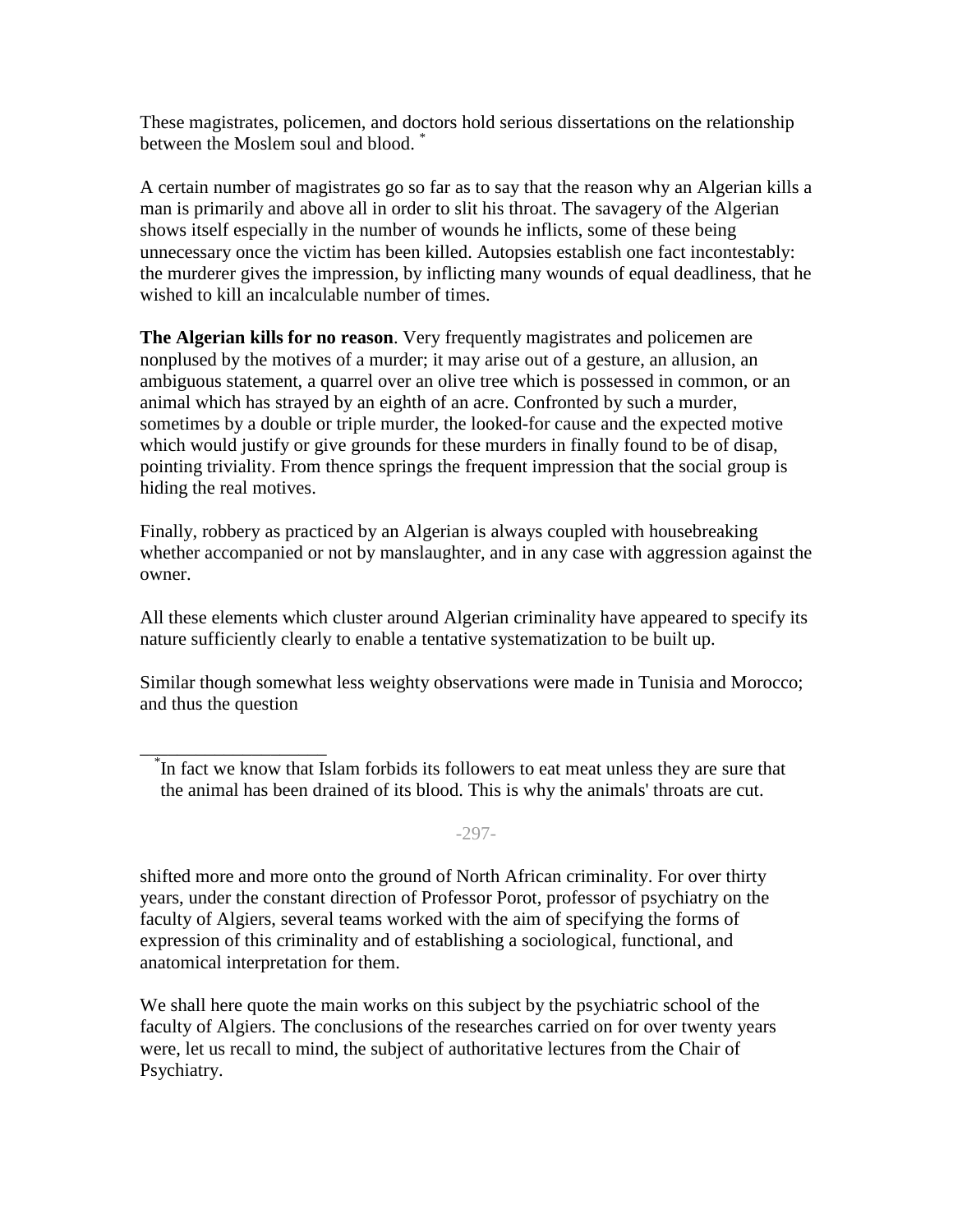These magistrates, policemen, and doctors hold serious dissertations on the relationship between the Moslem soul and blood.<sup>\*</sup>

A certain number of magistrates go so far as to say that the reason why an Algerian kills a man is primarily and above all in order to slit his throat. The savagery of the Algerian shows itself especially in the number of wounds he inflicts, some of these being unnecessary once the victim has been killed. Autopsies establish one fact incontestably: the murderer gives the impression, by inflicting many wounds of equal deadliness, that he wished to kill an incalculable number of times.

**The Algerian kills for no reason**. Very frequently magistrates and policemen are nonplused by the motives of a murder; it may arise out of a gesture, an allusion, an ambiguous statement, a quarrel over an olive tree which is possessed in common, or an animal which has strayed by an eighth of an acre. Confronted by such a murder, sometimes by a double or triple murder, the looked-for cause and the expected motive which would justify or give grounds for these murders in finally found to be of disap, pointing triviality. From thence springs the frequent impression that the social group is hiding the real motives.

Finally, robbery as practiced by an Algerian is always coupled with housebreaking whether accompanied or not by manslaughter, and in any case with aggression against the owner.

All these elements which cluster around Algerian criminality have appeared to specify its nature sufficiently clearly to enable a tentative systematization to be built up.

Similar though somewhat less weighty observations were made in Tunisia and Morocco; and thus the question

\_\_\_\_\_\_\_\_\_\_\_\_\_\_\_\_\_\_\_\_

-297-

shifted more and more onto the ground of North African criminality. For over thirty years, under the constant direction of Professor Porot, professor of psychiatry on the faculty of Algiers, several teams worked with the aim of specifying the forms of expression of this criminality and of establishing a sociological, functional, and anatomical interpretation for them.

We shall here quote the main works on this subject by the psychiatric school of the faculty of Algiers. The conclusions of the researches carried on for over twenty years were, let us recall to mind, the subject of authoritative lectures from the Chair of Psychiatry.

<sup>\*</sup> In fact we know that Islam forbids its followers to eat meat unless they are sure that the animal has been drained of its blood. This is why the animals' throats are cut.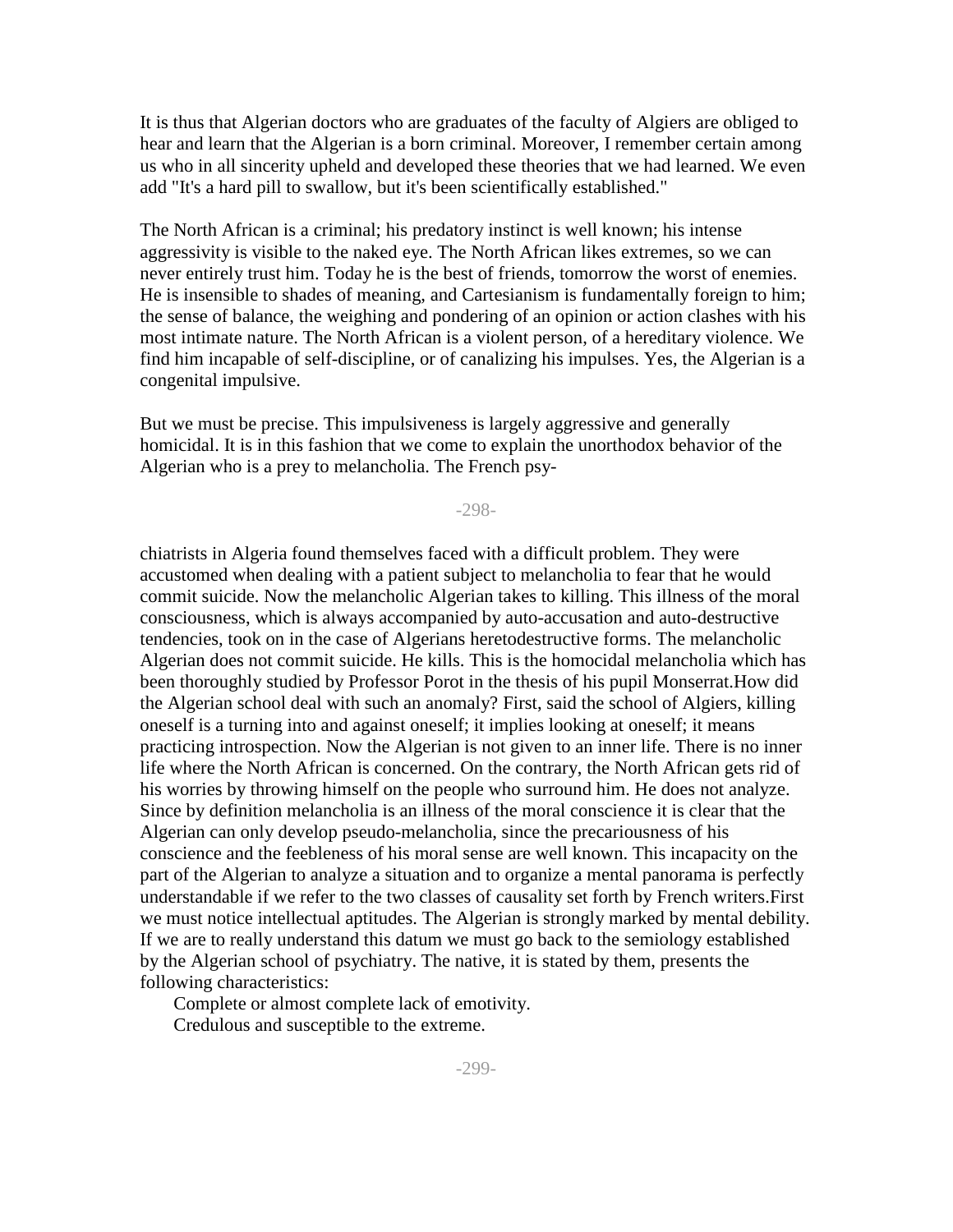It is thus that Algerian doctors who are graduates of the faculty of Algiers are obliged to hear and learn that the Algerian is a born criminal. Moreover, I remember certain among us who in all sincerity upheld and developed these theories that we had learned. We even add "It's a hard pill to swallow, but it's been scientifically established."

The North African is a criminal; his predatory instinct is well known; his intense aggressivity is visible to the naked eye. The North African likes extremes, so we can never entirely trust him. Today he is the best of friends, tomorrow the worst of enemies. He is insensible to shades of meaning, and Cartesianism is fundamentally foreign to him; the sense of balance, the weighing and pondering of an opinion or action clashes with his most intimate nature. The North African is a violent person, of a hereditary violence. We find him incapable of self-discipline, or of canalizing his impulses. Yes, the Algerian is a congenital impulsive.

But we must be precise. This impulsiveness is largely aggressive and generally homicidal. It is in this fashion that we come to explain the unorthodox behavior of the Algerian who is a prey to melancholia. The French psy-

-298-

chiatrists in Algeria found themselves faced with a difficult problem. They were accustomed when dealing with a patient subject to melancholia to fear that he would commit suicide. Now the melancholic Algerian takes to killing. This illness of the moral consciousness, which is always accompanied by auto-accusation and auto-destructive tendencies, took on in the case of Algerians heretodestructive forms. The melancholic Algerian does not commit suicide. He kills. This is the homocidal melancholia which has been thoroughly studied by Professor Porot in the thesis of his pupil Monserrat.How did the Algerian school deal with such an anomaly? First, said the school of Algiers, killing oneself is a turning into and against oneself; it implies looking at oneself; it means practicing introspection. Now the Algerian is not given to an inner life. There is no inner life where the North African is concerned. On the contrary, the North African gets rid of his worries by throwing himself on the people who surround him. He does not analyze. Since by definition melancholia is an illness of the moral conscience it is clear that the Algerian can only develop pseudo-melancholia, since the precariousness of his conscience and the feebleness of his moral sense are well known. This incapacity on the part of the Algerian to analyze a situation and to organize a mental panorama is perfectly understandable if we refer to the two classes of causality set forth by French writers.First we must notice intellectual aptitudes. The Algerian is strongly marked by mental debility. If we are to really understand this datum we must go back to the semiology established by the Algerian school of psychiatry. The native, it is stated by them, presents the following characteristics:

 Complete or almost complete lack of emotivity. Credulous and susceptible to the extreme.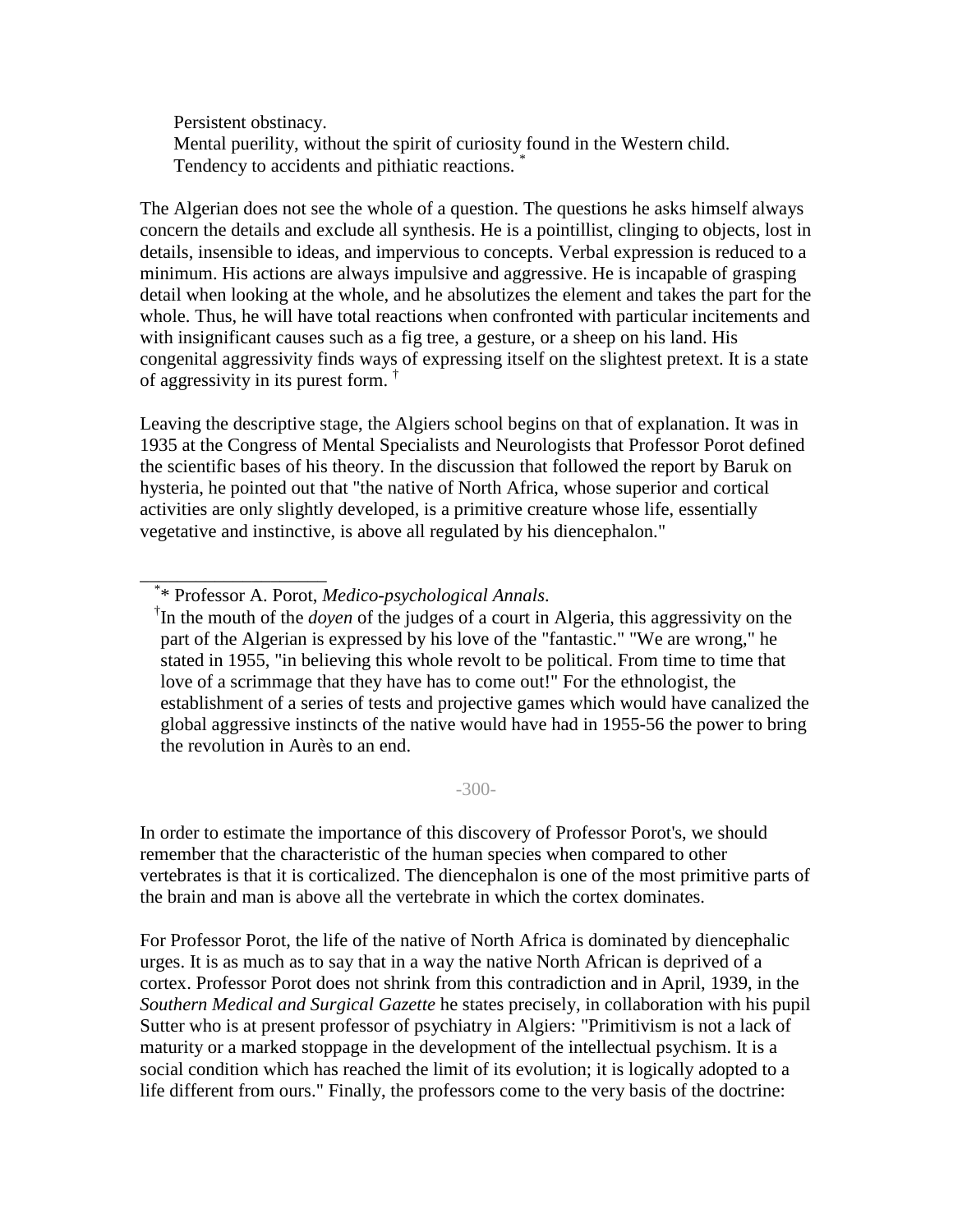Persistent obstinacy. Mental puerility, without the spirit of curiosity found in the Western child. Tendency to accidents and pithiatic reactions.<sup>\*</sup>

The Algerian does not see the whole of a question. The questions he asks himself always concern the details and exclude all synthesis. He is a pointillist, clinging to objects, lost in details, insensible to ideas, and impervious to concepts. Verbal expression is reduced to a minimum. His actions are always impulsive and aggressive. He is incapable of grasping detail when looking at the whole, and he absolutizes the element and takes the part for the whole. Thus, he will have total reactions when confronted with particular incitements and with insignificant causes such as a fig tree, a gesture, or a sheep on his land. His congenital aggressivity finds ways of expressing itself on the slightest pretext. It is a state of aggressivity in its purest form. †

Leaving the descriptive stage, the Algiers school begins on that of explanation. It was in 1935 at the Congress of Mental Specialists and Neurologists that Professor Porot defined the scientific bases of his theory. In the discussion that followed the report by Baruk on hysteria, he pointed out that "the native of North Africa, whose superior and cortical activities are only slightly developed, is a primitive creature whose life, essentially vegetative and instinctive, is above all regulated by his diencephalon."

\_\_\_\_\_\_\_\_\_\_\_\_\_\_\_\_\_\_\_\_

† In the mouth of the *doyen* of the judges of a court in Algeria, this aggressivity on the part of the Algerian is expressed by his love of the "fantastic." "We are wrong," he stated in 1955, "in believing this whole revolt to be political. From time to time that love of a scrimmage that they have has to come out!" For the ethnologist, the establishment of a series of tests and projective games which would have canalized the global aggressive instincts of the native would have had in 1955-56 the power to bring the revolution in Aurès to an end.

 $-300-$ 

In order to estimate the importance of this discovery of Professor Porot's, we should remember that the characteristic of the human species when compared to other vertebrates is that it is corticalized. The diencephalon is one of the most primitive parts of the brain and man is above all the vertebrate in which the cortex dominates.

For Professor Porot, the life of the native of North Africa is dominated by diencephalic urges. It is as much as to say that in a way the native North African is deprived of a cortex. Professor Porot does not shrink from this contradiction and in April, 1939, in the *Southern Medical and Surgical Gazette* he states precisely, in collaboration with his pupil Sutter who is at present professor of psychiatry in Algiers: "Primitivism is not a lack of maturity or a marked stoppage in the development of the intellectual psychism. It is a social condition which has reached the limit of its evolution; it is logically adopted to a life different from ours." Finally, the professors come to the very basis of the doctrine:

<sup>\*</sup> \* Professor A. Porot, *Medico-psychological Annals*.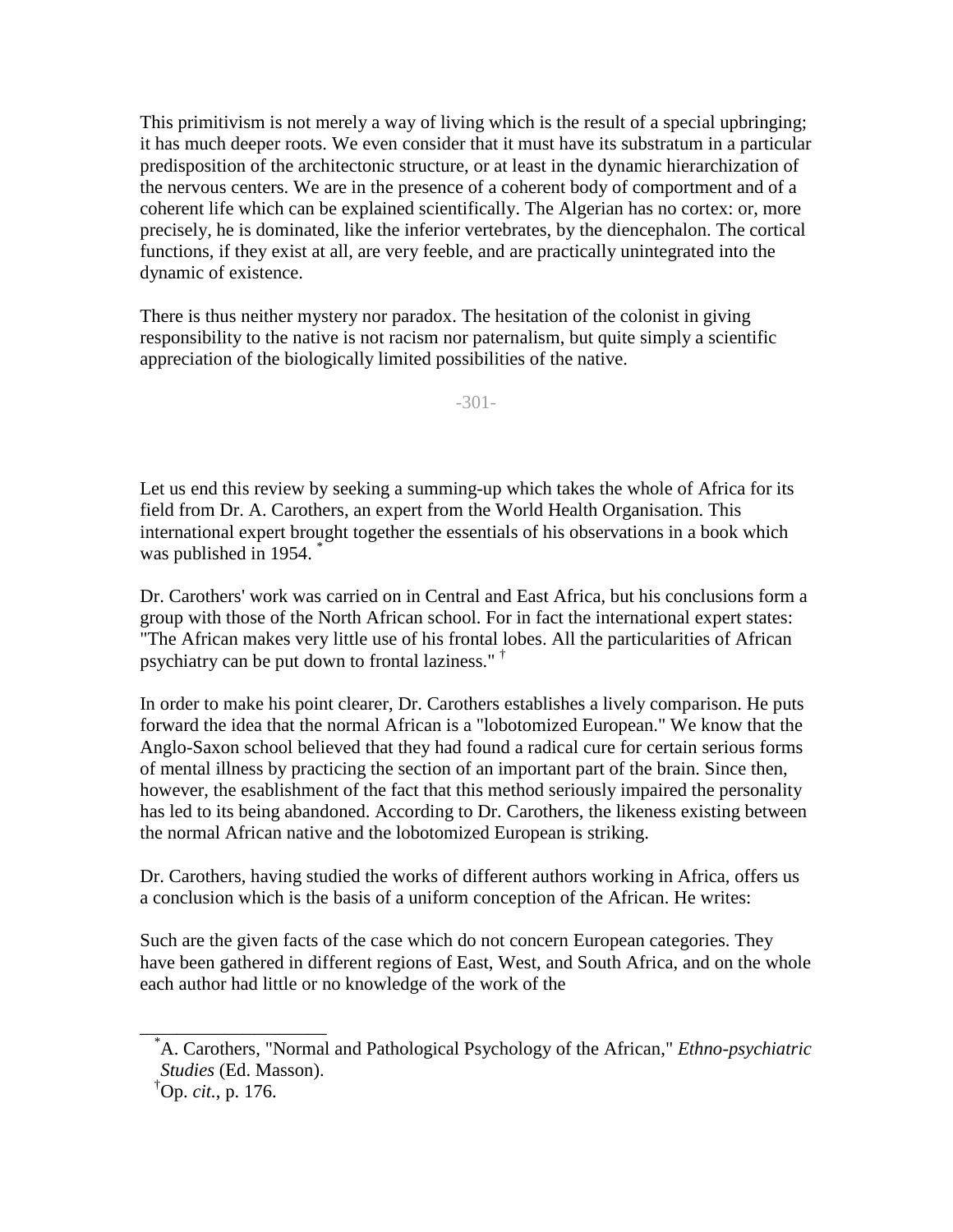This primitivism is not merely a way of living which is the result of a special upbringing; it has much deeper roots. We even consider that it must have its substratum in a particular predisposition of the architectonic structure, or at least in the dynamic hierarchization of the nervous centers. We are in the presence of a coherent body of comportment and of a coherent life which can be explained scientifically. The Algerian has no cortex: or, more precisely, he is dominated, like the inferior vertebrates, by the diencephalon. The cortical functions, if they exist at all, are very feeble, and are practically unintegrated into the dynamic of existence.

There is thus neither mystery nor paradox. The hesitation of the colonist in giving responsibility to the native is not racism nor paternalism, but quite simply a scientific appreciation of the biologically limited possibilities of the native.

-301-

Let us end this review by seeking a summing-up which takes the whole of Africa for its field from Dr. A. Carothers, an expert from the World Health Organisation. This international expert brought together the essentials of his observations in a book which was published in 1954.

Dr. Carothers' work was carried on in Central and East Africa, but his conclusions form a group with those of the North African school. For in fact the international expert states: "The African makes very little use of his frontal lobes. All the particularities of African psychiatry can be put down to frontal laziness." †

In order to make his point clearer, Dr. Carothers establishes a lively comparison. He puts forward the idea that the normal African is a "lobotomized European." We know that the Anglo-Saxon school believed that they had found a radical cure for certain serious forms of mental illness by practicing the section of an important part of the brain. Since then, however, the esablishment of the fact that this method seriously impaired the personality has led to its being abandoned. According to Dr. Carothers, the likeness existing between the normal African native and the lobotomized European is striking.

Dr. Carothers, having studied the works of different authors working in Africa, offers us a conclusion which is the basis of a uniform conception of the African. He writes:

Such are the given facts of the case which do not concern European categories. They have been gathered in different regions of East, West, and South Africa, and on the whole each author had little or no knowledge of the work of the

\_\_\_\_\_\_\_\_\_\_\_\_\_\_\_\_\_\_\_\_

<sup>\*</sup>A. Carothers, "Normal and Pathological Psychology of the African," *Ethno-psychiatric Studies* (Ed. Masson).

 $\overline{O}$ p. *cit.*, p. 176.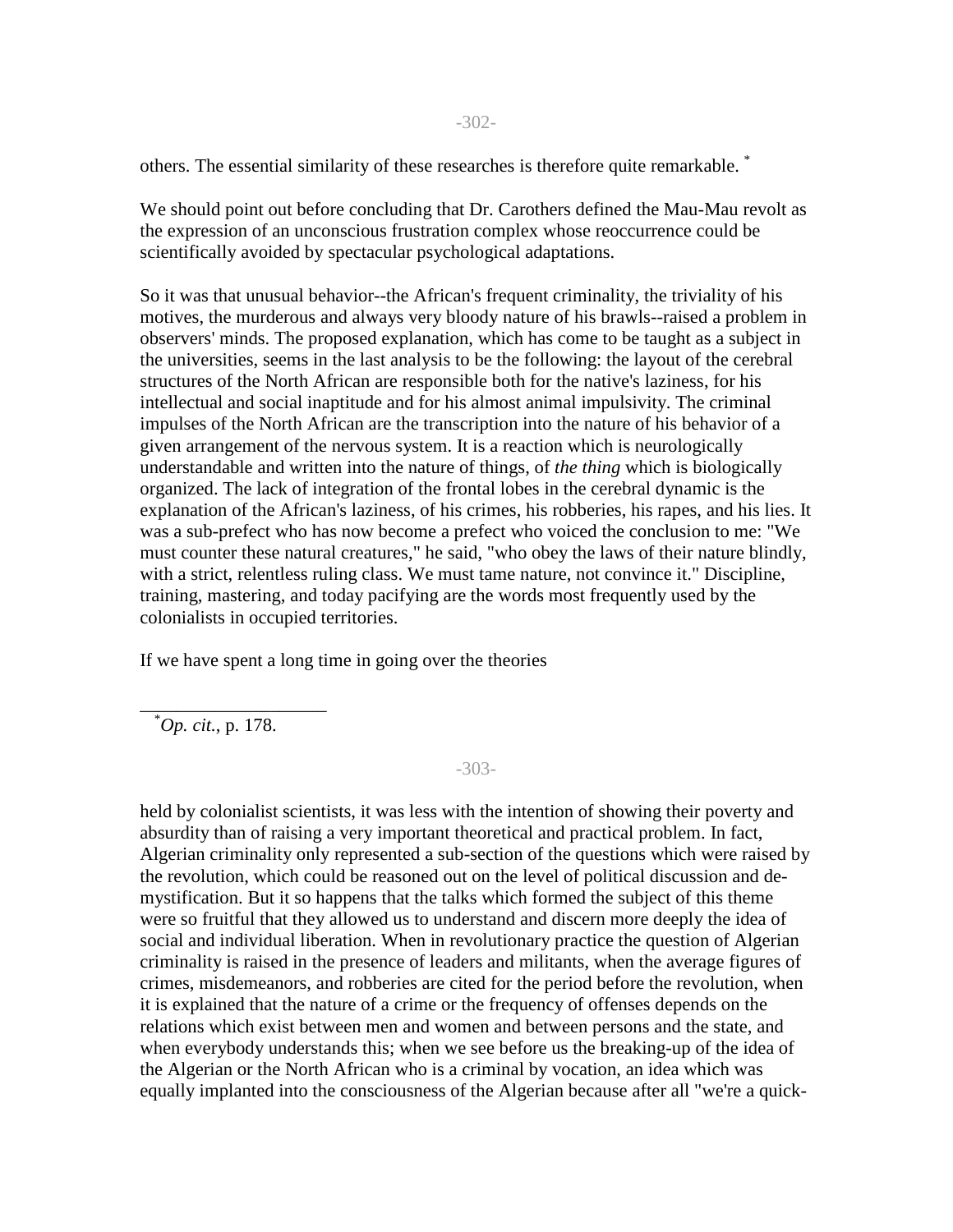## -302-

others. The essential similarity of these researches is therefore quite remarkable. \*

We should point out before concluding that Dr. Carothers defined the Mau-Mau revolt as the expression of an unconscious frustration complex whose reoccurrence could be scientifically avoided by spectacular psychological adaptations.

So it was that unusual behavior--the African's frequent criminality, the triviality of his motives, the murderous and always very bloody nature of his brawls--raised a problem in observers' minds. The proposed explanation, which has come to be taught as a subject in the universities, seems in the last analysis to be the following: the layout of the cerebral structures of the North African are responsible both for the native's laziness, for his intellectual and social inaptitude and for his almost animal impulsivity. The criminal impulses of the North African are the transcription into the nature of his behavior of a given arrangement of the nervous system. It is a reaction which is neurologically understandable and written into the nature of things, of *the thing* which is biologically organized. The lack of integration of the frontal lobes in the cerebral dynamic is the explanation of the African's laziness, of his crimes, his robberies, his rapes, and his lies. It was a sub-prefect who has now become a prefect who voiced the conclusion to me: "We must counter these natural creatures," he said, "who obey the laws of their nature blindly, with a strict, relentless ruling class. We must tame nature, not convince it." Discipline, training, mastering, and today pacifying are the words most frequently used by the colonialists in occupied territories.

If we have spent a long time in going over the theories

\**Op. cit.*, p. 178.

\_\_\_\_\_\_\_\_\_\_\_\_\_\_\_\_\_\_\_\_

-303-

held by colonialist scientists, it was less with the intention of showing their poverty and absurdity than of raising a very important theoretical and practical problem. In fact, Algerian criminality only represented a sub-section of the questions which were raised by the revolution, which could be reasoned out on the level of political discussion and demystification. But it so happens that the talks which formed the subject of this theme were so fruitful that they allowed us to understand and discern more deeply the idea of social and individual liberation. When in revolutionary practice the question of Algerian criminality is raised in the presence of leaders and militants, when the average figures of crimes, misdemeanors, and robberies are cited for the period before the revolution, when it is explained that the nature of a crime or the frequency of offenses depends on the relations which exist between men and women and between persons and the state, and when everybody understands this; when we see before us the breaking-up of the idea of the Algerian or the North African who is a criminal by vocation, an idea which was equally implanted into the consciousness of the Algerian because after all "we're a quick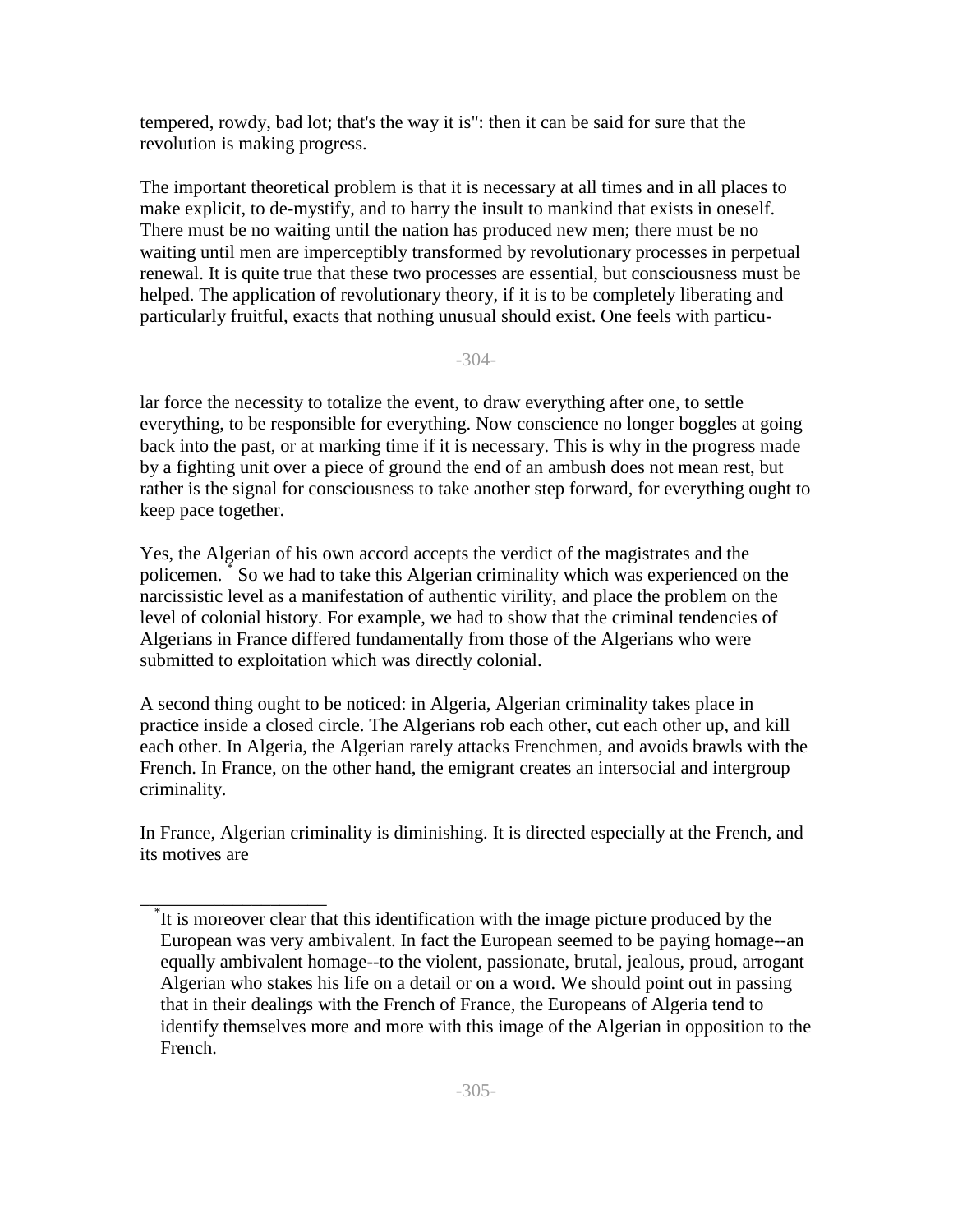tempered, rowdy, bad lot; that's the way it is": then it can be said for sure that the revolution is making progress.

The important theoretical problem is that it is necessary at all times and in all places to make explicit, to de-mystify, and to harry the insult to mankind that exists in oneself. There must be no waiting until the nation has produced new men; there must be no waiting until men are imperceptibly transformed by revolutionary processes in perpetual renewal. It is quite true that these two processes are essential, but consciousness must be helped. The application of revolutionary theory, if it is to be completely liberating and particularly fruitful, exacts that nothing unusual should exist. One feels with particu-

-304-

lar force the necessity to totalize the event, to draw everything after one, to settle everything, to be responsible for everything. Now conscience no longer boggles at going back into the past, or at marking time if it is necessary. This is why in the progress made by a fighting unit over a piece of ground the end of an ambush does not mean rest, but rather is the signal for consciousness to take another step forward, for everything ought to keep pace together.

Yes, the Algerian of his own accord accepts the verdict of the magistrates and the policemen. \* So we had to take this Algerian criminality which was experienced on the narcissistic level as a manifestation of authentic virility, and place the problem on the level of colonial history. For example, we had to show that the criminal tendencies of Algerians in France differed fundamentally from those of the Algerians who were submitted to exploitation which was directly colonial.

A second thing ought to be noticed: in Algeria, Algerian criminality takes place in practice inside a closed circle. The Algerians rob each other, cut each other up, and kill each other. In Algeria, the Algerian rarely attacks Frenchmen, and avoids brawls with the French. In France, on the other hand, the emigrant creates an intersocial and intergroup criminality.

In France, Algerian criminality is diminishing. It is directed especially at the French, and its motives are

\_\_\_\_\_\_\_\_\_\_\_\_\_\_\_\_\_\_\_\_ \* It is moreover clear that this identification with the image picture produced by the European was very ambivalent. In fact the European seemed to be paying homage--an equally ambivalent homage--to the violent, passionate, brutal, jealous, proud, arrogant Algerian who stakes his life on a detail or on a word. We should point out in passing that in their dealings with the French of France, the Europeans of Algeria tend to identify themselves more and more with this image of the Algerian in opposition to the French.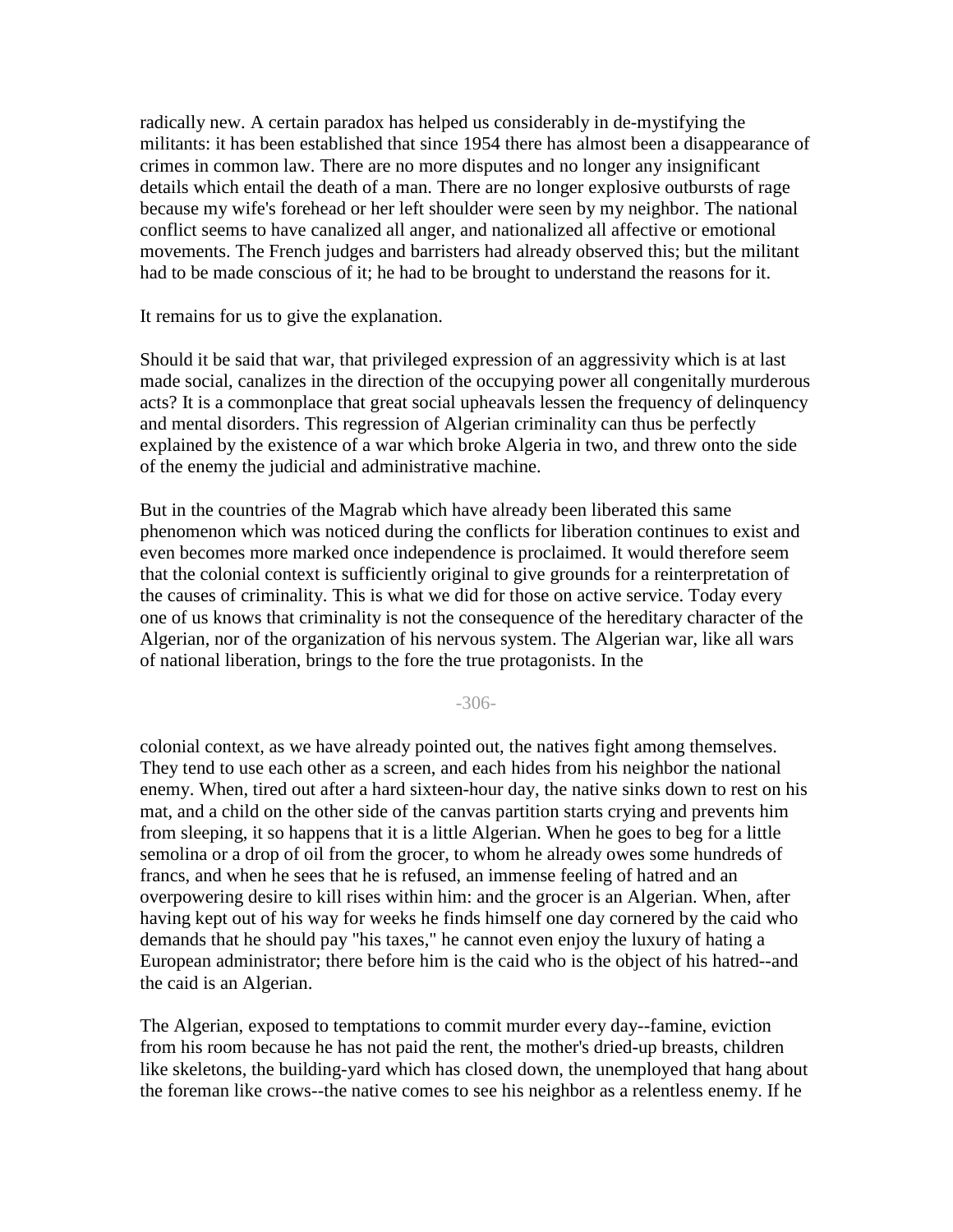radically new. A certain paradox has helped us considerably in de-mystifying the militants: it has been established that since 1954 there has almost been a disappearance of crimes in common law. There are no more disputes and no longer any insignificant details which entail the death of a man. There are no longer explosive outbursts of rage because my wife's forehead or her left shoulder were seen by my neighbor. The national conflict seems to have canalized all anger, and nationalized all affective or emotional movements. The French judges and barristers had already observed this; but the militant had to be made conscious of it; he had to be brought to understand the reasons for it.

It remains for us to give the explanation.

Should it be said that war, that privileged expression of an aggressivity which is at last made social, canalizes in the direction of the occupying power all congenitally murderous acts? It is a commonplace that great social upheavals lessen the frequency of delinquency and mental disorders. This regression of Algerian criminality can thus be perfectly explained by the existence of a war which broke Algeria in two, and threw onto the side of the enemy the judicial and administrative machine.

But in the countries of the Magrab which have already been liberated this same phenomenon which was noticed during the conflicts for liberation continues to exist and even becomes more marked once independence is proclaimed. It would therefore seem that the colonial context is sufficiently original to give grounds for a reinterpretation of the causes of criminality. This is what we did for those on active service. Today every one of us knows that criminality is not the consequence of the hereditary character of the Algerian, nor of the organization of his nervous system. The Algerian war, like all wars of national liberation, brings to the fore the true protagonists. In the

-306-

colonial context, as we have already pointed out, the natives fight among themselves. They tend to use each other as a screen, and each hides from his neighbor the national enemy. When, tired out after a hard sixteen-hour day, the native sinks down to rest on his mat, and a child on the other side of the canvas partition starts crying and prevents him from sleeping, it so happens that it is a little Algerian. When he goes to beg for a little semolina or a drop of oil from the grocer, to whom he already owes some hundreds of francs, and when he sees that he is refused, an immense feeling of hatred and an overpowering desire to kill rises within him: and the grocer is an Algerian. When, after having kept out of his way for weeks he finds himself one day cornered by the caid who demands that he should pay "his taxes," he cannot even enjoy the luxury of hating a European administrator; there before him is the caid who is the object of his hatred--and the caid is an Algerian.

The Algerian, exposed to temptations to commit murder every day--famine, eviction from his room because he has not paid the rent, the mother's dried-up breasts, children like skeletons, the building-yard which has closed down, the unemployed that hang about the foreman like crows--the native comes to see his neighbor as a relentless enemy. If he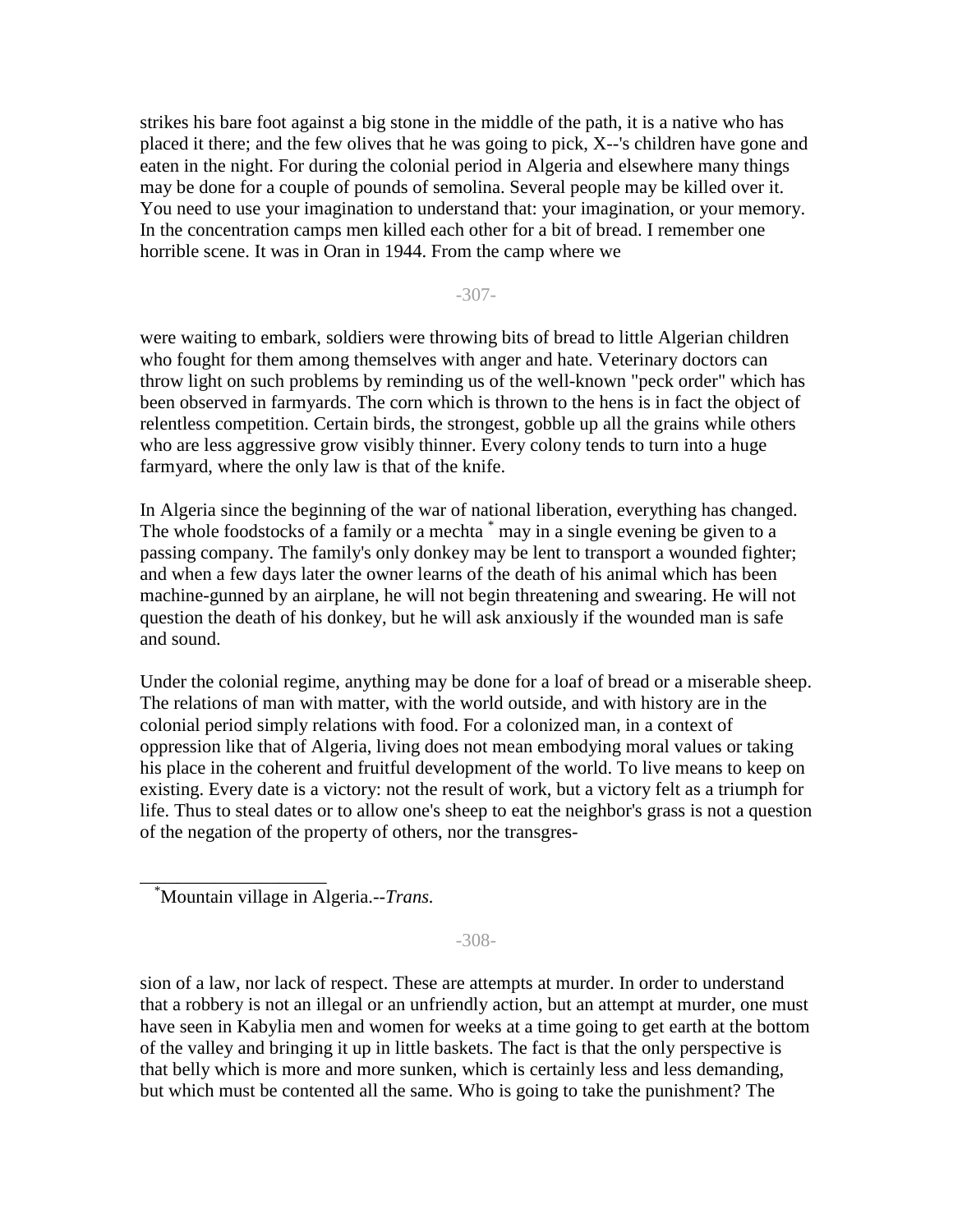strikes his bare foot against a big stone in the middle of the path, it is a native who has placed it there; and the few olives that he was going to pick, X--'s children have gone and eaten in the night. For during the colonial period in Algeria and elsewhere many things may be done for a couple of pounds of semolina. Several people may be killed over it. You need to use your imagination to understand that: your imagination, or your memory. In the concentration camps men killed each other for a bit of bread. I remember one horrible scene. It was in Oran in 1944. From the camp where we

-307-

were waiting to embark, soldiers were throwing bits of bread to little Algerian children who fought for them among themselves with anger and hate. Veterinary doctors can throw light on such problems by reminding us of the well-known "peck order" which has been observed in farmyards. The corn which is thrown to the hens is in fact the object of relentless competition. Certain birds, the strongest, gobble up all the grains while others who are less aggressive grow visibly thinner. Every colony tends to turn into a huge farmyard, where the only law is that of the knife.

In Algeria since the beginning of the war of national liberation, everything has changed. The whole foodstocks of a family or a mechta  $*$  may in a single evening be given to a passing company. The family's only donkey may be lent to transport a wounded fighter; and when a few days later the owner learns of the death of his animal which has been machine-gunned by an airplane, he will not begin threatening and swearing. He will not question the death of his donkey, but he will ask anxiously if the wounded man is safe and sound.

Under the colonial regime, anything may be done for a loaf of bread or a miserable sheep. The relations of man with matter, with the world outside, and with history are in the colonial period simply relations with food. For a colonized man, in a context of oppression like that of Algeria, living does not mean embodying moral values or taking his place in the coherent and fruitful development of the world. To live means to keep on existing. Every date is a victory: not the result of work, but a victory felt as a triumph for life. Thus to steal dates or to allow one's sheep to eat the neighbor's grass is not a question of the negation of the property of others, nor the transgres-

\_\_\_\_\_\_\_\_\_\_\_\_\_\_\_\_\_\_\_\_

-308-

sion of a law, nor lack of respect. These are attempts at murder. In order to understand that a robbery is not an illegal or an unfriendly action, but an attempt at murder, one must have seen in Kabylia men and women for weeks at a time going to get earth at the bottom of the valley and bringing it up in little baskets. The fact is that the only perspective is that belly which is more and more sunken, which is certainly less and less demanding, but which must be contented all the same. Who is going to take the punishment? The

<sup>\*</sup>Mountain village in Algeria.--*Trans.*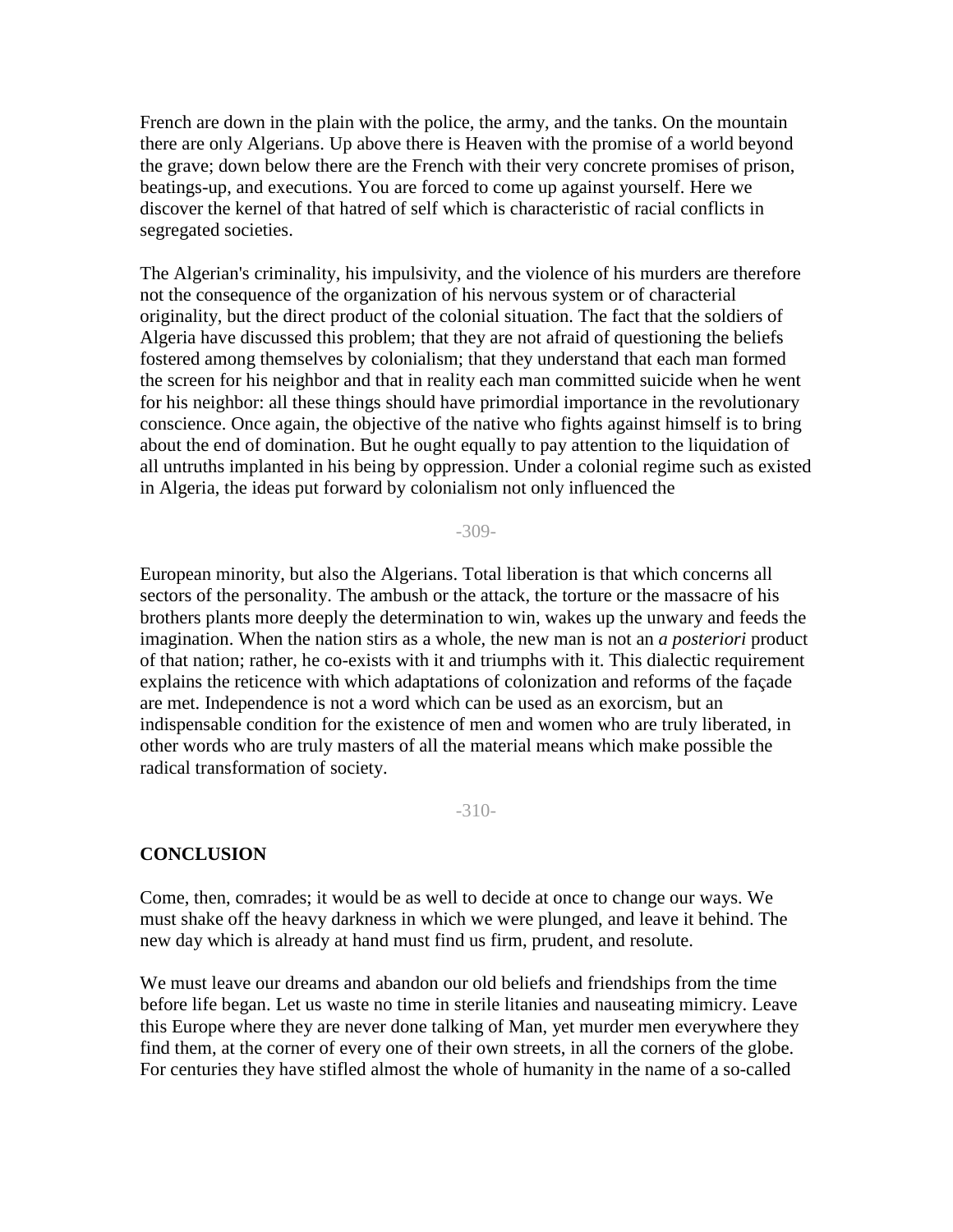French are down in the plain with the police, the army, and the tanks. On the mountain there are only Algerians. Up above there is Heaven with the promise of a world beyond the grave; down below there are the French with their very concrete promises of prison, beatings-up, and executions. You are forced to come up against yourself. Here we discover the kernel of that hatred of self which is characteristic of racial conflicts in segregated societies.

The Algerian's criminality, his impulsivity, and the violence of his murders are therefore not the consequence of the organization of his nervous system or of characterial originality, but the direct product of the colonial situation. The fact that the soldiers of Algeria have discussed this problem; that they are not afraid of questioning the beliefs fostered among themselves by colonialism; that they understand that each man formed the screen for his neighbor and that in reality each man committed suicide when he went for his neighbor: all these things should have primordial importance in the revolutionary conscience. Once again, the objective of the native who fights against himself is to bring about the end of domination. But he ought equally to pay attention to the liquidation of all untruths implanted in his being by oppression. Under a colonial regime such as existed in Algeria, the ideas put forward by colonialism not only influenced the

 $-309-$ 

European minority, but also the Algerians. Total liberation is that which concerns all sectors of the personality. The ambush or the attack, the torture or the massacre of his brothers plants more deeply the determination to win, wakes up the unwary and feeds the imagination. When the nation stirs as a whole, the new man is not an *a posteriori* product of that nation; rather, he co-exists with it and triumphs with it. This dialectic requirement explains the reticence with which adaptations of colonization and reforms of the façade are met. Independence is not a word which can be used as an exorcism, but an indispensable condition for the existence of men and women who are truly liberated, in other words who are truly masters of all the material means which make possible the radical transformation of society.

-310-

## **CONCLUSION**

Come, then, comrades; it would be as well to decide at once to change our ways. We must shake off the heavy darkness in which we were plunged, and leave it behind. The new day which is already at hand must find us firm, prudent, and resolute.

We must leave our dreams and abandon our old beliefs and friendships from the time before life began. Let us waste no time in sterile litanies and nauseating mimicry. Leave this Europe where they are never done talking of Man, yet murder men everywhere they find them, at the corner of every one of their own streets, in all the corners of the globe. For centuries they have stifled almost the whole of humanity in the name of a so-called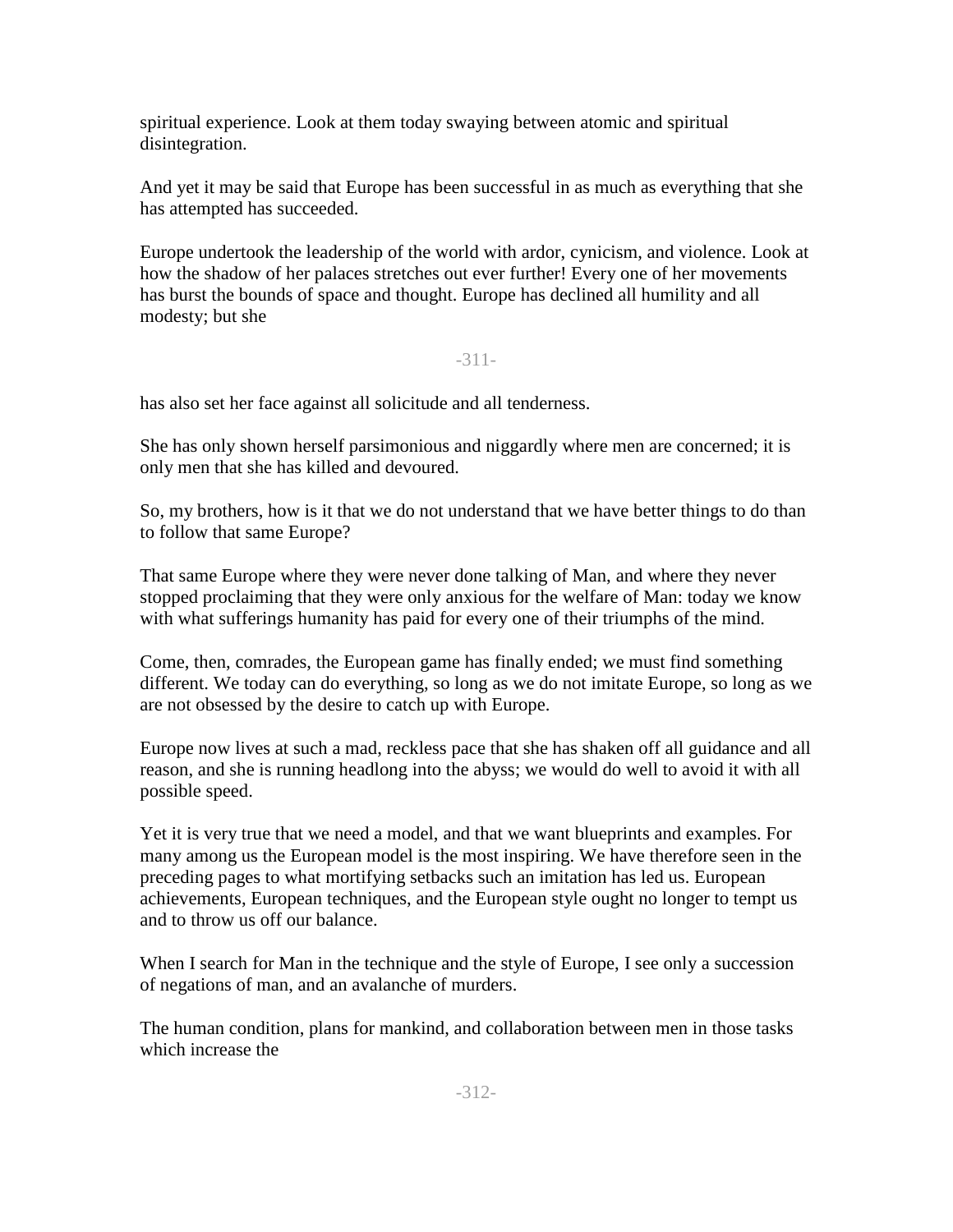spiritual experience. Look at them today swaying between atomic and spiritual disintegration.

And yet it may be said that Europe has been successful in as much as everything that she has attempted has succeeded.

Europe undertook the leadership of the world with ardor, cynicism, and violence. Look at how the shadow of her palaces stretches out ever further! Every one of her movements has burst the bounds of space and thought. Europe has declined all humility and all modesty; but she

-311-

has also set her face against all solicitude and all tenderness.

She has only shown herself parsimonious and niggardly where men are concerned; it is only men that she has killed and devoured.

So, my brothers, how is it that we do not understand that we have better things to do than to follow that same Europe?

That same Europe where they were never done talking of Man, and where they never stopped proclaiming that they were only anxious for the welfare of Man: today we know with what sufferings humanity has paid for every one of their triumphs of the mind.

Come, then, comrades, the European game has finally ended; we must find something different. We today can do everything, so long as we do not imitate Europe, so long as we are not obsessed by the desire to catch up with Europe.

Europe now lives at such a mad, reckless pace that she has shaken off all guidance and all reason, and she is running headlong into the abyss; we would do well to avoid it with all possible speed.

Yet it is very true that we need a model, and that we want blueprints and examples. For many among us the European model is the most inspiring. We have therefore seen in the preceding pages to what mortifying setbacks such an imitation has led us. European achievements, European techniques, and the European style ought no longer to tempt us and to throw us off our balance.

When I search for Man in the technique and the style of Europe, I see only a succession of negations of man, and an avalanche of murders.

The human condition, plans for mankind, and collaboration between men in those tasks which increase the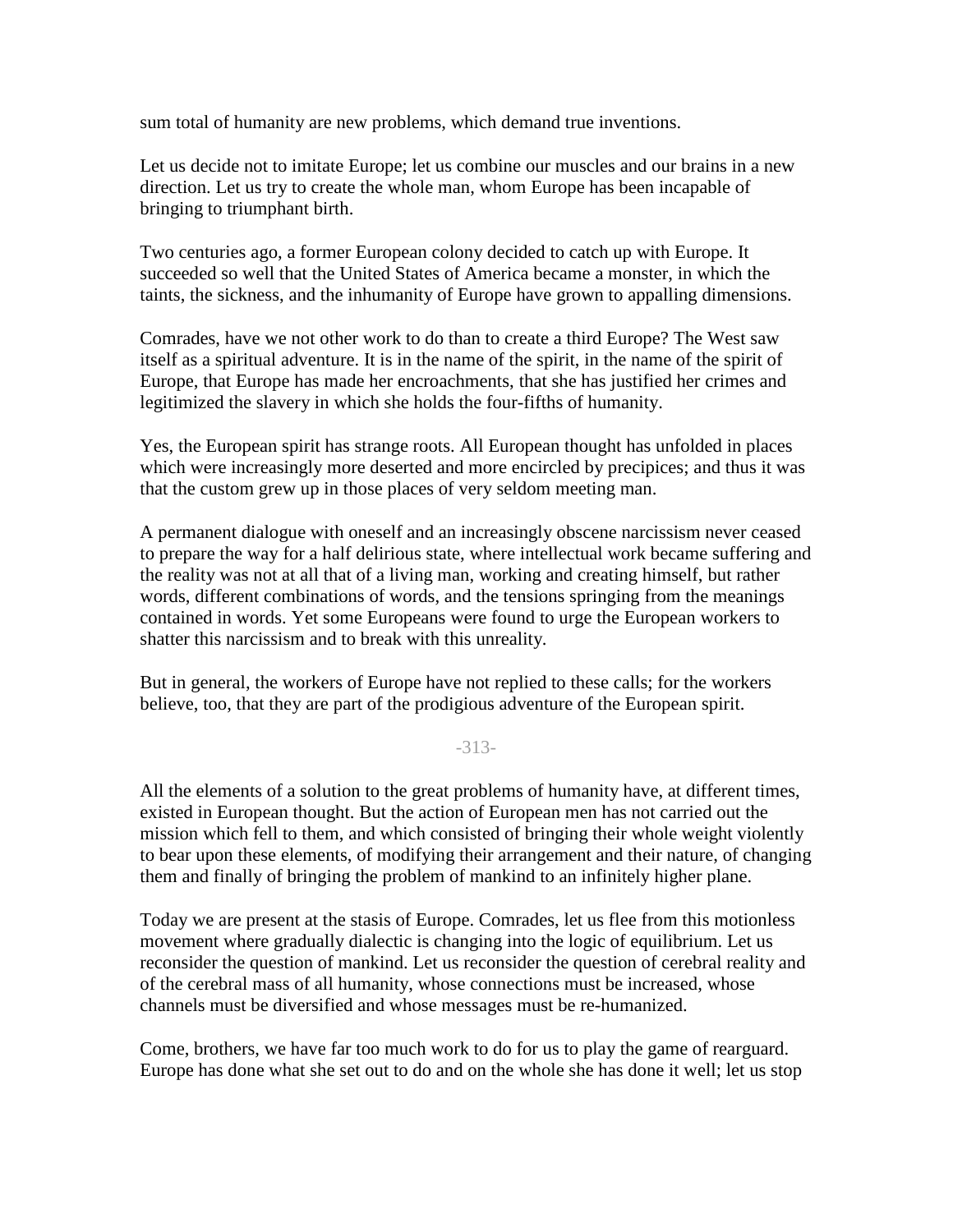sum total of humanity are new problems, which demand true inventions.

Let us decide not to imitate Europe; let us combine our muscles and our brains in a new direction. Let us try to create the whole man, whom Europe has been incapable of bringing to triumphant birth.

Two centuries ago, a former European colony decided to catch up with Europe. It succeeded so well that the United States of America became a monster, in which the taints, the sickness, and the inhumanity of Europe have grown to appalling dimensions.

Comrades, have we not other work to do than to create a third Europe? The West saw itself as a spiritual adventure. It is in the name of the spirit, in the name of the spirit of Europe, that Europe has made her encroachments, that she has justified her crimes and legitimized the slavery in which she holds the four-fifths of humanity.

Yes, the European spirit has strange roots. All European thought has unfolded in places which were increasingly more deserted and more encircled by precipices; and thus it was that the custom grew up in those places of very seldom meeting man.

A permanent dialogue with oneself and an increasingly obscene narcissism never ceased to prepare the way for a half delirious state, where intellectual work became suffering and the reality was not at all that of a living man, working and creating himself, but rather words, different combinations of words, and the tensions springing from the meanings contained in words. Yet some Europeans were found to urge the European workers to shatter this narcissism and to break with this unreality.

But in general, the workers of Europe have not replied to these calls; for the workers believe, too, that they are part of the prodigious adventure of the European spirit.

-313-

All the elements of a solution to the great problems of humanity have, at different times, existed in European thought. But the action of European men has not carried out the mission which fell to them, and which consisted of bringing their whole weight violently to bear upon these elements, of modifying their arrangement and their nature, of changing them and finally of bringing the problem of mankind to an infinitely higher plane.

Today we are present at the stasis of Europe. Comrades, let us flee from this motionless movement where gradually dialectic is changing into the logic of equilibrium. Let us reconsider the question of mankind. Let us reconsider the question of cerebral reality and of the cerebral mass of all humanity, whose connections must be increased, whose channels must be diversified and whose messages must be re-humanized.

Come, brothers, we have far too much work to do for us to play the game of rearguard. Europe has done what she set out to do and on the whole she has done it well; let us stop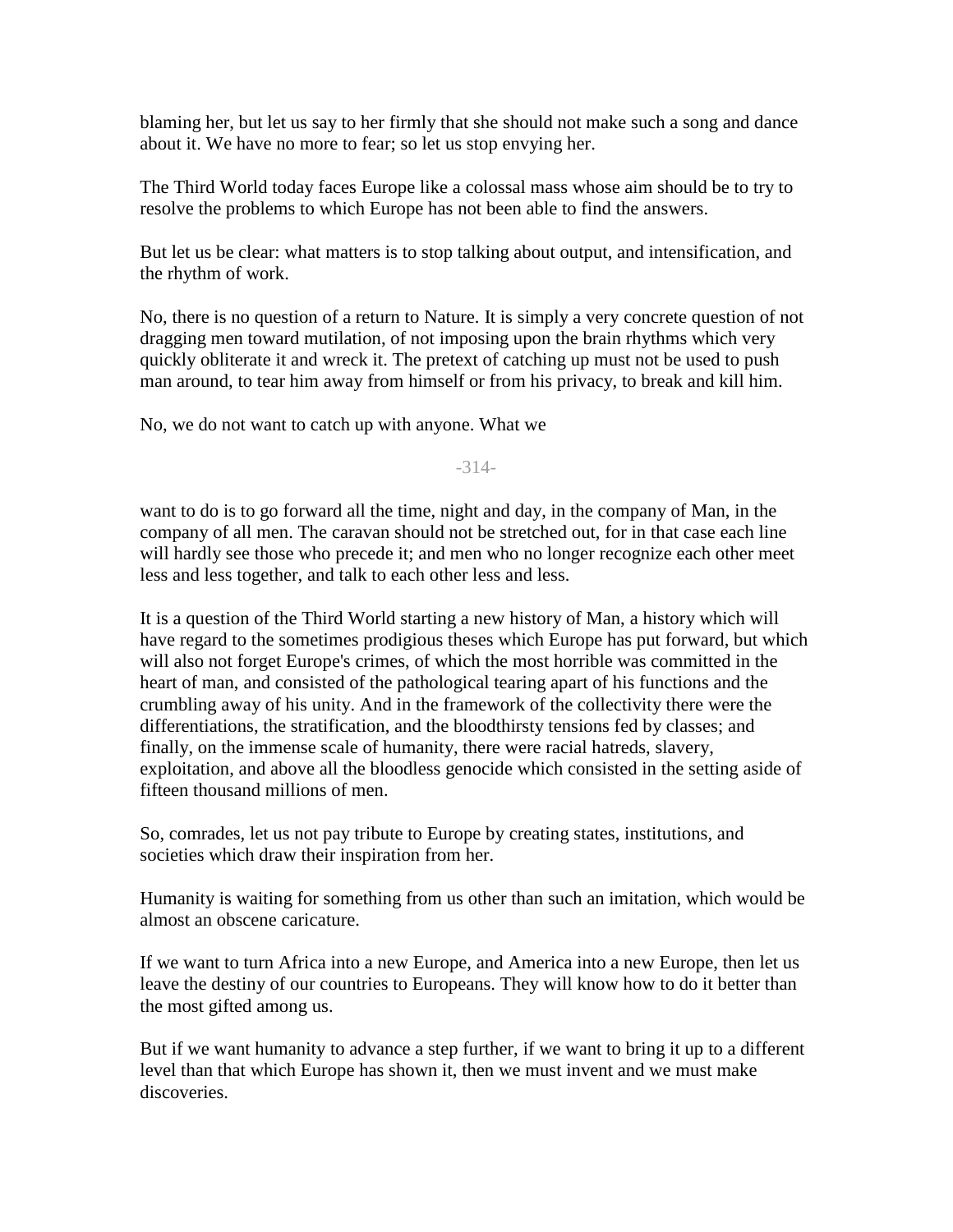blaming her, but let us say to her firmly that she should not make such a song and dance about it. We have no more to fear; so let us stop envying her.

The Third World today faces Europe like a colossal mass whose aim should be to try to resolve the problems to which Europe has not been able to find the answers.

But let us be clear: what matters is to stop talking about output, and intensification, and the rhythm of work.

No, there is no question of a return to Nature. It is simply a very concrete question of not dragging men toward mutilation, of not imposing upon the brain rhythms which very quickly obliterate it and wreck it. The pretext of catching up must not be used to push man around, to tear him away from himself or from his privacy, to break and kill him.

No, we do not want to catch up with anyone. What we

-314-

want to do is to go forward all the time, night and day, in the company of Man, in the company of all men. The caravan should not be stretched out, for in that case each line will hardly see those who precede it; and men who no longer recognize each other meet less and less together, and talk to each other less and less.

It is a question of the Third World starting a new history of Man, a history which will have regard to the sometimes prodigious theses which Europe has put forward, but which will also not forget Europe's crimes, of which the most horrible was committed in the heart of man, and consisted of the pathological tearing apart of his functions and the crumbling away of his unity. And in the framework of the collectivity there were the differentiations, the stratification, and the bloodthirsty tensions fed by classes; and finally, on the immense scale of humanity, there were racial hatreds, slavery, exploitation, and above all the bloodless genocide which consisted in the setting aside of fifteen thousand millions of men.

So, comrades, let us not pay tribute to Europe by creating states, institutions, and societies which draw their inspiration from her.

Humanity is waiting for something from us other than such an imitation, which would be almost an obscene caricature.

If we want to turn Africa into a new Europe, and America into a new Europe, then let us leave the destiny of our countries to Europeans. They will know how to do it better than the most gifted among us.

But if we want humanity to advance a step further, if we want to bring it up to a different level than that which Europe has shown it, then we must invent and we must make discoveries.